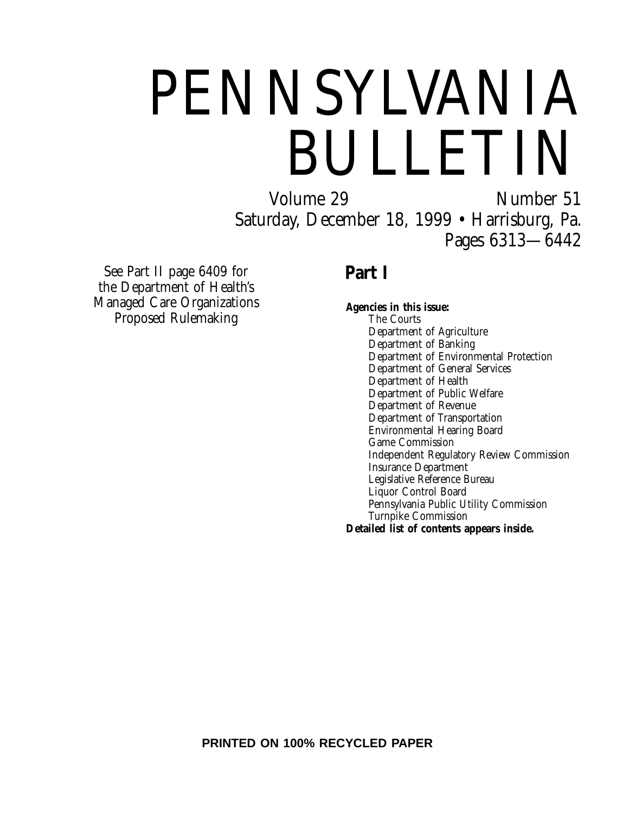# PENNSYLVANIA **BULLETIN**<br>Volume 29<br>Number 51

Number 51 Saturday, December 18, 1999 • Harrisburg, Pa. Pages 6313—6442

See Part II page 6409 for the Department of Health's Managed Care Organizations Proposed Rulemaking

## **Part I**

**Agencies in this issue:** The Courts Department of Agriculture Department of Banking Department of Environmental Protection Department of General Services Department of Health Department of Public Welfare Department of Revenue Department of Transportation Environmental Hearing Board Game Commission Independent Regulatory Review Commission Insurance Department Legislative Reference Bureau Liquor Control Board Pennsylvania Public Utility Commission Turnpike Commission **Detailed list of contents appears inside.**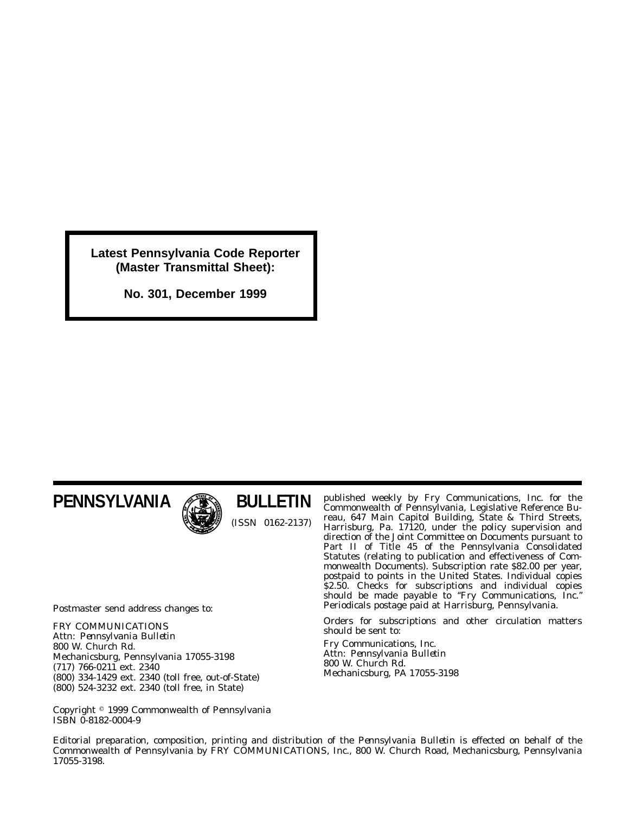**Latest Pennsylvania Code Reporter (Master Transmittal Sheet):**

**No. 301, December 1999**

## **PENNSYLVANIA**



**BULLETIN** (ISSN 0162-2137)

Postmaster send address changes to:

FRY COMMUNICATIONS Attn: *Pennsylvania Bulletin* 800 W. Church Rd. Mechanicsburg, Pennsylvania 17055-3198 (717) 766-0211 ext. 2340 (800) 334-1429 ext. 2340 (toll free, out-of-State) (800) 524-3232 ext. 2340 (toll free, in State)

Copyright 1999 Commonwealth of Pennsylvania ISBN 0-8182-0004-9

published weekly by Fry Communications, Inc. for the Commonwealth of Pennsylvania, Legislative Reference Bureau, 647 Main Capitol Building, State & Third Streets, Harrisburg, Pa. 17120, under the policy supervision and direction of the Joint Committee on Documents pursuant to Part II of Title 45 of the Pennsylvania Consolidated Statutes (relating to publication and effectiveness of Commonwealth Documents). Subscription rate \$82.00 per year, postpaid to points in the United States. Individual copies \$2.50. Checks for subscriptions and individual copies should be made payable to ''*Fry Communications, Inc.*'' Periodicals postage paid at Harrisburg, Pennsylvania.

Orders for subscriptions and other circulation matters should be sent to:

Fry Communications, Inc. Attn: *Pennsylvania Bulletin* 800 W. Church Rd. Mechanicsburg, PA 17055-3198

Editorial preparation, composition, printing and distribution of the *Pennsylvania Bulletin* is effected on behalf of the Commonwealth of Pennsylvania by FRY COMMUNICATIONS, Inc., 800 W. Church Road, Mechanicsburg, Pennsylvania 17055-3198.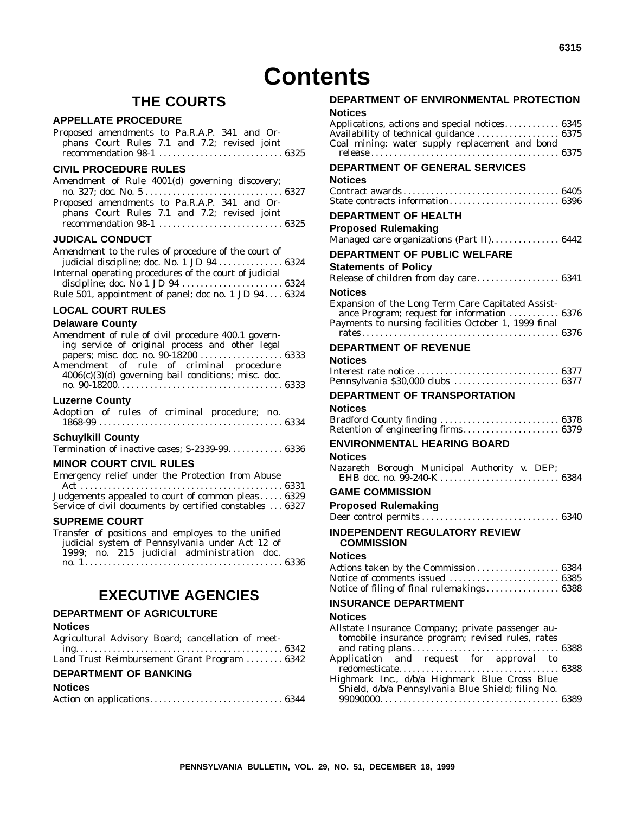## **THE COURTS**

#### **APPELLATE PROCEDURE**

| Proposed amendments to Pa.R.A.P. 341 and Or- |  |  |  |  |  |
|----------------------------------------------|--|--|--|--|--|
| phans Court Rules 7.1 and 7.2; revised joint |  |  |  |  |  |
|                                              |  |  |  |  |  |

#### **CIVIL PROCEDURE RULES**

| Amendment of Rule 4001(d) governing discovery; |  |
|------------------------------------------------|--|
|                                                |  |
| Proposed amendments to Pa.R.A.P. 341 and Or-   |  |
| phans Court Rules 7.1 and 7.2; revised joint   |  |
|                                                |  |

#### **JUDICAL CONDUCT**

| Amendment to the rules of procedure of the court of    |  |
|--------------------------------------------------------|--|
| judicial discipline; doc. No. 1 JD 94  6324            |  |
| Internal operating procedures of the court of judicial |  |
|                                                        |  |
| Rule 501, appointment of panel; doc no. 1 JD $946324$  |  |

#### **LOCAL COURT RULES**

#### **Delaware County**

| Amendment of rule of civil procedure 400.1 govern-  |  |
|-----------------------------------------------------|--|
| ing service of original process and other legal     |  |
| papers; misc. doc. no. 90-18200  6333               |  |
| Amendment of rule of criminal procedure             |  |
| 4006(c)(3)(d) governing bail conditions; misc. doc. |  |
|                                                     |  |
|                                                     |  |

#### **Luzerne County**

|  |  | Adoption of rules of criminal procedure; no. |  |
|--|--|----------------------------------------------|--|
|  |  | $1868-99$                                    |  |

#### **Schuylkill County**

| Termination of inactive cases; S-2339-99 6336 |  |
|-----------------------------------------------|--|
|-----------------------------------------------|--|

### **MINOR COURT CIVIL RULES**

| Emergency relief under the Protection from Abuse         |  |
|----------------------------------------------------------|--|
|                                                          |  |
| Judgements appealed to court of common pleas 6329        |  |
| Service of civil documents by certified constables  6327 |  |

#### **SUPREME COURT**

| Transfer of positions and employes to the unified |  |
|---------------------------------------------------|--|
| judicial system of Pennsylvania under Act 12 of   |  |
| 1999; no. 215 judicial administration doc.        |  |
|                                                   |  |

## **EXECUTIVE AGENCIES**

#### **DEPARTMENT OF AGRICULTURE**

#### **Notices**

| Agricultural Advisory Board; cancellation of meet- |  |
|----------------------------------------------------|--|
|                                                    |  |
| Land Trust Reimbursement Grant Program  6342       |  |

#### **DEPARTMENT OF BANKING**

#### **Notices**

|--|--|--|

## **DEPARTMENT OF ENVIRONMENTAL PROTECTION**

#### **Notices** Applications, actions and special notices............ 6345 Availability of technical guidance ..................... 6375 Coal mining: water supply replacement and bond release ......................................... 6375 **DEPARTMENT OF GENERAL SERVICES Notices** Contract awards .................................. 6405 State contracts information........................ 6396 **DEPARTMENT OF HEALTH Proposed Rulemaking** Managed care organizations (Part II)................. 6442 **DEPARTMENT OF PUBLIC WELFARE Statements of Policy** Release of children from day care .......................... 6341 **Notices** Expansion of the Long Term Care Capitated Assistance Program; request for information ........... 6376 Payments to nursing facilities October 1, 1999 final rates ........................................... 6376 **DEPARTMENT OF REVENUE Notices** Interest rate notice ............................... 6377 Pennsylvania \$30,000 clubs ............................ 6377 **DEPARTMENT OF TRANSPORTATION Notices** Bradford County finding .......................... 6378 Retention of engineering firms.......................... 6379 **ENVIRONMENTAL HEARING BOARD Notices** Nazareth Borough Municipal Authority v. DEP; EHB doc. no. 99-240-K .......................... 6384 **GAME COMMISSION Proposed Rulemaking** Deer control permits .............................. 6340 **INDEPENDENT REGULATORY REVIEW COMMISSION Notices** Actions taken by the Commission..................... 6384

#### Notice of comments issued ........................ 6385 Notice of filing of final rulemakings................... 6388

#### **INSURANCE DEPARTMENT**

#### **Notices**

| Allstate Insurance Company; private passenger au-<br>tomobile insurance program; revised rules, rates |  |
|-------------------------------------------------------------------------------------------------------|--|
|                                                                                                       |  |
|                                                                                                       |  |
| Application and request for approval to                                                               |  |
|                                                                                                       |  |
| Highmark Inc., d/b/a Highmark Blue Cross Blue                                                         |  |
| Shield, d/b/a Pennsylvania Blue Shield; filing No.                                                    |  |
|                                                                                                       |  |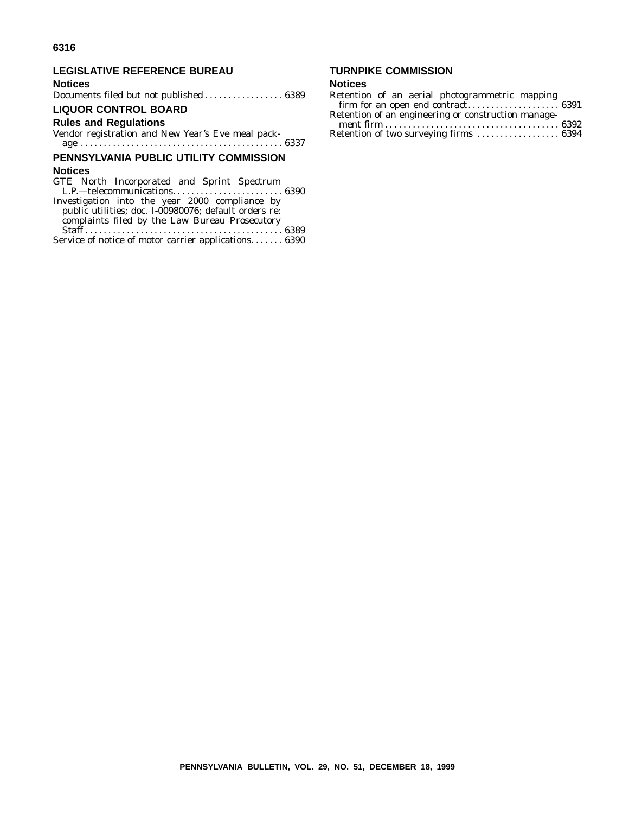#### **LEGISLATIVE REFERENCE BUREAU**

#### **Notices**

Documents filed but not published ................. 6389

#### **LIQUOR CONTROL BOARD**

#### **Rules and Regulations**

Vendor registration and New Year's Eve meal package . . . . . . . . . . . . . . . . . . . . . . . . . . . . . . . . . . . . . . . . . . . . 6337

#### **PENNSYLVANIA PUBLIC UTILITY COMMISSION**

#### **Notices**

GTE North Incorporated and Sprint Spectrum L.P.—telecommunications........................ 6390 Investigation into the year 2000 compliance by public utilities; doc. I-00980076; default orders re: complaints filed by the Law Bureau Prosecutory Staff ........................................... 6389 Service of notice of motor carrier applications....... 6390

### **TURNPIKE COMMISSION**

#### **Notices**

| Retention of an aerial photogrammetric mapping      |  |
|-----------------------------------------------------|--|
|                                                     |  |
| Retention of an engineering or construction manage- |  |
|                                                     |  |
| Retention of two surveying firms  6394              |  |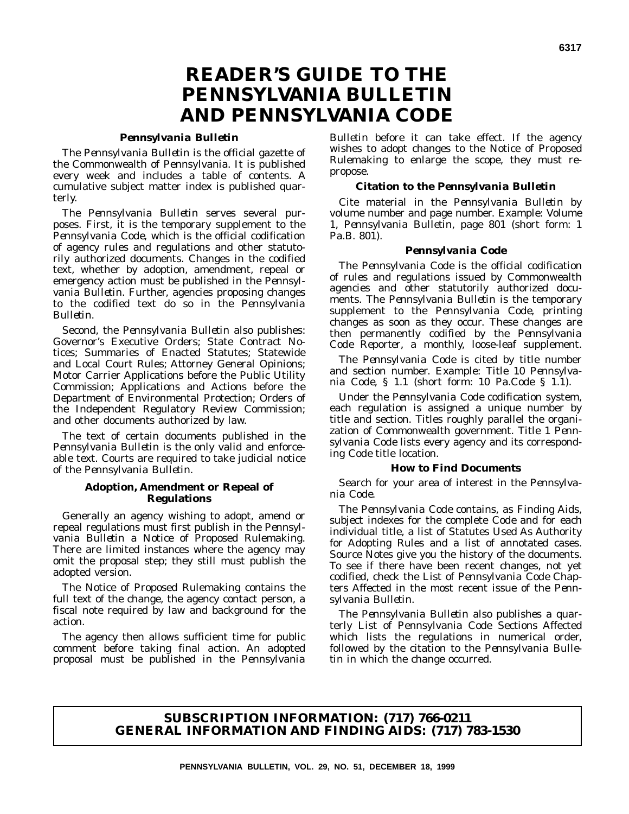## **READER'S GUIDE TO THE** *PENNSYLVANIA BULLETIN* **AND** *PENNSYLVANIA CODE*

#### *Pennsylvania Bulletin*

The *Pennsylvania Bulletin* is the official gazette of the Commonwealth of Pennsylvania. It is published every week and includes a table of contents. A cumulative subject matter index is published quarterly.

The *Pennsylvania Bulletin* serves several purposes. First, it is the temporary supplement to the *Pennsylvania Code*, which is the official codification of agency rules and regulations and other statutorily authorized documents. Changes in the codified text, whether by adoption, amendment, repeal or emergency action must be published in the *Pennsylvania Bulletin*. Further, agencies proposing changes to the codified text do so in the *Pennsylvania Bulletin*.

Second, the *Pennsylvania Bulletin* also publishes: Governor's Executive Orders; State Contract Notices; Summaries of Enacted Statutes; Statewide and Local Court Rules; Attorney General Opinions; Motor Carrier Applications before the Public Utility Commission; Applications and Actions before the Department of Environmental Protection; Orders of the Independent Regulatory Review Commission; and other documents authorized by law.

The text of certain documents published in the *Pennsylvania Bulletin* is the only valid and enforceable text. Courts are required to take judicial notice of the *Pennsylvania Bulletin*.

#### **Adoption, Amendment or Repeal of Regulations**

Generally an agency wishing to adopt, amend or repeal regulations must first publish in the *Pennsylvania Bulletin* a Notice of Proposed Rulemaking. There are limited instances where the agency may omit the proposal step; they still must publish the adopted version.

The Notice of Proposed Rulemaking contains the full text of the change, the agency contact person, a fiscal note required by law and background for the action.

The agency then allows sufficient time for public comment before taking final action. An adopted proposal must be published in the *Pennsylvania*

*Bulletin* before it can take effect. If the agency wishes to adopt changes to the Notice of Proposed Rulemaking to enlarge the scope, they must repropose.

#### **Citation to the** *Pennsylvania Bulletin*

Cite material in the *Pennsylvania Bulletin* by volume number and page number. Example: Volume 1, *Pennsylvania Bulletin*, page 801 (short form: 1 Pa.B. 801).

#### *Pennsylvania Code*

The *Pennsylvania Code* is the official codification of rules and regulations issued by Commonwealth agencies and other statutorily authorized documents. The *Pennsylvania Bulletin* is the temporary supplement to the *Pennsylvania Code*, printing changes as soon as they occur. These changes are then permanently codified by the *Pennsylvania Code Reporter*, a monthly, loose-leaf supplement.

The *Pennsylvania Code* is cited by title number and section number. Example: Title 10 *Pennsylvania Code*, § 1.1 (short form: 10 Pa.Code § 1.1).

Under the *Pennsylvania Code* codification system, each regulation is assigned a unique number by title and section. Titles roughly parallel the organization of Commonwealth government. Title 1 *Pennsylvania Code* lists every agency and its corresponding *Code* title location.

#### **How to Find Documents**

Search for your area of interest in the *Pennsylvania Code*.

The *Pennsylvania Code* contains, as Finding Aids, subject indexes for the complete *Code* and for each individual title, a list of Statutes Used As Authority for Adopting Rules and a list of annotated cases. Source Notes give you the history of the documents. To see if there have been recent changes, not yet codified, check the List of *Pennsylvania Code* Chapters Affected in the most recent issue of the *Pennsylvania Bulletin*.

The *Pennsylvania Bulletin* also publishes a quarterly List of Pennsylvania Code Sections Affected which lists the regulations in numerical order, followed by the citation to the *Pennsylvania Bulletin* in which the change occurred.

#### **SUBSCRIPTION INFORMATION: (717) 766-0211 GENERAL INFORMATION AND FINDING AIDS: (717) 783-1530**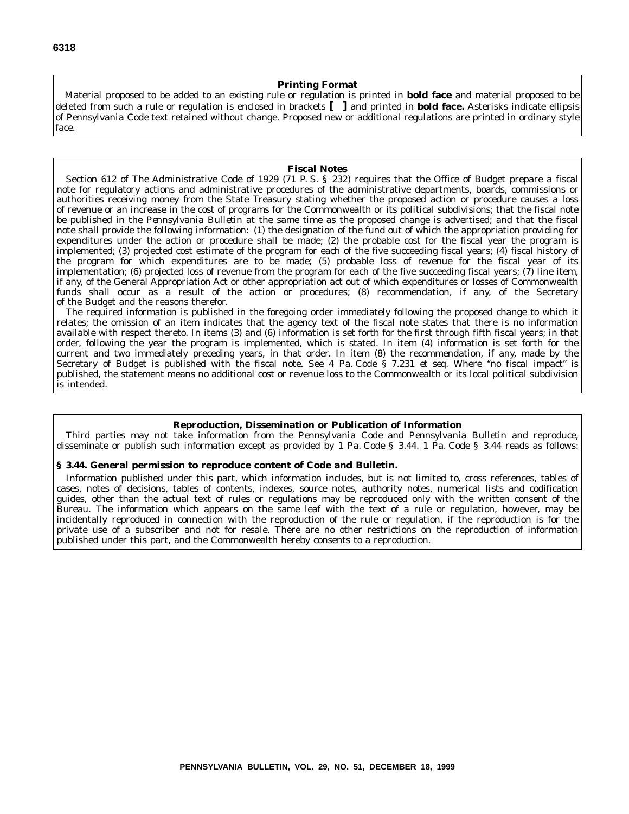#### **Printing Format**

Material proposed to be added to an existing rule or regulation is printed in **bold face** and material proposed to be deleted from such a rule or regulation is enclosed in brackets **[ ]** and printed in **bold face.** Asterisks indicate ellipsis of *Pennsylvania Code* text retained without change. Proposed new or additional regulations are printed in ordinary style face.

#### **Fiscal Notes**

Section 612 of The Administrative Code of 1929 (71 P. S. § 232) requires that the Office of Budget prepare a fiscal note for regulatory actions and administrative procedures of the administrative departments, boards, commissions or authorities receiving money from the State Treasury stating whether the proposed action or procedure causes a loss of revenue or an increase in the cost of programs for the Commonwealth or its political subdivisions; that the fiscal note be published in the *Pennsylvania Bulletin* at the same time as the proposed change is advertised; and that the fiscal note shall provide the following information: (1) the designation of the fund out of which the appropriation providing for expenditures under the action or procedure shall be made; (2) the probable cost for the fiscal year the program is implemented; (3) projected cost estimate of the program for each of the five succeeding fiscal years; (4) fiscal history of the program for which expenditures are to be made; (5) probable loss of revenue for the fiscal year of its implementation; (6) projected loss of revenue from the program for each of the five succeeding fiscal years; (7) line item, if any, of the General Appropriation Act or other appropriation act out of which expenditures or losses of Commonwealth funds shall occur as a result of the action or procedures; (8) recommendation, if any, of the Secretary of the Budget and the reasons therefor.

The required information is published in the foregoing order immediately following the proposed change to which it relates; the omission of an item indicates that the agency text of the fiscal note states that there is no information available with respect thereto. In items (3) and (6) information is set forth for the first through fifth fiscal years; in that order, following the year the program is implemented, which is stated. In item (4) information is set forth for the current and two immediately preceding years, in that order. In item (8) the recommendation, if any, made by the Secretary of Budget is published with the fiscal note. See 4 Pa. Code § 7.231 *et seq.* Where ''no fiscal impact'' is published, the statement means no additional cost or revenue loss to the Commonwealth or its local political subdivision is intended.

#### **Reproduction, Dissemination or Publication of Information**

Third parties may not take information from the *Pennsylvania Code* and *Pennsylvania Bulletin* and reproduce, disseminate or publish such information except as provided by 1 Pa. Code § 3.44. 1 Pa. Code § 3.44 reads as follows:

#### **§ 3.44. General permission to reproduce content of Code and Bulletin.**

Information published under this part, which information includes, but is not limited to, cross references, tables of cases, notes of decisions, tables of contents, indexes, source notes, authority notes, numerical lists and codification guides, other than the actual text of rules or regulations may be reproduced only with the written consent of the Bureau. The information which appears on the same leaf with the text of a rule or regulation, however, may be incidentally reproduced in connection with the reproduction of the rule or regulation, if the reproduction is for the private use of a subscriber and not for resale. There are no other restrictions on the reproduction of information published under this part, and the Commonwealth hereby consents to a reproduction.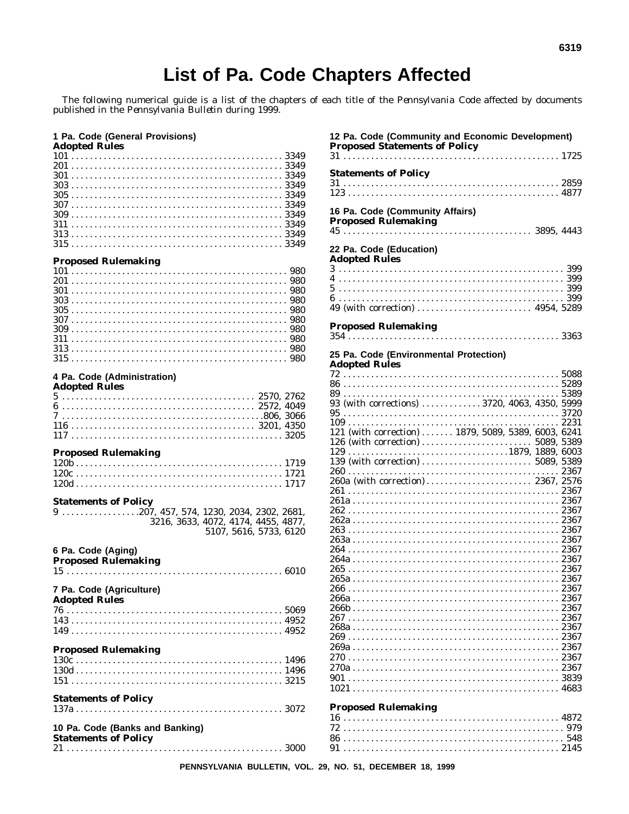## List of Pa. Code Chapters Affected

The following numerical guide is a list of the chapters of each title of the *Pennsylvania Code* affected by documents published in the *Pennsylvania Bulletin* during 1999.

#### 1 Pa. Code (General Provisions)

**Adopted Rules** 

#### **Proposed Rulemaking**

## 4 Pa. Code (Administration)<br>Adopted Rules

| Adopted Rules  |  |
|----------------|--|
| $5$ 2570, 2762 |  |
|                |  |
|                |  |
|                |  |
| $1173205$      |  |
|                |  |

#### **Proposed Rulemaking**

#### **Statements of Policy**

| $9\dots\dots\dots\dots\dots207$ , 457, 574, 1230, 2034, 2302, 2681, |  |                        |  |
|---------------------------------------------------------------------|--|------------------------|--|
| 3216, 3633, 4072, 4174, 4455, 4877.                                 |  |                        |  |
|                                                                     |  | 5107, 5616, 5733, 6120 |  |

## 6 Pa. Code (Aging)

| Proposed Rulemaking                                            |  |
|----------------------------------------------------------------|--|
| 7 Pa. Code (Agriculture)<br><b>Adopted Rules</b>               |  |
|                                                                |  |
|                                                                |  |
|                                                                |  |
| <b>Proposed Rulemaking</b>                                     |  |
|                                                                |  |
|                                                                |  |
|                                                                |  |
| <b>Statements of Policy</b>                                    |  |
|                                                                |  |
| 10 Pa. Code (Banks and Banking)<br><b>Statements of Policy</b> |  |
|                                                                |  |

| 12 Pa. Code (Community and Economic Development)    |  |
|-----------------------------------------------------|--|
| <b>Proposed Statements of Policy</b>                |  |
|                                                     |  |
|                                                     |  |
| <b>Statements of Policy</b>                         |  |
|                                                     |  |
|                                                     |  |
|                                                     |  |
| 16 Pa. Code (Community Affairs)                     |  |
| <b>Proposed Rulemaking</b>                          |  |
|                                                     |  |
|                                                     |  |
| 22 Pa. Code (Education)                             |  |
| <b>Adopted Rules</b>                                |  |
|                                                     |  |
|                                                     |  |
|                                                     |  |
|                                                     |  |
|                                                     |  |
|                                                     |  |
| <b>Proposed Rulemaking</b>                          |  |
|                                                     |  |
|                                                     |  |
| 25 Pa. Code (Environmental Protection)              |  |
| <b>Adopted Rules</b>                                |  |
|                                                     |  |
|                                                     |  |
|                                                     |  |
|                                                     |  |
| 93 (with corrections)  3720, 4063, 4350, 5999       |  |
|                                                     |  |
|                                                     |  |
| 121 (with correction)  1879, 5089, 5389, 6003, 6241 |  |
|                                                     |  |
|                                                     |  |
|                                                     |  |
|                                                     |  |
|                                                     |  |
| 260a (with correction) 2367, 2576                   |  |
|                                                     |  |
|                                                     |  |
|                                                     |  |
|                                                     |  |
|                                                     |  |
|                                                     |  |
|                                                     |  |
|                                                     |  |
|                                                     |  |
|                                                     |  |
|                                                     |  |
|                                                     |  |
|                                                     |  |
|                                                     |  |
|                                                     |  |
|                                                     |  |
|                                                     |  |
|                                                     |  |
|                                                     |  |
|                                                     |  |
|                                                     |  |
|                                                     |  |
|                                                     |  |
| <b>Proposed Rulemaking</b>                          |  |
|                                                     |  |
|                                                     |  |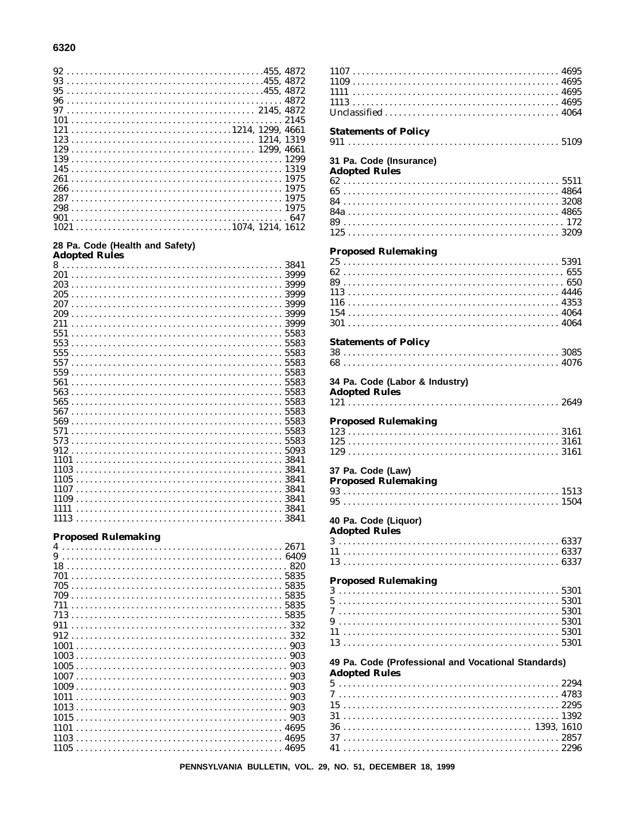#### 28 Pa. Code (Health and Safety)

| <b>Adopted Rules</b> |      |
|----------------------|------|
|                      |      |
|                      |      |
|                      |      |
|                      |      |
|                      |      |
|                      |      |
|                      |      |
| 551                  |      |
|                      |      |
|                      |      |
|                      |      |
|                      |      |
| 561                  |      |
|                      |      |
|                      |      |
|                      |      |
|                      |      |
|                      |      |
|                      |      |
|                      |      |
|                      |      |
|                      |      |
|                      |      |
|                      |      |
|                      |      |
| 1111                 | 3841 |
| 1113                 | 3841 |

#### **Proposed Rulemaking**

|      |  |  |  |  |  |  |  |  |  |  |  |  |  |  |  |  |  |  |  |  |  |  | 6409 |  |
|------|--|--|--|--|--|--|--|--|--|--|--|--|--|--|--|--|--|--|--|--|--|--|------|--|
|      |  |  |  |  |  |  |  |  |  |  |  |  |  |  |  |  |  |  |  |  |  |  | 820  |  |
|      |  |  |  |  |  |  |  |  |  |  |  |  |  |  |  |  |  |  |  |  |  |  | 5835 |  |
|      |  |  |  |  |  |  |  |  |  |  |  |  |  |  |  |  |  |  |  |  |  |  |      |  |
|      |  |  |  |  |  |  |  |  |  |  |  |  |  |  |  |  |  |  |  |  |  |  | 5835 |  |
|      |  |  |  |  |  |  |  |  |  |  |  |  |  |  |  |  |  |  |  |  |  |  |      |  |
|      |  |  |  |  |  |  |  |  |  |  |  |  |  |  |  |  |  |  |  |  |  |  |      |  |
|      |  |  |  |  |  |  |  |  |  |  |  |  |  |  |  |  |  |  |  |  |  |  | 332  |  |
|      |  |  |  |  |  |  |  |  |  |  |  |  |  |  |  |  |  |  |  |  |  |  | 332  |  |
| 1001 |  |  |  |  |  |  |  |  |  |  |  |  |  |  |  |  |  |  |  |  |  |  | 903  |  |
|      |  |  |  |  |  |  |  |  |  |  |  |  |  |  |  |  |  |  |  |  |  |  | 903  |  |
|      |  |  |  |  |  |  |  |  |  |  |  |  |  |  |  |  |  |  |  |  |  |  | 903  |  |
|      |  |  |  |  |  |  |  |  |  |  |  |  |  |  |  |  |  |  |  |  |  |  | 903  |  |
|      |  |  |  |  |  |  |  |  |  |  |  |  |  |  |  |  |  |  |  |  |  |  | 903  |  |
| 1011 |  |  |  |  |  |  |  |  |  |  |  |  |  |  |  |  |  |  |  |  |  |  | 903  |  |
| 1013 |  |  |  |  |  |  |  |  |  |  |  |  |  |  |  |  |  |  |  |  |  |  | 903  |  |
|      |  |  |  |  |  |  |  |  |  |  |  |  |  |  |  |  |  |  |  |  |  |  |      |  |
|      |  |  |  |  |  |  |  |  |  |  |  |  |  |  |  |  |  |  |  |  |  |  |      |  |
| 1101 |  |  |  |  |  |  |  |  |  |  |  |  |  |  |  |  |  |  |  |  |  |  |      |  |
| 1103 |  |  |  |  |  |  |  |  |  |  |  |  |  |  |  |  |  |  |  |  |  |  | 4695 |  |
|      |  |  |  |  |  |  |  |  |  |  |  |  |  |  |  |  |  |  |  |  |  |  | 4695 |  |

**Statements of Policy** 31 Pa. Code (Insurance) **Adopted Rules Proposed Rulemaking**  $154...$ **Statements of Policy** 34 Pa. Code (Labor & Industry) **Adopted Rules Proposed Rulemaking** 37 Pa. Code (Law) **Proposed Rulemaking** 40 Pa. Code (Liquor) **Adopted Rules Proposed Rulemaking**  $5.............................................5301$ 49 Pa. Code (Professional and Vocational Standards) **Adopted Rules**  $15..........................................2295$ 

 $1107...$  $1109...$ 

PENNSYLVANIA BULLETIN, VOL. 29, NO. 51, DECEMBER 18, 1999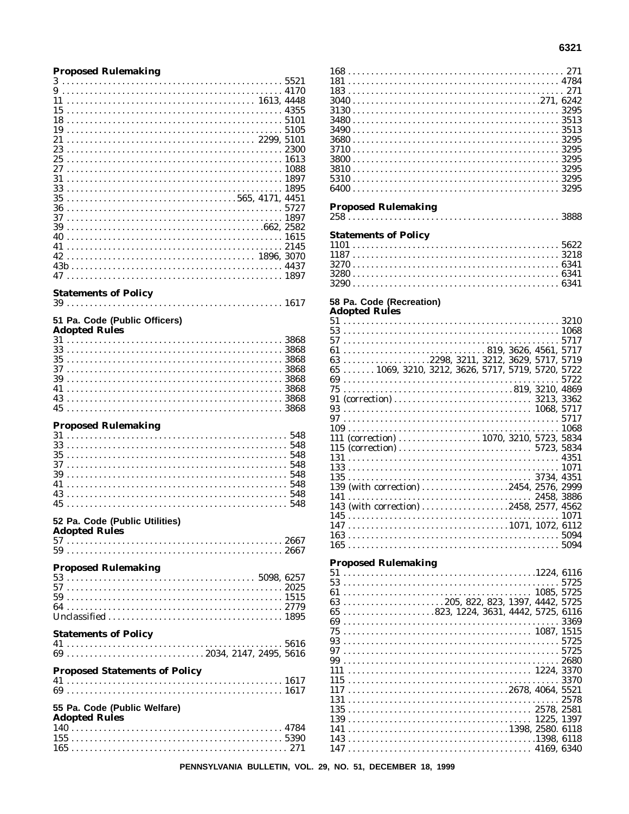#### **Proposed Rulemaking**

| 3                                    |  |
|--------------------------------------|--|
|                                      |  |
| 11                                   |  |
| 15                                   |  |
| 18                                   |  |
| 19                                   |  |
| 21                                   |  |
|                                      |  |
| 25                                   |  |
|                                      |  |
| 31                                   |  |
| 33                                   |  |
| $35565, 4171, 4451$                  |  |
|                                      |  |
|                                      |  |
| 39                                   |  |
| 40                                   |  |
| 42                                   |  |
|                                      |  |
|                                      |  |
|                                      |  |
| <b>Statements of Policy</b>          |  |
|                                      |  |
|                                      |  |
| 51 Pa. Code (Public Officers)        |  |
| <b>Adopted Rules</b>                 |  |
|                                      |  |
|                                      |  |
|                                      |  |
|                                      |  |
|                                      |  |
|                                      |  |
| 43                                   |  |
|                                      |  |
|                                      |  |
|                                      |  |
| <b>Proposed Rulemaking</b>           |  |
|                                      |  |
|                                      |  |
|                                      |  |
| 39                                   |  |
| 41                                   |  |
|                                      |  |
|                                      |  |
|                                      |  |
| 52 Pa. Code (Public Utilities)       |  |
| <b>Adopted Rules</b>                 |  |
|                                      |  |
|                                      |  |
|                                      |  |
| <b>Proposed Rulemaking</b>           |  |
|                                      |  |
|                                      |  |
|                                      |  |
|                                      |  |
|                                      |  |
|                                      |  |
| <b>Statements of Policy</b>          |  |
|                                      |  |
|                                      |  |
| <b>Proposed Statements of Policy</b> |  |
|                                      |  |
|                                      |  |
|                                      |  |
| 55 Pa. Code (Public Welfare)         |  |
| <b>Adopted Rules</b>                 |  |
|                                      |  |
|                                      |  |

| <b>Proposed Rulemaking</b>                                                               |      |
|------------------------------------------------------------------------------------------|------|
|                                                                                          |      |
|                                                                                          |      |
|                                                                                          |      |
|                                                                                          |      |
| <b>Statements of Policy</b>                                                              |      |
|                                                                                          |      |
|                                                                                          |      |
|                                                                                          |      |
|                                                                                          |      |
|                                                                                          |      |
|                                                                                          |      |
|                                                                                          |      |
|                                                                                          |      |
| 58 Pa. Code (Recreation)                                                                 |      |
| <b>Adopted Rules</b>                                                                     |      |
|                                                                                          |      |
|                                                                                          |      |
|                                                                                          |      |
|                                                                                          |      |
|                                                                                          |      |
|                                                                                          |      |
| 63 2298, 3211, 3212, 3629, 5717, 5719                                                    |      |
| 65  1069, 3210, 3212, 3626, 5717, 5719, 5720, 5722                                       |      |
|                                                                                          |      |
|                                                                                          |      |
|                                                                                          |      |
|                                                                                          |      |
|                                                                                          |      |
|                                                                                          |      |
|                                                                                          |      |
|                                                                                          |      |
|                                                                                          |      |
|                                                                                          |      |
| 111 (correction)  1070, 3210, 5723, 5834                                                 |      |
|                                                                                          |      |
|                                                                                          |      |
|                                                                                          |      |
|                                                                                          |      |
|                                                                                          |      |
|                                                                                          |      |
| 139 (with correction) 2454, 2576, 2999                                                   |      |
|                                                                                          |      |
|                                                                                          |      |
| 143 (with correction) 2458, 2577, 4562                                                   |      |
| 145                                                                                      |      |
|                                                                                          |      |
|                                                                                          |      |
|                                                                                          |      |
|                                                                                          |      |
|                                                                                          |      |
|                                                                                          |      |
| <b>Proposed Rulemaking</b>                                                               |      |
|                                                                                          |      |
|                                                                                          | 5725 |
|                                                                                          |      |
|                                                                                          |      |
| $\ldots \ldots \ldots \ldots \ldots \ldots \ldots 205, 822, 823, 1397, 4442, 5725$<br>63 |      |
| $65$ 823, 1224, 3631, 4442, 5725, 6116                                                   |      |
|                                                                                          |      |
|                                                                                          |      |
|                                                                                          |      |
|                                                                                          |      |
|                                                                                          |      |
|                                                                                          |      |
|                                                                                          |      |
| 111                                                                                      |      |
|                                                                                          |      |
|                                                                                          |      |
|                                                                                          |      |
|                                                                                          |      |
|                                                                                          |      |
|                                                                                          |      |
|                                                                                          |      |
|                                                                                          |      |
|                                                                                          |      |
|                                                                                          |      |
|                                                                                          |      |

PENNSYLVANIA BULLETIN, VOL. 29, NO. 51, DECEMBER 18, 1999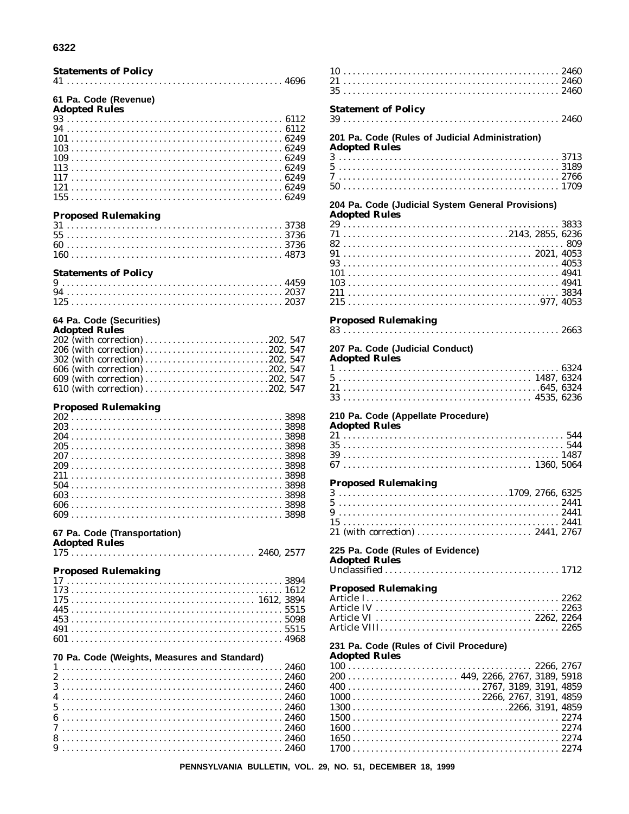| 6322                                         |  |
|----------------------------------------------|--|
| <b>Statements of Policy</b>                  |  |
|                                              |  |
| 61 Pa. Code (Revenue)                        |  |
| <b>Adopted Rules</b>                         |  |
|                                              |  |
|                                              |  |
|                                              |  |
|                                              |  |
|                                              |  |
|                                              |  |
|                                              |  |
|                                              |  |
| <b>Proposed Rulemaking</b>                   |  |
|                                              |  |
|                                              |  |
|                                              |  |
| <b>Statements of Policy</b>                  |  |
|                                              |  |
|                                              |  |
|                                              |  |
| 64 Pa. Code (Securities)                     |  |
| <b>Adopted Rules</b>                         |  |
| 202 (with correction) 202, 547               |  |
| 302 (with correction) 202, 547               |  |
| 606 (with correction) 202, 547               |  |
| 609 (with correction) 202, 547               |  |
|                                              |  |
| <b>Proposed Rulemaking</b>                   |  |
|                                              |  |
|                                              |  |
|                                              |  |
|                                              |  |
|                                              |  |
|                                              |  |
|                                              |  |
| 606<br>3898                                  |  |
|                                              |  |
| 67 Pa. Code (Transportation)                 |  |
| <b>Adopted Rules</b>                         |  |
|                                              |  |
| <b>Proposed Rulemaking</b>                   |  |
|                                              |  |
|                                              |  |
|                                              |  |
|                                              |  |
|                                              |  |
|                                              |  |
| 70 Pa. Code (Weights, Measures and Standard) |  |
|                                              |  |
|                                              |  |
|                                              |  |
|                                              |  |

 $7.............................................2460$ 

| <b>Statement of Policy</b>                                                                                                                   |  |
|----------------------------------------------------------------------------------------------------------------------------------------------|--|
| 201 Pa. Code (Rules of Judicial Administration)<br><b>Adopted Rules</b>                                                                      |  |
|                                                                                                                                              |  |
| 204 Pa. Code (Judicial System General Provisions)                                                                                            |  |
| <b>Adopted Rules</b>                                                                                                                         |  |
|                                                                                                                                              |  |
|                                                                                                                                              |  |
| <b>Proposed Rulemaking</b>                                                                                                                   |  |
| 207 Pa. Code (Judicial Conduct)<br><b>Adopted Rules</b>                                                                                      |  |
|                                                                                                                                              |  |
| 210 Pa. Code (Appellate Procedure)<br><b>Adopted Rules</b>                                                                                   |  |
|                                                                                                                                              |  |
| <b>Proposed Rulemaking</b>                                                                                                                   |  |
|                                                                                                                                              |  |
| 225 Pa. Code (Rules of Evidence)<br><b>Adopted Rules</b>                                                                                     |  |
| <b>Proposed Rulemaking</b>                                                                                                                   |  |
|                                                                                                                                              |  |
| 231 Pa. Code (Rules of Civil Procedure)<br><b>Adopted Rules</b>                                                                              |  |
| $1000$ 2266, 2767, 3191, 4859<br>$1300 \ldots \ldots \ldots \ldots \ldots \ldots \ldots \ldots \ldots \ldots \ldots \ldots 2266, 3191, 4859$ |  |
|                                                                                                                                              |  |

PENNSYLVANIA BULLETIN, VOL. 29, NO. 51, DECEMBER 18, 1999

 $10\,$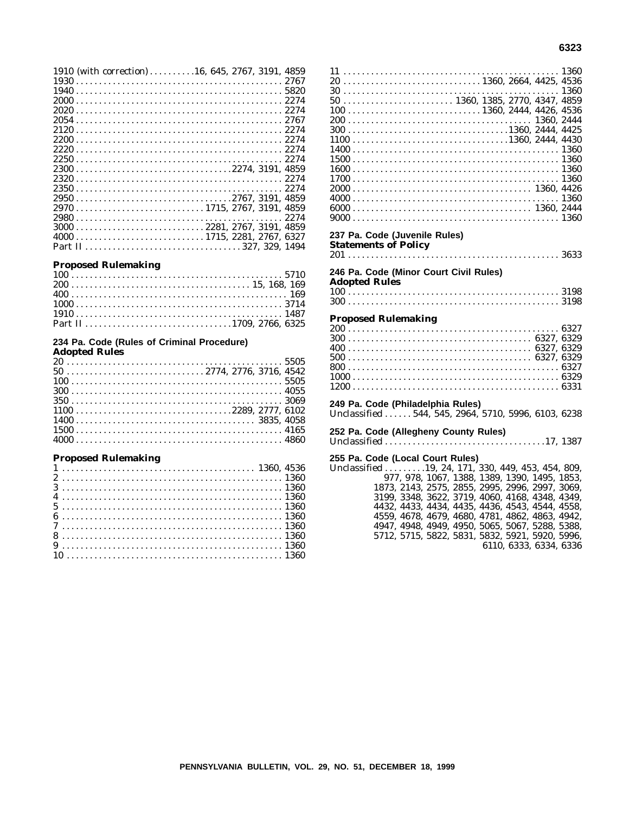|  |  |  |  |  |  |  |  |  |  |  |  |  |  |  |  |  |  |  |  |  |  |  | 1910 (with correction) 16, 645, 2767, 3191, 4859                                                    |  |
|--|--|--|--|--|--|--|--|--|--|--|--|--|--|--|--|--|--|--|--|--|--|--|-----------------------------------------------------------------------------------------------------|--|
|  |  |  |  |  |  |  |  |  |  |  |  |  |  |  |  |  |  |  |  |  |  |  |                                                                                                     |  |
|  |  |  |  |  |  |  |  |  |  |  |  |  |  |  |  |  |  |  |  |  |  |  |                                                                                                     |  |
|  |  |  |  |  |  |  |  |  |  |  |  |  |  |  |  |  |  |  |  |  |  |  |                                                                                                     |  |
|  |  |  |  |  |  |  |  |  |  |  |  |  |  |  |  |  |  |  |  |  |  |  |                                                                                                     |  |
|  |  |  |  |  |  |  |  |  |  |  |  |  |  |  |  |  |  |  |  |  |  |  |                                                                                                     |  |
|  |  |  |  |  |  |  |  |  |  |  |  |  |  |  |  |  |  |  |  |  |  |  |                                                                                                     |  |
|  |  |  |  |  |  |  |  |  |  |  |  |  |  |  |  |  |  |  |  |  |  |  |                                                                                                     |  |
|  |  |  |  |  |  |  |  |  |  |  |  |  |  |  |  |  |  |  |  |  |  |  |                                                                                                     |  |
|  |  |  |  |  |  |  |  |  |  |  |  |  |  |  |  |  |  |  |  |  |  |  |                                                                                                     |  |
|  |  |  |  |  |  |  |  |  |  |  |  |  |  |  |  |  |  |  |  |  |  |  | 23002274, 3191, 4859                                                                                |  |
|  |  |  |  |  |  |  |  |  |  |  |  |  |  |  |  |  |  |  |  |  |  |  |                                                                                                     |  |
|  |  |  |  |  |  |  |  |  |  |  |  |  |  |  |  |  |  |  |  |  |  |  |                                                                                                     |  |
|  |  |  |  |  |  |  |  |  |  |  |  |  |  |  |  |  |  |  |  |  |  |  |                                                                                                     |  |
|  |  |  |  |  |  |  |  |  |  |  |  |  |  |  |  |  |  |  |  |  |  |  |                                                                                                     |  |
|  |  |  |  |  |  |  |  |  |  |  |  |  |  |  |  |  |  |  |  |  |  |  |                                                                                                     |  |
|  |  |  |  |  |  |  |  |  |  |  |  |  |  |  |  |  |  |  |  |  |  |  | $3000 \ldots \ldots \ldots \ldots \ldots \ldots \ldots \ldots \ldots \ldots 2281, 2767, 3191, 4859$ |  |
|  |  |  |  |  |  |  |  |  |  |  |  |  |  |  |  |  |  |  |  |  |  |  |                                                                                                     |  |
|  |  |  |  |  |  |  |  |  |  |  |  |  |  |  |  |  |  |  |  |  |  |  |                                                                                                     |  |

#### **Proposed Rulemaking**

#### **234 Pa. Code (Rules of Criminal Procedure)**

**Adopted Rules**

| $1100 \ldots \ldots \ldots \ldots \ldots \ldots \ldots \ldots \ldots \ldots \ldots \ldots 2289, 2777, 6102$ |  |  |  |  |  |  |  |  |  |  |  |  |  |  |  |  |  |  |  |  |  |  |  |  |  |
|-------------------------------------------------------------------------------------------------------------|--|--|--|--|--|--|--|--|--|--|--|--|--|--|--|--|--|--|--|--|--|--|--|--|--|
|                                                                                                             |  |  |  |  |  |  |  |  |  |  |  |  |  |  |  |  |  |  |  |  |  |  |  |  |  |
|                                                                                                             |  |  |  |  |  |  |  |  |  |  |  |  |  |  |  |  |  |  |  |  |  |  |  |  |  |
|                                                                                                             |  |  |  |  |  |  |  |  |  |  |  |  |  |  |  |  |  |  |  |  |  |  |  |  |  |

#### **Proposed Rulemaking**

| $100 \ldots \ldots \ldots \ldots \ldots \ldots \ldots \ldots \ldots \ldots 1360, 2444, 4426, 4536$          |  |
|-------------------------------------------------------------------------------------------------------------|--|
|                                                                                                             |  |
| $300 \ldots \ldots \ldots \ldots \ldots \ldots \ldots \ldots \ldots \ldots \ldots \ldots 1360, 2444, 4425$  |  |
| $1100 \ldots \ldots \ldots \ldots \ldots \ldots \ldots \ldots \ldots \ldots \ldots \ldots 1360, 2444, 4430$ |  |
|                                                                                                             |  |
|                                                                                                             |  |
|                                                                                                             |  |
|                                                                                                             |  |
|                                                                                                             |  |
|                                                                                                             |  |
|                                                                                                             |  |
|                                                                                                             |  |
| 227 De Code / Juvenile Dulect                                                                               |  |

#### **237 Pa. Code (Juvenile Rules)**

**Statements of Policy** 201 . . . . . . . . . . . . . . . . . . . . . . . . . . . . . . . . . . . . . . . . . . . . . . 3633

#### **246 Pa. Code (Minor Court Civil Rules)**

**Adopted Rules**

100 . . . . . . . . . . . . . . . . . . . . . . . . . . . . . . . . . . . . . . . . . . . . . . 3198 300 . . . . . . . . . . . . . . . . . . . . . . . . . . . . . . . . . . . . . . . . . . . . . . 3198

#### **Proposed Rulemaking**

#### **249 Pa. Code (Philadelphia Rules)**

Unclassified ...... 544, 545, 2964, 5710, 5996, 6103, 6238

#### **252 Pa. Code (Allegheny County Rules)**

Unclassified . . . . . . . . . . . . . . . . . . . . . . . . . . . . . . . . . . .17, 1387

## **255 Pa. Code (Local Court Rules)**

| Unclassified 19, 24, 171, 330, 449, 453, 454, 809, |  |                        |  |
|----------------------------------------------------|--|------------------------|--|
| 977, 978, 1067, 1388, 1389, 1390, 1495, 1853,      |  |                        |  |
| 1873, 2143, 2575, 2855, 2995, 2996, 2997, 3069,    |  |                        |  |
| 3199, 3348, 3622, 3719, 4060, 4168, 4348, 4349,    |  |                        |  |
| 4432, 4433, 4434, 4435, 4436, 4543, 4544, 4558,    |  |                        |  |
| 4559, 4678, 4679, 4680, 4781, 4862, 4863, 4942,    |  |                        |  |
| 4947, 4948, 4949, 4950, 5065, 5067, 5288, 5388,    |  |                        |  |
| 5712, 5715, 5822, 5831, 5832, 5921, 5920, 5996,    |  |                        |  |
|                                                    |  | 6110, 6333, 6334, 6336 |  |
|                                                    |  |                        |  |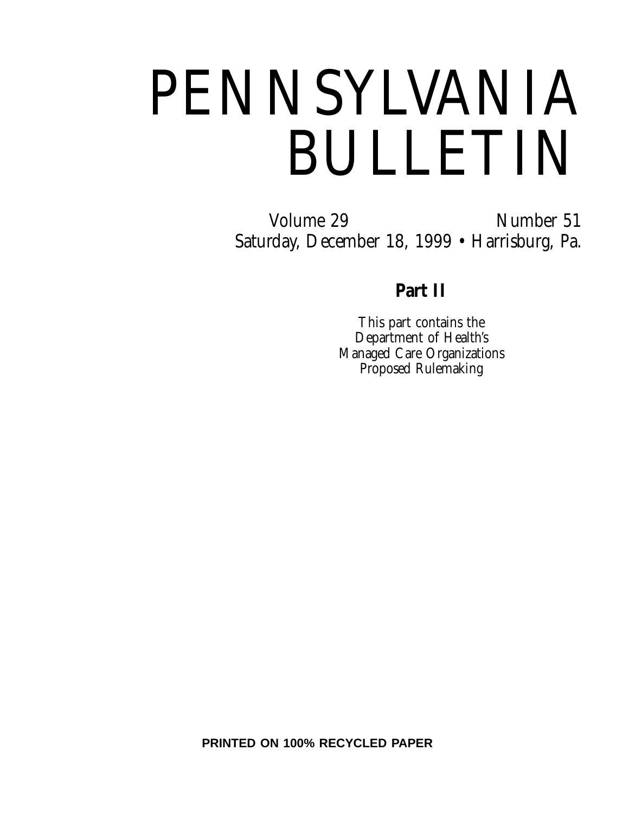# PENNSYLVANIA BULLETIN

Volume 29 Number 51 Saturday, December 18, 1999 • Harrisburg, Pa.

## **Part II**

This part contains the Department of Health's Managed Care Organizations Proposed Rulemaking

**PRINTED ON 100% RECYCLED PAPER**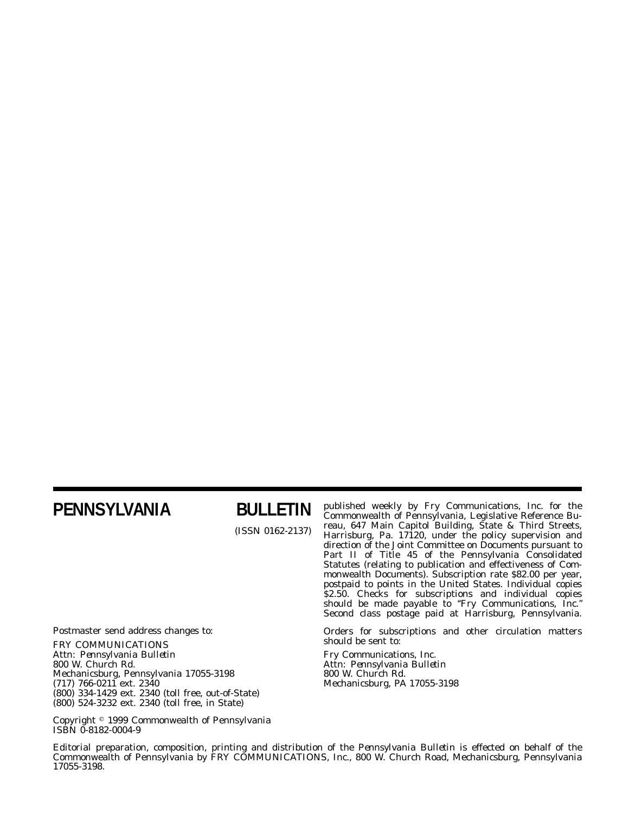## **PENNSYLVANIA BULLETIN**

(ISSN 0162-2137)

published weekly by Fry Communications, Inc. for the Commonwealth of Pennsylvania, Legislative Reference Bureau, 647 Main Capitol Building, State & Third Streets, Harrisburg, Pa. 17120, under the policy supervision and direction of the Joint Committee on Documents pursuant to Part II of Title 45 of the Pennsylvania Consolidated Statutes (relating to publication and effectiveness of Commonwealth Documents). Subscription rate \$82.00 per year, postpaid to points in the United States. Individual copies \$2.50. Checks for subscriptions and individual copies should be made payable to ''*Fry Communications, Inc.*'' Second class postage paid at Harrisburg, Pennsylvania.

Orders for subscriptions and other circulation matters should be sent to:

Fry Communications, Inc. Attn: *Pennsylvania Bulletin* 800 W. Church Rd. Mechanicsburg, PA 17055-3198

Postmaster send address changes to: FRY COMMUNICATIONS Attn: *Pennsylvania Bulletin* 800 W. Church Rd. Mechanicsburg, Pennsylvania 17055-3198 (717) 766-0211 ext. 2340 (800) 334-1429 ext. 2340 (toll free, out-of-State) (800) 524-3232 ext. 2340 (toll free, in State)

Copyright 1999 Commonwealth of Pennsylvania ISBN 0-8182-0004-9

Editorial preparation, composition, printing and distribution of the *Pennsylvania Bulletin* is effected on behalf of the Commonwealth of Pennsylvania by FRY COMMUNICATIONS, Inc., 800 W. Church Road, Mechanicsburg, Pennsylvania 17055-3198.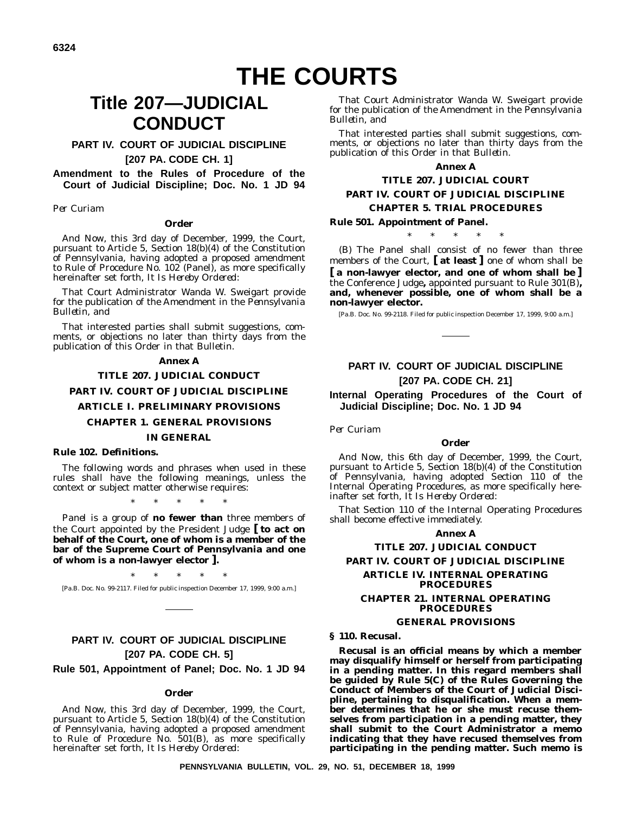**6324**

## **THE COURTS**

## **Title 207—JUDICIAL CONDUCT**

#### **PART IV. COURT OF JUDICIAL DISCIPLINE [207 PA. CODE CH. 1]**

#### **Amendment to the Rules of Procedure of the Court of Judicial Discipline; Doc. No. 1 JD 94**

*Per Curiam*

#### **Order**

*And Now*, this 3rd day of December, 1999, the Court, pursuant to Article 5, Section 18(b)(4) of the Constitution of Pennsylvania, having adopted a proposed amendment to Rule of Procedure No. 102 (Panel), as more specifically hereinafter set forth, *It Is Hereby Ordered*:

*That* Court Administrator Wanda W. Sweigart provide for the publication of the Amendment in the *Pennsylvania Bulletin*, and

*That* interested parties shall submit suggestions, comments, or objections no later than thirty days from the publication of this Order in that Bulletin.

#### **Annex A**

#### **TITLE 207. JUDICIAL CONDUCT**

#### **PART IV. COURT OF JUDICIAL DISCIPLINE**

#### **ARTICLE I. PRELIMINARY PROVISIONS**

#### **CHAPTER 1. GENERAL PROVISIONS**

#### **IN GENERAL**

#### **Rule 102. Definitions.**

The following words and phrases when used in these rules shall have the following meanings, unless the context or subject matter otherwise requires:

\*\*\*\*\*

*Panel* is a group of **no fewer than** three members of the Court appointed by the President Judge **[ to act on behalf of the Court, one of whom is a member of the bar of the Supreme Court of Pennsylvania and one of whom is a non-lawyer elector ].**

\*\*\*\*\* [Pa.B. Doc. No. 99-2117. Filed for public inspection December 17, 1999, 9:00 a.m.]

## **PART IV. COURT OF JUDICIAL DISCIPLINE [207 PA. CODE CH. 5]**

**Rule 501, Appointment of Panel; Doc. No. 1 JD 94**

#### **Order**

*And Now,* this 3rd day of December, 1999, the Court, pursuant to Article 5, Section 18(b)(4) of the Constitution of Pennsylvania, having adopted a proposed amendment to Rule of Procedure No. 501(B), as more specifically hereinafter set forth, *It Is Hereby Ordered*:

*That* Court Administrator Wanda W. Sweigart provide for the publication of the Amendment in the *Pennsylvania Bulletin*, and

*That* interested parties shall submit suggestions, comments, or objections no later than thirty days from the publication of this Order in that *Bulletin.*

#### **Annex A**

#### **TITLE 207. JUDICIAL COURT PART IV. COURT OF JUDICIAL DISCIPLINE CHAPTER 5. TRIAL PROCEDURES**

#### **Rule 501. Appointment of Panel.**

\*\*\*\*\*

(B) The Panel shall consist of no fewer than three members of the Court, **[ at least ]** one of whom shall be **[ a non-lawyer elector, and one of whom shall be ]** the Conference Judge**,** appointed pursuant to Rule 301(B)**, and, whenever possible, one of whom shall be a non-lawyer elector.**

[Pa.B. Doc. No. 99-2118. Filed for public inspection December 17, 1999, 9:00 a.m.]

#### **PART IV. COURT OF JUDICIAL DISCIPLINE [207 PA. CODE CH. 21]**

**Internal Operating Procedures of the Court of Judicial Discipline; Doc. No. 1 JD 94**

*Per Curiam*

#### **Order**

*And Now*, this 6th day of December, 1999, the Court, pursuant to Article 5, Section 18(b)(4) of the Constitution of Pennsylvania, having adopted Section 110 of the Internal Operating Procedures, as more specifically hereinafter set forth, *It Is Hereby Ordered*:

*That* Section 110 of the Internal Operating Procedures shall become effective immediately.

#### **Annex A**

#### **TITLE 207. JUDICIAL CONDUCT**

#### **PART IV. COURT OF JUDICIAL DISCIPLINE**

#### **ARTICLE IV. INTERNAL OPERATING PROCEDURES**

#### **CHAPTER 21. INTERNAL OPERATING PROCEDURES**

#### **GENERAL PROVISIONS**

#### **§ 110. Recusal.**

**Recusal is an official means by which a member may disqualify himself or herself from participating in a pending matter. In this regard members shall be guided by Rule 5(C) of the Rules Governing the Conduct of Members of the Court of Judicial Discipline, pertaining to disqualification. When a member determines that he or she must recuse themselves from participation in a pending matter, they shall submit to the Court Administrator a memo indicating that they have recused themselves from participating in the pending matter. Such memo is**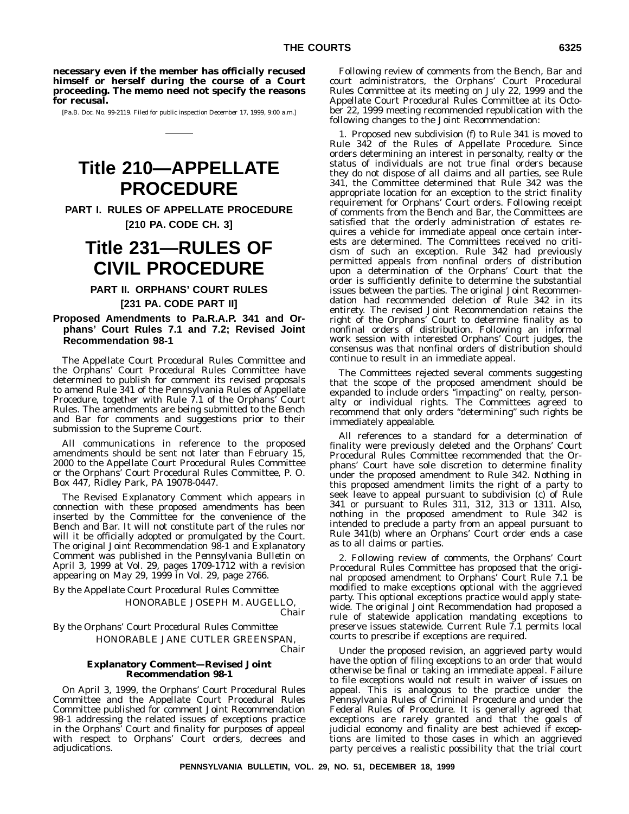**necessary even if the member has officially recused himself or herself during the course of a Court proceeding. The memo need not specify the reasons for recusal.**

[Pa.B. Doc. No. 99-2119. Filed for public inspection December 17, 1999, 9:00 a.m.]

## **Title 210—APPELLATE PROCEDURE**

**PART I. RULES OF APPELLATE PROCEDURE [210 PA. CODE CH. 3]**

## **Title 231—RULES OF CIVIL PROCEDURE**

#### **PART II. ORPHANS' COURT RULES**

#### **[231 PA. CODE PART II]**

**Proposed Amendments to Pa.R.A.P. 341 and Orphans' Court Rules 7.1 and 7.2; Revised Joint Recommendation 98-1**

The Appellate Court Procedural Rules Committee and the Orphans' Court Procedural Rules Committee have determined to publish for comment its revised proposals to amend Rule 341 of the Pennsylvania Rules of Appellate Procedure, together with Rule 7.1 of the Orphans' Court Rules. The amendments are being submitted to the Bench and Bar for comments and suggestions prior to their submission to the Supreme Court.

All communications in reference to the proposed amendments should be sent not later than February 15, 2000 to the Appellate Court Procedural Rules Committee or the Orphans' Court Procedural Rules Committee, P. O. Box 447, Ridley Park, PA 19078-0447.

The Revised Explanatory Comment which appears in connection with these proposed amendments has been inserted by the Committee for the convenience of the Bench and Bar. It will not constitute part of the rules nor will it be officially adopted or promulgated by the Court. The original Joint Recommendation 98-1 and Explanatory Comment was published in the *Pennsylvania Bulletin* on April 3, 1999 at Vol. 29, pages 1709-1712 with a revision appearing on May 29, 1999 in Vol. 29, page 2766.

*By the Appellate Court Procedural Rules Committee* HONORABLE JOSEPH M. AUGELLO, *Chair*

*By the Orphans' Court Procedural Rules Committee* HONORABLE JANE CUTLER GREENSPAN,

*Chair*

#### **Explanatory Comment—Revised Joint Recommendation 98-1**

On April 3, 1999, the Orphans' Court Procedural Rules Committee and the Appellate Court Procedural Rules Committee published for comment Joint Recommendation 98-1 addressing the related issues of exceptions practice in the Orphans' Court and finality for purposes of appeal with respect to Orphans' Court orders, decrees and adjudications.

Following review of comments from the Bench, Bar and court administrators, the Orphans' Court Procedural Rules Committee at its meeting on July 22, 1999 and the Appellate Court Procedural Rules Committee at its October 22, 1999 meeting recommended republication with the following changes to the Joint Recommendation:

1. Proposed new subdivision (f) to Rule 341 is moved to Rule 342 of the Rules of Appellate Procedure. Since orders determining an interest in personalty, realty or the status of individuals are not true final orders because they do not dispose of all claims and all parties, see Rule 341, the Committee determined that Rule 342 was the appropriate location for an exception to the strict finality requirement for Orphans' Court orders. Following receipt of comments from the Bench and Bar, the Committees are satisfied that the orderly administration of estates requires a vehicle for immediate appeal once certain interests are determined. The Committees received no criticism of such an exception. Rule 342 had previously permitted appeals from nonfinal orders of distribution upon a determination of the Orphans' Court that the order is sufficiently definite to determine the substantial issues between the parties. The original Joint Recommendation had recommended deletion of Rule 342 in its entirety. The revised Joint Recommendation retains the right of the Orphans' Court to determine finality as to nonfinal orders of distribution. Following an informal work session with interested Orphans' Court judges, the consensus was that nonfinal orders of distribution should continue to result in an immediate appeal.

The Committees rejected several comments suggesting that the scope of the proposed amendment should be expanded to include orders ''impacting'' on realty, personalty or individual rights. The Committees agreed to recommend that only orders ''determining'' such rights be immediately appealable.

All references to a standard for a determination of finality were previously deleted and the Orphans' Court Procedural Rules Committee recommended that the Orphans' Court have sole discretion to determine finality under the proposed amendment to Rule 342. Nothing in this proposed amendment limits the right of a party to seek leave to appeal pursuant to subdivision (c) of Rule 341 or pursuant to Rules 311, 312, 313 or 1311. Also, nothing in the proposed amendment to Rule 342 is intended to preclude a party from an appeal pursuant to Rule 341(b) where an Orphans' Court order ends a case as to all claims or parties.

2. Following review of comments, the Orphans' Court Procedural Rules Committee has proposed that the original proposed amendment to Orphans' Court Rule 7.1 be modified to make exceptions optional with the aggrieved party. This optional exceptions practice would apply statewide. The original Joint Recommendation had proposed a rule of statewide application mandating exceptions to preserve issues statewide. Current Rule 7.1 permits local courts to prescribe if exceptions are required.

Under the proposed revision, an aggrieved party would have the option of filing exceptions to an order that would otherwise be final or taking an immediate appeal. Failure to file exceptions would not result in waiver of issues on appeal. This is analogous to the practice under the Pennsylvania Rules of Criminal Procedure and under the Federal Rules of Procedure. It is generally agreed that exceptions are rarely granted and that the goals of judicial economy and finality are best achieved if exceptions are limited to those cases in which an aggrieved party perceives a realistic possibility that the trial court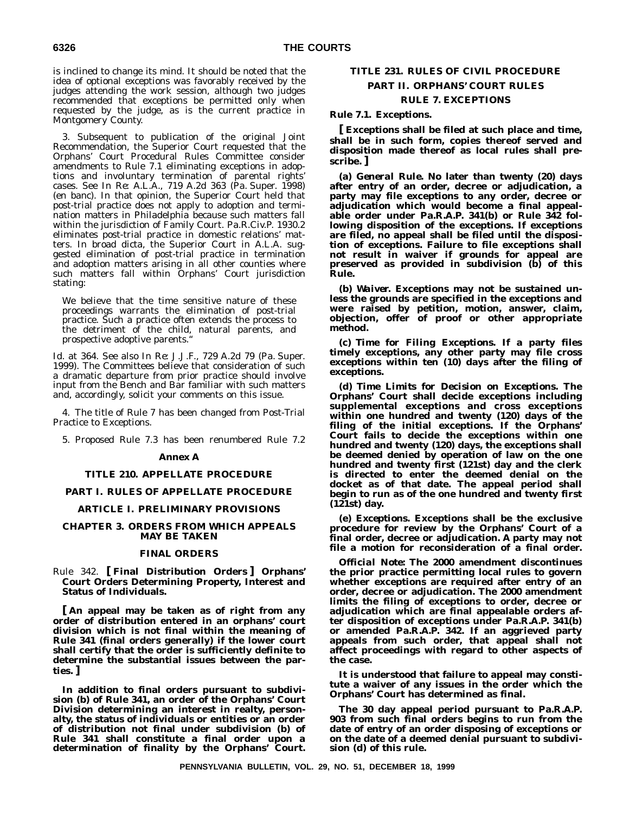is inclined to change its mind. It should be noted that the idea of optional exceptions was favorably received by the judges attending the work session, although two judges recommended that exceptions be permitted only when requested by the judge, as is the current practice in Montgomery County.

3. Subsequent to publication of the original Joint Recommendation, the Superior Court requested that the Orphans' Court Procedural Rules Committee consider amendments to Rule 7.1 eliminating exceptions in adoptions and involuntary termination of parental rights' cases. See *In Re: A.L.A.*, 719 A.2d 363 (Pa. Super. 1998) (en banc). In that opinion, the Superior Court held that post-trial practice does not apply to adoption and termination matters in Philadelphia because such matters fall within the jurisdiction of Family Court. Pa.R.Civ.P. 1930.2 eliminates post-trial practice in domestic relations' matters. In broad dicta, the Superior Court in *A.L.A.* suggested elimination of post-trial practice in termination and adoption matters arising in all other counties where such matters fall within Orphans' Court jurisdiction stating:

We believe that the time sensitive nature of these proceedings warrants the elimination of post-trial practice. Such a practice often extends the process to the detriment of the child, natural parents, and prospective adoptive parents.''

Id. at 364. See also *In Re: J.J.F.*, 729 A.2d 79 (Pa. Super. 1999). The Committees believe that consideration of such a dramatic departure from prior practice should involve input from the Bench and Bar familiar with such matters and, accordingly, solicit your comments on this issue.

4. The title of Rule 7 has been changed from Post-Trial Practice to Exceptions.

5. Proposed Rule 7.3 has been renumbered Rule 7.2

#### **Annex A**

#### **TITLE 210. APPELLATE PROCEDURE**

#### **PART I. RULES OF APPELLATE PROCEDURE**

#### **ARTICLE I. PRELIMINARY PROVISIONS**

#### **CHAPTER 3. ORDERS FROM WHICH APPEALS MAY BE TAKEN**

#### **FINAL ORDERS**

#### Rule 342. **[ Final Distribution Orders ] Orphans' Court Orders Determining Property, Interest and Status of Individuals.**

**[ An appeal may be taken as of right from any order of distribution entered in an orphans' court division which is not final within the meaning of Rule 341 (final orders generally) if the lower court shall certify that the order is sufficiently definite to determine the substantial issues between the parties. ]**

**In addition to final orders pursuant to subdivision (b) of Rule 341, an order of the Orphans' Court Division determining an interest in realty, personalty, the status of individuals or entities or an order of distribution not final under subdivision (b) of Rule 341 shall constitute a final order upon a determination of finality by the Orphans' Court.**

#### **TITLE 231. RULES OF CIVIL PROCEDURE PART II. ORPHANS' COURT RULES**

#### **RULE 7. EXCEPTIONS**

#### **Rule 7.1. Exceptions.**

**[ Exceptions shall be filed at such place and time, shall be in such form, copies thereof served and disposition made thereof as local rules shall prescribe. ]**

**(a)** *General Rule.* **No later than twenty (20) days after entry of an order, decree or adjudication, a party may file exceptions to any order, decree or adjudication which would become a final appealable order under Pa.R.A.P. 341(b) or Rule 342 following disposition of the exceptions. If exceptions are filed, no appeal shall be filed until the disposition of exceptions. Failure to file exceptions shall not result in waiver if grounds for appeal are preserved as provided in subdivision (b) of this Rule.**

**(b)** *Waiver.* **Exceptions may not be sustained unless the grounds are specified in the exceptions and were raised by petition, motion, answer, claim, objection, offer of proof or other appropriate method.**

**(c)** *Time for Filing Exceptions.* **If a party files timely exceptions, any other party may file cross exceptions within ten (10) days after the filing of exceptions.**

**(d)** *Time Limits for Decision on Exceptions.* **The Orphans' Court shall decide exceptions including supplemental exceptions and cross exceptions within one hundred and twenty (120) days of the filing of the initial exceptions. If the Orphans' Court fails to decide the exceptions within one hundred and twenty (120) days, the exceptions shall be deemed denied by operation of law on the one hundred and twenty first (121st) day and the clerk is directed to enter the deemed denial on the docket as of that date. The appeal period shall begin to run as of the one hundred and twenty first (121st) day.**

**(e)** *Exceptions.* **Exceptions shall be the exclusive procedure for review by the Orphans' Court of a final order, decree or adjudication. A party may not file a motion for reconsideration of a final order.**

*Official Note***: The 2000 amendment discontinues the prior practice permitting local rules to govern whether exceptions are required after entry of an order, decree or adjudication. The 2000 amendment limits the filing of exceptions to order, decree or adjudication which are final appealable orders after disposition of exceptions under Pa.R.A.P. 341(b) or amended Pa.R.A.P. 342. If an aggrieved party appeals from such order, that appeal shall not affect proceedings with regard to other aspects of the case.**

**It is understood that failure to appeal may constitute a waiver of any issues in the order which the Orphans' Court has determined as final.**

**The 30 day appeal period pursuant to Pa.R.A.P. 903 from such final orders begins to run from the date of entry of an order disposing of exceptions or on the date of a deemed denial pursuant to subdivision (d) of this rule.**

**PENNSYLVANIA BULLETIN, VOL. 29, NO. 51, DECEMBER 18, 1999**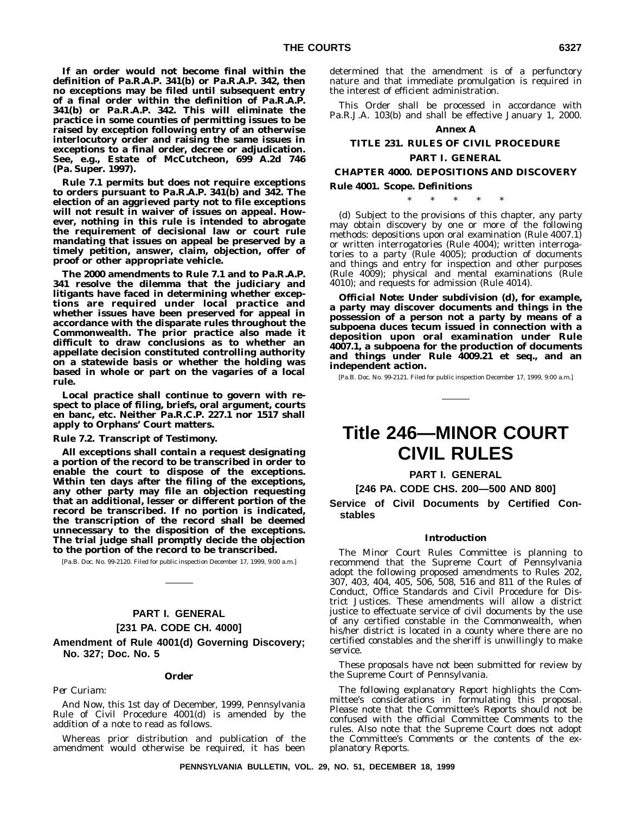**If an order would not become final within the definition of Pa.R.A.P. 341(b) or Pa.R.A.P. 342, then no exceptions may be filed until subsequent entry of a final order within the definition of Pa.R.A.P. 341(b) or Pa.R.A.P. 342. This will eliminate the practice in some counties of permitting issues to be raised by exception following entry of an otherwise interlocutory order and raising the same issues in exceptions to a final order, decree or adjudication. See, e.g., Estate of McCutcheon, 699 A.2d 746 (Pa. Super. 1997).**

**Rule 7.1 permits but does not require exceptions to orders pursuant to Pa.R.A.P. 341(b) and 342. The election of an aggrieved party not to file exceptions will not result in waiver of issues on appeal. However, nothing in this rule is intended to abrogate the requirement of decisional law or court rule mandating that issues on appeal be preserved by a timely petition, answer, claim, objection, offer of proof or other appropriate vehicle.**

**The 2000 amendments to Rule 7.1 and to Pa.R.A.P. 341 resolve the dilemma that the judiciary and litigants have faced in determining whether exceptions are required under local practice and whether issues have been preserved for appeal in accordance with the disparate rules throughout the Commonwealth. The prior practice also made it difficult to draw conclusions as to whether an appellate decision constituted controlling authority on a statewide basis or whether the holding was based in whole or part on the vagaries of a local rule.**

**Local practice shall continue to govern with respect to place of filing, briefs, oral argument, courts en banc, etc. Neither Pa.R.C.P. 227.1 nor 1517 shall apply to Orphans' Court matters.**

**Rule 7.2. Transcript of Testimony.**

**All exceptions shall contain a request designating a portion of the record to be transcribed in order to enable the court to dispose of the exceptions. Within ten days after the filing of the exceptions, any other party may file an objection requesting that an additional, lesser or different portion of the record be transcribed. If no portion is indicated, the transcription of the record shall be deemed unnecessary to the disposition of the exceptions. The trial judge shall promptly decide the objection to the portion of the record to be transcribed.**

[Pa.B. Doc. No. 99-2120. Filed for public inspection December 17, 1999, 9:00 a.m.]

## **PART I. GENERAL**

#### **[231 PA. CODE CH. 4000]**

**Amendment of Rule 4001(d) Governing Discovery; No. 327; Doc. No. 5**

#### **Order**

*Per Curiam:*

*And Now,* this 1st day of December, 1999, Pennsylvania Rule of Civil Procedure 4001(d) is amended by the addition of a note to read as follows.

Whereas prior distribution and publication of the amendment would otherwise be required, it has been

determined that the amendment is of a perfunctory nature and that immediate promulgation is required in the interest of efficient administration.

This Order shall be processed in accordance with Pa.R.J.A. 103(b) and shall be effective January 1, 2000.

#### **Annex A**

#### **TITLE 231. RULES OF CIVIL PROCEDURE PART I. GENERAL**

#### **CHAPTER 4000. DEPOSITIONS AND DISCOVERY**

**Rule 4001. Scope. Definitions**

\*\*\*\*\*

(d) Subject to the provisions of this chapter, any party may obtain discovery by one or more of the following methods: depositions upon oral examination (Rule 4007.1) or written interrogatories (Rule 4004); written interrogatories to a party (Rule 4005); production of documents and things and entry for inspection and other purposes (Rule 4009); physical and mental examinations (Rule 4010); and requests for admission (Rule 4014).

*Official Note:* **Under subdivision (d), for example, a party may discover documents and things in the possession of a person not a party by means of a subpoena duces tecum issued in connection with a deposition upon oral examination under Rule 4007.1, a subpoena for the production of documents and things under Rule 4009.21 et seq., and an independent action.**

[Pa.B. Doc. No. 99-2121. Filed for public inspection December 17, 1999, 9:00 a.m.]

## **Title 246—MINOR COURT CIVIL RULES**

**PART I. GENERAL**

#### **[246 PA. CODE CHS. 200—500 AND 800]**

**Service of Civil Documents by Certified Constables**

#### **Introduction**

The Minor Court Rules Committee is planning to recommend that the Supreme Court of Pennsylvania adopt the following proposed amendments to Rules 202, 307, 403, 404, 405, 506, 508, 516 and 811 of the Rules of Conduct, Office Standards and Civil Procedure for District Justices. These amendments will allow a district justice to effectuate service of civil documents by the use of any certified constable in the Commonwealth, when his/her district is located in a county where there are no certified constables and the sheriff is unwillingly to make service.

These proposals have not been submitted for review by the Supreme Court of Pennsylvania.

The following explanatory *Report* highlights the Committee's considerations in formulating this proposal. Please note that the Committee's *Reports* should not be confused with the official Committee *Comments* to the rules. Also note that the Supreme Court does not adopt the Committee's *Comments* or the contents of the explanatory *Reports.*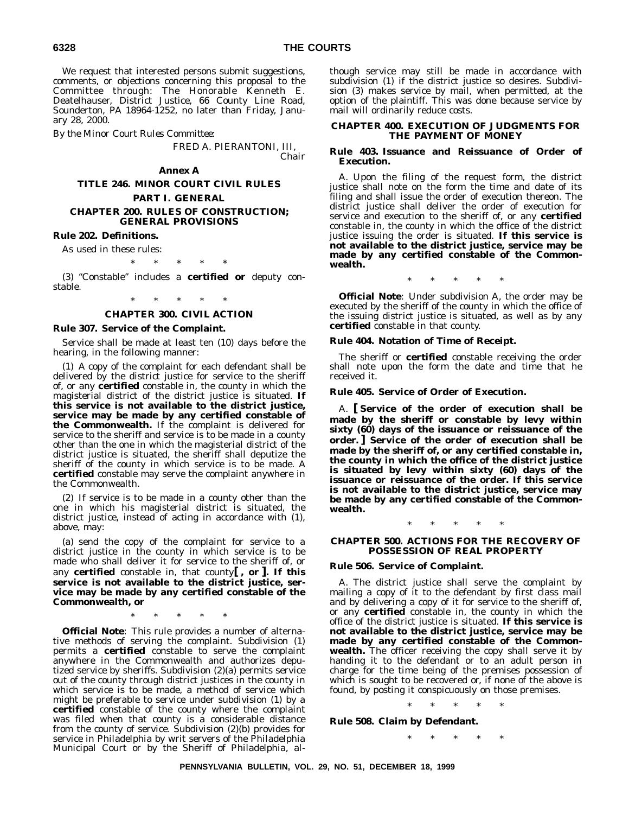We request that interested persons submit suggestions, comments, or objections concerning this proposal to the Committee through: The Honorable Kenneth E. Deatelhauser, District Justice, 66 County Line Road, Sounderton, PA 18964-1252, no later than Friday, January 28, 2000.

*By the Minor Court Rules Committee*:

FRED A. PIERANTONI, III, *Chair*

#### **Annex A**

**TITLE 246. MINOR COURT CIVIL RULES**

#### **PART I. GENERAL**

#### **CHAPTER 200. RULES OF CONSTRUCTION; GENERAL PROVISIONS**

**Rule 202. Definitions.**

As used in these rules:

\*\*\*\*\*

(3) ''Constable'' includes a **certified or** deputy constable.

\*\*\*\*\*

#### **CHAPTER 300. CIVIL ACTION**

#### **Rule 307. Service of the Complaint.**

Service shall be made at least ten (10) days before the hearing, in the following manner:

(1) A copy of the complaint for each defendant shall be delivered by the district justice for service to the sheriff of, or any **certified** constable in, the county in which the magisterial district of the district justice is situated. **If this service is not available to the district justice, service may be made by any certified constable of the Commonwealth.** If the complaint is delivered for service to the sheriff and service is to be made in a county other than the one in which the magisterial district of the district justice is situated, the sheriff shall deputize the sheriff of the county in which service is to be made. A **certified** constable may serve the complaint anywhere in the Commonwealth.

(2) If service is to be made in a county other than the one in which his magisterial district is situated, the district justice, instead of acting in accordance with (1), above, may:

(a) send the copy of the complaint for service to a district justice in the county in which service is to be made who shall deliver it for service to the sheriff of, or any **certified** constable in, that county**[ , or ]. If this service is not available to the district justice, service may be made by any certified constable of the Commonwealth, or**

\*\*\*\*\*

**Official Note**: This rule provides a number of alternative methods of serving the complaint. Subdivision (1) permits a **certified** constable to serve the complaint anywhere in the Commonwealth and authorizes deputized service by sheriffs. Subdivision (2)(a) permits service out of the county through district justices in the county in which service is to be made, a method of service which might be preferable to service under subdivision (1) by a **certified** constable of the county where the complaint was filed when that county is a considerable distance from the county of service. Subdivision (2)(b) provides for service in Philadelphia by writ servers of the Philadelphia Municipal Court or by the Sheriff of Philadelphia, although service may still be made in accordance with subdivision (1) if the district justice so desires. Subdivision (3) makes service by mail, when permitted, at the option of the plaintiff. This was done because service by mail will ordinarily reduce costs.

#### **CHAPTER 400. EXECUTION OF JUDGMENTS FOR THE PAYMENT OF MONEY**

#### **Rule 403. Issuance and Reissuance of Order of Execution.**

A. Upon the filing of the request form, the district justice shall note on the form the time and date of its filing and shall issue the order of execution thereon. The district justice shall deliver the order of execution for service and execution to the sheriff of, or any **certified** constable in, the county in which the office of the district justice issuing the order is situated. **If this service is not available to the district justice, service may be made by any certified constable of the Commonwealth.**

\*\*\*\*\*

**Official Note**: Under subdivision A, the order may be executed by the sheriff of the county in which the office of the issuing district justice is situated, as well as by any **certified** constable in that county.

#### **Rule 404. Notation of Time of Receipt.**

The sheriff or **certified** constable receiving the order shall note upon the form the date and time that he received it.

#### **Rule 405. Service of Order of Execution.**

A. **[ Service of the order of execution shall be made by the sheriff or constable by levy within sixty (60) days of the issuance or reissuance of the order. ] Service of the order of execution shall be made by the sheriff of, or any certified constable in, the county in which the office of the district justice is situated by levy within sixty (60) days of the issuance or reissuance of the order. If this service is not available to the district justice, service may be made by any certified constable of the Commonwealth.**

\*\*\*\*\*

#### **CHAPTER 500. ACTIONS FOR THE RECOVERY OF POSSESSION OF REAL PROPERTY**

#### **Rule 506. Service of Complaint.**

A. The district justice shall serve the complaint by mailing a copy of it to the defendant by first class mail and by delivering a copy of it for service to the sheriff of, or any **certified** constable in, the county in which the office of the district justice is situated. **If this service is not available to the district justice, service may be made by any certified constable of the Commonwealth.** The officer receiving the copy shall serve it by handing it to the defendant or to an adult person in charge for the time being of the premises possession of which is sought to be recovered or, if none of the above is found, by posting it conspicuously on those premises.

\*\*\*\*\*

**Rule 508. Claim by Defendant.**

\*\*\*\*\*

**PENNSYLVANIA BULLETIN, VOL. 29, NO. 51, DECEMBER 18, 1999**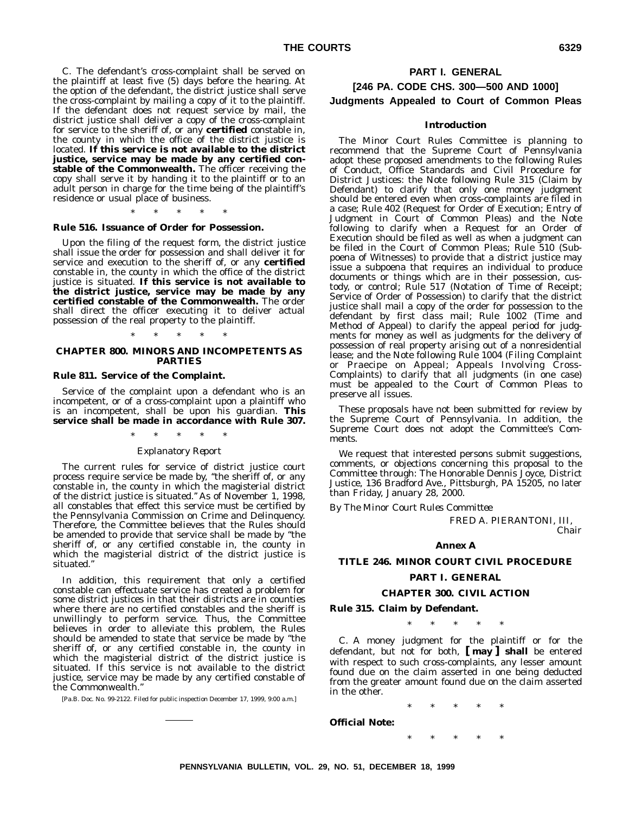C. The defendant's cross-complaint shall be served on the plaintiff at least five (5) days before the hearing. At the option of the defendant, the district justice shall serve the cross-complaint by mailing a copy of it to the plaintiff. If the defendant does not request service by mail, the district justice shall deliver a copy of the cross-complaint for service to the sheriff of, or any **certified** constable in, the county in which the office of the district justice is located. **If this service is not available to the district justice, service may be made by any certified constable of the Commonwealth.** The officer receiving the copy shall serve it by handing it to the plaintiff or to an adult person in charge for the time being of the plaintiff's residence or usual place of business.

\*\*\*\*\*

#### **Rule 516. Issuance of Order for Possession.**

Upon the filing of the request form, the district justice shall issue the order for possession and shall deliver it for service and execution to the sheriff of, or any **certified** constable in, the county in which the office of the district justice is situated. **If this service is not available to the district justice, service may be made by any certified constable of the Commonwealth.** The order shall direct the officer executing it to deliver actual possession of the real property to the plaintiff.

#### \*\*\*\*\* **CHAPTER 800. MINORS AND INCOMPETENTS AS PARTIES**

#### **Rule 811. Service of the Complaint.**

Service of the complaint upon a defendant who is an incompetent, or of a cross-complaint upon a plaintiff who is an incompetent, shall be upon his guardian. This **service shall be made in accordance with Rule 307.**

#### \*\*\*\*\*

#### *Explanatory Report*

The current rules for service of district justice court process require service be made by, ''the sheriff of, or any constable in, the county in which the magisterial district of the district justice is situated.'' As of November 1, 1998, all constables that effect this service must be certified by the Pennsylvania Commission on Crime and Delinquency. Therefore, the Committee believes that the Rules should be amended to provide that service shall be made by ''the sheriff of, or any certified constable in, the county in which the magisterial district of the district justice is situated.''

In addition, this requirement that only a certified constable can effectuate service has created a problem for some district justices in that their districts are in counties where there are no certified constables and the sheriff is unwillingly to perform service. Thus, the Committee believes in order to alleviate this problem, the Rules should be amended to state that service be made by ''the sheriff of, or any certified constable in, the county in which the magisterial district of the district justice is situated. If this service is not available to the district justice, service may be made by any certified constable of the Commonwealth.''

[Pa.B. Doc. No. 99-2122. Filed for public inspection December 17, 1999, 9:00 a.m.]

#### **PART I. GENERAL**

#### **[246 PA. CODE CHS. 300—500 AND 1000] Judgments Appealed to Court of Common Pleas**

#### **Introduction**

The Minor Court Rules Committee is planning to recommend that the Supreme Court of Pennsylvania adopt these proposed amendments to the following Rules of Conduct, Office Standards and Civil Procedure for District Justices: the Note following Rule 315 (Claim by Defendant) to clarify that only one money judgment should be entered even when cross-complaints are filed in a case; Rule 402 (Request for Order of Execution; Entry of Judgment in Court of Common Pleas) and the Note following to clarify when a Request for an Order of Execution should be filed as well as when a judgment can be filed in the Court of Common Pleas; Rule 510 (Subpoena of Witnesses) to provide that a district justice may issue a subpoena that requires an individual to produce documents or things which are in their possession, custody, or control; Rule 517 (Notation of Time of Receipt; Service of Order of Possession) to clarify that the district justice shall mail a copy of the order for possession to the defendant by first class mail; Rule 1002 (Time and Method of Appeal) to clarify the appeal period for judgments for money as well as judgments for the delivery of possession of real property arising out of a nonresidential lease; and the Note following Rule 1004 (Filing Complaint or Praecipe on Appeal; Appeals Involving Cross-Complaints) to clarify that all judgments (in one case) must be appealed to the Court of Common Pleas to preserve all issues.

These proposals have not been submitted for review by the Supreme Court of Pennsylvania. In addition, the Supreme Court does not adopt the Committee's *Comments.*

We request that interested persons submit suggestions, comments, or objections concerning this proposal to the Committee through: The Honorable Dennis Joyce, District Justice, 136 Bradford Ave., Pittsburgh, PA 15205, no later than Friday, January 28, 2000.

*By The Minor Court Rules Committee*

FRED A. PIERANTONI, III, *Chair*

#### **Annex A**

#### **TITLE 246. MINOR COURT CIVIL PROCEDURE**

#### **PART I. GENERAL**

#### **CHAPTER 300. CIVIL ACTION**

#### **Rule 315. Claim by Defendant.**

\*\*\*\*\*

C. A money judgment for the plaintiff or for the defendant, but not for both, **[ may ] shall** be entered with respect to such cross-complaints, any lesser amount found due on the claim asserted in one being deducted from the greater amount found due on the claim asserted in the other.

\*\*\*\*\*

\*\*\*\*\*

**Official Note:**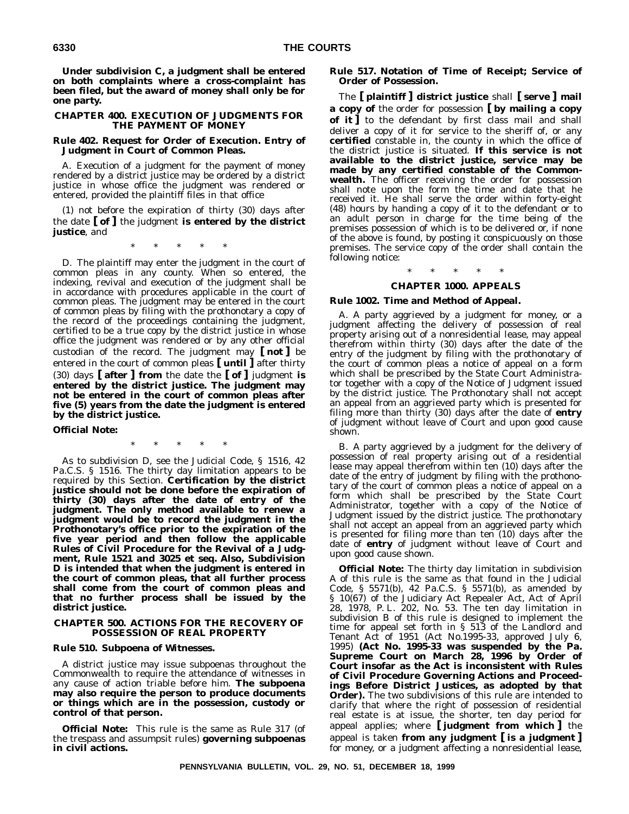**Under subdivision C, a judgment shall be entered on both complaints where a cross-complaint has been filed, but the award of money shall only be for one party.**

#### **CHAPTER 400. EXECUTION OF JUDGMENTS FOR THE PAYMENT OF MONEY**

#### **Rule 402. Request for Order of Execution. Entry of Judgment in Court of Common Pleas.**

A. Execution of a judgment for the payment of money rendered by a district justice may be ordered by a district justice in whose office the judgment was rendered or entered, provided the plaintiff files in that office

(1) not before the expiration of thirty (30) days after the date **[ of ]** the judgment **is entered by the district justice**, and

\*\*\*\*\*

D. The plaintiff may enter the judgment in the court of common pleas in any county. When so entered, the indexing, revival and execution of the judgment shall be in accordance with procedures applicable in the court of common pleas. The judgment may be entered in the court of common pleas by filing with the prothonotary a copy of the record of the proceedings containing the judgment, certified to be a true copy by the district justice in whose office the judgment was rendered or by any other official custodian of the record. The judgment may **[ not ]** be entered in the court of common pleas **[ until ]** after thirty (30) days **[ after ] from** the date the **[ of ]** judgment **is entered by the district justice. The judgment may not be entered in the court of common pleas after five (5) years from the date the judgment is entered by the district justice.**

#### **Official Note:**

\*\*\*\*\*

As to subdivision D, see the Judicial Code, § 1516, 42 Pa.C.S. § 1516. The thirty day limitation appears to be required by this Section. **Certification by the district justice should not be done before the expiration of thirty (30) days after the date of entry of the judgment. The only method available to renew a judgment would be to record the judgment in the Prothonotary's office prior to the expiration of the five year period and then follow the applicable Rules of Civil Procedure for the Revival of a Judgment, Rule 1521 and 3025 et seq. Also, Subdivision D is intended that when the judgment is entered in the court of common pleas, that all further process shall come from the court of common pleas and that no further process shall be issued by the district justice.**

#### **CHAPTER 500. ACTIONS FOR THE RECOVERY OF POSSESSION OF REAL PROPERTY**

#### **Rule 510. Subpoena of Witnesses.**

A district justice may issue subpoenas throughout the Commonwealth to require the attendance of witnesses in any cause of action triable before him. **The subpoena may also require the person to produce documents or things which are in the possession, custody or control of that person.**

**Official Note:** This rule is the same as Rule 317 (of the trespass and assumpsit rules) **governing subpoenas in civil actions.**

#### **Rule 517. Notation of Time of Receipt; Service of Order of Possession.**

The **[ plaintiff ] district justice** shall **[ serve ] mail a copy of** the order for possession **[ by mailing a copy of it ]** to the defendant by first class mail and shall deliver a copy of it for service to the sheriff of, or any **certified** constable in, the county in which the office of the district justice is situated. **If this service is not available to the district justice, service may be made by any certified constable of the Commonwealth.** The officer receiving the order for possession shall note upon the form the time and date that he received it. He shall serve the order within forty-eight (48) hours by handing a copy of it to the defendant or to an adult person in charge for the time being of the premises possession of which is to be delivered or, if none of the above is found, by posting it conspicuously on those premises. The service copy of the order shall contain the following notice:

#### \*\*\*\*\*

#### **CHAPTER 1000. APPEALS**

#### **Rule 1002. Time and Method of Appeal.**

A. A party aggrieved by a judgment for money, or a judgment affecting the delivery of possession of real property arising out of a nonresidential lease, may appeal therefrom within thirty (30) days after the date of the entry of the judgment by filing with the prothonotary of the court of common pleas a notice of appeal on a form which shall be prescribed by the State Court Administrator together with a copy of the Notice of Judgment issued by the district justice. The Prothonotary shall not accept an appeal from an aggrieved party which is presented for filing more than thirty (30) days after the date of **entry** of judgment without leave of Court and upon good cause shown.

B. A party aggrieved by a judgment for the delivery of possession of real property arising out of a residential lease may appeal therefrom within ten (10) days after the date of the entry of judgment by filing with the prothonotary of the court of common pleas a notice of appeal on a form which shall be prescribed by the State Court Administrator, together with a copy of the Notice of Judgment issued by the district justice. The prothonotary shall not accept an appeal from an aggrieved party which is presented for filing more than ten (10) days after the date of **entry** of judgment without leave of Court and upon good cause shown.

**Official Note:** The thirty day limitation in subdivision A of this rule is the same as that found in the Judicial Code, § 5571(b), 42 Pa.C.S. § 5571(b), as amended by § 10(67) of the Judiciary Act Repealer Act, Act of April 28, 1978, P. L. 202, No. 53. The ten day limitation in subdivision B of this rule is designed to implement the time for appeal set forth in § 513 of the Landlord and Tenant Act of 1951 (Act No.1995-33, approved July 6, 1995) **(Act No. 1995-33 was suspended by the Pa. Supreme Court on March 28, 1996 by Order of Court insofar as the Act is inconsistent with Rules of Civil Procedure Governing Actions and Proceedings Before District Justices, as adopted by that Order).** The two subdivisions of this rule are intended to clarify that where the right of possession of residential real estate is at issue, the shorter, ten day period for appeal applies; where **[ judgment from which ]** the appeal is taken **from any judgment [ is a judgment ]** for money, or a judgment affecting a nonresidential lease,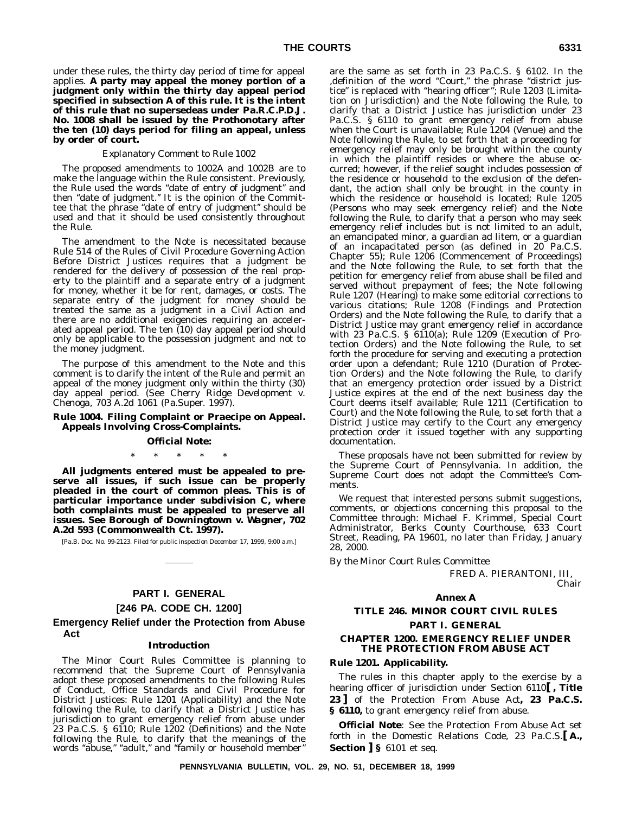under these rules, the thirty day period of time for appeal applies. **A party may appeal the money portion of a judgment only within the thirty day appeal period specified in subsection A of this rule. It is the intent of this rule that no supersedeas under Pa.R.C.P.D.J. No. 1008 shall be issued by the Prothonotary after the ten (10) days period for filing an appeal, unless by order of court.**

#### *Explanatory Comment to Rule 1002*

The proposed amendments to 1002A and 1002B are to make the language within the Rule consistent. Previously, the Rule used the words ''date of entry of judgment'' and then "date of judgment." It is the opinion of the Committee that the phrase ''date of entry of judgment'' should be used and that it should be used consistently throughout the Rule.

The amendment to the Note is necessitated because Rule 514 of the Rules of Civil Procedure Governing Action Before District Justices requires that a judgment be rendered for the delivery of possession of the real property to the plaintiff and a separate entry of a judgment for money, whether it be for rent, damages, or costs. The separate entry of the judgment for money should be treated the same as a judgment in a Civil Action and there are no additional exigencies requiring an accelerated appeal period. The ten (10) day appeal period should only be applicable to the possession judgment and not to the money judgment.

The purpose of this amendment to the Note and this comment is to clarify the intent of the Rule and permit an appeal of the money judgment only within the thirty (30) day appeal period. (See *Cherry Ridge Development v. Chenoga,* 703 A.2d 1061 (Pa.Super. 1997).

#### **Rule 1004. Filing Complaint or Praecipe on Appeal. Appeals Involving Cross-Complaints.**

#### **Official Note:**

\*\*\*\*\*

**All judgments entered must be appealed to preserve all issues, if such issue can be properly pleaded in the court of common pleas. This is of particular importance under subdivision C, where both complaints must be appealed to preserve all issues. See** *Borough of Downingtown v. Wagner***, 702 A.2d 593 (Commonwealth Ct. 1997).**

[Pa.B. Doc. No. 99-2123. Filed for public inspection December 17, 1999, 9:00 a.m.]

#### **PART I. GENERAL [246 PA. CODE CH. 1200]**

#### **Emergency Relief under the Protection from Abuse Act**

#### **Introduction**

The Minor Court Rules Committee is planning to recommend that the Supreme Court of Pennsylvania adopt these proposed amendments to the following Rules of Conduct, Office Standards and Civil Procedure for District Justices: Rule 1201 (Applicability) and the Note following the Rule, to clarify that a District Justice has jurisdiction to grant emergency relief from abuse under 23 Pa.C.S. § 6110; Rule 1202 (Definitions) and the Note following the Rule, to clarify that the meanings of the words "abuse," "adult," and "family or household member'

are the same as set forth in 23 Pa.C.S. § 6102. In the ,definition of the word ''Court,'' the phrase ''district justice'' is replaced with ''hearing officer''; Rule 1203 (Limitation on Jurisdiction) and the Note following the Rule, to clarify that a District Justice has jurisdiction under 23 Pa.C.S. § 6110 to grant emergency relief from abuse when the Court is unavailable; Rule 1204 (Venue) and the Note following the Rule, to set forth that a proceeding for emergency relief may only be brought within the county in which the plaintiff resides or where the abuse occurred; however, if the relief sought includes possession of the residence or household to the exclusion of the defendant, the action shall only be brought in the county in which the residence or household is located; Rule 1205 (Persons who may seek emergency relief) and the Note following the Rule, to clarify that a person who may seek emergency relief includes but is not limited to an adult, an emancipated minor, a guardian ad litem, or a guardian of an incapacitated person (as defined in 20 Pa.C.S. Chapter 55); Rule 1206 (Commencement of Proceedings) and the Note following the Rule, to set forth that the petition for emergency relief from abuse shall be filed and served without prepayment of fees; the Note following Rule 1207 (Hearing) to make some editorial corrections to various citations; Rule 1208 (Findings and Protection Orders) and the Note following the Rule, to clarify that a District Justice may grant emergency relief in accordance with 23 Pa.C.S. § 6110(a); Rule 1209 (Execution of Protection Orders) and the Note following the Rule, to set forth the procedure for serving and executing a protection order upon a defendant; Rule 1210 (Duration of Protection Orders) and the Note following the Rule, to clarify that an emergency protection order issued by a District Justice expires at the end of the next business day the Court deems itself available; Rule 1211 (Certification to Court) and the Note following the Rule, to set forth that a District Justice may certify to the Court any emergency protection order it issued together with any supporting documentation.

These proposals have not been submitted for review by the Supreme Court of Pennsylvania. In addition, the Supreme Court does not adopt the Committee's Comments.

We request that interested persons submit suggestions, comments, or objections concerning this proposal to the Committee through: Michael F. Krimmel, Special Court Administrator, Berks County Courthouse, 633 Court Street, Reading, PA 19601, no later than Friday, January 28, 2000.

*By the Minor Court Rules Committee*

FRED A. PIERANTONI, III, *Chair*

#### **Annex A**

#### **TITLE 246. MINOR COURT CIVIL RULES PART I. GENERAL**

#### **CHAPTER 1200. EMERGENCY RELIEF UNDER THE PROTECTION FROM ABUSE ACT**

#### **Rule 1201. Applicability.**

The rules in this chapter apply to the exercise by a hearing officer of jurisdiction under Section 6110**[ , Title 23 ]** of the Protection From Abuse Act**, 23 Pa.C.S. § 6110,** to grant emergency relief from abuse.

**Official Note**: See the Protection From Abuse Act set forth in the Domestic Relations Code, 23 Pa.C.S.**[ A., Section ] §** 6101 et seq.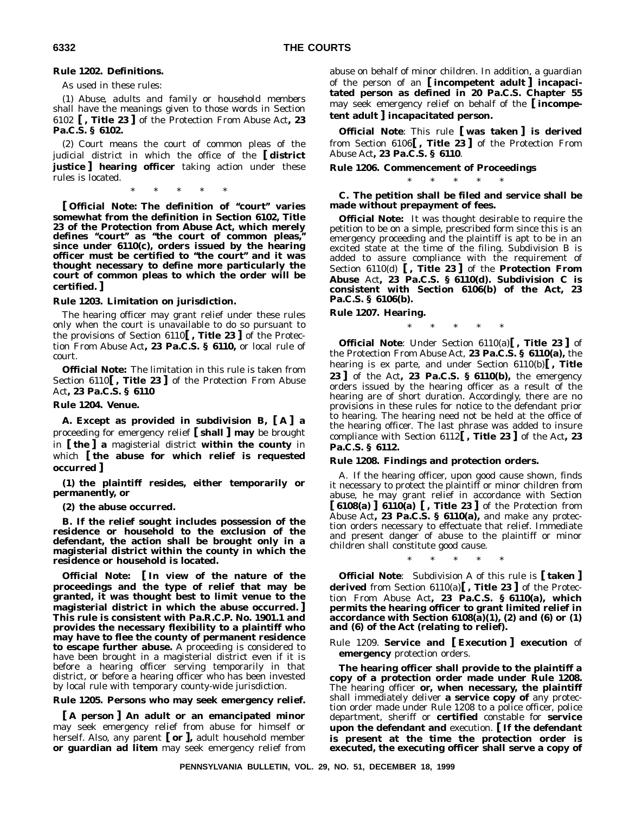#### **Rule 1202. Definitions.**

As used in these rules:

(1) *Abuse*, *adults and family or household members* shall have the meanings given to those words in Section 6102 **[ , Title 23 ]** of the Protection From Abuse Act**, 23 Pa.C.S. § 6102.**

(2) *Court* means the court of common pleas of the judicial district in which the office of the **[ district justice ] hearing officer** taking action under these rules is located.

\*\*\*\*\*

**[ Official Note: The definition of ''court'' varies somewhat from the definition in Section 6102, Title 23 of the Protection from Abuse Act, which merely defines ''court'' as ''the court of common pleas,'' since under 6110(c), orders issued by the hearing officer must be certified to ''the court'' and it was thought necessary to define more particularly the court of common pleas to which the order will be certified. ]**

#### **Rule 1203. Limitation on jurisdiction.**

The hearing officer may grant relief under these rules only when the court is unavailable to do so pursuant to the provisions of Section 6110**[ , Title 23 ]** of the Protection From Abuse Act**, 23 Pa.C.S. § 6110,** or local rule of court.

**Official Note:** The limitation in this rule is taken from Section 6110**[ , Title 23 ]** of the Protection From Abuse Act**, 23 Pa.C.S. § 6110**

#### **Rule 1204. Venue.**

**A. Except as provided in subdivision B, [ A ] a** proceeding for emergency relief **[ shall ] may** be brought in **[ the ] a** magisterial district **within the county** in which **[ the abuse for which relief is requested occurred ]**

**(1) the plaintiff resides, either temporarily or permanently, or**

**(2) the abuse occurred.**

**B. If the relief sought includes possession of the residence or household to the exclusion of the defendant, the action shall be brought only in a magisterial district within the county in which the residence or household is located.**

**Official Note: [ In view of the nature of the proceedings and the type of relief that may be granted, it was thought best to limit venue to the magisterial district in which the abuse occurred. ] This rule is consistent with Pa.R.C.P. No. 1901.1 and provides the necessary flexibility to a plaintiff who may have to flee the county of permanent residence to escape further abuse.** A proceeding is considered to have been brought in a magisterial district even if it is before a hearing officer serving temporarily in that district, or before a hearing officer who has been invested by local rule with temporary county-wide jurisdiction.

#### **Rule 1205. Persons who may seek emergency relief.**

**[ A person ] An adult or an emancipated minor** may seek emergency relief from abuse for himself or herself. Also, any parent **[ or ],** adult household member **or guardian ad litem** may seek emergency relief from

abuse on behalf of minor children. In addition, a guardian of the person of an **[ incompetent adult ] incapacitated person as defined in 20 Pa.C.S. Chapter 55** may seek emergency relief on behalf of the **[ incompetent adult ] incapacitated person.**

**Official Note**: This rule **[ was taken ] is derived** from Section 6106**[ , Title 23 ]** of the Protection From Abuse Act**, 23 Pa.C.S. § 6110**.

#### **Rule 1206. Commencement of Proceedings**

\*\*\*\*\* **C. The petition shall be filed and service shall be made without prepayment of fees.**

**Official Note:** It was thought desirable to require the petition to be on a simple, prescribed form since this is an emergency proceeding and the plaintiff is apt to be in an excited state at the time of the filing. Subdivision B is added to assure compliance with the requirement of Section 6110(d) **[ , Title 23 ]** of the **Protection From Abuse** Act**, 23 Pa.C.S. § 6110(d). Subdivision C is consistent with Section 6106(b) of the Act, 23 Pa.C.S. § 6106(b).**

#### **Rule 1207. Hearing.**

\*\*\*\*\*

**Official Note**: Under Section 6110(a)**[ , Title 23 ]** of the Protection From Abuse Act, **23 Pa.C.S. § 6110(a),** the hearing is ex parte, and under Section 6110(b)**[ , Title 23 ]** of the Act**, 23 Pa.C.S. § 6110(b),** the emergency orders issued by the hearing officer as a result of the hearing are of short duration. Accordingly, there are no provisions in these rules for notice to the defendant prior to hearing. The hearing need not be held at the office of the hearing officer. The last phrase was added to insure compliance with Section 6112**[ , Title 23 ]** of the Act**, 23 Pa.C.S. § 6112.**

#### **Rule 1208. Findings and protection orders.**

A. If the hearing officer, upon good cause shown, finds it necessary to protect the plaintiff or minor children from abuse, he may grant relief in accordance with Section **[ 6108(a) ] 6110(a) [ , Title 23 ]** of the Protection from Abuse Act**, 23 Pa.C.S. § 6110(a),** and make any protection orders necessary to effectuate that relief. Immediate and present danger of abuse to the plaintiff or minor children shall constitute good cause.

\*\*\*\*\*

**Official Note**: Subdivision A of this rule is **[ taken ] derived** from Section 6110(a)**[ , Title 23 ]** of the Protection From Abuse Act**, 23 Pa.C.S. § 6110(a), which permits the hearing officer to grant limited relief in accordance with Section 6108(a)(1), (2) and (6) or (1) and (6) of the Act (relating to relief).**

Rule 1209. **Service and [ Execution ] execution** of **emergency** protection orders.

**The hearing officer shall provide to the plaintiff a copy of a protection order made under Rule 1208.** The hearing officer **or, when necessary, the plaintiff** shall immediately deliver **a service copy of** any protection order made under Rule 1208 to a police officer, police department, sheriff or **certified** constable for **service upon the defendant and** execution. **[ If the defendant is present at the time the protection order is executed, the executing officer shall serve a copy of**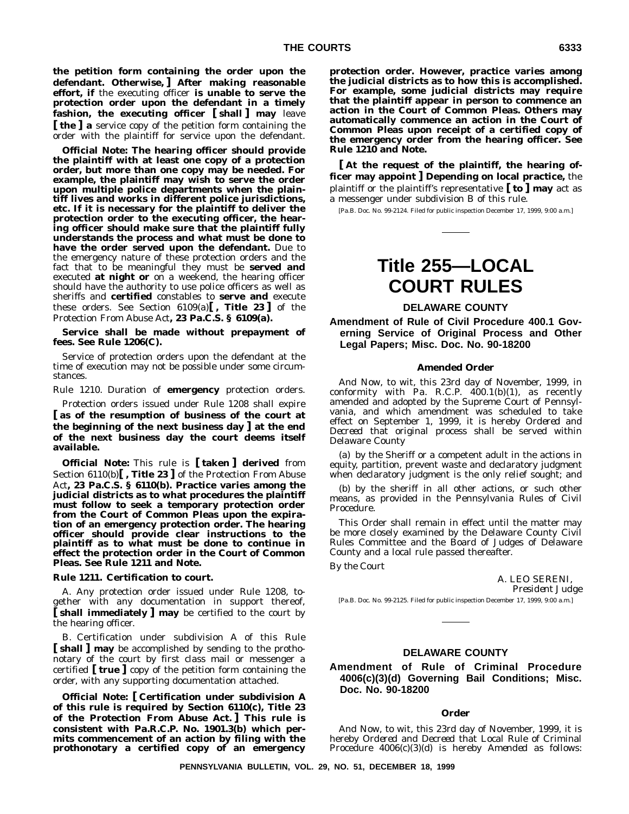**the petition form containing the order upon the defendant. Otherwise, ] After making reasonable effort, if** the executing officer **is unable to serve the protection order upon the defendant in a timely fashion, the executing officer [ shall ] may** leave **[ the ] a** service copy of the petition form containing the order with the plaintiff for service upon the defendant.

**Official Note: The hearing officer should provide the plaintiff with at least one copy of a protection order, but more than one copy may be needed. For example, the plaintiff may wish to serve the order upon multiple police departments when the plaintiff lives and works in different police jurisdictions, etc. If it is necessary for the plaintiff to deliver the protection order to the executing officer, the hearing officer should make sure that the plaintiff fully understands the process and what must be done to have the order served upon the defendant.** Due to the emergency nature of these protection orders and the fact that to be meaningful they must be **served and** executed **at night or** on a weekend, the hearing officer should have the authority to use police officers as well as sheriffs and **certified** constables to **serve and** execute these orders. See Section  $6109(a)$ , Title 23 of the Protection From Abuse Act**, 23 Pa.C.S. § 6109(a).**

**Service shall be made without prepayment of fees. See Rule 1206(C).**

Service of protection orders upon the defendant at the time of execution may not be possible under some circumstances.

Rule 1210. Duration of **emergency** protection orders.

Protection orders issued under Rule 1208 shall expire **[ as of the resumption of business of the court at the beginning of the next business day ] at the end of the next business day the court deems itself available.**

**Official Note:** This rule is **[ taken ] derived** from Section 6110(b)**[ , Title 23 ]** of the Protection From Abuse Act**, 23 Pa.C.S. § 6110(b). Practice varies among the judicial districts as to what procedures the plaintiff must follow to seek a temporary protection order from the Court of Common Pleas upon the expiration of an emergency protection order. The hearing officer should provide clear instructions to the plaintiff as to what must be done to continue in effect the protection order in the Court of Common Pleas. See Rule 1211 and Note.**

#### **Rule 1211. Certification to court.**

A. Any protection order issued under Rule 1208, together with any documentation in support thereof, **[ shall immediately ] may** be certified to the court by the hearing officer.

B. Certification under subdivision A of this Rule **[ shall ] may** be accomplished by sending to the prothonotary of the court by first class mail or messenger a certified **[ true ]** copy of the petition form containing the order, with any supporting documentation attached.

**Official Note: [ Certification under subdivision A of this rule is required by Section 6110(c), Title 23 of the Protection From Abuse Act. ] This rule is consistent with Pa.R.C.P. No. 1901.3(b) which permits commencement of an action by filing with the prothonotary a certified copy of an emergency** **protection order. However, practice varies among the judicial districts as to how this is accomplished. For example, some judicial districts may require that the plaintiff appear in person to commence an action in the Court of Common Pleas. Others may automatically commence an action in the Court of Common Pleas upon receipt of a certified copy of the emergency order from the hearing officer. See Rule 1210 and Note.**

**[ At the request of the plaintiff, the hearing officer may appoint ] Depending on local practice,** the plaintiff or the plaintiff's representative **[ to ] may** act as a messenger under subdivision B of this rule.

[Pa.B. Doc. No. 99-2124. Filed for public inspection December 17, 1999, 9:00 a.m.]

## **Title 255—LOCAL COURT RULES**

#### **DELAWARE COUNTY**

**Amendment of Rule of Civil Procedure 400.1 Governing Service of Original Process and Other Legal Papers; Misc. Doc. No. 90-18200**

#### **Amended Order**

*And Now*, to wit, this 23rd day of November, 1999, in conformity with Pa. R.C.P. 400.1(b)(1), as recently amended and adopted by the Supreme Court of Pennsylvania, and which amendment was scheduled to take effect on September 1, 1999, it is hereby *Ordered* and *Decreed* that original process shall be served within Delaware County

(a) by the Sheriff or a competent adult in the actions in equity, partition, prevent waste and declaratory judgment when declaratory judgment is the only relief sought; and

(b) by the sheriff in all other actions, or such other means, as provided in the Pennsylvania Rules of Civil Procedure.

This Order shall remain in effect until the matter may be more closely examined by the Delaware County Civil Rules Committee and the Board of Judges of Delaware County and a local rule passed thereafter.

*By the Court*

A. LEO SERENI, *President Judge*

[Pa.B. Doc. No. 99-2125. Filed for public inspection December 17, 1999, 9:00 a.m.]

#### **DELAWARE COUNTY**

**Amendment of Rule of Criminal Procedure 4006(c)(3)(d) Governing Bail Conditions; Misc. Doc. No. 90-18200**

#### **Order**

*And Now*, to wit, this 23rd day of November, 1999, it is hereby *Ordered* and *Decreed* that Local Rule of Criminal Procedure 4006(c)(3)(d) is hereby *Amended* as follows: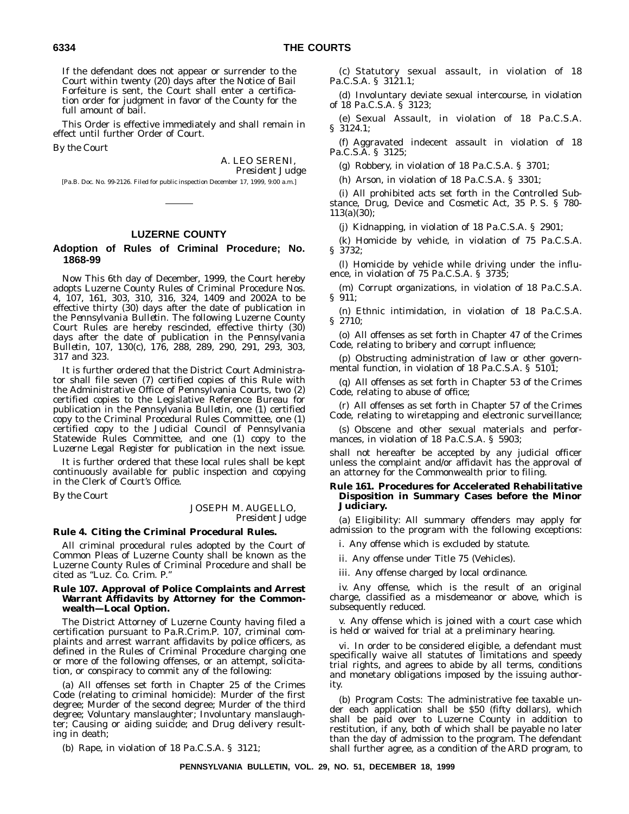If the defendant does not appear or surrender to the Court within twenty (20) days after the Notice of Bail Forfeiture is sent, the Court shall enter a certification order for judgment in favor of the County for the full amount of bail.

This Order is effective immediately and shall remain in effect until further Order of Court.

*By the Court*

A. LEO SERENI, *President Judge*

[Pa.B. Doc. No. 99-2126. Filed for public inspection December 17, 1999, 9:00 a.m.]

#### **LUZERNE COUNTY**

#### **Adoption of Rules of Criminal Procedure; No. 1868-99**

*Now This* 6th day of December, 1999, the Court hereby adopts Luzerne County Rules of Criminal Procedure Nos. 4, 107, 161, 303, 310, 316, 324, 1409 and 2002A to be effective thirty (30) days after the date of publication in the *Pennsylvania Bulletin.* The following Luzerne County Court Rules are hereby rescinded, effective thirty (30) days after the date of publication in the *Pennsylvania Bulletin*, 107, 130(c), 176, 288, 289, 290, 291, 293, 303, 317 and 323.

It is further ordered that the District Court Administrator shall file seven (7) certified copies of this Rule with the Administrative Office of Pennsylvania Courts, two (2) certified copies to the Legislative Reference Bureau for publication in the *Pennsylvania Bulletin*, one (1) certified copy to the Criminal Procedural Rules Committee, one (1) certified copy to the Judicial Council of Pennsylvania Statewide Rules Committee, and one (1) copy to the *Luzerne Legal Register* for publication in the next issue.

It is further ordered that these local rules shall be kept continuously available for public inspection and copying in the Clerk of Court's Office.

*By the Court*

#### JOSEPH M. AUGELLO, *President Judge*

#### **Rule 4. Citing the Criminal Procedural Rules.**

All criminal procedural rules adopted by the Court of Common Pleas of Luzerne County shall be known as the Luzerne County Rules of Criminal Procedure and shall be cited as "Luz. Co. Crim. P.

#### **Rule 107. Approval of Police Complaints and Arrest Warrant Affidavits by Attorney for the Commonwealth—Local Option.**

The District Attorney of Luzerne County having filed a certification pursuant to Pa.R.Crim.P. 107, criminal complaints and arrest warrant affidavits by police officers, as defined in the Rules of Criminal Procedure charging one or more of the following offenses, or an attempt, solicitation, or conspiracy to commit any of the following:

(a) All offenses set forth in Chapter 25 of the Crimes Code (relating to criminal homicide): Murder of the first degree; Murder of the second degree; Murder of the third degree; Voluntary manslaughter; Involuntary manslaughter; Causing or aiding suicide; and Drug delivery resulting in death;

(b) Rape, in violation of 18 Pa.C.S.A. § 3121;

(c) Statutory sexual assault, in violation of 18 Pa.C.S.A. § 3121.1;

(d) Involuntary deviate sexual intercourse, in violation of 18 Pa.C.S.A. § 3123;

(e) Sexual Assault, in violation of 18 Pa.C.S.A. § 3124.1;

(f) Aggravated indecent assault in violation of 18 Pa.C.S.A. § 3125;

(g) Robbery, in violation of 18 Pa.C.S.A. § 3701;

(h) Arson, in violation of 18 Pa.C.S.A. § 3301;

(i) All prohibited acts set forth in the Controlled Substance, Drug, Device and Cosmetic Act, 35 P. S. § 780- 113(a)(30);

(j) Kidnapping, in violation of 18 Pa.C.S.A. § 2901;

(k) Homicide by vehicle, in violation of 75 Pa.C.S.A. § 3732;

(l) Homicide by vehicle while driving under the influence, in violation of 75 Pa.C.S.A. § 3735;

(m) Corrupt organizations, in violation of 18 Pa.C.S.A. § 911;

(n) Ethnic intimidation, in violation of 18 Pa.C.S.A. § 2710;

(o) All offenses as set forth in Chapter 47 of the Crimes Code, relating to bribery and corrupt influence;

(p) Obstructing administration of law or other governmental function, in violation of 18 Pa.C.S.A. § 5101;

(q) All offenses as set forth in Chapter 53 of the Crimes Code, relating to abuse of office;

(r) All offenses as set forth in Chapter 57 of the Crimes Code, relating to wiretapping and electronic surveillance;

(s) Obscene and other sexual materials and performances, in violation of 18 Pa.C.S.A. § 5903;

shall not hereafter be accepted by any judicial officer unless the complaint and/or affidavit has the approval of an attorney for the Commonwealth prior to filing.

#### **Rule 161. Procedures for Accelerated Rehabilitative Disposition in Summary Cases before the Minor Judiciary.**

(a) Eligibility: All summary offenders may apply for admission to the program with the following exceptions:

i. Any offense which is excluded by statute.

ii. Any offense under Title 75 (Vehicles).

iii. Any offense charged by local ordinance.

iv. Any offense, which is the result of an original charge, classified as a misdemeanor or above, which is subsequently reduced.

v. Any offense which is joined with a court case which is held or waived for trial at a preliminary hearing.

vi. In order to be considered eligible, a defendant must specifically waive all statutes of limitations and speedy trial rights, and agrees to abide by all terms, conditions and monetary obligations imposed by the issuing authority.

(b) Program Costs: The administrative fee taxable under each application shall be \$50 (fifty dollars), which shall be paid over to Luzerne County in addition to restitution, if any, both of which shall be payable no later than the day of admission to the program. The defendant shall further agree, as a condition of the ARD program, to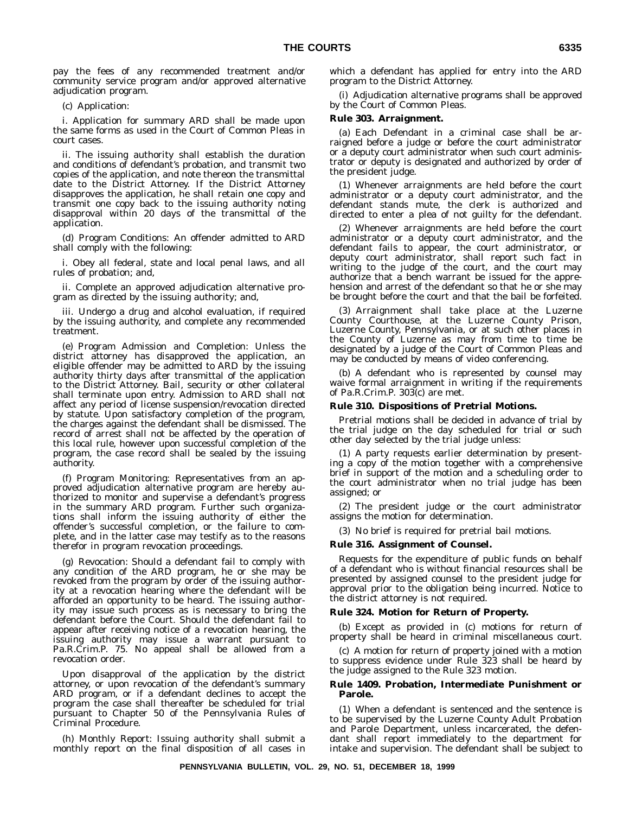pay the fees of any recommended treatment and/or community service program and/or approved alternative adjudication program.

(c) Application:

i. Application for summary ARD shall be made upon the same forms as used in the Court of Common Pleas in court cases.

ii. The issuing authority shall establish the duration and conditions of defendant's probation, and transmit two copies of the application, and note thereon the transmittal date to the District Attorney. If the District Attorney disapproves the application, he shall retain one copy and transmit one copy back to the issuing authority noting disapproval within 20 days of the transmittal of the application.

(d) Program Conditions: An offender admitted to ARD shall comply with the following:

i. Obey all federal, state and local penal laws, and all rules of probation; and,

ii. Complete an approved adjudication alternative program as directed by the issuing authority; and,

iii. Undergo a drug and alcohol evaluation, if required by the issuing authority, and complete any recommended treatment.

(e) Program Admission and Completion: Unless the district attorney has disapproved the application, an eligible offender may be admitted to ARD by the issuing authority thirty days after transmittal of the application to the District Attorney. Bail, security or other collateral shall terminate upon entry. Admission to ARD shall not affect any period of license suspension/revocation directed by statute. Upon satisfactory completion of the program, the charges against the defendant shall be dismissed. The record of arrest shall not be affected by the operation of this local rule, however upon successful completion of the program, the case record shall be sealed by the issuing authority.

(f) Program Monitoring: Representatives from an approved adjudication alternative program are hereby authorized to monitor and supervise a defendant's progress in the summary ARD program. Further such organizations shall inform the issuing authority of either the offender's successful completion, or the failure to complete, and in the latter case may testify as to the reasons therefor in program revocation proceedings.

(g) Revocation: Should a defendant fail to comply with any condition of the ARD program, he or she may be revoked from the program by order of the issuing authority at a revocation hearing where the defendant will be afforded an opportunity to be heard. The issuing authority may issue such process as is necessary to bring the defendant before the Court. Should the defendant fail to appear after receiving notice of a revocation hearing, the issuing authority may issue a warrant pursuant to Pa.R.Crim.P. 75. No appeal shall be allowed from a revocation order.

Upon disapproval of the application by the district attorney, or upon revocation of the defendant's summary ARD program, or if a defendant declines to accept the program the case shall thereafter be scheduled for trial pursuant to Chapter 50 of the Pennsylvania Rules of Criminal Procedure.

(h) Monthly Report: Issuing authority shall submit a monthly report on the final disposition of all cases in

which a defendant has applied for entry into the ARD program to the District Attorney.

(i) Adjudication alternative programs shall be approved by the Court of Common Pleas.

#### **Rule 303. Arraignment.**

(a) Each Defendant in a criminal case shall be arraigned before a judge or before the court administrator or a deputy court administrator when such court administrator or deputy is designated and authorized by order of the president judge.

(1) Whenever arraignments are held before the court administrator or a deputy court administrator, and the defendant stands mute, the clerk is authorized and directed to enter a plea of not guilty for the defendant.

(2) Whenever arraignments are held before the court administrator or a deputy court administrator, and the defendant fails to appear, the court administrator, or deputy court administrator, shall report such fact in writing to the judge of the court, and the court may authorize that a bench warrant be issued for the apprehension and arrest of the defendant so that he or she may be brought before the court and that the bail be forfeited.

(3) Arraignment shall take place at the Luzerne County Courthouse, at the Luzerne County Prison, Luzerne County, Pennsylvania, or at such other places in the County of Luzerne as may from time to time be designated by a judge of the Court of Common Pleas and may be conducted by means of video conferencing.

(b) A defendant who is represented by counsel may waive formal arraignment in writing if the requirements of Pa.R.Crim.P. 303(c) are met.

#### **Rule 310. Dispositions of Pretrial Motions.**

Pretrial motions shall be decided in advance of trial by the trial judge on the day scheduled for trial or such other day selected by the trial judge unless:

(1) A party requests earlier determination by presenting a copy of the motion together with a comprehensive brief in support of the motion and a scheduling order to the court administrator when no trial judge has been assigned; or

(2) The president judge or the court administrator assigns the motion for determination.

(3) No brief is required for pretrial bail motions.

#### **Rule 316. Assignment of Counsel.**

Requests for the expenditure of public funds on behalf of a defendant who is without financial resources shall be presented by assigned counsel to the president judge for approval prior to the obligation being incurred. Notice to the district attorney is not required.

#### **Rule 324. Motion for Return of Property.**

(b) Except as provided in (c) motions for return of property shall be heard in criminal miscellaneous court.

(c) A motion for return of property joined with a motion to suppress evidence under Rule 323 shall be heard by the judge assigned to the Rule 323 motion.

#### **Rule 1409. Probation, Intermediate Punishment or Parole.**

(1) When a defendant is sentenced and the sentence is to be supervised by the Luzerne County Adult Probation and Parole Department, unless incarcerated, the defendant shall report immediately to the department for intake and supervision. The defendant shall be subject to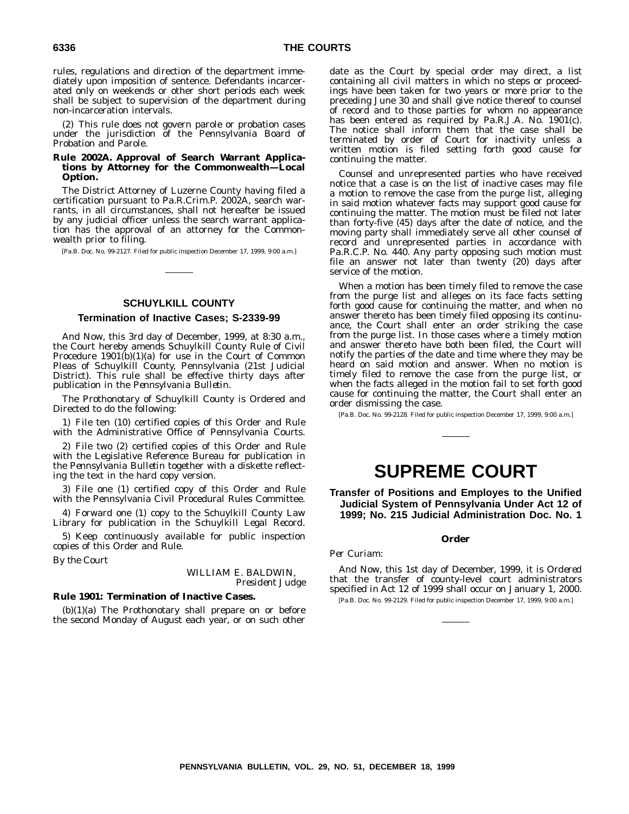rules, regulations and direction of the department immediately upon imposition of sentence. Defendants incarcerated only on weekends or other short periods each week shall be subject to supervision of the department during non-incarceration intervals.

(2) This rule does not govern parole or probation cases under the jurisdiction of the Pennsylvania Board of Probation and Parole.

#### **Rule 2002A. Approval of Search Warrant Applications by Attorney for the Commonwealth—Local Option.**

The District Attorney of Luzerne County having filed a certification pursuant to Pa.R.Crim.P. 2002A, search warrants, in all circumstances, shall not hereafter be issued by any judicial officer unless the search warrant application has the approval of an attorney for the Commonwealth prior to filing.

[Pa.B. Doc. No. 99-2127. Filed for public inspection December 17, 1999, 9:00 a.m.]

#### **SCHUYLKILL COUNTY**

#### **Termination of Inactive Cases; S-2339-99**

*And Now*, this 3rd day of December, 1999, at 8:30 a.m., the Court hereby amends Schuylkill County Rule of Civil Procedure 1901(b)(1)(a) for use in the Court of Common Pleas of Schuylkill County, Pennsylvania (21st Judicial District). This rule shall be effective thirty days after publication in the *Pennsylvania Bulletin*.

The Prothonotary of Schuylkill County is Ordered and Directed to do the following:

1) File ten (10) certified copies of this Order and Rule with the Administrative Office of Pennsylvania Courts.

2) File two (2) certified copies of this Order and Rule with the Legislative Reference Bureau for publication in the *Pennsylvania Bulletin* together with a diskette reflecting the text in the hard copy version.

3) File one (1) certified copy of this Order and Rule with the Pennsylvania Civil Procedural Rules Committee.

4) Forward one (1) copy to the Schuylkill County Law Library for publication in the *Schuylkill Legal Record*.

5) Keep continuously available for public inspection copies of this Order and Rule.

*By the Court*

#### WILLIAM E. BALDWIN, *President Judge*

#### **Rule 1901: Termination of Inactive Cases.**

(b)(1)(a) The Prothonotary shall prepare on or before the second Monday of August each year, or on such other date as the Court by special order may direct, a list containing all civil matters in which no steps or proceedings have been taken for two years or more prior to the preceding June 30 and shall give notice thereof to counsel of record and to those parties for whom no appearance has been entered as required by Pa.R.J.A. No. 1901(c). The notice shall inform them that the case shall be terminated by order of Court for inactivity unless a written motion is filed setting forth good cause for continuing the matter.

Counsel and unrepresented parties who have received notice that a case is on the list of inactive cases may file a motion to remove the case from the purge list, alleging in said motion whatever facts may support good cause for continuing the matter. The motion must be filed not later than forty-five (45) days after the date of notice, and the moving party shall immediately serve all other counsel of record and unrepresented parties in accordance with Pa.R.C.P. No. 440. Any party opposing such motion must file an answer not later than twenty (20) days after service of the motion.

When a motion has been timely filed to remove the case from the purge list and alleges on its face facts setting forth good cause for continuing the matter, and when no answer thereto has been timely filed opposing its continuance, the Court shall enter an order striking the case from the purge list. In those cases where a timely motion and answer thereto have both been filed, the Court will notify the parties of the date and time where they may be heard on said motion and answer. When no motion is timely filed to remove the case from the purge list, or when the facts alleged in the motion fail to set forth good cause for continuing the matter, the Court shall enter an order dismissing the case.

[Pa.B. Doc. No. 99-2128. Filed for public inspection December 17, 1999, 9:00 a.m.]

## **SUPREME COURT**

**Transfer of Positions and Employes to the Unified Judicial System of Pennsylvania Under Act 12 of 1999; No. 215 Judicial Administration Doc. No. 1**

#### **Order**

#### *Per Curiam:*

*And Now*, this 1st day of December, 1999, it is *Ordered* that the transfer of county-level court administrators specified in Act 12 of 1999 shall occur on January 1, 2000. [Pa.B. Doc. No. 99-2129. Filed for public inspection December 17, 1999, 9:00 a.m.]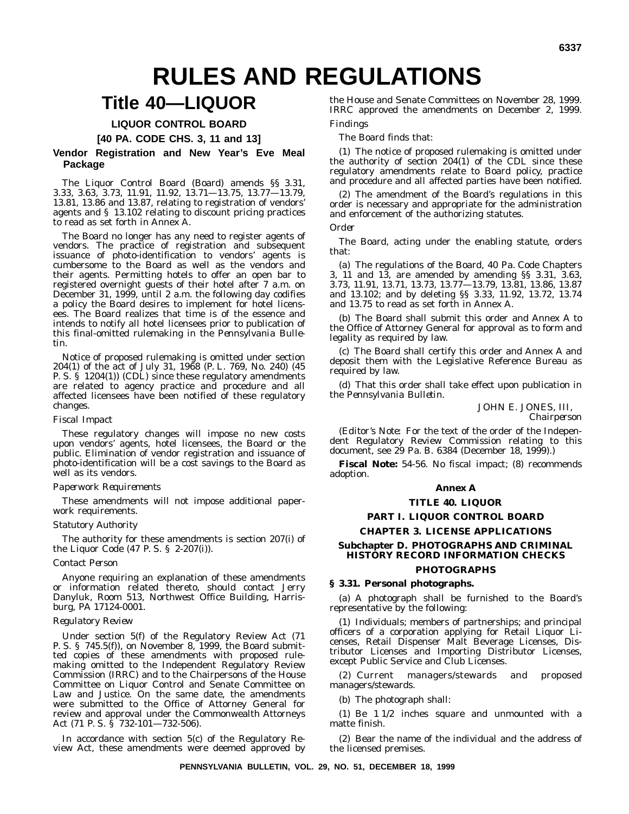# **RULES AND REGULATIONS**

## **Title 40—LIQUOR**

#### **LIQUOR CONTROL BOARD**

**[40 PA. CODE CHS. 3, 11 and 13]**

#### **Vendor Registration and New Year's Eve Meal Package**

The Liquor Control Board (Board) amends §§ 3.31, 3.33, 3.63, 3.73, 11.91, 11.92, 13.71—13.75, 13.77—13.79, 13.81, 13.86 and 13.87, relating to registration of vendors' agents and § 13.102 relating to discount pricing practices to read as set forth in Annex A.

The Board no longer has any need to register agents of vendors. The practice of registration and subsequent issuance of photo-identification to vendors' agents is cumbersome to the Board as well as the vendors and their agents. Permitting hotels to offer an open bar to registered overnight guests of their hotel after 7 a.m. on December 31, 1999, until 2 a.m. the following day codifies a policy the Board desires to implement for hotel licensees. The Board realizes that time is of the essence and intends to notify all hotel licensees prior to publication of this final-omitted rulemaking in the *Pennsylvania Bulletin.*

Notice of proposed rulemaking is omitted under section 204(1) of the act of July 31, 1968 (P. L. 769, No. 240) (45 P. S. § 1204(1)) (CDL) since these regulatory amendments are related to agency practice and procedure and all affected licensees have been notified of these regulatory changes.

#### *Fiscal Impact*

These regulatory changes will impose no new costs upon vendors' agents, hotel licensees, the Board or the public. Elimination of vendor registration and issuance of photo-identification will be a cost savings to the Board as well as its vendors.

#### *Paperwork Requirements*

These amendments will not impose additional paperwork requirements.

#### *Statutory Authority*

The authority for these amendments is section 207(i) of the Liquor Code (47 P. S. § 2-207(i)).

#### *Contact Person*

Anyone requiring an explanation of these amendments or information related thereto, should contact Jerry Danyluk, Room 513, Northwest Office Building, Harrisburg, PA 17124-0001.

#### *Regulatory Review*

Under section 5(f) of the Regulatory Review Act (71 P. S. § 745.5(f)), on November 8, 1999, the Board submitted copies of these amendments with proposed rulemaking omitted to the Independent Regulatory Review Commission (IRRC) and to the Chairpersons of the House Committee on Liquor Control and Senate Committee on Law and Justice. On the same date, the amendments were submitted to the Office of Attorney General for review and approval under the Commonwealth Attorneys Act (71 P. S. § 732-101—732-506).

In accordance with section 5(c) of the Regulatory Review Act, these amendments were deemed approved by the House and Senate Committees on November 28, 1999. IRRC approved the amendments on December 2, 1999.

#### *Findings*

The Board finds that:

(1) The notice of proposed rulemaking is omitted under the authority of section 204(1) of the CDL since these regulatory amendments relate to Board policy, practice and procedure and all affected parties have been notified.

(2) The amendment of the Board's regulations in this order is necessary and appropriate for the administration and enforcement of the authorizing statutes.

#### *Order*

The Board, acting under the enabling statute, orders that:

(a) The regulations of the Board, 40 Pa. Code Chapters 3, 11 and 13, are amended by amending §§ 3.31, 3.63, 3.73, 11.91, 13.71, 13.73, 13.77—13.79, 13.81, 13.86, 13.87 and 13.102; and by deleting §§ 3.33, 11.92, 13.72, 13.74 and 13.75 to read as set forth in Annex A.

(b) The Board shall submit this order and Annex A to the Office of Attorney General for approval as to form and legality as required by law.

(c) The Board shall certify this order and Annex A and deposit them with the Legislative Reference Bureau as required by law.

(d) That this order shall take effect upon publication in the *Pennsylvania Bulletin.*

> JOHN E. JONES, III, *Chairperson*

(*Editor's Note*: For the text of the order of the Independent Regulatory Review Commission relating to this document, see 29 Pa. B. 6384 (December 18, 1999).)

**Fiscal Note:** 54-56. No fiscal impact; (8) recommends adoption.

#### **Annex A**

#### **TITLE 40. LIQUOR**

#### **PART I. LIQUOR CONTROL BOARD**

#### **CHAPTER 3. LICENSE APPLICATIONS Subchapter D. PHOTOGRAPHS AND CRIMINAL**

## **HISTORY RECORD INFORMATION CHECKS**

#### **PHOTOGRAPHS**

#### **§ 3.31. Personal photographs.**

(a) A photograph shall be furnished to the Board's representative by the following:

(1) Individuals; members of partnerships; and principal officers of a corporation applying for Retail Liquor Licenses, Retail Dispenser Malt Beverage Licenses, Distributor Licenses and Importing Distributor Licenses, except Public Service and Club Licenses.

(2) Current managers/stewards and proposed managers/stewards.

(b) The photograph shall:

(1) Be 1 1/2 inches square and unmounted with a matte finish.

(2) Bear the name of the individual and the address of the licensed premises.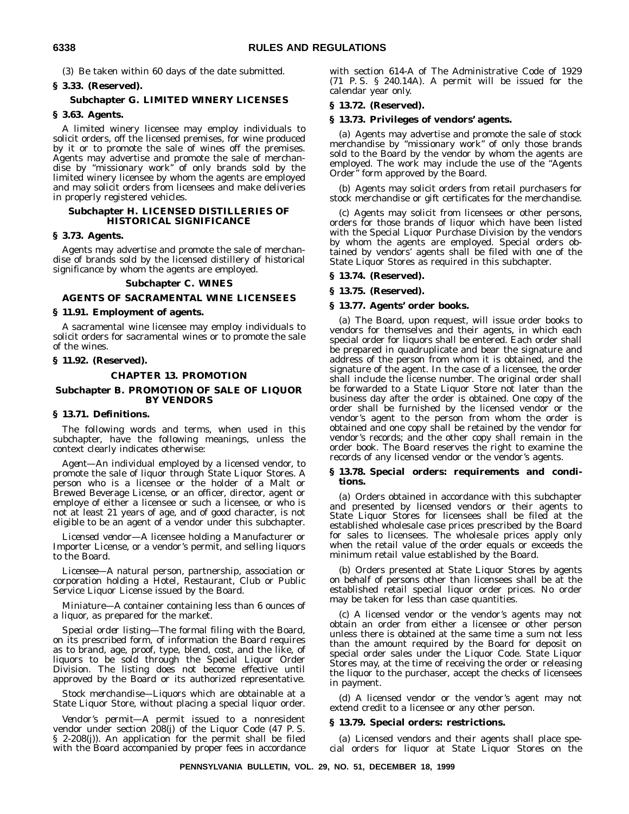(3) Be taken within 60 days of the date submitted.

#### **§ 3.33. (Reserved).**

#### **Subchapter G. LIMITED WINERY LICENSES**

#### **§ 3.63. Agents.**

A limited winery licensee may employ individuals to solicit orders, off the licensed premises, for wine produced by it or to promote the sale of wines off the premises. Agents may advertise and promote the sale of merchandise by ''missionary work'' of only brands sold by the limited winery licensee by whom the agents are employed and may solicit orders from licensees and make deliveries in properly registered vehicles.

#### **Subchapter H. LICENSED DISTILLERIES OF HISTORICAL SIGNIFICANCE**

#### **§ 3.73. Agents.**

Agents may advertise and promote the sale of merchandise of brands sold by the licensed distillery of historical significance by whom the agents are employed.

#### **Subchapter C. WINES**

#### **AGENTS OF SACRAMENTAL WINE LICENSEES**

#### **§ 11.91. Employment of agents.**

A sacramental wine licensee may employ individuals to solicit orders for sacramental wines or to promote the sale of the wines.

#### **§ 11.92. (Reserved).**

#### **CHAPTER 13. PROMOTION**

#### **Subchapter B. PROMOTION OF SALE OF LIQUOR BY VENDORS**

#### **§ 13.71. Definitions.**

The following words and terms, when used in this subchapter, have the following meanings, unless the context clearly indicates otherwise:

*Agent*—An individual employed by a licensed vendor, to promote the sale of liquor through State Liquor Stores. A person who is a licensee or the holder of a Malt or Brewed Beverage License, or an officer, director, agent or employe of either a licensee or such a licensee, or who is not at least 21 years of age, and of good character, is not eligible to be an agent of a vendor under this subchapter.

*Licensed vendor*—A licensee holding a Manufacturer or Importer License, or a vendor's permit, and selling liquors to the Board.

*Licensee*—A natural person, partnership, association or corporation holding a Hotel, Restaurant, Club or Public Service Liquor License issued by the Board.

*Miniature*—A container containing less than 6 ounces of a liquor, as prepared for the market.

*Special order listing*—The formal filing with the Board, on its prescribed form, of information the Board requires as to brand, age, proof, type, blend, cost, and the like, of liquors to be sold through the Special Liquor Order Division. The listing does not become effective until approved by the Board or its authorized representative.

*Stock merchandise*—Liquors which are obtainable at a State Liquor Store, without placing a special liquor order.

*Vendor's permit*—A permit issued to a nonresident vendor under section 208(j) of the Liquor Code (47 P. S. § 2-208(j)). An application for the permit shall be filed with the Board accompanied by proper fees in accordance

with section 614-A of The Administrative Code of 1929 (71 P. S. § 240.14A). A permit will be issued for the calendar year only.

#### **§ 13.72. (Reserved).**

#### **§ 13.73. Privileges of vendors' agents.**

(a) Agents may advertise and promote the sale of stock merchandise by ''missionary work'' of only those brands sold to the Board by the vendor by whom the agents are employed. The work may include the use of the ''Agents Order'' form approved by the Board.

(b) Agents may solicit orders from retail purchasers for stock merchandise or gift certificates for the merchandise.

(c) Agents may solicit from licensees or other persons, orders for those brands of liquor which have been listed with the Special Liquor Purchase Division by the vendors by whom the agents are employed. Special orders obtained by vendors' agents shall be filed with one of the State Liquor Stores as required in this subchapter.

#### **§ 13.74. (Reserved).**

#### **§ 13.75. (Reserved).**

#### **§ 13.77. Agents' order books.**

(a) The Board, upon request, will issue order books to vendors for themselves and their agents, in which each special order for liquors shall be entered. Each order shall be prepared in quadruplicate and bear the signature and address of the person from whom it is obtained, and the signature of the agent. In the case of a licensee, the order shall include the license number. The original order shall be forwarded to a State Liquor Store not later than the business day after the order is obtained. One copy of the order shall be furnished by the licensed vendor or the vendor's agent to the person from whom the order is obtained and one copy shall be retained by the vendor for vendor's records; and the other copy shall remain in the order book. The Board reserves the right to examine the records of any licensed vendor or the vendor's agents.

#### **§ 13.78. Special orders: requirements and conditions.**

(a) Orders obtained in accordance with this subchapter and presented by licensed vendors or their agents to State Liquor Stores for licensees shall be filed at the established wholesale case prices prescribed by the Board for sales to licensees. The wholesale prices apply only when the retail value of the order equals or exceeds the minimum retail value established by the Board.

(b) Orders presented at State Liquor Stores by agents on behalf of persons other than licensees shall be at the established retail special liquor order prices. No order may be taken for less than case quantities.

(c) A licensed vendor or the vendor's agents may not obtain an order from either a licensee or other person unless there is obtained at the same time a sum not less than the amount required by the Board for deposit on special order sales under the Liquor Code. State Liquor Stores may, at the time of receiving the order or releasing the liquor to the purchaser, accept the checks of licensees in payment.

(d) A licensed vendor or the vendor's agent may not extend credit to a licensee or any other person.

#### **§ 13.79. Special orders: restrictions.**

(a) Licensed vendors and their agents shall place special orders for liquor at State Liquor Stores on the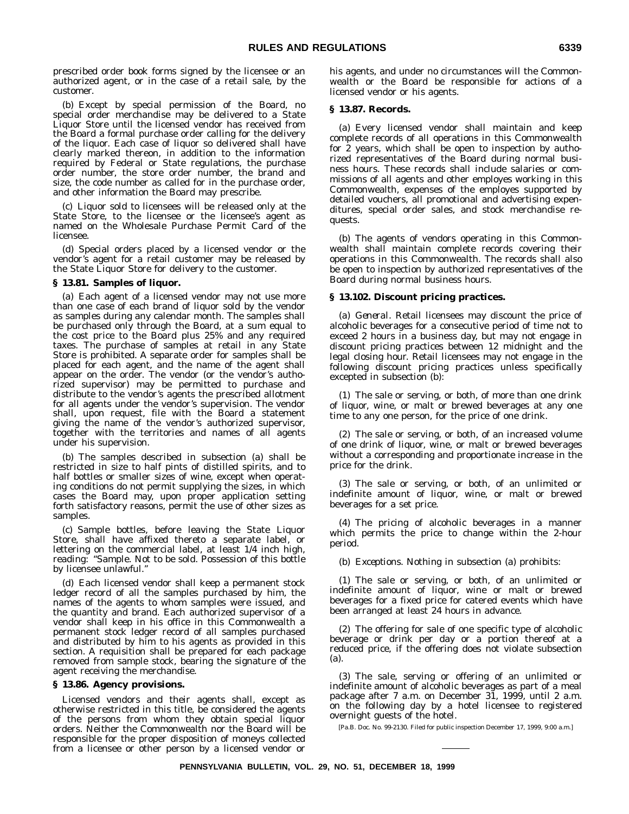prescribed order book forms signed by the licensee or an authorized agent, or in the case of a retail sale, by the customer.

(b) Except by special permission of the Board, no special order merchandise may be delivered to a State Liquor Store until the licensed vendor has received from the Board a formal purchase order calling for the delivery of the liquor. Each case of liquor so delivered shall have clearly marked thereon, in addition to the information required by Federal or State regulations, the purchase order number, the store order number, the brand and size, the code number as called for in the purchase order, and other information the Board may prescribe.

(c) Liquor sold to licensees will be released only at the State Store, to the licensee or the licensee's agent as named on the Wholesale Purchase Permit Card of the licensee.

(d) Special orders placed by a licensed vendor or the vendor's agent for a retail customer may be released by the State Liquor Store for delivery to the customer.

#### **§ 13.81. Samples of liquor.**

(a) Each agent of a licensed vendor may not use more than one case of each brand of liquor sold by the vendor as samples during any calendar month. The samples shall be purchased only through the Board, at a sum equal to the cost price to the Board plus 25% and any required taxes. The purchase of samples at retail in any State Store is prohibited. A separate order for samples shall be placed for each agent, and the name of the agent shall appear on the order. The vendor (or the vendor's authorized supervisor) may be permitted to purchase and distribute to the vendor's agents the prescribed allotment for all agents under the vendor's supervision. The vendor shall, upon request, file with the Board a statement giving the name of the vendor's authorized supervisor, together with the territories and names of all agents under his supervision.

(b) The samples described in subsection (a) shall be restricted in size to half pints of distilled spirits, and to half bottles or smaller sizes of wine, except when operating conditions do not permit supplying the sizes, in which cases the Board may, upon proper application setting forth satisfactory reasons, permit the use of other sizes as samples.

(c) Sample bottles, before leaving the State Liquor Store, shall have affixed thereto a separate label, or lettering on the commercial label, at least 1/4 inch high, reading: ''Sample. Not to be sold. Possession of this bottle by licensee unlawful.''

(d) Each licensed vendor shall keep a permanent stock ledger record of all the samples purchased by him, the names of the agents to whom samples were issued, and the quantity and brand. Each authorized supervisor of a vendor shall keep in his office in this Commonwealth a permanent stock ledger record of all samples purchased and distributed by him to his agents as provided in this section. A requisition shall be prepared for each package removed from sample stock, bearing the signature of the agent receiving the merchandise.

#### **§ 13.86. Agency provisions.**

Licensed vendors and their agents shall, except as otherwise restricted in this title, be considered the agents of the persons from whom they obtain special liquor orders. Neither the Commonwealth nor the Board will be responsible for the proper disposition of moneys collected from a licensee or other person by a licensed vendor or

his agents, and under no circumstances will the Commonwealth or the Board be responsible for actions of a licensed vendor or his agents.

#### **§ 13.87. Records.**

(a) Every licensed vendor shall maintain and keep complete records of all operations in this Commonwealth for 2 years, which shall be open to inspection by authorized representatives of the Board during normal business hours. These records shall include salaries or commissions of all agents and other employes working in this Commonwealth, expenses of the employes supported by detailed vouchers, all promotional and advertising expenditures, special order sales, and stock merchandise requests.

(b) The agents of vendors operating in this Commonwealth shall maintain complete records covering their operations in this Commonwealth. The records shall also be open to inspection by authorized representatives of the Board during normal business hours.

#### **§ 13.102. Discount pricing practices.**

(a) *General.* Retail licensees may discount the price of alcoholic beverages for a consecutive period of time not to exceed 2 hours in a business day, but may not engage in discount pricing practices between 12 midnight and the legal closing hour. Retail licensees may not engage in the following discount pricing practices unless specifically excepted in subsection (b):

(1) The sale or serving, or both, of more than one drink of liquor, wine, or malt or brewed beverages at any one time to any one person, for the price of one drink.

(2) The sale or serving, or both, of an increased volume of one drink of liquor, wine, or malt or brewed beverages without a corresponding and proportionate increase in the price for the drink.

(3) The sale or serving, or both, of an unlimited or indefinite amount of liquor, wine, or malt or brewed beverages for a set price.

(4) The pricing of alcoholic beverages in a manner which permits the price to change within the 2-hour period.

(b) *Exceptions.* Nothing in subsection (a) prohibits:

(1) The sale or serving, or both, of an unlimited or indefinite amount of liquor, wine or malt or brewed beverages for a fixed price for catered events which have been arranged at least 24 hours in advance.

(2) The offering for sale of one specific type of alcoholic beverage or drink per day or a portion thereof at a reduced price, if the offering does not violate subsection (a).

(3) The sale, serving or offering of an unlimited or indefinite amount of alcoholic beverages as part of a meal package after 7 a.m. on December 31, 1999, until 2 a.m. on the following day by a hotel licensee to registered overnight guests of the hotel.

[Pa.B. Doc. No. 99-2130. Filed for public inspection December 17, 1999, 9:00 a.m.]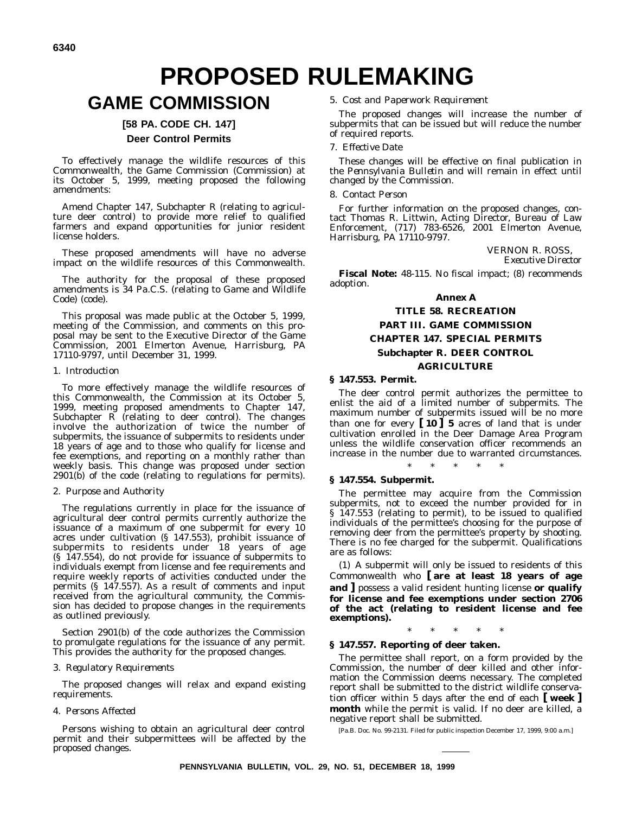# **PROPOSED RULEMAKING**

## **GAME COMMISSION**

#### **[58 PA. CODE CH. 147] Deer Control Permits**

To effectively manage the wildlife resources of this Commonwealth, the Game Commission (Commission) at its October 5, 1999, meeting proposed the following amendments:

Amend Chapter 147, Subchapter R (relating to agriculture deer control) to provide more relief to qualified farmers and expand opportunities for junior resident license holders.

These proposed amendments will have no adverse impact on the wildlife resources of this Commonwealth.

The authority for the proposal of these proposed amendments is 34 Pa.C.S. (relating to Game and Wildlife Code) (code).

This proposal was made public at the October 5, 1999, meeting of the Commission, and comments on this proposal may be sent to the Executive Director of the Game Commission, 2001 Elmerton Avenue, Harrisburg, PA 17110-9797, until December 31, 1999.

#### 1. *Introduction*

To more effectively manage the wildlife resources of this Commonwealth, the Commission at its October 5, 1999, meeting proposed amendments to Chapter 147, Subchapter R (relating to deer control). The changes involve the authorization of twice the number of subpermits, the issuance of subpermits to residents under 18 years of age and to those who qualify for license and fee exemptions, and reporting on a monthly rather than weekly basis. This change was proposed under section  $2901(b)$  of the code (relating to regulations for permits).

#### 2. *Purpose and Authority*

The regulations currently in place for the issuance of agricultural deer control permits currently authorize the issuance of a maximum of one subpermit for every 10 acres under cultivation (§ 147.553), prohibit issuance of subpermits to residents under 18 years of age (§ 147.554), do not provide for issuance of subpermits to individuals exempt from license and fee requirements and require weekly reports of activities conducted under the permits (§ 147.557). As a result of comments and input received from the agricultural community, the Commission has decided to propose changes in the requirements as outlined previously.

Section 2901(b) of the code authorizes the Commission to promulgate regulations for the issuance of any permit. This provides the authority for the proposed changes.

#### 3. *Regulatory Requirements*

The proposed changes will relax and expand existing requirements.

#### 4. *Persons Affected*

Persons wishing to obtain an agricultural deer control permit and their subpermittees will be affected by the proposed changes.

5. *Cost and Paperwork Requirement*

The proposed changes will increase the number of subpermits that can be issued but will reduce the number of required reports.

#### 7. *Effective Date*

These changes will be effective on final publication in the *Pennsylvania Bulletin* and will remain in effect until changed by the Commission.

#### 8. *Contact Person*

For further information on the proposed changes, contact Thomas R. Littwin, Acting Director, Bureau of Law Enforcement, (717) 783-6526, 2001 Elmerton Avenue, Harrisburg, PA 17110-9797.

> VERNON R. ROSS, *Executive Director*

**Fiscal Note:** 48-115. No fiscal impact; (8) recommends adoption.

#### **Annex A**

#### **TITLE 58. RECREATION PART III. GAME COMMISSION CHAPTER 147. SPECIAL PERMITS Subchapter R. DEER CONTROL AGRICULTURE**

#### **§ 147.553. Permit.**

The deer control permit authorizes the permittee to enlist the aid of a limited number of subpermits. The maximum number of subpermits issued will be no more than one for every **[ 10 ] 5** acres of land that is under cultivation enrolled in the Deer Damage Area Program unless the wildlife conservation officer recommends an increase in the number due to warranted circumstances.

#### \*\*\*\*\*

#### **§ 147.554. Subpermit.**

The permittee may acquire from the Commission subpermits, not to exceed the number provided for in § 147.553 (relating to permit), to be issued to qualified individuals of the permittee's choosing for the purpose of removing deer from the permittee's property by shooting. There is no fee charged for the subpermit. Qualifications are as follows:

(1) A subpermit will only be issued to residents of this Commonwealth who **[ are at least 18 years of age and ]** possess a valid resident hunting license **or qualify for license and fee exemptions under section 2706 of the act (relating to resident license and fee exemptions).**

\*\*\*\*\*

#### **§ 147.557. Reporting of deer taken.**

The permittee shall report, on a form provided by the Commission, the number of deer killed and other information the Commission deems necessary. The completed report shall be submitted to the district wildlife conservation officer within 5 days after the end of each **[ week ] month** while the permit is valid. If no deer are killed, a negative report shall be submitted.

[Pa.B. Doc. No. 99-2131. Filed for public inspection December 17, 1999, 9:00 a.m.]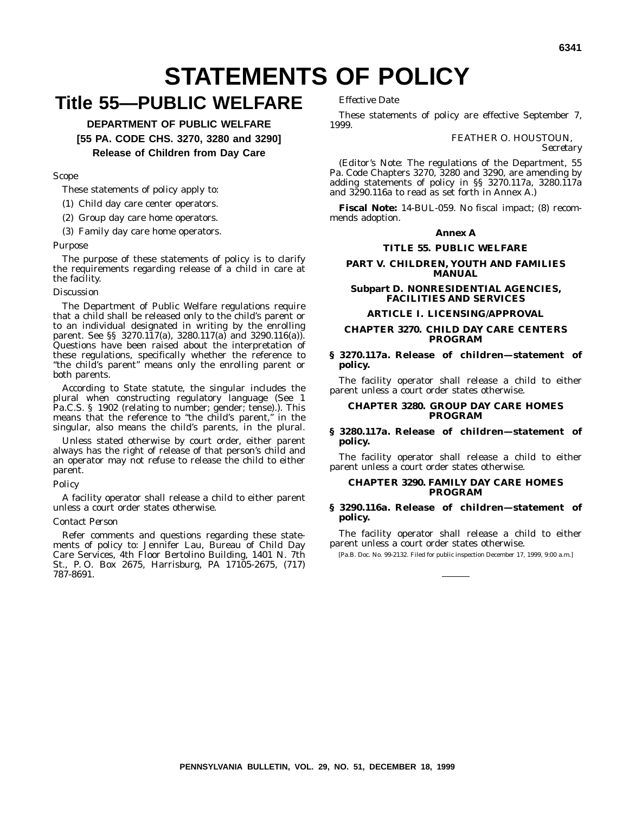## **STATEMENTS OF POLICY**

## **Title 55—PUBLIC WELFARE**

**DEPARTMENT OF PUBLIC WELFARE [55 PA. CODE CHS. 3270, 3280 and 3290] Release of Children from Day Care**

#### *Scope*

These statements of policy apply to:

- (1) Child day care center operators.
- (2) Group day care home operators.
- (3) Family day care home operators.

#### *Purpose*

The purpose of these statements of policy is to clarify the requirements regarding release of a child in care at the facility.

#### *Discussion*

The Department of Public Welfare regulations require that a child shall be released only to the child's parent or to an individual designated in writing by the enrolling parent. See §§ 3270.117(a), 3280.117(a) and 3290.116(a)). Questions have been raised about the interpretation of these regulations, specifically whether the reference to ''the child's parent'' means only the enrolling parent or both parents.

According to State statute, the singular includes the plural when constructing regulatory language (See 1 Pa.C.S. § 1902 (relating to number; gender; tense).). This means that the reference to ''the child's parent,'' in the singular, also means the child's parents, in the plural.

Unless stated otherwise by court order, either parent always has the right of release of that person's child and an operator may not refuse to release the child to either parent.

#### *Policy*

A facility operator shall release a child to either parent unless a court order states otherwise.

#### *Contact Person*

Refer comments and questions regarding these statements of policy to: Jennifer Lau, Bureau of Child Day Care Services, 4th Floor Bertolino Building, 1401 N. 7th St., P. O. Box 2675, Harrisburg, PA 17105-2675, (717) 787-8691.

*Effective Date*

These statements of policy are effective September 7, 1999.

FEATHER O. HOUSTOUN,

*Secretary*

(*Editor's Note*: The regulations of the Department, 55 Pa. Code Chapters 3270, 3280 and 3290, are amending by adding statements of policy in §§ 3270.117a, 3280.117a and 3290.116a to read as set forth in Annex A.)

**Fiscal Note:** 14-BUL-059. No fiscal impact; (8) recommends adoption.

#### **Annex A**

#### **TITLE 55. PUBLIC WELFARE**

#### **PART V. CHILDREN, YOUTH AND FAMILIES MANUAL**

#### **Subpart D. NONRESIDENTIAL AGENCIES, FACILITIES AND SERVICES**

#### **ARTICLE I. LICENSING/APPROVAL**

#### **CHAPTER 3270. CHILD DAY CARE CENTERS PROGRAM**

#### **§ 3270.117a. Release of children—statement of policy.**

The facility operator shall release a child to either parent unless a court order states otherwise.

#### **CHAPTER 3280. GROUP DAY CARE HOMES PROGRAM**

#### **§ 3280.117a. Release of children—statement of policy.**

The facility operator shall release a child to either parent unless a court order states otherwise.

#### **CHAPTER 3290. FAMILY DAY CARE HOMES PROGRAM**

#### **§ 3290.116a. Release of children—statement of policy.**

The facility operator shall release a child to either parent unless a court order states otherwise.

[Pa.B. Doc. No. 99-2132. Filed for public inspection December 17, 1999, 9:00 a.m.]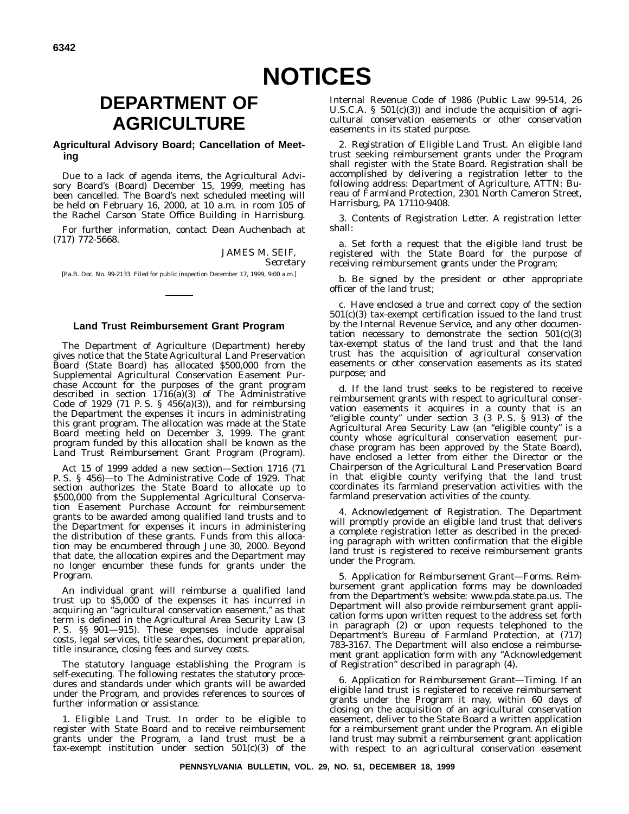## **DEPARTMENT OF AGRICULTURE**

#### **Agricultural Advisory Board; Cancellation of Meeting**

Due to a lack of agenda items, the Agricultural Advisory Board's (Board) December 15, 1999, meeting has been cancelled. The Board's next scheduled meeting will be held on February 16, 2000, at 10 a.m. in room 105 of the Rachel Carson State Office Building in Harrisburg.

For further information, contact Dean Auchenbach at (717) 772-5668.

> JAMES M. SEIF, *Secretary*

[Pa.B. Doc. No. 99-2133. Filed for public inspection December 17, 1999, 9:00 a.m.]

#### **Land Trust Reimbursement Grant Program**

The Department of Agriculture (Department) hereby gives notice that the State Agricultural Land Preservation Board (State Board) has allocated \$500,000 from the Supplemental Agricultural Conservation Easement Purchase Account for the purposes of the grant program described in section 1716(a)(3) of The Administrative Code of 1929 (71 P. S. § 456(a)(3)), and for reimbursing the Department the expenses it incurs in administrating this grant program. The allocation was made at the State Board meeting held on December 3, 1999. The grant program funded by this allocation shall be known as the Land Trust Reimbursement Grant Program (Program).

Act 15 of 1999 added a new section—Section 1716 (71 P. S. § 456)—to The Administrative Code of 1929. That section authorizes the State Board to allocate up to \$500,000 from the Supplemental Agricultural Conservation Easement Purchase Account for reimbursement grants to be awarded among qualified land trusts and to the Department for expenses it incurs in administering the distribution of these grants. Funds from this allocation may be encumbered through June 30, 2000. Beyond that date, the allocation expires and the Department may no longer encumber these funds for grants under the Program.

An individual grant will reimburse a qualified land trust up to \$5,000 of the expenses it has incurred in acquiring an ''agricultural conservation easement,'' as that term is defined in the Agricultural Area Security Law (3 P. S. §§ 901—915). These expenses include appraisal costs, legal services, title searches, document preparation, title insurance, closing fees and survey costs.

The statutory language establishing the Program is self-executing. The following restates the statutory procedures and standards under which grants will be awarded under the Program, and provides references to sources of further information or assistance.

1. *Eligible Land Trust.* In order to be eligible to register with State Board and to receive reimbursement grants under the Program, a land trust must be a tax-exempt institution under section 501(c)(3) of the

Internal Revenue Code of 1986 (Public Law 99-514, 26 U.S.C.A.  $\S$  501(c)(3)) and include the acquisition of agricultural conservation easements or other conservation easements in its stated purpose.

2. *Registration of Eligible Land Trust.* An eligible land trust seeking reimbursement grants under the Program shall register with the State Board. Registration shall be accomplished by delivering a registration letter to the following address: Department of Agriculture, ATTN: Bureau of Farmland Protection, 2301 North Cameron Street, Harrisburg, PA 17110-9408.

3. *Contents of Registration Letter.* A registration letter shall:

a. Set forth a request that the eligible land trust be registered with the State Board for the purpose of receiving reimbursement grants under the Program;

b. Be signed by the president or other appropriate officer of the land trust;

c. Have enclosed a true and correct copy of the section 501(c)(3) tax-exempt certification issued to the land trust by the Internal Revenue Service, and any other documentation necessary to demonstrate the section  $501(c)(3)$ tax-exempt status of the land trust and that the land trust has the acquisition of agricultural conservation easements or other conservation easements as its stated purpose; and

d. *If* the land trust seeks to be registered to receive reimbursement grants with respect to agricultural conservation easements it acquires in a county that is an ''eligible county'' under section 3 (3 P. S. § 913) of the Agricultural Area Security Law (an ''eligible county'' is a county whose agricultural conservation easement purchase program has been approved by the State Board), have enclosed a letter from either the Director or the Chairperson of the Agricultural Land Preservation Board in that eligible county verifying that the land trust coordinates its farmland preservation activities with the farmland preservation activities of the county.

4. *Acknowledgement of Registration.* The Department will promptly provide an eligible land trust that delivers a complete registration letter as described in the preceding paragraph with written confirmation that the eligible land trust is registered to receive reimbursement grants under the Program.

5. *Application for Reimbursement Grant—Forms.* Reimbursement grant application forms may be downloaded from the Department's website: www.pda.state.pa.us. The Department will also provide reimbursement grant application forms upon written request to the address set forth in paragraph (2) or upon requests telephoned to the Department's Bureau of Farmland Protection, at (717) 783-3167. The Department will also enclose a reimbursement grant application form with any ''Acknowledgement of Registration'' described in paragraph (4).

6. *Application for Reimbursement Grant—Timing.* If an eligible land trust is registered to receive reimbursement grants under the Program it may, within 60 days of closing on the acquisition of an agricultural conservation easement, deliver to the State Board a written application for a reimbursement grant under the Program. An eligible land trust may submit a reimbursement grant application with respect to an agricultural conservation easement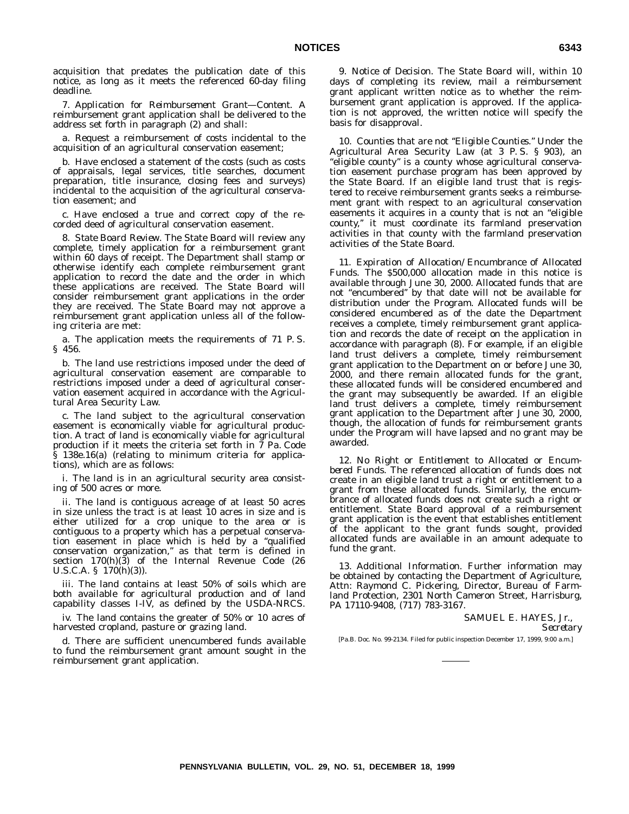acquisition that predates the publication date of this notice, as long as it meets the referenced 60-day filing deadline.

7. *Application for Reimbursement Grant—Content.* A reimbursement grant application shall be delivered to the address set forth in paragraph (2) and shall:

a. Request a reimbursement of costs incidental to the acquisition of an agricultural conservation easement;

b. Have enclosed a statement of the costs (such as costs of appraisals, legal services, title searches, document preparation, title insurance, closing fees and surveys) incidental to the acquisition of the agricultural conservation easement; and

c. Have enclosed a true and correct copy of the recorded deed of agricultural conservation easement.

8. *State Board Review.* The State Board will review any complete, timely application for a reimbursement grant within 60 days of receipt. The Department shall stamp or otherwise identify each complete reimbursement grant application to record the date and the order in which these applications are received. The State Board will consider reimbursement grant applications in the order they are received. The State Board may not approve a reimbursement grant application unless all of the following criteria are met:

a. The application meets the requirements of 71 P. S. § 456.

b. The land use restrictions imposed under the deed of agricultural conservation easement are comparable to restrictions imposed under a deed of agricultural conservation easement acquired in accordance with the Agricultural Area Security Law.

c. The land subject to the agricultural conservation easement is economically viable for agricultural production. A tract of land is economically viable for agricultural production if it meets the criteria set forth in 7 Pa. Code § 138e.16(a) (relating to minimum criteria for applications), which are as follows:

i. The land is in an agricultural security area consisting of 500 acres or more.

ii. The land is contiguous acreage of at least 50 acres in size unless the tract is at least 10 acres in size and is either utilized for a crop unique to the area or is contiguous to a property which has a perpetual conservation easement in place which is held by a ''qualified conservation organization,'' as that term is defined in section 170(h)(3) of the Internal Revenue Code (26 U.S.C.A. § 170(h)(3)).

iii. The land contains at least 50% of soils which are both available for agricultural production and of land capability classes I-IV, as defined by the USDA-NRCS.

iv. The land contains the greater of 50% or 10 acres of harvested cropland, pasture or grazing land.

d. There are sufficient unencumbered funds available to fund the reimbursement grant amount sought in the reimbursement grant application.

9. *Notice of Decision.* The State Board will, within 10 days of completing its review, mail a reimbursement grant applicant written notice as to whether the reimbursement grant application is approved. If the application is not approved, the written notice will specify the basis for disapproval.

10. *Counties that are not ''Eligible Counties.''* Under the Agricultural Area Security Law (at 3 P. S. § 903), an ''eligible county'' is a county whose agricultural conservation easement purchase program has been approved by the State Board. If an eligible land trust that is registered to receive reimbursement grants seeks a reimbursement grant with respect to an agricultural conservation easements it acquires in a county that is not an ''eligible county,'' it must coordinate its farmland preservation activities in that county with the farmland preservation activities of the State Board.

11. *Expiration of Allocation/Encumbrance of Allocated Funds.* The \$500,000 allocation made in this notice is available through June 30, 2000. Allocated funds that are not ''encumbered'' by that date will not be available for distribution under the Program. Allocated funds will be considered encumbered as of the date the Department receives a complete, timely reimbursement grant application and records the date of receipt on the application in accordance with paragraph (8). For example, if an eligible land trust delivers a complete, timely reimbursement grant application to the Department on or before June 30, 2000, and there remain allocated funds for the grant, these allocated funds will be considered encumbered and the grant may subsequently be awarded. If an eligible land trust delivers a complete, timely reimbursement grant application to the Department after June 30, 2000, though, the allocation of funds for reimbursement grants under the Program will have lapsed and no grant may be awarded.

12. *No Right or Entitlement to Allocated or Encumbered Funds.* The referenced allocation of funds does not create in an eligible land trust a right or entitlement to a grant from these allocated funds. Similarly, the encumbrance of allocated funds does not create such a right or entitlement. State Board approval of a reimbursement grant application is the event that establishes entitlement of the applicant to the grant funds sought, provided allocated funds are available in an amount adequate to fund the grant.

13. *Additional Information.* Further information may be obtained by contacting the Department of Agriculture, Attn: Raymond C. Pickering, Director, Bureau of Farmland Protection, 2301 North Cameron Street, Harrisburg, PA 17110-9408, (717) 783-3167.

> SAMUEL E. HAYES, Jr., *Secretary*

[Pa.B. Doc. No. 99-2134. Filed for public inspection December 17, 1999, 9:00 a.m.]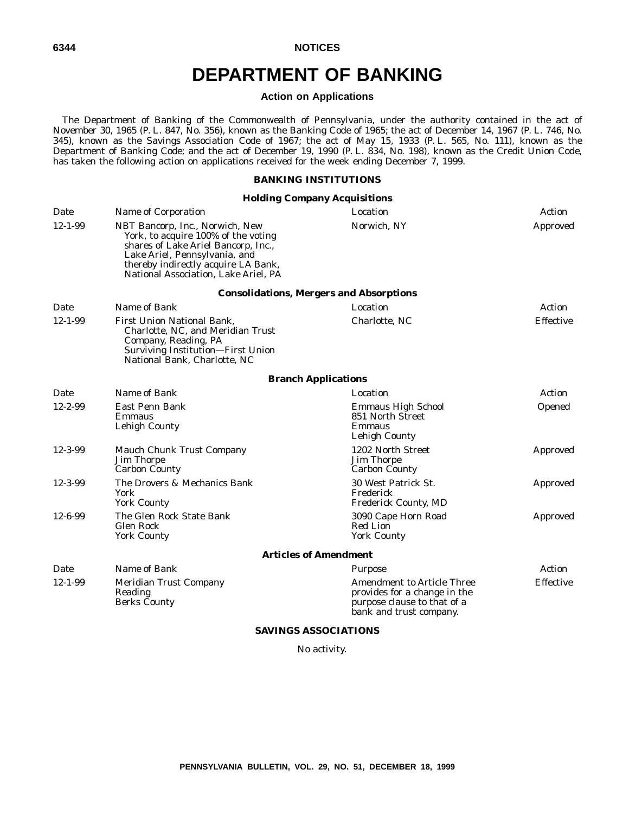## **DEPARTMENT OF BANKING**

#### **Action on Applications**

The Department of Banking of the Commonwealth of Pennsylvania, under the authority contained in the act of November 30, 1965 (P. L. 847, No. 356), known as the Banking Code of 1965; the act of December 14, 1967 (P. L. 746, No. 345), known as the Savings Association Code of 1967; the act of May 15, 1933 (P. L. 565, No. 111), known as the Department of Banking Code; and the act of December 19, 1990 (P. L. 834, No. 198), known as the Credit Union Code, has taken the following action on applications received for the week ending December 7, 1999.

#### **BANKING INSTITUTIONS**

#### **Holding Company Acquisitions**

| Date          | Name of Corporation                                                                                                                                                                                                           | Location                                                                                                                    | Action    |
|---------------|-------------------------------------------------------------------------------------------------------------------------------------------------------------------------------------------------------------------------------|-----------------------------------------------------------------------------------------------------------------------------|-----------|
| $12 - 1 - 99$ | NBT Bancorp, Inc., Norwich, New<br>York, to acquire 100% of the voting<br>shares of Lake Ariel Bancorp, Inc.,<br>Lake Ariel, Pennsylvania, and<br>thereby indirectly acquire LA Bank,<br>National Association, Lake Ariel, PA | Norwich, NY                                                                                                                 | Approved  |
|               |                                                                                                                                                                                                                               | <b>Consolidations, Mergers and Absorptions</b>                                                                              |           |
| Date          | Name of Bank                                                                                                                                                                                                                  | Location                                                                                                                    | Action    |
| $12 - 1 - 99$ | <b>First Union National Bank.</b><br>Charlotte, NC, and Meridian Trust<br>Company, Reading, PA<br>Surviving Institution-First Union<br>National Bank, Charlotte, NC                                                           | Charlotte, NC                                                                                                               | Effective |
|               |                                                                                                                                                                                                                               | <b>Branch Applications</b>                                                                                                  |           |
| Date          | Name of Bank                                                                                                                                                                                                                  | Location                                                                                                                    | Action    |
| $12 - 2 - 99$ | East Penn Bank<br>Emmaus<br>Lehigh County                                                                                                                                                                                     | <b>Emmaus High School</b><br>851 North Street<br>Emmaus<br>Lehigh County                                                    | Opened    |
| $12 - 3 - 99$ | Mauch Chunk Trust Company<br><b>Jim Thorpe</b><br><b>Carbon County</b>                                                                                                                                                        | 1202 North Street<br><b>Jim Thorpe</b><br><b>Carbon County</b>                                                              | Approved  |
| $12 - 3 - 99$ | The Drovers & Mechanics Bank<br>York<br><b>York County</b>                                                                                                                                                                    | 30 West Patrick St.<br>Frederick<br><b>Frederick County, MD</b>                                                             | Approved  |
| $12 - 6 - 99$ | The Glen Rock State Bank<br>Glen Rock<br><b>York County</b>                                                                                                                                                                   | 3090 Cape Horn Road<br>Red Lion<br><b>York County</b>                                                                       | Approved  |
|               |                                                                                                                                                                                                                               | <b>Articles of Amendment</b>                                                                                                |           |
| Date          | Name of Bank                                                                                                                                                                                                                  | Purpose                                                                                                                     | Action    |
| $12 - 1 - 99$ | Meridian Trust Company<br>Reading<br><b>Berks County</b>                                                                                                                                                                      | <b>Amendment to Article Three</b><br>provides for a change in the<br>purpose clause to that of a<br>bank and trust company. | Effective |

#### **SAVINGS ASSOCIATIONS**

No activity.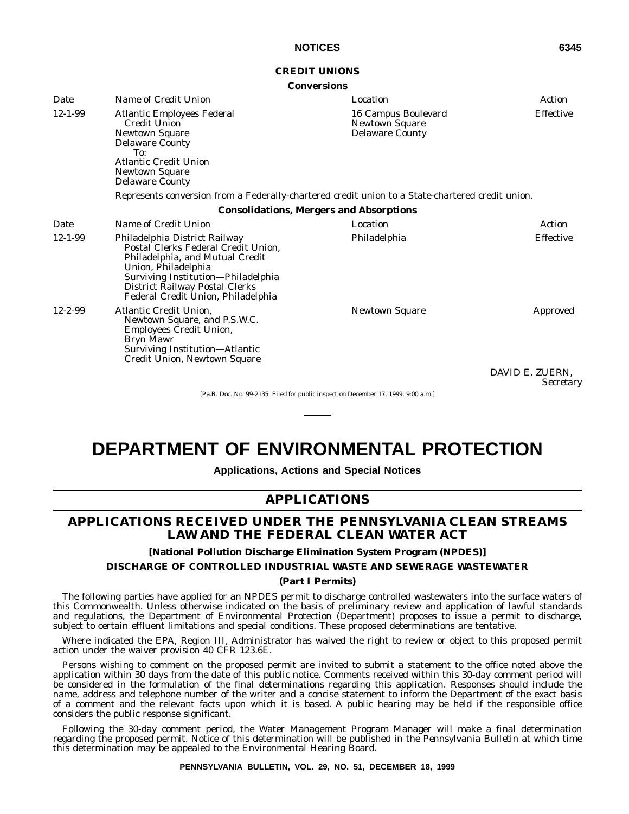#### **CREDIT UNIONS**

#### **Conversions**

| Date          | Name of Credit Union                                                                                                                                                                                                                         | Location                                                               | Action           |
|---------------|----------------------------------------------------------------------------------------------------------------------------------------------------------------------------------------------------------------------------------------------|------------------------------------------------------------------------|------------------|
| $12 - 1 - 99$ | <b>Atlantic Employees Federal</b><br><b>Credit Union</b><br><b>Newtown Square</b><br><b>Delaware County</b><br>To:<br><b>Atlantic Credit Union</b><br><b>Newtown Square</b><br><b>Delaware County</b>                                        | 16 Campus Boulevard<br><b>Newtown Square</b><br><b>Delaware County</b> | <b>Effective</b> |
|               | Represents conversion from a Federally-chartered credit union to a State-chartered credit union.                                                                                                                                             |                                                                        |                  |
|               |                                                                                                                                                                                                                                              | <b>Consolidations, Mergers and Absorptions</b>                         |                  |
| Date          | Name of Credit Union                                                                                                                                                                                                                         | Location                                                               | Action           |
| $12 - 1 - 99$ | Philadelphia District Railway<br>Postal Clerks Federal Credit Union,<br>Philadelphia, and Mutual Credit<br>Union, Philadelphia<br>Surviving Institution-Philadelphia<br>District Railway Postal Clerks<br>Federal Credit Union, Philadelphia | Philadelphia                                                           | <b>Effective</b> |
| $12 - 2 - 99$ | Atlantic Credit Union,<br>Newtown Square, and P.S.W.C.<br>Employees Credit Union,<br>Bryn Mawr<br>Surviving Institution—Atlantic<br>Credit Union, Newtown Square                                                                             | <b>Newtown Square</b>                                                  | Approved         |
|               |                                                                                                                                                                                                                                              |                                                                        | DAVID E. ZUERN   |

DAVID E. ZUERN, *Secretary*

[Pa.B. Doc. No. 99-2135. Filed for public inspection December 17, 1999, 9:00 a.m.]

## **DEPARTMENT OF ENVIRONMENTAL PROTECTION**

**Applications, Actions and Special Notices**

#### **APPLICATIONS**

#### **APPLICATIONS RECEIVED UNDER THE PENNSYLVANIA CLEAN STREAMS LAW AND THE FEDERAL CLEAN WATER ACT**

**[National Pollution Discharge Elimination System Program (NPDES)]**

**DISCHARGE OF CONTROLLED INDUSTRIAL WASTE AND SEWERAGE WASTEWATER**

#### **(Part I Permits)**

The following parties have applied for an NPDES permit to discharge controlled wastewaters into the surface waters of this Commonwealth. Unless otherwise indicated on the basis of preliminary review and application of lawful standards and regulations, the Department of Environmental Protection (Department) proposes to issue a permit to discharge, subject to certain effluent limitations and special conditions. These proposed determinations are tentative.

Where indicated the EPA, Region III, Administrator has waived the right to review or object to this proposed permit action under the waiver provision 40 CFR 123.6E.

Persons wishing to comment on the proposed permit are invited to submit a statement to the office noted above the application within 30 days from the date of this public notice. Comments received within this 30-day comment period will be considered in the formulation of the final determinations regarding this application. Responses should include the name, address and telephone number of the writer and a concise statement to inform the Department of the exact basis of a comment and the relevant facts upon which it is based. A public hearing may be held if the responsible office considers the public response significant.

Following the 30-day comment period, the Water Management Program Manager will make a final determination regarding the proposed permit. Notice of this determination will be published in the *Pennsylvania Bulletin* at which time this determination may be appealed to the Environmental Hearing Board.

**PENNSYLVANIA BULLETIN, VOL. 29, NO. 51, DECEMBER 18, 1999**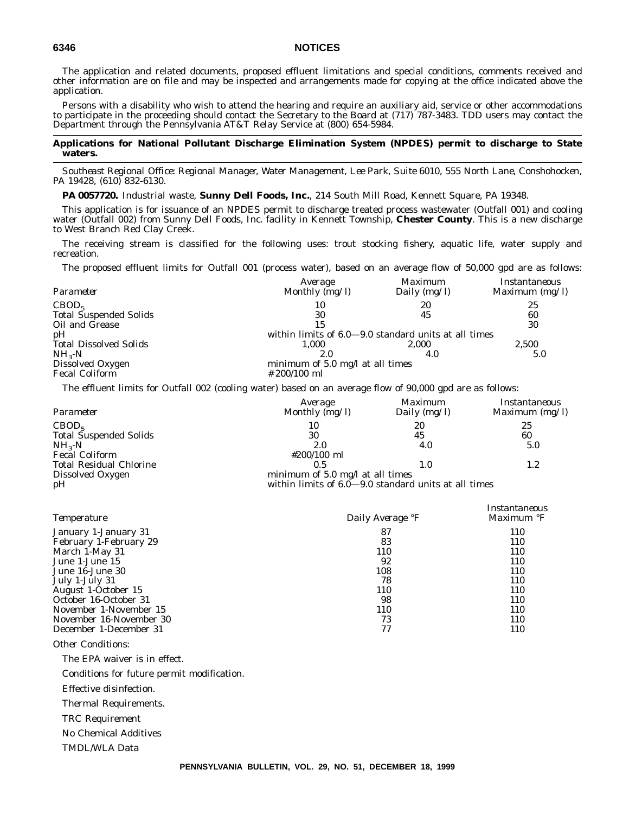The application and related documents, proposed effluent limitations and special conditions, comments received and other information are on file and may be inspected and arrangements made for copying at the office indicated above the application.

Persons with a disability who wish to attend the hearing and require an auxiliary aid, service or other accommodations to participate in the proceeding should contact the Secretary to the Board at (717) 787-3483. TDD users may contact the Department through the Pennsylvania AT&T Relay Service at (800) 654-5984.

#### **Applications for National Pollutant Discharge Elimination System (NPDES) permit to discharge to State waters.**

*Southeast Regional Office: Regional Manager, Water Management, Lee Park, Suite 6010, 555 North Lane, Conshohocken, PA 19428, (610) 832-6130.*

**PA 0057720.** Industrial waste, **Sunny Dell Foods, Inc.**, 214 South Mill Road, Kennett Square, PA 19348.

This application is for issuance of an NPDES permit to discharge treated process wastewater (Outfall 001) and cooling water (Outfall 002) from Sunny Dell Foods, Inc. facility in Kennett Township, **Chester County**. This is a new discharge to West Branch Red Clay Creek.

The receiving stream is classified for the following uses: trout stocking fishery, aquatic life, water supply and recreation.

The proposed effluent limits for Outfall 001 (process water), based on an average flow of 50,000 gpd are as follows:

|                               | Average                                              | Maximum        | Instantaneous    |
|-------------------------------|------------------------------------------------------|----------------|------------------|
| Parameter                     | Monthly $(mg/l)$                                     | Daily $(mg/l)$ | Maximum $(mg/l)$ |
| CBOD <sub>5</sub>             | 10                                                   | 20             | 25               |
| <b>Total Suspended Solids</b> | 30                                                   | 45             | 60               |
| Oil and Grease                | 15                                                   |                | 30               |
| pH                            | within limits of 6.0–9.0 standard units at all times |                |                  |
| <b>Total Dissolved Solids</b> | 1.000                                                | 2.000          | 2,500            |
| $NH_{3}-N$                    | 2.0                                                  | 4.0            | 5.0              |
| Dissolved Oxygen              | minimum of $5.0$ mg/l at all times                   |                |                  |
| <b>Fecal Coliform</b>         | $\# 200/100$ ml                                      |                |                  |
|                               |                                                      |                |                  |

The effluent limits for Outfall 002 (cooling water) based on an average flow of 90,000 gpd are as follows:

|                                | Average                                                            | Maximum        | Instantaneous    |
|--------------------------------|--------------------------------------------------------------------|----------------|------------------|
| Parameter                      | Monthly $(mg/l)$                                                   | Daily $(mg/l)$ | Maximum $(mg/l)$ |
| CBOD <sub>5</sub>              | 10                                                                 | 20             | 25               |
| <b>Total Suspended Solids</b>  | 30                                                                 | 45             | 60               |
| $NH_{3}-N$                     | 2.0                                                                | 4.0            | 5.0              |
| <b>Fecal Coliform</b>          | #200/100 ml                                                        |                |                  |
| <b>Total Residual Chlorine</b> | 0.5                                                                | 1.0            | $1.2\,$          |
| Dissolved Oxygen               | minimum of $5.0$ mg/l at all times                                 |                |                  |
| pH                             | within limits of $6.\overline{0}$ -9.0 standard units at all times |                |                  |

| <i>Temperature</i>      | Daily Average <i>F</i> | Instantaneous<br>Maximum °F |
|-------------------------|------------------------|-----------------------------|
| January 1-January 31    | 87                     | 110                         |
| February 1-February 29  | 83                     | 110                         |
| March 1-May 31          | 110                    | 110                         |
| June 1-June 15          | 92                     | 110                         |
| June 16-June 30         | 108                    | 110                         |
| July 1-July 31          | 78                     | 110                         |
| August 1-October 15     | 110                    | 110                         |
| October 16-October 31   | 98                     | 110                         |
| November 1-November 15  | 110                    | 110                         |
| November 16-November 30 | 73                     | 110                         |
| December 1-December 31  |                        | 110                         |

*Other Conditions*:

The EPA waiver is in effect.

Conditions for future permit modification.

Effective disinfection.

Thermal Requirements.

TRC Requirement

No Chemical Additives

TMDL/WLA Data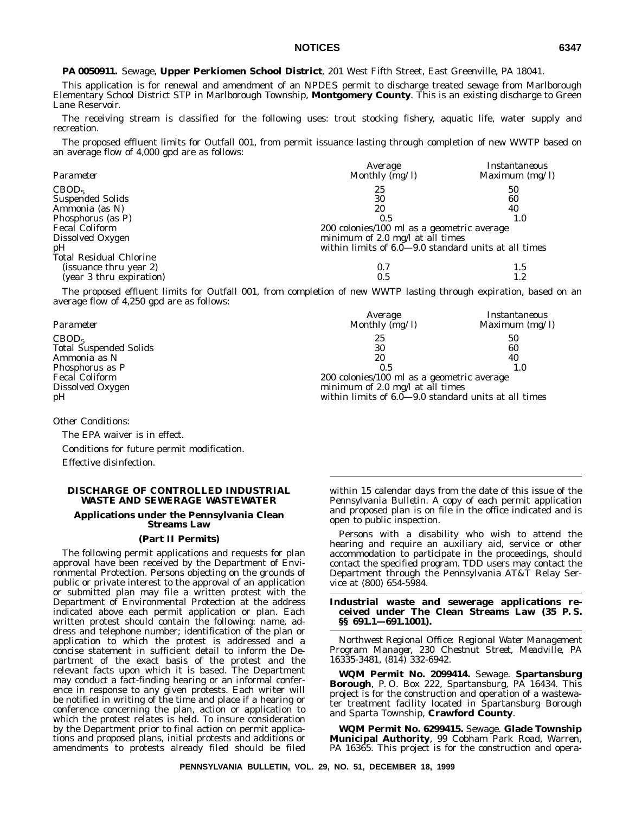# **NOTICES 6347**

**PA 0050911.** Sewage, **Upper Perkiomen School District**, 201 West Fifth Street, East Greenville, PA 18041.

This application is for renewal and amendment of an NPDES permit to discharge treated sewage from Marlborough Elementary School District STP in Marlborough Township, **Montgomery County**. This is an existing discharge to Green Lane Reservoir.

The receiving stream is classified for the following uses: trout stocking fishery, aquatic life, water supply and recreation.

The proposed effluent limits for Outfall 001, from permit issuance lasting through completion of new WWTP based on an average flow of 4,000 gpd are as follows:

|                                | Average                                              | Instantaneous    |
|--------------------------------|------------------------------------------------------|------------------|
| Parameter                      | Monthly $(mg/l)$                                     | Maximum $(mg/l)$ |
| CBOD <sub>5</sub>              | 25                                                   | 50               |
| <b>Suspended Solids</b>        | 30                                                   | 60               |
| Ammonia (as N)                 | 20                                                   | 40               |
| Phosphorus (as P)              | 0.5                                                  | 1.0              |
| <b>Fecal Coliform</b>          | 200 colonies/100 ml as a geometric average           |                  |
| Dissolved Oxygen               | minimum of 2.0 mg/l at all times                     |                  |
| pH                             | within limits of 6.0-9.0 standard units at all times |                  |
| <b>Total Residual Chlorine</b> |                                                      |                  |
| (issuance thru year 2)         | 0.7                                                  | 1.5              |
| (year 3 thru expiration)       | 0.5                                                  | 1.2              |

The proposed effluent limits for Outfall 001, from completion of new WWTP lasting through expiration, based on an average flow of 4,250 gpd are as follows:

| Parameter              | Average<br>Monthly (mg/l)                            | Instantaneous<br>Maximum $(mg/l)$ |
|------------------------|------------------------------------------------------|-----------------------------------|
| CBOD <sub>5</sub>      | 25                                                   | 50                                |
| Total Suspended Solids | 30                                                   | 60                                |
| Ammonia as N           | 20                                                   | 40                                |
| Phosphorus as P        | 0.5                                                  |                                   |
| Fecal Coliform         | 200 colonies/100 ml as a geometric average           |                                   |
| Dissolved Oxygen       | minimum of 2.0 mg/l at all times                     |                                   |
| pН                     | within limits of 6.0–9.0 standard units at all times |                                   |

*Other Conditions*:

The EPA waiver is in effect. Conditions for future permit modification. Effective disinfection.

#### **DISCHARGE OF CONTROLLED INDUSTRIAL WASTE AND SEWERAGE WASTEWATER**

#### **Applications under the Pennsylvania Clean Streams Law**

#### **(Part II Permits)**

The following permit applications and requests for plan approval have been received by the Department of Environmental Protection. Persons objecting on the grounds of public or private interest to the approval of an application or submitted plan may file a written protest with the Department of Environmental Protection at the address indicated above each permit application or plan. Each written protest should contain the following: name, address and telephone number; identification of the plan or application to which the protest is addressed and a concise statement in sufficient detail to inform the Department of the exact basis of the protest and the relevant facts upon which it is based. The Department may conduct a fact-finding hearing or an informal conference in response to any given protests. Each writer will be notified in writing of the time and place if a hearing or conference concerning the plan, action or application to which the protest relates is held. To insure consideration by the Department prior to final action on permit applications and proposed plans, initial protests and additions or amendments to protests already filed should be filed

within 15 calendar days from the date of this issue of the *Pennsylvania Bulletin.* A copy of each permit application and proposed plan is on file in the office indicated and is open to public inspection.

Persons with a disability who wish to attend the hearing and require an auxiliary aid, service or other accommodation to participate in the proceedings, should contact the specified program. TDD users may contact the Department through the Pennsylvania AT&T Relay Service at (800) 654-5984.

**Industrial waste and sewerage applications received under The Clean Streams Law (35 P. S. §§ 691.1—691.1001).**

*Northwest Regional Office: Regional Water Management Program Manager, 230 Chestnut Street, Meadville, PA 16335-3481, (814) 332-6942.*

**WQM Permit No. 2099414.** Sewage. **Spartansburg Borough**, P. O. Box 222, Spartansburg, PA 16434. This project is for the construction and operation of a wastewater treatment facility located in Spartansburg Borough and Sparta Township, **Crawford County**.

**WQM Permit No. 6299415.** Sewage. **Glade Township Municipal Authority**, 99 Cobham Park Road, Warren, PA 16365. This project is for the construction and opera-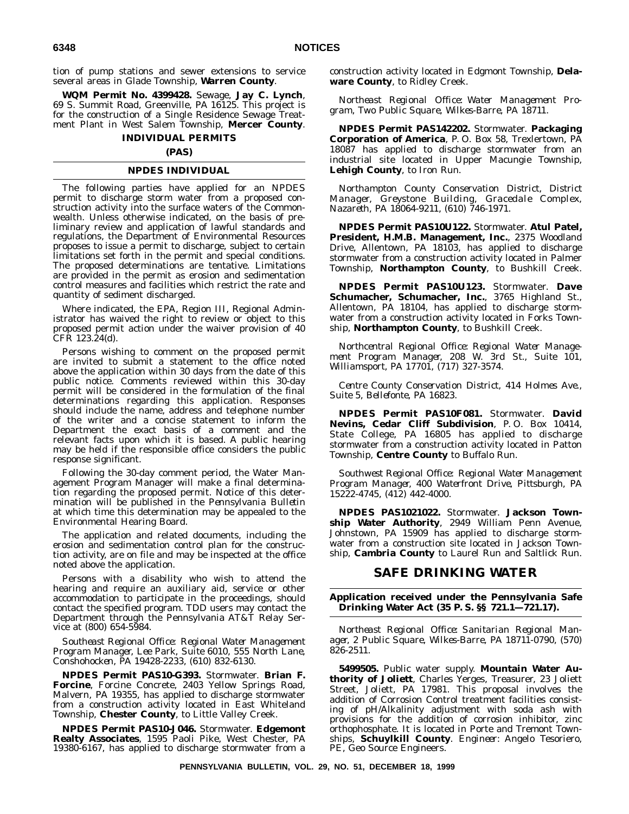tion of pump stations and sewer extensions to service several areas in Glade Township, **Warren County**.

**WQM Permit No. 4399428.** Sewage, **Jay C. Lynch**, 69 S. Summit Road, Greenville, PA 16125. This project is for the construction of a Single Residence Sewage Treatment Plant in West Salem Township, **Mercer County**.

## **INDIVIDUAL PERMITS**

# **(PAS)**

# **NPDES INDIVIDUAL**

The following parties have applied for an NPDES permit to discharge storm water from a proposed construction activity into the surface waters of the Commonwealth. Unless otherwise indicated, on the basis of preliminary review and application of lawful standards and regulations, the Department of Environmental Resources proposes to issue a permit to discharge, subject to certain limitations set forth in the permit and special conditions. The proposed determinations are tentative. Limitations are provided in the permit as erosion and sedimentation control measures and facilities which restrict the rate and quantity of sediment discharged.

Where indicated, the EPA, Region III, Regional Administrator has waived the right to review or object to this proposed permit action under the waiver provision of 40 CFR 123.24(d).

Persons wishing to comment on the proposed permit are invited to submit a statement to the office noted above the application within 30 days from the date of this public notice. Comments reviewed within this 30-day permit will be considered in the formulation of the final determinations regarding this application. Responses should include the name, address and telephone number of the writer and a concise statement to inform the Department the exact basis of a comment and the relevant facts upon which it is based. A public hearing may be held if the responsible office considers the public response significant.

Following the 30-day comment period, the Water Management Program Manager will make a final determination regarding the proposed permit. Notice of this determination will be published in the *Pennsylvania Bulletin* at which time this determination may be appealed to the Environmental Hearing Board.

The application and related documents, including the erosion and sedimentation control plan for the construction activity, are on file and may be inspected at the office noted above the application.

Persons with a disability who wish to attend the hearing and require an auxiliary aid, service or other accommodation to participate in the proceedings, should contact the specified program. TDD users may contact the Department through the Pennsylvania AT&T Relay Service at (800) 654-5984.

*Southeast Regional Office: Regional Water Management Program Manager, Lee Park, Suite 6010, 555 North Lane, Conshohocken, PA 19428-2233, (610) 832-6130.*

**NPDES Permit PAS10-G393.** Stormwater. **Brian F. Forcine**, Forcine Concrete, 2403 Yellow Springs Road, Malvern, PA 19355, has applied to discharge stormwater from a construction activity located in East Whiteland Township, **Chester County**, to Little Valley Creek.

**NPDES Permit PAS10-J046.** Stormwater. **Edgemont Realty Associates**, 1595 Paoli Pike, West Chester, PA 19380-6167, has applied to discharge stormwater from a

construction activity located in Edgmont Township, **Delaware County**, to Ridley Creek.

*Northeast Regional Office: Water Management Program, Two Public Square, Wilkes-Barre, PA 18711.*

**NPDES Permit PAS142202.** Stormwater. **Packaging Corporation of America**, P. O. Box 58, Trexlertown, PA 18087 has applied to discharge stormwater from an industrial site located in Upper Macungie Township, **Lehigh County**, to Iron Run.

*Northampton County Conservation District, District Manager, Greystone Building, Gracedale Complex, Nazareth, PA 18064-9211, (610) 746-1971.*

**NPDES Permit PAS10U122.** Stormwater. **Atul Patel, President, H.M.B. Management, Inc.**, 2375 Woodland Drive, Allentown, PA 18103, has applied to discharge stormwater from a construction activity located in Palmer Township, **Northampton County**, to Bushkill Creek.

**NPDES Permit PAS10U123.** Stormwater. **Dave Schumacher, Schumacher, Inc.**, 3765 Highland St., Allentown, PA 18104, has applied to discharge stormwater from a construction activity located in Forks Township, **Northampton County**, to Bushkill Creek.

*Northcentral Regional Office: Regional Water Management Program Manager, 208 W. 3rd St., Suite 101, Williamsport, PA 17701, (717) 327-3574.*

*Centre County Conservation District, 414 Holmes Ave., Suite 5, Bellefonte, PA 16823.*

**NPDES Permit PAS10F081.** Stormwater. **David Nevins, Cedar Cliff Subdivision**, P. O. Box 10414, State College, PA 16805 has applied to discharge stormwater from a construction activity located in Patton Township, **Centre County** to Buffalo Run.

*Southwest Regional Office: Regional Water Management Program Manager, 400 Waterfront Drive, Pittsburgh, PA 15222-4745, (412) 442-4000.*

**NPDES PAS1021022.** Stormwater. **Jackson Township Water Authority**, 2949 William Penn Avenue, Johnstown, PA 15909 has applied to discharge stormwater from a construction site located in Jackson Township, **Cambria County** to Laurel Run and Saltlick Run.

# **SAFE DRINKING WATER**

#### **Application received under the Pennsylvania Safe Drinking Water Act (35 P. S. §§ 721.1—721.17).**

*Northeast Regional Office: Sanitarian Regional Manager, 2 Public Square, Wilkes-Barre, PA 18711-0790, (570) 826-2511.*

**5499505.** Public water supply. **Mountain Water Authority of Joliett**, Charles Yerges, Treasurer, 23 Joliett Street, Joliett, PA 17981. This proposal involves the addition of Corrosion Control treatment facilities consisting of pH/Alkalinity adjustment with soda ash with provisions for the addition of corrosion inhibitor, zinc orthophosphate. It is located in Porte and Tremont Townships, **Schuylkill County**. *Engineer:* Angelo Tesoriero, PE, Geo Source Engineers.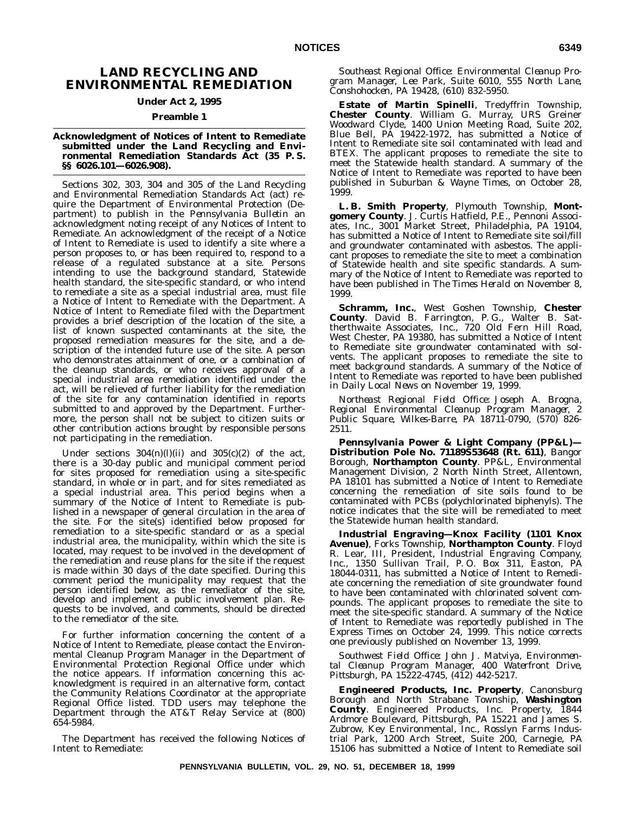# **LAND RECYCLING AND ENVIRONMENTAL REMEDIATION**

# **Under Act 2, 1995**

# **Preamble 1**

#### **Acknowledgment of Notices of Intent to Remediate submitted under the Land Recycling and Environmental Remediation Standards Act (35 P. S. §§ 6026.101—6026.908).**

Sections 302, 303, 304 and 305 of the Land Recycling and Environmental Remediation Standards Act (act) require the Department of Environmental Protection (Department) to publish in the *Pennsylvania Bulletin* an acknowledgment noting receipt of any Notices of Intent to Remediate. An acknowledgment of the receipt of a Notice of Intent to Remediate is used to identify a site where a person proposes to, or has been required to, respond to a release of a regulated substance at a site. Persons intending to use the background standard, Statewide health standard, the site-specific standard, or who intend to remediate a site as a special industrial area, must file a Notice of Intent to Remediate with the Department. A Notice of Intent to Remediate filed with the Department provides a brief description of the location of the site, a list of known suspected contaminants at the site, the proposed remediation measures for the site, and a description of the intended future use of the site. A person who demonstrates attainment of one, or a combination of the cleanup standards, or who receives approval of a special industrial area remediation identified under the act, will be relieved of further liability for the remediation of the site for any contamination identified in reports submitted to and approved by the Department. Furthermore, the person shall not be subject to citizen suits or other contribution actions brought by responsible persons not participating in the remediation.

Under sections  $304(n)(l)(ii)$  and  $305(c)(2)$  of the act, there is a 30-day public and municipal comment period for sites proposed for remediation using a site-specific standard, in whole or in part, and for sites remediated as a special industrial area. This period begins when a summary of the Notice of Intent to Remediate is published in a newspaper of general circulation in the area of the site. For the site(s) identified below proposed for remediation to a site-specific standard or as a special industrial area, the municipality, within which the site is located, may request to be involved in the development of the remediation and reuse plans for the site if the request is made within 30 days of the date specified. During this comment period the municipality may request that the person identified below, as the remediator of the site, develop and implement a public involvement plan. Requests to be involved, and comments, should be directed to the remediator of the site.

For further information concerning the content of a Notice of Intent to Remediate, please contact the Environmental Cleanup Program Manager in the Department of Environmental Protection Regional Office under which the notice appears. If information concerning this acknowledgment is required in an alternative form, contact the Community Relations Coordinator at the appropriate Regional Office listed. TDD users may telephone the Department through the AT&T Relay Service at (800) 654-5984.

The Department has received the following Notices of Intent to Remediate:

*Southeast Regional Office: Environmental Cleanup Program Manager, Lee Park, Suite 6010, 555 North Lane, Conshohocken, PA 19428, (610) 832-5950.*

**Estate of Martin Spinelli**, Tredyffrin Township, **Chester County**. William G. Murray, URS Greiner Woodward Clyde, 1400 Union Meeting Road, Suite 202, Blue Bell, PA 19422-1972, has submitted a Notice of Intent to Remediate site soil contaminated with lead and BTEX. The applicant proposes to remediate the site to meet the Statewide health standard. A summary of the Notice of Intent to Remediate was reported to have been published in *Suburban & Wayne Times*, on October 28, 1999.

**L. B. Smith Property**, Plymouth Township, **Montgomery County**. J. Curtis Hatfield, P.E., Pennoni Associates, Inc., 3001 Market Street, Philadelphia, PA 19104, has submitted a Notice of Intent to Remediate site soil/fill and groundwater contaminated with asbestos. The applicant proposes to remediate the site to meet a combination of Statewide health and site specific standards. A summary of the Notice of Intent to Remediate was reported to have been published in *The Times Herald* on November 8, 1999.

**Schramm, Inc.**, West Goshen Township, **Chester County**. David B. Farrington, P. G., Walter B. Sattherthwaite Associates, Inc., 720 Old Fern Hill Road, West Chester, PA 19380, has submitted a Notice of Intent to Remediate site groundwater contaminated with solvents. The applicant proposes to remediate the site to meet background standards. A summary of the Notice of Intent to Remediate was reported to have been published in *Daily Local News* on November 19, 1999.

*Northeast Regional Field Office: Joseph A. Brogna, Regional Environmental Cleanup Program Manager, 2 Public Square, Wilkes-Barre, PA 18711-0790, (570) 826- 2511.*

**Pennsylvania Power & Light Company (PP&L)— Distribution Pole No. 71189S53648 (Rt. 611)**, Bangor Borough, **Northampton County**. PP&L, Environmental Management Division, 2 North Ninth Street, Allentown, PA 18101 has submitted a Notice of Intent to Remediate concerning the remediation of site soils found to be contaminated with PCBs (polychlorinated biphenyls). The notice indicates that the site will be remediated to meet the Statewide human health standard.

**Industrial Engraving—Knox Facility (1101 Knox Avenue)**, Forks Township, **Northampton County**. Floyd R. Lear, III, President, Industrial Engraving Company, Inc., 1350 Sullivan Trail, P. O. Box 311, Easton, PA 18044-0311, has submitted a Notice of Intent to Remediate concerning the remediation of site groundwater found to have been contaminated with chlorinated solvent compounds. The applicant proposes to remediate the site to meet the site-specific standard. A summary of the Notice of Intent to Remediate was reportedly published in *The Express Times* on October 24, 1999. This notice corrects one previously published on November 13, 1999.

*Southwest Field Office: John J. Matviya, Environmental Cleanup Program Manager, 400 Waterfront Drive, Pittsburgh, PA 15222-4745, (412) 442-5217.*

**Engineered Products, Inc. Property**, Canonsburg Borough and North Strabane Township, **Washington County**. Engineered Products, Inc. Property, 1844 Ardmore Boulevard, Pittsburgh, PA 15221 and James S. Zubrow, Key Environmental, Inc., Rosslyn Farms Industrial Park, 1200 Arch Street, Suite 200, Carnegie, PA 15106 has submitted a Notice of Intent to Remediate soil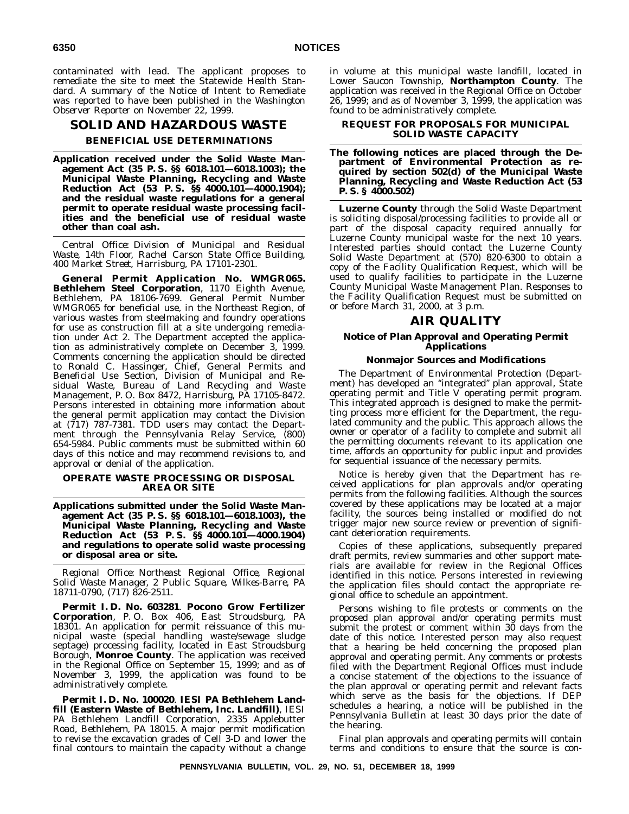contaminated with lead. The applicant proposes to remediate the site to meet the Statewide Health Standard. A summary of the Notice of Intent to Remediate was reported to have been published in the *Washington Observer Reporter* on November 22, 1999.

# **SOLID AND HAZARDOUS WASTE BENEFICIAL USE DETERMINATIONS**

**Application received under the Solid Waste Management Act (35 P. S. §§ 6018.101—6018.1003); the Municipal Waste Planning, Recycling and Waste Reduction Act (53 P. S. §§ 4000.101—4000.1904); and the residual waste regulations for a general permit to operate residual waste processing facilities and the beneficial use of residual waste other than coal ash.**

*Central Office: Division of Municipal and Residual Waste, 14th Floor, Rachel Carson State Office Building, 400 Market Street, Harrisburg, PA 17101-2301.*

**General Permit Application No. WMGR065. Bethlehem Steel Corporation**, 1170 Eighth Avenue, Bethlehem, PA 18106-7699. General Permit Number WMGR065 for beneficial use, in the Northeast Region, of various wastes from steelmaking and foundry operations for use as construction fill at a site undergoing remediation under Act 2. The Department accepted the application as administratively complete on December 3, 1999. Comments concerning the application should be directed to Ronald C. Hassinger, Chief, General Permits and Beneficial Use Section, Division of Municipal and Residual Waste, Bureau of Land Recycling and Waste Management, P. O. Box 8472, Harrisburg, PA 17105-8472. Persons interested in obtaining more information about the general permit application may contact the Division at (717) 787-7381. TDD users may contact the Department through the Pennsylvania Relay Service, (800) 654-5984. Public comments must be submitted within 60 days of this notice and may recommend revisions to, and approval or denial of the application.

#### **OPERATE WASTE PROCESSING OR DISPOSAL AREA OR SITE**

**Applications submitted under the Solid Waste Management Act (35 P. S. §§ 6018.101—6018.1003), the Municipal Waste Planning, Recycling and Waste Reduction Act (53 P. S. §§ 4000.101—4000.1904) and regulations to operate solid waste processing or disposal area or site.**

*Regional Office: Northeast Regional Office, Regional Solid Waste Manager, 2 Public Square, Wilkes-Barre, PA 18711-0790, (717) 826-2511.*

**Permit I. D. No. 603281**. **Pocono Grow Fertilizer Corporation**, P. O. Box 406, East Stroudsburg, PA 18301. An application for permit reissuance of this municipal waste (special handling waste/sewage sludge septage) processing facility, located in East Stroudsburg Borough, **Monroe County**. The application was received in the Regional Office on September 15, 1999; and as of November 3, 1999, the application was found to be administratively complete.

**Permit I. D. No. 100020**. **IESI PA Bethlehem Landfill (Eastern Waste of Bethlehem, Inc. Landfill)**, IESI PA Bethlehem Landfill Corporation, 2335 Applebutter Road, Bethlehem, PA 18015. A major permit modification to revise the excavation grades of Cell 3-D and lower the final contours to maintain the capacity without a change in volume at this municipal waste landfill, located in Lower Saucon Township, **Northampton County**. The application was received in the Regional Office on October  $26, 1999$ ; and as of November 3, 1999, the application was found to be administratively complete.

### **REQUEST FOR PROPOSALS FOR MUNICIPAL SOLID WASTE CAPACITY**

#### **The following notices are placed through the Department of Environmental Protection as required by section 502(d) of the Municipal Waste Planning, Recycling and Waste Reduction Act (53 P. S. § 4000.502)**

**Luzerne County** through the Solid Waste Department is soliciting disposal/processing facilities to provide all or part of the disposal capacity required annually for Luzerne County municipal waste for the next 10 years. Interested parties should contact the Luzerne County Solid Waste Department at (570) 820-6300 to obtain a copy of the Facility Qualification Request, which will be used to qualify facilities to participate in the Luzerne County Municipal Waste Management Plan. Responses to the Facility Qualification Request must be submitted on or before March 31, 2000, at 3 p.m.

# **AIR QUALITY**

#### **Notice of Plan Approval and Operating Permit Applications**

#### **Nonmajor Sources and Modifications**

The Department of Environmental Protection (Department) has developed an ''integrated'' plan approval, State operating permit and Title V operating permit program. This integrated approach is designed to make the permitting process more efficient for the Department, the regulated community and the public. This approach allows the owner or operator of a facility to complete and submit all the permitting documents relevant to its application one time, affords an opportunity for public input and provides for sequential issuance of the necessary permits.

Notice is hereby given that the Department has received applications for plan approvals and/or operating permits from the following facilities. Although the sources covered by these applications may be located at a major facility, the sources being installed or modified do not trigger major new source review or prevention of significant deterioration requirements.

Copies of these applications, subsequently prepared draft permits, review summaries and other support materials are available for review in the Regional Offices identified in this notice. Persons interested in reviewing the application files should contact the appropriate regional office to schedule an appointment.

Persons wishing to file protests or comments on the proposed plan approval and/or operating permits must submit the protest or comment within 30 days from the date of this notice. Interested person may also request that a hearing be held concerning the proposed plan approval and operating permit. Any comments or protests filed with the Department Regional Offices must include a concise statement of the objections to the issuance of the plan approval or operating permit and relevant facts which serve as the basis for the objections. If DEP schedules a hearing, a notice will be published in the *Pennsylvania Bulletin* at least 30 days prior the date of the hearing.

Final plan approvals and operating permits will contain terms and conditions to ensure that the source is con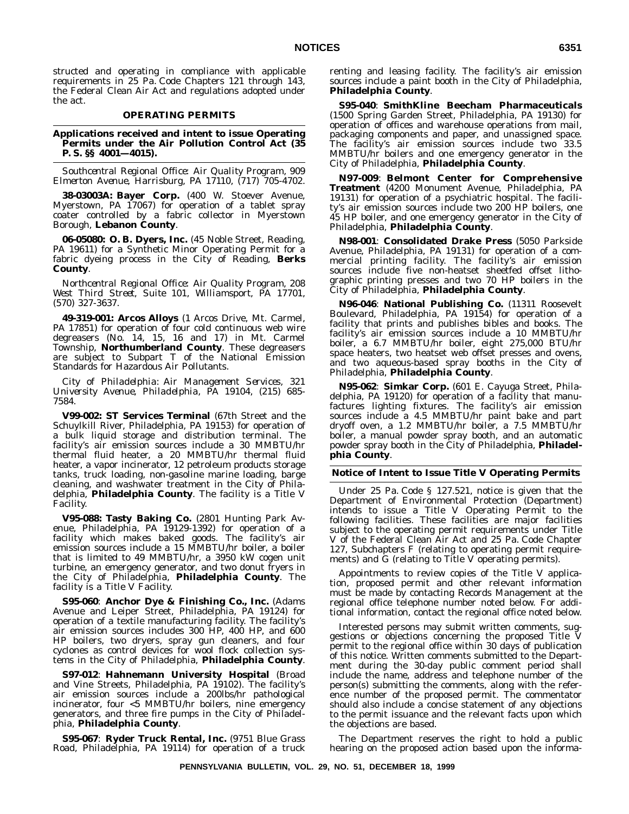structed and operating in compliance with applicable requirements in 25 Pa. Code Chapters 121 through 143, the Federal Clean Air Act and regulations adopted under the act.

#### **OPERATING PERMITS**

**Applications received and intent to issue Operating Permits under the Air Pollution Control Act (35 P. S. §§ 4001—4015).**

*Southcentral Regional Office: Air Quality Program, 909 Elmerton Avenue, Harrisburg, PA 17110, (717) 705-4702.*

**38-03003A: Bayer Corp.** (400 W. Stoever Avenue, Myerstown, PA 17067) for operation of a tablet spray coater controlled by a fabric collector in Myerstown Borough, **Lebanon County**.

**06-05080: O. B. Dyers, Inc.** (45 Noble Street, Reading, PA 19611) for a Synthetic Minor Operating Permit for a fabric dyeing process in the City of Reading, **Berks County**.

*Northcentral Regional Office: Air Quality Program, 208 West Third Street, Suite 101, Williamsport, PA 17701, (570) 327-3637.*

**49-319-001: Arcos Alloys** (1 Arcos Drive, Mt. Carmel, PA 17851) for operation of four cold continuous web wire degreasers (No. 14, 15, 16 and 17) in Mt. Carmel Township, **Northumberland County**. These degreasers are subject to Subpart T of the National Emission Standards for Hazardous Air Pollutants.

*City of Philadelphia: Air Management Services, 321 University Avenue, Philadelphia, PA 19104, (215) 685- 7584.*

**V99-002: ST Services Terminal** (67th Street and the Schuylkill River, Philadelphia, PA 19153) for operation of a bulk liquid storage and distribution terminal. The facility's air emission sources include a 30 MMBTU/hr thermal fluid heater, a 20 MMBTU/hr thermal fluid heater, a vapor incinerator, 12 petroleum products storage tanks, truck loading, non-gasoline marine loading, barge cleaning, and washwater treatment in the City of Philadelphia, **Philadelphia County**. The facility is a Title V Facility.

**V95-088: Tasty Baking Co.** (2801 Hunting Park Avenue, Philadelphia, PA 19129-1392) for operation of a facility which makes baked goods. The facility's air emission sources include a 15 MMBTU/hr boiler, a boiler that is limited to 49 MMBTU/hr, a 3950 kW cogen unit turbine, an emergency generator, and two donut fryers in the City of Philadelphia, **Philadelphia County**. The facility is a Title V Facility.

**S95-060**: **Anchor Dye & Finishing Co., Inc.** (Adams Avenue and Leiper Street, Philadelphia, PA 19124) for operation of a textile manufacturing facility. The facility's air emission sources includes 300 HP, 400 HP, and 600 HP boilers, two dryers, spray gun cleaners, and four cyclones as control devices for wool flock collection systems in the City of Philadelphia, **Philadelphia County**.

**S97-012**: **Hahnemann University Hospital** (Broad and Vine Streets, Philadelphia, PA 19102). The facility's air emission sources include a 200lbs/hr pathological incinerator, four <5 MMBTU/hr boilers, nine emergency generators, and three fire pumps in the City of Philadelphia, **Philadelphia County**.

**S95-067**: **Ryder Truck Rental, Inc.** (9751 Blue Grass Road, Philadelphia, PA 19114) for operation of a truck renting and leasing facility. The facility's air emission sources include a paint booth in the City of Philadelphia, **Philadelphia County**.

**S95-040**: **SmithKline Beecham Pharmaceuticals** (1500 Spring Garden Street, Philadelphia, PA 19130) for operation of offices and warehouse operations from mail, packaging components and paper, and unassigned space. The facility's air emission sources include two 33.5 MMBTU/hr boilers and one emergency generator in the City of Philadelphia, **Philadelphia County**.

**N97-009**: **Belmont Center for Comprehensive Treatment** (4200 Monument Avenue, Philadelphia, PA 19131) for operation of a psychiatric hospital. The facility's air emission sources include two 200 HP boilers, one 45 HP boiler, and one emergency generator in the City of Philadelphia, **Philadelphia County**.

**N98-001**: **Consolidated Drake Press** (5050 Parkside Avenue, Philadelphia, PA 19131) for operation of a commercial printing facility. The facility's air emission sources include five non-heatset sheetfed offset lithographic printing presses and two 70 HP boilers in the City of Philadelphia, **Philadelphia County**.

**N96-046**: **National Publishing Co.** (11311 Roosevelt Boulevard, Philadelphia, PA 19154) for operation of a facility that prints and publishes bibles and books. The facility's air emission sources include a 10 MMBTU/hr boiler, a 6.7 MMBTU/hr boiler, eight 275,000 BTU/hr space heaters, two heatset web offset presses and ovens, and two aqueous-based spray booths in the City of Philadelphia, **Philadelphia County**.

**N95-062**: **Simkar Corp.** (601 E. Cayuga Street, Philadelphia, PA 19120) for operation of a facility that manufactures lighting fixtures. The facility's air emission sources include a 4.5 MMBTU/hr paint bake and part dryoff oven, a 1.2 MMBTU/hr boiler, a 7.5 MMBTU/hr boiler, a manual powder spray booth, and an automatic powder spray booth in the City of Philadelphia, **Philadelphia County**.

#### **Notice of Intent to Issue Title V Operating Permits**

Under 25 Pa. Code § 127.521, notice is given that the Department of Environmental Protection (Department) intends to issue a Title V Operating Permit to the following facilities. These facilities are major facilities subject to the operating permit requirements under Title V of the Federal Clean Air Act and 25 Pa. Code Chapter 127, Subchapters F (relating to operating permit requirements) and G (relating to Title V operating permits).

Appointments to review copies of the Title V application, proposed permit and other relevant information must be made by contacting Records Management at the regional office telephone number noted below. For additional information, contact the regional office noted below.

Interested persons may submit written comments, suggestions or objections concerning the proposed Title V permit to the regional office within 30 days of publication of this notice. Written comments submitted to the Department during the 30-day public comment period shall include the name, address and telephone number of the person(s) submitting the comments, along with the reference number of the proposed permit. The commentator should also include a concise statement of any objections to the permit issuance and the relevant facts upon which the objections are based.

The Department reserves the right to hold a public hearing on the proposed action based upon the informa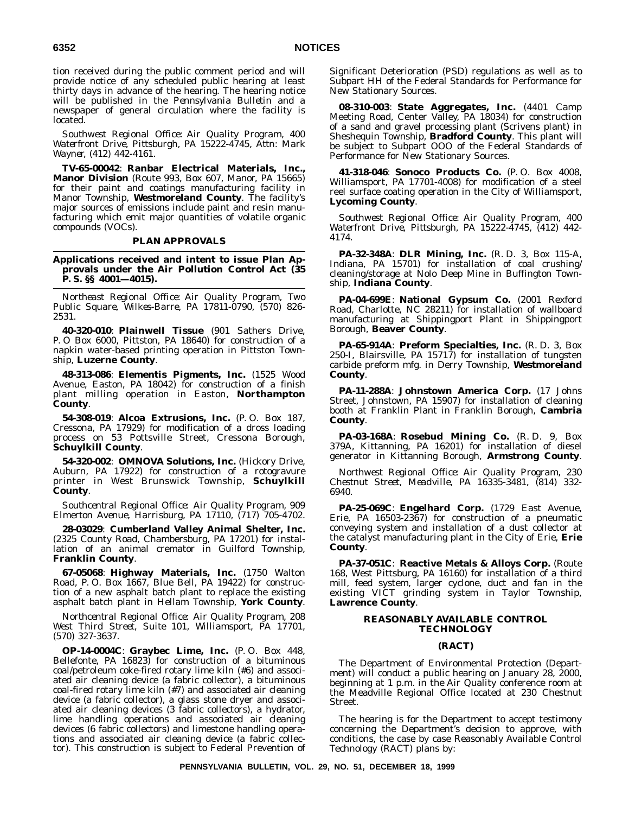tion received during the public comment period and will provide notice of any scheduled public hearing at least thirty days in advance of the hearing. The hearing notice will be published in the *Pennsylvania Bulletin* and a newspaper of general circulation where the facility is located.

*Southwest Regional Office: Air Quality Program, 400 Waterfront Drive, Pittsburgh, PA 15222-4745, Attn: Mark Wayner, (412) 442-4161.*

**TV-65-00042**: **Ranbar Electrical Materials, Inc., Manor Division** (Route 993, Box 607, Manor, PA 15665) for their paint and coatings manufacturing facility in Manor Township, **Westmoreland County**. The facility's major sources of emissions include paint and resin manufacturing which emit major quantities of volatile organic compounds (VOCs).

#### **PLAN APPROVALS**

**Applications received and intent to issue Plan Approvals under the Air Pollution Control Act (35 P. S. §§ 4001—4015).**

*Northeast Regional Office: Air Quality Program, Two Public Square, Wilkes-Barre, PA 17811-0790, (570) 826- 2531.*

**40-320-010**: **Plainwell Tissue** (901 Sathers Drive, P. O Box 6000, Pittston, PA 18640) for construction of a napkin water-based printing operation in Pittston Township, **Luzerne County**.

**48-313-086**: **Elementis Pigments, Inc.** (1525 Wood Avenue, Easton, PA 18042) for construction of a finish plant milling operation in Easton, **Northampton County**.

**54-308-019**: **Alcoa Extrusions, Inc.** (P. O. Box 187, Cressona, PA 17929) for modification of a dross loading process on 53 Pottsville Street, Cressona Borough, **Schuylkill County**.

**54-320-002**: **OMNOVA Solutions, Inc.** (Hickory Drive, Auburn, PA 17922) for construction of a rotogravure printer in West Brunswick Township, **Schuylkill County**.

*Southcentral Regional Office: Air Quality Program, 909 Elmerton Avenue, Harrisburg, PA 17110, (717) 705-4702.*

**28-03029**: **Cumberland Valley Animal Shelter, Inc.** (2325 County Road, Chambersburg, PA 17201) for installation of an animal cremator in Guilford Township, **Franklin County**.

**67-05068**: **Highway Materials, Inc.** (1750 Walton Road, P. O. Box 1667, Blue Bell, PA 19422) for construction of a new asphalt batch plant to replace the existing asphalt batch plant in Hellam Township, **York County**.

*Northcentral Regional Office: Air Quality Program, 208 West Third Street, Suite 101, Williamsport, PA 17701, (570) 327-3637.*

**OP-14-0004C**: **Graybec Lime, Inc.** (P. O. Box 448, Bellefonte, PA 16823) for construction of a bituminous coal/petroleum coke-fired rotary lime kiln (#6) and associated air cleaning device (a fabric collector), a bituminous coal-fired rotary lime kiln (#7) and associated air cleaning device (a fabric collector), a glass stone dryer and associated air cleaning devices (3 fabric collectors), a hydrator, lime handling operations and associated air cleaning devices (6 fabric collectors) and limestone handling operations and associated air cleaning device (a fabric collector). This construction is subject to Federal Prevention of

Significant Deterioration (PSD) regulations as well as to Subpart HH of the Federal Standards for Performance for New Stationary Sources.

**08-310-003**: **State Aggregates, Inc.** (4401 Camp Meeting Road, Center Valley, PA 18034) for construction of a sand and gravel processing plant (Scrivens plant) in Sheshequin Township, **Bradford County**. This plant will be subject to Subpart OOO of the Federal Standards of Performance for New Stationary Sources.

**41-318-046**: **Sonoco Products Co.** (P. O. Box 4008, Williamsport, PA 17701-4008) for modification of a steel reel surface coating operation in the City of Williamsport, **Lycoming County**.

*Southwest Regional Office: Air Quality Program, 400 Waterfront Drive, Pittsburgh, PA 15222-4745, (412) 442- 4174.*

**PA-32-348A**: **DLR Mining, Inc.** (R. D. 3, Box 115-A, Indiana, PA 15701) for installation of coal crushing/ cleaning/storage at Nolo Deep Mine in Buffington Township, **Indiana County**.

**PA-04-699E**: **National Gypsum Co.** (2001 Rexford Road, Charlotte, NC 28211) for installation of wallboard manufacturing at Shippingport Plant in Shippingport Borough, **Beaver County**.

**PA-65-914A**: **Preform Specialties, Inc.** (R. D. 3, Box 250-I, Blairsville, PA  $1571\overline{7}$  for installation of tungsten carbide preform mfg. in Derry Township, **Westmoreland County**.

**PA-11-288A**: **Johnstown America Corp.** (17 Johns Street, Johnstown, PA 15907) for installation of cleaning booth at Franklin Plant in Franklin Borough, **Cambria County**.

**PA-03-168A**: **Rosebud Mining Co.** (R. D. 9, Box 379A, Kittanning, PA 16201) for installation of diesel generator in Kittanning Borough, **Armstrong County**.

*Northwest Regional Office: Air Quality Program, 230 Chestnut Street, Meadville, PA 16335-3481, (814) 332- 6940.*

**PA-25-069C**: **Engelhard Corp.** (1729 East Avenue, Erie, PA 16503-2367) for construction of a pneumatic conveying system and installation of a dust collector at the catalyst manufacturing plant in the City of Erie, **Erie County**.

**PA-37-051C**: **Reactive Metals & Alloys Corp.** (Route 168, West Pittsburg, PA 16160) for installation of a third mill, feed system, larger cyclone, duct and fan in the existing VICT grinding system in Taylor Township, **Lawrence County**.

#### **REASONABLY AVAILABLE CONTROL TECHNOLOGY**

#### **(RACT)**

The Department of Environmental Protection (Department) will conduct a public hearing on January 28, 2000, beginning at 1 p.m. in the Air Quality conference room at the Meadville Regional Office located at 230 Chestnut Street.

The hearing is for the Department to accept testimony concerning the Department's decision to approve, with conditions, the case by case Reasonably Available Control Technology (RACT) plans by: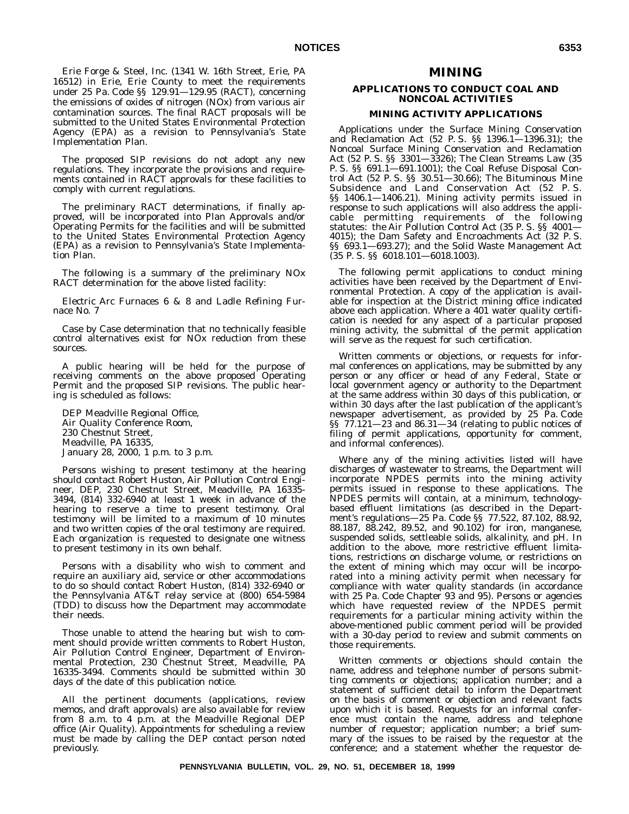Erie Forge & Steel, Inc. (1341 W. 16th Street, Erie, PA 16512) in Erie, Erie County to meet the requirements under 25 Pa. Code §§ 129.91—129.95 (RACT), concerning the emissions of oxides of nitrogen (NOx) from various air contamination sources. The final RACT proposals will be submitted to the United States Environmental Protection Agency (EPA) as a revision to Pennsylvania's State Implementation Plan.

The proposed SIP revisions do not adopt any new regulations. They incorporate the provisions and requirements contained in RACT approvals for these facilities to comply with current regulations.

The preliminary RACT determinations, if finally approved, will be incorporated into Plan Approvals and/or Operating Permits for the facilities and will be submitted to the United States Environmental Protection Agency (EPA) as a revision to Pennsylvania's State Implementation Plan.

The following is a summary of the preliminary NOx RACT determination for the above listed facility:

Electric Arc Furnaces 6 & 8 and Ladle Refining Furnace No. 7

Case by Case determination that no technically feasible control alternatives exist for NOx reduction from these sources.

A public hearing will be held for the purpose of receiving comments on the above proposed Operating Permit and the proposed SIP revisions. The public hearing is scheduled as follows:

DEP Meadville Regional Office, Air Quality Conference Room, 230 Chestnut Street, Meadville, PA 16335, January 28, 2000, 1 p.m. to 3 p.m.

Persons wishing to present testimony at the hearing should contact Robert Huston, Air Pollution Control Engineer, DEP, 230 Chestnut Street, Meadville, PA 16335- 3494, (814) 332-6940 at least 1 week in advance of the hearing to reserve a time to present testimony. Oral testimony will be limited to a maximum of 10 minutes and two written copies of the oral testimony are required. Each organization is requested to designate one witness to present testimony in its own behalf.

Persons with a disability who wish to comment and require an auxiliary aid, service or other accommodations to do so should contact Robert Huston, (814) 332-6940 or the Pennsylvania AT&T relay service at (800) 654-5984 (TDD) to discuss how the Department may accommodate their needs.

Those unable to attend the hearing but wish to comment should provide written comments to Robert Huston, Air Pollution Control Engineer, Department of Environmental Protection, 230 Chestnut Street, Meadville, PA 16335-3494. Comments should be submitted within 30 days of the date of this publication notice.

All the pertinent documents (applications, review memos, and draft approvals) are also available for review from 8 a.m. to 4 p.m. at the Meadville Regional DEP office (Air Quality). Appointments for scheduling a review must be made by calling the DEP contact person noted previously.

# **MINING**

## **APPLICATIONS TO CONDUCT COAL AND NONCOAL ACTIVITIES**

## **MINING ACTIVITY APPLICATIONS**

Applications under the Surface Mining Conservation and Reclamation Act (52 P. S. §§ 1396.1—1396.31); the Noncoal Surface Mining Conservation and Reclamation Act (52 P. S. §§ 3301—3326); The Clean Streams Law (35 P. S. §§ 691.1—691.1001); the Coal Refuse Disposal Control Act (52 P. S. §§ 30.51—30.66); The Bituminous Mine Subsidence and Land Conservation Act (52 P. S. §§ 1406.1—1406.21). Mining activity permits issued in response to such applications will also address the applicable permitting requirements of the following statutes: the Air Pollution Control Act (35 P. S. §§ 4001— 4015); the Dam Safety and Encroachments Act (32 P. S. §§ 693.1—693.27); and the Solid Waste Management Act (35 P. S. §§ 6018.101—6018.1003).

The following permit applications to conduct mining activities have been received by the Department of Environmental Protection. A copy of the application is available for inspection at the District mining office indicated above each application. Where a 401 water quality certification is needed for any aspect of a particular proposed mining activity, the submittal of the permit application will serve as the request for such certification.

Written comments or objections, or requests for informal conferences on applications, may be submitted by any person or any officer or head of any Federal, State or local government agency or authority to the Department at the same address within 30 days of this publication, or within 30 days after the last publication of the applicant's newspaper advertisement, as provided by 25 Pa. Code §§ 77.121—23 and 86.31—34 (relating to public notices of filing of permit applications, opportunity for comment, and informal conferences).

Where any of the mining activities listed will have discharges of wastewater to streams, the Department will incorporate NPDES permits into the mining activity permits issued in response to these applications. The NPDES permits will contain, at a minimum, technologybased effluent limitations (as described in the Department's regulations—25 Pa. Code §§ 77.522, 87.102, 88.92, 88.187, 88.242, 89.52, and 90.102) for iron, manganese, suspended solids, settleable solids, alkalinity, and pH. In addition to the above, more restrictive effluent limitations, restrictions on discharge volume, or restrictions on the extent of mining which may occur will be incorporated into a mining activity permit when necessary for compliance with water quality standards (in accordance with 25 Pa. Code Chapter 93 and 95). Persons or agencies which have requested review of the NPDES permit requirements for a particular mining activity within the above-mentioned public comment period will be provided with a 30-day period to review and submit comments on those requirements.

Written comments or objections should contain the name, address and telephone number of persons submitting comments or objections; application number; and a statement of sufficient detail to inform the Department on the basis of comment or objection and relevant facts upon which it is based. Requests for an informal conference must contain the name, address and telephone number of requestor; application number; a brief summary of the issues to be raised by the requestor at the conference; and a statement whether the requestor de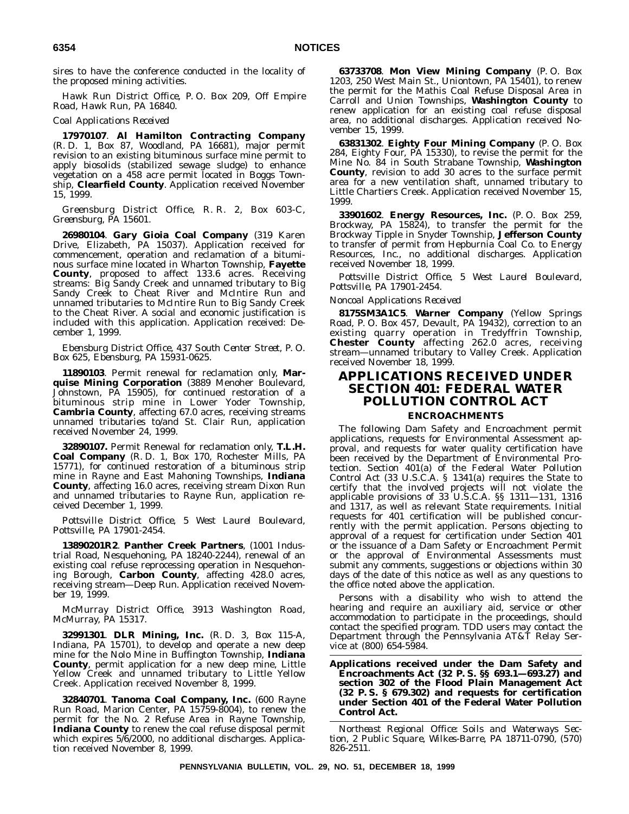sires to have the conference conducted in the locality of the proposed mining activities.

*Hawk Run District Office, P. O. Box 209, Off Empire Road, Hawk Run, PA 16840.*

#### *Coal Applications Received*

**17970107**. **Al Hamilton Contracting Company** (R. D. 1, Box 87, Woodland, PA 16681), major permit revision to an existing bituminous surface mine permit to apply biosolids (stabilized sewage sludge) to enhance vegetation on a 458 acre permit located in Boggs Township, **Clearfield County**. Application received November 15, 1999.

*Greensburg District Office, R. R. 2, Box 603-C, Greensburg, PA 15601.*

**26980104**. **Gary Gioia Coal Company** (319 Karen Drive, Elizabeth, PA 15037). Application received for commencement, operation and reclamation of a bituminous surface mine located in Wharton Township, **Fayette County**, proposed to affect 133.6 acres. Receiving streams: Big Sandy Creek and unnamed tributary to Big Sandy Creek to Cheat River and McIntire Run and unnamed tributaries to McIntire Run to Big Sandy Creek to the Cheat River. A social and economic justification is included with this application. Application received: December 1, 1999.

*Ebensburg District Office, 437 South Center Street, P. O. Box 625, Ebensburg, PA 15931-0625.*

**11890103**. Permit renewal for reclamation only, **Marquise Mining Corporation** (3889 Menoher Boulevard, Johnstown, PA 15905), for continued restoration of a bituminous strip mine in Lower Yoder Township, **Cambria County**, affecting 67.0 acres, receiving streams unnamed tributaries to/and St. Clair Run, application received November 24, 1999.

**32890107.** Permit Renewal for reclamation only, **T.L.H. Coal Company** (R. D. 1, Box 170, Rochester Mills, PA 15771), for continued restoration of a bituminous strip mine in Rayne and East Mahoning Townships, **Indiana County**, affecting 16.0 acres, receiving stream Dixon Run and unnamed tributaries to Rayne Run, application received December 1, 1999.

*Pottsville District Office, 5 West Laurel Boulevard, Pottsville, PA 17901-2454.*

**13890201R2**. **Panther Creek Partners**, (1001 Industrial Road, Nesquehoning, PA 18240-2244), renewal of an existing coal refuse reprocessing operation in Nesquehoning Borough, **Carbon County**, affecting 428.0 acres, receiving stream—Deep Run. Application received November 19, 1999.

#### *McMurray District Office, 3913 Washington Road, McMurray, PA 15317.*

**32991301**. **DLR Mining, Inc.** (R. D. 3, Box 115-A, Indiana, PA 15701), to develop and operate a new deep mine for the Nolo Mine in Buffington Township, **Indiana County**, permit application for a new deep mine, Little Yellow Creek and unnamed tributary to Little Yellow Creek. Application received November 8, 1999.

**32840701**. **Tanoma Coal Company, Inc.** (600 Rayne Run Road, Marion Center, PA 15759-8004), to renew the permit for the No. 2 Refuse Area in Rayne Township, **Indiana County** to renew the coal refuse disposal permit which expires 5/6/2000, no additional discharges. Application received November 8, 1999.

**63733708**. **Mon View Mining Company** (P. O. Box 1203, 250 West Main St., Uniontown, PA 15401), to renew the permit for the Mathis Coal Refuse Disposal Area in Carroll and Union Townships, **Washington County** to renew application for an existing coal refuse disposal area, no additional discharges. Application received November 15, 1999.

**63831302**. **Eighty Four Mining Company** (P. O. Box 284, Eighty Four, PA 15330), to revise the permit for the Mine No. 84 in South Strabane Township, **Washington County**, revision to add 30 acres to the surface permit area for a new ventilation shaft, unnamed tributary to Little Chartiers Creek. Application received November 15, 1999.

**33901602**. **Energy Resources, Inc.** (P. O. Box 259, Brockway, PA 15824), to transfer the permit for the Brockway Tipple in Snyder Township, **Jefferson County** to transfer of permit from Hepburnia Coal Co. to Energy Resources, Inc., no additional discharges. Application received November 18, 1999.

*Pottsville District Office, 5 West Laurel Boulevard, Pottsville, PA 17901-2454.*

*Noncoal Applications Received*

**8175SM3A1C5**. **Warner Company** (Yellow Springs Road, P. O. Box 457, Devault, PA 19432), correction to an existing quarry operation in Tredyffrin Township, **Chester County** affecting 262.0 acres, receiving stream—unnamed tributary to Valley Creek. Application received November 18, 1999.

# **APPLICATIONS RECEIVED UNDER SECTION 401: FEDERAL WATER POLLUTION CONTROL ACT**

## **ENCROACHMENTS**

The following Dam Safety and Encroachment permit applications, requests for Environmental Assessment approval, and requests for water quality certification have been received by the Department of Environmental Protection. Section 401(a) of the Federal Water Pollution Control Act (33 U.S.C.A. § 1341(a) requires the State to certify that the involved projects will not violate the applicable provisions of 33 U.S.C.A. §§ 1311—131, 1316 and 1317, as well as relevant State requirements. Initial requests for 401 certification will be published concurrently with the permit application. Persons objecting to approval of a request for certification under Section 401 or the issuance of a Dam Safety or Encroachment Permit or the approval of Environmental Assessments must submit any comments, suggestions or objections within 30 days of the date of this notice as well as any questions to the office noted above the application.

Persons with a disability who wish to attend the hearing and require an auxiliary aid, service or other accommodation to participate in the proceedings, should contact the specified program. TDD users may contact the Department through the Pennsylvania AT&T Relay Service at (800) 654-5984.

**Applications received under the Dam Safety and Encroachments Act (32 P. S. §§ 693.1—693.27) and section 302 of the Flood Plain Management Act (32 P. S. § 679.302) and requests for certification under Section 401 of the Federal Water Pollution Control Act.**

*Northeast Regional Office: Soils and Waterways Section, 2 Public Square, Wilkes-Barre, PA 18711-0790, (570) 826-2511.*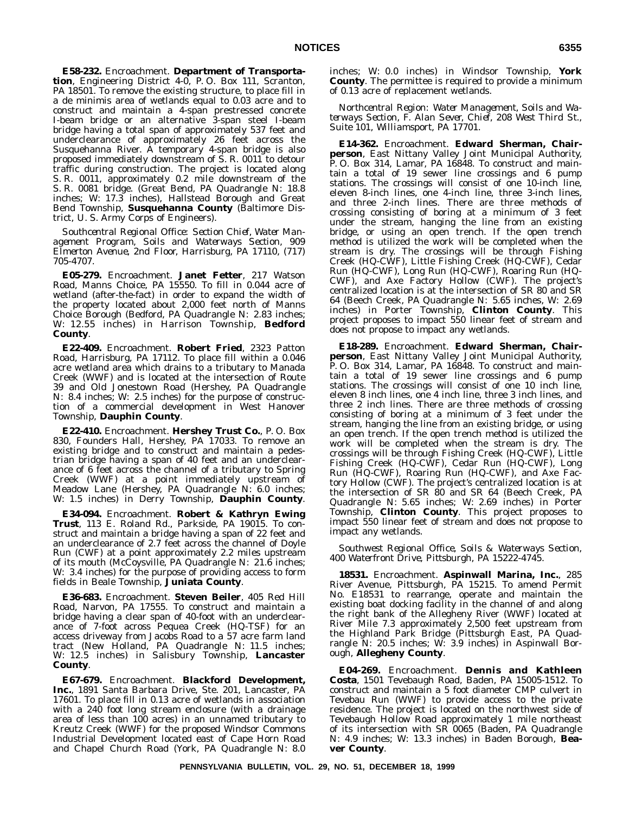**E58-232.** Encroachment. **Department of Transportation**, Engineering District 4-0, P. O. Box 111, Scranton, PA 18501. To remove the existing structure, to place fill in a de minimis area of wetlands equal to 0.03 acre and to construct and maintain a 4-span prestressed concrete I-beam bridge or an alternative 3-span steel I-beam bridge having a total span of approximately 537 feet and underclearance of approximately 26 feet across the Susquehanna River.  $\overrightarrow{A}$  temporary 4-span bridge is also proposed immediately downstream of S. R. 0011 to detour traffic during construction. The project is located along S. R. 0011, approximately 0.2 mile downstream of the S. R. 0081 bridge. (Great Bend, PA Quadrangle N: 18.8 inches; W: 17.3 inches), Hallstead Borough and Great Bend Township, **Susquehanna County** (Baltimore District, U. S. Army Corps of Engineers).

*Southcentral Regional Office: Section Chief, Water Management Program, Soils and Waterways Section, 909 Elmerton Avenue, 2nd Floor, Harrisburg, PA 17110, (717) 705-4707.*

**E05-279.** Encroachment. **Janet Fetter**, 217 Watson Road, Manns Choice, PA 15550. To fill in 0.044 acre of wetland (after-the-fact) in order to expand the width of the property located about 2,000 feet north of Manns Choice Borough (Bedford, PA Quadrangle N: 2.83 inches; W: 12.55 inches) in Harrison Township, **Bedford County**.

**E22-409.** Encroachment. **Robert Fried**, 2323 Patton Road, Harrisburg, PA 17112. To place fill within a 0.046 acre wetland area which drains to a tributary to Manada Creek (WWF) and is located at the intersection of Route 39 and Old Jonestown Road (Hershey, PA Quadrangle N: 8.4 inches; W: 2.5 inches) for the purpose of construction of a commercial development in West Hanover Township, **Dauphin County**.

**E22-410.** Encroachment. **Hershey Trust Co.**, P. O. Box 830, Founders Hall, Hershey, PA 17033. To remove an existing bridge and to construct and maintain a pedestrian bridge having a span of 40 feet and an underclearance of 6 feet across the channel of a tributary to Spring Creek (WWF) at a point immediately upstream of Meadow Lane (Hershey, PA Quadrangle N: 6.0 inches; W: 1.5 inches) in Derry Township, **Dauphin County**.

**E34-094.** Encroachment. **Robert & Kathryn Ewing Trust**, 113 E. Roland Rd., Parkside, PA 19015. To construct and maintain a bridge having a span of 22 feet and an underclearance of 2.7 feet across the channel of Doyle Run (CWF) at a point approximately 2.2 miles upstream of its mouth (McCoysville, PA Quadrangle N: 21.6 inches; W: 3.4 inches) for the purpose of providing access to form fields in Beale Township, **Juniata County**.

**E36-683.** Encroachment. **Steven Beiler**, 405 Red Hill Road, Narvon, PA 17555. To construct and maintain a bridge having a clear span of 40-foot with an underclearance of 7-foot across Pequea Creek (HQ-TSF) for an access driveway from Jacobs Road to a 57 acre farm land tract (New Holland, PA Quadrangle N: 11.5 inches; W: 12.5 inches) in Salisbury Township, **Lancaster County**.

**E67-679.** Encroachment. **Blackford Development, Inc.**, 1891 Santa Barbara Drive, Ste. 201, Lancaster, PA 17601. To place fill in 0.13 acre of wetlands in association with a 240 foot long stream enclosure (with a drainage area of less than 100 acres) in an unnamed tributary to Kreutz Creek (WWF) for the proposed Windsor Commons Industrial Development located east of Cape Horn Road and Chapel Church Road (York, PA Quadrangle N: 8.0

inches; W: 0.0 inches) in Windsor Township, **York County**. The permittee is required to provide a minimum of 0.13 acre of replacement wetlands.

*Northcentral Region: Water Management, Soils and Waterways Section, F. Alan Sever, Chief, 208 West Third St., Suite 101, Williamsport, PA 17701.*

**E14-362.** Encroachment. **Edward Sherman, Chairperson**, East Nittany Valley Joint Municipal Authority, P. O. Box 314, Lamar, PA 16848. To construct and maintain a total of 19 sewer line crossings and 6 pump stations. The crossings will consist of one 10-inch line, eleven 8-inch lines, one 4-inch line, three 3-inch lines, and three 2-inch lines. There are three methods of crossing consisting of boring at a minimum of 3 feet under the stream, hanging the line from an existing bridge, or using an open trench. If the open trench method is utilized the work will be completed when the stream is dry. The crossings will be through Fishing Creek (HQ-CWF), Little Fishing Creek (HQ-CWF), Cedar Run (HQ-CWF), Long Run (HQ-CWF), Roaring Run (HQ-CWF), and Axe Factory Hollow (CWF). The project's centralized location is at the intersection of SR 80 and SR 64 (Beech Creek, PA Quadrangle N: 5.65 inches, W: 2.69 inches) in Porter Township, **Clinton County**. This project proposes to impact 550 linear feet of stream and does not propose to impact any wetlands.

**E18-289.** Encroachment. **Edward Sherman, Chairperson**, East Nittany Valley Joint Municipal Authority, P. O. Box 314, Lamar, PA 16848. To construct and maintain a total of 19 sewer line crossings and 6 pump stations. The crossings will consist of one 10 inch line, eleven 8 inch lines, one 4 inch line, three 3 inch lines, and three 2 inch lines. There are three methods of crossing consisting of boring at a minimum of 3 feet under the stream, hanging the line from an existing bridge, or using an open trench. If the open trench method is utilized the work will be completed when the stream is dry. The crossings will be through Fishing Creek (HQ-CWF), Little Fishing Creek (HQ-CWF), Cedar Run (HQ-CWF), Long Run (HQ-CWF), Roaring Run (HQ-CWF), and Axe Factory Hollow (CWF). The project's centralized location is at the intersection of SR 80 and SR 64 (Beech Creek, PA Quadrangle N: 5.65 inches; W: 2.69 inches) in Porter Township, **Clinton County**. This project proposes to impact 550 linear feet of stream and does not propose to impact any wetlands.

*Southwest Regional Office, Soils & Waterways Section, 400 Waterfront Drive, Pittsburgh, PA 15222-4745.*

**18531.** Encroachment. **Aspinwall Marina, Inc.**, 285 River Avenue, Pittsburgh, PA 15215. To amend Permit No. E18531 to rearrange, operate and maintain the existing boat docking facility in the channel of and along the right bank of the Allegheny River (WWF) located at River Mile 7.3 approximately 2,500 feet upstream from the Highland Park Bridge (Pittsburgh East, PA Quadrangle N: 20.5 inches; W: 3.9 inches) in Aspinwall Borough, **Allegheny County**.

**E04-269.** Encroachment. **Dennis and Kathleen Costa**, 1501 Tevebaugh Road, Baden, PA 15005-1512. To construct and maintain a 5 foot diameter CMP culvert in Tevebau Run (WWF) to provide access to the private residence. The project is located on the northwest side of Tevebaugh Hollow Road approximately 1 mile northeast of its intersection with SR 0065 (Baden, PA Quadrangle N: 4.9 inches; W: 13.3 inches) in Baden Borough, **Beaver County**.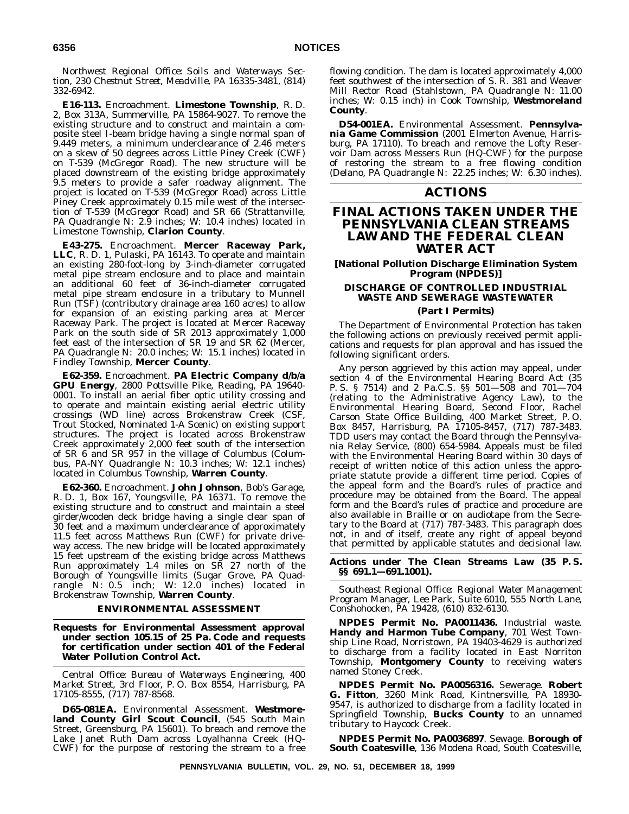*Northwest Regional Office: Soils and Waterways Section, 230 Chestnut Street, Meadville, PA 16335-3481, (814) 332-6942.*

**E16-113.** Encroachment. **Limestone Township**, R. D. 2, Box 313A, Summerville, PA 15864-9027. To remove the existing structure and to construct and maintain a composite steel I-beam bridge having a single normal span of 9.449 meters, a minimum underclearance of 2.46 meters on a skew of 50 degrees across Little Piney Creek (CWF) on T-539 (McGregor Road). The new structure will be placed downstream of the existing bridge approximately 9.5 meters to provide a safer roadway alignment. The project is located on T-539 (McGregor Road) across Little Piney Creek approximately 0.15 mile west of the intersection of T-539 (McGregor Road) and SR 66 (Strattanville, PA Quadrangle N: 2.9 inches; W: 10.4 inches) located in Limestone Township, **Clarion County**.

**E43-275.** Encroachment. **Mercer Raceway Park, LLC**, R. D. 1, Pulaski, PA 16143. To operate and maintain an existing 280-foot-long by 3-inch-diameter corrugated metal pipe stream enclosure and to place and maintain an additional 60 feet of 36-inch-diameter corrugated metal pipe stream enclosure in a tributary to Munnell Run (TSF) (contributory drainage area 160 acres) to allow for expansion of an existing parking area at Mercer Raceway Park. The project is located at Mercer Raceway Park on the south side of SR 2013 approximately 1,000 feet east of the intersection of SR 19 and SR 62 (Mercer, PA Quadrangle N: 20.0 inches; W: 15.1 inches) located in Findley Township, **Mercer County**.

**E62-359.** Encroachment. **PA Electric Company d/b/a GPU Energy**, 2800 Pottsville Pike, Reading, PA 19640- 0001. To install an aerial fiber optic utility crossing and to operate and maintain existing aerial electric utility crossings (WD line) across Brokenstraw Creek (CSF, Trout Stocked, Nominated 1-A Scenic) on existing support structures. The project is located across Brokenstraw Creek approximately 2,000 feet south of the intersection of SR 6 and SR 957 in the village of Columbus (Columbus, PA-NY Quadrangle N: 10.3 inches; W: 12.1 inches) located in Columbus Township, **Warren County**.

**E62-360.** Encroachment. **John Johnson**, Bob's Garage, R. D. 1, Box 167, Youngsville, PA 16371. To remove the existing structure and to construct and maintain a steel girder/wooden deck bridge having a single clear span of 30 feet and a maximum underclearance of approximately 11.5 feet across Matthews Run (CWF) for private driveway access. The new bridge will be located approximately 15 feet upstream of the existing bridge across Matthews Run approximately 1.4 miles on SR 27 north of the Borough of Youngsville limits (Sugar Grove, PA Quadrangle N: 0.5 inch; W: 12.0 inches) located in Brokenstraw Township, **Warren County**.

#### **ENVIRONMENTAL ASSESSMENT**

**Requests for Environmental Assessment approval under section 105.15 of 25 Pa. Code and requests for certification under section 401 of the Federal Water Pollution Control Act.**

*Central Office: Bureau of Waterways Engineering, 400 Market Street, 3rd Floor, P. O. Box 8554, Harrisburg, PA 17105-8555, (717) 787-8568.*

**D65-081EA.** Environmental Assessment. **Westmoreland County Girl Scout Council**, (545 South Main Street, Greensburg, PA 15601). To breach and remove the Lake Janet Ruth Dam across Loyalhanna Creek (HQ-CWF) for the purpose of restoring the stream to a free

flowing condition. The dam is located approximately 4,000 feet southwest of the intersection of S. R. 381 and Weaver Mill Rector Road (Stahlstown, PA Quadrangle N: 11.00 inches; W: 0.15 inch) in Cook Township, **Westmoreland County**.

**D54-001EA.** Environmental Assessment. **Pennsylvania Game Commission** (2001 Elmerton Avenue, Harrisburg, PA 17110). To breach and remove the Lofty Reservoir Dam across Messers Run (HQ-CWF) for the purpose of restoring the stream to a free flowing condition (Delano, PA Quadrangle N: 22.25 inches; W: 6.30 inches).

# **ACTIONS**

# **FINAL ACTIONS TAKEN UNDER THE PENNSYLVANIA CLEAN STREAMS LAW AND THE FEDERAL CLEAN WATER ACT**

**[National Pollution Discharge Elimination System Program (NPDES)]**

# **DISCHARGE OF CONTROLLED INDUSTRIAL WASTE AND SEWERAGE WASTEWATER**

## **(Part I Permits)**

The Department of Environmental Protection has taken the following actions on previously received permit applications and requests for plan approval and has issued the following significant orders.

Any person aggrieved by this action may appeal, under section 4 of the Environmental Hearing Board Act (35 P. S. § 7514) and 2 Pa.C.S. §§ 501—508 and 701—704 (relating to the Administrative Agency Law), to the Environmental Hearing Board, Second Floor, Rachel Carson State Office Building, 400 Market Street, P. O. Box 8457, Harrisburg, PA 17105-8457, (717) 787-3483. TDD users may contact the Board through the Pennsylvania Relay Service, (800) 654-5984. Appeals must be filed with the Environmental Hearing Board within 30 days of receipt of written notice of this action unless the appropriate statute provide a different time period. Copies of the appeal form and the Board's rules of practice and procedure may be obtained from the Board. The appeal form and the Board's rules of practice and procedure are also available in Braille or on audiotape from the Secretary to the Board at (717) 787-3483. This paragraph does not, in and of itself, create any right of appeal beyond that permitted by applicable statutes and decisional law.

#### **Actions under The Clean Streams Law (35 P. S. §§ 691.1—691.1001).**

*Southeast Regional Office: Regional Water Management Program Manager, Lee Park, Suite 6010, 555 North Lane, Conshohocken, PA 19428, (610) 832-6130.*

**NPDES Permit No. PA0011436.** Industrial waste. **Handy and Harmon Tube Company**, 701 West Township Line Road, Norristown, PA 19403-4629 is authorized to discharge from a facility located in East Norriton Township, **Montgomery County** to receiving waters named Stoney Creek.

**NPDES Permit No. PA0056316.** Sewerage. **Robert G. Fitton**, 3260 Mink Road, Kintnersville, PA 18930- 9547, is authorized to discharge from a facility located in Springfield Township, **Bucks County** to an unnamed tributary to Haycock Creek.

**NPDES Permit No. PA0036897**. Sewage. **Borough of South Coatesville**, 136 Modena Road, South Coatesville,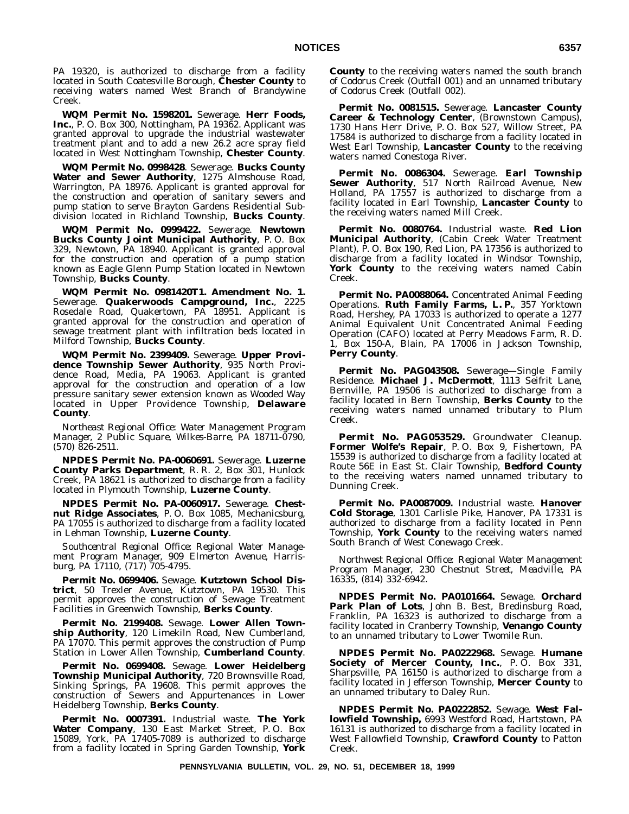PA 19320, is authorized to discharge from a facility located in South Coatesville Borough, **Chester County** to receiving waters named West Branch of Brandywine Creek.

**WQM Permit No. 1598201.** Sewerage. **Herr Foods, Inc.**, P. O. Box 300, Nottingham, PA 19362. Applicant was granted approval to upgrade the industrial wastewater treatment plant and to add a new 26.2 acre spray field located in West Nottingham Township, **Chester County**.

**WQM Permit No. 0998428**. Sewerage. **Bucks County Water and Sewer Authority**, 1275 Almshouse Road, Warrington, PA 18976. Applicant is granted approval for the construction and operation of sanitary sewers and pump station to serve Brayton Gardens Residential Subdivision located in Richland Township, **Bucks County**.

**WQM Permit No. 0999422.** Sewerage. **Newtown Bucks County Joint Municipal Authority**, P. O. Box 329, Newtown, PA 18940. Applicant is granted approval for the construction and operation of a pump station known as Eagle Glenn Pump Station located in Newtown Township, **Bucks County**.

**WQM Permit No. 0981420T1. Amendment No. 1.** Sewerage. **Quakerwoods Campground, Inc.**, 2225 Rosedale Road, Quakertown, PA 18951. Applicant is granted approval for the construction and operation of sewage treatment plant with infiltration beds located in Milford Township, **Bucks County**.

**WQM Permit No. 2399409.** Sewerage. **Upper Provi**dence Township Sewer Authority, 935 North Providence Road, Media, PA 19063. Applicant is granted approval for the construction and operation of a low pressure sanitary sewer extension known as Wooded Way located in Upper Providence Township, **Delaware County**.

*Northeast Regional Office: Water Management Program Manager, 2 Public Square, Wilkes-Barre, PA 18711-0790, (570) 826-2511.*

**NPDES Permit No. PA-0060691.** Sewerage. **Luzerne County Parks Department**, R. R. 2, Box 301, Hunlock Creek, PA 18621 is authorized to discharge from a facility located in Plymouth Township, **Luzerne County**.

**NPDES Permit No. PA-0060917.** Sewerage. **Chestnut Ridge Associates**, P. O. Box 1085, Mechanicsburg, PA 17055 is authorized to discharge from a facility located in Lehman Township, **Luzerne County**.

*Southcentral Regional Office: Regional Water Management Program Manager, 909 Elmerton Avenue, Harrisburg, PA 17110, (717) 705-4795.*

**Permit No. 0699406.** Sewage. **Kutztown School District**, 50 Trexler Avenue, Kutztown, PA 19530. This permit approves the construction of Sewage Treatment Facilities in Greenwich Township, **Berks County**.

**Permit No. 2199408.** Sewage. **Lower Allen Township Authority**, 120 Limekiln Road, New Cumberland, PA 17070. This permit approves the construction of Pump Station in Lower Allen Township, **Cumberland County**.

**Permit No. 0699408.** Sewage. **Lower Heidelberg Township Municipal Authority**, 720 Brownsville Road, Sinking Springs, PA 19608. This permit approves the construction of Sewers and Appurtenances in Lower Heidelberg Township, **Berks County**.

**Permit No. 0007391.** Industrial waste. **The York Water Company**, 130 East Market Street, P. O. Box 15089, York, PA 17405-7089 is authorized to discharge from a facility located in Spring Garden Township, **York** **County** to the receiving waters named the south branch of Codorus Creek (Outfall 001) and an unnamed tributary of Codorus Creek (Outfall 002).

**Permit No. 0081515.** Sewerage. **Lancaster County Career & Technology Center**, (Brownstown Campus), 1730 Hans Herr Drive, P. O. Box 527, Willow Street, PA 17584 is authorized to discharge from a facility located in West Earl Township, **Lancaster County** to the receiving waters named Conestoga River.

**Permit No. 0086304.** Sewerage. **Earl Township Sewer Authority**, 517 North Railroad Avenue, New Holland, PA 17557 is authorized to discharge from a facility located in Earl Township, **Lancaster County** to the receiving waters named Mill Creek.

**Permit No. 0080764.** Industrial waste. **Red Lion Municipal Authority**, (Cabin Creek Water Treatment Plant), P. O. Box 190, Red Lion, PA 17356 is authorized to discharge from a facility located in Windsor Township, **York County** to the receiving waters named Cabin Creek.

**Permit No. PA0088064.** Concentrated Animal Feeding Operations. **Ruth Family Farms, L. P.**, 357 Yorktown Road, Hershey, PA 17033 is authorized to operate a 1277 Animal Equivalent Unit Concentrated Animal Feeding Operation (CAFO) located at Perry Meadows Farm, R. D. 1, Box 150-A, Blain, PA 17006 in Jackson Township, **Perry County**.

**Permit No. PAG043508.** Sewerage—Single Family Residence. Michael J. McDermott, 1113 Seifrit Lane, Bernville, PA 19506 is authorized to discharge from a facility located in Bern Township, **Berks County** to the receiving waters named unnamed tributary to Plum Creek.

**Permit No. PAG053529.** Groundwater Cleanup. **Former Wolfe's Repair**, P. O. Box 9, Fishertown, PA 15539 is authorized to discharge from a facility located at Route 56E in East St. Clair Township, **Bedford County** to the receiving waters named unnamed tributary to Dunning Creek.

**Permit No. PA0087009.** Industrial waste. **Hanover Cold Storage**, 1301 Carlisle Pike, Hanover, PA 17331 is authorized to discharge from a facility located in Penn Township, **York County** to the receiving waters named South Branch of West Conewago Creek.

*Northwest Regional Office: Regional Water Management Program Manager, 230 Chestnut Street, Meadville, PA 16335, (814) 332-6942.*

**NPDES Permit No. PA0101664.** Sewage. **Orchard** Park Plan of Lots, John B. Best, Bredinsburg Road, Franklin, PA 16323 is authorized to discharge from a facility located in Cranberry Township, **Venango County** to an unnamed tributary to Lower Twomile Run.

**NPDES Permit No. PA0222968.** Sewage. **Humane Society of Mercer County, Inc.**, P. O. Box 331, Sharpsville, PA 16150 is authorized to discharge from a facility located in Jefferson Township, **Mercer County** to an unnamed tributary to Daley Run.

**NPDES Permit No. PA0222852.** Sewage. **West Fallowfield Township,** 6993 Westford Road, Hartstown, PA 16131 is authorized to discharge from a facility located in West Fallowfield Township, **Crawford County** to Patton Creek.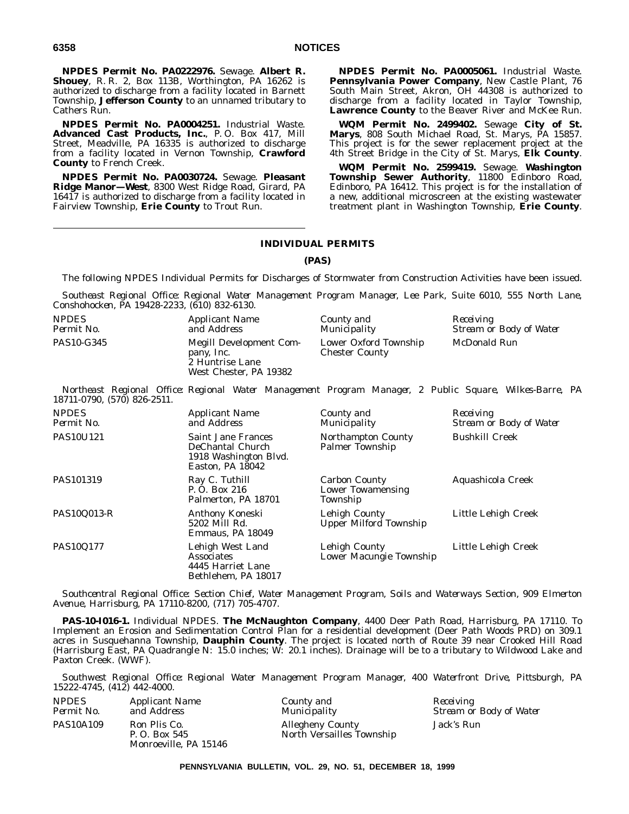**NPDES Permit No. PA0222976.** Sewage. **Albert R. Shouey**, R. R. 2, Box 113B, Worthington, PA 16262 is authorized to discharge from a facility located in Barnett Township, **Jefferson County** to an unnamed tributary to Cathers Run.

**NPDES Permit No. PA0004251.** Industrial Waste. **Advanced Cast Products, Inc.**, P. O. Box 417, Mill Street, Meadville, PA 16335 is authorized to discharge from a facility located in Vernon Township, **Crawford County** to French Creek.

**NPDES Permit No. PA0030724.** Sewage. **Pleasant Ridge Manor—West**, 8300 West Ridge Road, Girard, PA 16417 is authorized to discharge from a facility located in Fairview Township, **Erie County** to Trout Run.

**NPDES Permit No. PA0005061.** Industrial Waste. **Pennsylvania Power Company**, New Castle Plant, 76 South Main Street, Akron, OH 44308 is authorized to discharge from a facility located in Taylor Township, **Lawrence County** to the Beaver River and McKee Run.

**WQM Permit No. 2499402.** Sewage **City of St. Marys**, 808 South Michael Road, St. Marys, PA 15857. This project is for the sewer replacement project at the 4th Street Bridge in the City of St. Marys, **Elk County**.

**WQM Permit No. 2599419.** Sewage. **Washington Township Sewer Authority**, 11800 Edinboro Road, Edinboro, PA 16412. This project is for the installation of a new, additional microscreen at the existing wastewater treatment plant in Washington Township, **Erie County**.

# **INDIVIDUAL PERMITS**

#### **(PAS)**

The following NPDES Individual Permits for Discharges of Stormwater from Construction Activities have been issued.

*Southeast Regional Office: Regional Water Management Program Manager, Lee Park, Suite 6010, 555 North Lane, Conshohocken, PA 19428-2233, (610) 832-6130.*

| <i>NPDES</i> | <i>Applicant Name</i>                                                              | County and                                     | Receiving               |
|--------------|------------------------------------------------------------------------------------|------------------------------------------------|-------------------------|
| Permit No.   | and Address                                                                        | Municipality                                   | Stream or Body of Water |
| PAS10-G345   | Megill Development Com-<br>pany, Inc.<br>2 Huntrise Lane<br>West Chester, PA 19382 | Lower Oxford Township<br><b>Chester County</b> | McDonald Run            |

*Northeast Regional Office: Regional Water Management Program Manager, 2 Public Square, Wilkes-Barre, PA 18711-0790, (570) 826-2511.*

| <b>NPDES</b><br>Permit No. | <b>Applicant Name</b><br>and Address                                                | County and<br><i>Municipality</i>                            | Receiving<br>Stream or Body of Water |
|----------------------------|-------------------------------------------------------------------------------------|--------------------------------------------------------------|--------------------------------------|
| <b>PAS10U121</b>           | Saint Jane Frances<br>DeChantal Church<br>1918 Washington Blvd.<br>Easton, PA 18042 | <b>Northampton County</b><br><b>Palmer Township</b>          | <b>Bushkill Creek</b>                |
| PAS101319                  | Ray C. Tuthill<br>P. O. Box 216<br>Palmerton, PA 18701                              | <b>Carbon County</b><br><b>Lower Towamensing</b><br>Township | Aquashicola Creek                    |
| PAS10Q013-R                | Anthony Koneski<br>5202 Mill Rd.<br>Emmaus, PA 18049                                | Lehigh County<br><b>Upper Milford Township</b>               | Little Lehigh Creek                  |
| PAS10Q177                  | Lehigh West Land<br>Associates<br>4445 Harriet Lane<br>Bethlehem, PA 18017          | Lehigh County<br>Lower Macungie Township                     | Little Lehigh Creek                  |

*Southcentral Regional Office: Section Chief, Water Management Program, Soils and Waterways Section, 909 Elmerton Avenue, Harrisburg, PA 17110-8200, (717) 705-4707.*

**PAS-10-I016-1.** Individual NPDES. **The McNaughton Company**, 4400 Deer Path Road, Harrisburg, PA 17110. To Implement an Erosion and Sedimentation Control Plan for a residential development (Deer Path Woods PRD) on 309.1 acres in Susquehanna Township, **Dauphin County**. The project is located north of Route 39 near Crooked Hill Road (Harrisburg East, PA Quadrangle N: 15.0 inches; W: 20.1 inches). Drainage will be to a tributary to Wildwood Lake and Paxton Creek. (WWF).

*Southwest Regional Office: Regional Water Management Program Manager, 400 Waterfront Drive, Pittsburgh, PA 15222-4745, (412) 442-4000.*

| <i>NPDES</i> | <i>Applicant Name</i>                                  | County and                                           | Receiving               |
|--------------|--------------------------------------------------------|------------------------------------------------------|-------------------------|
| Permit No.   | and Address                                            | Municipality                                         | Stream or Body of Water |
| PAS10A109    | Ron Plis Co.<br>P. O. Box 545<br>Monroeville, PA 15146 | <b>Allegheny County</b><br>North Versailles Township | Jack's Run              |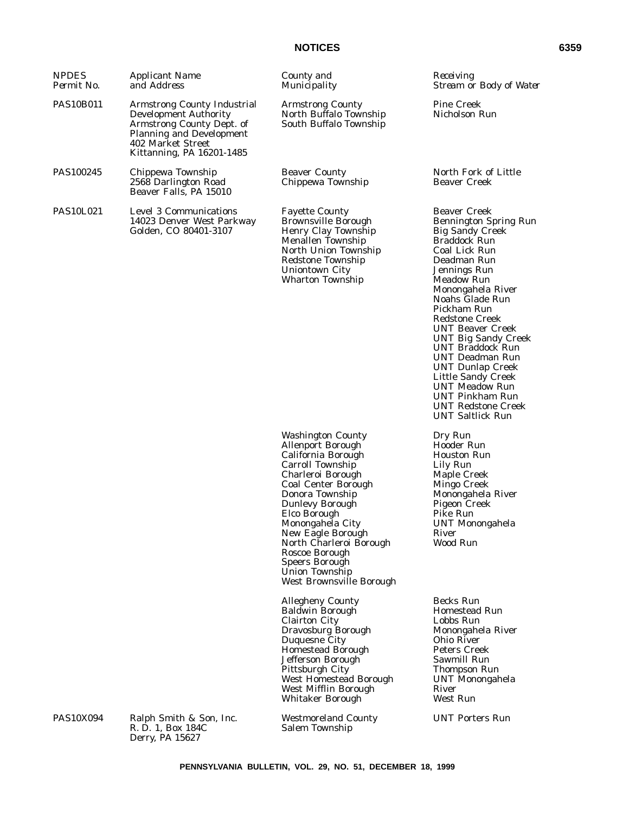# **NOTICES 6359**

| <b>NPDES</b><br>Permit No. | <b>Applicant Name</b><br>and Address                                                                                                                                                 | County and<br>Municipality                                                                                                                                                                                                                                                                                                                                                  | Receiving<br>Stream or Body of Water                                                                                                                                                                                                                                                                                                                                                                                                                                                                                         |
|----------------------------|--------------------------------------------------------------------------------------------------------------------------------------------------------------------------------------|-----------------------------------------------------------------------------------------------------------------------------------------------------------------------------------------------------------------------------------------------------------------------------------------------------------------------------------------------------------------------------|------------------------------------------------------------------------------------------------------------------------------------------------------------------------------------------------------------------------------------------------------------------------------------------------------------------------------------------------------------------------------------------------------------------------------------------------------------------------------------------------------------------------------|
| <b>PAS10B011</b>           | <b>Armstrong County Industrial</b><br><b>Development Authority</b><br>Armstrong County Dept. of<br><b>Planning and Development</b><br>402 Market Street<br>Kittanning, PA 16201-1485 | <b>Armstrong County</b><br>North Buffalo Township<br>South Buffalo Township                                                                                                                                                                                                                                                                                                 | <b>Pine Creek</b><br>Nicholson Run                                                                                                                                                                                                                                                                                                                                                                                                                                                                                           |
| PAS100245                  | Chippewa Township<br>2568 Darlington Road<br>Beaver Falls, PA 15010                                                                                                                  | <b>Beaver County</b><br>Chippewa Township                                                                                                                                                                                                                                                                                                                                   | North Fork of Little<br><b>Beaver Creek</b>                                                                                                                                                                                                                                                                                                                                                                                                                                                                                  |
| <b>PAS10L021</b>           | <b>Level 3 Communications</b><br>14023 Denver West Parkway<br>Golden, CO 80401-3107                                                                                                  | <b>Fayette County</b><br><b>Brownsville Borough</b><br>Henry Clay Township<br>Menallen Township<br>North Union Township<br>Redstone Township<br><b>Uniontown City</b><br><b>Wharton Township</b>                                                                                                                                                                            | <b>Beaver Creek</b><br><b>Bennington Spring Run</b><br><b>Big Sandy Creek</b><br><b>Braddock Run</b><br>Coal Lick Run<br>Deadman Run<br>Jennings Run<br>Meadow Run<br>Monongahela River<br>Noahs Glade Run<br>Pickham Run<br><b>Redstone Creek</b><br><b>UNT Beaver Creek</b><br><b>UNT Big Sandy Creek</b><br><b>UNT Braddock Run</b><br><b>UNT Deadman Run</b><br><b>UNT Dunlap Creek</b><br>Little Sandy Creek<br><b>UNT Meadow Run</b><br><b>UNT Pinkham Run</b><br><b>UNT Redstone Creek</b><br><b>UNT Saltlick Run</b> |
|                            |                                                                                                                                                                                      | <b>Washington County</b><br><b>Allenport Borough</b><br>California Borough<br>Carroll Township<br>Charleroi Borough<br><b>Coal Center Borough</b><br>Donora Township<br><b>Dunlevy Borough</b><br>Elco Borough<br>Monongahela City<br>New Eagle Borough<br>North Charleroi Borough<br>Roscoe Borough<br><b>Speers Borough</b><br>Union Township<br>West Brownsville Borough | Dry Run<br>Hooder Run<br><b>Houston Run</b><br>Lily Run<br>Maple Creek<br>Mingo Creek<br>Monongahela River<br><b>Pigeon Creek</b><br>Pike Run<br><b>UNT Monongahela</b><br>River<br>Wood Run                                                                                                                                                                                                                                                                                                                                 |
|                            |                                                                                                                                                                                      | <b>Allegheny County</b><br><b>Baldwin Borough</b><br><b>Clairton City</b><br>Dravosburg Borough<br>Duquesne City<br><b>Homestead Borough</b><br>Jefferson Borough<br>Pittsburgh City<br>West Homestead Borough<br>West Mifflin Borough<br><b>Whitaker Borough</b>                                                                                                           | Becks Run<br><b>Homestead Run</b><br>Lobbs Run<br>Monongahela River<br>Ohio River<br><b>Peters Creek</b><br>Sawmill Run<br>Thompson Run<br><b>UNT</b> Monongahela<br>River<br>West Run                                                                                                                                                                                                                                                                                                                                       |
| <b>PAS10X094</b>           | Ralph Smith & Son, Inc.<br>R. D. 1, Box 184C<br>Derry, PA 15627                                                                                                                      | <b>Westmoreland County</b><br>Salem Township                                                                                                                                                                                                                                                                                                                                | <b>UNT Porters Run</b>                                                                                                                                                                                                                                                                                                                                                                                                                                                                                                       |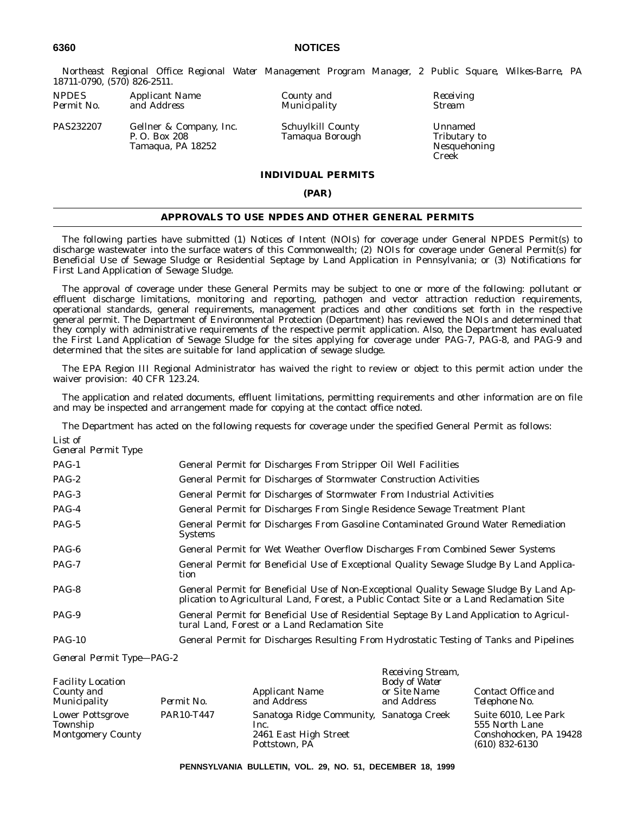*Northeast Regional Office: Regional Water Management Program Manager, 2 Public Square, Wilkes-Barre, PA 18711-0790, (570) 826-2511.*

| <i>NPDES</i> | <i>Applicant Name</i> |  |
|--------------|-----------------------|--|
| Permit No.   | and Address           |  |

PAS232207 Gellner & Company, Inc. P. O. Box 208 Tamaqua, PA 18252

*County and Receiving Permit Address Municipality* Stream

Schuylkill County Tamaqua Borough

Unnamed Tributary to Nesquehoning Creek

# **INDIVIDUAL PERMITS**

#### **(PAR)**

## **APPROVALS TO USE NPDES AND OTHER GENERAL PERMITS**

The following parties have submitted (1) Notices of Intent (NOIs) for coverage under General NPDES Permit(s) to discharge wastewater into the surface waters of this Commonwealth; (2) NOIs for coverage under General Permit(s) for Beneficial Use of Sewage Sludge or Residential Septage by Land Application in Pennsylvania; or (3) Notifications for First Land Application of Sewage Sludge.

The approval of coverage under these General Permits may be subject to one or more of the following: pollutant or effluent discharge limitations, monitoring and reporting, pathogen and vector attraction reduction requirements, operational standards, general requirements, management practices and other conditions set forth in the respective general permit. The Department of Environmental Protection (Department) has reviewed the NOIs and determined that they comply with administrative requirements of the respective permit application. Also, the Department has evaluated the First Land Application of Sewage Sludge for the sites applying for coverage under PAG-7, PAG-8, and PAG-9 and determined that the sites are suitable for land application of sewage sludge.

The EPA Region III Regional Administrator has waived the right to review or object to this permit action under the waiver provision: 40 CFR 123.24.

The application and related documents, effluent limitations, permitting requirements and other information are on file and may be inspected and arrangement made for copying at the contact office noted.

The Department has acted on the following requests for coverage under the specified General Permit as follows:

| List of<br>General Permit Type |                                                                                                                                                                                    |
|--------------------------------|------------------------------------------------------------------------------------------------------------------------------------------------------------------------------------|
| $PAG-1$                        | General Permit for Discharges From Stripper Oil Well Facilities                                                                                                                    |
| $PAG-2$                        | General Permit for Discharges of Stormwater Construction Activities                                                                                                                |
| PAG-3                          | General Permit for Discharges of Stormwater From Industrial Activities                                                                                                             |
| PAG-4                          | General Permit for Discharges From Single Residence Sewage Treatment Plant                                                                                                         |
| PAG-5                          | General Permit for Discharges From Gasoline Contaminated Ground Water Remediation<br><b>Systems</b>                                                                                |
| PAG-6                          | General Permit for Wet Weather Overflow Discharges From Combined Sewer Systems                                                                                                     |
| PAG-7                          | General Permit for Beneficial Use of Exceptional Quality Sewage Sludge By Land Applica-<br>tion                                                                                    |
| PAG-8                          | General Permit for Beneficial Use of Non-Exceptional Quality Sewage Sludge By Land Ap-<br>plication to Agricultural Land, Forest, a Public Contact Site or a Land Reclamation Site |
| PAG-9                          | General Permit for Beneficial Use of Residential Septage By Land Application to Agricul-<br>tural Land, Forest or a Land Reclamation Site                                          |
| <b>PAG-10</b>                  | General Permit for Discharges Resulting From Hydrostatic Testing of Tanks and Pipelines                                                                                            |

*General Permit Type—PAG-2*

| <b>Facility Location</b><br>County and<br><i>Municipality</i>   | Permit No. | <b>Applicant Name</b><br>and Address                                                       | <i>INCLUTING DUCAIN</i> ,<br><b>Body of Water</b><br>or Site Name<br>and Address | Contact Office and<br>Telephone No.                                                  |
|-----------------------------------------------------------------|------------|--------------------------------------------------------------------------------------------|----------------------------------------------------------------------------------|--------------------------------------------------------------------------------------|
| <b>Lower Pottsgrove</b><br>Township<br><b>Montgomery County</b> | PAR10-T447 | Sanatoga Ridge Community, Sanatoga Creek<br>Inc.<br>2461 East High Street<br>Pottstown, PA |                                                                                  | Suite 6010, Lee Park<br>555 North Lane<br>Conshohocken, PA 19428<br>$(610)$ 832-6130 |

*Receiving Stream,*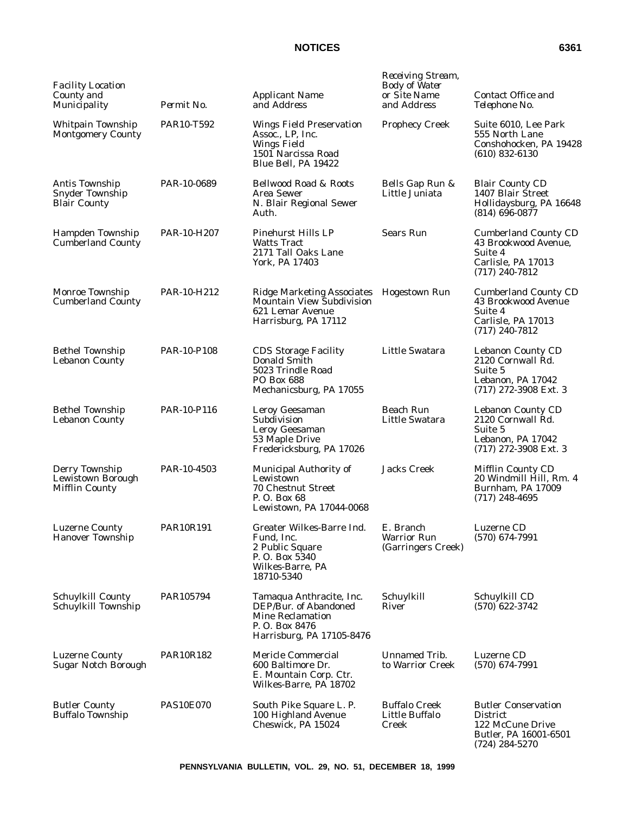# **NOTICES** 6361

| <b>Facility Location</b><br>County and<br>Municipality          | Permit No.       | <b>Applicant Name</b><br>and Address                                                                                     | Receiving Stream,<br><b>Body of Water</b><br>or Site Name<br>and Address | Contact Office and<br>Telephone No.                                                                            |
|-----------------------------------------------------------------|------------------|--------------------------------------------------------------------------------------------------------------------------|--------------------------------------------------------------------------|----------------------------------------------------------------------------------------------------------------|
| Whitpain Township<br><b>Montgomery County</b>                   | PAR10-T592       | <b>Wings Field Preservation</b><br>Assoc., LP, Inc.<br><b>Wings Field</b><br>1501 Narcissa Road<br>Blue Bell, PA 19422   | <b>Prophecy Creek</b>                                                    | Suite 6010, Lee Park<br>555 North Lane<br>Conshohocken, PA 19428<br>$(610)$ 832-6130                           |
| Antis Township<br><b>Snyder Township</b><br><b>Blair County</b> | PAR-10-0689      | <b>Bellwood Road &amp; Roots</b><br>Area Sewer<br>N. Blair Regional Sewer<br>Auth.                                       | Bells Gap Run &<br>Little Juniata                                        | <b>Blair County CD</b><br>1407 Blair Street<br>Hollidaysburg, PA 16648<br>$(814)$ 696-0877                     |
| Hampden Township<br><b>Cumberland County</b>                    | PAR-10-H207      | <b>Pinehurst Hills LP</b><br><b>Watts Tract</b><br>2171 Tall Oaks Lane<br>York, PA 17403                                 | <b>Sears Run</b>                                                         | <b>Cumberland County CD</b><br>43 Brookwood Avenue,<br>Suite 4<br>Carlisle, PA 17013<br>$(717)$ 240-7812       |
| Monroe Township<br><b>Cumberland County</b>                     | PAR-10-H212      | Ridge Marketing Associates Hogestown Run<br><b>Mountain View Subdivision</b><br>621 Lemar Avenue<br>Harrisburg, PA 17112 |                                                                          | <b>Cumberland County CD</b><br>43 Brookwood Avenue<br>Suite 4<br>Carlisle, PA 17013<br>$(717)$ 240-7812        |
| <b>Bethel Township</b><br><b>Lebanon County</b>                 | PAR-10-P108      | <b>CDS Storage Facility</b><br>Donald Smith<br>5023 Trindle Road<br><b>PO Box 688</b><br>Mechanicsburg, PA 17055         | Little Swatara                                                           | <b>Lebanon County CD</b><br>2120 Cornwall Rd.<br>Suite 5<br>Lebanon, PA 17042<br>$(717)$ 272-3908 Ext. 3       |
| <b>Bethel Township</b><br><b>Lebanon County</b>                 | PAR-10-P116      | Leroy Geesaman<br>Subdivision<br>Leroy Geesaman<br>53 Maple Drive<br>Fredericksburg, PA 17026                            | <b>Beach Run</b><br>Little Swatara                                       | <b>Lebanon County CD</b><br>2120 Cornwall Rd.<br>Suite 5<br>Lebanon, PA 17042<br>$(717)$ 272-3908 Ext. 3       |
| Derry Township<br>Lewistown Borough<br><b>Mifflin County</b>    | PAR-10-4503      | <b>Municipal Authority of</b><br>Lewistown<br><b>70 Chestnut Street</b><br>P. O. Box 68<br>Lewistown, PA 17044-0068      | <b>Jacks Creek</b>                                                       | Mifflin County CD<br>20 Windmill Hill, Rm. 4<br>Burnham, PA 17009<br>$(717)$ 248-4695                          |
| <b>Luzerne County</b><br><b>Hanover Township</b>                | <b>PAR10R191</b> | Greater Wilkes-Barre Ind.<br>Fund, Inc.<br>2 Public Square<br>P.O. Box 5340<br>Wilkes-Barre, PA<br>18710-5340            | E. Branch<br><b>Warrior Run</b><br>(Garringers Creek)                    | Luzerne CD<br>$(570)$ 674-7991                                                                                 |
| <b>Schuylkill County</b><br>Schuylkill Township                 | PAR105794        | Tamaqua Anthracite, Inc.<br>DEP/Bur. of Abandoned<br>Mine Reclamation<br>P.O. Box 8476<br>Harrisburg, PA 17105-8476      | Schuylkill<br>River                                                      | Schuylkill CD<br>$(570)$ 622-3742                                                                              |
| <b>Luzerne County</b><br><b>Sugar Notch Borough</b>             | PAR10R182        | Mericle Commercial<br>600 Baltimore Dr.<br>E. Mountain Corp. Ctr.<br>Wilkes-Barre, PA 18702                              | Unnamed Trib.<br>to Warrior Creek                                        | Luzerne CD<br>$(570)$ 674-7991                                                                                 |
| <b>Butler County</b><br><b>Buffalo Township</b>                 | <b>PAS10E070</b> | South Pike Square L. P.<br>100 Highland Avenue<br>Cheswick, PA 15024                                                     | <b>Buffalo Creek</b><br>Little Buffalo<br>Creek                          | <b>Butler Conservation</b><br><b>District</b><br>122 McCune Drive<br>Butler, PA 16001-6501<br>$(724)$ 284-5270 |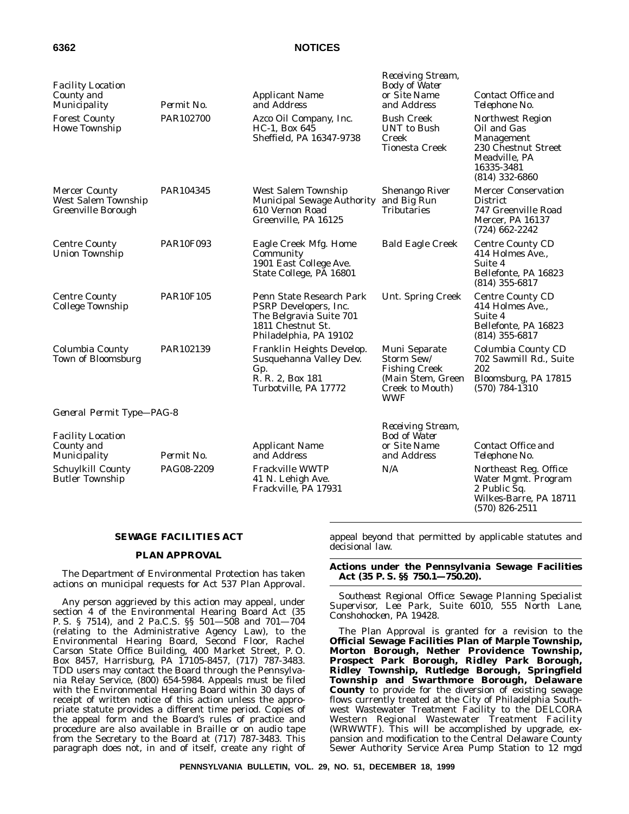# **6362 NOTICES**

| <b>Facility Location</b><br>County and<br>Municipality                   | Permit No.       | <b>Applicant Name</b><br>and Address                                                                                        | Receiving Stream,<br><b>Body of Water</b><br>or Šite Name<br>and Address                                  | Contact Office and<br>Telephone No.                                                                                     |
|--------------------------------------------------------------------------|------------------|-----------------------------------------------------------------------------------------------------------------------------|-----------------------------------------------------------------------------------------------------------|-------------------------------------------------------------------------------------------------------------------------|
| <b>Forest County</b><br><b>Howe Township</b>                             | PAR102700        | Azco Oil Company, Inc.<br>HC-1, Box 645<br>Sheffield, PA 16347-9738                                                         | <b>Bush Creek</b><br><b>UNT</b> to Bush<br>Creek<br><b>Tionesta Creek</b>                                 | Northwest Region<br>Oil and Gas<br>Management<br>230 Chestnut Street<br>Meadville, PA<br>16335-3481<br>$(814)$ 332-6860 |
| <b>Mercer County</b><br>West Salem Township<br><b>Greenville Borough</b> | PAR104345        | West Salem Township<br>Municipal Sewage Authority and Big Run<br>610 Vernon Road<br>Greenville, PA 16125                    | <b>Shenango River</b><br><b>Tributaries</b>                                                               | <b>Mercer Conservation</b><br><b>District</b><br>747 Greenville Road<br><b>Mercer, PA 16137</b><br>$(724)$ 662-2242     |
| <b>Centre County</b><br><b>Union Township</b>                            | <b>PAR10F093</b> | Eagle Creek Mfg. Home<br>Community<br>1901 East College Ave.<br>State College, PA 16801                                     | <b>Bald Eagle Creek</b>                                                                                   | <b>Centre County CD</b><br>414 Holmes Ave.,<br>Suite 4<br>Bellefonte, PA 16823<br>$(814)$ 355-6817                      |
| <b>Centre County</b><br><b>College Township</b>                          | <b>PAR10F105</b> | Penn State Research Park<br>PSRP Developers, Inc.<br>The Belgravia Suite 701<br>1811 Chestnut St.<br>Philadelphia, PA 19102 | Unt. Spring Creek                                                                                         | <b>Centre County CD</b><br>414 Holmes Ave.,<br>Suite 4<br>Bellefonte, PA 16823<br>$(814)$ 355-6817                      |
| Columbia County<br><b>Town of Bloomsburg</b>                             | PAR102139        | Franklin Heights Develop.<br>Susquehanna Valley Dev.<br>Gp.<br>R. R. 2, Box 181<br>Turbotville, PA 17772                    | Muni Separate<br>Storm Sew/<br><b>Fishing Creek</b><br>(Main Stem, Green<br>Creek to Mouth)<br><b>WWF</b> | Columbia County CD<br>702 Sawmill Rd., Suite<br>202<br>Bloomsburg, PA 17815<br>$(570) 784 - 1310$                       |
| General Permit Type-PAG-8                                                |                  |                                                                                                                             |                                                                                                           |                                                                                                                         |
| <b>Facility Location</b><br>County and<br>Municipality                   | Permit No.       | <b>Applicant Name</b><br>and Address                                                                                        | Receiving Stream,<br><b>Bod of Water</b><br>or Site Name<br>and Address                                   | Contact Office and<br>Telephone No.                                                                                     |
| Schuylkill County<br><b>Butler Township</b>                              | PAG08-2209       | <b>Frackville WWTP</b><br>41 N. Lehigh Ave.<br>Frackville, PA 17931                                                         | N/A                                                                                                       | Northeast Reg. Office<br>Water Mgmt. Program<br>2 Public Sq.<br>Wilkes-Barre, PA 18711<br>$(570)$ 826-2511              |

#### **SEWAGE FACILITIES ACT**

#### **PLAN APPROVAL**

The Department of Environmental Protection has taken actions on municipal requests for Act 537 Plan Approval.

Any person aggrieved by this action may appeal, under section 4 of the Environmental Hearing Board Act (35 P. S. § 7514), and 2 Pa.C.S. §§ 501—508 and 701—704 (relating to the Administrative Agency Law), to the Environmental Hearing Board, Second Floor, Rachel Carson State Office Building, 400 Market Street, P. O. Box 8457, Harrisburg, PA 17105-8457, (717) 787-3483. TDD users may contact the Board through the Pennsylvania Relay Service, (800) 654-5984. Appeals must be filed with the Environmental Hearing Board within 30 days of receipt of written notice of this action unless the appropriate statute provides a different time period. Copies of the appeal form and the Board's rules of practice and procedure are also available in Braille or on audio tape from the Secretary to the Board at (717) 787-3483. This paragraph does not, in and of itself, create any right of appeal beyond that permitted by applicable statutes and decisional law.

#### **Actions under the Pennsylvania Sewage Facilities Act (35 P. S. §§ 750.1—750.20).**

*Southeast Regional Office: Sewage Planning Specialist Supervisor, Lee Park, Suite 6010, 555 North Lane, Conshohocken, PA 19428.*

The Plan Approval is granted for a revision to the **Official Sewage Facilities Plan of Marple Township, Morton Borough, Nether Providence Township, Prospect Park Borough, Ridley Park Borough, Ridley Township, Rutledge Borough, Springfield Township and Swarthmore Borough, Delaware County** to provide for the diversion of existing sewage flows currently treated at the City of Philadelphia Southwest Wastewater Treatment Facility to the DELCORA Western Regional Wastewater Treatment Facility (WRWWTF). This will be accomplished by upgrade, expansion and modification to the Central Delaware County Sewer Authority Service Area Pump Station to 12 mgd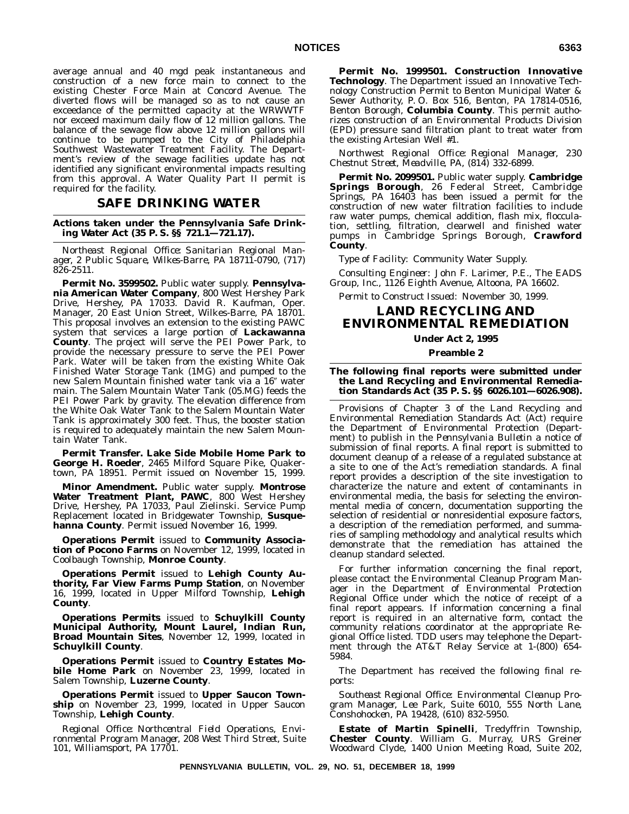average annual and 40 mgd peak instantaneous and construction of a new force main to connect to the existing Chester Force Main at Concord Avenue. The diverted flows will be managed so as to not cause an exceedance of the permitted capacity at the WRWWTF nor exceed maximum daily flow of 12 million gallons. The balance of the sewage flow above 12 million gallons will continue to be pumped to the City of Philadelphia Southwest Wastewater Treatment Facility. The Department's review of the sewage facilities update has not identified any significant environmental impacts resulting from this approval. A Water Quality Part II permit is required for the facility.

# **SAFE DRINKING WATER**

**Actions taken under the Pennsylvania Safe Drinking Water Act (35 P. S. §§ 721.1—721.17).**

*Northeast Regional Office: Sanitarian Regional Manager, 2 Public Square, Wilkes-Barre, PA 18711-0790, (717) 826-2511.*

**Permit No. 3599502.** Public water supply. **Pennsylvania American Water Company**, 800 West Hershey Park Drive, Hershey, PA 17033. David R. Kaufman, Oper. Manager, 20 East Union Street, Wilkes-Barre, PA 18701. This proposal involves an extension to the existing PAWC system that services a large portion of **Lackawanna County**. The project will serve the PEI Power Park, to provide the necessary pressure to serve the PEI Power Park. Water will be taken from the existing White Oak Finished Water Storage Tank (1MG) and pumped to the new Salem Mountain finished water tank via a 16" water main. The Salem Mountain Water Tank (05.MG) feeds the PEI Power Park by gravity. The elevation difference from the White Oak Water Tank to the Salem Mountain Water Tank is approximately 300 feet. Thus, the booster station is required to adequately maintain the new Salem Mountain Water Tank.

**Permit Transfer. Lake Side Mobile Home Park to George H. Roeder**, 2465 Milford Square Pike, Quakertown, PA 18951. Permit issued on November 15, 1999.

**Minor Amendment.** Public water supply. **Montrose** Water Treatment Plant, PAWC, 800 West Hershey Drive, Hershey, PA 17033, Paul Zielinski. Service Pump Replacement located in Bridgewater Township, **Susquehanna County**. Permit issued November 16, 1999.

**Operations Permit** issued to **Community Association of Pocono Farms** on November 12, 1999, located in Coolbaugh Township, **Monroe County**.

**Operations Permit** issued to **Lehigh County Authority, Far View Farms Pump Station**, on November 16, 1999, located in Upper Milford Township, **Lehigh County**.

**Operations Permits** issued to **Schuylkill County Municipal Authority, Mount Laurel, Indian Run, Broad Mountain Sites**, November 12, 1999, located in **Schuylkill County**.

**Operations Permit** issued to **Country Estates Mobile Home Park** on November 23, 1999, located in Salem Township, **Luzerne County**.

**Operations Permit** issued to **Upper Saucon Township** on November 23, 1999, located in Upper Saucon Township, **Lehigh County**.

*Regional Office: Northcentral Field Operations, Environmental Program Manager, 208 West Third Street, Suite 101, Williamsport, PA 17701.*

**Permit No. 1999501. Construction Innovative Technology**. The Department issued an Innovative Technology Construction Permit to Benton Municipal Water & Sewer Authority, P. O. Box 516, Benton, PA 17814-0516, Benton Borough, **Columbia County**. This permit authorizes construction of an Environmental Products Division (EPD) pressure sand filtration plant to treat water from the existing Artesian Well #1.

*Northwest Regional Office: Regional Manager, 230 Chestnut Street, Meadville, PA, (814) 332-6899.*

**Permit No. 2099501.** Public water supply. **Cambridge Springs Borough**, 26 Federal Street, Cambridge Springs, PA 16403 has been issued a permit for the construction of new water filtration facilities to include raw water pumps, chemical addition, flash mix, flocculation, settling, filtration, clearwell and finished water pumps in Cambridge Springs Borough, **Crawford County**.

*Type of Facility:* Community Water Supply.

*Consulting Engineer:* John F. Larimer, P.E., The EADS Group, Inc., 1126 Eighth Avenue, Altoona, PA 16602.

*Permit to Construct Issued:* November 30, 1999.

# **LAND RECYCLING AND ENVIRONMENTAL REMEDIATION**

### **Under Act 2, 1995**

#### **Preamble 2**

**The following final reports were submitted under the Land Recycling and Environmental Remediation Standards Act (35 P. S. §§ 6026.101—6026.908).**

Provisions of Chapter 3 of the Land Recycling and Environmental Remediation Standards Act (Act) require the Department of Environmental Protection (Department) to publish in the *Pennsylvania Bulletin* a notice of submission of final reports. A final report is submitted to document cleanup of a release of a regulated substance at a site to one of the Act's remediation standards. A final report provides a description of the site investigation to characterize the nature and extent of contaminants in environmental media, the basis for selecting the environmental media of concern, documentation supporting the selection of residential or nonresidential exposure factors, a description of the remediation performed, and summaries of sampling methodology and analytical results which demonstrate that the remediation has attained the cleanup standard selected.

For further information concerning the final report, please contact the Environmental Cleanup Program Manager in the Department of Environmental Protection Regional Office under which the notice of receipt of a final report appears. If information concerning a final report is required in an alternative form, contact the community relations coordinator at the appropriate Regional Office listed. TDD users may telephone the Department through the AT&T Relay Service at 1-(800) 654- 5984.

The Department has received the following final reports:

*Southeast Regional Office: Environmental Cleanup Program Manager, Lee Park, Suite 6010, 555 North Lane, Conshohocken, PA 19428, (610) 832-5950.*

**Estate of Martin Spinelli**, Tredyffrin Township, **Chester County**. William G. Murray, URS Greiner Woodward Clyde, 1400 Union Meeting Road, Suite 202,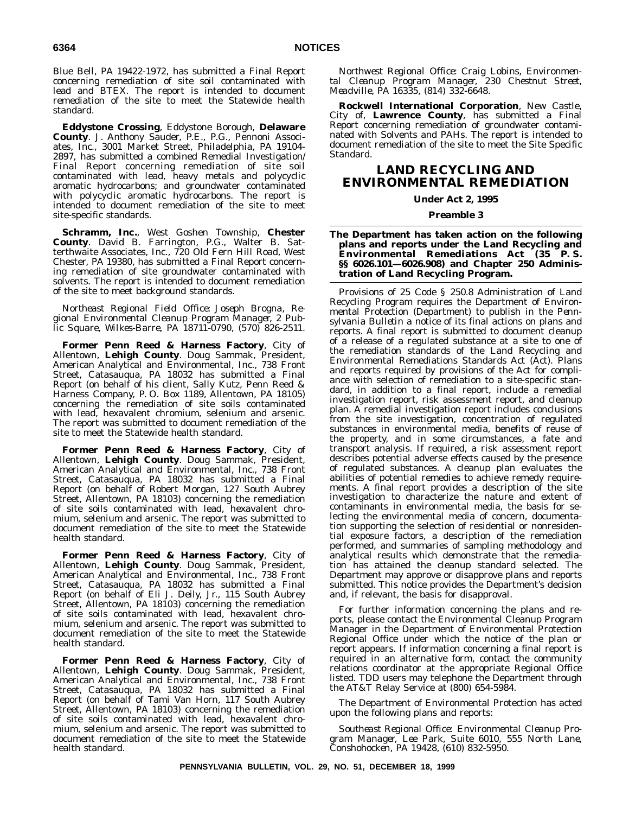Blue Bell, PA 19422-1972, has submitted a Final Report concerning remediation of site soil contaminated with lead and BTEX. The report is intended to document remediation of the site to meet the Statewide health standard.

**Eddystone Crossing**, Eddystone Borough, **Delaware County**. J. Anthony Sauder, P.E., P.G., Pennoni Associates, Inc., 3001 Market Street, Philadelphia, PA 19104- 2897, has submitted a combined Remedial Investigation/ Final Report concerning remediation of site soil contaminated with lead, heavy metals and polycyclic aromatic hydrocarbons; and groundwater contaminated with polycyclic aromatic hydrocarbons. The report is intended to document remediation of the site to meet site-specific standards.

**Schramm, Inc.**, West Goshen Township, **Chester County**. David B. Farrington, P.G., Walter B. Satterthwaite Associates, Inc., 720 Old Fern Hill Road, West Chester, PA 19380, has submitted a Final Report concerning remediation of site groundwater contaminated with solvents. The report is intended to document remediation of the site to meet background standards.

*Northeast Regional Field Office: Joseph Brogna, Regional Environmental Cleanup Program Manager, 2 Public Square, Wilkes-Barre, PA 18711-0790, (570) 826-2511.*

**Former Penn Reed & Harness Factory**, City of Allentown, **Lehigh County**. Doug Sammak, President, American Analytical and Environmental, Inc., 738 Front Street, Catasauqua, PA 18032 has submitted a Final Report (on behalf of his client, Sally Kutz, Penn Reed & Harness Company, P. O. Box 1189, Allentown, PA 18105) concerning the remediation of site soils contaminated with lead, hexavalent chromium, selenium and arsenic. The report was submitted to document remediation of the site to meet the Statewide health standard.

**Former Penn Reed & Harness Factory**, City of Allentown, **Lehigh County**. Doug Sammak, President, American Analytical and Environmental, Inc., 738 Front Street, Catasauqua, PA 18032 has submitted a Final Report (on behalf of Robert Morgan, 127 South Aubrey Street, Allentown, PA 18103) concerning the remediation of site soils contaminated with lead, hexavalent chromium, selenium and arsenic. The report was submitted to document remediation of the site to meet the Statewide health standard.

**Former Penn Reed & Harness Factory**, City of Allentown, **Lehigh County**. Doug Sammak, President, American Analytical and Environmental, Inc., 738 Front Street, Catasauqua, PA 18032 has submitted a Final Report (on behalf of Eli J. Deily, Jr., 115 South Aubrey Street, Allentown, PA 18103) concerning the remediation of site soils contaminated with lead, hexavalent chromium, selenium and arsenic. The report was submitted to document remediation of the site to meet the Statewide health standard.

**Former Penn Reed & Harness Factory**, City of Allentown, **Lehigh County**. Doug Sammak, President, American Analytical and Environmental, Inc., 738 Front Street, Catasauqua, PA 18032 has submitted a Final Report (on behalf of Tami Van Horn, 117 South Aubrey Street, Allentown, PA 18103) concerning the remediation of site soils contaminated with lead, hexavalent chromium, selenium and arsenic. The report was submitted to document remediation of the site to meet the Statewide health standard.

*Northwest Regional Office: Craig Lobins, Environmental Cleanup Program Manager, 230 Chestnut Street, Meadville, PA 16335, (814) 332-6648.*

**Rockwell International Corporation**, New Castle, City of, **Lawrence County**, has submitted a Final Report concerning remediation of groundwater contaminated with Solvents and PAHs. The report is intended to document remediation of the site to meet the Site Specific Standard.

# **LAND RECYCLING AND ENVIRONMENTAL REMEDIATION**

### **Under Act 2, 1995**

#### **Preamble 3**

#### **The Department has taken action on the following plans and reports under the Land Recycling and Environmental Remediations Act (35 P. S. §§ 6026.101—6026.908) and Chapter 250 Administration of Land Recycling Program.**

Provisions of 25 Code § 250.8 Administration of Land Recycling Program requires the Department of Environmental Protection (Department) to publish in the *Pennsylvania Bulletin* a notice of its final actions on plans and reports. A final report is submitted to document cleanup of a release of a regulated substance at a site to one of the remediation standards of the Land Recycling and Environmental Remediations Standards Act (Act). Plans and reports required by provisions of the Act for compliance with selection of remediation to a site-specific standard, in addition to a final report, include a remedial investigation report, risk assessment report, and cleanup plan. A remedial investigation report includes conclusions from the site investigation, concentration of regulated substances in environmental media, benefits of reuse of the property, and in some circumstances, a fate and transport analysis. If required, a risk assessment report describes potential adverse effects caused by the presence of regulated substances. A cleanup plan evaluates the abilities of potential remedies to achieve remedy requirements. A final report provides a description of the site investigation to characterize the nature and extent of contaminants in environmental media, the basis for selecting the environmental media of concern, documentation supporting the selection of residential or nonresidential exposure factors, a description of the remediation performed, and summaries of sampling methodology and analytical results which demonstrate that the remediation has attained the cleanup standard selected. The Department may approve or disapprove plans and reports submitted. This notice provides the Department's decision and, if relevant, the basis for disapproval.

For further information concerning the plans and reports, please contact the Environmental Cleanup Program Manager in the Department of Environmental Protection Regional Office under which the notice of the plan or report appears. If information concerning a final report is required in an alternative form, contact the community relations coordinator at the appropriate Regional Office listed. TDD users may telephone the Department through the AT&T Relay Service at (800) 654-5984.

The Department of Environmental Protection has acted upon the following plans and reports:

*Southeast Regional Office: Environmental Cleanup Program Manager, Lee Park, Suite 6010, 555 North Lane, Conshohocken, PA 19428, (610) 832-5950.*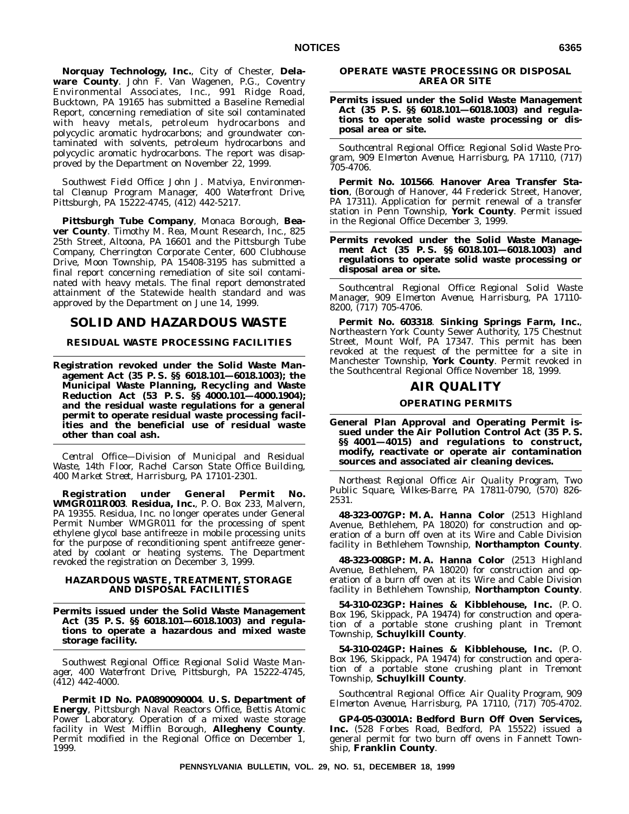**Norquay Technology, Inc.**, City of Chester, **Delaware County**. John F. Van Wagenen, P.G., Coventry Environmental Associates, Inc., 991 Ridge Road, Bucktown, PA 19165 has submitted a Baseline Remedial Report, concerning remediation of site soil contaminated with heavy metals, petroleum hydrocarbons and polycyclic aromatic hydrocarbons; and groundwater contaminated with solvents, petroleum hydrocarbons and polycyclic aromatic hydrocarbons. The report was disapproved by the Department on November 22, 1999.

*Southwest Field Office: John J. Matviya, Environmental Cleanup Program Manager, 400 Waterfront Drive, Pittsburgh, PA 15222-4745, (412) 442-5217.*

**Pittsburgh Tube Company**, Monaca Borough, **Beaver County**. Timothy M. Rea, Mount Research, Inc., 825 25th Street, Altoona, PA 16601 and the Pittsburgh Tube Company, Cherrington Corporate Center, 600 Clubhouse Drive, Moon Township, PA 15408-3195 has submitted a final report concerning remediation of site soil contaminated with heavy metals. The final report demonstrated attainment of the Statewide health standard and was approved by the Department on June 14, 1999.

# **SOLID AND HAZARDOUS WASTE**

#### **RESIDUAL WASTE PROCESSING FACILITIES**

**Registration revoked under the Solid Waste Management Act (35 P. S. §§ 6018.101—6018.1003); the Municipal Waste Planning, Recycling and Waste Reduction Act (53 P. S. §§ 4000.101—4000.1904); and the residual waste regulations for a general permit to operate residual waste processing facilities and the beneficial use of residual waste other than coal ash.**

*Central Office—Division of Municipal and Residual Waste, 14th Floor, Rachel Carson State Office Building, 400 Market Street, Harrisburg, PA 17101-2301.*

**Registration under General Permit No. WMGR011R003**. **Residua, Inc.**, P. O. Box 233, Malvern, PA 19355. Residua, Inc. no longer operates under General Permit Number WMGR011 for the processing of spent ethylene glycol base antifreeze in mobile processing units for the purpose of reconditioning spent antifreeze generated by coolant or heating systems. The Department revoked the registration on December 3, 1999.

#### **HAZARDOUS WASTE, TREATMENT, STORAGE AND DISPOSAL FACILITIES**

**Permits issued under the Solid Waste Management Act (35 P. S. §§ 6018.101—6018.1003) and regulations to operate a hazardous and mixed waste storage facility.**

*Southwest Regional Office: Regional Solid Waste Manager, 400 Waterfront Drive, Pittsburgh, PA 15222-4745, (412) 442-4000.*

**Permit ID No. PA0890090004**. **U. S. Department of Energy**, Pittsburgh Naval Reactors Office, Bettis Atomic Power Laboratory. Operation of a mixed waste storage facility in West Mifflin Borough, **Allegheny County**. Permit modified in the Regional Office on December 1, 1999.

#### **OPERATE WASTE PROCESSING OR DISPOSAL AREA OR SITE**

**Permits issued under the Solid Waste Management Act (35 P. S. §§ 6018.101—6018.1003) and regulations to operate solid waste processing or disposal area or site.**

*Southcentral Regional Office: Regional Solid Waste Program, 909 Elmerton Avenue, Harrisburg, PA 17110, (717) 705-4706.*

**Permit No. 101566**. **Hanover Area Transfer Station**, (Borough of Hanover, 44 Frederick Street, Hanover, PA 17311). Application for permit renewal of a transfer station in Penn Township, **York County**. Permit issued in the Regional Office December 3, 1999.

#### **Permits revoked under the Solid Waste Management Act (35 P. S. §§ 6018.101—6018.1003) and regulations to operate solid waste processing or disposal area or site.**

*Southcentral Regional Office: Regional Solid Waste Manager, 909 Elmerton Avenue, Harrisburg, PA 17110- 8200, (717) 705-4706.*

**Permit No. 603318**. **Sinking Springs Farm, Inc.**, Northeastern York County Sewer Authority, 175 Chestnut Street, Mount Wolf, PA 17347. This permit has been revoked at the request of the permittee for a site in Manchester Township, **York County**. Permit revoked in the Southcentral Regional Office November 18, 1999.

#### **AIR QUALITY**

#### **OPERATING PERMITS**

**General Plan Approval and Operating Permit issued under the Air Pollution Control Act (35 P. S. §§ 4001—4015) and regulations to construct, modify, reactivate or operate air contamination sources and associated air cleaning devices.**

*Northeast Regional Office: Air Quality Program, Two Public Square, Wilkes-Barre, PA 17811-0790, (570) 826- 2531.*

**48-323-007GP: M. A. Hanna Color** (2513 Highland Avenue, Bethlehem, PA 18020) for construction and operation of a burn off oven at its Wire and Cable Division facility in Bethlehem Township, **Northampton County**.

**48-323-008GP: M. A. Hanna Color** (2513 Highland Avenue, Bethlehem, PA 18020) for construction and operation of a burn off oven at its Wire and Cable Division facility in Bethlehem Township, **Northampton County**.

**54-310-023GP: Haines & Kibblehouse, Inc.** (P. O. Box 196, Skippack, PA 19474) for construction and operation of a portable stone crushing plant in Tremont Township, **Schuylkill County**.

**54-310-024GP: Haines & Kibblehouse, Inc.** (P. O. Box 196, Skippack, PA 19474) for construction and operation of a portable stone crushing plant in Tremont Township, **Schuylkill County**.

*Southcentral Regional Office: Air Quality Program, 909 Elmerton Avenue, Harrisburg, PA 17110, (717) 705-4702.*

**GP4-05-03001A: Bedford Burn Off Oven Services, Inc.** (528 Forbes Road, Bedford, PA 15522) issued a general permit for two burn off ovens in Fannett Township, **Franklin County**.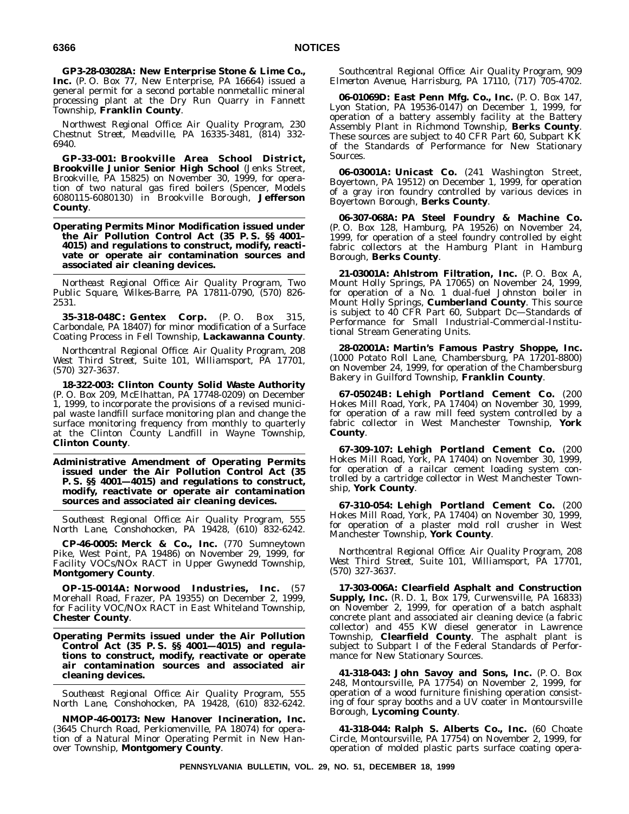**GP3-28-03028A: New Enterprise Stone & Lime Co., Inc.** (P. O. Box 77, New Enterprise, PA 16664) issued a general permit for a second portable nonmetallic mineral processing plant at the Dry Run Quarry in Fannett Township, **Franklin County**.

*Northwest Regional Office: Air Quality Program, 230 Chestnut Street, Meadville, PA 16335-3481, (814) 332- 6940.*

**GP-33-001: Brookville Area School District, Brookville Junior Senior High School** (Jenks Street, Brookville, PA 15825) on November 30, 1999, for operation of two natural gas fired boilers (Spencer, Models 6080115-6080130) in Brookville Borough, **Jefferson County**.

**Operating Permits Minor Modification issued under the Air Pollution Control Act (35 P. S. §§ 4001– 4015) and regulations to construct, modify, reactivate or operate air contamination sources and associated air cleaning devices.**

*Northeast Regional Office: Air Quality Program, Two Public Square, Wilkes-Barre, PA 17811-0790, (570) 826- 2531.*

**35-318-048C: Gentex Corp.** (P. O. Box 315, Carbondale, PA 18407) for minor modification of a Surface Coating Process in Fell Township, **Lackawanna County**.

*Northcentral Regional Office: Air Quality Program, 208 West Third Street, Suite 101, Williamsport, PA 17701, (570) 327-3637.*

**18-322-003: Clinton County Solid Waste Authority** (P. O. Box 209, McElhattan, PA 17748-0209) on December 1, 1999, to incorporate the provisions of a revised municipal waste landfill surface monitoring plan and change the surface monitoring frequency from monthly to quarterly at the Clinton County Landfill in Wayne Township, **Clinton County**.

**Administrative Amendment of Operating Permits issued under the Air Pollution Control Act (35 P. S. §§ 4001—4015) and regulations to construct, modify, reactivate or operate air contamination sources and associated air cleaning devices.**

*Southeast Regional Office: Air Quality Program, 555 North Lane, Conshohocken, PA 19428, (610) 832-6242.*

**CP-46-0005: Merck & Co., Inc.** (770 Sumneytown Pike, West Point, PA 19486) on November 29, 1999, for Facility VOCs/NOx RACT in Upper Gwynedd Township, **Montgomery County**.

**OP-15-0014A: Norwood Industries, Inc.** (57 Morehall Road, Frazer, PA 19355) on December 2, 1999, for Facility VOC/NOx RACT in East Whiteland Township, **Chester County**.

**Operating Permits issued under the Air Pollution Control Act (35 P. S. §§ 4001—4015) and regulations to construct, modify, reactivate or operate air contamination sources and associated air cleaning devices.**

*Southeast Regional Office: Air Quality Program, 555 North Lane, Conshohocken, PA 19428, (610) 832-6242.*

**NMOP-46-00173: New Hanover Incineration, Inc.** (3645 Church Road, Perkiomenville, PA 18074) for operation of a Natural Minor Operating Permit in New Hanover Township, **Montgomery County**.

*Southcentral Regional Office: Air Quality Program, 909 Elmerton Avenue, Harrisburg, PA 17110, (717) 705-4702.*

**06-01069D: East Penn Mfg. Co., Inc.** (P. O. Box 147, Lyon Station, PA 19536-0147) on December 1, 1999, for operation of a battery assembly facility at the Battery Assembly Plant in Richmond Township, **Berks County**. These sources are subject to 40 CFR Part 60, Subpart KK of the Standards of Performance for New Stationary Sources.

**06-03001A: Unicast Co.** (241 Washington Street, Boyertown, PA 19512) on December 1, 1999, for operation of a gray iron foundry controlled by various devices in Boyertown Borough, **Berks County**.

**06-307-068A: PA Steel Foundry & Machine Co.** (P. O. Box 128, Hamburg, PA 19526) on November 24, 1999, for operation of a steel foundry controlled by eight fabric collectors at the Hamburg Plant in Hamburg Borough, **Berks County**.

**21-03001A: Ahlstrom Filtration, Inc.** (P. O. Box A, Mount Holly Springs, PA 17065) on November 24, 1999, for operation of a No. 1 dual-fuel Johnston boiler in Mount Holly Springs, **Cumberland County**. This source is subject to 40 CFR Part 60, Subpart Dc—Standards of Performance for Small Industrial-Commercial-Institutional Stream Generating Units.

**28-02001A: Martin's Famous Pastry Shoppe, Inc.** (1000 Potato Roll Lane, Chambersburg, PA 17201-8800) on November 24, 1999, for operation of the Chambersburg Bakery in Guilford Township, **Franklin County**.

**67-05024B: Lehigh Portland Cement Co.** (200 Hokes Mill Road, York, PA 17404) on November 30, 1999, for operation of a raw mill feed system controlled by a fabric collector in West Manchester Township, **York County**.

**67-309-107: Lehigh Portland Cement Co.** (200 Hokes Mill Road, York, PA 17404) on November 30, 1999, for operation of a railcar cement loading system controlled by a cartridge collector in West Manchester Township, **York County**.

**67-310-054: Lehigh Portland Cement Co.** (200 Hokes Mill Road, York, PA 17404) on November 30, 1999, for operation of a plaster mold roll crusher in West Manchester Township, **York County**.

*Northcentral Regional Office: Air Quality Program, 208 West Third Street, Suite 101, Williamsport, PA 17701, (570) 327-3637.*

**17-303-006A: Clearfield Asphalt and Construction Supply, Inc.** (R. D. 1, Box 179, Curwensville, PA 16833) on November 2, 1999, for operation of a batch asphalt concrete plant and associated air cleaning device (a fabric collector) and 455 KW diesel generator in Lawrence Township, **Clearfield County**. The asphalt plant is subject to Subpart I of the Federal Standards of Performance for New Stationary Sources.

**41-318-043: John Savoy and Sons, Inc.** (P. O. Box 248, Montoursville, PA 17754) on November 2, 1999, for operation of a wood furniture finishing operation consisting of four spray booths and a UV coater in Montoursville Borough, **Lycoming County**.

**41-318-044: Ralph S. Alberts Co., Inc.** (60 Choate Circle, Montoursville, PA 17754) on November 2, 1999, for operation of molded plastic parts surface coating opera-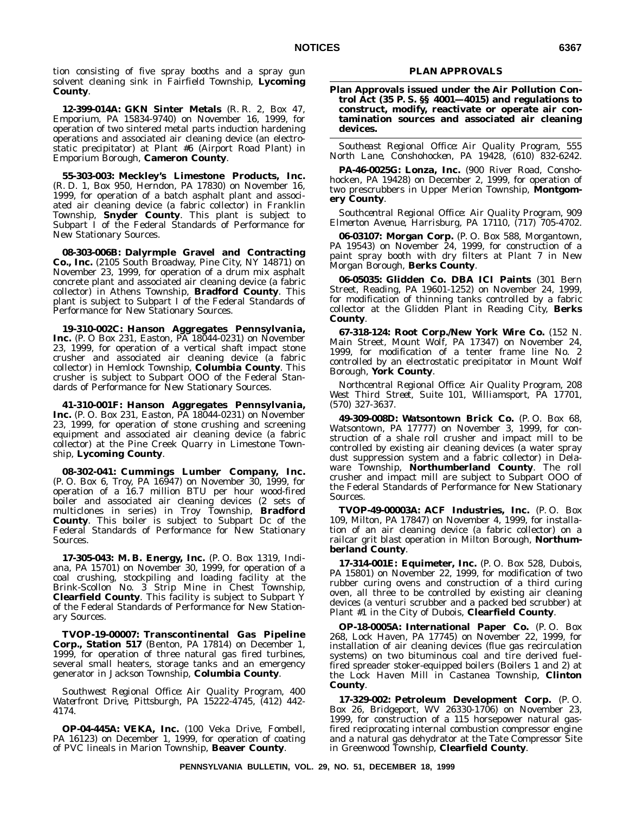tion consisting of five spray booths and a spray gun solvent cleaning sink in Fairfield Township, **Lycoming County**.

**12-399-014A: GKN Sinter Metals** (R. R. 2, Box 47, Emporium, PA 15834-9740) on November 16, 1999, for operation of two sintered metal parts induction hardening operations and associated air cleaning device (an electrostatic precipitator) at Plant #6 (Airport Road Plant) in Emporium Borough, **Cameron County**.

**55-303-003: Meckley's Limestone Products, Inc.** (R. D. 1, Box 950, Herndon, PA 17830) on November 16, 1999, for operation of a batch asphalt plant and associated air cleaning device (a fabric collector) in Franklin Township, **Snyder County**. This plant is subject to Subpart I of the Federal Standards of Performance for New Stationary Sources.

**08-303-006B: Dalyrmple Gravel and Contracting Co., Inc.** (2105 South Broadway, Pine City, NY 14871) on November 23, 1999, for operation of a drum mix asphalt concrete plant and associated air cleaning device (a fabric collector) in Athens Township, **Bradford County**. This plant is subject to Subpart I of the Federal Standards of Performance for New Stationary Sources.

**19-310-002C: Hanson Aggregates Pennsylvania, Inc.** (P. O Box 231, Easton, PA 18044-0231) on November 23, 1999, for operation of a vertical shaft impact stone crusher and associated air cleaning device (a fabric collector) in Hemlock Township, **Columbia County**. This crusher is subject to Subpart OOO of the Federal Standards of Performance for New Stationary Sources.

**41-310-001F: Hanson Aggregates Pennsylvania, Inc.** (P. O. Box 231, Easton, PA 18044-0231) on November 23, 1999, for operation of stone crushing and screening equipment and associated air cleaning device (a fabric collector) at the Pine Creek Quarry in Limestone Township, **Lycoming County**.

**08-302-041: Cummings Lumber Company, Inc.** (P. O. Box 6, Troy, PA 16947) on November 30, 1999, for operation of a 16.7 million BTU per hour wood-fired boiler and associated air cleaning devices (2 sets of multiclones in series) in Troy Township, **Bradford County**. This boiler is subject to Subpart Dc of the Federal Standards of Performance for New Stationary Sources.

**17-305-043: M. B. Energy, Inc.** (P. O. Box 1319, Indiana, PA 15701) on November 30, 1999, for operation of a coal crushing, stockpiling and loading facility at the Brink-Scollon No. 3 Strip Mine in Chest Township, **Clearfield County**. This facility is subject to Subpart Y of the Federal Standards of Performance for New Stationary Sources.

**TVOP-19-00007: Transcontinental Gas Pipeline Corp., Station 517** (Benton, PA 17814) on December 1, 1999, for operation of three natural gas fired turbines, several small heaters, storage tanks and an emergency generator in Jackson Township, **Columbia County**.

*Southwest Regional Office: Air Quality Program, 400 Waterfront Drive, Pittsburgh, PA 15222-4745, (412) 442- 4174.*

**OP-04-445A: VEKA, Inc.** (100 Veka Drive, Fombell, PA 16123) on December 1, 1999, for operation of coating of PVC lineals in Marion Township, **Beaver County**.

#### **PLAN APPROVALS**

**Plan Approvals issued under the Air Pollution Control Act (35 P. S. §§ 4001—4015) and regulations to construct, modify, reactivate or operate air contamination sources and associated air cleaning devices.**

*Southeast Regional Office: Air Quality Program, 555 North Lane, Conshohocken, PA 19428, (610) 832-6242.*

**PA-46-0025G: Lonza, Inc.** (900 River Road, Conshohocken, PA 19428) on December 2, 1999, for operation of two prescrubbers in Upper Merion Township, **Montgomery County**.

*Southcentral Regional Office: Air Quality Program, 909 Elmerton Avenue, Harrisburg, PA 17110, (717) 705-4702.*

**06-03107: Morgan Corp.** (P. O. Box 588, Morgantown, PA 19543) on November 24, 1999, for construction of a paint spray booth with dry filters at Plant 7 in New Morgan Borough, **Berks County**.

**06-05035: Glidden Co. DBA ICI Paints** (301 Bern Street, Reading, PA 19601-1252) on November 24, 1999, for modification of thinning tanks controlled by a fabric collector at the Glidden Plant in Reading City, **Berks County**.

**67-318-124: Root Corp./New York Wire Co.** (152 N. Main Street, Mount Wolf, PA 17347) on November 24, 1999, for modification of a tenter frame line No. 2 controlled by an electrostatic precipitator in Mount Wolf Borough, **York County**.

*Northcentral Regional Office: Air Quality Program, 208 West Third Street, Suite 101, Williamsport, PA 17701, (570) 327-3637.*

**49-309-008D: Watsontown Brick Co.** (P. O. Box 68, Watsontown, PA 17777) on November 3, 1999, for construction of a shale roll crusher and impact mill to be controlled by existing air cleaning devices (a water spray dust suppression system and a fabric collector) in Delaware Township, **Northumberland County**. The roll crusher and impact mill are subject to Subpart OOO of the Federal Standards of Performance for New Stationary Sources.

**TVOP-49-00003A: ACF Industries, Inc.** (P. O. Box 109, Milton, PA 17847) on November 4, 1999, for installation of an air cleaning device (a fabric collector) on a railcar grit blast operation in Milton Borough, **Northumberland County**.

**17-314-001E: Equimeter, Inc.** (P. O. Box 528, Dubois, PA 15801) on November 22, 1999, for modification of two rubber curing ovens and construction of a third curing oven, all three to be controlled by existing air cleaning devices (a venturi scrubber and a packed bed scrubber) at Plant #1 in the City of Dubois, **Clearfield County**.

**OP-18-0005A: International Paper Co.** (P. O. Box 268, Lock Haven, PA 17745) on November 22, 1999, for installation of air cleaning devices (flue gas recirculation systems) on two bituminous coal and tire derived fuelfired spreader stoker-equipped boilers (Boilers 1 and 2) at the Lock Haven Mill in Castanea Township, **Clinton County**.

**17-329-002: Petroleum Development Corp.** (P. O. Box 26, Bridgeport, WV 26330-1706) on November 23, 1999, for construction of a 115 horsepower natural gasfired reciprocating internal combustion compressor engine and a natural gas dehydrator at the Tate Compressor Site in Greenwood Township, **Clearfield County**.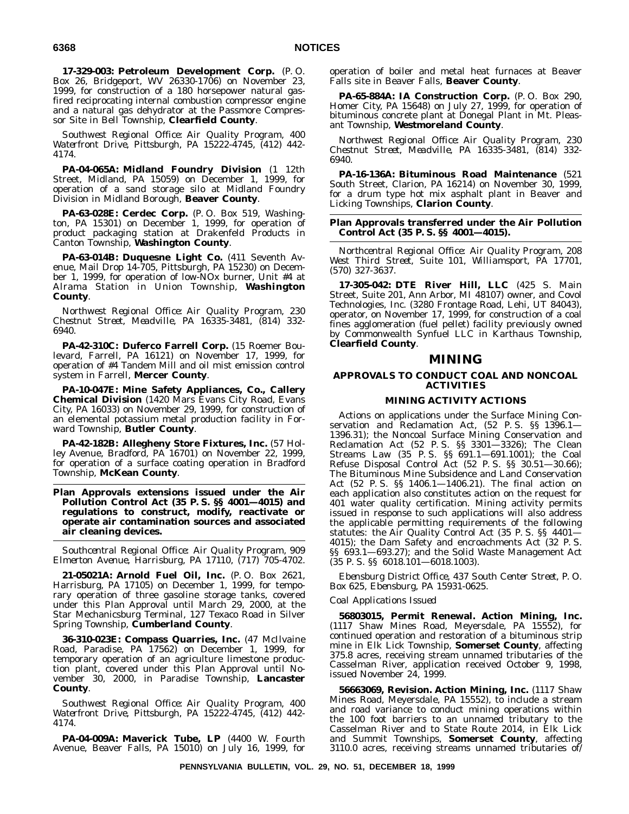**17-329-003: Petroleum Development Corp.** (P. O. Box 26, Bridgeport, WV 26330-1706) on November 23, 1999, for construction of a 180 horsepower natural gasfired reciprocating internal combustion compressor engine and a natural gas dehydrator at the Passmore Compressor Site in Bell Township, **Clearfield County**.

*Southwest Regional Office: Air Quality Program, 400 Waterfront Drive, Pittsburgh, PA 15222-4745, (412) 442- 4174.*

**PA-04-065A: Midland Foundry Division** (1 12th Street, Midland, PA 15059) on December 1, 1999, for operation of a sand storage silo at Midland Foundry Division in Midland Borough, **Beaver County**.

**PA-63-028E: Cerdec Corp.** (P. O. Box 519, Washington, PA 15301) on December 1, 1999, for operation of product packaging station at Drakenfeld Products in Canton Township, **Washington County**.

**PA-63-014B: Duquesne Light Co.** (411 Seventh Avenue, Mail Drop 14-705, Pittsburgh, PA 15230) on December 1, 1999, for operation of low-NOx burner, Unit #4 at Alrama Station in Union Township, **Washington County**.

*Northwest Regional Office: Air Quality Program, 230 Chestnut Street, Meadville, PA 16335-3481, (814) 332- 6940.*

**PA-42-310C: Duferco Farrell Corp.** (15 Roemer Boulevard, Farrell, PA 16121) on November 17, 1999, for operation of #4 Tandem Mill and oil mist emission control system in Farrell, **Mercer County**.

**PA-10-047E: Mine Safety Appliances, Co., Callery Chemical Division** (1420 Mars Evans City Road, Evans City, PA 16033) on November 29, 1999, for construction of an elemental potassium metal production facility in Forward Township, **Butler County**.

**PA-42-182B: Allegheny Store Fixtures, Inc.** (57 Holley Avenue, Bradford, PA 16701) on November 22, 1999, for operation of a surface coating operation in Bradford Township, **McKean County**.

#### **Plan Approvals extensions issued under the Air Pollution Control Act (35 P. S. §§ 4001—4015) and regulations to construct, modify, reactivate or operate air contamination sources and associated air cleaning devices.**

*Southcentral Regional Office: Air Quality Program, 909 Elmerton Avenue, Harrisburg, PA 17110, (717) 705-4702.*

**21-05021A: Arnold Fuel Oil, Inc.** (P. O. Box 2621, Harrisburg, PA 17105) on December 1, 1999, for temporary operation of three gasoline storage tanks, covered under this Plan Approval until March 29, 2000, at the Star Mechanicsburg Terminal, 127 Texaco Road in Silver Spring Township, **Cumberland County**.

**36-310-023E: Compass Quarries, Inc.** (47 McIlvaine Road, Paradise, PA 17562) on December 1, 1999, for temporary operation of an agriculture limestone production plant, covered under this Plan Approval until November 30, 2000, in Paradise Township, **Lancaster County**.

*Southwest Regional Office: Air Quality Program, 400 Waterfront Drive, Pittsburgh, PA 15222-4745, (412) 442- 4174.*

**PA-04-009A: Maverick Tube, LP** (4400 W. Fourth Avenue, Beaver Falls, PA 15010) on July 16, 1999, for

operation of boiler and metal heat furnaces at Beaver Falls site in Beaver Falls, **Beaver County**.

**PA-65-884A: IA Construction Corp.** (P. O. Box 290, Homer City, PA 15648) on July 27, 1999, for operation of bituminous concrete plant at Donegal Plant in Mt. Pleasant Township, **Westmoreland County**.

*Northwest Regional Office: Air Quality Program, 230 Chestnut Street, Meadville, PA 16335-3481, (814) 332- 6940.*

**PA-16-136A: Bituminous Road Maintenance** (521 South Street, Clarion, PA 16214) on November 30, 1999, for a drum type hot mix asphalt plant in Beaver and Licking Townships, **Clarion County**.

#### **Plan Approvals transferred under the Air Pollution Control Act (35 P. S. §§ 4001—4015).**

*Northcentral Regional Office: Air Quality Program, 208 West Third Street, Suite 101, Williamsport, PA 17701, (570) 327-3637.*

**17-305-042: DTE River Hill, LLC** (425 S. Main Street, Suite 201, Ann Arbor, MI 48107) owner, and Covol Technologies, Inc. (3280 Frontage Road, Lehi, UT 84043), operator, on November 17, 1999, for construction of a coal fines agglomeration (fuel pellet) facility previously owned by Commonwealth Synfuel LLC in Karthaus Township, **Clearfield County**.

#### **MINING**

#### **APPROVALS TO CONDUCT COAL AND NONCOAL ACTIVITIES**

## **MINING ACTIVITY ACTIONS**

Actions on applications under the Surface Mining Conservation and Reclamation Act, (52 P. S. §§ 1396.1— 1396.31); the Noncoal Surface Mining Conservation and Reclamation Act (52 P. S. §§ 3301—3326); The Clean Streams Law (35 P. S. §§ 691.1—691.1001); the Coal Refuse Disposal Control Act (52 P. S. §§ 30.51—30.66); The Bituminous Mine Subsidence and Land Conservation Act (52 P. S. §§ 1406.1—1406.21). The final action on each application also constitutes action on the request for 401 water quality certification. Mining activity permits issued in response to such applications will also address the applicable permitting requirements of the following statutes: the Air Quality Control Act (35 P. S. §§ 4401— 4015); the Dam Safety and encroachments Act (32 P. S. §§ 693.1—693.27); and the Solid Waste Management Act (35 P. S. §§ 6018.101—6018.1003).

*Ebensburg District Office, 437 South Center Street, P. O. Box 625, Ebensburg, PA 15931-0625.*

# *Coal Applications Issued*

**56803015, Permit Renewal. Action Mining, Inc.** (1117 Shaw Mines Road, Meyersdale, PA 15552), for continued operation and restoration of a bituminous strip mine in Elk Lick Township, **Somerset County**, affecting 375.8 acres, receiving stream unnamed tributaries of the Casselman River, application received October 9, 1998, issued November 24, 1999.

**56663069, Revision. Action Mining, Inc.** (1117 Shaw Mines Road, Meyersdale, PA 15552), to include a stream and road variance to conduct mining operations within the 100 foot barriers to an unnamed tributary to the Casselman River and to State Route 2014, in Elk Lick and Summit Townships, **Somerset County**, affecting 3110.0 acres, receiving streams unnamed tributaries of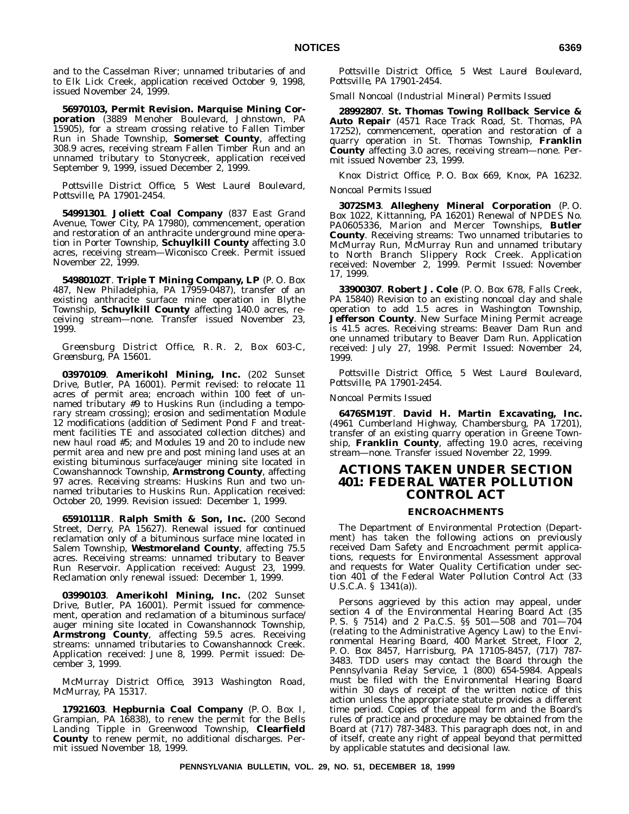and to the Casselman River; unnamed tributaries of and to Elk Lick Creek, application received October 9, 1998, issued November 24, 1999.

**56970103, Permit Revision. Marquise Mining Corporation** (3889 Menoher Boulevard, Johnstown, PA 15905), for a stream crossing relative to Fallen Timber Run in Shade Township, **Somerset County**, affecting 308.9 acres, receiving stream Fallen Timber Run and an unnamed tributary to Stonycreek, application received September 9, 1999, issued December 2, 1999.

*Pottsville District Office, 5 West Laurel Boulevard, Pottsville, PA 17901-2454.*

**54991301**. **Joliett Coal Company** (837 East Grand Avenue, Tower City, PA 17980), commencement, operation and restoration of an anthracite underground mine operation in Porter Township, **Schuylkill County** affecting 3.0 acres, receiving stream—Wiconisco Creek. Permit issued November 22, 1999.

**54980102T**. **Triple T Mining Company, LP** (P. O. Box 487, New Philadelphia, PA 17959-0487), transfer of an existing anthracite surface mine operation in Blythe Township, **Schuylkill County** affecting 140.0 acres, receiving stream—none. Transfer issued November 23, 1999.

*Greensburg District Office, R. R. 2, Box 603-C, Greensburg, PA 15601.*

**03970109**. **Amerikohl Mining, Inc.** (202 Sunset Drive, Butler, PA 16001). Permit revised: to relocate 11 acres of permit area; encroach within 100 feet of unnamed tributary #9 to Huskins Run (including a temporary stream crossing); erosion and sedimentation Module 12 modifications (addition of Sediment Pond F and treatment facilities TE and associated collection ditches) and new haul road #5; and Modules 19 and 20 to include new permit area and new pre and post mining land uses at an existing bituminous surface/auger mining site located in Cowanshannock Township, **Armstrong County**, affecting 97 acres. Receiving streams: Huskins Run and two unnamed tributaries to Huskins Run. Application received: October 20, 1999. Revision issued: December 1, 1999.

**65910111R**. **Ralph Smith & Son, Inc.** (200 Second Street, Derry, PA 15627). Renewal issued for continued reclamation only of a bituminous surface mine located in Salem Township, **Westmoreland County**, affecting 75.5 acres. Receiving streams: unnamed tributary to Beaver Run Reservoir. Application received: August 23, 1999. Reclamation only renewal issued: December 1, 1999.

**03990103**. **Amerikohl Mining, Inc.** (202 Sunset Drive, Butler, PA 16001). Permit issued for commencement, operation and reclamation of a bituminous surface/ auger mining site located in Cowanshannock Township, **Armstrong County**, affecting 59.5 acres. Receiving streams: unnamed tributaries to Cowanshannock Creek. Application received: June 8, 1999. Permit issued: December 3, 1999.

*McMurray District Office, 3913 Washington Road, McMurray, PA 15317.*

**17921603**. **Hepburnia Coal Company** (P. O. Box I, Grampian, PA 16838), to renew the permit for the Bells Landing Tipple in Greenwood Township, **Clearfield County** to renew permit, no additional discharges. Permit issued November 18, 1999.

*Pottsville District Office, 5 West Laurel Boulevard, Pottsville, PA 17901-2454.*

*Small Noncoal (Industrial Mineral) Permits Issued*

**28992807**. **St. Thomas Towing Rollback Service & Auto Repair** (4571 Race Track Road, St. Thomas, PA 17252), commencement, operation and restoration of a quarry operation in St. Thomas Township, **Franklin County** affecting 3.0 acres, receiving stream—none. Permit issued November 23, 1999.

*Knox District Office, P. O. Box 669, Knox, PA 16232.*

#### *Noncoal Permits Issued*

**3072SM3**. **Allegheny Mineral Corporation** (P. O. Box 1022, Kittanning, PA 16201) Renewal of NPDES No. PA0605336, Marion and Mercer Townships, **Butler County**. Receiving streams: Two unnamed tributaries to McMurray Run, McMurray Run and unnamed tributary to North Branch Slippery Rock Creek. Application received: November 2, 1999. Permit Issued: November 17, 1999.

**33900307**. **Robert J. Cole** (P. O. Box 678, Falls Creek, PA 15840) Revision to an existing noncoal clay and shale operation to add 1.5 acres in Washington Township, **Jefferson County**. New Surface Mining Permit acreage is 41.5 acres. Receiving streams: Beaver Dam Run and one unnamed tributary to Beaver Dam Run. Application received: July 27, 1998. Permit Issued: November 24, 1999.

*Pottsville District Office, 5 West Laurel Boulevard, Pottsville, PA 17901-2454.*

#### *Noncoal Permits Issued*

**6476SM19T**. **David H. Martin Excavating, Inc.** (4961 Cumberland Highway, Chambersburg, PA 17201), transfer of an existing quarry operation in Greene Township, **Franklin County**, affecting 19.0 acres, receiving stream—none. Transfer issued November 22, 1999.

# **ACTIONS TAKEN UNDER SECTION 401: FEDERAL WATER POLLUTION CONTROL ACT**

#### **ENCROACHMENTS**

The Department of Environmental Protection (Department) has taken the following actions on previously received Dam Safety and Encroachment permit applications, requests for Environmental Assessment approval and requests for Water Quality Certification under section 401 of the Federal Water Pollution Control Act (33 U.S.C.A. § 1341(a)).

Persons aggrieved by this action may appeal, under section 4 of the Environmental Hearing Board Act (35 P. S. § 7514) and 2 Pa.C.S. §§ 501—508 and 701—704 (relating to the Administrative Agency Law) to the Environmental Hearing Board, 400 Market Street, Floor 2, P. O. Box 8457, Harrisburg, PA 17105-8457, (717) 787- 3483. TDD users may contact the Board through the Pennsylvania Relay Service, 1 (800) 654-5984. Appeals must be filed with the Environmental Hearing Board within 30 days of receipt of the written notice of this action unless the appropriate statute provides a different time period. Copies of the appeal form and the Board's rules of practice and procedure may be obtained from the Board at (717) 787-3483. This paragraph does not, in and of itself, create any right of appeal beyond that permitted by applicable statutes and decisional law.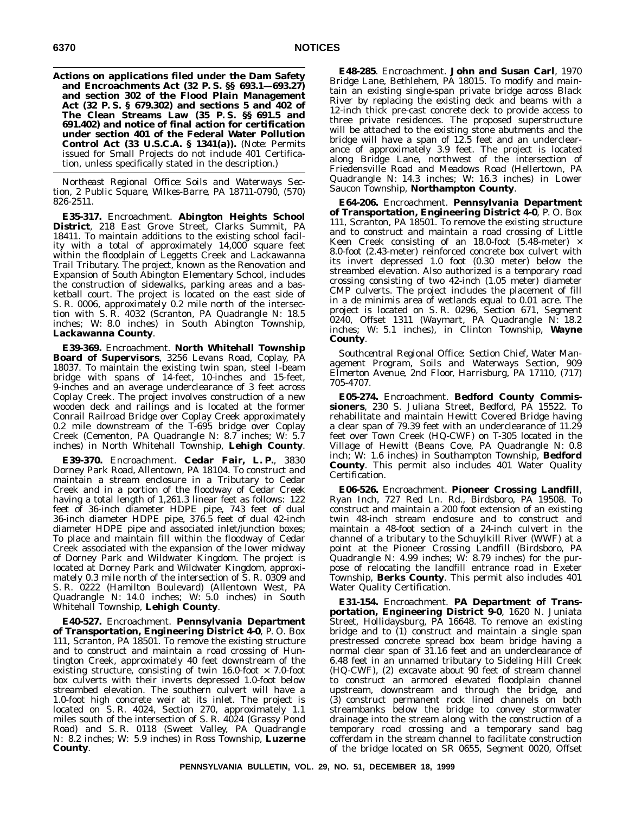**Actions on applications filed under the Dam Safety and Encroachments Act (32 P. S. §§ 693.1—693.27) and section 302 of the Flood Plain Management Act (32 P. S. § 679.302) and sections 5 and 402 of The Clean Streams Law (35 P. S. §§ 691.5 and 691.402) and notice of final action for certification under section 401 of the Federal Water Pollution Control Act (33 U.S.C.A. § 1341(a)).** (*Note*: Permits issued for Small Projects do not include 401 Certification, unless specifically stated in the description.)

*Northeast Regional Office: Soils and Waterways Section, 2 Public Square, Wilkes-Barre, PA 18711-0790, (570) 826-2511.*

**E35-317.** Encroachment. **Abington Heights School District**, 218 East Grove Street, Clarks Summit, PA 18411. To maintain additions to the existing school facility with a total of approximately 14,000 square feet within the floodplain of Leggetts Creek and Lackawanna Trail Tributary. The project, known as the Renovation and Expansion of South Abington Elementary School, includes the construction of sidewalks, parking areas and a basketball court. The project is located on the east side of S. R. 0006, approximately 0.2 mile north of the intersection with S. R. 4032 (Scranton, PA Quadrangle N: 18.5 inches; W: 8.0 inches) in South Abington Township, **Lackawanna County**.

**E39-369.** Encroachment. **North Whitehall Township Board of Supervisors**, 3256 Levans Road, Coplay, PA 18037. To maintain the existing twin span, steel I-beam bridge with spans of 14-feet, 10-inches and 15-feet, 9-inches and an average underclearance of 3 feet across Coplay Creek. The project involves construction of a new wooden deck and railings and is located at the former Conrail Railroad Bridge over Coplay Creek approximately  $0.2$  mile downstream of the T-695 bridge over Coplay Creek (Cementon, PA Quadrangle N: 8.7 inches; W: 5.7 inches) in North Whitehall Township, **Lehigh County**.

**E39-370.** Encroachment. **Cedar Fair, L. P.**, 3830 Dorney Park Road, Allentown, PA 18104. To construct and maintain a stream enclosure in a Tributary to Cedar Creek and in a portion of the floodway of Cedar Creek having a total length of 1,261.3 linear feet as follows: 122 feet of 36-inch diameter HDPE pipe, 743 feet of dual 36-inch diameter HDPE pipe, 376.5 feet of dual 42-inch diameter HDPE pipe and associated inlet/junction boxes; To place and maintain fill within the floodway of Cedar Creek associated with the expansion of the lower midway of Dorney Park and Wildwater Kingdom. The project is located at Dorney Park and Wildwater Kingdom, approximately 0.3 mile north of the intersection of S. R. 0309 and S. R. 0222 (Hamilton Boulevard) (Allentown West, PA Quadrangle N: 14.0 inches; W: 5.0 inches) in South Whitehall Township, **Lehigh County**.

**E40-527.** Encroachment. **Pennsylvania Department of Transportation, Engineering District 4-0**, P. O. Box 111, Scranton, PA 18501. To remove the existing structure and to construct and maintain a road crossing of Huntington Creek, approximately 40 feet downstream of the existing structure, consisting of twin 16.0-foot  $\times$  7.0-foot box culverts with their inverts depressed 1.0-foot below streambed elevation. The southern culvert will have a 1.0-foot high concrete weir at its inlet. The project is located on S. R. 4024, Section 270, approximately 1.1 miles south of the intersection of S. R. 4024 (Grassy Pond Road) and S. R. 0118 (Sweet Valley, PA Quadrangle N: 8.2 inches; W: 5.9 inches) in Ross Township, **Luzerne County**.

**E48-285**. Encroachment. **John and Susan Carl**, 1970 Bridge Lane, Bethlehem, PA 18015. To modify and maintain an existing single-span private bridge across Black River by replacing the existing deck and beams with a 12-inch thick pre-cast concrete deck to provide access to three private residences. The proposed superstructure will be attached to the existing stone abutments and the bridge will have a span of 12.5 feet and an underclearance of approximately 3.9 feet. The project is located along Bridge Lane, northwest of the intersection of Friedensville Road and Meadows Road (Hellertown, PA Quadrangle N: 14.3 inches; W: 16.3 inches) in Lower Saucon Township, **Northampton County**.

**E64-206.** Encroachment. **Pennsylvania Department of Transportation, Engineering District 4-0**, P. O. Box 111, Scranton, PA 18501. To remove the existing structure and to construct and maintain a road crossing of Little Keen Creek consisting of an 18.0-foot (5.48-meter)  $\times$ 8.0-foot (2.43-meter) reinforced concrete box culvert with its invert depressed 1.0 foot (0.30 meter) below the streambed elevation. Also authorized is a temporary road crossing consisting of two 42-inch (1.05 meter) diameter CMP culverts. The project includes the placement of fill in a de minimis area of wetlands equal to 0.01 acre. The project is located on S. R. 0296, Section 671, Segment 0240, Offset 1311 (Waymart, PA Quadrangle N: 18.2 inches; W: 5.1 inches), in Clinton Township, **Wayne County**.

*Southcentral Regional Office: Section Chief, Water Management Program, Soils and Waterways Section, 909 Elmerton Avenue, 2nd Floor, Harrisburg, PA 17110, (717) 705-4707.*

**E05-274.** Encroachment. **Bedford County Commissioners**, 230 S. Juliana Street, Bedford, PA 15522. To rehabilitate and maintain Hewitt Covered Bridge having a clear span of 79.39 feet with an underclearance of 11.29 feet over Town Creek (HQ-CWF) on T-305 located in the Village of Hewitt (Beans Cove, PA Quadrangle N: 0.8 inch; W: 1.6 inches) in Southampton Township, **Bedford County**. This permit also includes 401 Water Quality Certification.

**E06-526.** Encroachment. **Pioneer Crossing Landfill**, Ryan Inch, 727 Red Ln. Rd., Birdsboro, PA 19508. To construct and maintain a 200 foot extension of an existing twin 48-inch stream enclosure and to construct and maintain a 48-foot section of a 24-inch culvert in the channel of a tributary to the Schuylkill River (WWF) at a point at the Pioneer Crossing Landfill (Birdsboro, PA Quadrangle N: 4.99 inches; W: 8.79 inches) for the purpose of relocating the landfill entrance road in Exeter Township, **Berks County**. This permit also includes 401 Water Quality Certification.

**E31-154.** Encroachment. **PA Department of Transportation, Engineering District 9-0**, 1620 N. Juniata Street, Hollidaysburg, PA 16648. To remove an existing bridge and to (1) construct and maintain a single span prestressed concrete spread box beam bridge having a normal clear span of 31.16 feet and an underclearance of 6.48 feet in an unnamed tributary to Sideling Hill Creek (HQ-CWF), (2) excavate about 90 feet of stream channel to construct an armored elevated floodplain channel upstream, downstream and through the bridge, and (3) construct permanent rock lined channels on both streambanks below the bridge to convey stormwater drainage into the stream along with the construction of a temporary road crossing and a temporary sand bag cofferdam in the stream channel to facilitate construction of the bridge located on SR 0655, Segment 0020, Offset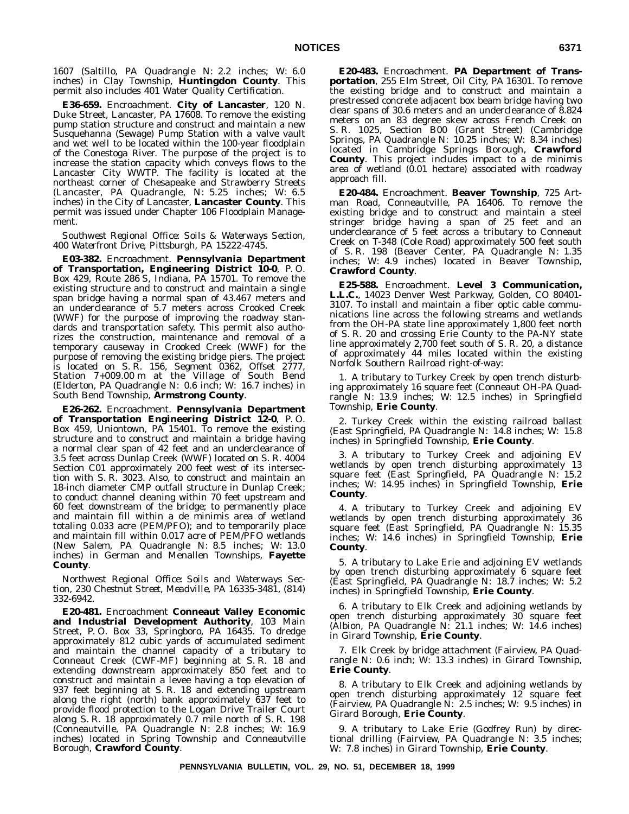1607 (Saltillo, PA Quadrangle N: 2.2 inches; W: 6.0 inches) in Clay Township, **Huntingdon County**. This permit also includes 401 Water Quality Certification.

**E36-659.** Encroachment. **City of Lancaster**, 120 N. Duke Street, Lancaster, PA 17608. To remove the existing pump station structure and construct and maintain a new Susquehanna (Sewage) Pump Station with a valve vault and wet well to be located within the 100-year floodplain of the Conestoga River. The purpose of the project is to increase the station capacity which conveys flows to the Lancaster City WWTP. The facility is located at the northeast corner of Chesapeake and Strawberry Streets (Lancaster, PA Quadrangle, N: 5.25 inches; W: 6.5 inches) in the City of Lancaster, **Lancaster County**. This permit was issued under Chapter 106 Floodplain Management.

*Southwest Regional Office: Soils & Waterways Section, 400 Waterfront Drive, Pittsburgh, PA 15222-4745.*

**E03-382.** Encroachment. **Pennsylvania Department of Transportation, Engineering District 10-0**, P. O. Box 429, Route 286 S, Indiana, PA 15701. To remove the existing structure and to construct and maintain a single span bridge having a normal span of 43.467 meters and an underclearance of 5.7 meters across Crooked Creek (WWF) for the purpose of improving the roadway standards and transportation safety. This permit also authorizes the construction, maintenance and removal of a temporary causeway in Crooked Creek (WWF) for the purpose of removing the existing bridge piers. The project is located on S. R. 156, Segment 0362, Offset 2777, Station 7+009.00 m at the Village of South Bend (Elderton, PA Quadrangle N: 0.6 inch; W: 16.7 inches) in South Bend Township, **Armstrong County**.

**E26-262.** Encroachment. **Pennsylvania Department of Transportation Engineering District 12-0**, P. O. Box 459, Uniontown, PA 15401. To remove the existing structure and to construct and maintain a bridge having a normal clear span of 42 feet and an underclearance of 3.5 feet across Dunlap Creek (WWF) located on S. R. 4004 Section C01 approximately 200 feet west of its intersection with S. R. 3023. Also, to construct and maintain an 18-inch diameter CMP outfall structure in Dunlap Creek; to conduct channel cleaning within 70 feet upstream and 60 feet downstream of the bridge; to permanently place and maintain fill within a de minimis area of wetland totaling 0.033 acre (PEM/PFO); and to temporarily place and maintain fill within 0.017 acre of PEM/PFO wetlands (New Salem, PA Quadrangle N: 8.5 inches; W: 13.0 inches) in German and Menallen Townships, **Fayette County**.

*Northwest Regional Office: Soils and Waterways Section, 230 Chestnut Street, Meadville, PA 16335-3481, (814) 332-6942.*

**E20-481.** Encroachment **Conneaut Valley Economic and Industrial Development Authority**, 103 Main Street, P. O. Box 33, Springboro, PA 16435. To dredge approximately 812 cubic yards of accumulated sediment and maintain the channel capacity of a tributary to Conneaut Creek (CWF-MF) beginning at S. R. 18 and extending downstream approximately 850 feet and to construct and maintain a levee having a top elevation of 937 feet beginning at S. R. 18 and extending upstream along the right (north) bank approximately 637 feet to provide flood protection to the Logan Drive Trailer Court along S. R. 18 approximately 0.7 mile north of S. R. 198 (Conneautville, PA Quadrangle N: 2.8 inches; W: 16.9 inches) located in Spring Township and Conneautville Borough, **Crawford County**.

**E20-483.** Encroachment. **PA Department of Transportation**, 255 Elm Street, Oil City, PA 16301. To remove the existing bridge and to construct and maintain a prestressed concrete adjacent box beam bridge having two clear spans of 30.6 meters and an underclearance of 8.824 meters on an 83 degree skew across French Creek on S. R. 1025, Section B00 (Grant Street) (Cambridge Springs, PA Quadrangle N: 10.25 inches; W: 8.34 inches) located in Cambridge Springs Borough, **Crawford County**. This project includes impact to a de minimis area of wetland (0.01 hectare) associated with roadway approach fill.

**E20-484.** Encroachment. **Beaver Township**, 725 Artman Road, Conneautville, PA 16406. To remove the existing bridge and to construct and maintain a steel stringer bridge having a span of 25 feet and an underclearance of 5 feet across a tributary to Conneaut Creek on T-348 (Cole Road) approximately 500 feet south of S. R. 198 (Beaver Center, PA Quadrangle N: 1.35 inches; W: 4.9 inches) located in Beaver Township, **Crawford County**.

**E25-588.** Encroachment. **Level 3 Communication, L.L.C.**, 14023 Denver West Parkway, Golden, CO 80401- 3107. To install and maintain a fiber optic cable communications line across the following streams and wetlands from the OH-PA state line approximately 1,800 feet north of S. R. 20 and crossing Erie County to the PA-NY state line approximately 2,700 feet south of S. R. 20, a distance of approximately 44 miles located within the existing Norfolk Southern Railroad right-of-way:

1. A tributary to Turkey Creek by open trench disturbing approximately 16 square feet (Conneaut OH-PA Quadrangle N: 13.9 inches; W: 12.5 inches) in Springfield Township, **Erie County**.

2. Turkey Creek within the existing railroad ballast (East Springfield, PA Quadrangle N: 14.8 inches; W: 15.8 inches) in Springfield Township, **Erie County**.

3. A tributary to Turkey Creek and adjoining EV wetlands by open trench disturbing approximately 13 square feet (East Springfield, PA Quadrangle N: 15.2 inches; W: 14.95 inches) in Springfield Township, **Erie County**.

4. A tributary to Turkey Creek and adjoining EV wetlands by open trench disturbing approximately 36 square feet (East Springfield, PA Quadrangle N: 15.35 inches; W: 14.6 inches) in Springfield Township, **Erie County**.

5. A tributary to Lake Erie and adjoining EV wetlands by open trench disturbing approximately 6 square feet (East Springfield, PA Quadrangle N: 18.7 inches; W: 5.2 inches) in Springfield Township, **Erie County**.

6. A tributary to Elk Creek and adjoining wetlands by open trench disturbing approximately 30 square feet (Albion, PA Quadrangle N: 21.1 inches; W: 14.6 inches) in Girard Township, **Erie County**.

7. Elk Creek by bridge attachment (Fairview, PA Quadrangle N: 0.6 inch; W: 13.3 inches) in Girard Township, **Erie County**.

8. A tributary to Elk Creek and adjoining wetlands by open trench disturbing approximately 12 square feet (Fairview, PA Quadrangle N: 2.5 inches; W: 9.5 inches) in Girard Borough, **Erie County**.

9. A tributary to Lake Erie (Godfrey Run) by directional drilling (Fairview, PA Quadrangle N: 3.5 inches; W: 7.8 inches) in Girard Township, **Erie County**.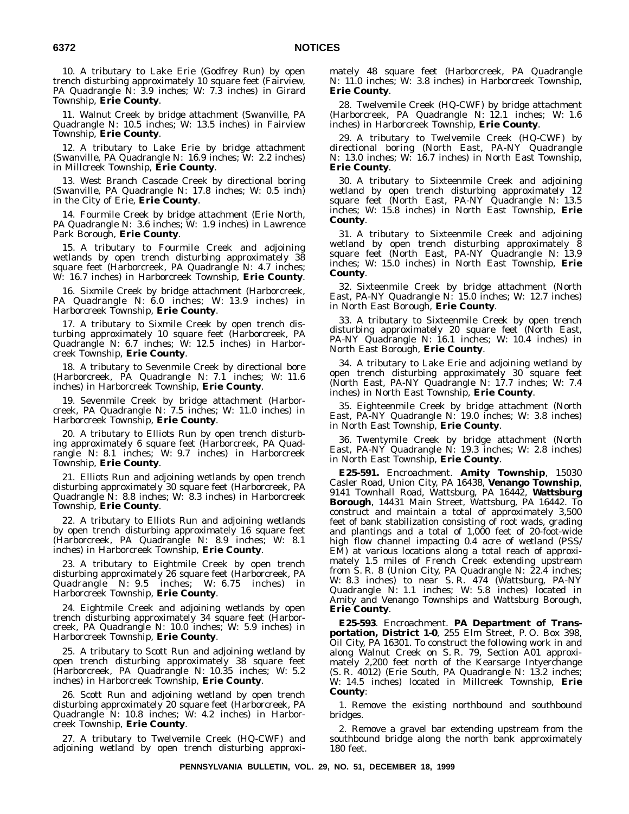10. A tributary to Lake Erie (Godfrey Run) by open trench disturbing approximately 10 square feet (Fairview, PA Quadrangle N: 3.9 inches; W: 7.3 inches) in Girard Township, **Erie County**.

11. Walnut Creek by bridge attachment (Swanville, PA Quadrangle N: 10.5 inches; W: 13.5 inches) in Fairview Township, **Erie County**.

12. A tributary to Lake Erie by bridge attachment (Swanville, PA Quadrangle N: 16.9 inches; W: 2.2 inches) in Millcreek Township, **Erie County**.

13. West Branch Cascade Creek by directional boring (Swanville, PA Quadrangle N: 17.8 inches; W: 0.5 inch) in the City of Erie, **Erie County**.

14. Fourmile Creek by bridge attachment (Erie North, PA Quadrangle N: 3.6 inches; W: 1.9 inches) in Lawrence Park Borough, **Erie County**.

15. A tributary to Fourmile Creek and adjoining wetlands by open trench disturbing approximately 38 square feet (Harborcreek, PA Quadrangle N: 4.7 inches; W: 16.7 inches) in Harborcreek Township, **Erie County**.

16. Sixmile Creek by bridge attachment (Harborcreek, PA Quadrangle N: 6.0 inches; W: 13.9 inches) in Harborcreek Township, **Erie County**.

17. A tributary to Sixmile Creek by open trench disturbing approximately 10 square feet (Harborcreek, PA Quadrangle N: 6.7 inches; W: 12.5 inches) in Harborcreek Township, **Erie County**.

18. A tributary to Sevenmile Creek by directional bore (Harborcreek, PA Quadrangle N: 7.1 inches; W: 11.6 inches) in Harborcreek Township, **Erie County**.

19. Sevenmile Creek by bridge attachment (Harborcreek, PA Quadrangle N: 7.5 inches; W: 11.0 inches) in Harborcreek Township, **Erie County**.

20. A tributary to Elliots Run by open trench disturbing approximately 6 square feet (Harborcreek, PA Quadrangle N: 8.1 inches; W: 9.7 inches) in Harborcreek Township, **Erie County**.

21. Elliots Run and adjoining wetlands by open trench disturbing approximately 30 square feet (Harborcreek, PA Quadrangle N: 8.8 inches; W: 8.3 inches) in Harborcreek Township, **Erie County**.

22. A tributary to Elliots Run and adjoining wetlands by open trench disturbing approximately 16 square feet (Harborcreek, PA Quadrangle N: 8.9 inches; W: 8.1 inches) in Harborcreek Township, **Erie County**.

23. A tributary to Eightmile Creek by open trench disturbing approximately 26 square feet (Harborcreek, PA Quadrangle N: 9.5 inches; W: 6.75 inches) in Harborcreek Township, **Erie County**.

24. Eightmile Creek and adjoining wetlands by open trench disturbing approximately 34 square feet (Harborcreek, PA Quadrangle N: 10.0 inches; W: 5.9 inches) in Harborcreek Township, **Erie County**.

25. A tributary to Scott Run and adjoining wetland by open trench disturbing approximately 38 square feet (Harborcreek, PA Quadrangle N: 10.35 inches; W: 5.2 inches) in Harborcreek Township, **Erie County**.

26. Scott Run and adjoining wetland by open trench disturbing approximately 20 square feet (Harborcreek, PA Quadrangle N: 10.8 inches; W: 4.2 inches) in Harborcreek Township, **Erie County**.

27. A tributary to Twelvemile Creek (HQ-CWF) and adjoining wetland by open trench disturbing approximately 48 square feet (Harborcreek, PA Quadrangle N: 11.0 inches; W: 3.8 inches) in Harborcreek Township, **Erie County**.

28. Twelvemile Creek (HQ-CWF) by bridge attachment (Harborcreek, PA Quadrangle N: 12.1 inches; W: 1.6 inches) in Harborcreek Township, **Erie County**.

29. A tributary to Twelvemile Creek (HQ-CWF) by directional boring (North East, PA-NY Quadrangle N: 13.0 inches; W: 16.7 inches) in North East Township, **Erie County**.

30. A tributary to Sixteenmile Creek and adjoining wetland by open trench disturbing approximately 12 square feet (North East, PA-NY Quadrangle N: 13.5 inches; W: 15.8 inches) in North East Township, **Erie County**.

31. A tributary to Sixteenmile Creek and adjoining wetland by open trench disturbing approximately 8 square feet (North East, PA-NY Quadrangle N: 13.9 inches; W: 15.0 inches) in North East Township, **Erie County**.

32. Sixteenmile Creek by bridge attachment (North East, PA-NY Quadrangle N: 15.0 inches; W: 12.7 inches) in North East Borough, **Erie County**.

33. A tributary to Sixteenmile Creek by open trench disturbing approximately 20 square feet (North East, PA-NY Quadrangle N: 16.1 inches; W: 10.4 inches) in North East Borough, **Erie County**.

34. A tributary to Lake Erie and adjoining wetland by open trench disturbing approximately 30 square feet (North East, PA-NY Quadrangle N: 17.7 inches; W: 7.4 inches) in North East Township, **Erie County**.

35. Eighteenmile Creek by bridge attachment (North East, PA-NY Quadrangle N: 19.0 inches; W: 3.8 inches) in North East Township, **Erie County**.

36. Twentymile Creek by bridge attachment (North East, PA-NY Quadrangle N: 19.3 inches; W: 2.8 inches) in North East Township, **Erie County**.

**E25-591.** Encroachment. **Amity Township**, 15030 Casler Road, Union City, PA 16438, **Venango Township**, 9141 Townhall Road, Wattsburg, PA 16442, **Wattsburg Borough**, 14431 Main Street, Wattsburg, PA 16442. To construct and maintain a total of approximately 3,500 feet of bank stabilization consisting of root wads, grading and plantings and a total of 1,000 feet of 20-foot-wide high flow channel impacting 0.4 acre of wetland (PSS/ EM) at various locations along a total reach of approximately 1.5 miles of French Creek extending upstream from S. R. 8 (Union City, PA Quadrangle N: 22.4 inches; W: 8.3 inches) to near S. R. 474 (Wattsburg, PA-NY Quadrangle N: 1.1 inches; W: 5.8 inches) located in Amity and Venango Townships and Wattsburg Borough, **Erie County**.

**E25-593**. Encroachment. **PA Department of Transportation, District 1-0**, 255 Elm Street, P. O. Box 398, Oil City, PA 16301. To construct the following work in and along Walnut Creek on S. R. 79, Section A01 approximately 2,200 feet north of the Kearsarge Intyerchange (S. R. 4012) (Erie South, PA Quadrangle N: 13.2 inches; W: 14.5 inches) located in Millcreek Township, **Erie County**:

1. Remove the existing northbound and southbound bridges.

2. Remove a gravel bar extending upstream from the southbound bridge along the north bank approximately 180 feet.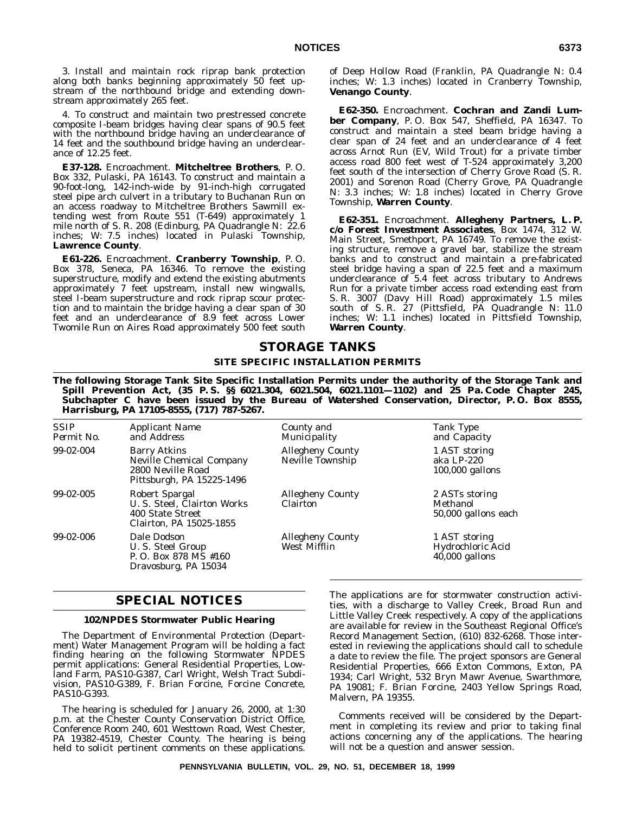3. Install and maintain rock riprap bank protection along both banks beginning approximately 50 feet upstream of the northbound bridge and extending downstream approximately 265 feet.

4. To construct and maintain two prestressed concrete composite I-beam bridges having clear spans of 90.5 feet with the northbound bridge having an underclearance of 14 feet and the southbound bridge having an underclearance of 12.25 feet.

**E37-128.** Encroachment. **Mitcheltree Brothers**, P. O. Box 332, Pulaski, PA 16143. To construct and maintain a 90-foot-long, 142-inch-wide by 91-inch-high corrugated steel pipe arch culvert in a tributary to Buchanan Run on an access roadway to Mitcheltree Brothers Sawmill extending west from Route 551 (T-649) approximately 1 mile north of S. R. 208 (Edinburg, PA Quadrangle N: 22.6 inches; W: 7.5 inches) located in Pulaski Township, **Lawrence County**.

**E61-226.** Encroachment. **Cranberry Township**, P. O. Box 378, Seneca, PA 16346. To remove the existing superstructure, modify and extend the existing abutments approximately 7 feet upstream, install new wingwalls, steel I-beam superstructure and rock riprap scour protection and to maintain the bridge having a clear span of 30 feet and an underclearance of 8.9 feet across Lower Twomile Run on Aires Road approximately 500 feet south

of Deep Hollow Road (Franklin, PA Quadrangle N: 0.4 inches; W: 1.3 inches) located in Cranberry Township, **Venango County**.

**E62-350.** Encroachment. **Cochran and Zandi Lumber Company**, P. O. Box 547, Sheffield, PA 16347. To construct and maintain a steel beam bridge having a clear span of 24 feet and an underclearance of 4 feet across Arnot Run (EV, Wild Trout) for a private timber access road 800 feet west of T-524 approximately 3,200 feet south of the intersection of Cherry Grove Road (S. R. 2001) and Sorenon Road (Cherry Grove, PA Quadrangle N: 3.3 inches; W: 1.8 inches) located in Cherry Grove Township, **Warren County**.

**E62-351.** Encroachment. **Allegheny Partners, L. P. c/o Forest Investment Associates**, Box 1474, 312 W. Main Street, Smethport, PA 16749. To remove the existing structure, remove a gravel bar, stabilize the stream banks and to construct and maintain a pre-fabricated steel bridge having a span of 22.5 feet and a maximum underclearance of 5.4 feet across tributary to Andrews Run for a private timber access road extending east from S. R. 3007 (Davy Hill Road) approximately 1.5 miles south of S. R. 27 (Pittsfield, PA Quadrangle N: 11.0 inches; W: 1.1 inches) located in Pittsfield Township, **Warren County**.

# **STORAGE TANKS SITE SPECIFIC INSTALLATION PERMITS**

**The following Storage Tank Site Specific Installation Permits under the authority of the Storage Tank and Spill Prevention Act, (35 P. S. §§ 6021.304, 6021.504, 6021.1101—1102) and 25 Pa. Code Chapter 245, Subchapter C have been issued by the Bureau of Watershed Conservation, Director, P. O. Box 8555, Harrisburg, PA 17105-8555, (717) 787-5267.**

| <b>SSIP</b><br>Permit No. | <i>Applicant Name</i><br>and Address                                                                     | County and<br>Municipality                  | Tank Type<br>and Capacity                              |
|---------------------------|----------------------------------------------------------------------------------------------------------|---------------------------------------------|--------------------------------------------------------|
| 99-02-004                 | <b>Barry Atkins</b><br><b>Neville Chemical Company</b><br>2800 Neville Road<br>Pittsburgh, PA 15225-1496 | <b>Allegheny County</b><br>Neville Township | 1 AST storing<br>aka LP-220<br>100,000 gallons         |
| 99-02-005                 | Robert Spargal<br>U. S. Steel, Clairton Works<br>400 State Street<br>Clairton, PA 15025-1855             | <b>Allegheny County</b><br>Clairton         | 2 ASTs storing<br>Methanol<br>50,000 gallons each      |
| 99-02-006                 | Dale Dodson<br>U.S. Steel Group<br>P. O. Box 878 MS #160<br>Dravosburg, PA 15034                         | <b>Allegheny County</b><br>West Mifflin     | 1 AST storing<br>Hydrochloric Acid<br>$40,000$ gallons |

# **SPECIAL NOTICES**

#### **102/NPDES Stormwater Public Hearing**

The Department of Environmental Protection (Department) Water Management Program will be holding a fact finding hearing on the following Stormwater NPDES permit applications: General Residential Properties, Lowland Farm, PAS10-G387, Carl Wright, Welsh Tract Subdivision, PAS10-G389, F. Brian Forcine, Forcine Concrete, PAS10-G393.

The hearing is scheduled for January 26, 2000, at 1:30 p.m. at the Chester County Conservation District Office, Conference Room 240, 601 Westtown Road, West Chester, PA 19382-4519, Chester County. The hearing is being held to solicit pertinent comments on these applications.

The applications are for stormwater construction activities, with a discharge to Valley Creek, Broad Run and Little Valley Creek respectively. A copy of the applications are available for review in the Southeast Regional Office's Record Management Section, (610) 832-6268. Those interested in reviewing the applications should call to schedule a date to review the file. The project sponsors are General Residential Properties, 666 Exton Commons, Exton, PA 1934; Carl Wright, 532 Bryn Mawr Avenue, Swarthmore, PA 19081; F. Brian Forcine, 2403 Yellow Springs Road, Malvern, PA 19355.

Comments received will be considered by the Department in completing its review and prior to taking final actions concerning any of the applications. The hearing will not be a question and answer session.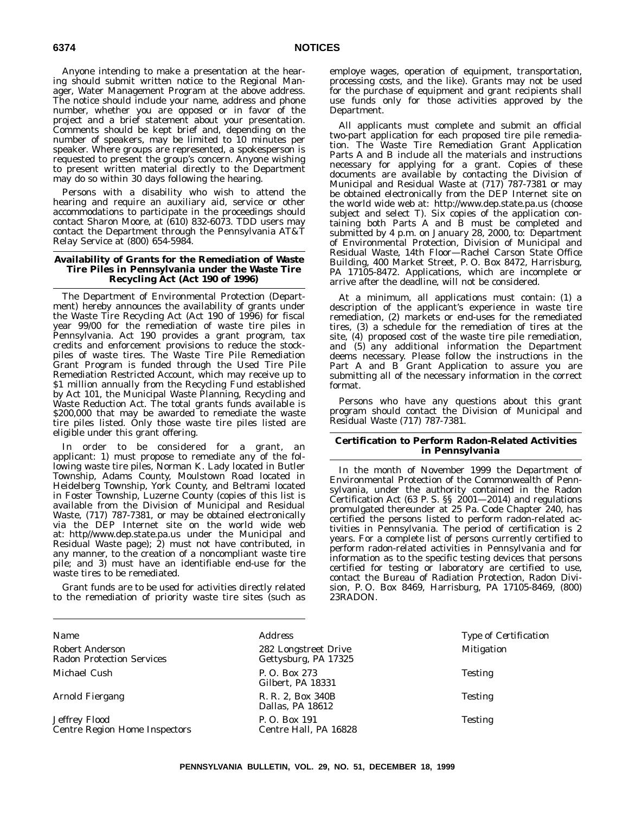Anyone intending to make a presentation at the hearing should submit written notice to the Regional Manager, Water Management Program at the above address. The notice should include your name, address and phone number, whether you are opposed or in favor of the project and a brief statement about your presentation. Comments should be kept brief and, depending on the number of speakers, may be limited to 10 minutes per speaker. Where groups are represented, a spokesperson is requested to present the group's concern. Anyone wishing to present written material directly to the Department may do so within 30 days following the hearing.

Persons with a disability who wish to attend the hearing and require an auxiliary aid, service or other accommodations to participate in the proceedings should contact Sharon Moore, at (610) 832-6073. TDD users may contact the Department through the Pennsylvania AT&T Relay Service at (800) 654-5984.

#### **Availability of Grants for the Remediation of Waste Tire Piles in Pennsylvania under the Waste Tire Recycling Act (Act 190 of 1996)**

The Department of Environmental Protection (Department) hereby announces the availability of grants under the Waste Tire Recycling Act (Act 190 of 1996) for fiscal year 99/00 for the remediation of waste tire piles in Pennsylvania. Act 190 provides a grant program, tax credits and enforcement provisions to reduce the stockpiles of waste tires. The Waste Tire Pile Remediation Grant Program is funded through the Used Tire Pile Remediation Restricted Account, which may receive up to \$1 million annually from the Recycling Fund established by Act 101, the Municipal Waste Planning, Recycling and Waste Reduction Act. The total grants funds available is \$200,000 that may be awarded to remediate the waste tire piles listed. Only those waste tire piles listed are eligible under this grant offering.

In order to be considered for a grant, an applicant: 1) must propose to remediate any of the following waste tire piles, Norman K. Lady located in Butler Township, Adams County, Moulstown Road located in Heidelberg Township, York County, and Beltrami located in Foster Township, Luzerne County (copies of this list is available from the Division of Municipal and Residual Waste, (717) 787-7381, or may be obtained electronically via the DEP Internet site on the world wide web at: http//www.dep.state.pa.us under the Municipal and Residual Waste page); 2) must not have contributed, in any manner, to the creation of a noncompliant waste tire pile; and 3) must have an identifiable end-use for the waste tires to be remediated.

Grant funds are to be used for activities directly related to the remediation of priority waste tire sites (such as employe wages, operation of equipment, transportation, processing costs, and the like). Grants may not be used for the purchase of equipment and grant recipients shall use funds only for those activities approved by the Department.

All applicants must complete and submit an official two-part application for each proposed tire pile remediation. The Waste Tire Remediation Grant Application Parts A and B include all the materials and instructions necessary for applying for a grant. Copies of these documents are available by contacting the Division of Municipal and Residual Waste at (717) 787-7381 or may be obtained electronically from the DEP Internet site on the world wide web at: http://www.dep.state.pa.us (choose subject and select T). Six copies of the application containing both Parts A and B must be completed and submitted by 4 p.m. on January 28, 2000, to: Department of Environmental Protection, Division of Municipal and Residual Waste, 14th Floor—Rachel Carson State Office Building, 400 Market Street, P. O. Box 8472, Harrisburg, PA 17105-8472. Applications, which are incomplete or arrive after the deadline, will not be considered.

At a minimum, all applications must contain: (1) a description of the applicant's experience in waste tire remediation, (2) markets or end-uses for the remediated tires, (3) a schedule for the remediation of tires at the site, (4) proposed cost of the waste tire pile remediation, and (5) any additional information the Department deems necessary. Please follow the instructions in the Part A and B Grant Application to assure you are submitting all of the necessary information in the correct format.

Persons who have any questions about this grant program should contact the Division of Municipal and Residual Waste (717) 787-7381.

#### **Certification to Perform Radon-Related Activities in Pennsylvania**

In the month of November 1999 the Department of Environmental Protection of the Commonwealth of Pennsylvania, under the authority contained in the Radon Certification Act (63 P. S. §§ 2001—2014) and regulations promulgated thereunder at 25 Pa. Code Chapter 240, has certified the persons listed to perform radon-related activities in Pennsylvania. The period of certification is 2 years. For a complete list of persons currently certified to perform radon-related activities in Pennsylvania and for information as to the specific testing devices that persons certified for testing or laboratory are certified to use, contact the Bureau of Radiation Protection, Radon Division, P. O. Box 8469, Harrisburg, PA 17105-8469, (800) 23RADON.

| Type of Certification |
|-----------------------|
|                       |
|                       |
|                       |
|                       |
|                       |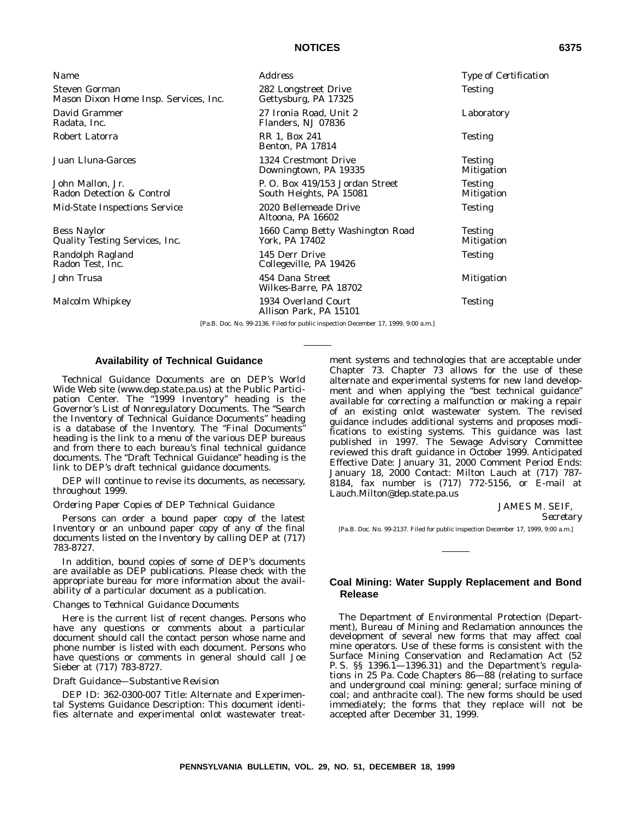# **NOTICES 6375**

| <b>Name</b>                                                   | <i>Address</i>                                                                     | <i>Type of Certification</i>        |
|---------------------------------------------------------------|------------------------------------------------------------------------------------|-------------------------------------|
| <b>Steven Gorman</b><br>Mason Dixon Home Insp. Services, Inc. | 282 Longstreet Drive<br>Gettysburg, PA 17325                                       | <b>Testing</b>                      |
| David Grammer<br>Radata, Inc.                                 | 27 Ironia Road, Unit 2<br>Flanders, NJ 07836                                       | Laboratory                          |
| Robert Latorra                                                | RR 1, Box 241<br><b>Benton, PA 17814</b>                                           | <b>Testing</b>                      |
| Juan Lluna-Garces                                             | 1324 Crestmont Drive<br>Downingtown, PA 19335                                      | <b>Testing</b><br><b>Mitigation</b> |
| John Mallon, Jr.<br>Radon Detection & Control                 | P.O. Box 419/153 Jordan Street<br>South Heights, PA 15081                          | <b>Testing</b><br><b>Mitigation</b> |
| <b>Mid-State Inspections Service</b>                          | 2020 Bellemeade Drive<br>Altoona, PA 16602                                         | <b>Testing</b>                      |
| <b>Bess Naylor</b><br>Quality Testing Services, Inc.          | 1660 Camp Betty Washington Road<br>York, PA 17402                                  | <b>Testing</b><br><b>Mitigation</b> |
| Randolph Ragland<br>Radon Test, Inc.                          | 145 Derr Drive<br>Collegeville, PA 19426                                           | <b>Testing</b>                      |
| John Trusa                                                    | 454 Dana Street<br>Wilkes-Barre, PA 18702                                          | <b>Mitigation</b>                   |
| Malcolm Whipkey                                               | 1934 Overland Court<br>Allison Park, PA 15101                                      | <b>Testing</b>                      |
|                                                               | [Pa.B. Doc. No. 99-2136. Filed for public inspection December 17, 1999, 9:00 a.m.] |                                     |

# **Availability of Technical Guidance**

Technical Guidance Documents are on DEP's World Wide Web site (www.dep.state.pa.us) at the Public Participation Center. The "1999 Inventory" heading is the Governor's List of Nonregulatory Documents. The ''Search the Inventory of Technical Guidance Documents'' heading is a database of the Inventory. The "Final Documents" heading is the link to a menu of the various DEP bureaus and from there to each bureau's final technical guidance documents. The ''Draft Technical Guidance'' heading is the link to DEP's draft technical guidance documents.

DEP will continue to revise its documents, as necessary, throughout 1999.

#### *Ordering Paper Copies of DEP Technical Guidance*

Persons can order a bound paper copy of the latest Inventory or an unbound paper copy of any of the final documents listed on the Inventory by calling DEP at (717) 783-8727.

In addition, bound copies of some of DEP's documents are available as DEP publications. Please check with the appropriate bureau for more information about the availability of a particular document as a publication.

#### *Changes to Technical Guidance Documents*

Here is the current list of recent changes. Persons who have any questions or comments about a particular document should call the contact person whose name and phone number is listed with each document. Persons who have questions or comments in general should call Joe Sieber at (717) 783-8727.

#### *Draft Guidance—Substantive Revision*

DEP ID: 362-0300-007 Title: Alternate and Experimental Systems Guidance Description: This document identifies alternate and experimental onlot wastewater treatment systems and technologies that are acceptable under Chapter 73. Chapter 73 allows for the use of these alternate and experimental systems for new land development and when applying the "best technical guidance" available for correcting a malfunction or making a repair of an existing onlot wastewater system. The revised guidance includes additional systems and proposes modifications to existing systems. This guidance was last published in 1997. The Sewage Advisory Committee reviewed this draft guidance in October 1999. Anticipated Effective Date: January 31, 2000 Comment Period Ends: January 18, 2000 Contact: Milton Lauch at (717) 787- 8184, fax number is (717) 772-5156, or E-mail at Lauch.Milton@dep.state.pa.us

> JAMES M. SEIF, *Secretary*

[Pa.B. Doc. No. 99-2137. Filed for public inspection December 17, 1999, 9:00 a.m.]

# **Coal Mining: Water Supply Replacement and Bond Release**

The Department of Environmental Protection (Department), Bureau of Mining and Reclamation announces the development of several new forms that may affect coal mine operators. Use of these forms is consistent with the Surface Mining Conservation and Reclamation Act (52 P. S. §§ 1396.1—1396.31) and the Department's regulations in 25 Pa. Code Chapters 86—88 (relating to surface and underground coal mining: general; surface mining of coal; and anthracite coal). The new forms should be used immediately; the forms that they replace will not be accepted after December 31, 1999.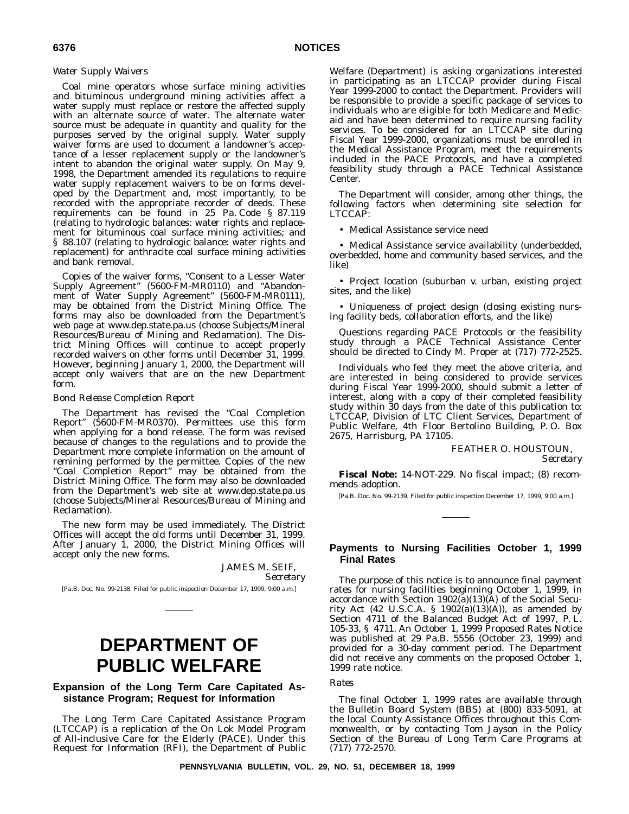#### *Water Supply Waivers*

Coal mine operators whose surface mining activities and bituminous underground mining activities affect a water supply must replace or restore the affected supply with an alternate source of water. The alternate water source must be adequate in quantity and quality for the purposes served by the original supply. Water supply waiver forms are used to document a landowner's acceptance of a lesser replacement supply or the landowner's intent to abandon the original water supply. On May 9, 1998, the Department amended its regulations to require water supply replacement waivers to be on forms developed by the Department and, most importantly, to be recorded with the appropriate recorder of deeds. These requirements can be found in 25 Pa. Code § 87.119 (relating to hydrologic balances: water rights and replacement for bituminous coal surface mining activities; and § 88.107 (relating to hydrologic balance: water rights and replacement) for anthracite coal surface mining activities and bank removal.

Copies of the waiver forms, "Consent to a Lesser Water Supply Agreement" (5600-FM-MR0110) and "Abandonment of Water Supply Agreement" (5600-FM-MR0111), may be obtained from the District Mining Office. The forms may also be downloaded from the Department's web page at www.dep.state.pa.us (choose Subjects/Mineral Resources/Bureau of Mining and Reclamation). The District Mining Offices will continue to accept properly recorded waivers on other forms until December 31, 1999. However, beginning January 1, 2000, the Department will accept only waivers that are on the new Department form.

#### *Bond Release Completion Report*

The Department has revised the "Coal Completion Report" (5600-FM-MR0370). Permittees use this form when applying for a bond release. The form was revised because of changes to the regulations and to provide the Department more complete information on the amount of remining performed by the permittee. Copies of the new "Coal Completion Report" may be obtained from the District Mining Office. The form may also be downloaded from the Department's web site at www.dep.state.pa.us (choose Subjects/Mineral Resources/Bureau of Mining and Reclamation).

The new form may be used immediately. The District Offices will accept the old forms until December 31, 1999. After January 1, 2000, the District Mining Offices will accept only the new forms.

JAMES M. SEIF,

*Secretary*

[Pa.B. Doc. No. 99-2138. Filed for public inspection December 17, 1999, 9:00 a.m.]

# **DEPARTMENT OF PUBLIC WELFARE**

# **Expansion of the Long Term Care Capitated Assistance Program; Request for Information**

The Long Term Care Capitated Assistance Program (LTCCAP) is a replication of the On Lok Model Program of All-inclusive Care for the Elderly (PACE). Under this Request for Information (RFI), the Department of Public

Welfare (Department) is asking organizations interested in participating as an LTCCAP provider during Fiscal Year 1999-2000 to contact the Department. Providers will be responsible to provide a specific package of services to individuals who are eligible for both Medicare and Medicaid and have been determined to require nursing facility services. To be considered for an LTCCAP site during Fiscal Year 1999-2000, organizations must be enrolled in the Medical Assistance Program, meet the requirements included in the PACE Protocols, and have a completed feasibility study through a PACE Technical Assistance Center.

The Department will consider, among other things, the following factors when determining site selection for LTCCAP:

• Medical Assistance service need

• Medical Assistance service availability (underbedded, overbedded, home and community based services, and the like)

• Project location (suburban v. urban, existing project sites, and the like)

• Uniqueness of project design (closing existing nursing facility beds, collaboration efforts, and the like)

Questions regarding PACE Protocols or the feasibility study through a PACE Technical Assistance Center should be directed to Cindy M. Proper at (717) 772-2525.

Individuals who feel they meet the above criteria, and are interested in being considered to provide services during Fiscal Year 1999-2000, should submit a letter of interest, along with a copy of their completed feasibility study within 30 days from the date of this publication to: LTCCAP, Division of LTC Client Services, Department of Public Welfare, 4th Floor Bertolino Building, P. O. Box 2675, Harrisburg, PA 17105.

> FEATHER O. HOUSTOUN, *Secretary*

**Fiscal Note:** 14-NOT-229. No fiscal impact; (8) recommends adoption.

[Pa.B. Doc. No. 99-2139. Filed for public inspection December 17, 1999, 9:00 a.m.]

# **Payments to Nursing Facilities October 1, 1999 Final Rates**

The purpose of this notice is to announce final payment rates for nursing facilities beginning October 1, 1999, in accordance with Section  $1902(a)(13)(A)$  of the Social Security Act (42 U.S.C.A. § 1902(a)(13)(A)), as amended by Section 4711 of the Balanced Budget Act of 1997, P. L. 105-33, § 4711. An October 1, 1999 Proposed Rates Notice was published at 29 Pa.B. 5556 (October 23, 1999) and provided for a 30-day comment period. The Department did not receive any comments on the proposed October 1, 1999 rate notice.

#### *Rates*

The final October 1, 1999 rates are available through the Bulletin Board System (BBS) at (800) 833-5091, at the local County Assistance Offices throughout this Commonwealth, or by contacting Tom Jayson in the Policy Section of the Bureau of Long Term Care Programs at (717) 772-2570.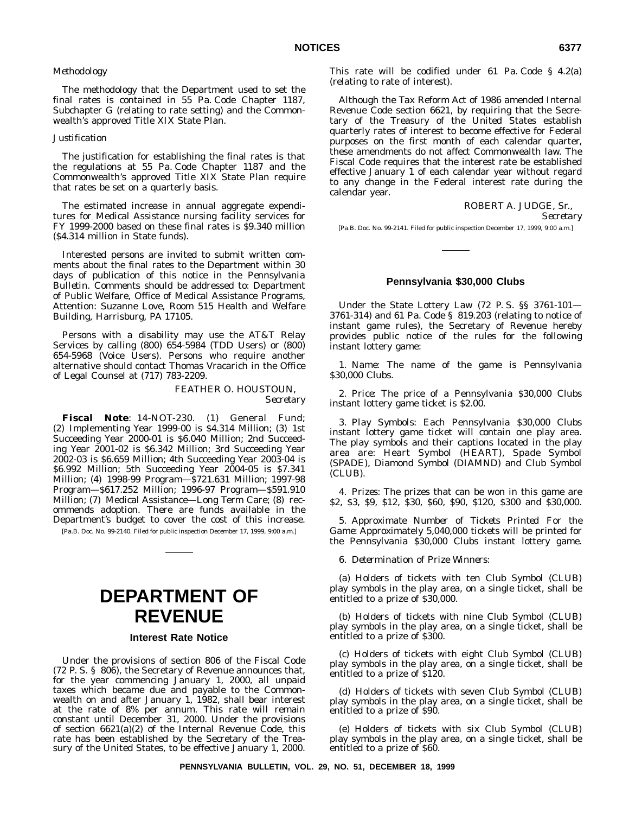#### *Methodology*

The methodology that the Department used to set the final rates is contained in 55 Pa. Code Chapter 1187, Subchapter G (relating to rate setting) and the Commonwealth's approved Title XIX State Plan.

#### *Justification*

The justification for establishing the final rates is that the regulations at 55 Pa. Code Chapter 1187 and the Commonwealth's approved Title XIX State Plan require that rates be set on a quarterly basis.

The estimated increase in annual aggregate expenditures for Medical Assistance nursing facility services for FY 1999-2000 based on these final rates is \$9.340 million (\$4.314 million in State funds).

Interested persons are invited to submit written comments about the final rates to the Department within 30 days of publication of this notice in the *Pennsylvania Bulletin*. Comments should be addressed to: Department of Public Welfare, Office of Medical Assistance Programs, Attention: Suzanne Love, Room 515 Health and Welfare Building, Harrisburg, PA 17105.

Persons with a disability may use the AT&T Relay Services by calling (800) 654-5984 (TDD Users) or (800) 654-5968 (Voice Users). Persons who require another alternative should contact Thomas Vracarich in the Office of Legal Counsel at (717) 783-2209.

FEATHER O. HOUSTOUN,

*Secretary*

**Fiscal Note**: 14-NOT-230. (1) General Fund; (2) Implementing Year 1999-00 is \$4.314 Million; (3) 1st Succeeding Year 2000-01 is \$6.040 Million; 2nd Succeeding Year 2001-02 is \$6.342 Million; 3rd Succeeding Year 2002-03 is \$6.659 Million; 4th Succeeding Year 2003-04 is \$6.992 Million; 5th Succeeding Year 2004-05 is \$7.341 Million; (4) 1998-99 Program—\$721.631 Million; 1997-98 Program—\$617.252 Million; 1996-97 Program—\$591.910 Million; (7) Medical Assistance—Long Term Care; (8) recommends adoption. There are funds available in the Department's budget to cover the cost of this increase.

[Pa.B. Doc. No. 99-2140. Filed for public inspection December 17, 1999, 9:00 a.m.]

# **DEPARTMENT OF REVENUE**

# **Interest Rate Notice**

Under the provisions of section 806 of the Fiscal Code (72 P. S. § 806), the Secretary of Revenue announces that, for the year commencing January 1, 2000, all unpaid taxes which became due and payable to the Commonwealth on and after January 1, 1982, shall bear interest at the rate of 8% per annum. This rate will remain constant until December 31, 2000. Under the provisions of section 6621(a)(2) of the Internal Revenue Code, this rate has been established by the Secretary of the Treasury of the United States, to be effective January 1, 2000.

This rate will be codified under 61 Pa. Code § 4.2(a) (relating to rate of interest).

Although the Tax Reform Act of 1986 amended Internal Revenue Code section 6621, by requiring that the Secretary of the Treasury of the United States establish quarterly rates of interest to become effective for Federal purposes on the first month of each calendar quarter, these amendments do not affect Commonwealth law. The Fiscal Code requires that the interest rate be established effective January 1 of each calendar year without regard to any change in the Federal interest rate during the calendar year.

ROBERT A. JUDGE, Sr.,

*Secretary*

[Pa.B. Doc. No. 99-2141. Filed for public inspection December 17, 1999, 9:00 a.m.]

#### **Pennsylvania \$30,000 Clubs**

Under the State Lottery Law (72 P. S. §§ 3761-101— 3761-314) and 61 Pa. Code § 819.203 (relating to notice of instant game rules), the Secretary of Revenue hereby provides public notice of the rules for the following instant lottery game:

1. *Name*: The name of the game is Pennsylvania \$30,000 Clubs.

2. *Price*: The price of a Pennsylvania \$30,000 Clubs instant lottery game ticket is \$2.00.

3. *Play Symbols*: Each Pennsylvania \$30,000 Clubs instant lottery game ticket will contain one play area. The play symbols and their captions located in the play area are: Heart Symbol (HEART), Spade Symbol (SPADE), Diamond Symbol (DIAMND) and Club Symbol (CLUB).

4. *Prizes*: The prizes that can be won in this game are \$2, \$3, \$9, \$12, \$30, \$60, \$90, \$120, \$300 and \$30,000.

5. *Approximate Number of Tickets Printed For the Game*: Approximately 5,040,000 tickets will be printed for the Pennsylvania \$30,000 Clubs instant lottery game.

6. *Determination of Prize Winners*:

(a) Holders of tickets with ten Club Symbol (CLUB) play symbols in the play area, on a single ticket, shall be entitled to a prize of \$30,000.

(b) Holders of tickets with nine Club Symbol (CLUB) play symbols in the play area, on a single ticket, shall be entitled to a prize of \$300.

(c) Holders of tickets with eight Club Symbol (CLUB) play symbols in the play area, on a single ticket, shall be entitled to a prize of \$120.

(d) Holders of tickets with seven Club Symbol (CLUB) play symbols in the play area, on a single ticket, shall be entitled to a prize of \$90.

(e) Holders of tickets with six Club Symbol (CLUB) play symbols in the play area, on a single ticket, shall be entitled to a prize of \$60.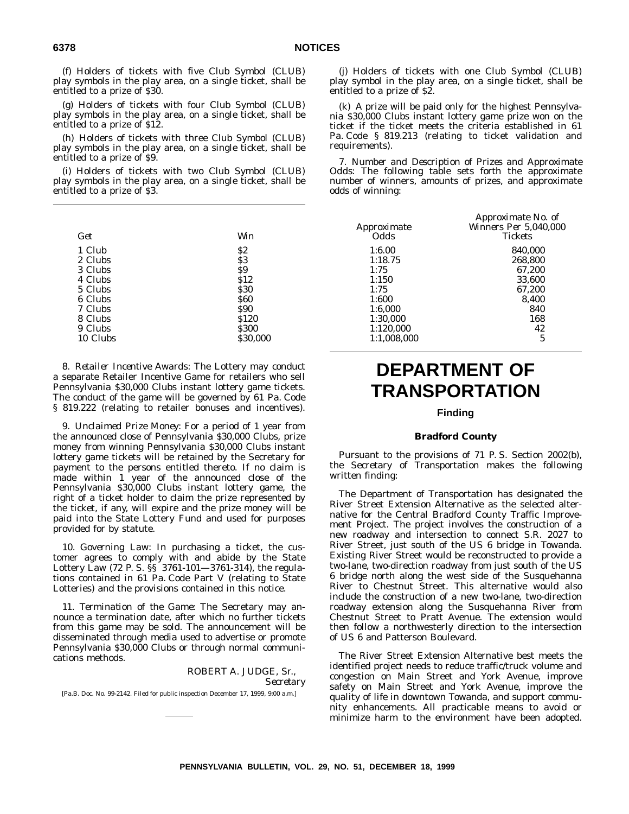(f) Holders of tickets with five Club Symbol (CLUB) play symbols in the play area, on a single ticket, shall be entitled to a prize of \$30.

(g) Holders of tickets with four Club Symbol (CLUB) play symbols in the play area, on a single ticket, shall be entitled to a prize of \$12.

(h) Holders of tickets with three Club Symbol (CLUB) play symbols in the play area, on a single ticket, shall be entitled to a prize of \$9.

(i) Holders of tickets with two Club Symbol (CLUB) play symbols in the play area, on a single ticket, shall be entitled to a prize of \$3.

| Get      | Win         | Approximate<br><i>Odds</i> | - <i>----</i> --------------<br>Winners Per 5.04<br>Tickets |
|----------|-------------|----------------------------|-------------------------------------------------------------|
| 1 Club   | \$2         | 1:6.00                     | 840,000                                                     |
| 2 Clubs  | \$3         | 1:18.75                    | 268,800                                                     |
| 3 Clubs  | \$9         | 1:75                       | 67,200                                                      |
| 4 Clubs  | <b>S12</b>  | 1:150                      | 33,600                                                      |
| 5 Clubs  | <b>S30</b>  | 1:75                       | 67,200                                                      |
| 6 Clubs  | \$60        | 1:600                      | 8,400                                                       |
| 7 Clubs  | <b>S90</b>  | 1:6,000                    | 840                                                         |
| 8 Clubs  | \$120       | 1:30,000                   | 168                                                         |
| 9 Clubs  | <b>S300</b> | 1:120,000                  | 42                                                          |
| 10 Clubs | \$30,000    | 1:1.008.000                | 5                                                           |

8. *Retailer Incentive Awards*: The Lottery may conduct a separate Retailer Incentive Game for retailers who sell Pennsylvania \$30,000 Clubs instant lottery game tickets. The conduct of the game will be governed by 61 Pa. Code § 819.222 (relating to retailer bonuses and incentives).

9. *Unclaimed Prize Money*: For a period of 1 year from the announced close of Pennsylvania \$30,000 Clubs, prize money from winning Pennsylvania \$30,000 Clubs instant lottery game tickets will be retained by the Secretary for payment to the persons entitled thereto. If no claim is made within 1 year of the announced close of the Pennsylvania \$30,000 Clubs instant lottery game, the right of a ticket holder to claim the prize represented by the ticket, if any, will expire and the prize money will be paid into the State Lottery Fund and used for purposes provided for by statute.

10. *Governing Law*: In purchasing a ticket, the customer agrees to comply with and abide by the State Lottery Law (72 P. S. §§ 3761-101—3761-314), the regulations contained in 61 Pa. Code Part V (relating to State Lotteries) and the provisions contained in this notice.

11. *Termination of the Game*: The Secretary may announce a termination date, after which no further tickets from this game may be sold. The announcement will be disseminated through media used to advertise or promote Pennsylvania \$30,000 Clubs or through normal communications methods.

ROBERT A. JUDGE, Sr., *Secretary* [Pa.B. Doc. No. 99-2142. Filed for public inspection December 17, 1999, 9:00 a.m.]

(j) Holders of tickets with one Club Symbol (CLUB) play symbol in the play area, on a single ticket, shall be entitled to a prize of \$2.

(k) A prize will be paid only for the highest Pennsylvania \$30,000 Clubs instant lottery game prize won on the ticket if the ticket meets the criteria established in 61 Pa. Code § 819.213 (relating to ticket validation and requirements).

7. *Number and Description of Prizes and Approximate Odds*: The following table sets forth the approximate number of winners, amounts of prizes, and approximate odds of winning:

|                    | Approximate No. of           |
|--------------------|------------------------------|
| <i>Approximate</i> | <i>Winners Per 5,040,000</i> |
| Odds               | <b>Tickets</b>               |
| 1:6.00             | 840,000                      |
| 1:18.75            | 268,800                      |
| 1:75               | 67.200                       |
| 1:150              | 33.600                       |
| 1:75               | 67,200                       |
| 1:600              | 8,400                        |
| 1:6,000            | 840                          |
| 1:30,000           | 168                          |
| 1:120,000          | 42                           |
| 1:1.008.000        | 5                            |

# **DEPARTMENT OF TRANSPORTATION**

# **Finding**

#### **Bradford County**

Pursuant to the provisions of 71 P. S. Section 2002(b), the Secretary of Transportation makes the following written finding:

The Department of Transportation has designated the River Street Extension Alternative as the selected alternative for the Central Bradford County Traffic Improvement Project. The project involves the construction of a new roadway and intersection to connect S.R. 2027 to River Street, just south of the US 6 bridge in Towanda. Existing River Street would be reconstructed to provide a two-lane, two-direction roadway from just south of the US 6 bridge north along the west side of the Susquehanna River to Chestnut Street. This alternative would also include the construction of a new two-lane, two-direction roadway extension along the Susquehanna River from Chestnut Street to Pratt Avenue. The extension would then follow a northwesterly direction to the intersection of US 6 and Patterson Boulevard.

The River Street Extension Alternative best meets the identified project needs to reduce traffic/truck volume and congestion on Main Street and York Avenue, improve safety on Main Street and York Avenue, improve the quality of life in downtown Towanda, and support community enhancements. All practicable means to avoid or minimize harm to the environment have been adopted.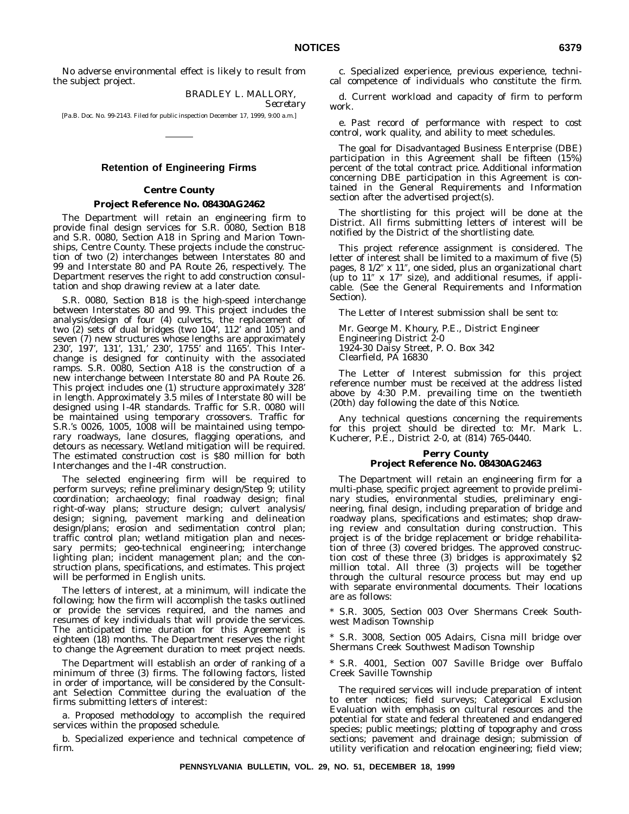No adverse environmental effect is likely to result from the subject project.

> BRADLEY L. MALLORY, *Secretary*

[Pa.B. Doc. No. 99-2143. Filed for public inspection December 17, 1999, 9:00 a.m.]

#### **Retention of Engineering Firms**

#### **Centre County**

#### **Project Reference No. 08430AG2462**

The Department will retain an engineering firm to provide final design services for S.R. 0080, Section B18 and S.R. 0080, Section A18 in Spring and Marion Townships, Centre County. These projects include the construction of two (2) interchanges between Interstates 80 and 99 and Interstate 80 and PA Route 26, respectively. The Department reserves the right to add construction consultation and shop drawing review at a later date.

S.R. 0080, Section B18 is the high-speed interchange between Interstates 80 and 99. This project includes the analysis/design of four (4) culverts, the replacement of two (2) sets of dual bridges (two 104', 112' and 105') and seven (7) new structures whose lengths are approximately 230', 197', 131', 131,' 230', 1755' and 1165'. This Interchange is designed for continuity with the associated ramps. S.R. 0080, Section A18 is the construction of a new interchange between Interstate 80 and PA Route 26. This project includes one (1) structure approximately 328' in length. Approximately 3.5 miles of Interstate 80 will be designed using I-4R standards. Traffic for S.R. 0080 will be maintained using temporary crossovers. Traffic for S.R.'s 0026, 1005, 1008 will be maintained using temporary roadways, lane closures, flagging operations, and detours as necessary. Wetland mitigation will be required. The estimated construction cost is \$80 million for both Interchanges and the I-4R construction.

The selected engineering firm will be required to perform surveys; refine preliminary design/Step 9; utility coordination; archaeology; final roadway design; final right-of-way plans; structure design; culvert analysis/ design; signing, pavement marking and delineation design/plans; erosion and sedimentation control plan; traffic control plan; wetland mitigation plan and necessary permits; geo-technical engineering; interchange lighting plan; incident management plan; and the construction plans, specifications, and estimates. This project will be performed in English units.

The letters of interest, at a minimum, will indicate the following; how the firm will accomplish the tasks outlined or provide the services required, and the names and resumes of key individuals that will provide the services. The anticipated time duration for this Agreement is eighteen (18) months. The Department reserves the right to change the Agreement duration to meet project needs.

The Department will establish an order of ranking of a minimum of three (3) firms. The following factors, listed in order of importance, will be considered by the Consultant Selection Committee during the evaluation of the firms submitting letters of interest:

a. Proposed methodology to accomplish the required services within the proposed schedule.

b. Specialized experience and technical competence of firm.

c. Specialized experience, previous experience, technical competence of individuals who constitute the firm.

d. Current workload and capacity of firm to perform work.

e. Past record of performance with respect to cost control, work quality, and ability to meet schedules.

The goal for Disadvantaged Business Enterprise (DBE) participation in this Agreement shall be fifteen (15%) percent of the total contract price. Additional information concerning DBE participation in this Agreement is contained in the General Requirements and Information section after the advertised project(s).

The shortlisting for this project will be done at the District. All firms submitting letters of interest will be notified by the District of the shortlisting date.

This project reference assignment is considered. The letter of interest shall be limited to a maximum of five (5) pages,  $8 \frac{1}{2}$  x  $11$ ", one sided, plus an organizational chart (up to  $11''$  x  $17''$  size), and additional resumes, if applicable. (See the General Requirements and Information Section).

The Letter of Interest submission shall be sent to:

Mr. George M. Khoury, P.E., District Engineer Engineering District 2-0 1924-30 Daisy Street, P. O. Box 342 Clearfield, PA 16830

The Letter of Interest submission for this project reference number must be received at the address listed above by 4:30 P.M. prevailing time on the twentieth (20th) day following the date of this Notice.

Any technical questions concerning the requirements for this project should be directed to: Mr. Mark L. Kucherer, P.E., District 2-0, at (814) 765-0440.

#### **Perry County Project Reference No. 08430AG2463**

The Department will retain an engineering firm for a multi-phase, specific project agreement to provide preliminary studies, environmental studies, preliminary engineering, final design, including preparation of bridge and roadway plans, specifications and estimates; shop drawing review and consultation during construction. This project is of the bridge replacement or bridge rehabilitation of three (3) covered bridges. The approved construction cost of these three (3) bridges is approximately \$2 million total. All three (3) projects will be together through the cultural resource process but may end up with separate environmental documents. Their locations are as follows:

\* S.R. 3005, Section 003 Over Shermans Creek Southwest Madison Township

S.R. 3008, Section 005 Adairs, Cisna mill bridge over Shermans Creek Southwest Madison Township

S.R. 4001, Section 007 Saville Bridge over Buffalo Creek Saville Township

The required services will include preparation of intent to enter notices; field surveys; Categorical Exclusion Evaluation with emphasis on cultural resources and the potential for state and federal threatened and endangered species; public meetings; plotting of topography and cross sections; pavement and drainage design; submission of utility verification and relocation engineering; field view;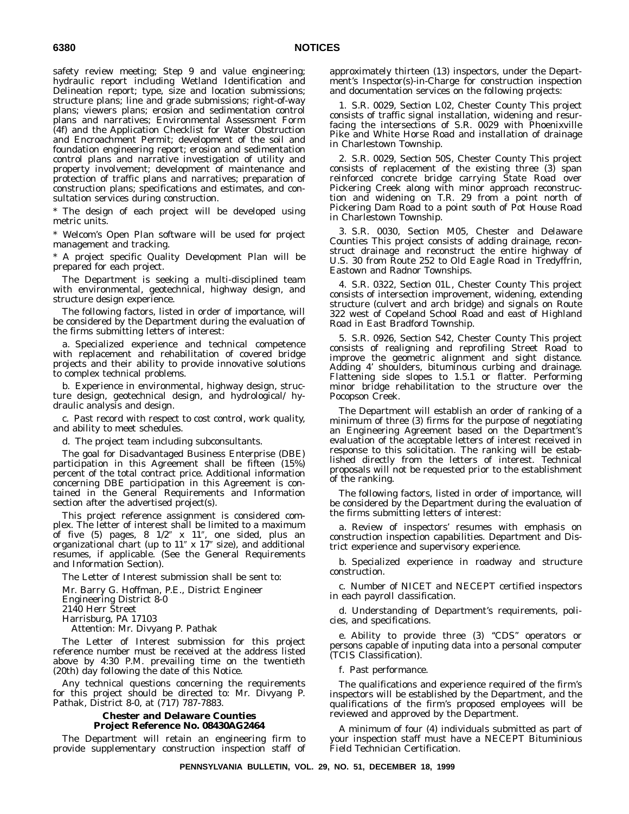safety review meeting; Step 9 and value engineering; hydraulic report including Wetland Identification and Delineation report; type, size and location submissions; structure plans; line and grade submissions; right-of-way plans; viewers plans; erosion and sedimentation control plans and narratives; Environmental Assessment Form (4f) and the Application Checklist for Water Obstruction and Encroachment Permit; development of the soil and foundation engineering report; erosion and sedimentation control plans and narrative investigation of utility and property involvement; development of maintenance and protection of traffic plans and narratives; preparation of construction plans; specifications and estimates, and consultation services during construction.

\* The design of each project will be developed using metric units.

\* Welcom's Open Plan software will be used for project management and tracking.

\* A project specific Quality Development Plan will be prepared for each project.

The Department is seeking a multi-disciplined team with environmental, geotechnical, highway design, and structure design experience.

The following factors, listed in order of importance, will be considered by the Department during the evaluation of the firms submitting letters of interest:

a. Specialized experience and technical competence with replacement and rehabilitation of covered bridge projects and their ability to provide innovative solutions to complex technical problems.

b. Experience in environmental, highway design, structure design, geotechnical design, and hydrological/ hydraulic analysis and design.

c. Past record with respect to cost control, work quality, and ability to meet schedules.

d. The project team including subconsultants.

The goal for Disadvantaged Business Enterprise (DBE) participation in this Agreement shall be fifteen (15%) percent of the total contract price. Additional information concerning DBE participation in this Agreement is contained in the General Requirements and Information section after the advertised project(s).

This project reference assignment is considered complex. The letter of interest shall be limited to a maximum of five (5) pages,  $8 \frac{1}{2}$  x  $11$ ", one sided, plus an organizational chart (up to  $11''$  x  $17''$  size), and additional resumes, if applicable. (See the General Requirements and Information Section).

The Letter of Interest submission shall be sent to:

Mr. Barry G. Hoffman, P.E., District Engineer

Engineering District 8-0

2140 Herr Street

Harrisburg, PA 17103

Attention: Mr. Divyang P. Pathak

The Letter of Interest submission for this project reference number must be received at the address listed above by 4:30 P.M. prevailing time on the twentieth (20th) day following the date of this Notice.

Any technical questions concerning the requirements for this project should be directed to: Mr. Divyang P. Pathak, District 8-0, at (717) 787-7883.

#### **Chester and Delaware Counties Project Reference No. 08430AG2464**

The Department will retain an engineering firm to provide supplementary construction inspection staff of approximately thirteen (13) inspectors, under the Department's Inspector(s)-in-Charge for construction inspection and documentation services on the following projects:

1. S.R. 0029, Section L02, Chester County This project consists of traffic signal installation, widening and resurfacing the intersections of S.R. 0029 with Phoenixville Pike and White Horse Road and installation of drainage in Charlestown Township.

2. S.R. 0029, Section 50S, Chester County This project consists of replacement of the existing three (3) span reinforced concrete bridge carrying State Road over Pickering Creek along with minor approach reconstruction and widening on T.R. 29 from a point north of Pickering Dam Road to a point south of Pot House Road in Charlestown Township.

3. S.R. 0030, Section M05, Chester and Delaware Counties This project consists of adding drainage, reconstruct drainage and reconstruct the entire highway of U.S. 30 from Route 252 to Old Eagle Road in Tredyffrin, Eastown and Radnor Townships.

4. S.R. 0322, Section 01L, Chester County This project consists of intersection improvement, widening, extending structure (culvert and arch bridge) and signals on Route 322 west of Copeland School Road and east of Highland Road in East Bradford Township.

5. S.R. 0926, Section S42, Chester County This project consists of realigning and reprofiling Street Road to improve the geometric alignment and sight distance. Adding 4' shoulders, bituminous curbing and drainage. Flattening side slopes to 1.5.1 or flatter. Performing minor bridge rehabilitation to the structure over the Pocopson Creek.

The Department will establish an order of ranking of a minimum of three (3) firms for the purpose of negotiating an Engineering Agreement based on the Department's evaluation of the acceptable letters of interest received in response to this solicitation. The ranking will be established directly from the letters of interest. Technical proposals will not be requested prior to the establishment of the ranking.

The following factors, listed in order of importance, will be considered by the Department during the evaluation of the firms submitting letters of interest:

a. Review of inspectors' resumes with emphasis on construction inspection capabilities. Department and District experience and supervisory experience.

b. Specialized experience in roadway and structure construction.

c. Number of NICET and NECEPT certified inspectors in each payroll classification.

d. Understanding of Department's requirements, policies, and specifications.

e. Ability to provide three (3) ''CDS'' operators or persons capable of inputing data into a personal computer (TCIS Classification).

f. Past performance.

The qualifications and experience required of the firm's inspectors will be established by the Department, and the qualifications of the firm's proposed employees will be reviewed and approved by the Department.

A minimum of four (4) individuals submitted as part of your inspection staff must have a NECEPT Bituminious Field Technician Certification.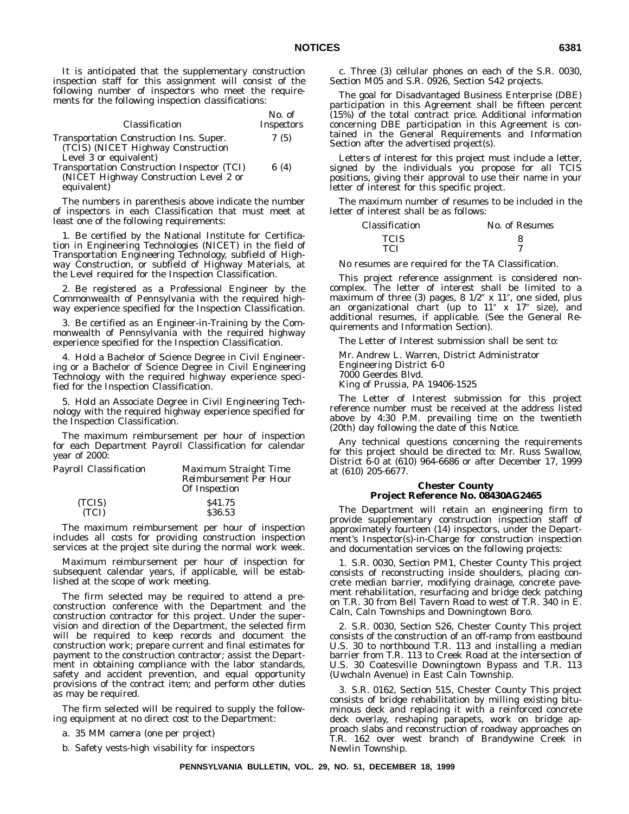It is anticipated that the supplementary construction inspection staff for this assignment will consist of the following number of inspectors who meet the requirements for the following inspection classifications:

| Classification                                                                                          | $No.$ of<br><i>Inspectors</i> |
|---------------------------------------------------------------------------------------------------------|-------------------------------|
| Transportation Construction Ins. Super.<br>(TCIS) (NICET Highway Construction<br>Level 3 or equivalent) | 7(5)                          |
| Transportation Construction Inspector (TCI)<br>(NICET Highway Construction Level 2 or                   | 6 $(4)$                       |

equivalent)

The numbers in parenthesis above indicate the number of inspectors in each Classification that must meet at least one of the following requirements:

1. Be certified by the National Institute for Certification in Engineering Technologies (NICET) in the field of Transportation Engineering Technology, subfield of Highway Construction, or subfield of Highway Materials, at the Level required for the Inspection Classification.

2. Be registered as a Professional Engineer by the Commonwealth of Pennsylvania with the required highway experience specified for the Inspection Classification.

3. Be certified as an Engineer-in-Training by the Commonwealth of Pennsylvania with the required highway experience specified for the Inspection Classification.

4. Hold a Bachelor of Science Degree in Civil Engineering or a Bachelor of Science Degree in Civil Engineering Technology with the required highway experience specified for the Inspection Classification.

5. Hold an Associate Degree in Civil Engineering Technology with the required highway experience specified for the Inspection Classification.

The maximum reimbursement per hour of inspection for each Department Payroll Classification for calendar year of 2000:

| Payroll Classification | Maximum Straight Time<br>Reimbursement Per Hour |
|------------------------|-------------------------------------------------|
|                        | Of Inspection                                   |
| (TCIS)                 | S <sub>41.75</sub>                              |
| (TCI)                  | \$36.53                                         |

The maximum reimbursement per hour of inspection includes all costs for providing construction inspection services at the project site during the normal work week.

Maximum reimbursement per hour of inspection for subsequent calendar years, if applicable, will be established at the scope of work meeting.

The firm selected may be required to attend a preconstruction conference with the Department and the construction contractor for this project. Under the supervision and direction of the Department, the selected firm will be required to keep records and document the construction work; prepare current and final estimates for payment to the construction contractor; assist the Department in obtaining compliance with the labor standards, safety and accident prevention, and equal opportunity provisions of the contract item; and perform other duties as may be required.

The firm selected will be required to supply the following equipment at no direct cost to the Department:

a. 35 MM camera (one per project)

b. Safety vests-high visability for inspectors

c. Three (3) cellular phones on each of the S.R. 0030, Section M05 and S.R. 0926, Section S42 projects.

The goal for Disadvantaged Business Enterprise (DBE) participation in this Agreement shall be fifteen percent (15%) of the total contract price. Additional information concerning DBE participation in this Agreement is contained in the General Requirements and Information Section after the advertised project(s).

Letters of interest for this project must include a letter, signed by the individuals you propose for all TCIS positions, giving their approval to use their name in your letter of interest for this specific project.

The maximum number of resumes to be included in the letter of interest shall be as follows:

| <i><b>Classification</b></i> | No. of Resumes |
|------------------------------|----------------|
| <b>TCIS</b>                  |                |
| TCI                          |                |

No resumes are required for the TA Classification.

This project reference assignment is considered noncomplex. The letter of interest shall be limited to a maximum of three (3) pages,  $8 \frac{1}{2}$  x  $11$ ", one sided, plus an organizational chart (up to  $11''$  x  $17''$  size), and additional resumes, if applicable. (See the General Requirements and Information Section).

The Letter of Interest submission shall be sent to:

Mr. Andrew L. Warren, District Administrator Engineering District 6-0 7000 Geerdes Blvd.

King of Prussia, PA 19406-1525

The Letter of Interest submission for this project reference number must be received at the address listed above by 4:30 P.M. prevailing time on the twentieth (20th) day following the date of this Notice.

Any technical questions concerning the requirements for this project should be directed to: Mr. Russ Swallow, District 6-0 at (610) 964-6686 or after December 17, 1999 at (610) 205-6677.

#### **Chester County Project Reference No. 08430AG2465**

The Department will retain an engineering firm to provide supplementary construction inspection staff of approximately fourteen (14) inspectors, under the Department's Inspector(s)-in-Charge for construction inspection and documentation services on the following projects:

1. S.R. 0030, Section PM1, Chester County This project consists of reconstructing inside shoulders, placing concrete median barrier, modifying drainage, concrete pavement rehabilitation, resurfacing and bridge deck patching on T.R. 30 from Bell Tavern Road to west of T.R. 340 in E. Caln, Caln Townships and Downingtown Boro.

2. S.R. 0030, Section S26, Chester County This project consists of the construction of an off-ramp from eastbound U.S. 30 to northbound T.R. 113 and installing a median barrier from T.R. 113 to Creek Road at the intersection of U.S. 30 Coatesville Downingtown Bypass and T.R. 113 (Uwchaln Avenue) in East Caln Township.

3. S.R. 0162, Section 51S, Chester County This project consists of bridge rehabilitation by milling existing bituminous deck and replacing it with a reinforced concrete deck overlay, reshaping parapets, work on bridge approach slabs and reconstruction of roadway approaches on T.R. 162 over west branch of Brandywine Creek in Newlin Township.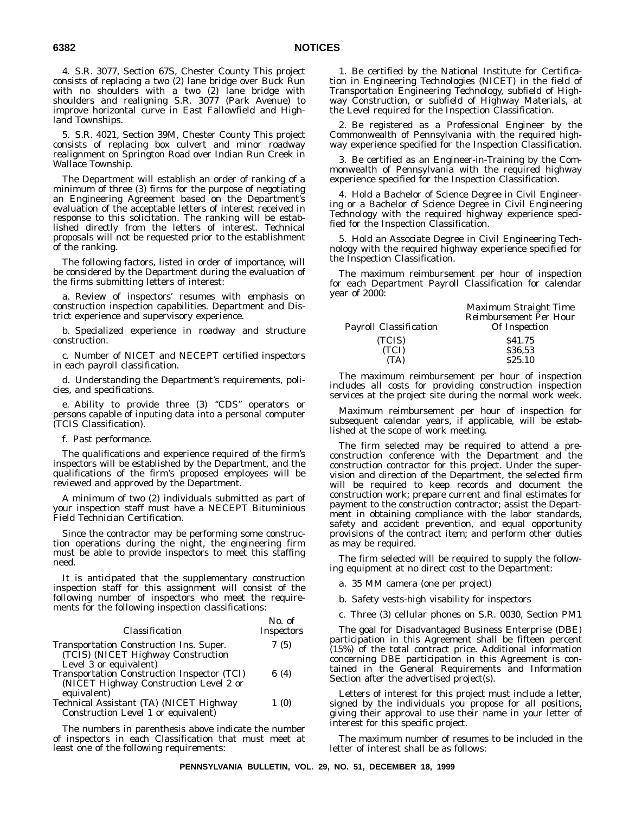4. S.R. 3077, Section 67S, Chester County This project consists of replacing a two (2) lane bridge over Buck Run with no shoulders with a two (2) lane bridge with shoulders and realigning S.R. 3077 (Park Avenue) to improve horizontal curve in East Fallowfield and Highland Townships.

5. S.R. 4021, Section 39M, Chester County This project consists of replacing box culvert and minor roadway realignment on Springton Road over Indian Run Creek in Wallace Township.

The Department will establish an order of ranking of a minimum of three (3) firms for the purpose of negotiating an Engineering Agreement based on the Department's evaluation of the acceptable letters of interest received in response to this solicitation. The ranking will be established directly from the letters of interest. Technical proposals will not be requested prior to the establishment of the ranking.

The following factors, listed in order of importance, will be considered by the Department during the evaluation of the firms submitting letters of interest:

a. Review of inspectors' resumes with emphasis on construction inspection capabilities. Department and District experience and supervisory experience.

b. Specialized experience in roadway and structure construction.

c. Number of NICET and NECEPT certified inspectors in each payroll classification.

d. Understanding the Department's requirements, policies, and specifications.

e. Ability to provide three (3) ''CDS'' operators or persons capable of inputing data into a personal computer (TCIS Classification).

f. Past performance.

The qualifications and experience required of the firm's inspectors will be established by the Department, and the qualifications of the firm's proposed employees will be reviewed and approved by the Department.

A minimum of two (2) individuals submitted as part of your inspection staff must have a NECEPT Bituminious Field Technician Certification.

Since the contractor may be performing some construction operations during the night, the engineering firm must be able to provide inspectors to meet this staffing need.

It is anticipated that the supplementary construction inspection staff for this assignment will consist of the following number of inspectors who meet the requirements for the following inspection classifications:

| Classification                                                                                                  | $No.$ of<br><i>Inspectors</i> |
|-----------------------------------------------------------------------------------------------------------------|-------------------------------|
| Transportation Construction Ins. Super.<br>(TCIS) (NICET Highway Construction                                   | 7(5)                          |
| Level 3 or equivalent)<br>Transportation Construction Inspector (TCI)<br>(NICET Highway Construction Level 2 or | 6 $(4)$                       |
| equivalent)                                                                                                     |                               |

Technical Assistant (TA) (NICET Highway Construction Level 1 or equivalent) 1 (0)

The numbers in parenthesis above indicate the number of inspectors in each Classification that must meet at least one of the following requirements:

1. Be certified by the National Institute for Certification in Engineering Technologies (NICET) in the field of Transportation Engineering Technology, subfield of Highway Construction, or subfield of Highway Materials, at the Level required for the Inspection Classification.

2. Be registered as a Professional Engineer by the Commonwealth of Pennsylvania with the required highway experience specified for the Inspection Classification.

3. Be certified as an Engineer-in-Training by the Commonwealth of Pennsylvania with the required highway experience specified for the Inspection Classification.

4. Hold a Bachelor of Science Degree in Civil Engineering or a Bachelor of Science Degree in Civil Engineering Technology with the required highway experience specified for the Inspection Classification.

5. Hold an Associate Degree in Civil Engineering Technology with the required highway experience specified for the Inspection Classification.

The maximum reimbursement per hour of inspection for each Department Payroll Classification for calendar year of 2000:

| Payroll Classification | Maximum Straight Time<br><b>Reimbursement Per Hour</b><br>Of Inspection |
|------------------------|-------------------------------------------------------------------------|
| (TCIS)                 | \$41.75                                                                 |
| (TCI)                  | \$36.53                                                                 |
| (TA)                   | \$25.10                                                                 |

The maximum reimbursement per hour of inspection includes all costs for providing construction inspection services at the project site during the normal work week.

Maximum reimbursement per hour of inspection for subsequent calendar years, if applicable, will be established at the scope of work meeting.

The firm selected may be required to attend a preconstruction conference with the Department and the construction contractor for this project. Under the supervision and direction of the Department, the selected firm will be required to keep records and document the construction work; prepare current and final estimates for payment to the construction contractor; assist the Department in obtaining compliance with the labor standards, safety and accident prevention, and equal opportunity provisions of the contract item; and perform other duties as may be required.

The firm selected will be required to supply the following equipment at no direct cost to the Department:

a. 35 MM camera (one per project)

b. Safety vests-high visability for inspectors

c. Three (3) cellular phones on S.R. 0030, Section PM1

The goal for Disadvantaged Business Enterprise (DBE) participation in this Agreement shall be fifteen percent (15%) of the total contract price. Additional information concerning DBE participation in this Agreement is contained in the General Requirements and Information Section after the advertised project(s).

Letters of interest for this project must include a letter, signed by the individuals you propose for all positions, giving their approval to use their name in your letter of interest for this specific project.

The maximum number of resumes to be included in the letter of interest shall be as follows: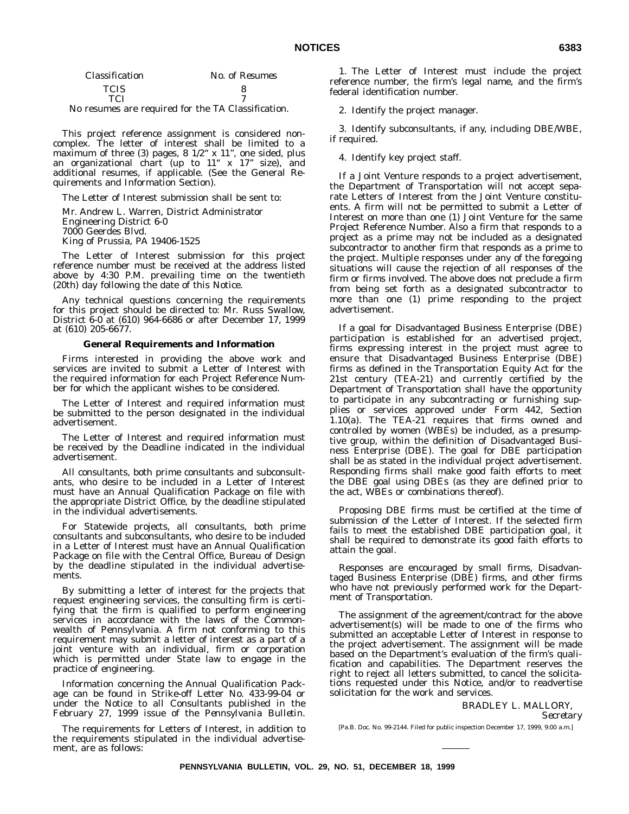| <i><b>Classification</b></i> |  | No. of Resumes                                           |
|------------------------------|--|----------------------------------------------------------|
| <b>TCIS</b>                  |  |                                                          |
| TCI                          |  | $\cdot$ 10 $\cdot$ 1 $\cdot$ $\cdot$ 1 $\cdot$ $\cdot$ 1 |

No resumes are required for the TA Classification.

This project reference assignment is considered noncomplex. The letter of interest shall be limited to a maximum of three (3) pages,  $8 \frac{1}{2}$  x  $11$ ", one sided, plus an organizational chart (up to  $11^{\circ}$  x  $17^{\circ}$  size), and additional resumes, if applicable. (See the General Requirements and Information Section).

The Letter of Interest submission shall be sent to:

Mr. Andrew L. Warren, District Administrator Engineering District 6-0 7000 Geerdes Blvd. King of Prussia, PA 19406-1525

The Letter of Interest submission for this project reference number must be received at the address listed above by 4:30 P.M. prevailing time on the twentieth (20th) day following the date of this Notice.

Any technical questions concerning the requirements for this project should be directed to: Mr. Russ Swallow, District 6-0 at (610) 964-6686 or after December 17, 1999 at (610) 205-6677.

#### **General Requirements and Information**

Firms interested in providing the above work and services are invited to submit a Letter of Interest with the required information for each Project Reference Number for which the applicant wishes to be considered.

The Letter of Interest and required information must be submitted to the person designated in the individual advertisement.

The Letter of Interest and required information must be received by the Deadline indicated in the individual advertisement.

All consultants, both prime consultants and subconsultants, who desire to be included in a Letter of Interest must have an Annual Qualification Package on file with the appropriate District Office, by the deadline stipulated in the individual advertisements.

For Statewide projects, all consultants, both prime consultants and subconsultants, who desire to be included in a Letter of Interest must have an Annual Qualification Package on file with the Central Office, Bureau of Design by the deadline stipulated in the individual advertisements.

By submitting a letter of interest for the projects that request engineering services, the consulting firm is certifying that the firm is qualified to perform engineering services in accordance with the laws of the Commonwealth of Pennsylvania. A firm not conforming to this requirement may submit a letter of interest as a part of a joint venture with an individual, firm or corporation which is permitted under State law to engage in the practice of engineering.

Information concerning the Annual Qualification Package can be found in Strike-off Letter No. 433-99-04 or under the Notice to all Consultants published in the February 27, 1999 issue of the *Pennsylvania Bulletin*.

The requirements for Letters of Interest, in addition to the requirements stipulated in the individual advertisement, are as follows:

1. The Letter of Interest must include the project reference number, the firm's legal name, and the firm's federal identification number.

2. Identify the project manager.

3. Identify subconsultants, if any, including DBE/WBE, if required.

4. Identify key project staff.

If a Joint Venture responds to a project advertisement, the Department of Transportation will not accept separate Letters of Interest from the Joint Venture constituents. A firm will not be permitted to submit a Letter of Interest on more than one (1) Joint Venture for the same Project Reference Number. Also a firm that responds to a project as a prime may not be included as a designated subcontractor to another firm that responds as a prime to the project. Multiple responses under any of the foregoing situations will cause the rejection of all responses of the firm or firms involved. The above does not preclude a firm from being set forth as a designated subcontractor to more than one (1) prime responding to the project advertisement.

If a goal for Disadvantaged Business Enterprise (DBE) participation is established for an advertised project, firms expressing interest in the project must agree to ensure that Disadvantaged Business Enterprise (DBE) firms as defined in the Transportation Equity Act for the 21st century (TEA-21) and currently certified by the Department of Transportation shall have the opportunity to participate in any subcontracting or furnishing supplies or services approved under Form 442, Section 1.10(a). The TEA-21 requires that firms owned and controlled by women (WBEs) be included, as a presumptive group, within the definition of Disadvantaged Business Enterprise (DBE). The goal for DBE participation shall be as stated in the individual project advertisement. Responding firms shall make good faith efforts to meet the DBE goal using DBEs (as they are defined prior to the act, WBEs or combinations thereof).

Proposing DBE firms must be certified at the time of submission of the Letter of Interest. If the selected firm fails to meet the established DBE participation goal, it shall be required to demonstrate its good faith efforts to attain the goal.

Responses are encouraged by small firms, Disadvantaged Business Enterprise (DBE) firms, and other firms who have not previously performed work for the Department of Transportation.

The assignment of the agreement/contract for the above advertisement(s) will be made to one of the firms who submitted an acceptable Letter of Interest in response to the project advertisement. The assignment will be made based on the Department's evaluation of the firm's qualification and capabilities. The Department reserves the right to reject all letters submitted, to cancel the solicitations requested under this Notice, and/or to readvertise solicitation for the work and services.

BRADLEY L. MALLORY,

*Secretary*

[Pa.B. Doc. No. 99-2144. Filed for public inspection December 17, 1999, 9:00 a.m.]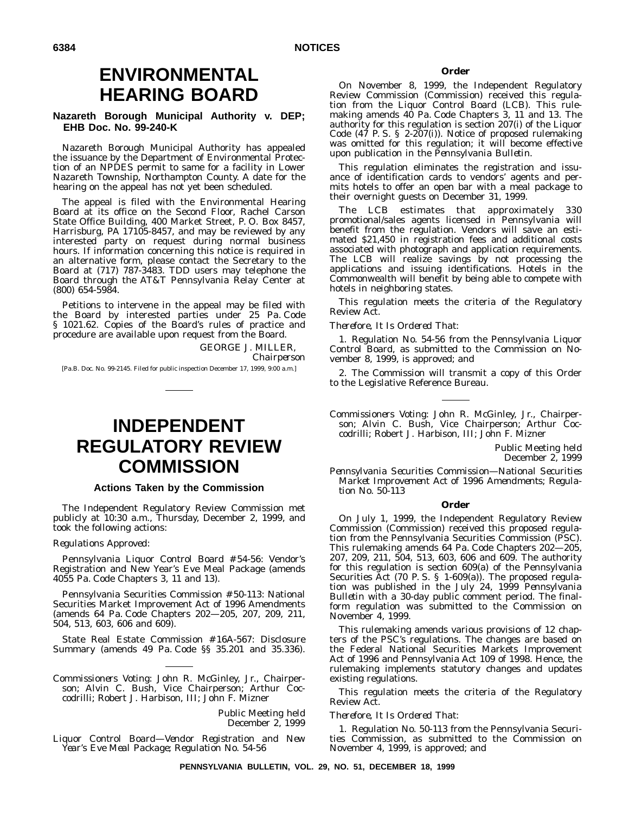# **ENVIRONMENTAL HEARING BOARD**

# **Nazareth Borough Municipal Authority v. DEP; EHB Doc. No. 99-240-K**

Nazareth Borough Municipal Authority has appealed the issuance by the Department of Environmental Protection of an NPDES permit to same for a facility in Lower Nazareth Township, Northampton County. A date for the hearing on the appeal has not yet been scheduled.

The appeal is filed with the Environmental Hearing Board at its office on the Second Floor, Rachel Carson State Office Building, 400 Market Street, P. O. Box 8457, Harrisburg, PA 17105-8457, and may be reviewed by any interested party on request during normal business hours. If information concerning this notice is required in an alternative form, please contact the Secretary to the Board at (717) 787-3483. TDD users may telephone the Board through the AT&T Pennsylvania Relay Center at (800) 654-5984.

Petitions to intervene in the appeal may be filed with the Board by interested parties under 25 Pa. Code § 1021.62. Copies of the Board's rules of practice and procedure are available upon request from the Board.

> GEORGE J. MILLER, *Chairperson*

[Pa.B. Doc. No. 99-2145. Filed for public inspection December 17, 1999, 9:00 a.m.]

# **INDEPENDENT REGULATORY REVIEW COMMISSION**

# **Actions Taken by the Commission**

The Independent Regulatory Review Commission met publicly at 10:30 a.m., Thursday, December 2, 1999, and took the following actions:

#### *Regulations Approved*:

Pennsylvania Liquor Control Board # 54-56: Vendor's Registration and New Year's Eve Meal Package (amends 4055 Pa. Code Chapters 3, 11 and 13).

Pennsylvania Securities Commission # 50-113: National Securities Market Improvement Act of 1996 Amendments (amends 64 Pa. Code Chapters 202—205, 207, 209, 211, 504, 513, 603, 606 and 609).

State Real Estate Commission # 16A-567: Disclosure Summary (amends 49 Pa. Code §§ 35.201 and 35.336).

*Commissioners Voting*: John R. McGinley, Jr., Chairperson; Alvin C. Bush, Vice Chairperson; Arthur Coccodrilli; Robert J. Harbison, III; John F. Mizner

> Public Meeting held December 2, 1999

*Liquor Control Board—Vendor Registration and New Year's Eve Meal Package; Regulation No. 54-56*

# **Order**

On November 8, 1999, the Independent Regulatory Review Commission (Commission) received this regulation from the Liquor Control Board (LCB). This rulemaking amends 40 Pa. Code Chapters 3, 11 and 13. The authority for this regulation is section 207(i) of the Liquor Code (47 P. S. § 2-207(i)). Notice of proposed rulemaking was omitted for this regulation; it will become effective upon publication in the *Pennsylvania Bulletin*.

This regulation eliminates the registration and issuance of identification cards to vendors' agents and permits hotels to offer an open bar with a meal package to their overnight guests on December 31, 1999.

The LCB estimates that approximately 330 promotional/sales agents licensed in Pennsylvania will benefit from the regulation. Vendors will save an estimated \$21,450 in registration fees and additional costs associated with photograph and application requirements. The LCB will realize savings by not processing the applications and issuing identifications. Hotels in the Commonwealth will benefit by being able to compete with hotels in neighboring states.

This regulation meets the criteria of the Regulatory Review Act.

#### *Therefore, It Is Ordered That*:

1. Regulation No. 54-56 from the Pennsylvania Liquor Control Board, as submitted to the Commission on November 8, 1999, is approved; and

2. The Commission will transmit a copy of this Order to the Legislative Reference Bureau.

*Commissioners Voting*: John R. McGinley, Jr., Chairperson; Alvin C. Bush, Vice Chairperson; Arthur Coccodrilli; Robert J. Harbison, III; John F. Mizner

> Public Meeting held December 2, 1999

*Pennsylvania Securities Commission—National Securities Market Improvement Act of 1996 Amendments; Regulation No. 50-113*

#### **Order**

On July 1, 1999, the Independent Regulatory Review Commission (Commission) received this proposed regulation from the Pennsylvania Securities Commission (PSC). This rulemaking amends 64 Pa. Code Chapters 202—205, 207, 209, 211, 504, 513, 603, 606 and 609. The authority for this regulation is section 609(a) of the Pennsylvania Securities Act (70 P. S. § 1-609(a)). The proposed regulation was published in the July 24, 1999 *Pennsylvania Bulletin* with a 30-day public comment period. The finalform regulation was submitted to the Commission on November 4, 1999.

This rulemaking amends various provisions of 12 chapters of the PSC's regulations. The changes are based on the Federal National Securities Markets Improvement Act of 1996 and Pennsylvania Act 109 of 1998. Hence, the rulemaking implements statutory changes and updates existing regulations.

This regulation meets the criteria of the Regulatory Review Act.

#### *Therefore, It Is Ordered That*:

1. Regulation No. 50-113 from the Pennsylvania Securities Commission, as submitted to the Commission on November 4, 1999, is approved; and

**PENNSYLVANIA BULLETIN, VOL. 29, NO. 51, DECEMBER 18, 1999**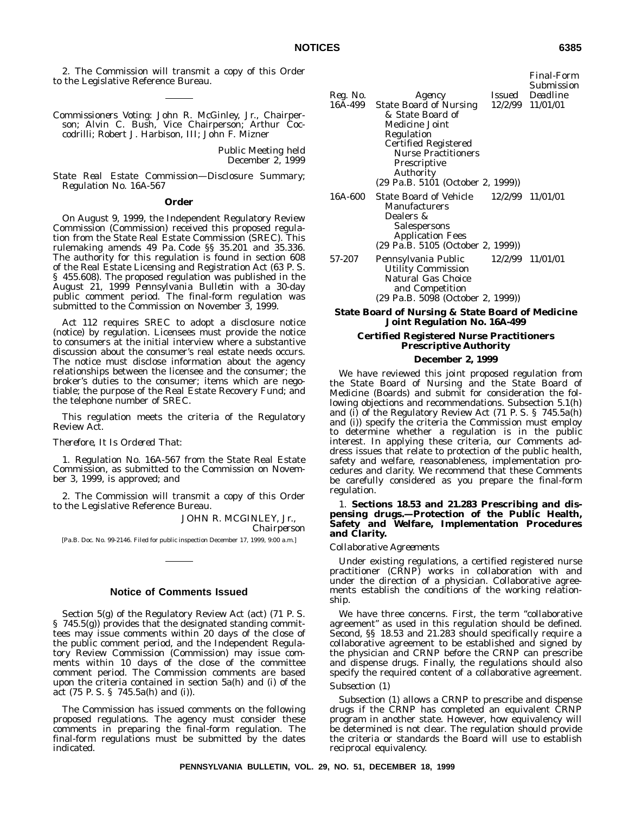2. The Commission will transmit a copy of this Order to the Legislative Reference Bureau.

*Commissioners Voting*: John R. McGinley, Jr., Chairperson; Alvin C. Bush, Vice Chairperson; Arthur Coccodrilli; Robert J. Harbison, III; John F. Mizner

> Public Meeting held December 2, 1999

*State Real Estate Commission—Disclosure Summary; Regulation No. 16A-567*

# **Order**

On August 9, 1999, the Independent Regulatory Review Commission (Commission) received this proposed regulation from the State Real Estate Commission (SREC). This rulemaking amends 49 Pa. Code §§ 35.201 and 35.336. The authority for this regulation is found in section 608 of the Real Estate Licensing and Registration Act (63 P. S. § 455.608). The proposed regulation was published in the August 21, 1999 *Pennsylvania Bulletin* with a 30-day public comment period. The final-form regulation was submitted to the Commission on November 3, 1999.

Act 112 requires SREC to adopt a disclosure notice (notice) by regulation. Licensees must provide the notice to consumers at the initial interview where a substantive discussion about the consumer's real estate needs occurs. The notice must disclose information about the agency relationships between the licensee and the consumer; the broker's duties to the consumer; items which are negotiable; the purpose of the Real Estate Recovery Fund; and the telephone number of SREC.

This regulation meets the criteria of the Regulatory Review Act.

#### *Therefore, It Is Ordered That*:

1. Regulation No. 16A-567 from the State Real Estate Commission, as submitted to the Commission on November 3, 1999, is approved; and

2. The Commission will transmit a copy of this Order to the Legislative Reference Bureau.

JOHN R. MCGINLEY, Jr.,

*Chairperson*

[Pa.B. Doc. No. 99-2146. Filed for public inspection December 17, 1999, 9:00 a.m.]

# **Notice of Comments Issued**

Section 5(g) of the Regulatory Review Act (act) (71 P. S. § 745.5(g)) provides that the designated standing committees may issue comments within 20 days of the close of the public comment period, and the Independent Regulatory Review Commission (Commission) may issue comments within 10 days of the close of the committee comment period. The Commission comments are based upon the criteria contained in section 5a(h) and (i) of the act (75 P. S. § 745.5a(h) and (i)).

The Commission has issued comments on the following proposed regulations. The agency must consider these comments in preparing the final-form regulation. The final-form regulations must be submitted by the dates indicated.

| Reg. No. | Agency                                                                                                                                                                                                                            | Submission<br>Issued Deadline |
|----------|-----------------------------------------------------------------------------------------------------------------------------------------------------------------------------------------------------------------------------------|-------------------------------|
| 16A-499  | State Board of Nursing 12/2/99 11/01/01<br>& State Board of<br>Medicine Joint<br>Regulation<br><b>Certified Registered</b><br><b>Nurse Practitioners</b><br><b>Prescriptive</b><br>Authority<br>(29 Pa.B. 5101 (October 2, 1999)) |                               |
| 16A-600  | State Board of Vehicle<br>Manufacturers<br>Dealers &<br>Salespersons<br><b>Application Fees</b><br>(29 Pa.B. 5105 (October 2, 1999))                                                                                              | 12/2/99 11/01/01              |
| 57-207   | Pennsylvania Public<br><b>Utility Commission</b><br>Natural Gas Choice<br>and Competition<br>(29 Pa.B. 5098 (October 2, 1999))                                                                                                    | 12/2/99 11/01/01              |

**State Board of Nursing & State Board of Medicine Joint Regulation No. 16A-499**

# **Certified Registered Nurse Practitioners Prescriptive Authority**

#### **December 2, 1999**

We have reviewed this joint proposed regulation from the State Board of Nursing and the State Board of Medicine (Boards) and submit for consideration the following objections and recommendations. Subsection 5.1(h) and (i) of the Regulatory Review Act (71 P. S. § 745.5a(h) and (i)) specify the criteria the Commission must employ to determine whether a regulation is in the public interest. In applying these criteria, our Comments address issues that relate to protection of the public health, safety and welfare, reasonableness, implementation procedures and clarity. We recommend that these Comments be carefully considered as you prepare the final-form regulation.

# 1. **Sections 18.53 and 21.283 Prescribing and dispensing drugs.—Protection of the Public Health, Safety and Welfare, Implementation Procedures and Clarity.**

## *Collaborative Agreements*

Under existing regulations, a certified registered nurse practitioner (CRNP) works in collaboration with and under the direction of a physician. Collaborative agreements establish the conditions of the working relationship.

We have three concerns. First, the term ''collaborative agreement'' as used in this regulation should be defined. Second, §§ 18.53 and 21.283 should specifically require a collaborative agreement to be established and signed by the physician and CRNP before the CRNP can prescribe and dispense drugs. Finally, the regulations should also specify the required content of a collaborative agreement.

# *Subsection (1)*

Subsection (1) allows a CRNP to prescribe and dispense drugs if the CRNP has completed an equivalent CRNP program in another state. However, how equivalency will be determined is not clear. The regulation should provide the criteria or standards the Board will use to establish reciprocal equivalency.

*Final-Form*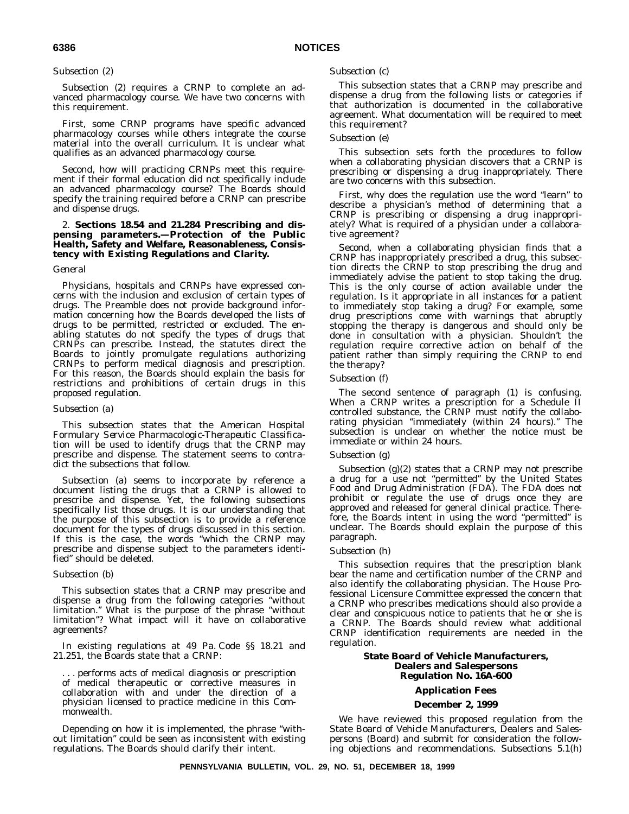# *Subsection (2)*

Subsection (2) requires a CRNP to complete an advanced pharmacology course. We have two concerns with this requirement.

First, some CRNP programs have specific advanced pharmacology courses while others integrate the course material into the overall curriculum. It is unclear what qualifies as an advanced pharmacology course.

Second, how will practicing CRNPs meet this requirement if their formal education did not specifically include an advanced pharmacology course? The Boards should specify the training required before a CRNP can prescribe and dispense drugs.

# 2. **Sections 18.54 and 21.284 Prescribing and dispensing parameters.—Protection of the Public Health, Safety and Welfare, Reasonableness, Consistency with Existing Regulations and Clarity.**

# *General*

Physicians, hospitals and CRNPs have expressed concerns with the inclusion and exclusion of certain types of drugs. The Preamble does not provide background information concerning how the Boards developed the lists of drugs to be permitted, restricted or excluded. The enabling statutes do not specify the types of drugs that CRNPs can prescribe. Instead, the statutes direct the Boards to jointly promulgate regulations authorizing CRNPs to perform medical diagnosis and prescription. For this reason, the Boards should explain the basis for restrictions and prohibitions of certain drugs in this proposed regulation.

# *Subsection (a)*

This subsection states that the *American Hospital Formulary Service Pharmacologic-Therapeutic Classification* will be used to identify drugs that the CRNP may prescribe and dispense. The statement seems to contradict the subsections that follow.

Subsection (a) seems to incorporate by reference a document listing the drugs that a CRNP is allowed to prescribe and dispense. Yet, the following subsections specifically list those drugs. It is our understanding that the purpose of this subsection is to provide a reference document for the types of drugs discussed in this section. If this is the case, the words ''which the CRNP may prescribe and dispense subject to the parameters identified'' should be deleted.

# *Subsection (b)*

This subsection states that a CRNP may prescribe and dispense a drug from the following categories ''without limitation.'' What is the purpose of the phrase ''without limitation''? What impact will it have on collaborative agreements?

In existing regulations at 49 Pa. Code §§ 18.21 and 21.251, the Boards state that a CRNP:

. . . performs acts of medical diagnosis or prescription of medical therapeutic or corrective measures in collaboration with and under the direction of a physician licensed to practice medicine in this Commonwealth.

Depending on how it is implemented, the phrase "without limitation'' could be seen as inconsistent with existing regulations. The Boards should clarify their intent.

# *Subsection (c)*

This subsection states that a CRNP may prescribe and dispense a drug from the following lists or categories if that authorization is documented in the collaborative agreement. What documentation will be required to meet this requirement?

# *Subsection (e)*

This subsection sets forth the procedures to follow when a collaborating physician discovers that a CRNP is prescribing or dispensing a drug inappropriately. There are two concerns with this subsection.

First, why does the regulation use the word ''learn'' to describe a physician's method of determining that a CRNP is prescribing or dispensing a drug inappropriately? What is required of a physician under a collaborative agreement?

Second, when a collaborating physician finds that a CRNP has inappropriately prescribed a drug, this subsection directs the CRNP to stop prescribing the drug and immediately advise the patient to stop taking the drug. This is the only course of action available under the regulation. Is it appropriate in all instances for a patient to immediately stop taking a drug? For example, some drug prescriptions come with warnings that abruptly stopping the therapy is dangerous and should only be done in consultation with a physician. Shouldn't the regulation require corrective action on behalf of the patient rather than simply requiring the CRNP to end the therapy?

# *Subsection (f)*

The second sentence of paragraph (1) is confusing. When a CRNP writes a prescription for a Schedule II controlled substance, the CRNP must notify the collaborating physician ''immediately (within 24 hours).'' The subsection is unclear on whether the notice must be immediate or within 24 hours.

# *Subsection (g)*

Subsection (g)(2) states that a CRNP may not prescribe a drug for a use not ''permitted'' by the United States Food and Drug Administration (FDA). The FDA does not prohibit or regulate the use of drugs once they are approved and released for general clinical practice. Therefore, the Boards intent in using the word "permitted" is unclear. The Boards should explain the purpose of this paragraph.

# *Subsection (h)*

This subsection requires that the prescription blank bear the name and certification number of the CRNP and also identify the collaborating physician. The House Professional Licensure Committee expressed the concern that a CRNP who prescribes medications should also provide a clear and conspicuous notice to patients that he or she is a CRNP. The Boards should review what additional CRNP identification requirements are needed in the regulation.

# **State Board of Vehicle Manufacturers, Dealers and Salespersons Regulation No. 16A-600**

# **Application Fees**

# **December 2, 1999**

We have reviewed this proposed regulation from the State Board of Vehicle Manufacturers, Dealers and Salespersons (Board) and submit for consideration the following objections and recommendations. Subsections 5.1(h)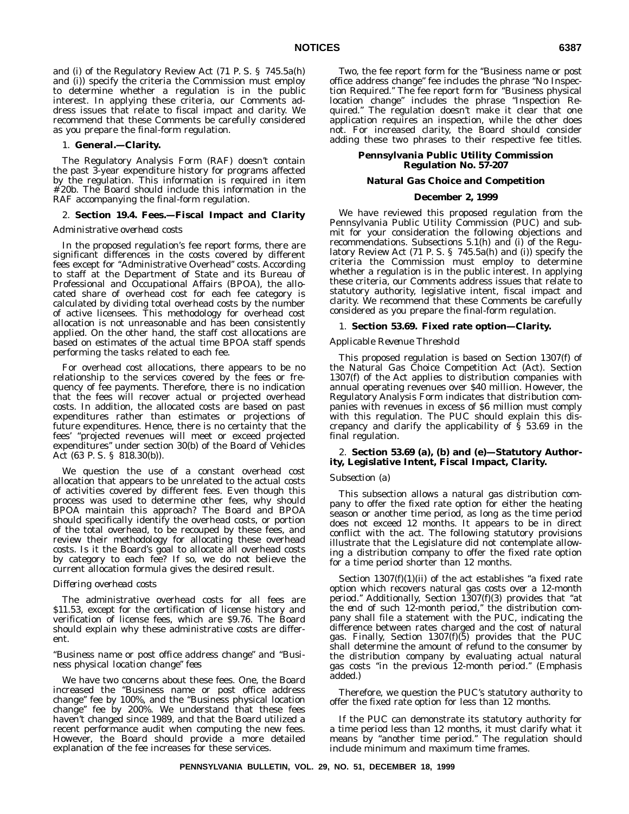and (i) of the Regulatory Review Act (71 P. S. § 745.5a(h) and (i)) specify the criteria the Commission must employ to determine whether a regulation is in the public interest. In applying these criteria, our Comments address issues that relate to fiscal impact and clarity. We recommend that these Comments be carefully considered as you prepare the final-form regulation.

#### 1. **General.—Clarity.**

The Regulatory Analysis Form (RAF) doesn't contain the past 3-year expenditure history for programs affected by the regulation. This information is required in item # 20b. The Board should include this information in the RAF accompanying the final-form regulation.

### 2. **Section 19.4. Fees.—Fiscal Impact and Clarity**

## *Administrative overhead costs*

In the proposed regulation's fee report forms, there are significant differences in the costs covered by different fees except for ''Administrative Overhead'' costs. According to staff at the Department of State and its Bureau of Professional and Occupational Affairs (BPOA), the allocated share of overhead cost for each fee category is calculated by dividing total overhead costs by the number of active licensees. This methodology for overhead cost allocation is not unreasonable and has been consistently applied. On the other hand, the staff cost allocations are based on estimates of the actual time BPOA staff spends performing the tasks related to each fee.

For overhead cost allocations, there appears to be no relationship to the services covered by the fees or frequency of fee payments. Therefore, there is no indication that the fees will recover actual or projected overhead costs. In addition, the allocated costs are based on past expenditures rather than estimates or projections of future expenditures. Hence, there is no certainty that the fees' ''projected revenues will meet or exceed projected expenditures'' under section 30(b) of the Board of Vehicles Act (63 P. S. § 818.30(b)).

We question the use of a constant overhead cost allocation that appears to be unrelated to the actual costs of activities covered by different fees. Even though this process was used to determine other fees, why should BPOA maintain this approach? The Board and BPOA should specifically identify the overhead costs, or portion of the total overhead, to be recouped by these fees, and review their methodology for allocating these overhead costs. Is it the Board's goal to allocate all overhead costs by category to each fee? If so, we do not believe the current allocation formula gives the desired result.

#### *Differing overhead costs*

The administrative overhead costs for all fees are \$11.53, except for the certification of license history and verification of license fees, which are \$9.76. The Board should explain why these administrative costs are different.

# *''Business name or post office address change'' and ''Business physical location change'' fees*

We have two concerns about these fees. One, the Board increased the ''Business name or post office address change'' fee by 100%, and the ''Business physical location change'' fee by 200%. We understand that these fees haven't changed since 1989, and that the Board utilized a recent performance audit when computing the new fees. However, the Board should provide a more detailed explanation of the fee increases for these services.

Two, the fee report form for the "Business name or post office address change'' fee includes the phrase ''No Inspection Required.'' The fee report form for ''Business physical location change'' includes the phrase ''Inspection Required.'' The regulation doesn't make it clear that one application requires an inspection, while the other does not. For increased clarity, the Board should consider adding these two phrases to their respective fee titles.

# **Pennsylvania Public Utility Commission Regulation No. 57-207**

# **Natural Gas Choice and Competition**

#### **December 2, 1999**

We have reviewed this proposed regulation from the Pennsylvania Public Utility Commission (PUC) and submit for your consideration the following objections and recommendations. Subsections 5.1(h) and (i) of the Regulatory Review Act (71 P. S. § 745.5a(h) and (i)) specify the criteria the Commission must employ to determine whether a regulation is in the public interest. In applying these criteria, our Comments address issues that relate to statutory authority, legislative intent, fiscal impact and clarity. We recommend that these Comments be carefully considered as you prepare the final-form regulation.

# 1. **Section 53.69. Fixed rate option—Clarity.**

# *Applicable Revenue Threshold*

This proposed regulation is based on Section 1307(f) of the Natural Gas Choice Competition Act (Act). Section 1307(f) of the Act applies to distribution companies with annual operating revenues over \$40 million. However, the Regulatory Analysis Form indicates that distribution companies with revenues in excess of \$6 million must comply with this regulation. The PUC should explain this discrepancy and clarify the applicability of  $\dot{\S}$  53.69 in the final regulation.

# 2. **Section 53.69 (a), (b) and (e)—Statutory Authority, Legislative Intent, Fiscal Impact, Clarity.**

#### *Subsection (a)*

This subsection allows a natural gas distribution company to offer the fixed rate option for either the heating season or another time period, as long as the time period does not exceed 12 months. It appears to be in direct conflict with the act. The following statutory provisions illustrate that the Legislature did not contemplate allowing a distribution company to offer the fixed rate option for a time period shorter than 12 months.

Section  $1307(f)(1)(ii)$  of the act establishes "a fixed rate option which recovers natural gas costs *over a 12-month period*.'' Additionally, Section 1307(f)(3) provides that ''*at the end of such 12-month period*,'' the distribution company shall file a statement with the PUC, indicating the difference between rates charged and the cost of natural gas. Finally, Section 1307(f)(5) provides that the PUC shall determine the amount of refund to the consumer by the distribution company by evaluating actual natural gas costs ''*in the previous 12-month period*.'' (Emphasis added.)

Therefore, we question the PUC's statutory authority to offer the fixed rate option for less than 12 months.

If the PUC can demonstrate its statutory authority for a time period less than 12 months, it must clarify what it means by ''another time period.'' The regulation should include minimum and maximum time frames.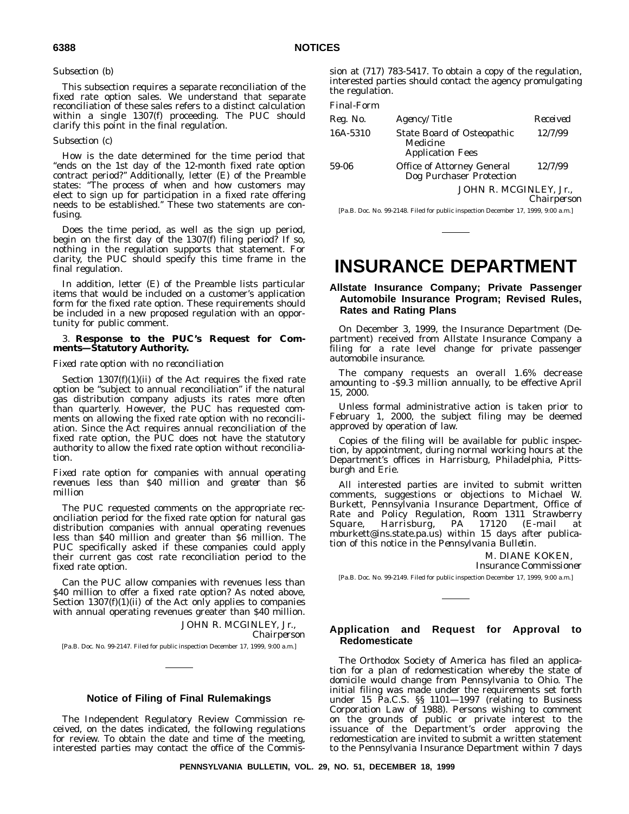# *Subsection (b)*

This subsection requires a separate reconciliation of the fixed rate option sales. We understand that separate reconciliation of these sales refers to a distinct calculation within a single 1307(f) proceeding. The PUC should clarify this point in the final regulation.

# *Subsection (c)*

How is the date determined for the time period that ''ends on the 1st day of the 12-month fixed rate option contract period?'' Additionally, letter (E) of the Preamble states: ''The process of when and how customers may elect to sign up for participation in a fixed rate offering needs to be established.'' These two statements are confusing.

Does the time period, as well as the sign up period, begin on the first day of the 1307(f) filing period? If so, nothing in the regulation supports that statement. For clarity, the PUC should specify this time frame in the final regulation.

In addition, letter (E) of the Preamble lists particular items that would be included on a customer's application form for the fixed rate option. These requirements should be included in a new proposed regulation with an opportunity for public comment.

# 3. **Response to the PUC's Request for Comments—Statutory Authority.**

#### *Fixed rate option with no reconciliation*

Section  $1307(f)(1)(ii)$  of the Act requires the fixed rate option be ''subject to annual reconciliation'' if the natural gas distribution company adjusts its rates more often than quarterly. However, the PUC has requested comments on allowing the fixed rate option with no reconciliation. Since the Act requires annual reconciliation of the fixed rate option, the PUC does not have the statutory authority to allow the fixed rate option without reconciliation.

*Fixed rate option for companies with annual operating revenues less than \$40 million and greater than \$6 million*

The PUC requested comments on the appropriate reconciliation period for the fixed rate option for natural gas distribution companies with annual operating revenues less than \$40 million and greater than \$6 million. The PUC specifically asked if these companies could apply their current gas cost rate reconciliation period to the fixed rate option.

Can the PUC allow companies with revenues less than \$40 million to offer a fixed rate option? As noted above, Section  $1307(f)(1)(ii)$  of the Act only applies to companies with annual operating revenues greater than \$40 million.

JOHN R. MCGINLEY, Jr., *Chairperson*

[Pa.B. Doc. No. 99-2147. Filed for public inspection December 17, 1999, 9:00 a.m.]

# **Notice of Filing of Final Rulemakings**

The Independent Regulatory Review Commission received, on the dates indicated, the following regulations for review. To obtain the date and time of the meeting, interested parties may contact the office of the Commission at (717) 783-5417. To obtain a copy of the regulation, interested parties should contact the agency promulgating the regulation.

#### *Final-Form*

| Reg. No. | Agency/Title                                                             | Received |
|----------|--------------------------------------------------------------------------|----------|
| 16A-5310 | <b>State Board of Osteopathic</b><br>Medicine<br><b>Application Fees</b> | 12/7/99  |
| 59-06    | <b>Office of Attorney General</b><br>Dog Purchaser Protection            | 12/7/99  |
|          | JOHN R. MCGINLEY. Jr                                                     |          |

*Chairperson*

[Pa.B. Doc. No. 99-2148. Filed for public inspection December 17, 1999, 9:00 a.m.]

# **INSURANCE DEPARTMENT**

# **Allstate Insurance Company; Private Passenger Automobile Insurance Program; Revised Rules, Rates and Rating Plans**

On December 3, 1999, the Insurance Department (Department) received from Allstate Insurance Company a filing for a rate level change for private passenger automobile insurance.

The company requests an overall 1.6% decrease amounting to -\$9.3 million annually, to be effective April 15, 2000.

Unless formal administrative action is taken prior to February 1, 2000, the subject filing may be deemed approved by operation of law.

Copies of the filing will be available for public inspection, by appointment, during normal working hours at the Department's offices in Harrisburg, Philadelphia, Pittsburgh and Erie.

All interested parties are invited to submit written comments, suggestions or objections to Michael W. Burkett, Pennsylvania Insurance Department, Office of Rate and Policy Regulation, Room 1311 Strawberry<br>Square, Harrisburg, PA 17120 (E-mail at Square, Harrisburg, PA 17120 (E-mail at mburkett@ins.state.pa.us) within 15 days after publication of this notice in the *Pennsylvania Bulletin*.

M. DIANE KOKEN,

*Insurance Commissioner*

[Pa.B. Doc. No. 99-2149. Filed for public inspection December 17, 1999, 9:00 a.m.]

# **Application and Request for Approval to Redomesticate**

The Orthodox Society of America has filed an application for a plan of redomestication whereby the state of domicile would change from Pennsylvania to Ohio. The initial filing was made under the requirements set forth under 15 Pa.C.S. §§ 1101—1997 (relating to Business Corporation Law of 1988). Persons wishing to comment on the grounds of public or private interest to the issuance of the Department's order approving the redomestication are invited to submit a written statement to the Pennsylvania Insurance Department within 7 days

**PENNSYLVANIA BULLETIN, VOL. 29, NO. 51, DECEMBER 18, 1999**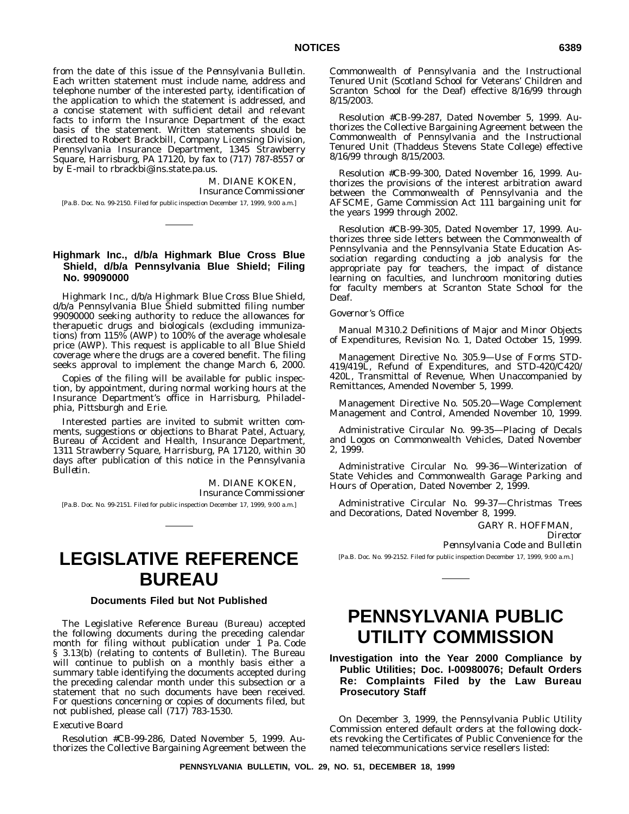from the date of this issue of the *Pennsylvania Bulletin*. Each written statement must include name, address and telephone number of the interested party, identification of the application to which the statement is addressed, and a concise statement with sufficient detail and relevant facts to inform the Insurance Department of the exact basis of the statement. Written statements should be directed to Robert Brackbill, Company Licensing Division, Pennsylvania Insurance Department, 1345 Strawberry Square, Harrisburg, PA 17120, by fax to (717) 787-8557 or by E-mail to rbrackbi@ins.state.pa.us.

> M. DIANE KOKEN, *Insurance Commissioner*

[Pa.B. Doc. No. 99-2150. Filed for public inspection December 17, 1999, 9:00 a.m.]

# **Highmark Inc., d/b/a Highmark Blue Cross Blue Shield, d/b/a Pennsylvania Blue Shield; Filing No. 99090000**

Highmark Inc., d/b/a Highmark Blue Cross Blue Shield, d/b/a Pennsylvania Blue Shield submitted filing number 99090000 seeking authority to reduce the allowances for therapuetic drugs and biologicals (excluding immunizations) from 115% (AWP) to 100% of the average wholesale price (AWP). This request is applicable to all Blue Shield coverage where the drugs are a covered benefit. The filing seeks approval to implement the change March 6, 2000.

Copies of the filing will be available for public inspection, by appointment, during normal working hours at the Insurance Department's office in Harrisburg, Philadelphia, Pittsburgh and Erie.

Interested parties are invited to submit written comments, suggestions or objections to Bharat Patel, Actuary, Bureau of Accident and Health, Insurance Department, 1311 Strawberry Square, Harrisburg, PA 17120, within 30 days after publication of this notice in the *Pennsylvania Bulletin*.

> M. DIANE KOKEN, *Insurance Commissioner*

[Pa.B. Doc. No. 99-2151. Filed for public inspection December 17, 1999, 9:00 a.m.]

# **LEGISLATIVE REFERENCE BUREAU**

# **Documents Filed but Not Published**

The Legislative Reference Bureau (Bureau) accepted the following documents during the preceding calendar month for filing without publication under  $\tilde{I}$  Pa. Code § 3.13(b) (relating to contents of Bulletin). The Bureau will continue to publish on a monthly basis either a summary table identifying the documents accepted during the preceding calendar month under this subsection or a statement that no such documents have been received. For questions concerning or copies of documents filed, but not published, please call (717) 783-1530.

# *Executive Board*

Resolution #CB-99-286, Dated November 5, 1999. Authorizes the Collective Bargaining Agreement between the Commonwealth of Pennsylvania and the Instructional Tenured Unit (Scotland School for Veterans' Children and Scranton School for the Deaf) effective 8/16/99 through 8/15/2003.

Resolution #CB-99-287, Dated November 5, 1999. Authorizes the Collective Bargaining Agreement between the Commonwealth of Pennsylvania and the Instructional Tenured Unit (Thaddeus Stevens State College) effective 8/16/99 through 8/15/2003.

Resolution #CB-99-300, Dated November 16, 1999. Authorizes the provisions of the interest arbitration award between the Commonwealth of Pennsylvania and the AFSCME, Game Commission Act 111 bargaining unit for the years 1999 through 2002.

Resolution #CB-99-305, Dated November 17, 1999. Authorizes three side letters between the Commonwealth of Pennsylvania and the Pennsylvania State Education Association regarding conducting a job analysis for the appropriate pay for teachers, the impact of distance learning on faculties, and lunchroom monitoring duties for faculty members at Scranton State School for the Deaf.

#### *Governor's Office*

Manual M310.2 Definitions of Major and Minor Objects of Expenditures, Revision No. 1, Dated October 15, 1999.

Management Directive No. 305.9—Use of Forms STD-419/419L, Refund of Expenditures, and STD-420/C420/ 420L, Transmittal of Revenue, When Unaccompanied by Remittances, Amended November 5, 1999.

Management Directive No. 505.20—Wage Complement Management and Control, Amended November 10, 1999.

Administrative Circular No. 99-35—Placing of Decals and Logos on Commonwealth Vehicles, Dated November 2, 1999.

Administrative Circular No. 99-36—Winterization of State Vehicles and Commonwealth Garage Parking and Hours of Operation, Dated November 2, 1999.

Administrative Circular No. 99-37—Christmas Trees and Decorations, Dated November 8, 1999.

> GARY R. HOFFMAN, *Director*

*Pennsylvania Code and Bulletin* [Pa.B. Doc. No. 99-2152. Filed for public inspection December 17, 1999, 9:00 a.m.]

# **PENNSYLVANIA PUBLIC UTILITY COMMISSION**

**Investigation into the Year 2000 Compliance by Public Utilities; Doc. I-00980076; Default Orders Re: Complaints Filed by the Law Bureau Prosecutory Staff**

On December 3, 1999, the Pennsylvania Public Utility Commission entered default orders at the following dockets revoking the Certificates of Public Convenience for the named telecommunications service resellers listed: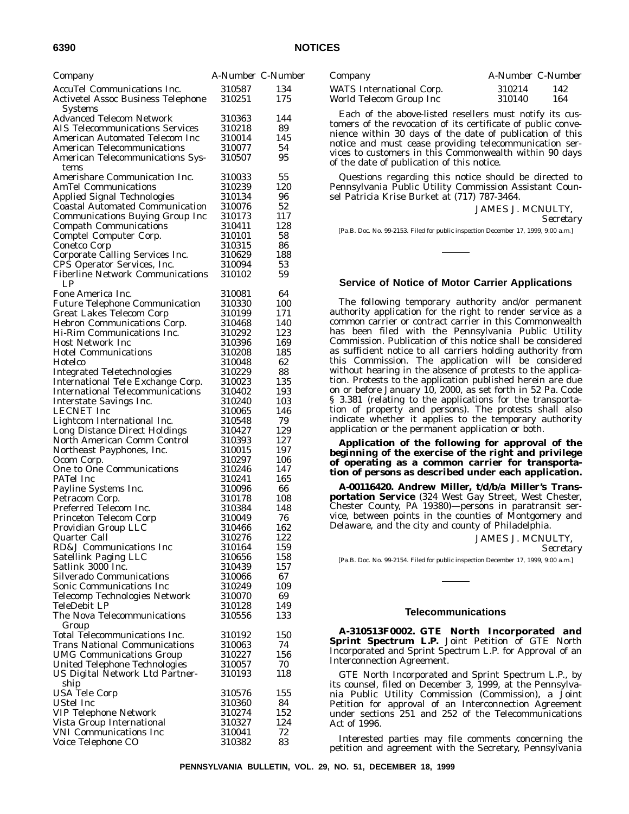| Company                                                                   | A-Number C-Number |            |
|---------------------------------------------------------------------------|-------------------|------------|
| <b>AccuTel Communications Inc.</b>                                        | 310587            | 134        |
| Activetel Assoc Business Telephone                                        | 310251            | 175        |
| Systems                                                                   |                   |            |
| <b>Advanced Telecom Network</b><br><b>AIS Telecommunications Services</b> | 310363<br>310218  | 144<br>89  |
| American Automated Telecom Inc                                            | 310014            | 145        |
| <b>American Telecommunications</b>                                        | 310077            | 54         |
| American Telecommunications Sys-                                          | 310507            | 95         |
| tems                                                                      |                   |            |
| Amerishare Communication Inc.                                             | 310033            | 55         |
| <b>AmTel Communications</b>                                               | 310239            | 120        |
| Applied Signal Technologies<br><b>Coastal Automated Communication</b>     | 310134<br>310076  | 96<br>52   |
| <b>Communications Buying Group Inc</b>                                    | 310173            | 117        |
| <b>Compath Communications</b>                                             | 310411            | 128        |
| Comptel Computer Corp.                                                    | 310101            | 58         |
| Conetco Corp                                                              | 310315            | 86         |
| Corporate Calling Services Inc.                                           | 310629            | 188        |
| CPS Operator Services, Inc.<br><b>Fiberline Network Communications</b>    | 310094            | 53         |
| LP.                                                                       | 310102            | 59         |
| Fone America Inc.                                                         | 310081            | 64         |
| <b>Future Telephone Communication</b>                                     | 310330            | 100        |
| <b>Great Lakes Telecom Corp</b>                                           | 310199            | 171        |
| Hebron Communications Corp.                                               | 310468            | 140        |
| Hi-Rim Communications Inc.                                                | 310292            | 123        |
| <b>Host Network Inc</b>                                                   | 310396            | 169        |
| <b>Hotel Communications</b><br>Hotelco                                    | 310208<br>310048  | 185<br>62  |
| <b>Integrated Teletechnologies</b>                                        | 310229            | 88         |
| International Tele Exchange Corp.                                         | 310023            | 135        |
| <b>International Telecommunications</b>                                   | 310402            | 193        |
| Interstate Savings Inc.                                                   | 310240            | 103        |
| <b>LECNET</b> Inc                                                         | 310065            | 146        |
| Lightcom International Inc.                                               | 310548<br>310427  | 79<br>129  |
| Long Distance Direct Holdings<br>North American Comm Control              | 310393            | 127        |
| Northeast Payphones, Inc.                                                 | 310015            | 197        |
| Ocom Corp.                                                                | 310297            | 106        |
| <b>One to One Communications</b>                                          | 310246            | 147        |
| PATel Inc                                                                 | 310241            | 165        |
| Payline Systems Inc.                                                      | 310096            | 66         |
| Petracom Corp.<br>Preferred Telecom Inc.                                  | 310178<br>310384  | 108<br>148 |
| Princeton Telecom Corp                                                    | 310049            | 76         |
| Providian Group LLC                                                       | 310466            | 162        |
| Quarter Call                                                              | 310276            | 122        |
| RD&J Communications Inc                                                   | 310164            | 159        |
| Satellink Paging LLC                                                      | 310656            | 158        |
| Satlink 3000 Inc.<br><b>Silverado Communications</b>                      | 310439<br>310066  | 157<br>67  |
| Sonic Communications Inc                                                  | 310249            | 109        |
| Telecomp Technologies Network                                             | 310070            | 69         |
| TeleDebit LP                                                              | 310128            | 149        |
| The Nova Telecommunications                                               | 310556            | 133        |
| Group                                                                     |                   |            |
| Total Telecommunications Inc.                                             | 310192            | 150        |
| <b>Trans National Communications</b><br><b>UMG Communications Group</b>   | 310063<br>310227  | 74<br>156  |
| United Telephone Technologies                                             | 310057            | 70         |
| US Digital Network Ltd Partner-                                           | 310193            | 118        |
| ship                                                                      |                   |            |
| <b>USA Tele Corp</b>                                                      | 310576            | 155        |
| <b>UStel Inc</b>                                                          | 310360            | 84         |
| <b>VIP Telephone Network</b>                                              | 310274<br>310327  | 152<br>124 |
| Vista Group International<br><b>VNI Communications Inc</b>                | 310041            | 72         |
| Voice Telephone CO                                                        | 310382            | 83         |
|                                                                           |                   |            |

| Company                  | A-Number C-Number |     |
|--------------------------|-------------------|-----|
| WATS International Corp. | 310214            | 142 |
| World Telecom Group Inc  | 310140            | 164 |

Each of the above-listed resellers must notify its customers of the revocation of its certificate of public convenience within 30 days of the date of publication of this notice and must cease providing telecommunication services to customers in this Commonwealth within 90 days of the date of publication of this notice.

Questions regarding this notice should be directed to Pennsylvania Public Utility Commission Assistant Counsel Patricia Krise Burket at (717) 787-3464.

> JAMES J. MCNULTY, *Secretary*

[Pa.B. Doc. No. 99-2153. Filed for public inspection December 17, 1999, 9:00 a.m.]

# **Service of Notice of Motor Carrier Applications**

The following temporary authority and/or permanent authority application for the right to render service as a common carrier or contract carrier in this Commonwealth has been filed with the Pennsylvania Public Utility Commission. Publication of this notice shall be considered as sufficient notice to all carriers holding authority from this Commission. The application will be considered without hearing in the absence of protests to the application. Protests to the application published herein are due on or before January 10, 2000, as set forth in 52 Pa. Code § 3.381 (relating to the applications for the transportation of property and persons). The protests shall also indicate whether it applies to the temporary authority application or the permanent application or both.

**Application of the following for approval of the** *beginning* **of the exercise of the right and privilege of operating as a common carrier for transportation of** *persons* **as described under each application.**

**A-00116420. Andrew Miller, t/d/b/a Miller's Transportation Service** (324 West Gay Street, West Chester, Chester County, PA 19380)—persons in paratransit service, between points in the counties of Montgomery and Delaware, and the city and county of Philadelphia.

JAMES J. MCNULTY,

*Secretary*

[Pa.B. Doc. No. 99-2154. Filed for public inspection December 17, 1999, 9:00 a.m.]

#### **Telecommunications**

**A-310513F0002. GTE North Incorporated and Sprint Spectrum L.P.** Joint Petition of GTE North Incorporated and Sprint Spectrum L.P. for Approval of an Interconnection Agreement.

GTE North Incorporated and Sprint Spectrum L.P., by its counsel, filed on December 3, 1999, at the Pennsylvania Public Utility Commission (Commission), a Joint Petition for approval of an Interconnection Agreement under sections 251 and 252 of the Telecommunications Act of 1996.

Interested parties may file comments concerning the petition and agreement with the Secretary, Pennsylvania

**PENNSYLVANIA BULLETIN, VOL. 29, NO. 51, DECEMBER 18, 1999**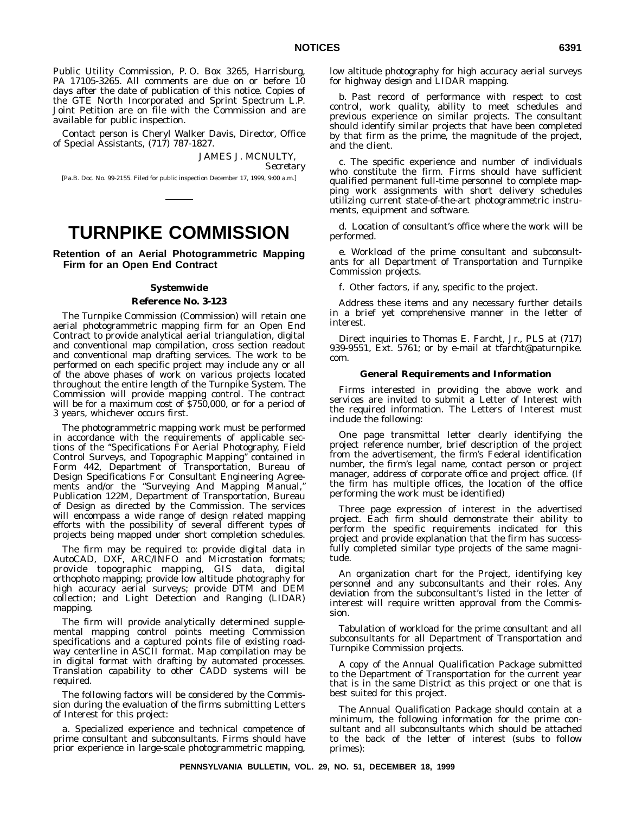Public Utility Commission, P. O. Box 3265, Harrisburg, PA 17105-3265. All comments are due on or before 10 days after the date of publication of this notice. Copies of the GTE North Incorporated and Sprint Spectrum L.P. Joint Petition are on file with the Commission and are available for public inspection.

Contact person is Cheryl Walker Davis, Director, Office of Special Assistants, (717) 787-1827.

JAMES J. MCNULTY,

*Secretary*

[Pa.B. Doc. No. 99-2155. Filed for public inspection December 17, 1999, 9:00 a.m.]

# **TURNPIKE COMMISSION**

**Retention of an Aerial Photogrammetric Mapping Firm for an Open End Contract**

# **Systemwide**

# **Reference No. 3-123**

The Turnpike Commission (Commission) will retain one aerial photogrammetric mapping firm for an Open End Contract to provide analytical aerial triangulation, digital and conventional map compilation, cross section readout and conventional map drafting services. The work to be performed on each specific project may include any or all of the above phases of work on various projects located throughout the entire length of the Turnpike System. The Commission will provide mapping control. The contract will be for a maximum cost of \$750,000, or for a period of 3 years, whichever occurs first.

The photogrammetric mapping work must be performed in accordance with the requirements of applicable sections of the ''Specifications For Aerial Photography, Field Control Surveys, and Topographic Mapping'' contained in Form 442, Department of Transportation, Bureau of Design Specifications For Consultant Engineering Agreements and/or the ''Surveying And Mapping Manual,'' Publication 122M, Department of Transportation, Bureau of Design as directed by the Commission. The services will encompass a wide range of design related mapping efforts with the possibility of several different types of projects being mapped under short completion schedules.

The firm may be required to: provide digital data in AutoCAD, DXF, ARC/INFO and Microstation formats; provide topographic mapping, GIS data, digital orthophoto mapping; provide low altitude photography for high accuracy aerial surveys; provide DTM and DEM collection; and Light Detection and Ranging (LIDAR) mapping.

The firm will provide analytically determined supplemental mapping control points meeting Commission specifications and a captured points file of existing roadway centerline in ASCII format. Map compilation may be in digital format with drafting by automated processes. Translation capability to other CADD systems will be required.

The following factors will be considered by the Commission during the evaluation of the firms submitting Letters of Interest for this project:

a. Specialized experience and technical competence of prime consultant and subconsultants. Firms should have prior experience in large-scale photogrammetric mapping,

low altitude photography for high accuracy aerial surveys for highway design and LIDAR mapping.

b. Past record of performance with respect to cost control, work quality, ability to meet schedules and previous experience on similar projects. The consultant should identify similar projects that have been completed by that firm as the prime, the magnitude of the project, and the client.

c. The specific experience and number of individuals who constitute the firm. Firms should have sufficient qualified permanent full-time personnel to complete mapping work assignments with short delivery schedules utilizing current state-of-the-art photogrammetric instruments, equipment and software.

d. Location of consultant's office where the work will be performed.

e. Workload of the prime consultant and subconsultants for all Department of Transportation and Turnpike Commission projects.

f. Other factors, if any, specific to the project.

Address these items and any necessary further details in a brief yet comprehensive manner in the letter of interest.

Direct inquiries to Thomas E. Farcht, Jr., PLS at (717) 939-9551, Ext. 5761; or by e-mail at tfarcht@paturnpike. com.

# **General Requirements and Information**

Firms interested in providing the above work and services are invited to submit a Letter of Interest with the required information. The Letters of Interest must include the following:

One page transmittal letter clearly identifying the project reference number, brief description of the project from the advertisement, the firm's Federal identification number, the firm's legal name, contact person or project manager, address of corporate office and project office. (If the firm has multiple offices, the location of the office performing the work must be identified)

Three page expression of interest in the advertised project. Each firm should demonstrate their ability to perform the specific requirements indicated for this project and provide explanation that the firm has successfully completed similar type projects of the same magnitude.

An organization chart for the Project, identifying key personnel and any subconsultants and their roles. Any deviation from the subconsultant's listed in the letter of interest will require written approval from the Commission.

Tabulation of workload for the prime consultant and all subconsultants for all Department of Transportation and Turnpike Commission projects.

A copy of the Annual Qualification Package submitted to the Department of Transportation for the current year that is in the same District as this project or one that is best suited for this project.

The Annual Qualification Package should contain at a minimum, the following information for the prime consultant and all subconsultants which should be attached to the back of the letter of interest (subs to follow primes):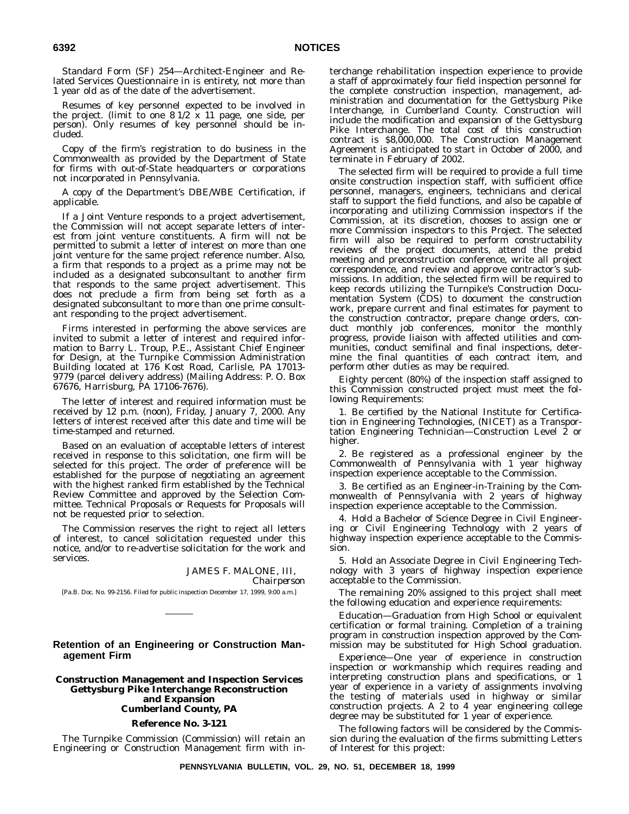Standard Form (SF) 254—Architect-Engineer and Related Services Questionnaire in is entirety, not more than 1 year old as of the date of the advertisement.

Resumes of key personnel expected to be involved in the project. (limit to one 8 1/2 x 11 page, one side, per person). Only resumes of key personnel should be included.

Copy of the firm's registration to do business in the Commonwealth as provided by the Department of State for firms with out-of-State headquarters or corporations not incorporated in Pennsylvania.

A copy of the Department's DBE/WBE Certification, if applicable.

If a Joint Venture responds to a project advertisement, the Commission will not accept separate letters of interest from joint venture constituents. A firm will not be permitted to submit a letter of interest on more than one joint venture for the same project reference number. Also, a firm that responds to a project as a prime may not be included as a designated subconsultant to another firm that responds to the same project advertisement. This does not preclude a firm from being set forth as a designated subconsultant to more than one prime consultant responding to the project advertisement.

Firms interested in performing the above services are invited to submit a letter of interest and required information to Barry L. Troup, P.E., Assistant Chief Engineer for Design, at the Turnpike Commission Administration Building located at 176 Kost Road, Carlisle, PA 17013- 9779 (parcel delivery address) (Mailing Address: P. O. Box 67676, Harrisburg, PA 17106-7676).

The letter of interest and required information must be received by 12 p.m. (noon), Friday, January 7, 2000. Any letters of interest received after this date and time will be time-stamped and returned.

Based on an evaluation of acceptable letters of interest received in response to this solicitation, one firm will be selected for this project. The order of preference will be established for the purpose of negotiating an agreement with the highest ranked firm established by the Technical Review Committee and approved by the Selection Committee. Technical Proposals or Requests for Proposals will not be requested prior to selection.

The Commission reserves the right to reject all letters of interest, to cancel solicitation requested under this notice, and/or to re-advertise solicitation for the work and services.

> JAMES F. MALONE, III, *Chairperson*

[Pa.B. Doc. No. 99-2156. Filed for public inspection December 17, 1999, 9:00 a.m.]

# **Retention of an Engineering or Construction Management Firm**

# **Construction Management and Inspection Services Gettysburg Pike Interchange Reconstruction and Expansion Cumberland County, PA**

# **Reference No. 3-121**

The Turnpike Commission (Commission) will retain an Engineering or Construction Management firm with interchange rehabilitation inspection experience to provide a staff of approximately four field inspection personnel for the complete construction inspection, management, administration and documentation for the Gettysburg Pike Interchange, in Cumberland County. Construction will include the modification and expansion of the Gettysburg Pike Interchange. The total cost of this construction contract is \$8,000,000. The Construction Management Agreement is anticipated to start in October of 2000, and terminate in February of 2002.

The selected firm will be required to provide a full time onsite construction inspection staff, with sufficient office personnel, managers, engineers, technicians and clerical staff to support the field functions, and also be capable of incorporating and utilizing Commission inspectors if the Commission, at its discretion, chooses to assign one or more Commission inspectors to this Project. The selected firm will also be required to perform constructability reviews of the project documents, attend the prebid meeting and preconstruction conference, write all project correspondence, and review and approve contractor's submissions. In addition, the selected firm will be required to keep records utilizing the Turnpike's Construction Documentation System (CDS) to document the construction work, prepare current and final estimates for payment to the construction contractor, prepare change orders, conduct monthly job conferences, monitor the monthly progress, provide liaison with affected utilities and communities, conduct semifinal and final inspections, determine the final quantities of each contract item, and perform other duties as may be required.

Eighty percent (80%) of the inspection staff assigned to this Commission constructed project must meet the following Requirements:

1. Be certified by the National Institute for Certification in Engineering Technologies, (NICET) as a Transportation Engineering Technician—Construction Level 2 or higher.

2. Be registered as a professional engineer by the Commonwealth of Pennsylvania with 1 year highway inspection experience acceptable to the Commission.

3. Be certified as an Engineer-in-Training by the Commonwealth of Pennsylvania with 2 years of highway inspection experience acceptable to the Commission.

4. Hold a Bachelor of Science Degree in Civil Engineering or Civil Engineering Technology with 2 years of highway inspection experience acceptable to the Commission.

5. Hold an Associate Degree in Civil Engineering Technology with 3 years of highway inspection experience acceptable to the Commission.

The remaining 20% assigned to this project shall meet the following education and experience requirements:

*Education*—Graduation from High School or equivalent certification or formal training. Completion of a training program in construction inspection approved by the Commission may be substituted for High School graduation.

*Experience*—One year of experience in construction inspection or workmanship which requires reading and interpreting construction plans and specifications, or 1 year of experience in a variety of assignments involving the testing of materials used in highway or similar construction projects. A 2 to 4 year engineering college degree may be substituted for 1 year of experience.

The following factors will be considered by the Commission during the evaluation of the firms submitting Letters of Interest for this project: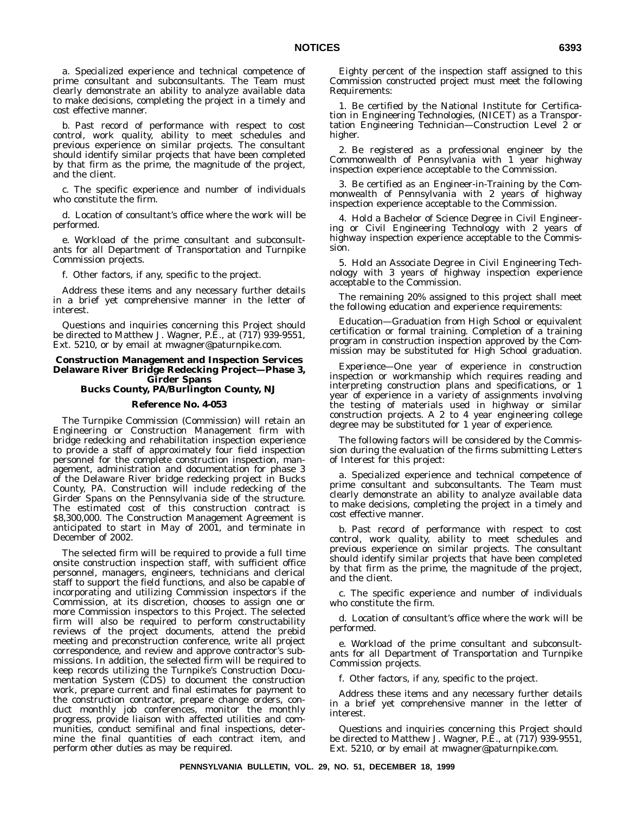a. Specialized experience and technical competence of prime consultant and subconsultants. The Team must clearly demonstrate an ability to analyze available data to make decisions, completing the project in a timely and cost effective manner.

b. Past record of performance with respect to cost control, work quality, ability to meet schedules and previous experience on similar projects. The consultant should identify similar projects that have been completed by that firm as the prime, the magnitude of the project, and the client.

c. The specific experience and number of individuals who constitute the firm.

d. Location of consultant's office where the work will be performed.

e. Workload of the prime consultant and subconsultants for all Department of Transportation and Turnpike Commission projects.

f. Other factors, if any, specific to the project.

Address these items and any necessary further details in a brief yet comprehensive manner in the letter of interest.

Questions and inquiries concerning this Project should be directed to Matthew J. Wagner, P.E., at (717) 939-9551, Ext. 5210, or by email at mwagner@paturnpike.com.

# **Construction Management and Inspection Services Delaware River Bridge Redecking Project—Phase 3, Girder Spans**

# **Bucks County, PA/Burlington County, NJ**

#### **Reference No. 4-053**

The Turnpike Commission (Commission) will retain an Engineering or Construction Management firm with bridge redecking and rehabilitation inspection experience to provide a staff of approximately four field inspection personnel for the complete construction inspection, management, administration and documentation for phase 3 of the Delaware River bridge redecking project in Bucks County, PA. Construction will include redecking of the Girder Spans on the Pennsylvania side of the structure. The estimated cost of this construction contract is \$8,300,000. The Construction Management Agreement is anticipated to start in May of 2001, and terminate in December of 2002.

The selected firm will be required to provide a full time onsite construction inspection staff, with sufficient office personnel, managers, engineers, technicians and clerical staff to support the field functions, and also be capable of incorporating and utilizing Commission inspectors if the Commission, at its discretion, chooses to assign one or more Commission inspectors to this Project. The selected firm will also be required to perform constructability reviews of the project documents, attend the prebid meeting and preconstruction conference, write all project correspondence, and review and approve contractor's submissions. In addition, the selected firm will be required to keep records utilizing the Turnpike's Construction Documentation System (CDS) to document the construction work, prepare current and final estimates for payment to the construction contractor, prepare change orders, conduct monthly job conferences, monitor the monthly progress, provide liaison with affected utilities and communities, conduct semifinal and final inspections, determine the final quantities of each contract item, and perform other duties as may be required.

Eighty percent of the inspection staff assigned to this Commission constructed project must meet the following Requirements:

1. Be certified by the National Institute for Certification in Engineering Technologies, (NICET) as a Transportation Engineering Technician—Construction Level 2 or higher.

2. Be registered as a professional engineer by the Commonwealth of Pennsylvania with 1 year highway inspection experience acceptable to the Commission.

3. Be certified as an Engineer-in-Training by the Commonwealth of Pennsylvania with 2 years of highway inspection experience acceptable to the Commission.

4. Hold a Bachelor of Science Degree in Civil Engineering or Civil Engineering Technology with 2 years of highway inspection experience acceptable to the Commission.

5. Hold an Associate Degree in Civil Engineering Technology with 3 years of highway inspection experience acceptable to the Commission.

The remaining 20% assigned to this project shall meet the following education and experience requirements:

*Education*—Graduation from High School or equivalent certification or formal training. Completion of a training program in construction inspection approved by the Commission may be substituted for High School graduation.

*Experience*—One year of experience in construction inspection or workmanship which requires reading and interpreting construction plans and specifications, or 1 year of experience in a variety of assignments involving the testing of materials used in highway or similar construction projects. A 2 to 4 year engineering college degree may be substituted for 1 year of experience.

The following factors will be considered by the Commission during the evaluation of the firms submitting Letters of Interest for this project:

a. Specialized experience and technical competence of prime consultant and subconsultants. The Team must clearly demonstrate an ability to analyze available data to make decisions, completing the project in a timely and cost effective manner.

b. Past record of performance with respect to cost control, work quality, ability to meet schedules and previous experience on similar projects. The consultant should identify similar projects that have been completed by that firm as the prime, the magnitude of the project, and the client.

c. The specific experience and number of individuals who constitute the firm.

d. Location of consultant's office where the work will be performed.

e. Workload of the prime consultant and subconsultants for all Department of Transportation and Turnpike Commission projects.

f. Other factors, if any, specific to the project.

Address these items and any necessary further details in a brief yet comprehensive manner in the letter of interest.

Questions and inquiries concerning this Project should be directed to Matthew J. Wagner, P.E., at (717) 939-9551, Ext. 5210, or by email at mwagner@paturnpike.com.

**PENNSYLVANIA BULLETIN, VOL. 29, NO. 51, DECEMBER 18, 1999**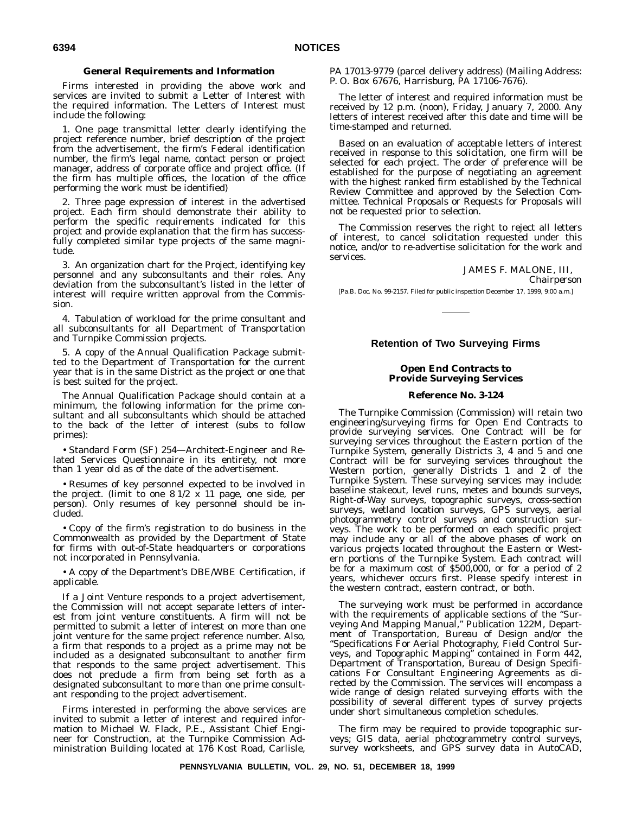# **General Requirements and Information**

Firms interested in providing the above work and services are invited to submit a Letter of Interest with the required information. The Letters of Interest must include the following:

1. One page transmittal letter clearly identifying the project reference number, brief description of the project from the advertisement, the firm's Federal identification number, the firm's legal name, contact person or project manager, address of corporate office and project office. (If the firm has multiple offices, the location of the office performing the work must be identified)

2. Three page expression of interest in the advertised project. Each firm should demonstrate their ability to perform the specific requirements indicated for this project and provide explanation that the firm has successfully completed similar type projects of the same magnitude.

3. An organization chart for the Project, identifying key personnel and any subconsultants and their roles. Any deviation from the subconsultant's listed in the letter of interest will require written approval from the Commission.

4. Tabulation of workload for the prime consultant and all subconsultants for all Department of Transportation and Turnpike Commission projects.

5. A copy of the Annual Qualification Package submitted to the Department of Transportation for the current year that is in the same District as the project or one that is best suited for the project.

The Annual Qualification Package should contain at a minimum, the following information for the prime consultant and all subconsultants which should be attached to the back of the letter of interest (subs to follow primes):

• Standard Form (SF) 254—Architect-Engineer and Related Services Questionnaire in its entirety, not more than 1 year old as of the date of the advertisement.

• Resumes of key personnel expected to be involved in the project. (limit to one  $8 \frac{1}{2} \times 11$  page, one side, per person). Only resumes of key personnel should be included.

• Copy of the firm's registration to do business in the Commonwealth as provided by the Department of State for firms with out-of-State headquarters or corporations not incorporated in Pennsylvania.

• A copy of the Department's DBE/WBE Certification, if applicable.

If a Joint Venture responds to a project advertisement, the Commission will not accept separate letters of interest from joint venture constituents. A firm will not be permitted to submit a letter of interest on more than one joint venture for the same project reference number. Also, a firm that responds to a project as a prime may not be included as a designated subconsultant to another firm that responds to the same project advertisement. This does not preclude a firm from being set forth as a designated subconsultant to more than one prime consultant responding to the project advertisement.

Firms interested in performing the above services are invited to submit a letter of interest and required information to Michael W. Flack, P.E., Assistant Chief Engineer for Construction, at the Turnpike Commission Administration Building located at 176 Kost Road, Carlisle,

PA 17013-9779 (parcel delivery address) (Mailing Address: P. O. Box 67676, Harrisburg, PA 17106-7676).

The letter of interest and required information must be received by 12 p.m. (noon), Friday, January 7, 2000. Any letters of interest received after this date and time will be time-stamped and returned.

Based on an evaluation of acceptable letters of interest received in response to this solicitation, one firm will be selected for each project. The order of preference will be established for the purpose of negotiating an agreement with the highest ranked firm established by the Technical Review Committee and approved by the Selection Committee. Technical Proposals or Requests for Proposals will not be requested prior to selection.

The Commission reserves the right to reject all letters of interest, to cancel solicitation requested under this notice, and/or to re-advertise solicitation for the work and services.

JAMES F. MALONE, III,

*Chairperson*

[Pa.B. Doc. No. 99-2157. Filed for public inspection December 17, 1999, 9:00 a.m.]

# **Retention of Two Surveying Firms**

# **Open End Contracts to Provide Surveying Services**

## **Reference No. 3-124**

The Turnpike Commission (Commission) will retain two engineering/surveying firms for Open End Contracts to provide surveying services. One Contract will be for surveying services throughout the Eastern portion of the Turnpike System, generally Districts 3, 4 and 5 and one Contract will be for surveying services throughout the Western portion, generally Districts 1 and 2 of the Turnpike System. These surveying services may include: baseline stakeout, level runs, metes and bounds surveys, Right-of-Way surveys, topographic surveys, cross-section surveys, wetland location surveys, GPS surveys, aerial photogrammetry control surveys and construction surveys. The work to be performed on each specific project may include any or all of the above phases of work on various projects located throughout the Eastern or Western portions of the Turnpike System. Each contract will be for a maximum cost of \$500,000, or for a period of 2 years, whichever occurs first. Please specify interest in the western contract, eastern contract, or both.

The surveying work must be performed in accordance with the requirements of applicable sections of the "Surveying And Mapping Manual,'' Publication 122M, Department of Transportation, Bureau of Design and/or the ''Specifications For Aerial Photography, Field Control Surveys, and Topographic Mapping'' contained in Form 442, Department of Transportation, Bureau of Design Specifications For Consultant Engineering Agreements as directed by the Commission. The services will encompass a wide range of design related surveying efforts with the possibility of several different types of survey projects under short simultaneous completion schedules.

The firm may be required to provide topographic surveys; GIS data, aerial photogrammetry control surveys, survey worksheets, and GPS survey data in AutoCAD,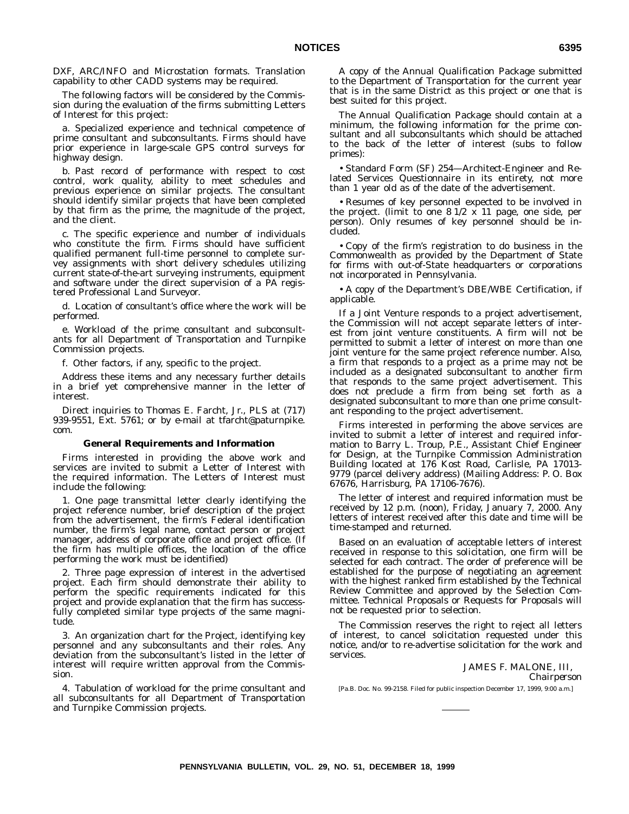DXF, ARC/INFO and Microstation formats. Translation capability to other CADD systems may be required.

The following factors will be considered by the Commission during the evaluation of the firms submitting Letters of Interest for this project:

a. Specialized experience and technical competence of prime consultant and subconsultants. Firms should have prior experience in large-scale GPS control surveys for highway design.

b. Past record of performance with respect to cost control, work quality, ability to meet schedules and previous experience on similar projects. The consultant should identify similar projects that have been completed by that firm as the prime, the magnitude of the project, and the client.

c. The specific experience and number of individuals who constitute the firm. Firms should have sufficient qualified permanent full-time personnel to complete survey assignments with short delivery schedules utilizing current state-of-the-art surveying instruments, equipment and software under the direct supervision of a PA registered Professional Land Surveyor.

d. Location of consultant's office where the work will be performed.

e. Workload of the prime consultant and subconsultants for all Department of Transportation and Turnpike Commission projects.

f. Other factors, if any, specific to the project.

Address these items and any necessary further details in a brief yet comprehensive manner in the letter of interest.

Direct inquiries to Thomas E. Farcht, Jr., PLS at (717) 939-9551, Ext. 5761; or by e-mail at tfarcht@paturnpike. com.

#### **General Requirements and Information**

Firms interested in providing the above work and services are invited to submit a Letter of Interest with the required information. The Letters of Interest must include the following:

1. One page transmittal letter clearly identifying the project reference number, brief description of the project from the advertisement, the firm's Federal identification number, the firm's legal name, contact person or project manager, address of corporate office and project office. (If the firm has multiple offices, the location of the office performing the work must be identified)

2. Three page expression of interest in the advertised project. Each firm should demonstrate their ability to perform the specific requirements indicated for this project and provide explanation that the firm has successfully completed similar type projects of the same magnitude.

3. An organization chart for the Project, identifying key personnel and any subconsultants and their roles. Any deviation from the subconsultant's listed in the letter of interest will require written approval from the Commission.

4. Tabulation of workload for the prime consultant and all subconsultants for all Department of Transportation and Turnpike Commission projects.

A copy of the Annual Qualification Package submitted to the Department of Transportation for the current year that is in the same District as this project or one that is best suited for this project.

The Annual Qualification Package should contain at a minimum, the following information for the prime consultant and all subconsultants which should be attached to the back of the letter of interest (subs to follow primes):

• Standard Form (SF) 254—Architect-Engineer and Related Services Questionnaire in its entirety, not more than 1 year old as of the date of the advertisement.

• Resumes of key personnel expected to be involved in the project. (limit to one  $8 \frac{1}{2} \times 11$  page, one side, per person). Only resumes of key personnel should be included.

• Copy of the firm's registration to do business in the Commonwealth as provided by the Department of State for firms with out-of-State headquarters or corporations not incorporated in Pennsylvania.

• A copy of the Department's DBE/WBE Certification, if applicable.

If a Joint Venture responds to a project advertisement, the Commission will not accept separate letters of interest from joint venture constituents. A firm will not be permitted to submit a letter of interest on more than one joint venture for the same project reference number. Also, a firm that responds to a project as a prime may not be included as a designated subconsultant to another firm that responds to the same project advertisement. This does not preclude a firm from being set forth as a designated subconsultant to more than one prime consultant responding to the project advertisement.

Firms interested in performing the above services are invited to submit a letter of interest and required information to Barry L. Troup, P.E., Assistant Chief Engineer for Design, at the Turnpike Commission Administration Building located at 176 Kost Road, Carlisle, PA 17013- 9779 (parcel delivery address) (Mailing Address: P. O. Box 67676, Harrisburg, PA 17106-7676).

The letter of interest and required information must be received by 12 p.m. (noon), Friday, January 7, 2000. Any letters of interest received after this date and time will be time-stamped and returned.

Based on an evaluation of acceptable letters of interest received in response to this solicitation, one firm will be selected for each contract. The order of preference will be established for the purpose of negotiating an agreement with the highest ranked firm established by the Technical Review Committee and approved by the Selection Committee. Technical Proposals or Requests for Proposals will not be requested prior to selection.

The Commission reserves the right to reject all letters of interest, to cancel solicitation requested under this notice, and/or to re-advertise solicitation for the work and services.

JAMES F. MALONE, III,

*Chairperson*

[Pa.B. Doc. No. 99-2158. Filed for public inspection December 17, 1999, 9:00 a.m.]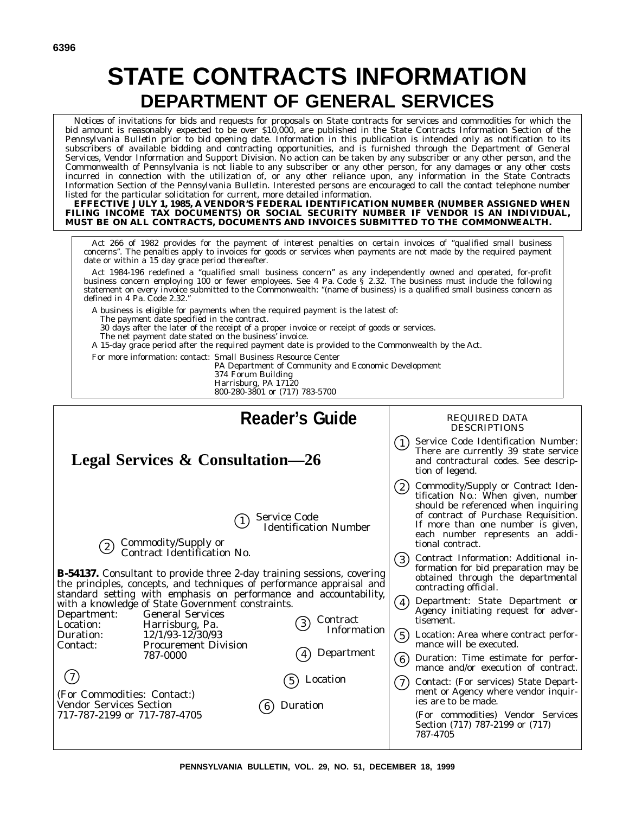# **STATE CONTRACTS INFORMATION DEPARTMENT OF GENERAL SERVICES**

Notices of invitations for bids and requests for proposals on State contracts for services and commodities for which the bid amount is reasonably expected to be over \$10,000, are published in the State Contracts Information Section of the *Pennsylvania Bulletin* prior to bid opening date. Information in this publication is intended only as notification to its subscribers of available bidding and contracting opportunities, and is furnished through the Department of General Services, Vendor Information and Support Division. No action can be taken by any subscriber or any other person, and the Commonwealth of Pennsylvania is not liable to any subscriber or any other person, for any damages or any other costs incurred in connection with the utilization of, or any other reliance upon, any information in the State Contracts Information Section of the *Pennsylvania Bulletin*. Interested persons are encouraged to call the contact telephone number listed for the particular solicitation for current, more detailed information.

**EFFECTIVE JULY 1, 1985, A VENDOR'S FEDERAL IDENTIFICATION NUMBER (NUMBER ASSIGNED WHEN FILING INCOME TAX DOCUMENTS) OR SOCIAL SECURITY NUMBER IF VENDOR IS AN INDIVIDUAL, MUST BE ON ALL CONTRACTS, DOCUMENTS AND INVOICES SUBMITTED TO THE COMMONWEALTH.**

Act 266 of 1982 provides for the payment of interest penalties on certain invoices of ''qualified small business concerns''. The penalties apply to invoices for goods or services when payments are not made by the required payment date or within a 15 day grace period thereafter.

Act 1984-196 redefined a ''qualified small business concern'' as any independently owned and operated, for-profit business concern employing 100 or fewer employees. See 4 Pa. Code § 2.32. The business must include the following statement on every invoice submitted to the Commonwealth: ''(name of business) is a qualified small business concern as defined in 4 Pa. Code 2.32.

A business is eligible for payments when the required payment is the latest of:

The payment date specified in the contract.

30 days after the later of the receipt of a proper invoice or receipt of goods or services.

The net payment date stated on the business' invoice.

A 15-day grace period after the required payment date is provided to the Commonwealth by the Act.

For more information: contact: Small Business Resource Center

PA Department of Community and Economic Development

374 Forum Building

Harrisburg, PA 17120 800-280-3801 or (717) 783-5700

| <b>Reader's Guide</b>                                                                                                                                                                                                                                                                                                                                                                                                                                                                                                                                                                                                                                                                                                                  | <b>REQUIRED DATA</b><br><b>DESCRIPTIONS</b>                                                                                                                                                                                                                                                                                                                                                                                                                                                                                                                                                                                                                                                                                                                                                                |
|----------------------------------------------------------------------------------------------------------------------------------------------------------------------------------------------------------------------------------------------------------------------------------------------------------------------------------------------------------------------------------------------------------------------------------------------------------------------------------------------------------------------------------------------------------------------------------------------------------------------------------------------------------------------------------------------------------------------------------------|------------------------------------------------------------------------------------------------------------------------------------------------------------------------------------------------------------------------------------------------------------------------------------------------------------------------------------------------------------------------------------------------------------------------------------------------------------------------------------------------------------------------------------------------------------------------------------------------------------------------------------------------------------------------------------------------------------------------------------------------------------------------------------------------------------|
| <b>Legal Services &amp; Consultation—26</b>                                                                                                                                                                                                                                                                                                                                                                                                                                                                                                                                                                                                                                                                                            | Service Code Identification Number:<br>(1)<br>There are currently 39 state service<br>and contractural codes. See descrip-<br>tion of legend.                                                                                                                                                                                                                                                                                                                                                                                                                                                                                                                                                                                                                                                              |
| <b>Service Code</b><br><b>Identification Number</b><br>Commodity/Supply or<br>Contract Identification No.<br>(2)<br><b>B-54137.</b> Consultant to provide three 2-day training sessions, covering<br>the principles, concepts, and techniques of performance appraisal and<br>standard setting with emphasis on performance and accountability,<br>with a knowledge of State Government constraints.<br><b>General Services</b><br>Department:<br>Contract<br>$\left(3\right)$<br>Location:<br>Harrisburg, Pa.<br>Information<br>Duration:<br>$12/1/93 - 12/30/93$<br><b>Procurement Division</b><br>Contact:<br>Department<br>787-0000<br>Location<br>(For Commodities: Contact:)<br><b>Vendor Services Section</b><br>Duration<br>6) | Commodity/Supply or Contract Iden-<br>(2)<br>tification No.: When given, number<br>should be referenced when inquiring<br>of contract of Purchase Requisition.<br>If more than one number is given,<br>each number represents an addi-<br>tional contract.<br>Contract Information: Additional in-<br>(3)<br>formation for bid preparation may be<br>obtained through the departmental<br>contracting official.<br>Department: State Department or<br>$\left( 4\right)$<br>Agency initiating request for adver-<br>tisement.<br>(5)<br>Location: Area where contract perfor-<br>mance will be executed.<br>Duration: Time estimate for perfor-<br>(6)<br>mance and/or execution of contract.<br>Contact: (For services) State Depart-<br>(7)<br>ment or Agency where vendor inquir-<br>ies are to be made. |
| 717-787-2199 or 717-787-4705                                                                                                                                                                                                                                                                                                                                                                                                                                                                                                                                                                                                                                                                                                           | (For commodities) Vendor Services<br>Section (717) 787-2199 or (717)<br>787-4705                                                                                                                                                                                                                                                                                                                                                                                                                                                                                                                                                                                                                                                                                                                           |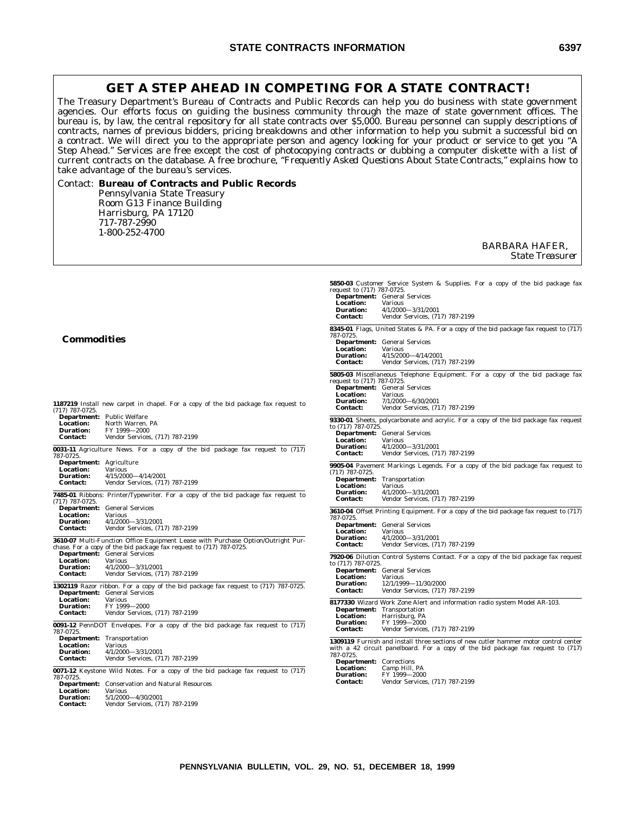# **GET A STEP AHEAD IN COMPETING FOR A STATE CONTRACT!**

The Treasury Department's Bureau of Contracts and Public Records can help you do business with state government agencies. Our efforts focus on guiding the business community through the maze of state government offices. The bureau is, by law, the central repository for all state contracts over \$5,000. Bureau personnel can supply descriptions of contracts, names of previous bidders, pricing breakdowns and other information to help you submit a successful bid on a contract. We will direct you to the appropriate person and agency looking for your product or service to get you ''A Step Ahead.'' Services are free except the cost of photocopying contracts or dubbing a computer diskette with a list of current contracts on the database. A free brochure, *''Frequently Asked Questions About State Contracts,''* explains how to take advantage of the bureau's services.

# Contact: **Bureau of Contracts and Public Records** Pennsylvania State Treasury Room G13 Finance Building Harrisburg, PA 17120 717-787-2990 1-800-252-4700

BARBARA HAFER, *State Treasurer*

**5850-03** Customer Service System & Supplies. For a copy of the bid package fax

| <b>Commodities</b>                                                                                                                                                                                                                                                                                                                                                                                                                                       | request to (717) 787-0725.<br><b>Department:</b> General Services<br><b>Location:</b><br><b>Various</b><br>4/1/2000-3/31/2001<br><b>Duration:</b><br><b>Contact:</b><br>Vendor Services, (717) 787-2199<br>8345-01 Flags, United States & PA. For a copy of the bid package fax request to (717)<br>787-0725.<br><b>Department:</b> General Services<br>Location:<br><b>Various</b><br><b>Duration:</b><br>4/15/2000-4/14/2001<br><b>Contact:</b><br>Vendor Services, (717) 787-2199 |
|----------------------------------------------------------------------------------------------------------------------------------------------------------------------------------------------------------------------------------------------------------------------------------------------------------------------------------------------------------------------------------------------------------------------------------------------------------|--------------------------------------------------------------------------------------------------------------------------------------------------------------------------------------------------------------------------------------------------------------------------------------------------------------------------------------------------------------------------------------------------------------------------------------------------------------------------------------|
| 1187219 Install new carpet in chapel. For a copy of the bid package fax request to                                                                                                                                                                                                                                                                                                                                                                       | 5805-03 Miscellaneous Telephone Equipment. For a copy of the bid package fax<br>request to (717) 787-0725.<br>Department: General Services<br>Location:<br><b>Various</b><br><b>Duration:</b><br>7/1/2000-6/30/2001<br><b>Contact:</b><br>Vendor Services, (717) 787-2199                                                                                                                                                                                                            |
| $(717)$ 787-0725.<br>Department: Public Welfare<br>Location:<br>North Warren, PA<br>FY 1999-2000<br><b>Duration:</b><br>Vendor Services, (717) 787-2199<br><b>Contact:</b><br>0031-11 Agriculture News. For a copy of the bid package fax request to (717)                                                                                                                                                                                               | 9330-01 Sheets, polycarbonate and acrylic. For a copy of the bid package fax request<br>to (717) 787-0725.<br><b>Department:</b> General Services<br>Location:<br><b>Various</b><br><b>Duration:</b><br>4/1/2000-3/31/2001                                                                                                                                                                                                                                                           |
| 787-0725.<br>Department: Agriculture<br><b>Location:</b><br><b>Various</b><br><b>Duration:</b><br>4/15/2000-4/14/2001<br><b>Contact:</b><br>Vendor Services, (717) 787-2199                                                                                                                                                                                                                                                                              | <b>Contact:</b><br>Vendor Services, (717) 787-2199<br>9905-04 Pavement Markings Legends. For a copy of the bid package fax request to<br>(717) 787-0725.<br><b>Department:</b> Transportation<br>Location:<br><b>Various</b>                                                                                                                                                                                                                                                         |
| 7485-01 Ribbons: Printer/Typewriter. For a copy of the bid package fax request to<br>$(717)$ 787-0725.<br><b>Department:</b> General Services<br>Location:<br><b>Various</b><br><b>Duration:</b><br>4/1/2000-3/31/2001<br><b>Contact:</b><br>Vendor Services, (717) 787-2199<br>3610-07 Multi-Function Office Equipment Lease with Purchase Option/Outright Pur-<br>chase. For a copy of the bid package fax request to (717) 787-0725.                  | $4/1/2000 - 3/31/2001$<br><b>Duration:</b><br><b>Contact:</b><br>Vendor Services, (717) 787-2199<br><b>3610-04</b> Offset Printing Equipment. For a copy of the bid package fax request to (717)<br>787-0725.<br><b>Department:</b> General Services<br><b>Location:</b><br><b>Various</b><br>4/1/2000-3/31/2001<br><b>Duration:</b><br><b>Contact:</b><br>Vendor Services, (717) 787-2199                                                                                           |
| Department: General Services<br>Location:<br><b>Various</b><br><b>Duration:</b><br>4/1/2000-3/31/2001<br>Vendor Services, (717) 787-2199<br><b>Contact:</b><br>1302119 Razor ribbon. For a copy of the bid package fax request to (717) 787-0725.<br>Department: General Services                                                                                                                                                                        | <b>7920-06</b> Dilution Control Systems Contact. For a copy of the bid package fax request<br>to (717) 787-0725.<br><b>Department:</b> General Services<br>Location:<br><b>Various</b><br><b>Duration:</b><br>12/1/1999-11/30/2000<br><b>Contact:</b><br>Vendor Services, (717) 787-2199                                                                                                                                                                                             |
| Location:<br><b>Various</b><br><b>Duration:</b><br>FY 1999-2000<br>Vendor Services, (717) 787-2199<br><b>Contact:</b><br>0091-12 PennDOT Envelopes. For a copy of the bid package fax request to (717)<br>787-0725.                                                                                                                                                                                                                                      | 8177330 Wizard Work Zone Alert and information radio system Model AR-103.<br><b>Department:</b> Transportation<br>Location:<br>Harrisburg, PA<br><b>Duration:</b><br>FY 1999-2000<br>Vendor Services, (717) 787-2199<br><b>Contact:</b>                                                                                                                                                                                                                                              |
| <b>Department:</b> Transportation<br>Location:<br><b>Various</b><br>4/1/2000-3/31/2001<br><b>Duration:</b><br><b>Contact:</b><br>Vendor Services, (717) 787-2199<br>0071-12 Keystone Wild Notes. For a copy of the bid package fax request to (717)<br>787-0725.<br><b>Department:</b> Conservation and Natural Resources<br>Location:<br><b>Various</b><br>5/1/2000-4/30/2001<br><b>Duration:</b><br>Vendor Services, (717) 787-2199<br><b>Contact:</b> | 1309119 Furnish and install three sections of new cutler hammer motor control center<br>with a 42 circuit panelboard. For a copy of the bid package fax request to (717)<br>787-0725.<br><b>Department:</b> Corrections<br>Camp Hill, PA<br>Location:<br><b>Duration:</b><br>FY 1999-2000<br>Vendor Services, (717) 787-2199<br><b>Contact:</b>                                                                                                                                      |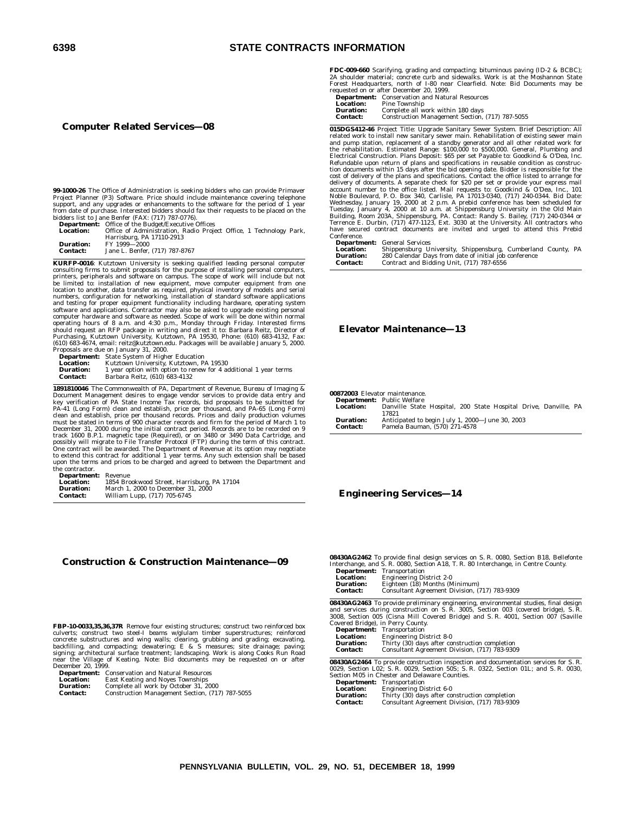# **6398 STATE CONTRACTS INFORMATION**

#### **Computer Related Services—08**

**99-1000-26** The Office of Administration is seeking bidders who can provide Primaver Project Planner (P3) Software. Price should include maintenance covering telephone support, and any upgrades or enhancements to the software for the period of 1 year from date of purchase. Interested bidders should fax their requests to be placed on the bidders list to Jane Benfer (FAX: (717) 787-0776).

**Department:** Office of the Budget/Executive Offices **Location:** Office of Administration, Radio Project Office, 1 Technology Park, Harrisburg, PA 17110-2913 **Duration:** FY 1999—2000 **Contact:** Jane L. Benfer, (717) 787-8767

**KURFP-0016**: Kutztown University is seeking qualified leading personal computer consulting firms to submit proposals for the purpose of installing personal computers, peripherals and software on campus. The scope of work will include but not be limited to: installation of new equipment, move computer should request an RFP package in writing and direct it to: Barbara Reitz, Director of<br>Purchasing, Kutztown University, Kutztown, PA 19530, Phone: (610) 683-4132, Fax:<br>(610) 683-4674, email: reitz@kutztown.edu. Packages wil Proposals are due on January 31, 2000.

|                  | <b>Department:</b> State System of Higher Education              |
|------------------|------------------------------------------------------------------|
| <b>Location:</b> | Kutztown University, Kutztown, PA 19530                          |
| <b>Duration:</b> | 1 year option with option to renew for 4 additional 1 year terms |
| <b>Contact:</b>  | Barbara Reitz, (610) 683-4132                                    |

**1891810046** The Commonwealth of PA, Department of Revenue, Bureau of Imaging & Document Management desires to engage vendor services to provide data entry and<br>key verification of PA State Income Tax records, bid proposals to be submitted for<br>PA-41 (Long Form) clean and establish, price per thousand, track 1600 B.P.1. magnetic tape (Required), or on 3480 or 3490 Data Cartridge, and<br>possibly will migrate to File Transfer Protocol (FTP) during the term of this contract.<br>One contract will be awarded. The Department of Rev the contractor.

| <b>Department:</b> | Revenue                                     |
|--------------------|---------------------------------------------|
| <b>Location:</b>   | 1854 Brookwood Street, Harrisburg, PA 17104 |
| <b>Duration:</b>   | March 1, 2000 to December 31, 2000          |
| <b>Contact:</b>    | William Lupp, (717) 705-6745                |

# **Construction & Construction Maintenance—09**

**FBP-10-0033,35,36,37R** Remove four existing structures; construct two reinforced box culverts; construct two steel-I beams w/glulam timber superstructures; reinforced concrete substructures and wing walls; clearing, grubbing and grading; excavating, backfilling, and compacting; dewatering; E & S measures; site drainage; paving; signing; architectural surface treatment; landscaping, Work

**Department:** Conservation and Natural Resources<br> **Location:** East Keating and Noyes Townships<br> **Duration:** Complete all work by October 31, 20 **Location:** East Keating and Noyes Townships **Duration:** Complete all work by October 31, 2000

**Contact:** Construction Management Section, (717) 787-5055

**FDC-009-660** Scarifying, grading and compacting; bituminous paving (ID-2 & BCBC); 2A shoulder material; concrete curb and sidewalks. Work is at the Moshannon State<br>Forest Headquarters, north of 1-80 near Clearfield. Note: Bid Documents may be<br>requested on or after December 20, 1999.<br>**Department:** Conser

|                  | <b>Department:</b> Conservation and Natural Resources |
|------------------|-------------------------------------------------------|
| <b>Location:</b> | Pine Township                                         |
| <b>Duration:</b> | Complete all work within 180 days                     |
| <b>Contact:</b>  | Construction Management Section, (717) 787-5055       |

**015DGS412-46** Project Title: Upgrade Sanitary Sewer System. Brief Description: All related work to install new sanitary sewer main. Rehabilitation of existing sewer main and pump station, replacement of a standby generator and all other related work for<br>the rehabilitation. Estimated Range: \$100,000 to \$500,000. General, Plumbing and<br>Electrical Construction. Plans Deposit: \$65 per set Payab tion documents within 15 days after the bid opening date. Bidder is responsible for the cost of delivery of the plans and specifications. Contact the office listed to arrange for delivery of documents. A separate check for \$20 per set or provide your express mail<br>account number to the office listed. Mail requests to: Goodkind & O'Dea, Inc., 101<br>Noble Boulevard, P. O. Box 340, Carlisle, PA 17013-034 Conference.

**Department:** General Services

| ------------     |                                                              |  |
|------------------|--------------------------------------------------------------|--|
| <b>Location:</b> | Shippensburg University, Shippensburg, Cumberland County, PA |  |
| <b>Duration:</b> | 280 Calendar Days from date of initial job conference        |  |
| <b>Contact:</b>  | Contract and Bidding Unit, (717) 787-6556                    |  |

#### **Elevator Maintenance—13**

**00872003** Elevator maintenance.

|                  | <b>Department:</b> Public Welfare                               |
|------------------|-----------------------------------------------------------------|
| <b>Location:</b> | Danville State Hospital, 200 State Hospital Drive, Danville, PA |
|                  | 17821                                                           |
| <b>Duration:</b> | Anticipated to begin July 1, 2000-June 30, 2003                 |
| <b>Contact:</b>  | Pamela Bauman, (570) 271-4578                                   |

#### **Engineering Services—14**

**08430AG2462** To provide final design services on S. R. 0080, Section B18, Bellefonte Interchange, and S. R. 0080, Section A18, T. R. 80 Interchange, in Centre County.

| Department:      | Transportation                                |
|------------------|-----------------------------------------------|
| <b>Location:</b> | <b>Engineering District 2-0</b>               |
| <b>Duration:</b> | Eighteen (18) Months (Minimum)                |
| <b>Contact:</b>  | Consultant Agreement Division, (717) 783-9309 |

**08430AG2463** To provide preliminary engineering, environmental studies, final design<br>and services during construction on S. R. 3005, Section 003 (covered bridge), S. R.<br>3008, Section 005 (Cisna Mill Covered Bridge) and S. Covered Bridge), in Perry County.

|                  | <b>Department:</b> Transportation              |
|------------------|------------------------------------------------|
| <b>Location:</b> | <b>Engineering District 8-0</b>                |
| <b>Duration:</b> | Thirty (30) days after construction completion |
| <b>Contact:</b>  | Consultant Agreement Division, (717) 783-9309  |

**08430AG2464** To provide construction inspection and documentation services for S. R. 0029, Section L02; S. R. 0029, Section 50S; S. R. 0322, Section 01L; and S. R. 0030, Section M05 in Chester and Delaware Counties.

**Department:** Transportation

| <b>Location:</b> | <b>Engineering District 6-0</b>                |
|------------------|------------------------------------------------|
| <b>Duration:</b> | Thirty (30) days after construction completion |
| <b>Contact:</b>  | Consultant Agreement Division, (717) 783-9309  |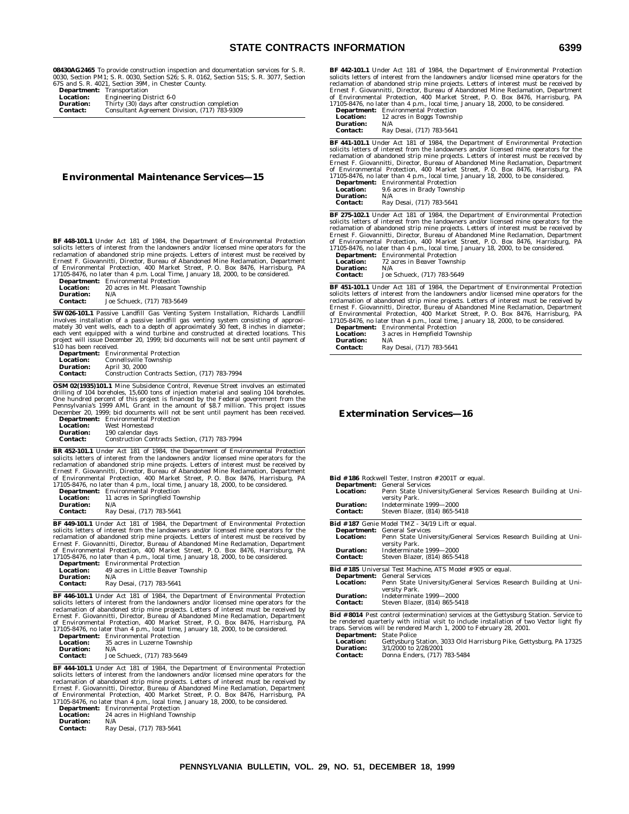**08430AG2465** To provide construction inspection and documentation services for S. R. 0030, Section PM1; S. R. 0030, Section S26; S. R. 0162, Section 51S; S. R. 3077, Section 67S and S. R. 4021, Section 39M, in Chester County.

|                  | <u>vid dini di ivi tveti duvcivil vvijil ili ulicotul ovdileji</u> |
|------------------|--------------------------------------------------------------------|
|                  | <b>Department:</b> Transportation                                  |
| <b>Location:</b> | <b>Engineering District 6-0</b>                                    |
| <b>Duration:</b> | Thirty (30) days after construction completion                     |
| Contact:         | Consultant Agreement Division, (717) 783-9309                      |

**Environmental Maintenance Services—15**

**BF 448-101.1** Under Act 181 of 1984, the Department of Environmental Protection solicits letters of interest from the landowners and/or licensed mine operators for the reclamation of abandoned strip mine projects. Letters of interest must be received by Ernest F. Giovannitti, Director, Bureau of Abandoned Mine Reclamation, Department<br>of Environmental Protection, 400 Market Street, P. O. Box 8476, Harrisburg, PA<br>17105-8476, no later than 4 p.m. Local Time, January 18, 2000

| 17100 0170, no nucl than 1 p.m. Local Thirt, Januar |                                             |  |
|-----------------------------------------------------|---------------------------------------------|--|
|                                                     | <b>Department:</b> Environmental Protection |  |
| <b>Location:</b>                                    | 20 acres in Mt. Pleasant Township           |  |
| Duration:                                           | N/A                                         |  |
| <b>Contact:</b>                                     | Joe Schueck, (717) 783-5649                 |  |

**SW 026-101.1** Passive Landfill Gas Venting System Installation, Richards Landfill molves installation of a passive landfill gas venting system consisting of approximately 30 vent wells, each to a depth of approximately 3

| то наз веси тесствен. |                                                |
|-----------------------|------------------------------------------------|
|                       | <b>Department:</b> Environmental Protection    |
| <b>Location:</b>      | Connellsville Township                         |
| <b>Duration:</b>      | April 30, 2000                                 |
| <b>Contact:</b>       | Construction Contracts Section. (717) 783-7994 |
|                       |                                                |

**OSM 02(1935)101.1** Mine Subsidence Control, Revenue Street involves an estimated drilling of 104 boreholes, 15,600 tons of injection material and sealing 104 boreholes.<br>One hundred percent of this project is financed by the Federal government from the<br>Pennsylvania's 1999 AML Grant in the amount of S8.7 December 20, 1999; bid documents will not be sent until payment has been received.

|                  | <b>Department:</b> Environmental Protection    |
|------------------|------------------------------------------------|
| Location:        | West Homestead                                 |
| <b>Duration:</b> | 190 calendar davs                              |
| Contact:         | Construction Contracts Section, (717) 783-7994 |
|                  |                                                |

**BR 452-101.1** Under Act 181 of 1984, the Department of Environmental Protection solicits letters of interest from the landowners and/or licensed mine operators for the reclamation of abandoned strip mine projects. Letters of interest must be received by<br>Ernest F. Giovannitti, Director, Bureau of Abandoned Mine Reclamation, Department<br>of Environmental Protection, 400 Market Street, P. O. 17105-8476, no later than 4 p.m., local time, January 18, 2000, to be considered.

| <b>Department:</b> | <b>Environmental Protection</b>  |
|--------------------|----------------------------------|
| Location:          | 11 acres in Springfield Township |
| <b>Duration:</b>   | N/A                              |
| <b>Contact:</b>    | Ray Desai, (717) 783-5641        |

**BF 449-101.1** Under Act 181 of 1984, the Department of Environmental Protection solicits letters of interest from the landowners and/or licensed mine operators for the<br>reclamation of abandoned strip mine projects. Letters of interest must be received by<br>Ernest F. Giovannitti, Director, Bureau of Aband 17105-8476, no later than 4 p.m., local time, January 18, 2000, to be considered.

| <b>Department:</b> | <b>Environmental Protection</b>    |
|--------------------|------------------------------------|
| <b>Location:</b>   | 49 acres in Little Beaver Township |
| <b>Duration:</b>   | N/A                                |
| <b>Contact:</b>    | Ray Desai, (717) 783-5641          |

**BF 446-101.1** Under Act 181 of 1984, the Department of Environmental Protection<br>solicits letters of interest from the landowners and/or licensed mine operators for the<br>reclamation of abandoned strip mine projects. Letters of Environmental Protection, 400 Market Street, P.O. Box 8476, Harrisburg, PA<br>17105-8476, no later than 4 p.m., local time, January 18, 2000, to be considered.<br>**Department:** Environmental Protection

**Location:** 35 acres in Luzerne Township<br>**Duration:** 35 acres in Luzerne Township **Duration:**<br>Contact: **Contact:** Joe Schueck, (717) 783-5649

**BF 444-101.1** Under Act 181 of 1984, the Department of Environmental Protection solicits letters of interest from the landowners and/or licensed mine operators for the reclamation of abandoned strip mine projects. Letters of interest must be received by Ernest F. Giovannitti, Director, Bureau of Abandoned Mine Reclamation, Department<br>of Environmental Protection, 400 Market Street, P. O. Box 8476, Harrisburg, PA<br>17105-8476, no later than 4 p.m., local time, January 18, 200

**Location:** 24 acres in Highland Township<br>**Duration:** N/A **Duration:**<br>Contact: **Contact:** Ray Desai, (717) 783-5641

**BF 442-101.1** Under Act 181 of 1984, the Department of Environmental Protection solicits letters of interest from the landowners and/or licensed mine operators for the reclamation of abandoned strip mine projects. Letters of interest must be received by Ernest F. Giovannitti, Director, Bureau of Abandoned Mine Reclamation, Department of Environmental Protection, 400 Market Street, P. O. Box 8476, Harrisburg, PA 17105-8476, no later than 4 p.m., local time, January 18, 2000, to be considered. **Department:** Environmental Protection

**Location:** 12 acres in Boggs Township<br> **Duration:** N/A **Duration:**<br>Contact: **Contact:** Ray Desai, (717) 783-5641

**BF 441-101.1** Under Act 181 of 1984, the Department of Environmental Protection solicits letters of interest from the landowners and/or licensed mine operators for the reclamation of abandoned strip mine projects. Letters of Environmental Protection, 400 Market Street, P. O. Box 8476, Harrisburg, PA 17105-8476, no later than 4 p.m., local time, January 18, 2000, to be considered.

| Department:      | <b>Environmental Protection</b> |
|------------------|---------------------------------|
| <b>Location:</b> | 9.6 acres in Brady Township     |
| <b>Duration:</b> | N/A                             |
| <b>Contact:</b>  | Ray Desai, (717) 783-5641       |

**BF 275-102.1** Under Act 181 of 1984, the Department of Environmental Protection solicits letters of interest from the landowners and/or licensed mine operators for the reclamation of abandoned strip mine projects. Letters of interest must be received by Ernest F. Giovannitti, Director, Bureau of Aband

|                    | 17103-8470, 110 later than 4 p.m., local time, Jai |
|--------------------|----------------------------------------------------|
| <b>Department:</b> | <b>Environmental Protection</b>                    |
| <b>Location:</b>   | 72 acres in Beaver Township                        |
| Duration:          | N/A                                                |
| Contact:           | Joe Schueck. (717) 783-5649                        |

**BF 451-101.1** Under Act 181 of 1984, the Department of Environmental Protection solicits letters of interest from the landowners and/or licensed mine operators for the reclamation of abandoned strip mine projects. Letters of interest must be received by<br>Ernest F. Giovannitti, Director, Bureau of Abandoned Mine Reclamation, Department<br>of Environmental Protection, 400 Market Street, P. O.

| Department:      | <b>Environmental Protection</b> |
|------------------|---------------------------------|
| <b>Location:</b> | 3 acres in Hempfield Township   |
| Duration:        | N/A                             |
| <b>Contact:</b>  | Ray Desai, (717) 783-5641       |

# **Extermination Services—16**

|                                 | <b>Bid #186</b> Rockwell Tester, Instron #2001T or equal.                                    |
|---------------------------------|----------------------------------------------------------------------------------------------|
|                                 | <b>Department:</b> General Services                                                          |
| <b>Location:</b>                | Penn State University/General Services Research Building at Uni-<br>versity Park.            |
| Duration:                       | Indeterminate 1999-2000                                                                      |
| <b>Contact:</b>                 | Steven Blazer, (814) 865-5418                                                                |
|                                 | <b>Bid #187</b> Genie Model TMZ - 34/19 Lift or equal.                                       |
|                                 | <b>Department:</b> General Services                                                          |
| <b>Location:</b>                | Penn State University/General Services Research Building at Uni-                             |
|                                 | versity Park.                                                                                |
| Duration:                       | Indeterminate 1999-2000                                                                      |
| <b>Contact:</b>                 | Steven Blazer, (814) 865-5418                                                                |
|                                 | <b>Bid #185</b> Universal Test Machine, ATS Model #905 or equal.                             |
|                                 | <b>Department:</b> General Services                                                          |
| <b>Location:</b>                | Penn State University/General Services Research Building at Uni-<br>versity Park.            |
| Duration:                       | Indeterminate 1999-2000                                                                      |
| <b>Contact:</b>                 | Steven Blazer, (814) 865-5418                                                                |
|                                 | <b>Bid #8014</b> Pest control (extermination) services at the Gettysburg Station. Service to |
|                                 | be rendered quarterly with initial visit to include installation of two Vector light fly     |
|                                 | traps. Services will be rendered March 1, 2000 to February 28, 2001.                         |
| <b>Department:</b> State Police |                                                                                              |

**Location:** Gettysburg Station, 3033 Old Harrisburg Pike, Gettysburg, PA 17325<br>**Duration:** 3/1/2000 to 2/28/2001 **Duration:** 3/1/2000 to 2/28/2001<br>**Contact:** Donna Enders. (717) **Contact:** Donna Enders, (717) 783-5484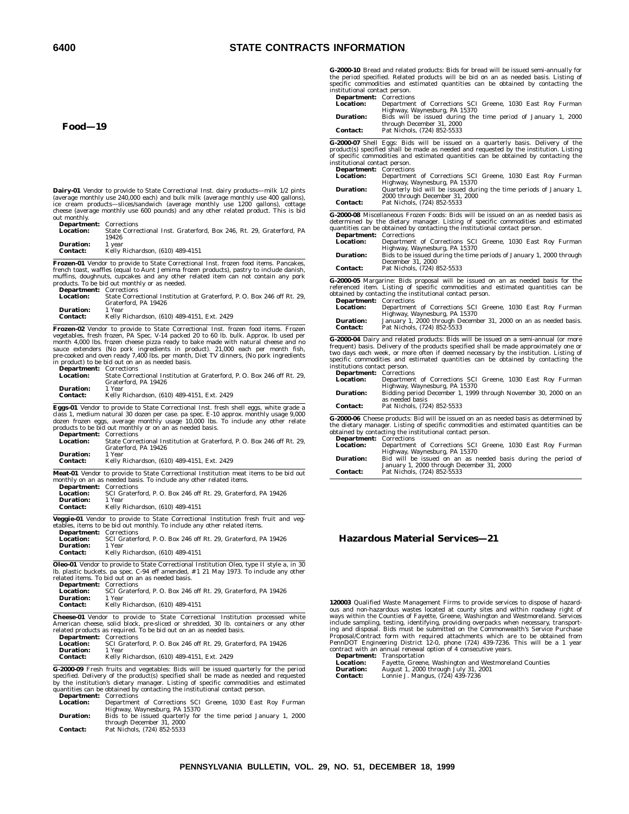# **6400 STATE CONTRACTS INFORMATION**

**Food—19**

**Dairy-01** Vendor to provide to State Correctional Inst. dairy products—milk 1/2 pints<br>(average monthly use 240,000 each) and bulk milk (average monthly use 400 gallons),<br>ice cream products—slices/sandwich (average mon cheese (average monthly use 600 pounds) and any other related product. This is bid out monthly.

| <b>Department:</b> Corrections |                                                                      |
|--------------------------------|----------------------------------------------------------------------|
| Location:                      | State Correctional Inst. Graterford, Box 246, Rt. 29, Graterford, PA |
|                                | 19426                                                                |

| <b>Duration:</b> | 1 year                           |  |
|------------------|----------------------------------|--|
| <b>Contact:</b>  | Kelly Richardson, (610) 489-4151 |  |

**Frozen-01** Vendor to provide to State Correctional Inst. frozen food items. Pancakes, french toast, waffles (equal to Aunt Jemima frozen products), pastry to include danish, muffins, doughnuts, cupcakes and any other related item can not contain any pork products. To be bid out monthly or as needed.<br>Product

| <b>Department:</b> Corrections                                          |
|-------------------------------------------------------------------------|
| State Correctional Institution at Graterford, P. O. Box 246 off Rt. 29. |
| Graterford, PA 19426                                                    |
| 1 Year                                                                  |
| Kelly Richardson, (610) 489-4151, Ext. 2429                             |
|                                                                         |
|                                                                         |

**Frozen-02** Vendor to provide to State Correctional Inst. frozen food items. Frozen vegetables, fresh frozen, PA Spec. V-14 packed 20 to 60 lb. bulk. Approx. Ib used permonth 4,000 lbs. frozen cheese pizza ready to bake ma in product) to be bid out on an as needed basis.

| <b>Department: Corrections</b> |                                                                         |
|--------------------------------|-------------------------------------------------------------------------|
| Location:                      | State Correctional Institution at Graterford, P. O. Box 246 off Rt. 29. |
|                                | Graterford, PA 19426                                                    |
| Duration:                      | 1 Year                                                                  |
| <b>Contact:</b>                | Kelly Richardson. (610) 489-4151. Ext. 2429                             |

**Eggs-01** Vendor to provide to State Correctional Inst. fresh shell eggs, white grade a class 1, medium natural 30 dozen per case. pa spec. E-10 approx. monthly usage 9,000 dozen frozen eggs, average monthly usage 10,000 lbs. To include any other relate products to be bid out monthly or on an as needed basis.

| <b>Department:</b> Corrections |                                                                                             |
|--------------------------------|---------------------------------------------------------------------------------------------|
| Location:                      | State Correctional Institution at Graterford, P. O. Box 246 off Rt. 29.                     |
|                                | Graterford, PA 19426                                                                        |
| <b>Duration:</b>               | 1 Year                                                                                      |
| <b>Contact:</b>                | Kelly Richardson. (610) 489-4151. Ext. 2429                                                 |
|                                | <b>Meat-01</b> Vendor to provide to State Correctional Institution meat items to be bid out |

monthly on an as needed basis. To include any other related items. **Department:** Corrections **Location:** SCI Graterford, P. O. Box 246 off Rt. 29, Graterford, PA 19426<br>**Duration:** 1 Year **Duration:**<br>Contact: **Contact:** Kelly Richardson, (610) 489-4151

**Veggie-01** Vendor to provide to State Correctional Institution fresh fruit and vegetables, items to be bid out monthly. To include any other related items.

| <b>Department:</b> Corrections |                                                                                             |
|--------------------------------|---------------------------------------------------------------------------------------------|
| Location:                      | SCI Graterford, P. O. Box 246 off Rt. 29. Graterford, PA 19426                              |
| Duration:                      | 1 Year                                                                                      |
| <b>Contact:</b>                | Kelly Richardson, (610) 489-4151                                                            |
|                                | <b>Oleo-01</b> Vendor to provide to State Correctional Institution Oleo, type II style a in |

**Oleo-01** Vendor to provide to State Correctional Institution Oleo, type II style a, in 30<br>lb. plastic buckets. pa spec. C-94 eff amended, # 1 21 May 1973. To include any other<br>related items. To bid out on an as needed bas **Department:** Corrections

| Location: | SCI Graterford, P. O. Box 246 off Rt. 29. Graterford, PA 19426 |
|-----------|----------------------------------------------------------------|
| Duration: | 1 Year                                                         |
| Contact:  | Kelly Richardson, (610) 489-4151                               |

**Cheese-01** Vendor to provide to State Correctional Institution processed white American cheese, solid block, pre-sliced or shredded, 30 lb. containers or any other related products as required. To be bid out on an as needed basis. **Department:** Corrections

| рератишени.     | COLLECTIONS                                                    |
|-----------------|----------------------------------------------------------------|
| Location:       | SCI Graterford, P. O. Box 246 off Rt. 29. Graterford, PA 19426 |
| Duration:       | 1 Year                                                         |
| <b>Contact:</b> | Kelly Richardson. (610) 489-4151. Ext. 2429                    |

**G-2000-09** Fresh fruits and vegetables: Bids will be issued quarterly for the period<br>specified. Delivery of the product(s) specified shall be made as needed and requested<br>by the institution's dietary manager. Listing of s **Department:** Corrections

| <b>Location:</b> | Department of Corrections SCI Greene, 1030 East Roy Furman      |
|------------------|-----------------------------------------------------------------|
|                  | Highway, Waynesburg, PA 15370                                   |
| <b>Duration:</b> | Bids to be issued quarterly for the time period January 1, 2000 |
|                  | through December 31, 2000                                       |
| <b>Contact:</b>  | Pat Nichols. (724) 852-5533                                     |

**G-2000-10** Bread and related products: Bids for bread will be issued semi-annually for the period specified. Related products will be bid on an as needed basis. Listing of specific commodities and estimated quantities can be obtained by contacting the institutional contact person. **Department:** Corrections

| <b>Department.</b> Corrections |                                                               |
|--------------------------------|---------------------------------------------------------------|
| <b>Location:</b>               | Department of Corrections SCI Greene, 1030 East Roy Furman    |
|                                | Highway, Waynesburg, PA 15370                                 |
| <b>Duration:</b>               | Bids will be issued during the time period of January 1, 2000 |
|                                | through December 31, 2000                                     |
| <b>Contact:</b>                | Pat Nichols. (724) 852-5533                                   |
|                                |                                                               |

**G-2000-07** Shell Eggs: Bids will be issued on a quarterly basis. Delivery of the<br>product(s) specified shall be made as needed and requested by the institution. Listing<br>of specific commodities and estimated quantities can institutional contact person.

| <b>Department:</b> Corrections |                                                                    |
|--------------------------------|--------------------------------------------------------------------|
| <b>Location:</b>               | Department of Corrections SCI Greene, 1030 East Roy Furman         |
|                                | Highway, Waynesburg, PA 15370                                      |
| <b>Duration:</b>               | Quarterly bid will be issued during the time periods of January 1, |
|                                | 2000 through December 31, 2000                                     |
| <b>Contact:</b>                | Pat Nichols. (724) 852-5533                                        |
|                                |                                                                    |

**G-2000-08** Miscellaneous Frozen Foods: Bids will be issued on an as needed basis as determined by the dietary manager. Listing of specific commodities and estimated quantities can be obtained by contacting the institutional contact person.

| <b>Department:</b> Corrections |                                                                      |
|--------------------------------|----------------------------------------------------------------------|
| <b>Location:</b>               | Department of Corrections SCI Greene, 1030 East Roy Furman           |
|                                | Highway, Waynesburg, PA 15370                                        |
| <b>Duration:</b>               | Bids to be issued during the time periods of January 1, 2000 through |
|                                | December 31, 2000                                                    |
| <b>Contact:</b>                | Pat Nichols, (724) 852-5533                                          |

**G-2000-05** Margarine: Bids proposal will be issued on an as needed basis for the referenced item. Listing of specific commodities and estimated quantities can be obtained by contacting the institutional contact person. **Department:** Corrections

| <b>Department:</b> Corrections |                                                                  |
|--------------------------------|------------------------------------------------------------------|
| <b>Location:</b>               | Department of Corrections SCI Greene, 1030 East Roy Furman       |
|                                | Highway, Waynesburg, PA 15370                                    |
| <b>Duration:</b>               | January 1, 2000 through December 31, 2000 on an as needed basis. |
| <b>Contact:</b>                | Pat Nichols. (724) 852-5533                                      |

**G-2000-04** Dairy and related products: Bids will be issued on a semi-annual (or more frequent) basis. Delivery of the products specified shall be made approximately one or two days each week, or more often if deemed neces institutions contact person.

| <b>Department: Corrections</b> |                                                                   |
|--------------------------------|-------------------------------------------------------------------|
| <b>Location:</b>               | Department of Corrections SCI Greene, 1030 East Roy Furman        |
|                                | Highway, Waynesburg, PA 15370                                     |
| <b>Duration:</b>               | Bidding period December 1, 1999 through November 30, 2000 on an   |
|                                | as needed basis                                                   |
| <b>Contact:</b>                | Pat Nichols, (724) 852-5533                                       |
| $-$                            | $\sim$ $\sim$ $\sim$ $\sim$ $\sim$ $\sim$ $\sim$<br>$\sim$ $\sim$ |

**G-2000-06** Cheese products: Bid will be issued on an as needed basis as determined by the dietary manager. Listing of specific commodities and estimated quantities can be obtained by contacting the institutional contact person. **Department:** Corrections

| <b>Department:</b> Corrections |                                                               |
|--------------------------------|---------------------------------------------------------------|
| <b>Location:</b>               | Department of Corrections SCI Greene, 1030 East Roy Furman    |
|                                | Highway, Waynesburg, PA 15370                                 |
| <b>Duration:</b>               | Bid will be issued on an as needed basis during the period of |
|                                | January 1, 2000 through December 31, 2000                     |
| <b>Contact:</b>                | Pat Nichols. (724) 852-5533                                   |

# **Hazardous Material Services—21**

**120003** Qualified Waste Management Firms to provide services to dispose of hazardous and non-hazardous wastes located at county sites and within roadway right of ways within the Counties of Fayette, Greene, Washington and Westmoreland. Services include sampling, testing, identifying, providing overpacks when necessary, transport-ing and disposal. Bids must be submitted on the Commonwealth's Service Purchase Proposal/Contract form with required attachments which are to be obtained from PennDOT Engineering District 12-0, phone (724) 439-7236. This will be a 1 year contract with an annual renewal option of 4 consecutive years. **Department:** Transportation

**Location:** Fayette, Greene, Washington and Westmoreland Counties<br>**Duration:** August 1, 2000 through July 31, 2001<br>**Contact:** Lonnie J. Mangus, (724) 439-7236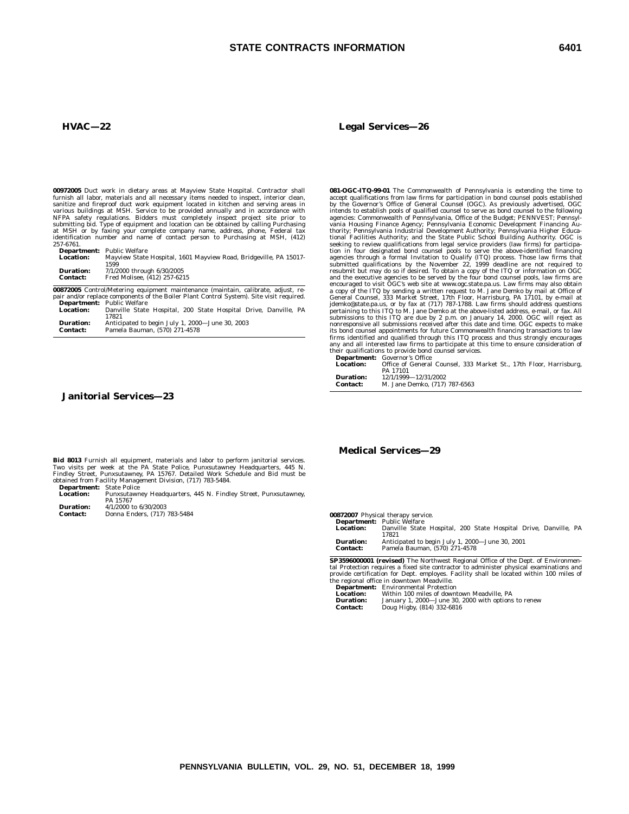# **STATE CONTRACTS INFORMATION 6401**

# **HVAC—22**

**00972005** Duct work in dietary areas at Mayview State Hospital. Contractor shall<br>furnish all labor, materials and all necessary items needed to inspect, interior clean,<br>sanitize and fireproof duct work equipment located i 257-6761.

|                  | <b>Department:</b> Public Welfare                                 |
|------------------|-------------------------------------------------------------------|
| <b>Location:</b> | Mayview State Hospital, 1601 Mayview Road, Bridgeville, PA 15017- |
|                  | 1599                                                              |
| <b>Duration:</b> | 7/1/2000 through 6/30/2005                                        |
| Contact:         | Fred Molisee. (412) 257-6215                                      |

**00872005** Control/Metering equipment maintenance (maintain, calibrate, adjust, repair and/or replace components of the Boiler Plant Control System). Site visit required. **Department:** Public Welfare

| <b>Location:</b> | Danville State Hospital, 200 State Hospital Drive, Danville, PA<br>17821 |
|------------------|--------------------------------------------------------------------------|
| <b>Duration:</b> | Anticipated to begin July 1, 2000-June 30, 2003                          |
| Contact:         | Pamela Bauman, (570) 271-4578                                            |

# **Janitorial Services—23**

**Bid 8013** Furnish all equipment, materials and labor to perform janitorial services.<br>Two visits per week at the PA State Police, Punxsutawney Headquarters, 445 N.<br>Findley Street, Punxsutawney, PA 15767. Detailed Work Sche

**Department:** State Police<br>**Location:** Punxsutawn **Location:** Punxsutawney Headquarters, 445 N. Findley Street, Punxsutawney, PA 15767 **Duration:**  $\begin{array}{r} 4/1/2000 \text{ to } 6/30/2003 \\ \text{Constant:} \qquad \text{Domain:} \qquad \text{Fnders.} \end{array}$ 

**Contact:** Donna Enders, (717) 783-5484

#### **Legal Services—26**

**081-OGC-ITQ-99-01** The Commonwealth of Pennsylvania is extending the time to<br>accept qualifications from law firms for participation in bond counsel pools established<br>by the Governor's Office of General Counsel (OGC). As p jdemko@state.pa.us, or by fax at (717) 787-1788. Law firms should address questions pertaining to this ITQ to M. Jane Demko at the above-listed address, e-mail, or fax. All preject as submissions to this ITQ are due by 2 p

PA 17101 **Duration:** 12/1/1999—12/31/2002

| риганон.        | $16/1/1333 - 16/31/6006$ |                               |
|-----------------|--------------------------|-------------------------------|
| <b>Contact:</b> |                          | M. Jane Demko, (717) 787-6563 |

# **Medical Services—29**

**00872007** Physical therapy service.

|                  | <b>Department:</b> Public Welfare                               |
|------------------|-----------------------------------------------------------------|
| <b>Location:</b> | Danville State Hospital, 200 State Hospital Drive, Danville, PA |
|                  | 17821                                                           |
| <b>Duration:</b> | Anticipated to begin July 1, 2000-June 30, 2001                 |
| <b>Contact:</b>  | Pamela Bauman, (570) 271-4578                                   |

**SP3596000001 (revised)** The Northwest Regional Office of the Dept. of Environmental Protection requires a fixed site contractor to administer physical examinations and provide certification for Dept. employes. Facility shall be located within 100 miles of the regional office in downtown Meadville.

| <b>Department:</b> | <b>Environmental Protection</b>                     |
|--------------------|-----------------------------------------------------|
| <b>Location:</b>   | Within 100 miles of downtown Meadville. PA          |
| <b>Duration:</b>   | January 1, 2000-June 30, 2000 with options to renew |
| <b>Contact:</b>    | Doug Higby, (814) 332-6816                          |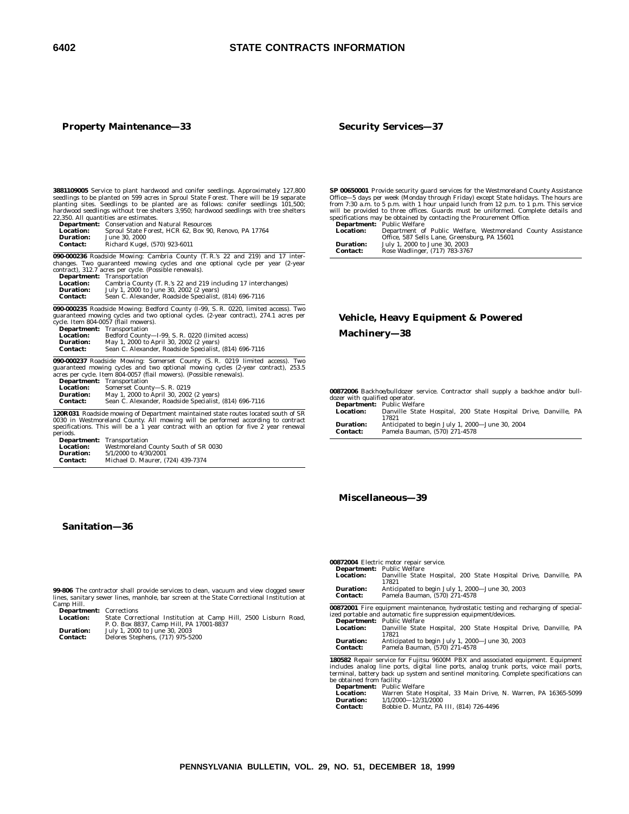# **Property Maintenance—33**

#### **Security Services—37**

**3881109005** Service to plant hardwood and conifer seedlings. Approximately 127,800 seedlings to be planted on 599 acres in Sproul State Forest. There will be 19 separate planting sites. Seedlings to be planted are as foll

**Department:** Conservation and Natural Resources **Location:** Sproul State Forest, HCR 62, Box 90, Renovo, PA 17764

**Duration:** June 30, 2000 **Contact:** Richard Kugel, (570) 923-6011

**090-000236** Roadside Mowing: Cambria County (T. R.'s 22 and 219) and 17 inter-changes. Two guaranteed mowing cycles and one optional cycle per year (2-year contract), 312.7 acres per cycle. (Possible renewals).

|                  | <b>Department:</b> Transportation                             |
|------------------|---------------------------------------------------------------|
| <b>Location:</b> | Cambria County (T. R.'s 22 and 219 including 17 interchanges) |
| <b>Duration:</b> | July 1, 2000 to June 30, 2002 (2 years)                       |
| <b>Contact:</b>  | Sean C. Alexander, Roadside Specialist, (814) 696-7116        |

**090-000235** Roadside Mowing: Bedford County (I-99, S. R. 0220, limited access). Two<br>guaranteed mowing cycles and two optional cycles. (2-year contract), 274.1 acres per<br>cycle. Item 804-0057 (flail mowers).<br>Department: Tra

| <b>Department:</b> | Transportation                                         |
|--------------------|--------------------------------------------------------|
| <b>Location:</b>   | Bedford County-I-99, S. R. 0220 (limited access)       |
| <b>Duration:</b>   | May 1, 2000 to April 30, 2002 (2 years)                |
| <b>Contact:</b>    | Sean C. Alexander, Roadside Specialist, (814) 696-7116 |

**090-000237** Roadside Mowing: Somerset County (S. R. 0219 limited access). Two guaranteed mowing cycles and two optional mowing cycles (2-year contract), 253.5 acres per cycle. Item 804-0057 (flail mowers). (Possible renewals).

| <b>Department:</b> | Transportation                                         |
|--------------------|--------------------------------------------------------|
| <b>Location:</b>   | Somerset County-S. R. 0219                             |
| <b>Duration:</b>   | May 1, 2000 to April 30, 2002 (2 years)                |
| <b>Contact:</b>    | Sean C. Alexander, Roadside Specialist, (814) 696-7116 |

**120R031** Roadside mowing of Department maintained state routes located south of SR 0030 in Westmoreland County. All mowing will be performed according to contract specifications. This will be a 1 year contract with an option for five 2 year renewal periods.

| <b>Department:</b> | Transportation                       |
|--------------------|--------------------------------------|
| <b>Location:</b>   | Westmoreland County South of SR 0030 |
| Duration:          | 5/1/2000 to 4/30/2001                |
| Contact:           | Michael D. Maurer, (724) 439-7374    |

# **Sanitation—36**

**SP 00650001** Provide security guard services for the Westmoreland County Assistance Office—5 days per week (Monday through Friday) except State holidays. The hours are from 7:30 a.m. to 5 p.m. with 1 hour unpaid lunch fr **Department:** Public Welfare

| <b>Location:</b> | Department of Public Welfare, Westmoreland County Assistance<br>Office, 587 Sells Lane, Greensburg, PA 15601 |  |
|------------------|--------------------------------------------------------------------------------------------------------------|--|
|                  |                                                                                                              |  |
| <b>Duration:</b> | July 1, 2000 to June 30, 2003                                                                                |  |
| <b>Contact:</b>  | Rose Wadlinger, (717) 783-3767                                                                               |  |

# **Vehicle, Heavy Equipment & Powered Machinery—38**

**00872006** Backhoe/bulldozer service. Contractor shall supply a backhoe and/or bulldozer with qualified operator. **Department:** Public Welfare

|                  | <b>Department</b> . Tublic wellare                              |
|------------------|-----------------------------------------------------------------|
| <b>Location:</b> | Danville State Hospital, 200 State Hospital Drive, Danville, PA |
|                  | 17821                                                           |
| <b>Duration:</b> | Anticipated to begin July 1, 2000-June 30, 2004                 |
| <b>Contact:</b>  | Pamela Bauman, (570) 271-4578                                   |

# **Miscellaneous—39**

**99-806** The contractor shall provide services to clean, vacuum and view clogged sewer lines, sanitary sewer lines, manhole, bar screen at the State Correctional Institution at Camp Hill. **Department:** Corrections

L**ocation:** State Correctional Institution at Camp Hill, 2500 Lisburn Road,<br>P. O. Box 8837, Camp Hill, PA 17001-8837<br>**Duration:** July 1, 2000 to June 30, 2003

**Contact:** Delores Stephens, (717) 975-5200

# **00872004** Electric motor repair service.

|                                                                                     | <b>Department:</b> Public Welfare                               |  |  |  |
|-------------------------------------------------------------------------------------|-----------------------------------------------------------------|--|--|--|
| <b>Location:</b>                                                                    | Danville State Hospital, 200 State Hospital Drive, Danville, PA |  |  |  |
|                                                                                     | 17821                                                           |  |  |  |
| Anticipated to begin July 1, 2000-June 30, 2003<br><b>Duration:</b>                 |                                                                 |  |  |  |
| Pamela Bauman, (570) 271-4578<br><b>Contact:</b>                                    |                                                                 |  |  |  |
|                                                                                     |                                                                 |  |  |  |
| 00872001 Fire equipment maintenance, hydrostatic testing and recharging of special- |                                                                 |  |  |  |

**00872001** Fire equipment maintenance, hydrostatic testing and recharging of special-ized portable and automatic fire suppression equipment/devices. **Department:** Public Welfare **Location:** Danville State Hospital, 200 State Hospital Drive, Danville, PA

17821

| <b>Duration:</b> | Anticipated to begin July 1, 2000—June 30, 2003 |
|------------------|-------------------------------------------------|
| Contact:         | Pamela Bauman, (570) 271-4578                   |

**180582** Repair service for Fujitsu 9600M PBX and associated equipment. Equipment includes analog line ports, digital line ports, analog trunk ports, voice mail ports,<br>terminal, battery back up system and sentinel monitoring. Complete specifications can<br>be obtained from facility.<br>**Department:** Public We

**Location:** Warren State Hospital, 33 Main Drive, N. Warren, PA 16365-5099 **Duration:** 1/1/2000—12/31/2000 **Contact:** Bobbie D. Muntz, PA III, (814) 726-4496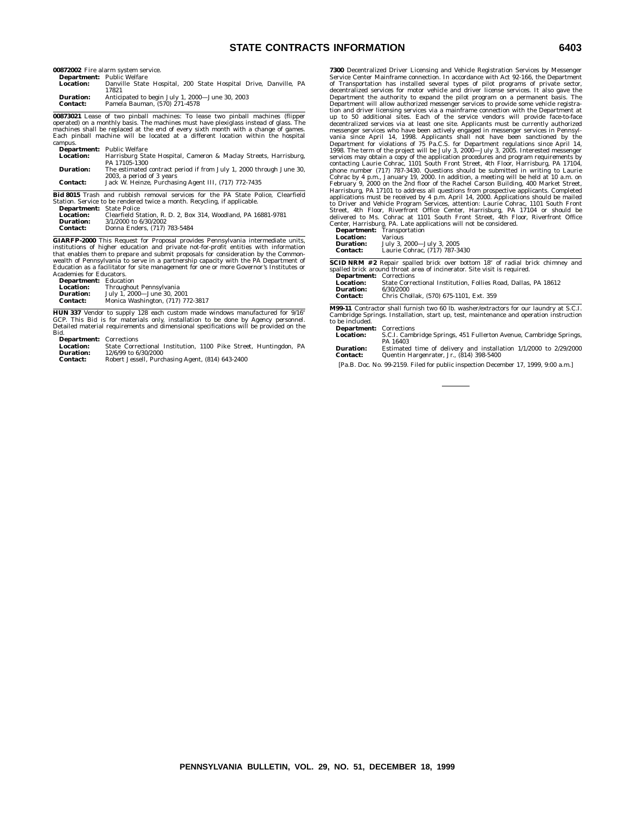# **STATE CONTRACTS INFORMATION 6403**

**00872002** Fire alarm system service. **Department:** Public Welfare

|                  | <b>Department:</b> Public welfare                               |
|------------------|-----------------------------------------------------------------|
| <b>Location:</b> | Danville State Hospital, 200 State Hospital Drive, Danville, PA |
|                  | 17821                                                           |
| <b>Duration:</b> | Anticipated to begin July 1, 2000-June 30, 2003                 |
| <b>Contact:</b>  | Pamela Bauman. (570) 271-4578                                   |

**00873021** Lease of two pinball machines: To lease two pinball machines (flipper<br>operated) on a monthly basis. The machines must have plexiglass instead of glass. The<br>machines shall be replaced at the end of every sixth mo campus.

|                  | <b>Department:</b> Public Welfare                                   |
|------------------|---------------------------------------------------------------------|
| <b>Location:</b> | Harrisburg State Hospital, Cameron & Maclay Streets, Harrisburg,    |
|                  | PA 17105-1300                                                       |
| <b>Duration:</b> | The estimated contract period if from July 1, 2000 through June 30, |
|                  | 2003, a period of 3 years                                           |
| <b>Contact:</b>  | Jack W. Heinze, Purchasing Agent III, (717) 772-7435                |
|                  |                                                                     |

**Bid 8015** Trash and rubbish removal services for the PA State Police, Clearfield Station. Service to be rendered twice a month. Recycling, if applicable. **Department:** State Police

| Location:       | Clearfield Station, R. D. 2, Box 314, Woodland, PA 16881-9781 |
|-----------------|---------------------------------------------------------------|
| Duration:       | 3/1/2000 to 6/30/2002                                         |
| <b>Contact:</b> | Donna Enders, (717) 783-5484                                  |
|                 |                                                               |

**GIARFP-2000** This Request for Proposal provides Pennsylvania intermediate units, institutions of higher education and private not-for-profit entities with information<br>that enables them to prepare and submit proposals for consideration by the Common-<br>wealth of Pennsylvania to serve in a partnership capa Education as a facilitator for site management for one or more Governor's Institutes or Academies for Educators.

**Department:** Education

| <b>Location:</b> | Throughout Pennsylvania           |  |  |  |
|------------------|-----------------------------------|--|--|--|
| <b>Duration:</b> | July 1, 2000-June 30, 2001        |  |  |  |
| <b>Contact:</b>  | Monica Washington, (717) 772-3817 |  |  |  |

**HUN 337** Vendor to supply 128 each custom made windows manufactured for 9/16"<br>GCP. This Bid is for materials only, installation to be done by Agency personnel.<br>Detailed material requirements and dimensional specifications Bid.

**Department:** Corrections<br> **Location:** State Corre

**Location:** State Correctional Institution, 1100 Pike Street, Huntingdon, PA **Duration:** 12/6/99 to 6/30/2000 **Contact:** Robert Jessell, Purchasing Agent, (814) 643-2400

**7300** Decentralized Driver Licensing and Vehicle Registration Services by Messenger Service Center Mainframe connection. In accordance with Act 92-166, the Department of Transportation has installed several types of pilot programs of private sector, decentralized services for motor vehicle and driver license services. It also gave the Department the authority to expand the pilot program on a permanent basis. The Department will allow authorized messenger services to provide some vehicle registra-<br>tion and driver licensing services via a mainframe connection with the Department at<br>up to 50 additional sites. Each of the service vend vania since April 14, 1998. Applicants shall not have been sanctioned by the Department for violations of 75 Pa.C.S. for Department regulations since April 14, 1998. The term of the project will be July 3, 2000—July 3, 200 phone number (717) 787-3430. Questions should be submitted in writing to Laurie Cohrac by 4 p.m., January 19, 2000. In addition, a meeting will be held at 10 a.m. on February 9, 2000 on the 2nd floor of the Rachel Carson B Street, 4th Floor, Riverfront Office Center, Harrisburg, PA 17104 or should be<br>delivered to Ms. Cohrac at 1101 South Front Street, 4th Floor, Riverfront Office<br>Center, Harrisburg, PA. Late applications will not be consider

| Location:                      | Various                                                                             |
|--------------------------------|-------------------------------------------------------------------------------------|
| <b>Duration:</b>               | July 3, 2000-July 3, 2005                                                           |
| <b>Contact:</b>                | Laurie Cohrac, (717) 787-3430                                                       |
|                                | <b>SCID NRM</b> #2 Repair spalled brick over bottom 18" of radial brick chimney and |
|                                | spalled brick around throat area of incinerator. Site visit is required.            |
| <b>Department: Corrections</b> |                                                                                     |
| <b>Location:</b>               | State Correctional Institution. Follies Road. Dallas, PA 18612                      |
| Duration:                      | 6/30/2000                                                                           |
| <b>Contact:</b>                | Chris Chollak, (570) 675-1101, Ext. 359                                             |

**M99-11** Contractor shall furnish two 60 lb. washer/extractors for our laundry at S.C.I. Cambridge Springs. Installation, start up, test, maintenance and operation instruction to be included.

**Department:** Corrections<br>**Location:** S.C.I. Caml **Location:** S.C.I. Cambridge Springs, 451 Fullerton Avenue, Cambridge Springs, PA 16403 **Duration:** Estimated time of delivery and installation 1/1/2000 to 2/29/2000 **Contact:** Quentin Hargenrater, Jr., (814) 398-5400

[Pa.B. Doc. No. 99-2159. Filed for public inspection December 17, 1999, 9:00 a.m.]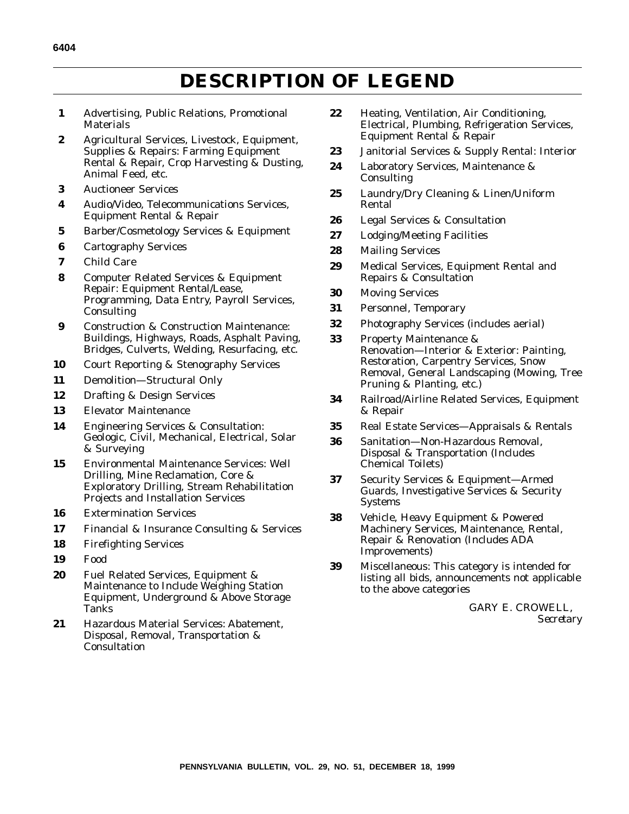# **DESCRIPTION OF LEGEND**

- **1** Advertising, Public Relations, Promotional **Materials**
- **2** Agricultural Services, Livestock, Equipment, Supplies & Repairs: Farming Equipment Rental & Repair, Crop Harvesting & Dusting, Animal Feed, etc.
- **3** Auctioneer Services
- **4** Audio/Video, Telecommunications Services, Equipment Rental & Repair
- **5** Barber/Cosmetology Services & Equipment
- **6** Cartography Services
- **7** Child Care
- **8** Computer Related Services & Equipment Repair: Equipment Rental/Lease, Programming, Data Entry, Payroll Services, **Consulting**
- **9** Construction & Construction Maintenance: Buildings, Highways, Roads, Asphalt Paving, Bridges, Culverts, Welding, Resurfacing, etc.
- **10** Court Reporting & Stenography Services
- **11** Demolition—Structural Only
- **12** Drafting & Design Services
- **13** Elevator Maintenance
- **14** Engineering Services & Consultation: Geologic, Civil, Mechanical, Electrical, Solar & Surveying
- **15** Environmental Maintenance Services: Well Drilling, Mine Reclamation, Core & Exploratory Drilling, Stream Rehabilitation Projects and Installation Services
- **16** Extermination Services
- **17** Financial & Insurance Consulting & Services
- **18** Firefighting Services
- **19** Food
- **20** Fuel Related Services, Equipment & Maintenance to Include Weighing Station Equipment, Underground & Above Storage Tanks
- **21** Hazardous Material Services: Abatement, Disposal, Removal, Transportation & **Consultation**
- **22** Heating, Ventilation, Air Conditioning, Electrical, Plumbing, Refrigeration Services, Equipment Rental & Repair
- **23** Janitorial Services & Supply Rental: Interior
- **24** Laboratory Services, Maintenance & Consulting
- **25** Laundry/Dry Cleaning & Linen/Uniform Rental
- **26** Legal Services & Consultation
- **27** Lodging/Meeting Facilities
- **28** Mailing Services
- **29** Medical Services, Equipment Rental and Repairs & Consultation
- **30** Moving Services
- **31** Personnel, Temporary
- **32** Photography Services (includes aerial)
- **33** Property Maintenance & Renovation—Interior & Exterior: Painting, Restoration, Carpentry Services, Snow Removal, General Landscaping (Mowing, Tree Pruning & Planting, etc.)
- **34** Railroad/Airline Related Services, Equipment & Repair
- **35** Real Estate Services—Appraisals & Rentals
- **36** Sanitation—Non-Hazardous Removal, Disposal & Transportation (Includes Chemical Toilets)
- **37** Security Services & Equipment—Armed Guards, Investigative Services & Security Systems
- **38** Vehicle, Heavy Equipment & Powered Machinery Services, Maintenance, Rental, Repair & Renovation (Includes ADA Improvements)
- **39** Miscellaneous: This category is intended for listing all bids, announcements not applicable to the above categories

GARY E. CROWELL, *Secretary*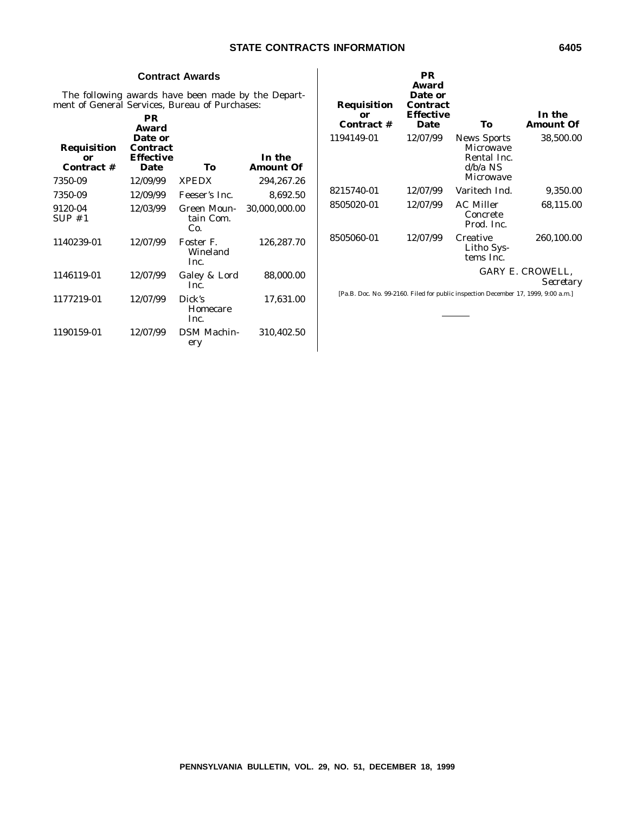# **Contract Awards**

The following awards have been made by the Department of General Services, Bureau of Purchases:

| In the<br><b>Amount Of</b> | To                              | PR<br><b>Award</b><br>Date or<br><b>Contract</b><br><b>Effective</b><br>Date | Requisition<br>or<br>Contract # |
|----------------------------|---------------------------------|------------------------------------------------------------------------------|---------------------------------|
| 294,267.26                 | <b>XPEDX</b>                    | 12/09/99                                                                     | 7350-09                         |
| 8,692.50                   | Feeser's Inc.                   | 12/09/99                                                                     | 7350-09                         |
| 30,000,000.00              | Green Moun-<br>tain Com.<br>Co. | 12/03/99                                                                     | 9120-04<br>SUP#1                |
| 126,287.70                 | Foster F.<br>Wineland<br>Inc.   | 12/07/99                                                                     | 1140239-01                      |
| 88,000.00                  | Galey & Lord<br>Inc.            | 12/07/99                                                                     | 1146119-01                      |
| 17,631.00                  | Dick's<br>Homecare<br>Inc.      | 12/07/99                                                                     | 1177219-01                      |
| 310,402.50                 | <b>DSM Machin-</b><br>ery       | 12/07/99                                                                     | 1190159-01                      |
|                            |                                 |                                                                              |                                 |

| Requisition<br>or<br>Contract # | <b>PR</b><br>Award<br>Date or<br><b>Contract</b><br><b>Effective</b><br><b>Date</b> | To                                                                                                  | In the<br>Amount Of           |
|---------------------------------|-------------------------------------------------------------------------------------|-----------------------------------------------------------------------------------------------------|-------------------------------|
| 1194149-01                      | 12/07/99                                                                            | <b>News Sports</b><br><b>Microwave</b><br>Rental Inc.<br>$d/b/a$ NS<br>Microwave                    | 38,500.00                     |
| 8215740-01                      | 12/07/99                                                                            | Varitech Ind.                                                                                       | 9,350.00                      |
| 8505020-01                      | 12/07/99                                                                            | AC Miller<br>Concrete<br>Prod. Inc.                                                                 | 68,115.00                     |
| 8505060-01                      | 12/07/99                                                                            | Creative<br>Litho Sys-<br>tems Inc.                                                                 | 260,100.00                    |
|                                 |                                                                                     |                                                                                                     | GARY E. CROWELL.<br>Secretary |
|                                 |                                                                                     | $D = D - D = M - 00.0100, E(1, 1, 0, \ldots, 1)$ , $(1, 1, 0, \ldots, 1)$ , $(2, 1, 0, 0, 0, 0, 0)$ |                               |

[Pa.B. Doc. No. 99-2160. Filed for public inspection December 17, 1999, 9:00 a.m.]

 $\overline{\phantom{a}}$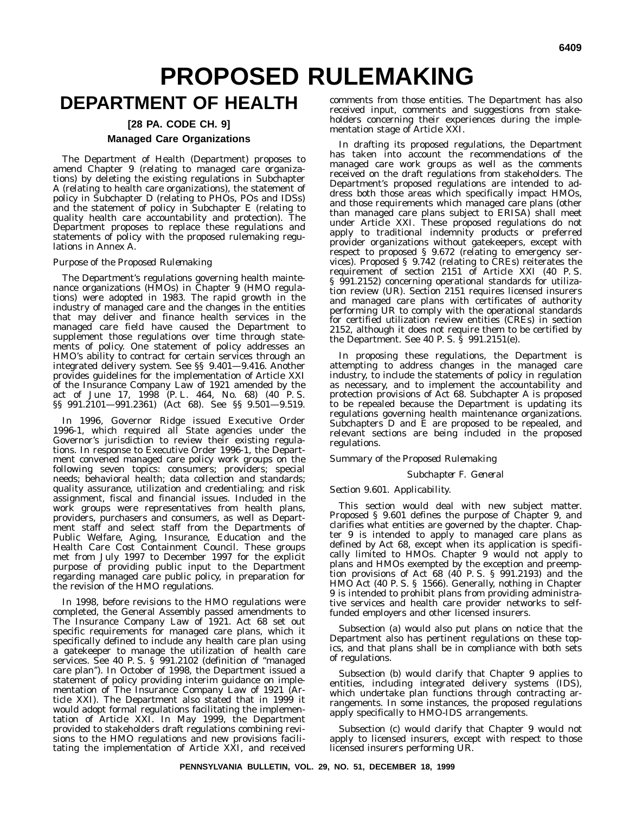# **PROPOSED RULEMAKING**

# **DEPARTMENT OF HEALTH**

# **[28 PA. CODE CH. 9] Managed Care Organizations**

The Department of Health (Department) proposes to amend Chapter 9 (relating to managed care organizations) by deleting the existing regulations in Subchapter A (relating to health care organizations), the statement of policy in Subchapter D (relating to PHOs, POs and IDSs) and the statement of policy in Subchapter E (relating to quality health care accountability and protection). The Department proposes to replace these regulations and statements of policy with the proposed rulemaking regulations in Annex A.

# *Purpose of the Proposed Rulemaking*

The Department's regulations governing health maintenance organizations (HMOs) in Chapter 9 (HMO regulations) were adopted in 1983. The rapid growth in the industry of managed care and the changes in the entities that may deliver and finance health services in the managed care field have caused the Department to supplement those regulations over time through statements of policy. One statement of policy addresses an HMO's ability to contract for certain services through an integrated delivery system. See §§ 9.401—9.416. Another provides guidelines for the implementation of Article XXI of the Insurance Company Law of 1921 amended by the act of June 17, 1998 (P. L. 464, No. 68) (40 P. S. §§ 991.2101—991.2361) (Act 68). See §§ 9.501—9.519.

In 1996, Governor Ridge issued Executive Order 1996-1, which required all State agencies under the Governor's jurisdiction to review their existing regulations. In response to Executive Order 1996-1, the Department convened managed care policy work groups on the following seven topics: consumers; providers; special needs; behavioral health; data collection and standards; quality assurance, utilization and credentialing; and risk assignment, fiscal and financial issues. Included in the work groups were representatives from health plans, providers, purchasers and consumers, as well as Department staff and select staff from the Departments of Public Welfare, Aging, Insurance, Education and the Health Care Cost Containment Council. These groups met from July 1997 to December 1997 for the explicit purpose of providing public input to the Department regarding managed care public policy, in preparation for the revision of the HMO regulations.

In 1998, before revisions to the HMO regulations were completed, the General Assembly passed amendments to The Insurance Company Law of 1921. Act 68 set out specific requirements for managed care plans, which it specifically defined to include any health care plan using a gatekeeper to manage the utilization of health care services. See 40 P. S. § 991.2102 (definition of ''managed care plan''). In October of 1998, the Department issued a statement of policy providing interim guidance on implementation of The Insurance Company Law of 1921 (Article XXI). The Department also stated that in 1999 it would adopt formal regulations facilitating the implementation of Article XXI. In May 1999, the Department provided to stakeholders draft regulations combining revisions to the HMO regulations and new provisions facilitating the implementation of Article XXI, and received

comments from those entities. The Department has also received input, comments and suggestions from stakeholders concerning their experiences during the implementation stage of Article XXI.

In drafting its proposed regulations, the Department has taken into account the recommendations of the managed care work groups as well as the comments received on the draft regulations from stakeholders. The Department's proposed regulations are intended to address both those areas which specifically impact HMOs, and those requirements which managed care plans (other than managed care plans subject to ERISA) shall meet under Article XXI. These proposed regulations do not apply to traditional indemnity products or preferred provider organizations without gatekeepers, except with respect to proposed § 9.672 (relating to emergency services). Proposed § 9.742 (relating to CREs) reiterates the requirement of section 2151 of Article XXI (40 P. S. § 991.2152) concerning operational standards for utilization review (UR). Section 2151 requires licensed insurers and managed care plans with certificates of authority performing UR to comply with the operational standards for certified utilization review entities (CREs) in section 2152, although it does not require them to be certified by the Department. See 40 P. S. § 991.2151(e).

In proposing these regulations, the Department is attempting to address changes in the managed care industry, to include the statements of policy in regulation as necessary, and to implement the accountability and protection provisions of Act 68. Subchapter A is proposed to be repealed because the Department is updating its regulations governing health maintenance organizations. Subchapters D and E are proposed to be repealed, and relevant sections are being included in the proposed regulations.

# *Summary of the Proposed Rulemaking*

# *Subchapter F. General*

# *Section 9.601. Applicability.*

This section would deal with new subject matter. Proposed § 9.601 defines the purpose of Chapter 9, and clarifies what entities are governed by the chapter. Chapter 9 is intended to apply to managed care plans as defined by Act 68, except when its application is specifically limited to HMOs. Chapter 9 would not apply to plans and HMOs exempted by the exception and preemption provisions of Act 68 (40 P. S. § 991.2193) and the HMO Act (40 P. S. § 1566). Generally, nothing in Chapter 9 is intended to prohibit plans from providing administrative services and health care provider networks to selffunded employers and other licensed insurers.

Subsection (a) would also put plans on notice that the Department also has pertinent regulations on these topics, and that plans shall be in compliance with both sets of regulations.

Subsection (b) would clarify that Chapter 9 applies to entities, including integrated delivery systems (IDS), which undertake plan functions through contracting arrangements. In some instances, the proposed regulations apply specifically to HMO-IDS arrangements.

Subsection (c) would clarify that Chapter 9 would not apply to licensed insurers, except with respect to those licensed insurers performing UR.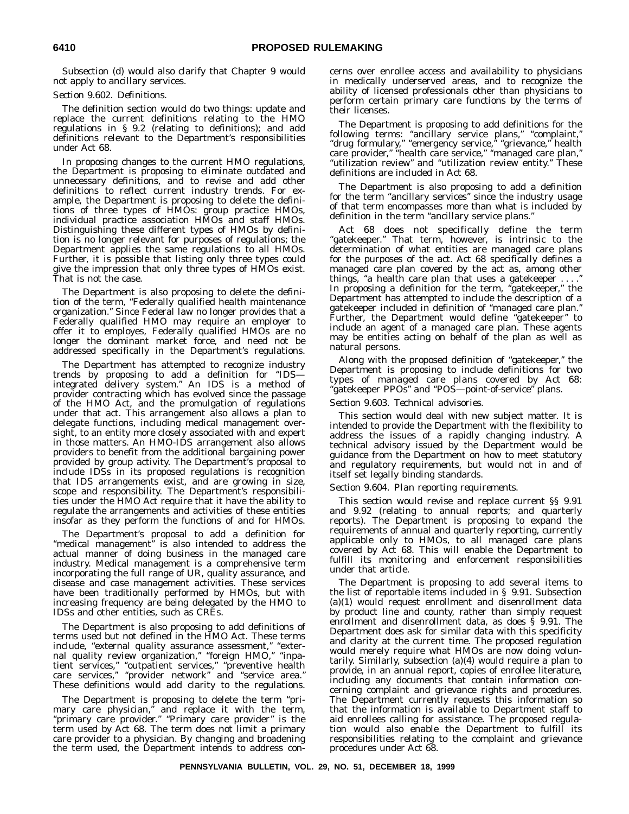Subsection (d) would also clarify that Chapter 9 would not apply to ancillary services.

# *Section 9.602. Definitions.*

The definition section would do two things: update and replace the current definitions relating to the HMO regulations in § 9.2 (relating to definitions); and add definitions relevant to the Department's responsibilities under Act 68.

In proposing changes to the current HMO regulations, the Department is proposing to eliminate outdated and unnecessary definitions, and to revise and add other definitions to reflect current industry trends. For example, the Department is proposing to delete the definitions of three types of HMOs: group practice HMOs, individual practice association HMOs and staff HMOs. Distinguishing these different types of HMOs by definition is no longer relevant for purposes of regulations; the Department applies the same regulations to all HMOs. Further, it is possible that listing only three types could give the impression that only three types of HMOs exist. That is not the case.

The Department is also proposing to delete the definition of the term, "Federally qualified health maintenance organization.'' Since Federal law no longer provides that a Federally qualified HMO may require an employer to offer it to employes, Federally qualified HMOs are no longer the dominant market force, and need not be addressed specifically in the Department's regulations.

The Department has attempted to recognize industry trends by proposing to add a definition for ''IDS integrated delivery system.'' An IDS is a method of provider contracting which has evolved since the passage of the HMO Act, and the promulgation of regulations under that act. This arrangement also allows a plan to delegate functions, including medical management oversight, to an entity more closely associated with and expert in those matters. An HMO-IDS arrangement also allows providers to benefit from the additional bargaining power provided by group activity. The Department's proposal to include IDSs in its proposed regulations is recognition that IDS arrangements exist, and are growing in size, scope and responsibility. The Department's responsibilities under the HMO Act require that it have the ability to regulate the arrangements and activities of these entities insofar as they perform the functions of and for HMOs.

The Department's proposal to add a definition for "medical management" is also intended to address the actual manner of doing business in the managed care industry. Medical management is a comprehensive term incorporating the full range of UR, quality assurance, and disease and case management activities. These services have been traditionally performed by HMOs, but with increasing frequency are being delegated by the HMO to IDSs and other entities, such as CREs.

The Department is also proposing to add definitions of terms used but not defined in the HMO Act. These terms include, ''external quality assurance assessment,'' ''external quality review organization," "foreign HMO," "inpatient services," "outpatient services," "preventive health care services,'' ''provider network'' and ''service area.'' These definitions would add clarity to the regulations.

The Department is proposing to delete the term ''primary care physician,'' and replace it with the term, "primary care provider." "Primary care provider" is the term used by Act 68. The term does not limit a primary care provider to a physician. By changing and broadening the term used, the Department intends to address concerns over enrollee access and availability to physicians in medically underserved areas, and to recognize the ability of licensed professionals other than physicians to perform certain primary care functions by the terms of their licenses.

The Department is proposing to add definitions for the following terms: ''ancillary service plans,'' ''complaint,'' "drug formulary," "emergency service," "grievance," health care provider,'' ''health care service,'' ''managed care plan,'' ''utilization review'' and ''utilization review entity.'' These definitions are included in Act 68.

The Department is also proposing to add a definition for the term ''ancillary services'' since the industry usage of that term encompasses more than what is included by definition in the term ''ancillary service plans.''

Act 68 does not specifically define the term "gatekeeper." That term, however, is intrinsic to the determination of what entities are managed care plans for the purposes of the act. Act 68 specifically defines a managed care plan covered by the act as, among other things, "a health care plan that uses a gate keeper  $\dots$ In proposing a definition for the term, ''gatekeeper,'' the Department has attempted to include the description of a gatekeeper included in definition of ''managed care plan.'' Further, the Department would define "gatekeeper" to include an agent of a managed care plan. These agents may be entities acting on behalf of the plan as well as natural persons.

Along with the proposed definition of ''gatekeeper,'' the Department is proposing to include definitions for two types of managed care plans covered by Act 68: ''gatekeeper PPOs'' and ''POS—point-of-service'' plans.

# *Section 9.603. Technical advisories.*

This section would deal with new subject matter. It is intended to provide the Department with the flexibility to address the issues of a rapidly changing industry. A technical advisory issued by the Department would be guidance from the Department on how to meet statutory and regulatory requirements, but would not in and of itself set legally binding standards.

# *Section 9.604. Plan reporting requirements.*

This section would revise and replace current §§ 9.91 and 9.92 (relating to annual reports; and quarterly reports). The Department is proposing to expand the requirements of annual and quarterly reporting, currently applicable only to HMOs, to all managed care plans covered by Act 68. This will enable the Department to fulfill its monitoring and enforcement responsibilities under that article.

The Department is proposing to add several items to the list of reportable items included in § 9.91. Subsection (a)(1) would request enrollment and disenrollment data by product line and county, rather than simply request enrollment and disenrollment data, as does § 9.91. The Department does ask for similar data with this specificity and clarity at the current time. The proposed regulation would merely require what HMOs are now doing voluntarily. Similarly, subsection (a)(4) would require a plan to provide, in an annual report, copies of enrollee literature, including any documents that contain information concerning complaint and grievance rights and procedures. The Department currently requests this information so that the information is available to Department staff to aid enrollees calling for assistance. The proposed regulation would also enable the Department to fulfill its responsibilities relating to the complaint and grievance procedures under Act 68.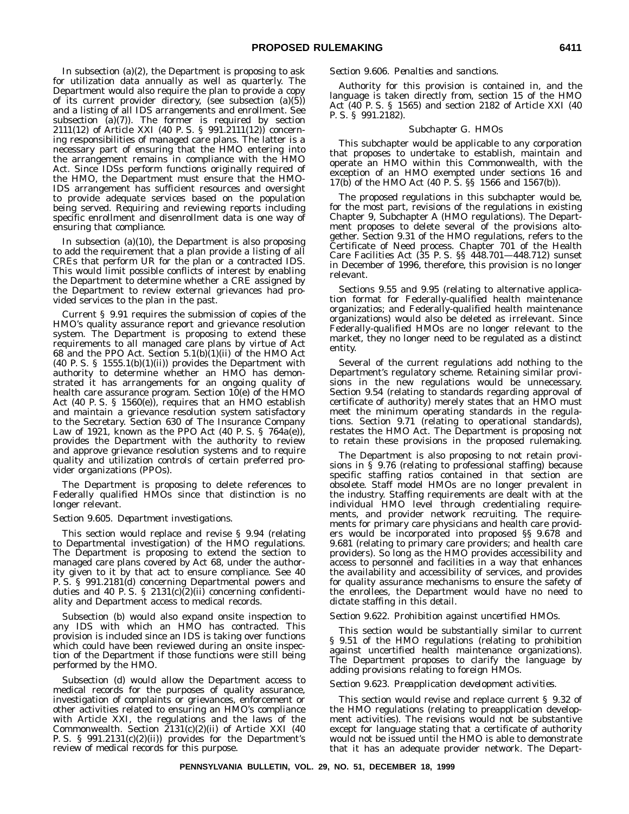In subsection  $(a)(2)$ , the Department is proposing to ask for utilization data annually as well as quarterly. The Department would also require the plan to provide a copy of its current provider directory, (see subsection (a)(5)) and a listing of all IDS arrangements and enrollment. See subsection (a)(7)). The former is required by section 2111(12) of Article XXI (40 P. S. § 991.2111(12)) concerning responsibilities of managed care plans. The latter is a necessary part of ensuring that the HMO entering into the arrangement remains in compliance with the HMO Act. Since IDSs perform functions originally required of the HMO, the Department must ensure that the HMO-IDS arrangement has sufficient resources and oversight to provide adequate services based on the population being served. Requiring and reviewing reports including specific enrollment and disenrollment data is one way of ensuring that compliance.

In subsection (a)(10), the Department is also proposing to add the requirement that a plan provide a listing of all CREs that perform UR for the plan or a contracted IDS. This would limit possible conflicts of interest by enabling the Department to determine whether a CRE assigned by the Department to review external grievances had provided services to the plan in the past.

Current § 9.91 requires the submission of copies of the HMO's quality assurance report and grievance resolution system. The Department is proposing to extend these requirements to all managed care plans by virtue of Act 68 and the PPO Act. Section  $5.1(b)(1)(ii)$  of the HMO Act (40 P. S. § 1555.1(b)(1)(ii)) provides the Department with authority to determine whether an HMO has demonstrated it has arrangements for an ongoing quality of health care assurance program. Section 10(e) of the HMO Act (40 P. S. § 1560(e)), requires that an HMO establish and maintain a grievance resolution system satisfactory to the Secretary. Section 630 of The Insurance Company Law of 1921, known as the PPO Act  $(40 \text{ P. S. }$  §  $764a(e)$ ), provides the Department with the authority to review and approve grievance resolution systems and to require quality and utilization controls of certain preferred provider organizations (PPOs).

The Department is proposing to delete references to Federally qualified HMOs since that distinction is no longer relevant.

#### *Section 9.605. Department investigations.*

This section would replace and revise § 9.94 (relating to Departmental investigation) of the HMO regulations. The Department is proposing to extend the section to managed care plans covered by Act 68, under the authority given to it by that act to ensure compliance. See 40 P. S. § 991.2181(d) concerning Departmental powers and duties and 40 P. S. § 2131(c) $\ddot{Q}$ )(ii) concerning confidentiality and Department access to medical records.

Subsection (b) would also expand onsite inspection to any IDS with which an HMO has contracted. This provision is included since an IDS is taking over functions which could have been reviewed during an onsite inspection of the Department if those functions were still being performed by the HMO.

Subsection (d) would allow the Department access to medical records for the purposes of quality assurance, investigation of complaints or grievances, enforcement or other activities related to ensuring an HMO's compliance with Article XXI, the regulations and the laws of the Commonwealth. Section 2131(c)(2)(ii) of Article XXI (40 P. S. § 991.2131(c)(2)(ii)) provides for the Department's review of medical records for this purpose.

### *Section 9.606. Penalties and sanctions.*

Authority for this provision is contained in, and the language is taken directly from, section 15 of the HMO Act (40 P. S. § 1565) and section 2182 of Article XXI (40 P. S. § 991.2182).

#### *Subchapter G. HMOs*

This subchapter would be applicable to any corporation that proposes to undertake to establish, maintain and operate an HMO within this Commonwealth, with the exception of an HMO exempted under sections 16 and 17(b) of the HMO Act (40 P. S. §§ 1566 and 1567(b)).

The proposed regulations in this subchapter would be, for the most part, revisions of the regulations in existing Chapter 9, Subchapter A (HMO regulations). The Department proposes to delete several of the provisions altogether. Section 9.31 of the HMO regulations, refers to the Certificate of Need process. Chapter 701 of the Health Care Facilities Act (35 P. S. §§ 448.701—448.712) sunset in December of 1996, therefore, this provision is no longer relevant.

Sections 9.55 and 9.95 (relating to alternative application format for Federally-qualified health maintenance organizatios; and Federally-qualified health maintenance organizations) would also be deleted as irrelevant. Since Federally-qualified HMOs are no longer relevant to the market, they no longer need to be regulated as a distinct entity.

Several of the current regulations add nothing to the Department's regulatory scheme. Retaining similar provisions in the new regulations would be unnecessary. Section 9.54 (relating to standards regarding approval of certificate of authority) merely states that an HMO must meet the minimum operating standards in the regulations. Section 9.71 (relating to operational standards), restates the HMO Act. The Department is proposing not to retain these provisions in the proposed rulemaking.

The Department is also proposing to not retain provisions in § 9.76 (relating to professional staffing) because specific staffing ratios contained in that section are obsolete. Staff model HMOs are no longer prevalent in the industry. Staffing requirements are dealt with at the individual HMO level through credentialing requirements, and provider network recruiting. The requirements for primary care physicians and health care providers would be incorporated into proposed §§ 9.678 and 9.681 (relating to primary care providers; and health care providers). So long as the HMO provides accessibility and access to personnel and facilities in a way that enhances the availability and accessibility of services, and provides for quality assurance mechanisms to ensure the safety of the enrollees, the Department would have no need to dictate staffing in this detail.

# *Section 9.622. Prohibition against uncertified HMOs.*

This section would be substantially similar to current § 9.51 of the HMO regulations (relating to prohibition against uncertified health maintenance organizations). The Department proposes to clarify the language by adding provisions relating to foreign HMOs.

# *Section 9.623. Preapplication development activities.*

This section would revise and replace current § 9.32 of the HMO regulations (relating to preapplication development activities). The revisions would not be substantive except for language stating that a certificate of authority would not be issued until the HMO is able to demonstrate that it has an adequate provider network. The Depart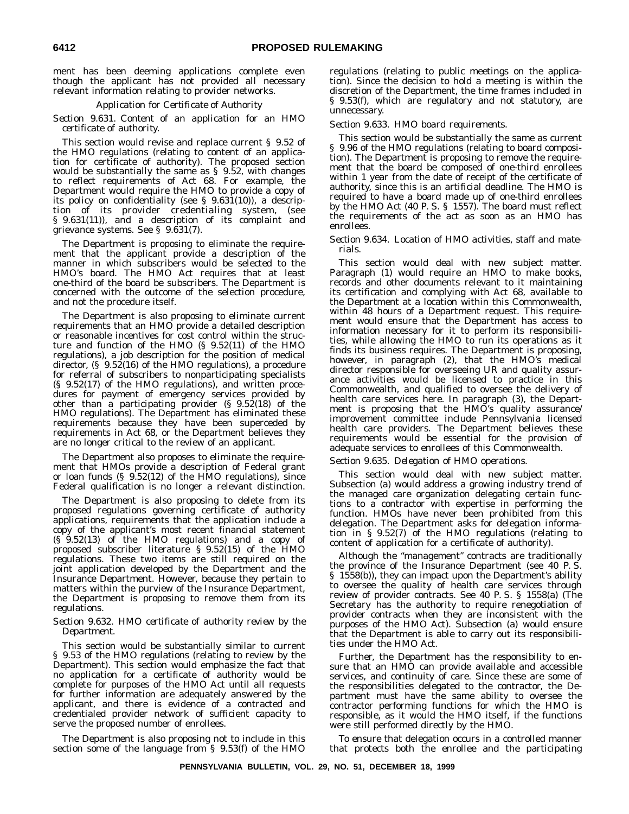ment has been deeming applications complete even though the applicant has not provided all necessary relevant information relating to provider networks.

# *Application for Certificate of Authority*

*Section 9.631. Content of an application for an HMO certificate of authority.*

This section would revise and replace current § 9.52 of the HMO regulations (relating to content of an application for certificate of authority). The proposed section would be substantially the same as § 9.52, with changes to reflect requirements of Act 68. For example, the Department would require the HMO to provide a copy of its policy on confidentiality (see § 9.631(10)), a description of its provider credentialing system, (see § 9.631(11)), and a description of its complaint and grievance systems. See § 9.631(7).

The Department is proposing to eliminate the requirement that the applicant provide a description of the manner in which subscribers would be selected to the HMO's board. The HMO Act requires that at least one-third of the board be subscribers. The Department is concerned with the outcome of the selection procedure, and not the procedure itself.

The Department is also proposing to eliminate current requirements that an HMO provide a detailed description or reasonable incentives for cost control within the structure and function of the HMO (§ 9.52(11) of the HMO regulations), a job description for the position of medical director, (§ 9.52(16) of the HMO regulations), a procedure for referral of subscribers to nonparticipating specialists (§ 9.52(17) of the HMO regulations), and written procedures for payment of emergency services provided by other than a participating provider (§ 9.52(18) of the HMO regulations). The Department has eliminated these requirements because they have been superceded by requirements in Act 68, or the Department believes they are no longer critical to the review of an applicant.

The Department also proposes to eliminate the requirement that HMOs provide a description of Federal grant or loan funds  $(§ 9.52(12)$  of the HMO regulations), since Federal qualification is no longer a relevant distinction.

The Department is also proposing to delete from its proposed regulations governing certificate of authority applications, requirements that the application include a copy of the applicant's most recent financial statement (§ 9.52(13) of the HMO regulations) and a copy of proposed subscriber literature § 9.52(15) of the HMO regulations. These two items are still required on the joint application developed by the Department and the Insurance Department. However, because they pertain to matters within the purview of the Insurance Department, the Department is proposing to remove them from its regulations.

# *Section 9.632. HMO certificate of authority review by the Department.*

This section would be substantially similar to current § 9.53 of the HMO regulations (relating to review by the Department). This section would emphasize the fact that no application for a certificate of authority would be complete for purposes of the HMO Act until all requests for further information are adequately answered by the applicant, and there is evidence of a contracted and credentialed provider network of sufficient capacity to serve the proposed number of enrollees.

The Department is also proposing not to include in this section some of the language from § 9.53(f) of the HMO regulations (relating to public meetings on the application). Since the decision to hold a meeting is within the discretion of the Department, the time frames included in § 9.53(f), which are regulatory and not statutory, are unnecessary.

# *Section 9.633. HMO board requirements.*

This section would be substantially the same as current § 9.96 of the HMO regulations (relating to board composition). The Department is proposing to remove the requirement that the board be composed of one-third enrollees within 1 year from the date of receipt of the certificate of authority, since this is an artificial deadline. The HMO is required to have a board made up of one-third enrollees by the HMO Act (40 P. S. § 1557). The board must reflect the requirements of the act as soon as an HMO has enrollees.

# *Section 9.634. Location of HMO activities, staff and materials.*

This section would deal with new subject matter. Paragraph (1) would require an HMO to make books, records and other documents relevant to it maintaining its certification and complying with Act 68, available to the Department at a location within this Commonwealth, within 48 hours of a Department request. This requirement would ensure that the Department has access to information necessary for it to perform its responsibilities, while allowing the HMO to run its operations as it finds its business requires. The Department is proposing, however, in paragraph (2), that the HMO's medical director responsible for overseeing UR and quality assurance activities would be licensed to practice in this Commonwealth, and qualified to oversee the delivery of health care services here. In paragraph (3), the Department is proposing that the HMO's quality assurance/ improvement committee include Pennsylvania licensed health care providers. The Department believes these requirements would be essential for the provision of adequate services to enrollees of this Commonwealth.

# *Section 9.635. Delegation of HMO operations.*

This section would deal with new subject matter. Subsection (a) would address a growing industry trend of the managed care organization delegating certain functions to a contractor with expertise in performing the function. HMOs have never been prohibited from this delegation. The Department asks for delegation information in § 9.52(7) of the HMO regulations (relating to content of application for a certificate of authority).

Although the ''management'' contracts are traditionally the province of the Insurance Department (see 40 P. S. § 1558(b)), they can impact upon the Department's ability to oversee the quality of health care services through review of provider contracts. See 40 P. S. § 1558(a) (The Secretary has the authority to require renegotiation of provider contracts when they are inconsistent with the purposes of the HMO Act). Subsection (a) would ensure that the Department is able to carry out its responsibilities under the HMO Act.

Further, the Department has the responsibility to ensure that an HMO can provide available and accessible services, and continuity of care. Since these are some of the responsibilities delegated to the contractor, the Department must have the same ability to oversee the contractor performing functions for which the HMO is responsible, as it would the HMO itself, if the functions were still performed directly by the HMO.

To ensure that delegation occurs in a controlled manner that protects both the enrollee and the participating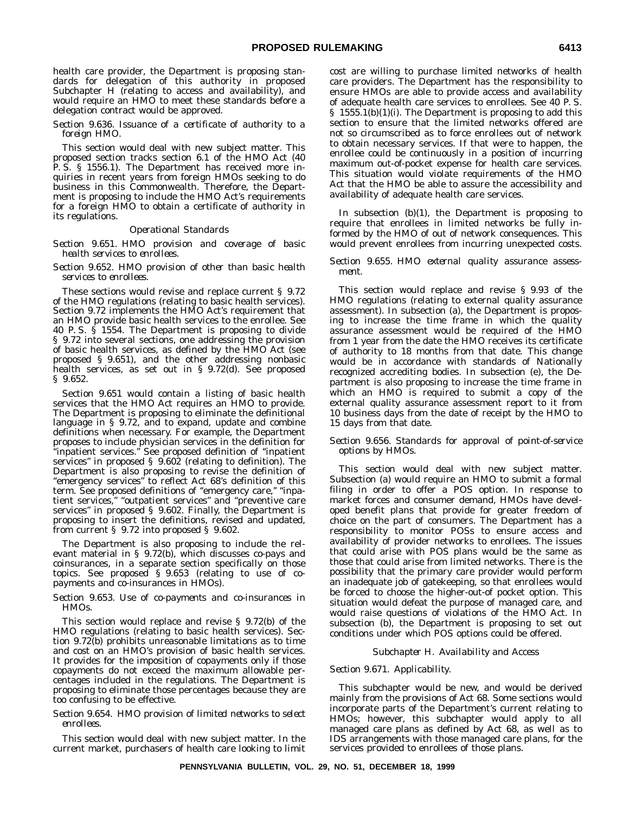health care provider, the Department is proposing standards for delegation of this authority in proposed Subchapter H (relating to access and availability), and would require an HMO to meet these standards before a delegation contract would be approved.

# *Section 9.636. Issuance of a certificate of authority to a foreign HMO.*

This section would deal with new subject matter. This proposed section tracks section 6.1 of the HMO Act (40 P. S. § 1556.1). The Department has received more inquiries in recent years from foreign HMOs seeking to do business in this Commonwealth. Therefore, the Department is proposing to include the HMO Act's requirements for a foreign HMO to obtain a certificate of authority in its regulations.

# *Operational Standards*

*Section 9.651. HMO provision and coverage of basic health services to enrollees.*

### *Section 9.652. HMO provision of other than basic health services to enrollees.*

These sections would revise and replace current § 9.72 of the HMO regulations (relating to basic health services). Section 9.72 implements the HMO Act's requirement that an HMO provide basic health services to the enrollee. See 40 P. S. § 1554. The Department is proposing to divide § 9.72 into several sections, one addressing the provision of basic health services, as defined by the HMO Act (see proposed § 9.651), and the other addressing nonbasic health services, as set out in § 9.72(d). See proposed § 9.652.

Section 9.651 would contain a listing of basic health services that the HMO Act requires an HMO to provide. The Department is proposing to eliminate the definitional language in § 9.72, and to expand, update and combine definitions when necessary. For example, the Department proposes to include physician services in the definition for ''inpatient services.'' See proposed definition of ''inpatient services'' in proposed § 9.602 (relating to definition). The Department is also proposing to revise the definition of ''emergency services'' to reflect Act 68's definition of this term. See proposed definitions of "emergency care," "inpatient services,'' ''outpatient services'' and ''preventive care services'' in proposed § 9.602. Finally, the Department is proposing to insert the definitions, revised and updated, from current § 9.72 into proposed § 9.602.

The Department is also proposing to include the relevant material in § 9.72(b), which discusses co-pays and coinsurances, in a separate section specifically on those topics. See proposed § 9.653 (relating to use of copayments and co-insurances in HMOs).

# *Section 9.653. Use of co-payments and co-insurances in HMOs.*

This section would replace and revise § 9.72(b) of the HMO regulations (relating to basic health services). Section 9.72(b) prohibits unreasonable limitations as to time and cost on an HMO's provision of basic health services. It provides for the imposition of copayments only if those copayments do not exceed the maximum allowable percentages included in the regulations. The Department is proposing to eliminate those percentages because they are too confusing to be effective.

#### *Section 9.654. HMO provision of limited networks to select enrollees.*

This section would deal with new subject matter. In the current market, purchasers of health care looking to limit cost are willing to purchase limited networks of health care providers. The Department has the responsibility to ensure HMOs are able to provide access and availability of adequate health care services to enrollees. See 40 P. S. § 1555.1(b)(1)(i). The Department is proposing to add this section to ensure that the limited networks offered are not so circumscribed as to force enrollees out of network to obtain necessary services. If that were to happen, the enrollee could be continuously in a position of incurring maximum out-of-pocket expense for health care services. This situation would violate requirements of the HMO Act that the HMO be able to assure the accessibility and availability of adequate health care services.

In subsection (b)(1), the Department is proposing to require that enrollees in limited networks be fully informed by the HMO of out of network consequences. This would prevent enrollees from incurring unexpected costs.

# *Section 9.655. HMO external quality assurance assessment.*

This section would replace and revise § 9.93 of the HMO regulations (relating to external quality assurance assessment). In subsection (a), the Department is proposing to increase the time frame in which the quality assurance assessment would be required of the HMO from 1 year from the date the HMO receives its certificate of authority to 18 months from that date. This change would be in accordance with standards of Nationally recognized accrediting bodies. In subsection (e), the Department is also proposing to increase the time frame in which an HMO is required to submit a copy of the external quality assurance assessment report to it from 10 business days from the date of receipt by the HMO to 15 days from that date.

# *Section 9.656. Standards for approval of point-of-service options by HMOs.*

This section would deal with new subject matter. Subsection (a) would require an HMO to submit a formal filing in order to offer a POS option. In response to market forces and consumer demand, HMOs have developed benefit plans that provide for greater freedom of choice on the part of consumers. The Department has a responsibility to monitor POSs to ensure access and availability of provider networks to enrollees. The issues that could arise with POS plans would be the same as those that could arise from limited networks. There is the possibility that the primary care provider would perform an inadequate job of gatekeeping, so that enrollees would be forced to choose the higher-out-of pocket option. This situation would defeat the purpose of managed care, and would raise questions of violations of the HMO Act. In subsection (b), the Department is proposing to set out conditions under which POS options could be offered.

# *Subchapter H. Availability and Access*

# *Section 9.671. Applicability.*

This subchapter would be new, and would be derived mainly from the provisions of Act 68. Some sections would incorporate parts of the Department's current relating to HMOs; however, this subchapter would apply to all managed care plans as defined by Act 68, as well as to IDS arrangements with those managed care plans, for the services provided to enrollees of those plans.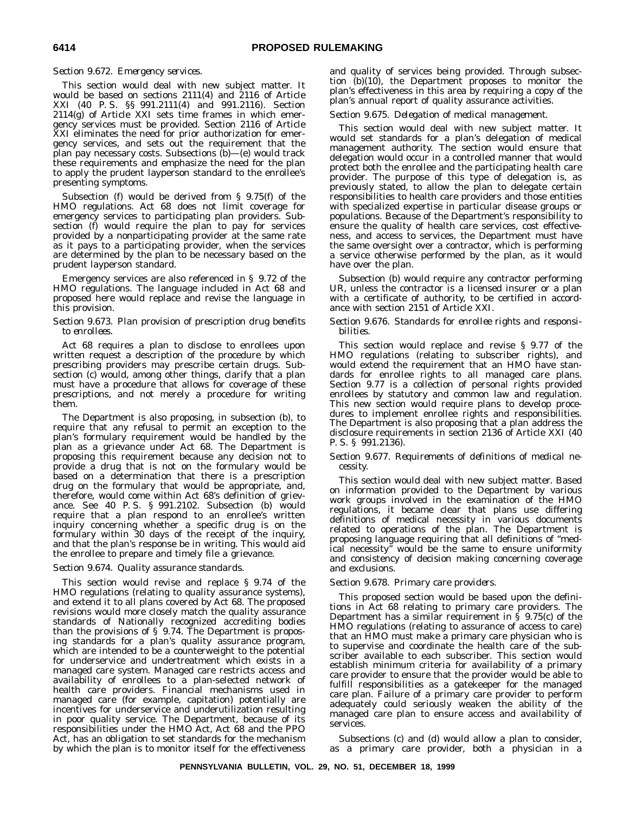# *Section 9.672. Emergency services.*

This section would deal with new subject matter. It would be based on sections 2111(4) and 2116 of Article XXI (40 P. S. §§ 991.2111(4) and 991.2116). Section 2114(g) of Article XXI sets time frames in which emergency services must be provided. Section 2116 of Article XXI eliminates the need for prior authorization for emergency services, and sets out the requirement that the plan pay necessary costs. Subsections (b)—(e) would track these requirements and emphasize the need for the plan to apply the prudent layperson standard to the enrollee's presenting symptoms.

Subsection (f) would be derived from § 9.75(f) of the HMO regulations. Act 68 does not limit coverage for emergency services to participating plan providers. Subsection (f) would require the plan to pay for services provided by a nonparticipating provider at the same rate as it pays to a participating provider, when the services are determined by the plan to be necessary based on the prudent layperson standard.

Emergency services are also referenced in § 9.72 of the HMO regulations. The language included in Act 68 and proposed here would replace and revise the language in this provision.

# *Section 9.673. Plan provision of prescription drug benefits to enrollees.*

Act 68 requires a plan to disclose to enrollees upon written request a description of the procedure by which prescribing providers may prescribe certain drugs. Subsection (c) would, among other things, clarify that a plan must have a procedure that allows for coverage of these prescriptions, and not merely a procedure for writing them.

The Department is also proposing, in subsection (b), to require that any refusal to permit an exception to the plan's formulary requirement would be handled by the plan as a grievance under Act 68. The Department is proposing this requirement because any decision not to provide a drug that is not on the formulary would be based on a determination that there is a prescription drug on the formulary that would be appropriate, and, therefore, would come within Act 68's definition of grievance. See 40 P. S. § 991.2102. Subsection (b) would require that a plan respond to an enrollee's written inquiry concerning whether a specific drug is on the formulary within 30 days of the receipt of the inquiry, and that the plan's response be in writing. This would aid the enrollee to prepare and timely file a grievance.

# *Section 9.674. Quality assurance standards.*

This section would revise and replace § 9.74 of the HMO regulations (relating to quality assurance systems), and extend it to all plans covered by Act 68. The proposed revisions would more closely match the quality assurance standards of Nationally recognized accrediting bodies than the provisions of  $\S$  9.74. The Department is proposing standards for a plan's quality assurance program, which are intended to be a counterweight to the potential for underservice and undertreatment which exists in a managed care system. Managed care restricts access and availability of enrollees to a plan-selected network of health care providers. Financial mechanisms used in managed care (for example, capitation) potentially are incentives for underservice and underutilization resulting in poor quality service. The Department, because of its responsibilities under the HMO Act, Act 68 and the PPO Act, has an obligation to set standards for the mechanism by which the plan is to monitor itself for the effectiveness

and quality of services being provided. Through subsection (b)(10), the Department proposes to monitor the plan's effectiveness in this area by requiring a copy of the plan's annual report of quality assurance activities.

# *Section 9.675. Delegation of medical management.*

This section would deal with new subject matter. It would set standards for a plan's delegation of medical management authority. The section would ensure that delegation would occur in a controlled manner that would protect both the enrollee and the participating health care provider. The purpose of this type of delegation is, as previously stated, to allow the plan to delegate certain responsibilities to health care providers and those entities with specialized expertise in particular disease groups or populations. Because of the Department's responsibility to ensure the quality of health care services, cost effectiveness, and access to services, the Department must have the same oversight over a contractor, which is performing a service otherwise performed by the plan, as it would have over the plan.

Subsection (b) would require any contractor performing UR, unless the contractor is a licensed insurer or a plan with a certificate of authority, to be certified in accordance with section 2151 of Article XXI.

# *Section 9.676. Standards for enrollee rights and responsibilities.*

This section would replace and revise § 9.77 of the HMO regulations (relating to subscriber rights), and would extend the requirement that an HMO have standards for enrollee rights to all managed care plans. Section 9.77 is a collection of personal rights provided enrollees by statutory and common law and regulation. This new section would require plans to develop procedures to implement enrollee rights and responsibilities. The Department is also proposing that a plan address the disclosure requirements in section 2136 of Article XXI (40 P. S. § 991.2136).

# *Section 9.677. Requirements of definitions of medical necessity.*

This section would deal with new subject matter. Based on information provided to the Department by various work groups involved in the examination of the HMO regulations, it became clear that plans use differing definitions of medical necessity in various documents related to operations of the plan. The Department is proposing language requiring that all definitions of ''medical necessity'' would be the same to ensure uniformity and consistency of decision making concerning coverage and exclusions.

# *Section 9.678. Primary care providers.*

This proposed section would be based upon the definitions in Act 68 relating to primary care providers. The Department has a similar requirement in  $\S$  9.75(c) of the HMO regulations (relating to assurance of access to care) that an HMO must make a primary care physician who is to supervise and coordinate the health care of the subscriber available to each subscriber. This section would establish minimum criteria for availability of a primary care provider to ensure that the provider would be able to fulfill responsibilities as a gatekeeper for the managed care plan. Failure of a primary care provider to perform adequately could seriously weaken the ability of the managed care plan to ensure access and availability of services.

Subsections (c) and (d) would allow a plan to consider, as a primary care provider, both a physician in a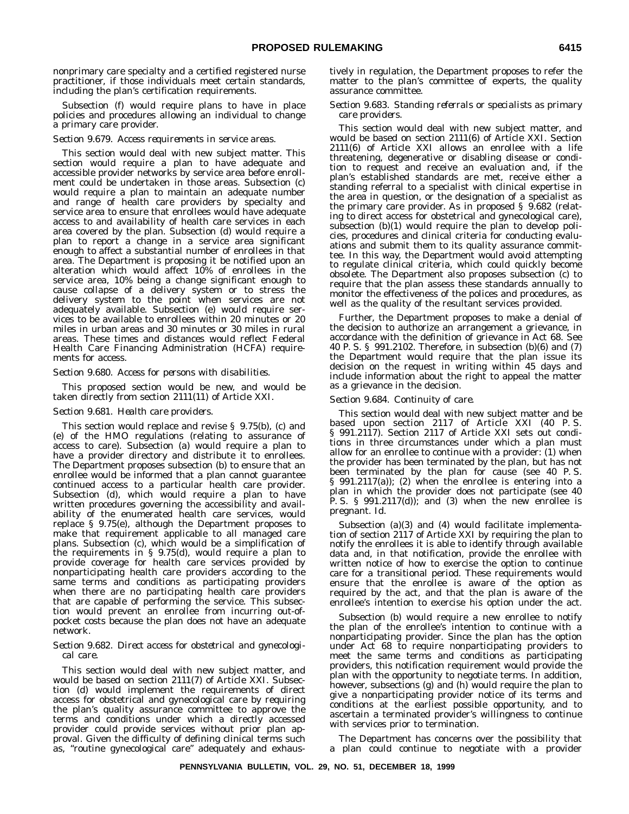nonprimary care specialty and a certified registered nurse practitioner, if those individuals meet certain standards, including the plan's certification requirements.

Subsection (f) would require plans to have in place policies and procedures allowing an individual to change a primary care provider.

# *Section 9.679. Access requirements in service areas.*

This section would deal with new subject matter. This section would require a plan to have adequate and accessible provider networks by service area before enrollment could be undertaken in those areas. Subsection (c) would require a plan to maintain an adequate number and range of health care providers by specialty and service area to ensure that enrollees would have adequate access to and availability of health care services in each area covered by the plan. Subsection (d) would require a plan to report a change in a service area significant enough to affect a substantial number of enrollees in that area. The Department is proposing it be notified upon an alteration which would affect 10% of enrollees in the service area, 10% being a change significant enough to cause collapse of a delivery system or to stress the delivery system to the point when services are not adequately available. Subsection (e) would require services to be available to enrollees within 20 minutes or 20 miles in urban areas and 30 minutes or 30 miles in rural areas. These times and distances would reflect Federal Health Care Financing Administration (HCFA) requirements for access.

#### *Section 9.680. Access for persons with disabilities.*

This proposed section would be new, and would be taken directly from section 2111(11) of Article XXI.

#### *Section 9.681. Health care providers.*

This section would replace and revise § 9.75(b), (c) and (e) of the HMO regulations (relating to assurance of access to care). Subsection (a) would require a plan to have a provider directory and distribute it to enrollees. The Department proposes subsection (b) to ensure that an enrollee would be informed that a plan cannot guarantee continued access to a particular health care provider. Subsection (d), which would require a plan to have written procedures governing the accessibility and availability of the enumerated health care services, would replace § 9.75(e), although the Department proposes to make that requirement applicable to all managed care plans. Subsection (c), which would be a simplification of the requirements in § 9.75(d), would require a plan to provide coverage for health care services provided by nonparticipating health care providers according to the same terms and conditions as participating providers when there are no participating health care providers that are capable of performing the service. This subsection would prevent an enrollee from incurring out-ofpocket costs because the plan does not have an adequate network.

# *Section 9.682. Direct access for obstetrical and gynecological care.*

This section would deal with new subject matter, and would be based on section 2111(7) of Article XXI. Subsection (d) would implement the requirements of direct access for obstetrical and gynecological care by requiring the plan's quality assurance committee to approve the terms and conditions under which a directly accessed provider could provide services without prior plan approval. Given the difficulty of defining clinical terms such as, ''routine gynecological care'' adequately and exhaustively in regulation, the Department proposes to refer the matter to the plan's committee of experts, the quality assurance committee.

## *Section 9.683. Standing referrals or specialists as primary care providers.*

This section would deal with new subject matter, and would be based on section 2111(6) of Article XXI. Section 2111(6) of Article XXI allows an enrollee with a life threatening, degenerative or disabling disease or condition to request and receive an evaluation and, if the plan's established standards are met, receive either a standing referral to a specialist with clinical expertise in the area in question, or the designation of a specialist as the primary care provider. As in proposed § 9.682 (relating to direct access for obstetrical and gynecological care), subsection (b)(1) would require the plan to develop policies, procedures and clinical criteria for conducting evaluations and submit them to its quality assurance committee. In this way, the Department would avoid attempting to regulate clinical criteria, which could quickly become obsolete. The Department also proposes subsection (c) to require that the plan assess these standards annually to monitor the effectiveness of the polices and procedures, as well as the quality of the resultant services provided.

Further, the Department proposes to make a denial of the decision to authorize an arrangement a grievance, in accordance with the definition of grievance in Act 68. See 40 P. S. § 991.2102. Therefore, in subsection (b)(6) and (7) the Department would require that the plan issue its decision on the request in writing within 45 days and include information about the right to appeal the matter as a grievance in the decision.

#### *Section 9.684. Continuity of care.*

This section would deal with new subject matter and be based upon section 2117 of Article XXI (40 P. S. § 991.2117). Section 2117 of Article XXI sets out conditions in three circumstances under which a plan must allow for an enrollee to continue with a provider: (1) when the provider has been terminated by the plan, but has not been terminated by the plan for cause (see 40 P. S. § 991.2117(a)); (2) when the enrollee is entering into a plan in which the provider does not participate (see 40 P. S.  $\S$  991.2117(d)); and (3) when the new enrollee is pregnant. Id.

Subsection (a)(3) and (4) would facilitate implementation of section 2117 of Article XXI by requiring the plan to notify the enrollees it is able to identify through available data and, in that notification, provide the enrollee with written notice of how to exercise the option to continue care for a transitional period. These requirements would ensure that the enrollee is aware of the option as required by the act, and that the plan is aware of the enrollee's intention to exercise his option under the act.

Subsection (b) would require a new enrollee to notify the plan of the enrollee's intention to continue with a nonparticipating provider. Since the plan has the option under Act 68 to require nonparticipating providers to meet the same terms and conditions as participating providers, this notification requirement would provide the plan with the opportunity to negotiate terms. In addition, however, subsections (g) and (h) would require the plan to give a nonparticipating provider notice of its terms and conditions at the earliest possible opportunity, and to ascertain a terminated provider's willingness to continue with services prior to termination.

The Department has concerns over the possibility that a plan could continue to negotiate with a provider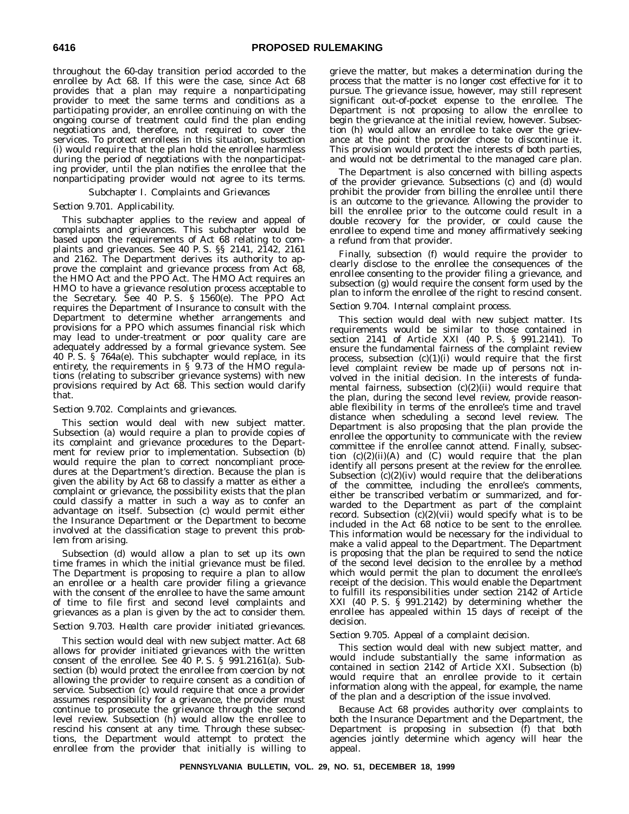throughout the 60-day transition period accorded to the enrollee by Act 68. If this were the case, since Act 68 provides that a plan may require a nonparticipating provider to meet the same terms and conditions as a participating provider, an enrollee continuing on with the ongoing course of treatment could find the plan ending negotiations and, therefore, not required to cover the services. To protect enrollees in this situation, subsection (i) would require that the plan hold the enrollee harmless during the period of negotiations with the nonparticipating provider, until the plan notifies the enrollee that the nonparticipating provider would not agree to its terms.

# *Subchapter I. Complaints and Grievances*

# *Section 9.701. Applicability.*

This subchapter applies to the review and appeal of complaints and grievances. This subchapter would be based upon the requirements of Act 68 relating to complaints and grievances. See 40 P. S. §§ 2141, 2142, 2161 and 2162. The Department derives its authority to approve the complaint and grievance process from Act 68, the HMO Act and the PPO Act. The HMO Act requires an HMO to have a grievance resolution process acceptable to the Secretary. See 40 P. S. § 1560(e). The PPO Act requires the Department of Insurance to consult with the Department to determine whether arrangements and provisions for a PPO which assumes financial risk which may lead to under-treatment or poor quality care are adequately addressed by a formal grievance system. See 40 P. S.  $\check{\mathbf{S}}$  764a(e). This subchapter would replace, in its entirety, the requirements in  $\S$  9.73 of the HMO regulations (relating to subscriber grievance systems) with new provisions required by Act 68. This section would clarify that.

# *Section 9.702. Complaints and grievances.*

This section would deal with new subject matter. Subsection (a) would require a plan to provide copies of its complaint and grievance procedures to the Department for review prior to implementation. Subsection (b) would require the plan to correct noncompliant procedures at the Department's direction. Because the plan is given the ability by Act 68 to classify a matter as either a complaint or grievance, the possibility exists that the plan could classify a matter in such a way as to confer an advantage on itself. Subsection (c) would permit either the Insurance Department or the Department to become involved at the classification stage to prevent this problem from arising.

Subsection (d) would allow a plan to set up its own time frames in which the initial grievance must be filed. The Department is proposing to require a plan to allow an enrollee or a health care provider filing a grievance with the consent of the enrollee to have the same amount of time to file first and second level complaints and grievances as a plan is given by the act to consider them.

# *Section 9.703. Health care provider initiated grievances.*

This section would deal with new subject matter. Act 68 allows for provider initiated grievances with the written consent of the enrollee. See 40 P. S. § 991.2161(a). Subsection (b) would protect the enrollee from coercion by not allowing the provider to require consent as a condition of service. Subsection (c) would require that once a provider assumes responsibility for a grievance, the provider must continue to prosecute the grievance through the second level review. Subsection (h) would allow the enrollee to rescind his consent at any time. Through these subsections, the Department would attempt to protect the enrollee from the provider that initially is willing to

grieve the matter, but makes a determination during the process that the matter is no longer cost effective for it to pursue. The grievance issue, however, may still represent significant out-of-pocket expense to the enrollee. The Department is not proposing to allow the enrollee to begin the grievance at the initial review, however. Subsection (h) would allow an enrollee to take over the grievance at the point the provider chose to discontinue it. This provision would protect the interests of both parties, and would not be detrimental to the managed care plan.

The Department is also concerned with billing aspects of the provider grievance. Subsections (c) and (d) would prohibit the provider from billing the enrollee until there is an outcome to the grievance. Allowing the provider to bill the enrollee prior to the outcome could result in a double recovery for the provider, or could cause the enrollee to expend time and money affirmatively seeking a refund from that provider.

Finally, subsection (f) would require the provider to clearly disclose to the enrollee the consequences of the enrollee consenting to the provider filing a grievance, and subsection (g) would require the consent form used by the plan to inform the enrollee of the right to rescind consent.

# *Section 9.704. Internal complaint process.*

This section would deal with new subject matter. Its requirements would be similar to those contained in section 2141 of Article XXI (40 P. S. § 991.2141). To ensure the fundamental fairness of the complaint review process, subsection  $(c)(1)(i)$  would require that the first level complaint review be made up of persons not involved in the initial decision. In the interests of fundamental fairness, subsection  $(c)(2)(ii)$  would require that the plan, during the second level review, provide reasonable flexibility in terms of the enrollee's time and travel distance when scheduling a second level review. The Department is also proposing that the plan provide the enrollee the opportunity to communicate with the review committee if the enrollee cannot attend. Finally, subsection  $(c)(2)(ii)(A)$  and  $(C)$  would require that the plan identify all persons present at the review for the enrollee. Subsection  $(c)(2)(iv)$  would require that the deliberations of the committee, including the enrollee's comments, either be transcribed verbatim or summarized, and forwarded to the Department as part of the complaint record. Subsection  $(c)(2)(vii)$  would specify what is to be included in the Act 68 notice to be sent to the enrollee. This information would be necessary for the individual to make a valid appeal to the Department. The Department is proposing that the plan be required to send the notice of the second level decision to the enrollee by a method which would permit the plan to document the enrollee's receipt of the decision. This would enable the Department to fulfill its responsibilities under section 2142 of Article XXI (40 P. S. § 991.2142) by determining whether the enrollee has appealed within 15 days of receipt of the decision.

# *Section 9.705. Appeal of a complaint decision.*

This section would deal with new subject matter, and would include substantially the same information as contained in section 2142 of Article XXI. Subsection (b) would require that an enrollee provide to it certain information along with the appeal, for example, the name of the plan and a description of the issue involved.

Because Act 68 provides authority over complaints to both the Insurance Department and the Department, the Department is proposing in subsection (f) that both agencies jointly determine which agency will hear the appeal.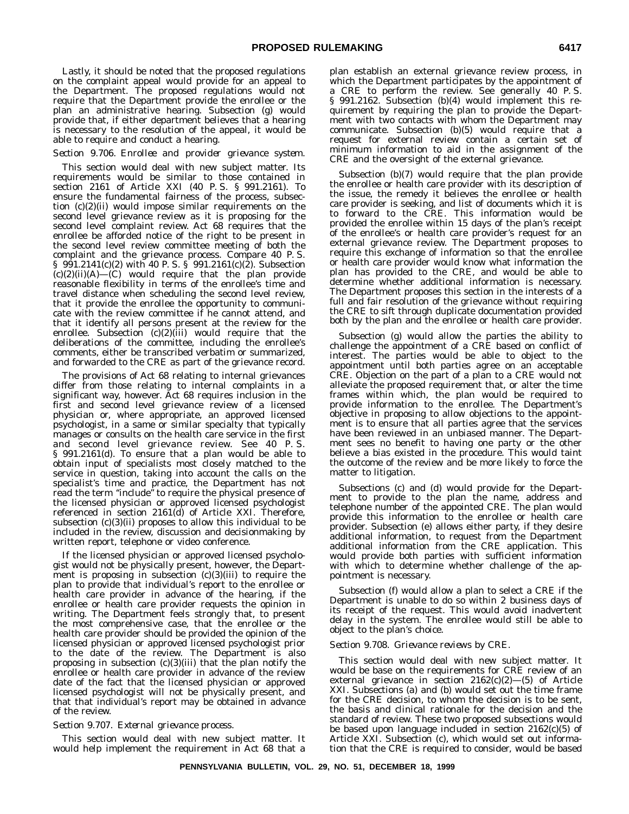Lastly, it should be noted that the proposed regulations on the complaint appeal would provide for an appeal to the Department. The proposed regulations would not require that the Department provide the enrollee or the plan an administrative hearing. Subsection (g) would provide that, if either department believes that a hearing is necessary to the resolution of the appeal, it would be able to require and conduct a hearing.

# *Section 9.706. Enrollee and provider grievance system.*

This section would deal with new subject matter. Its requirements would be similar to those contained in section 2161 of Article XXI (40 P. S. § 991.2161). To ensure the fundamental fairness of the process, subsection (c)(2)(ii) would impose similar requirements on the second level grievance review as it is proposing for the second level complaint review. Act 68 requires that the enrollee be afforded notice of the right to be present in the second level review committee meeting of both the complaint and the grievance process. Compare 40 P. S. § 991.2141(c)(2) with 40 P. S. § 991.2161(c)(2). Subsection  $(c)(2)(ii)(A)$ — $(c)$  would require that the plan provide reasonable flexibility in terms of the enrollee's time and travel distance when scheduling the second level review, that it provide the enrollee the opportunity to communicate with the review committee if he cannot attend, and that it identify all persons present at the review for the enrollee. Subsection  $(c)(2)(iii)$  would require that the deliberations of the committee, including the enrollee's comments, either be transcribed verbatim or summarized, and forwarded to the CRE as part of the grievance record.

The provisions of Act 68 relating to internal grievances differ from those relating to internal complaints in a significant way, however. Act 68 requires inclusion in the first and second level grievance review of a licensed physician or, where appropriate, an approved licensed psychologist, in a same or similar specialty that typically manages or consults on the health care service in the first and second level grievance review. See 40 P. S. § 991.2161(d). To ensure that a plan would be able to obtain input of specialists most closely matched to the service in question, taking into account the calls on the specialist's time and practice, the Department has not read the term ''include'' to require the physical presence of the licensed physician or approved licensed psychologist referenced in section 2161(d) of Article XXI. Therefore, subsection (c)(3)(ii) proposes to allow this individual to be included in the review, discussion and decisionmaking by written report, telephone or video conference.

If the licensed physician or approved licensed psychologist would not be physically present, however, the Department is proposing in subsection (c)(3)(iii) to require the plan to provide that individual's report to the enrollee or health care provider in advance of the hearing, if the enrollee or health care provider requests the opinion in writing. The Department feels strongly that, to present the most comprehensive case, that the enrollee or the health care provider should be provided the opinion of the licensed physician or approved licensed psychologist prior to the date of the review. The Department is also proposing in subsection  $(c)(3)(iii)$  that the plan notify the enrollee or health care provider in advance of the review date of the fact that the licensed physician or approved licensed psychologist will not be physically present, and that that individual's report may be obtained in advance of the review.

# *Section 9.707. External grievance process.*

This section would deal with new subject matter. It would help implement the requirement in Act 68 that a plan establish an external grievance review process, in which the Department participates by the appointment of a CRE to perform the review. See generally 40 P. S. § 991.2162. Subsection (b)(4) would implement this requirement by requiring the plan to provide the Department with two contacts with whom the Department may communicate. Subsection (b)(5) would require that a request for external review contain a certain set of minimum information to aid in the assignment of the CRE and the oversight of the external grievance.

Subsection (b)(7) would require that the plan provide the enrollee or health care provider with its description of the issue, the remedy it believes the enrollee or health care provider is seeking, and list of documents which it is to forward to the CRE. This information would be provided the enrollee within 15 days of the plan's receipt of the enrollee's or health care provider's request for an external grievance review. The Department proposes to require this exchange of information so that the enrollee or health care provider would know what information the plan has provided to the CRE, and would be able to determine whether additional information is necessary. The Department proposes this section in the interests of a full and fair resolution of the grievance without requiring the CRE to sift through duplicate documentation provided both by the plan and the enrollee or health care provider.

Subsection (g) would allow the parties the ability to challenge the appointment of a CRE based on conflict of interest. The parties would be able to object to the appointment until both parties agree on an acceptable CRE. Objection on the part of a plan to a CRE would not alleviate the proposed requirement that, or alter the time frames within which, the plan would be required to provide information to the enrollee. The Department's objective in proposing to allow objections to the appointment is to ensure that all parties agree that the services have been reviewed in an unbiased manner. The Department sees no benefit to having one party or the other believe a bias existed in the procedure. This would taint the outcome of the review and be more likely to force the matter to litigation.

Subsections (c) and (d) would provide for the Department to provide to the plan the name, address and telephone number of the appointed CRE. The plan would provide this information to the enrollee or health care provider. Subsection (e) allows either party, if they desire additional information, to request from the Department additional information from the CRE application. This would provide both parties with sufficient information with which to determine whether challenge of the appointment is necessary.

Subsection (f) would allow a plan to select a CRE if the Department is unable to do so within 2 business days of its receipt of the request. This would avoid inadvertent delay in the system. The enrollee would still be able to object to the plan's choice.

# *Section 9.708. Grievance reviews by CRE.*

This section would deal with new subject matter. It would be base on the requirements for CRE review of an external grievance in section  $2162(c)(2)$ —(5) of Article XXI. Subsections (a) and (b) would set out the time frame for the CRE decision, to whom the decision is to be sent, the basis and clinical rationale for the decision and the standard of review. These two proposed subsections would be based upon language included in section  $2162(c)(5)$  of Article XXI. Subsection (c), which would set out information that the CRE is required to consider, would be based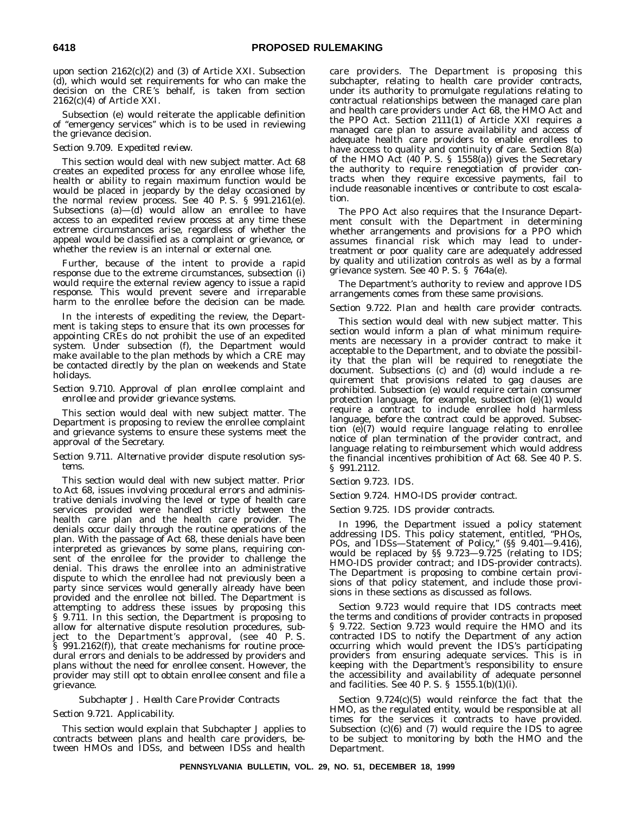upon section 2162(c)(2) and (3) of Article XXI. Subsection (d), which would set requirements for who can make the decision on the CRE's behalf, is taken from section 2162(c)(4) of Article XXI.

Subsection (e) would reiterate the applicable definition of ''emergency services'' which is to be used in reviewing the grievance decision.

# *Section 9.709. Expedited review.*

This section would deal with new subject matter. Act 68 creates an expedited process for any enrollee whose life, health or ability to regain maximum function would be would be placed in jeopardy by the delay occasioned by the normal review process. See 40 P. S. § 991.2161(e). Subsections (a)—(d) would allow an enrollee to have access to an expedited review process at any time these extreme circumstances arise, regardless of whether the appeal would be classified as a complaint or grievance, or whether the review is an internal or external one.

Further, because of the intent to provide a rapid response due to the extreme circumstances, subsection (i) would require the external review agency to issue a rapid response. This would prevent severe and irreparable harm to the enrollee before the decision can be made.

In the interests of expediting the review, the Department is taking steps to ensure that its own processes for appointing CREs do not prohibit the use of an expedited system. Under subsection (f), the Department would make available to the plan methods by which a CRE may be contacted directly by the plan on weekends and State holidays.

# *Section 9.710. Approval of plan enrollee complaint and enrollee and provider grievance systems.*

This section would deal with new subject matter. The Department is proposing to review the enrollee complaint and grievance systems to ensure these systems meet the approval of the Secretary.

# *Section 9.711. Alternative provider dispute resolution systems.*

This section would deal with new subject matter. Prior to Act 68, issues involving procedural errors and administrative denials involving the level or type of health care services provided were handled strictly between the health care plan and the health care provider. The denials occur daily through the routine operations of the plan. With the passage of Act 68, these denials have been interpreted as grievances by some plans, requiring consent of the enrollee for the provider to challenge the denial. This draws the enrollee into an administrative dispute to which the enrollee had not previously been a party since services would generally already have been provided and the enrollee not billed. The Department is attempting to address these issues by proposing this § 9.711. In this section, the Department is proposing to allow for alternative dispute resolution procedures, subject to the Department's approval, (see 40 P. S. § 991.2162(f)), that create mechanisms for routine procedural errors and denials to be addressed by providers and plans without the need for enrollee consent. However, the provider may still opt to obtain enrollee consent and file a grievance.

# *Subchapter J. Health Care Provider Contracts Section 9.721. Applicability.*

This section would explain that Subchapter J applies to contracts between plans and health care providers, between HMOs and IDSs, and between IDSs and health care providers. The Department is proposing this subchapter, relating to health care provider contracts, under its authority to promulgate regulations relating to contractual relationships between the managed care plan and health care providers under Act 68, the HMO Act and the PPO Act. Section 2111(1) of Article XXI requires a managed care plan to assure availability and access of adequate health care providers to enable enrollees to have access to quality and continuity of care. Section 8(a) of the HMO Act (40 P. S. § 1558(a)) gives the Secretary the authority to require renegotiation of provider contracts when they require excessive payments, fail to include reasonable incentives or contribute to cost escalation.

The PPO Act also requires that the Insurance Department consult with the Department in determining whether arrangements and provisions for a PPO which assumes financial risk which may lead to undertreatment or poor quality care are adequately addressed by quality and utilization controls as well as by a formal grievance system. See 40 P. S. § 764a(e).

The Department's authority to review and approve IDS arrangements comes from these same provisions.

# *Section 9.722. Plan and health care provider contracts.*

This section would deal with new subject matter. This section would inform a plan of what minimum requirements are necessary in a provider contract to make it acceptable to the Department, and to obviate the possibility that the plan will be required to renegotiate the document. Subsections (c) and (d) would include a requirement that provisions related to gag clauses are prohibited. Subsection (e) would require certain consumer protection language, for example, subsection (e)(1) would require a contract to include enrollee hold harmless language, before the contract could be approved. Subsection  $(e)(7)$  would require language relating to enrollee notice of plan termination of the provider contract, and language relating to reimbursement which would address the financial incentives prohibition of Act 68. See 40 P. S. § 991.2112.

# *Section 9.723. IDS.*

# *Section 9.724. HMO-IDS provider contract.*

# *Section 9.725. IDS provider contracts.*

In 1996, the Department issued a policy statement addressing IDS. This policy statement, entitled, ''PHOs, POs, and IDSs—Statement of Policy,'' (§§ 9.401—9.416), would be replaced by §§ 9.723—9.725 (relating to IDS; HMO-IDS provider contract; and IDS-provider contracts). The Department is proposing to combine certain provisions of that policy statement, and include those provisions in these sections as discussed as follows.

Section 9.723 would require that IDS contracts meet the terms and conditions of provider contracts in proposed § 9.722. Section 9.723 would require the HMO and its contracted IDS to notify the Department of any action occurring which would prevent the IDS's participating providers from ensuring adequate services. This is in keeping with the Department's responsibility to ensure the accessibility and availability of adequate personnel and facilities. See 40 P. S. § 1555.1(b)(1)(i).

Section 9.724(c)(5) would reinforce the fact that the HMO, as the regulated entity, would be responsible at all times for the services it contracts to have provided. Subsection (c)(6) and (7) would require the IDS to agree to be subject to monitoring by both the HMO and the Department.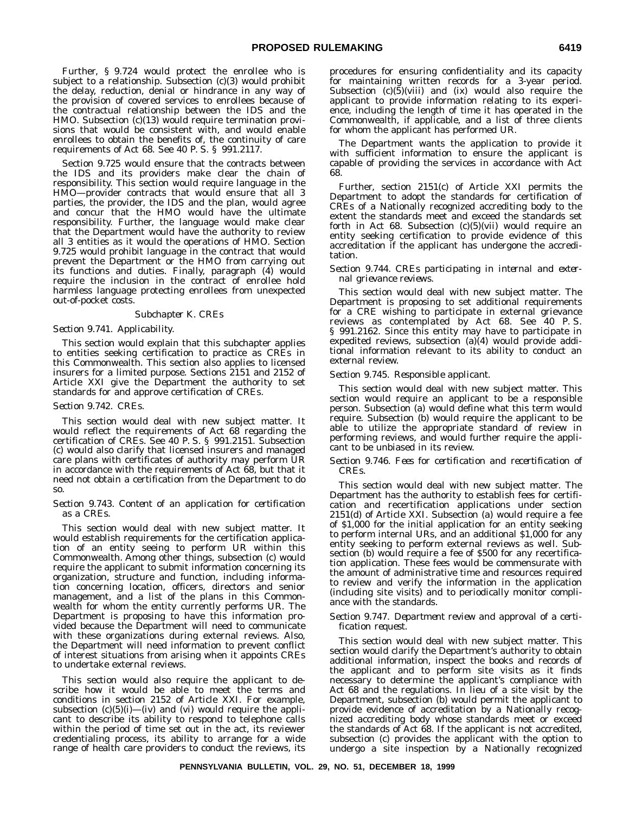Further, § 9.724 would protect the enrollee who is subject to a relationship. Subsection (c)(3) would prohibit the delay, reduction, denial or hindrance in any way of the provision of covered services to enrollees because of the contractual relationship between the IDS and the HMO. Subsection (c)(13) would require termination provisions that would be consistent with, and would enable enrollees to obtain the benefits of, the continuity of care requirements of Act 68. See 40 P. S. § 991.2117.

Section 9.725 would ensure that the contracts between the IDS and its providers make clear the chain of responsibility. This section would require language in the HMO—provider contracts that would ensure that all 3 parties, the provider, the IDS and the plan, would agree and concur that the HMO would have the ultimate responsibility. Further, the language would make clear that the Department would have the authority to review all 3 entities as it would the operations of HMO. Section 9.725 would prohibit language in the contract that would prevent the Department or the HMO from carrying out its functions and duties. Finally, paragraph (4) would require the inclusion in the contract of enrollee hold harmless language protecting enrollees from unexpected out-of-pocket costs.

#### *Subchapter K. CREs*

## *Section 9.741. Applicability.*

This section would explain that this subchapter applies to entities seeking certification to practice as CREs in this Commonwealth. This section also applies to licensed insurers for a limited purpose. Sections 2151 and 2152 of Article XXI give the Department the authority to set standards for and approve certification of CREs.

#### *Section 9.742. CREs.*

This section would deal with new subject matter. It would reflect the requirements of Act 68 regarding the certification of CREs. See 40 P. S. § 991.2151. Subsection (c) would also clarify that licensed insurers and managed care plans with certificates of authority may perform UR in accordance with the requirements of Act 68, but that it need not obtain a certification from the Department to do so.

#### *Section 9.743. Content of an application for certification as a CREs.*

This section would deal with new subject matter. It would establish requirements for the certification application of an entity seeing to perform UR within this Commonwealth. Among other things, subsection (c) would require the applicant to submit information concerning its organization, structure and function, including information concerning location, officers, directors and senior management, and a list of the plans in this Commonwealth for whom the entity currently performs UR. The Department is proposing to have this information provided because the Department will need to communicate with these organizations during external reviews. Also, the Department will need information to prevent conflict of interest situations from arising when it appoints CREs to undertake external reviews.

This section would also require the applicant to describe how it would be able to meet the terms and conditions in section 2152 of Article XXI. For example, subsection  $(c)(5)(i)$ —(iv) and (vi) would require the applicant to describe its ability to respond to telephone calls within the period of time set out in the act, its reviewer credentialing process, its ability to arrange for a wide range of health care providers to conduct the reviews, its procedures for ensuring confidentiality and its capacity for maintaining written records for a 3-year period. Subsection (c)(5)(viii) and (ix) would also require the applicant to provide information relating to its experience, including the length of time it has operated in the Commonwealth, if applicable, and a list of three clients for whom the applicant has performed UR.

The Department wants the application to provide it with sufficient information to ensure the applicant is capable of providing the services in accordance with Act 68.

Further, section 2151(c) of Article XXI permits the Department to adopt the standards for certification of CREs of a Nationally recognized accrediting body to the extent the standards meet and exceed the standards set forth in Act 68. Subsection  $(c)(5)(vi)$  would require an entity seeking certification to provide evidence of this accreditation if the applicant has undergone the accreditation.

#### *Section 9.744. CREs participating in internal and external grievance reviews.*

This section would deal with new subject matter. The Department is proposing to set additional requirements for a CRE wishing to participate in external grievance reviews as contemplated by Act 68. See 40 P. S. § 991.2162. Since this entity may have to participate in expedited reviews, subsection (a)(4) would provide additional information relevant to its ability to conduct an external review.

# *Section 9.745. Responsible applicant.*

This section would deal with new subject matter. This section would require an applicant to be a responsible person. Subsection (a) would define what this term would require. Subsection (b) would require the applicant to be able to utilize the appropriate standard of review in performing reviews, and would further require the applicant to be unbiased in its review.

# *Section 9.746. Fees for certification and recertification of CREs.*

This section would deal with new subject matter. The Department has the authority to establish fees for certification and recertification applications under section 2151(d) of Article XXI. Subsection (a) would require a fee of \$1,000 for the initial application for an entity seeking to perform internal URs, and an additional \$1,000 for any entity seeking to perform external reviews as well. Subsection (b) would require a fee of \$500 for any recertification application. These fees would be commensurate with the amount of administrative time and resources required to review and verify the information in the application (including site visits) and to periodically monitor compliance with the standards.

# *Section 9.747. Department review and approval of a certification request.*

This section would deal with new subject matter. This section would clarify the Department's authority to obtain additional information, inspect the books and records of the applicant and to perform site visits as it finds necessary to determine the applicant's compliance with Act 68 and the regulations. In lieu of a site visit by the Department, subsection (b) would permit the applicant to provide evidence of accreditation by a Nationally recognized accrediting body whose standards meet or exceed the standards of Act 68. If the applicant is not accredited, subsection (c) provides the applicant with the option to undergo a site inspection by a Nationally recognized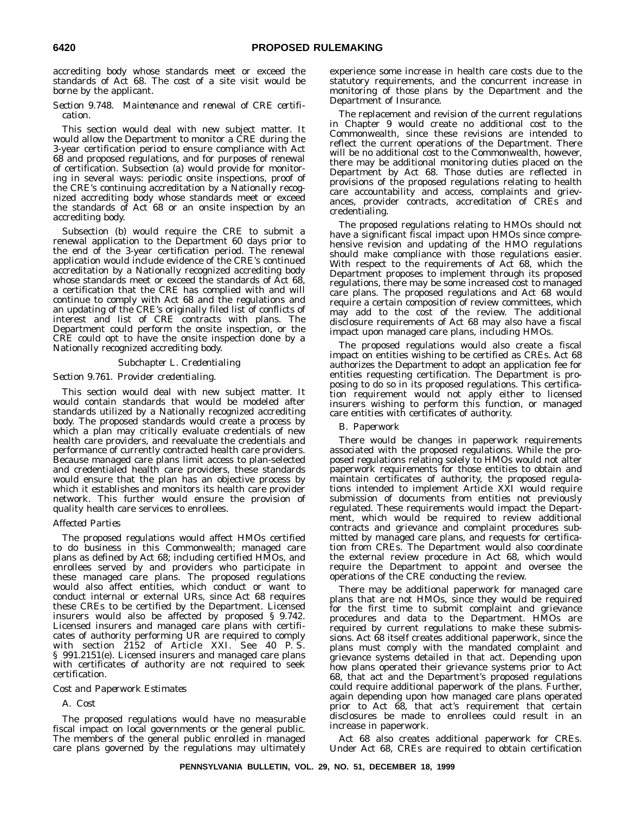accrediting body whose standards meet or exceed the standards of Act 68. The cost of a site visit would be borne by the applicant.

# *Section 9.748. Maintenance and renewal of CRE certification.*

This section would deal with new subject matter. It would allow the Department to monitor a CRE during the 3-year certification period to ensure compliance with Act 68 and proposed regulations, and for purposes of renewal of certification. Subsection (a) would provide for monitoring in several ways: periodic onsite inspections, proof of the CRE's continuing accreditation by a Nationally recognized accrediting body whose standards meet or exceed the standards of Act 68 or an onsite inspection by an accrediting body.

Subsection (b) would require the CRE to submit a renewal application to the Department 60 days prior to the end of the 3-year certification period. The renewal application would include evidence of the CRE's continued accreditation by a Nationally recognized accrediting body whose standards meet or exceed the standards of Act 68, a certification that the CRE has complied with and will continue to comply with Act 68 and the regulations and an updating of the CRE's originally filed list of conflicts of interest and list of CRE contracts with plans. The Department could perform the onsite inspection, or the CRE could opt to have the onsite inspection done by a Nationally recognized accrediting body.

# *Subchapter L. Credentialing*

# *Section 9.761. Provider credentialing.*

This section would deal with new subject matter. It would contain standards that would be modeled after standards utilized by a Nationally recognized accrediting body. The proposed standards would create a process by which a plan may critically evaluate credentials of new health care providers, and reevaluate the credentials and performance of currently contracted health care providers. Because managed care plans limit access to plan-selected and credentialed health care providers, these standards would ensure that the plan has an objective process by which it establishes and monitors its health care provider network. This further would ensure the provision of quality health care services to enrollees.

# *Affected Parties*

The proposed regulations would affect HMOs certified to do business in this Commonwealth; managed care plans as defined by Act 68; including certified HMOs, and enrollees served by and providers who participate in these managed care plans. The proposed regulations would also affect entities, which conduct or want to conduct internal or external URs, since Act 68 requires these CREs to be certified by the Department. Licensed insurers would also be affected by proposed § 9.742. Licensed insurers and managed care plans with certificates of authority performing UR are required to comply with section 2152 of Article XXI. See 40 P. S. § 991.2151(e). Licensed insurers and managed care plans with certificates of authority are not required to seek certification.

# *Cost and Paperwork Estimates*

# A. *Cost*

The proposed regulations would have no measurable fiscal impact on local governments or the general public. The members of the general public enrolled in managed care plans governed by the regulations may ultimately

experience some increase in health care costs due to the statutory requirements, and the concurrent increase in monitoring of those plans by the Department and the Department of Insurance.

The replacement and revision of the current regulations in Chapter 9 would create no additional cost to the Commonwealth, since these revisions are intended to reflect the current operations of the Department. There will be no additional cost to the Commonwealth, however, there may be additional monitoring duties placed on the Department by Act 68. Those duties are reflected in provisions of the proposed regulations relating to health care accountability and access, complaints and grievances, provider contracts, accreditation of CREs and credentialing.

The proposed regulations relating to HMOs should not have a significant fiscal impact upon HMOs since comprehensive revision and updating of the HMO regulations should make compliance with those regulations easier. With respect to the requirements of Act 68, which the Department proposes to implement through its proposed regulations, there may be some increased cost to managed care plans. The proposed regulations and Act 68 would require a certain composition of review committees, which may add to the cost of the review. The additional disclosure requirements of Act 68 may also have a fiscal impact upon managed care plans, including HMOs.

The proposed regulations would also create a fiscal impact on entities wishing to be certified as CREs. Act 68 authorizes the Department to adopt an application fee for entities requesting certification. The Department is proposing to do so in its proposed regulations. This certification requirement would not apply either to licensed insurers wishing to perform this function, or managed care entities with certificates of authority.

# B. *Paperwork*

There would be changes in paperwork requirements associated with the proposed regulations. While the proposed regulations relating solely to HMOs would not alter paperwork requirements for those entities to obtain and maintain certificates of authority, the proposed regulations intended to implement Article XXI would require submission of documents from entities not previously regulated. These requirements would impact the Department, which would be required to review additional contracts and grievance and complaint procedures submitted by managed care plans, and requests for certification from CREs. The Department would also coordinate the external review procedure in Act 68, which would require the Department to appoint and oversee the operations of the CRE conducting the review.

There may be additional paperwork for managed care plans that are not HMOs, since they would be required for the first time to submit complaint and grievance procedures and data to the Department. HMOs are required by current regulations to make these submissions. Act 68 itself creates additional paperwork, since the plans must comply with the mandated complaint and grievance systems detailed in that act. Depending upon how plans operated their grievance systems prior to Act 68, that act and the Department's proposed regulations could require additional paperwork of the plans. Further, again depending upon how managed care plans operated prior to Act 68, that act's requirement that certain disclosures be made to enrollees could result in an increase in paperwork.

Act 68 also creates additional paperwork for CREs. Under Act 68, CREs are required to obtain certification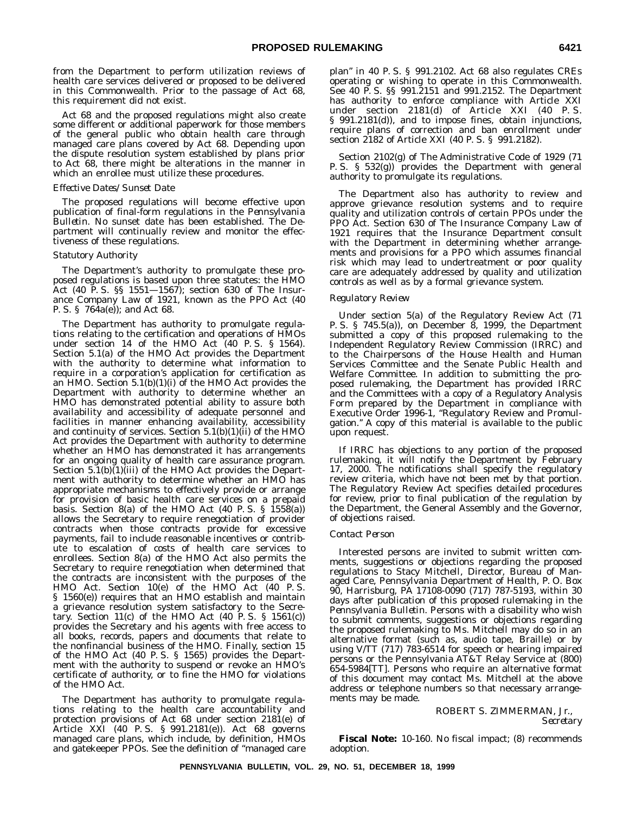from the Department to perform utilization reviews of health care services delivered or proposed to be delivered in this Commonwealth. Prior to the passage of Act 68, this requirement did not exist.

Act 68 and the proposed regulations might also create some different or additional paperwork for those members of the general public who obtain health care through managed care plans covered by Act 68. Depending upon the dispute resolution system established by plans prior to Act 68, there might be alterations in the manner in which an enrollee must utilize these procedures.

# *Effective Dates/Sunset Date*

The proposed regulations will become effective upon publication of final-form regulations in the *Pennsylvania Bulletin*. No sunset date has been established. The Department will continually review and monitor the effectiveness of these regulations.

#### *Statutory Authority*

The Department's authority to promulgate these proposed regulations is based upon three statutes: the HMO Act (40 P. S. §§ 1551—1567); section 630 of The Insurance Company Law of 1921, known as the PPO Act (40 P. S. § 764a(e)); and Act 68.

The Department has authority to promulgate regulations relating to the certification and operations of HMOs under section 14 of the HMO Act (40 P. S. § 1564). Section 5.1(a) of the HMO Act provides the Department with the authority to determine what information to require in a corporation's application for certification as an HMO. Section  $5.1(b)(1)(i)$  of the HMO Act provides the Department with authority to determine whether an HMO has demonstrated potential ability to assure both availability and accessibility of adequate personnel and facilities in manner enhancing availability, accessibility and continuity of services. Section  $5.1(b)(1)(ii)$  of the HMO Act provides the Department with authority to determine whether an HMO has demonstrated it has arrangements for an ongoing quality of health care assurance program. Section  $5.1(b)(1)(iii)$  of the HMO Act provides the Department with authority to determine whether an HMO has appropriate mechanisms to effectively provide or arrange for provision of basic health care services on a prepaid basis. Section  $8(a)$  of the HMO Act  $(40 \text{ P. S. } \S \quad 1558(a))$ allows the Secretary to require renegotiation of provider contracts when those contracts provide for excessive payments, fail to include reasonable incentives or contribute to escalation of costs of health care services to enrollees. Section 8(a) of the HMO Act also permits the Secretary to require renegotiation when determined that the contracts are inconsistent with the purposes of the HMO Act. Section 10(e) of the HMO Act (40 P. S. § 1560(e)) requires that an HMO establish and maintain a grievance resolution system satisfactory to the Secretary. Section  $11(c)$  of the HMO Act  $(40 \t{P} S. \t{S} 1561(c))$ provides the Secretary and his agents with free access to all books, records, papers and documents that relate to the nonfinancial business of the HMO. Finally, section 15 of the HMO Act (40 P. S. § 1565) provides the Department with the authority to suspend or revoke an HMO's certificate of authority, or to fine the HMO for violations of the HMO Act.

The Department has authority to promulgate regulations relating to the health care accountability and protection provisions of Act 68 under section 2181(e) of Article XXI (40 P. S. § 991.2181(e)). Act 68 governs managed care plans, which include, by definition, HMOs and gatekeeper PPOs. See the definition of ''managed care

plan'' in 40 P. S. § 991.2102. Act 68 also regulates CREs operating or wishing to operate in this Commonwealth. See 40 P. S. §§ 991.2151 and 991.2152. The Department has authority to enforce compliance with Article XXI under section 2181(d) of Article XXI (40 P. S. § 991.2181(d)), and to impose fines, obtain injunctions, require plans of correction and ban enrollment under section 2182 of Article XXI (40 P. S. § 991.2182).

Section 2102(g) of The Administrative Code of 1929 (71 P. S. § 532(g)) provides the Department with general authority to promulgate its regulations.

The Department also has authority to review and approve grievance resolution systems and to require quality and utilization controls of certain PPOs under the PPO Act. Section 630 of The Insurance Company Law of 1921 requires that the Insurance Department consult with the Department in determining whether arrangements and provisions for a PPO which assumes financial risk which may lead to undertreatment or poor quality care are adequately addressed by quality and utilization controls as well as by a formal grievance system.

### *Regulatory Review*

Under section 5(a) of the Regulatory Review Act (71 P. S. § 745.5(a)), on December 8, 1999, the Department submitted a copy of this proposed rulemaking to the Independent Regulatory Review Commission (IRRC) and to the Chairpersons of the House Health and Human Services Committee and the Senate Public Health and Welfare Committee. In addition to submitting the proposed rulemaking, the Department has provided IRRC and the Committees with a copy of a Regulatory Analysis Form prepared by the Department in compliance with Executive Order 1996-1, ''Regulatory Review and Promulgation.'' A copy of this material is available to the public upon request.

If IRRC has objections to any portion of the proposed rulemaking, it will notify the Department by February 17, 2000. The notifications shall specify the regulatory review criteria, which have not been met by that portion. The Regulatory Review Act specifies detailed procedures for review, prior to final publication of the regulation by the Department, the General Assembly and the Governor, of objections raised.

## *Contact Person*

Interested persons are invited to submit written comments, suggestions or objections regarding the proposed regulations to Stacy Mitchell, Director, Bureau of Managed Care, Pennsylvania Department of Health, P. O. Box 90, Harrisburg, PA 17108-0090 (717) 787-5193, within 30 days after publication of this proposed rulemaking in the *Pennsylvania Bulletin.* Persons with a disability who wish to submit comments, suggestions or objections regarding the proposed rulemaking to Ms. Mitchell may do so in an alternative format (such as, audio tape, Braille) or by using V/TT (717) 783-6514 for speech or hearing impaired persons or the Pennsylvania AT&T Relay Service at (800) 654-5984[TT]. Persons who require an alternative format of this document may contact Ms. Mitchell at the above address or telephone numbers so that necessary arrangements may be made.

> ROBERT S. ZIMMERMAN, Jr., *Secretary*

**Fiscal Note:** 10-160. No fiscal impact; (8) recommends adoption.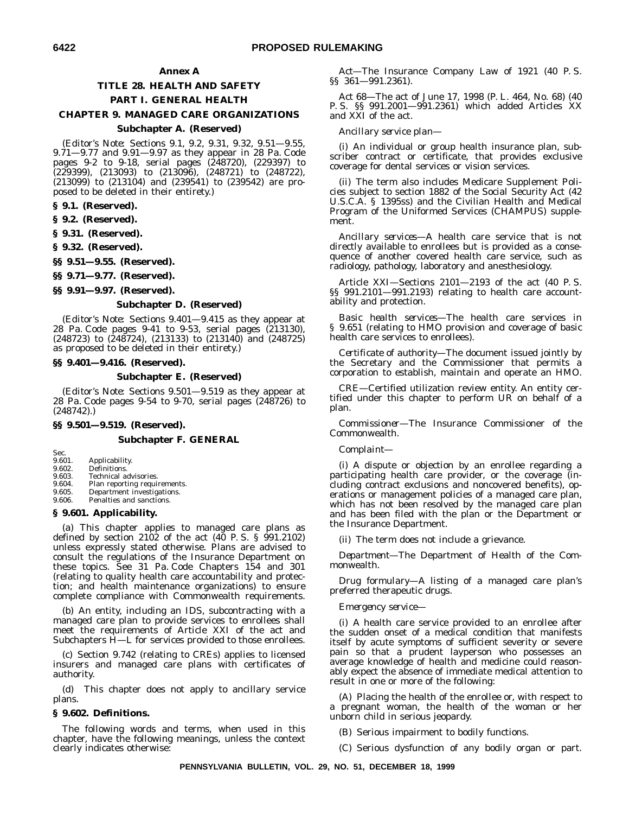## **Annex A**

## **TITLE 28. HEALTH AND SAFETY PART I. GENERAL HEALTH**

## **CHAPTER 9. MANAGED CARE ORGANIZATIONS**

## **Subchapter A. (Reserved)**

(*Editor's Note:* Sections 9.1, 9.2, 9.31, 9.32, 9.51—9.55, 9.71—9.77 and 9.91—9.97 as they appear in 28 Pa. Code pages 9-2 to 9-18, serial pages (248720), (229397) to (229399), (213093) to (213096), (248721) to (248722), (213099) to (213104) and (239541) to (239542) are proposed to be deleted in their entirety.)

#### **§ 9.1. (Reserved).**

**§ 9.2. (Reserved).**

**§ 9.31. (Reserved).**

**§ 9.32. (Reserved).**

**§§ 9.51—9.55. (Reserved).**

**§§ 9.71—9.77. (Reserved).**

**§§ 9.91—9.97. (Reserved).**

## **Subchapter D. (Reserved)**

(*Editor's Note:* Sections 9.401—9.415 as they appear at 28 Pa. Code pages 9-41 to 9-53, serial pages (213130), (248723) to (248724), (213133) to (213140) and (248725) as proposed to be deleted in their entirety.)

## **§§ 9.401—9.416. (Reserved).**

#### **Subchapter E. (Reserved)**

(*Editor's Note:* Sections 9.501—9.519 as they appear at 28 Pa. Code pages 9-54 to 9-70, serial pages (248726) to (248742).)

#### **§§ 9.501—9.519. (Reserved).**

## **Subchapter F. GENERAL**

Sec.<br>9.601. 9.601. Applicability.<br>9.602. Definitions.

- 9.602. Definitions.<br>9.603. Technical a
- 9.603. Technical advisories.<br>9.604. Plan reporting required
- Plan reporting requirements. 9.605. Department investigations.
- 9.606. Penalties and sanctions.

## **§ 9.601. Applicability.**

(a) This chapter applies to managed care plans as defined by section  $2102$  of the act  $(40 \text{ P. S. } § 991.2102)$ unless expressly stated otherwise. Plans are advised to consult the regulations of the Insurance Department on these topics. See 31 Pa. Code Chapters 154 and 301 (relating to quality health care accountability and protection; and health maintenance organizations) to ensure complete compliance with Commonwealth requirements.

(b) An entity, including an IDS, subcontracting with a managed care plan to provide services to enrollees shall meet the requirements of Article XXI of the act and Subchapters H—L for services provided to those enrollees.

(c) Section 9.742 (relating to CREs) applies to licensed insurers and managed care plans with certificates of authority.

(d) This chapter does not apply to ancillary service plans.

## **§ 9.602. Definitions.**

The following words and terms, when used in this chapter, have the following meanings, unless the context clearly indicates otherwise:

*Act—*The Insurance Company Law of 1921 (40 P. S. §§ 361—991.2361).

*Act 68*—The act of June 17, 1998 (P. L. 464, No. 68) (40 P. S. §§ 991.2001—991.2361) which added Articles XX and XXI of the act.

*Ancillary service plan*—

(i) An individual or group health insurance plan, subscriber contract or certificate, that provides exclusive coverage for dental services or vision services.

(ii) The term also includes Medicare Supplement Policies subject to section 1882 of the Social Security Act (42 U.S.C.A. § 1395ss) and the Civilian Health and Medical Program of the Uniformed Services (CHAMPUS) supplement.

*Ancillary services*—A health care service that is not directly available to enrollees but is provided as a consequence of another covered health care service, such as radiology, pathology, laboratory and anesthesiology.

Article XXI—Sections 2101—2193 of the act (40 P. S. §§ 991.2101—991.2193) relating to health care accountability and protection.

*Basic health services*—The health care services in § 9.651 (relating to HMO provision and coverage of basic health care services to enrollees).

*Certificate of authority*—The document issued jointly by the Secretary and the Commissioner that permits a corporation to establish, maintain and operate an HMO.

*CRE*—Certified utilization review entity. An entity certified under this chapter to perform UR on behalf of a plan.

*Commissioner*—The Insurance Commissioner of the Commonwealth.

#### *Complaint*—

(i) A dispute or objection by an enrollee regarding a participating health care provider, or the coverage (including contract exclusions and noncovered benefits), operations or management policies of a managed care plan, which has not been resolved by the managed care plan and has been filed with the plan or the Department or the Insurance Department.

(ii) The term does not include a grievance.

*Department*—The Department of Health of the Commonwealth.

*Drug formulary*—A listing of a managed care plan's preferred therapeutic drugs.

#### *Emergency service*—

(i) A health care service provided to an enrollee after the sudden onset of a medical condition that manifests itself by acute symptoms of sufficient severity or severe pain so that a prudent layperson who possesses an average knowledge of health and medicine could reasonably expect the absence of immediate medical attention to result in one or more of the following:

(A) Placing the health of the enrollee or, with respect to a pregnant woman, the health of the woman or her unborn child in serious jeopardy.

(B) Serious impairment to bodily functions.

(C) Serious dysfunction of any bodily organ or part.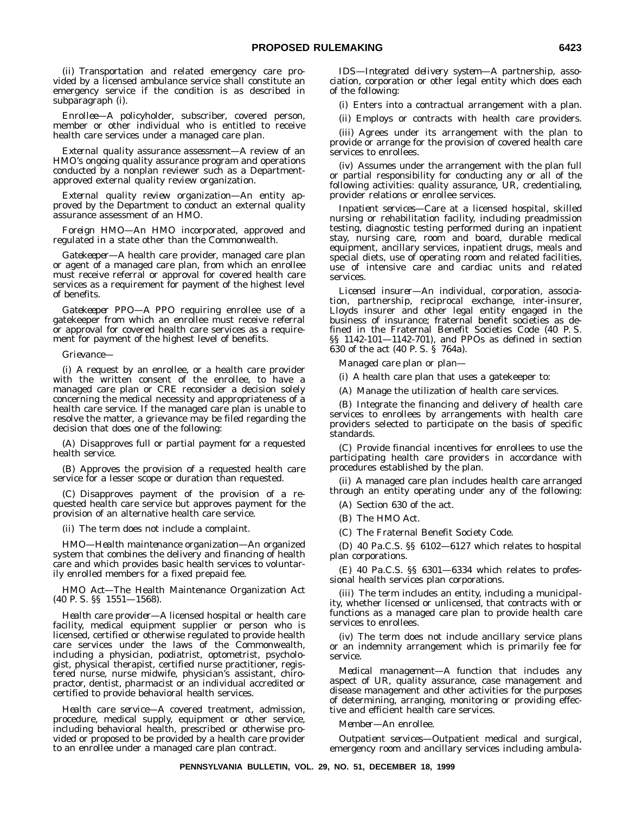(ii) Transportation and related emergency care provided by a licensed ambulance service shall constitute an emergency service if the condition is as described in subparagraph (i).

*Enrollee*—A policyholder, subscriber, covered person, member or other individual who is entitled to receive health care services under a managed care plan.

*External quality assurance assessment*—A review of an HMO's ongoing quality assurance program and operations conducted by a nonplan reviewer such as a Departmentapproved external quality review organization.

*External quality review organization*—An entity approved by the Department to conduct an external quality assurance assessment of an HMO.

*Foreign HMO*—An HMO incorporated, approved and regulated in a state other than the Commonwealth.

*Gatekeeper*—A health care provider, managed care plan or agent of a managed care plan, from which an enrollee must receive referral or approval for covered health care services as a requirement for payment of the highest level of benefits.

*Gatekeeper PPO*—A PPO requiring enrollee use of a gatekeeper from which an enrollee must receive referral or approval for covered health care services as a requirement for payment of the highest level of benefits.

*Grievance*—

(i) A request by an enrollee, or a health care provider with the written consent of the enrollee, to have a managed care plan or CRE reconsider a decision solely concerning the medical necessity and appropriateness of a health care service. If the managed care plan is unable to resolve the matter, a grievance may be filed regarding the decision that does one of the following:

(A) Disapproves full or partial payment for a requested health service.

(B) Approves the provision of a requested health care service for a lesser scope or duration than requested.

(C) Disapproves payment of the provision of a requested health care service but approves payment for the provision of an alternative health care service.

(ii) The term does not include a complaint.

*HMO—Health maintenance organization*—An organized system that combines the delivery and financing of health care and which provides basic health services to voluntarily enrolled members for a fixed prepaid fee.

*HMO Act*—The Health Maintenance Organization Act (40 P. S. §§ 1551—1568).

*Health care provider*—A licensed hospital or health care facility, medical equipment supplier or person who is licensed, certified or otherwise regulated to provide health care services under the laws of the Commonwealth, including a physician, podiatrist, optometrist, psychologist, physical therapist, certified nurse practitioner, registered nurse, nurse midwife, physician's assistant, chiropractor, dentist, pharmacist or an individual accredited or certified to provide behavioral health services.

*Health care service*—A covered treatment, admission, procedure, medical supply, equipment or other service, including behavioral health, prescribed or otherwise provided or proposed to be provided by a health care provider to an enrollee under a managed care plan contract.

*IDS—Integrated delivery system*—A partnership, association, corporation or other legal entity which does each of the following:

(i) Enters into a contractual arrangement with a plan.

(ii) Employs or contracts with health care providers.

(iii) Agrees under its arrangement with the plan to provide or arrange for the provision of covered health care services to enrollees.

(iv) Assumes under the arrangement with the plan full or partial responsibility for conducting any or all of the following activities: quality assurance, UR, credentialing, provider relations or enrollee services.

*Inpatient services*—Care at a licensed hospital, skilled nursing or rehabilitation facility, including preadmission testing, diagnostic testing performed during an inpatient stay, nursing care, room and board, durable medical equipment, ancillary services, inpatient drugs, meals and special diets, use of operating room and related facilities, use of intensive care and cardiac units and related services.

*Licensed insurer*—An individual, corporation, association, partnership, reciprocal exchange, inter-insurer, Lloyds insurer and other legal entity engaged in the business of insurance; fraternal benefit societies as defined in the Fraternal Benefit Societies Code (40 P. S. §§ 1142-101—1142-701), and PPOs as defined in section 630 of the act (40 P. S. § 764a).

*Managed care plan* or *plan*—

(i) A health care plan that uses a gatekeeper to:

(A) Manage the utilization of health care services.

(B) Integrate the financing and delivery of health care services to enrollees by arrangements with health care providers selected to participate on the basis of specific standards.

(C) Provide financial incentives for enrollees to use the participating health care providers in accordance with procedures established by the plan.

(ii) A managed care plan includes health care arranged through an entity operating under any of the following:

(A) Section 630 of the act.

(B) The HMO Act.

(C) The Fraternal Benefit Society Code.

(D) 40 Pa.C.S. §§ 6102—6127 which relates to hospital plan corporations.

(E) 40 Pa.C.S. §§ 6301—6334 which relates to professional health services plan corporations.

(iii) The term includes an entity, including a municipality, whether licensed or unlicensed, that contracts with or functions as a managed care plan to provide health care services to enrollees.

(iv) The term does not include ancillary service plans or an indemnity arrangement which is primarily fee for service.

*Medical management*—A function that includes any aspect of UR, quality assurance, case management and disease management and other activities for the purposes of determining, arranging, monitoring or providing effective and efficient health care services.

*Member*—An enrollee.

*Outpatient services*—Outpatient medical and surgical, emergency room and ancillary services including ambula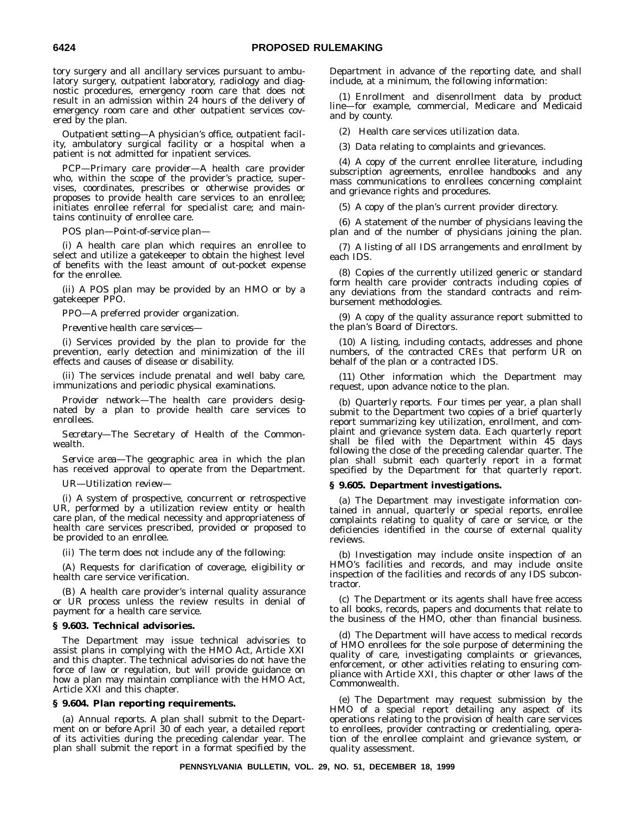tory surgery and all ancillary services pursuant to ambulatory surgery, outpatient laboratory, radiology and diagnostic procedures, emergency room care that does not result in an admission within 24 hours of the delivery of emergency room care and other outpatient services covered by the plan.

*Outpatient setting*—A physician's office, outpatient facility, ambulatory surgical facility or a hospital when a patient is not admitted for inpatient services.

*PCP—Primary care provider*—A health care provider who, within the scope of the provider's practice, supervises, coordinates, prescribes or otherwise provides or proposes to provide health care services to an enrollee; initiates enrollee referral for specialist care; and maintains continuity of enrollee care.

*POS plan—Point-of-service plan—*

(i) A health care plan which requires an enrollee to select and utilize a gatekeeper to obtain the highest level of benefits with the least amount of out-pocket expense for the enrollee.

(ii) A POS plan may be provided by an HMO or by a gatekeeper PPO.

*PPO—*A preferred provider organization.

*Preventive health care services*—

(i) Services provided by the plan to provide for the prevention, early detection and minimization of the ill effects and causes of disease or disability.

(ii) The services include prenatal and well baby care, immunizations and periodic physical examinations.

*Provider network*—The health care providers designated by a plan to provide health care services to enrollees.

*Secretary*—The Secretary of Health of the Commonwealth.

*Service area*—The geographic area in which the plan has received approval to operate from the Department.

*UR—Utilization review*—

(i) A system of prospective, concurrent or retrospective UR, performed by a utilization review entity or health care plan, of the medical necessity and appropriateness of health care services prescribed, provided or proposed to be provided to an enrollee.

(ii) The term does not include any of the following:

(A) Requests for clarification of coverage, eligibility or health care service verification.

(B) A health care provider's internal quality assurance or UR process unless the review results in denial of payment for a health care service.

## **§ 9.603. Technical advisories.**

The Department may issue technical advisories to assist plans in complying with the HMO Act, Article XXI and this chapter. The technical advisories do not have the force of law or regulation, but will provide guidance on how a plan may maintain compliance with the HMO Act, Article XXI and this chapter.

## **§ 9.604. Plan reporting requirements.**

(a) *Annual reports.* A plan shall submit to the Department on or before April 30 of each year, a detailed report of its activities during the preceding calendar year. The plan shall submit the report in a format specified by the Department in advance of the reporting date, and shall include, at a minimum, the following information:

(1) Enrollment and disenrollment data by product line—for example, commercial, Medicare and Medicaid and by county.

(2) Health care services utilization data.

(3) Data relating to complaints and grievances.

(4) A copy of the current enrollee literature, including subscription agreements, enrollee handbooks and any mass communications to enrollees concerning complaint and grievance rights and procedures.

(5) A copy of the plan's current provider directory.

(6) A statement of the number of physicians leaving the plan and of the number of physicians joining the plan.

(7) A listing of all IDS arrangements and enrollment by each IDS.

(8) Copies of the currently utilized generic or standard form health care provider contracts including copies of any deviations from the standard contracts and reimbursement methodologies.

(9) A copy of the quality assurance report submitted to the plan's Board of Directors.

(10) A listing, including contacts, addresses and phone numbers, of the contracted CREs that perform UR on behalf of the plan or a contracted IDS.

(11) Other information which the Department may request, upon advance notice to the plan.

(b) *Quarterly reports.* Four times per year, a plan shall submit to the Department two copies of a brief quarterly report summarizing key utilization, enrollment, and complaint and grievance system data. Each quarterly report shall be filed with the Department within 45 days following the close of the preceding calendar quarter. The plan shall submit each quarterly report in a format specified by the Department for that quarterly report.

## **§ 9.605. Department investigations.**

(a) The Department may investigate information contained in annual, quarterly or special reports, enrollee complaints relating to quality of care or service, or the deficiencies identified in the course of external quality reviews.

(b) Investigation may include onsite inspection of an HMO's facilities and records, and may include onsite inspection of the facilities and records of any IDS subcontractor.

(c) The Department or its agents shall have free access to all books, records, papers and documents that relate to the business of the HMO, other than financial business.

(d) The Department will have access to medical records of HMO enrollees for the sole purpose of determining the quality of care, investigating complaints or grievances, enforcement, or other activities relating to ensuring compliance with Article XXI, this chapter or other laws of the Commonwealth.

(e) The Department may request submission by the HMO of a special report detailing any aspect of its operations relating to the provision of health care services to enrollees, provider contracting or credentialing, operation of the enrollee complaint and grievance system, or quality assessment.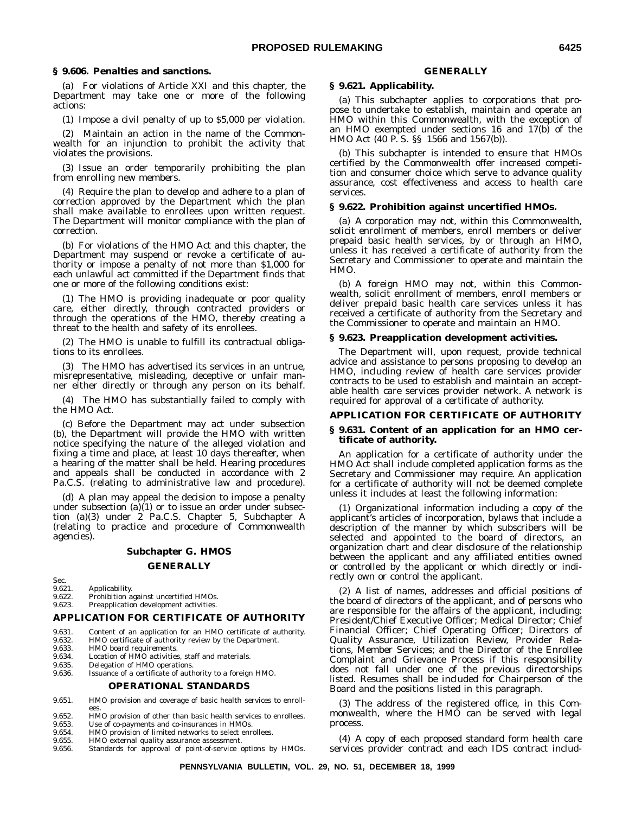## **§ 9.606. Penalties and sanctions.**

(a) For violations of Article XXI and this chapter, the Department may take one or more of the following actions:

(1) Impose a civil penalty of up to \$5,000 per violation.

(2) Maintain an action in the name of the Commonwealth for an injunction to prohibit the activity that violates the provisions.

(3) Issue an order temporarily prohibiting the plan from enrolling new members.

(4) Require the plan to develop and adhere to a plan of correction approved by the Department which the plan shall make available to enrollees upon written request. The Department will monitor compliance with the plan of correction.

(b) For violations of the HMO Act and this chapter, the Department may suspend or revoke a certificate of authority or impose a penalty of not more than \$1,000 for each unlawful act committed if the Department finds that one or more of the following conditions exist:

(1) The HMO is providing inadequate or poor quality care, either directly, through contracted providers or through the operations of the HMO, thereby creating a threat to the health and safety of its enrollees.

(2) The HMO is unable to fulfill its contractual obligations to its enrollees.

(3) The HMO has advertised its services in an untrue, misrepresentative, misleading, deceptive or unfair manner either directly or through any person on its behalf.

(4) The HMO has substantially failed to comply with the HMO Act.

(c) Before the Department may act under subsection (b), the Department will provide the HMO with written notice specifying the nature of the alleged violation and fixing a time and place, at least 10 days thereafter, when a hearing of the matter shall be held. Hearing procedures and appeals shall be conducted in accordance with 2 Pa.C.S. (relating to administrative law and procedure).

(d) A plan may appeal the decision to impose a penalty under subsection  $(a)(1)$  or to issue an order under subsection (a)(3) under 2 Pa.C.S. Chapter 5, Subchapter A (relating to practice and procedure of Commonwealth agencies).

# **Subchapter G. HMOS**

**GENERALLY**

Sec.<br>9.621.

9.621. Applicability.<br>9.622. Prohibition a

9.622. Prohibition against uncertified HMOs.<br>9.623. Preapplication development activities. Preapplication development activities.

## **APPLICATION FOR CERTIFICATE OF AUTHORITY**

- 9.631. Content of an application for an HMO certificate of authority.<br>9.632. HMO certificate of authority review by the Department.
- 9.632. HMO certificate of authority review by the Department.<br>9.633. HMO board requirements.
- 9.633. HMO board requirements.<br>9.634. Location of HMO activities 9.634. Location of HMO activities, staff and materials.<br>9.635. Delegation of HMO operations.
- 9.635. Delegation of HMO operations.

9.636. Issuance of a certificate of authority to a foreign HMO.

## **OPERATIONAL STANDARDS**

- 9.651. HMO provision and coverage of basic health services to enrollees.
- 9.652. HMO provision of other than basic health services to enrollees.<br>9.653. Use of co-payments and co-insurances in HMOs.
- 9.653. Use of co-payments and co-insurances in HMOs.<br>9.654. HMO provision of limited networks to select enr
- 9.654. HMO provision of limited networks to select enrollees.<br>9.655. HMO external quality assurance assessment.
- 9.655. HMO external quality assurance assessment.<br>9.656. Standards for approval of point-of-service of
- Standards for approval of point-of-service options by HMOs.

## **GENERALLY**

## **§ 9.621. Applicability.**

(a) This subchapter applies to corporations that propose to undertake to establish, maintain and operate an HMO within this Commonwealth, with the exception of an HMO exempted under sections 16 and 17(b) of the HMO Act (40 P. S. §§ 1566 and 1567(b)).

(b) This subchapter is intended to ensure that HMOs certified by the Commonwealth offer increased competition and consumer choice which serve to advance quality assurance, cost effectiveness and access to health care services.

## **§ 9.622. Prohibition against uncertified HMOs.**

(a) A corporation may not, within this Commonwealth, solicit enrollment of members, enroll members or deliver prepaid basic health services, by or through an HMO, unless it has received a certificate of authority from the Secretary and Commissioner to operate and maintain the HMO.

(b) A foreign HMO may not, within this Commonwealth, solicit enrollment of members, enroll members or deliver prepaid basic health care services unless it has received a certificate of authority from the Secretary and the Commissioner to operate and maintain an HMO.

## **§ 9.623. Preapplication development activities.**

The Department will, upon request, provide technical advice and assistance to persons proposing to develop an HMO, including review of health care services provider contracts to be used to establish and maintain an acceptable health care services provider network. A network is required for approval of a certificate of authority.

#### **APPLICATION FOR CERTIFICATE OF AUTHORITY**

## **§ 9.631. Content of an application for an HMO certificate of authority.**

An application for a certificate of authority under the HMO Act shall include completed application forms as the Secretary and Commissioner may require. An application for a certificate of authority will not be deemed complete unless it includes at least the following information:

(1) Organizational information including a copy of the applicant's articles of incorporation, bylaws that include a description of the manner by which subscribers will be selected and appointed to the board of directors, an organization chart and clear disclosure of the relationship between the applicant and any affiliated entities owned or controlled by the applicant or which directly or indirectly own or control the applicant.

(2) A list of names, addresses and official positions of the board of directors of the applicant, and of persons who are responsible for the affairs of the applicant, including: President/Chief Executive Officer; Medical Director; Chief Financial Officer; Chief Operating Officer; Directors of Quality Assurance, Utilization Review, Provider Relations, Member Services; and the Director of the Enrollee Complaint and Grievance Process if this responsibility does not fall under one of the previous directorships listed. Resumes shall be included for Chairperson of the Board and the positions listed in this paragraph.

(3) The address of the registered office, in this Commonwealth, where the HMO can be served with legal process.

(4) A copy of each proposed standard form health care services provider contract and each IDS contract includ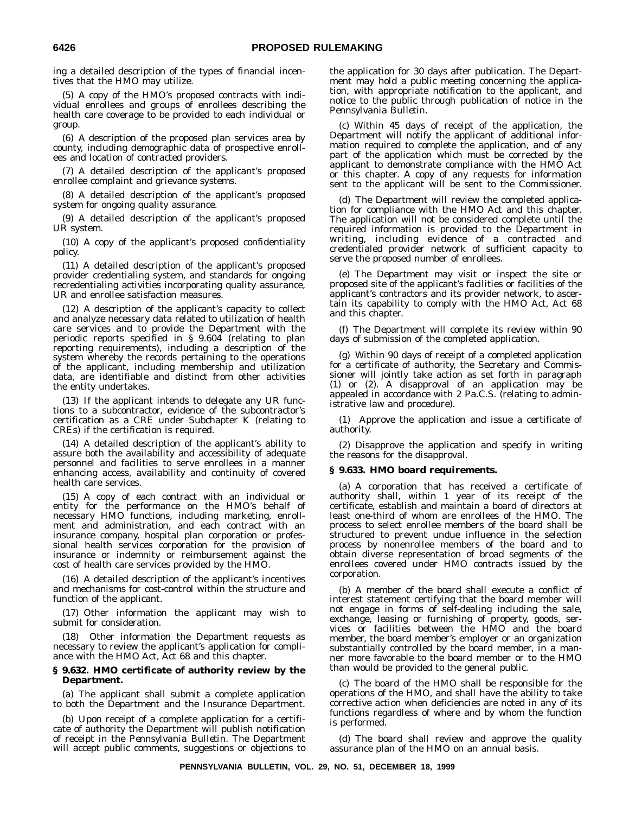ing a detailed description of the types of financial incentives that the HMO may utilize.

(5) A copy of the HMO's proposed contracts with individual enrollees and groups of enrollees describing the health care coverage to be provided to each individual or group.

(6) A description of the proposed plan services area by county, including demographic data of prospective enrollees and location of contracted providers.

(7) A detailed description of the applicant's proposed enrollee complaint and grievance systems.

(8) A detailed description of the applicant's proposed system for ongoing quality assurance.

(9) A detailed description of the applicant's proposed UR system.

(10) A copy of the applicant's proposed confidentiality policy.

(11) A detailed description of the applicant's proposed provider credentialing system, and standards for ongoing recredentialing activities incorporating quality assurance, UR and enrollee satisfaction measures.

(12) A description of the applicant's capacity to collect and analyze necessary data related to utilization of health care services and to provide the Department with the periodic reports specified in § 9.604 (relating to plan reporting requirements), including a description of the system whereby the records pertaining to the operations of the applicant, including membership and utilization data, are identifiable and distinct from other activities the entity undertakes.

(13) If the applicant intends to delegate any UR functions to a subcontractor, evidence of the subcontractor's certification as a CRE under Subchapter K (relating to CREs) if the certification is required.

(14) A detailed description of the applicant's ability to assure both the availability and accessibility of adequate personnel and facilities to serve enrollees in a manner enhancing access, availability and continuity of covered health care services.

(15) A copy of each contract with an individual or entity for the performance on the HMO's behalf of necessary HMO functions, including marketing, enrollment and administration, and each contract with an insurance company, hospital plan corporation or professional health services corporation for the provision of insurance or indemnity or reimbursement against the cost of health care services provided by the HMO.

(16) A detailed description of the applicant's incentives and mechanisms for cost-control within the structure and function of the applicant.

(17) Other information the applicant may wish to submit for consideration.

(18) Other information the Department requests as necessary to review the applicant's application for compliance with the HMO Act, Act 68 and this chapter.

## **§ 9.632. HMO certificate of authority review by the Department.**

(a) The applicant shall submit a complete application to both the Department and the Insurance Department.

(b) Upon receipt of a complete application for a certificate of authority the Department will publish notification of receipt in the *Pennsylvania Bulletin.* The Department will accept public comments, suggestions or objections to the application for 30 days after publication. The Department may hold a public meeting concerning the application, with appropriate notification to the applicant, and notice to the public through publication of notice in the *Pennsylvania Bulletin.*

(c) Within 45 days of receipt of the application, the Department will notify the applicant of additional information required to complete the application, and of any part of the application which must be corrected by the applicant to demonstrate compliance with the HMO Act or this chapter. A copy of any requests for information sent to the applicant will be sent to the Commissioner.

(d) The Department will review the completed application for compliance with the HMO Act and this chapter. The application will not be considered complete until the required information is provided to the Department in writing, including evidence of a contracted and credentialed provider network of sufficient capacity to serve the proposed number of enrollees.

(e) The Department may visit or inspect the site or proposed site of the applicant's facilities or facilities of the applicant's contractors and its provider network, to ascertain its capability to comply with the HMO Act, Act 68 and this chapter.

(f) The Department will complete its review within 90 days of submission of the completed application.

(g) Within 90 days of receipt of a completed application for a certificate of authority, the Secretary and Commissioner will jointly take action as set forth in paragraph (1) or (2). A disapproval of an application may be appealed in accordance with 2 Pa.C.S. (relating to administrative law and procedure).

(1) Approve the application and issue a certificate of authority.

(2) Disapprove the application and specify in writing the reasons for the disapproval.

## **§ 9.633. HMO board requirements.**

(a) A corporation that has received a certificate of authority shall, within 1 year of its receipt of the certificate, establish and maintain a board of directors at least one-third of whom are enrollees of the HMO. The process to select enrollee members of the board shall be structured to prevent undue influence in the selection process by nonenrollee members of the board and to obtain diverse representation of broad segments of the enrollees covered under HMO contracts issued by the corporation.

(b) A member of the board shall execute a conflict of interest statement certifying that the board member will not engage in forms of self-dealing including the sale, exchange, leasing or furnishing of property, goods, services or facilities between the HMO and the board member, the board member's employer or an organization substantially controlled by the board member, in a manner more favorable to the board member or to the HMO than would be provided to the general public.

(c) The board of the HMO shall be responsible for the operations of the HMO, and shall have the ability to take corrective action when deficiencies are noted in any of its functions regardless of where and by whom the function is performed.

(d) The board shall review and approve the quality assurance plan of the HMO on an annual basis.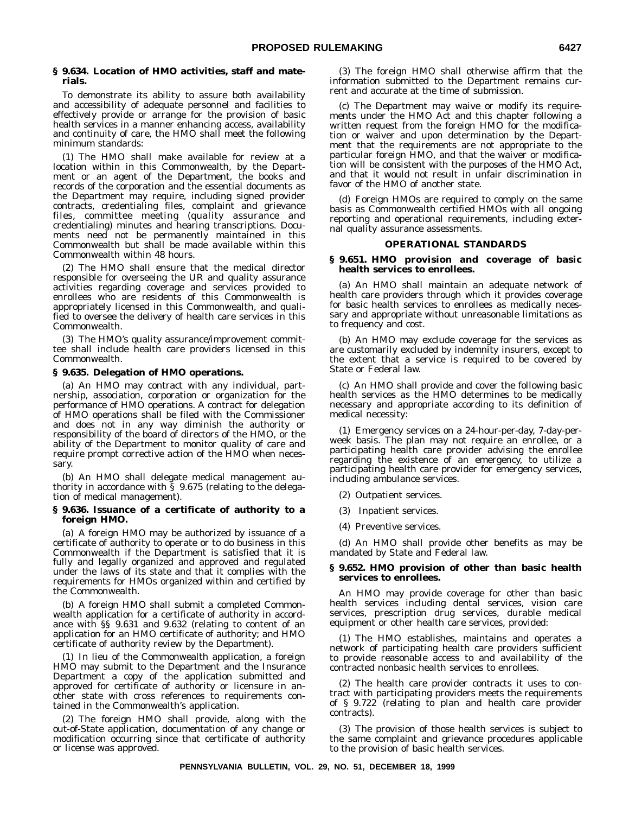## **§ 9.634. Location of HMO activities, staff and materials.**

To demonstrate its ability to assure both availability and accessibility of adequate personnel and facilities to effectively provide or arrange for the provision of basic health services in a manner enhancing access, availability and continuity of care, the HMO shall meet the following minimum standards:

(1) The HMO shall make available for review at a location within in this Commonwealth, by the Department or an agent of the Department, the books and records of the corporation and the essential documents as the Department may require, including signed provider contracts, credentialing files, complaint and grievance files, committee meeting (quality assurance and credentialing) minutes and hearing transcriptions. Documents need not be permanently maintained in this Commonwealth but shall be made available within this Commonwealth within 48 hours.

(2) The HMO shall ensure that the medical director responsible for overseeing the UR and quality assurance activities regarding coverage and services provided to enrollees who are residents of this Commonwealth is appropriately licensed in this Commonwealth, and qualified to oversee the delivery of health care services in this Commonwealth.

(3) The HMO's quality assurance/improvement committee shall include health care providers licensed in this Commonwealth.

## **§ 9.635. Delegation of HMO operations.**

(a) An HMO may contract with any individual, partnership, association, corporation or organization for the performance of HMO operations. A contract for delegation of HMO operations shall be filed with the Commissioner and does not in any way diminish the authority or responsibility of the board of directors of the HMO, or the ability of the Department to monitor quality of care and require prompt corrective action of the HMO when necessary.

(b) An HMO shall delegate medical management authority in accordance with § 9.675 (relating to the delegation of medical management).

## **§ 9.636. Issuance of a certificate of authority to a foreign HMO.**

(a) A foreign HMO may be authorized by issuance of a certificate of authority to operate or to do business in this Commonwealth if the Department is satisfied that it is fully and legally organized and approved and regulated under the laws of its state and that it complies with the requirements for HMOs organized within and certified by the Commonwealth.

(b) A foreign HMO shall submit a completed Commonwealth application for a certificate of authority in accordance with §§ 9.631 and 9.632 (relating to content of an application for an HMO certificate of authority; and HMO certificate of authority review by the Department).

(1) In lieu of the Commonwealth application, a foreign HMO may submit to the Department and the Insurance Department a copy of the application submitted and approved for certificate of authority or licensure in another state with cross references to requirements contained in the Commonwealth's application.

(2) The foreign HMO shall provide, along with the out-of-State application, documentation of any change or modification occurring since that certificate of authority or license was approved.

(3) The foreign HMO shall otherwise affirm that the information submitted to the Department remains current and accurate at the time of submission.

(c) The Department may waive or modify its requirements under the HMO Act and this chapter following a written request from the foreign HMO for the modification or waiver and upon determination by the Department that the requirements are not appropriate to the particular foreign HMO, and that the waiver or modification will be consistent with the purposes of the HMO Act, and that it would not result in unfair discrimination in favor of the HMO of another state.

(d) Foreign HMOs are required to comply on the same basis as Commonwealth certified HMOs with all ongoing reporting and operational requirements, including external quality assurance assessments.

## **OPERATIONAL STANDARDS**

## **§ 9.651. HMO provision and coverage of basic health services to enrollees.**

(a) An HMO shall maintain an adequate network of health care providers through which it provides coverage for basic health services to enrollees as medically necessary and appropriate without unreasonable limitations as to frequency and cost.

(b) An HMO may exclude coverage for the services as are customarily excluded by indemnity insurers, except to the extent that a service is required to be covered by State or Federal law.

(c) An HMO shall provide and cover the following basic health services as the HMO determines to be medically necessary and appropriate according to its definition of medical necessity:

(1) Emergency services on a 24-hour-per-day, 7-day-perweek basis. The plan may not require an enrollee, or a participating health care provider advising the enrollee regarding the existence of an emergency, to utilize a participating health care provider for emergency services, including ambulance services.

(2) Outpatient services.

- (3) Inpatient services.
- (4) Preventive services.

(d) An HMO shall provide other benefits as may be mandated by State and Federal law.

## **§ 9.652. HMO provision of other than basic health services to enrollees.**

An HMO may provide coverage for other than basic health services including dental services, vision care services, prescription drug services, durable medical equipment or other health care services, provided:

(1) The HMO establishes, maintains and operates a network of participating health care providers sufficient to provide reasonable access to and availability of the contracted nonbasic health services to enrollees.

(2) The health care provider contracts it uses to contract with participating providers meets the requirements of § 9.722 (relating to plan and health care provider contracts).

(3) The provision of those health services is subject to the same complaint and grievance procedures applicable to the provision of basic health services.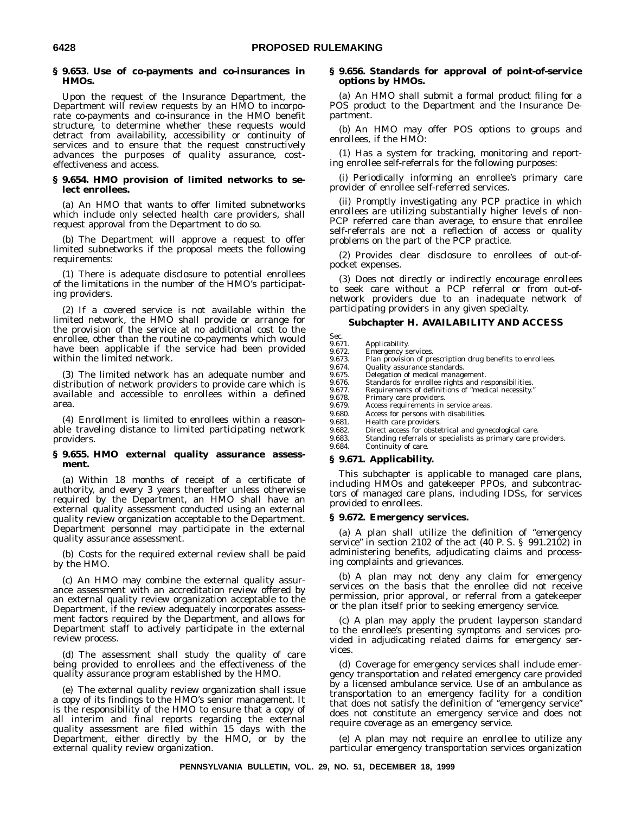## **§ 9.653. Use of co-payments and co-insurances in HMOs.**

Upon the request of the Insurance Department, the Department will review requests by an HMO to incorporate co-payments and co-insurance in the HMO benefit structure, to determine whether these requests would detract from availability, accessibility or continuity of services and to ensure that the request constructively advances the purposes of quality assurance, costeffectiveness and access.

## **§ 9.654. HMO provision of limited networks to select enrollees.**

(a) An HMO that wants to offer limited subnetworks which include only selected health care providers, shall request approval from the Department to do so.

(b) The Department will approve a request to offer limited subnetworks if the proposal meets the following requirements:

(1) There is adequate disclosure to potential enrollees of the limitations in the number of the HMO's participating providers.

(2) If a covered service is not available within the limited network, the HMO shall provide or arrange for the provision of the service at no additional cost to the enrollee, other than the routine co-payments which would have been applicable if the service had been provided within the limited network.

(3) The limited network has an adequate number and distribution of network providers to provide care which is available and accessible to enrollees within a defined area.

(4) Enrollment is limited to enrollees within a reasonable traveling distance to limited participating network providers.

#### **§ 9.655. HMO external quality assurance assessment.**

(a) Within 18 months of receipt of a certificate of authority, and every 3 years thereafter unless otherwise required by the Department, an HMO shall have an external quality assessment conducted using an external quality review organization acceptable to the Department. Department personnel may participate in the external quality assurance assessment.

(b) Costs for the required external review shall be paid by the HMO.

(c) An HMO may combine the external quality assurance assessment with an accreditation review offered by an external quality review organization acceptable to the Department, if the review adequately incorporates assessment factors required by the Department, and allows for Department staff to actively participate in the external review process.

(d) The assessment shall study the quality of care being provided to enrollees and the effectiveness of the quality assurance program established by the HMO.

(e) The external quality review organization shall issue a copy of its findings to the HMO's senior management. It is the responsibility of the HMO to ensure that a copy of all interim and final reports regarding the external quality assessment are filed within 15 days with the Department, either directly by the HMO, or by the external quality review organization.

## **§ 9.656. Standards for approval of point-of-service options by HMOs.**

(a) An HMO shall submit a formal product filing for a POS product to the Department and the Insurance Department.

(b) An HMO may offer POS options to groups and enrollees, if the HMO:

(1) Has a system for tracking, monitoring and reporting enrollee self-referrals for the following purposes:

(i) Periodically informing an enrollee's primary care provider of enrollee self-referred services.

(ii) Promptly investigating any PCP practice in which enrollees are utilizing substantially higher levels of non-PCP referred care than average, to ensure that enrollee self-referrals are not a reflection of access or quality problems on the part of the PCP practice.

(2) Provides clear disclosure to enrollees of out-ofpocket expenses.

(3) Does not directly or indirectly encourage enrollees to seek care without a PCP referral or from out-ofnetwork providers due to an inadequate network of participating providers in any given specialty.

## **Subchapter H. AVAILABILITY AND ACCESS**

- Sec.<br>9.671
	- 9.671. Applicability.<br>9.672. Emergency so
- 9.672. Emergency services. 9.673. Plan provision of prescription drug benefits to enrollees. 9.674. Quality assurance standards.
- 
- 9.675. Delegation of medical management.<br>9.676. Standards for enrollee rights and re
- 9.676. Standards for enrollee rights and responsibilities.<br>9.677. Requirements of definitions of "medical necessity."
- 9.677. Requirements of definitions of "medical necessity.<br>9.678. Primary care providers.
- 9.678. Primary care providers.<br>9.679. Access requirements in
- Access requirements in service areas. 9.680. Access for persons with disabilities.
- 9.681. Health care providers.
- 
- 9.682. Direct access for obstetrical and gynecological care.<br>9.683. Standing referrals or specialists as primary care pr Standing referrals or specialists as primary care providers.
- 9.684. Continuity of care.

## **§ 9.671. Applicability.**

This subchapter is applicable to managed care plans, including HMOs and gatekeeper PPOs, and subcontractors of managed care plans, including IDSs, for services provided to enrollees.

## **§ 9.672. Emergency services.**

(a) A plan shall utilize the definition of ''emergency service'' in section 2102 of the act (40 P. S. § 991.2102) in administering benefits, adjudicating claims and processing complaints and grievances.

(b) A plan may not deny any claim for emergency services on the basis that the enrollee did not receive permission, prior approval, or referral from a gatekeeper or the plan itself prior to seeking emergency service.

(c) A plan may apply the prudent layperson standard to the enrollee's presenting symptoms and services provided in adjudicating related claims for emergency services.

(d) Coverage for emergency services shall include emergency transportation and related emergency care provided by a licensed ambulance service. Use of an ambulance as transportation to an emergency facility for a condition that does not satisfy the definition of ''emergency service'' does not constitute an emergency service and does not require coverage as an emergency service.

(e) A plan may not require an enrollee to utilize any particular emergency transportation services organization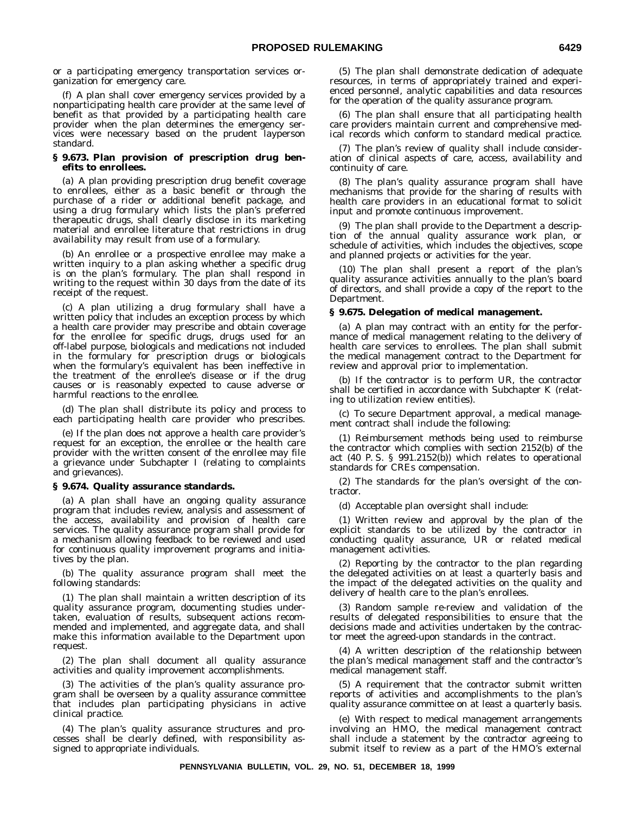or a participating emergency transportation services organization for emergency care.

(f) A plan shall cover emergency services provided by a nonparticipating health care provider at the same level of benefit as that provided by a participating health care provider when the plan determines the emergency services were necessary based on the prudent layperson standard.

## **§ 9.673. Plan provision of prescription drug benefits to enrollees.**

(a) A plan providing prescription drug benefit coverage to enrollees, either as a basic benefit or through the purchase of a rider or additional benefit package, and using a drug formulary which lists the plan's preferred therapeutic drugs, shall clearly disclose in its marketing material and enrollee literature that restrictions in drug availability may result from use of a formulary.

(b) An enrollee or a prospective enrollee may make a written inquiry to a plan asking whether a specific drug is on the plan's formulary. The plan shall respond in writing to the request within 30 days from the date of its receipt of the request.

(c) A plan utilizing a drug formulary shall have a written policy that includes an exception process by which a health care provider may prescribe and obtain coverage for the enrollee for specific drugs, drugs used for an off-label purpose, biologicals and medications not included in the formulary for prescription drugs or biologicals when the formulary's equivalent has been ineffective in the treatment of the enrollee's disease or if the drug causes or is reasonably expected to cause adverse or harmful reactions to the enrollee.

(d) The plan shall distribute its policy and process to each participating health care provider who prescribes.

(e) If the plan does not approve a health care provider's request for an exception, the enrollee or the health care provider with the written consent of the enrollee may file a grievance under Subchapter I (relating to complaints and grievances).

## **§ 9.674. Quality assurance standards.**

(a) A plan shall have an ongoing quality assurance program that includes review, analysis and assessment of the access, availability and provision of health care services. The quality assurance program shall provide for a mechanism allowing feedback to be reviewed and used for continuous quality improvement programs and initiatives by the plan.

(b) The quality assurance program shall meet the following standards:

(1) The plan shall maintain a written description of its quality assurance program, documenting studies undertaken, evaluation of results, subsequent actions recommended and implemented, and aggregate data, and shall make this information available to the Department upon request.

(2) The plan shall document all quality assurance activities and quality improvement accomplishments.

(3) The activities of the plan's quality assurance program shall be overseen by a quality assurance committee that includes plan participating physicians in active clinical practice.

(4) The plan's quality assurance structures and processes shall be clearly defined, with responsibility assigned to appropriate individuals.

(5) The plan shall demonstrate dedication of adequate resources, in terms of appropriately trained and experienced personnel, analytic capabilities and data resources for the operation of the quality assurance program.

(6) The plan shall ensure that all participating health care providers maintain current and comprehensive medical records which conform to standard medical practice.

(7) The plan's review of quality shall include consideration of clinical aspects of care, access, availability and continuity of care.

(8) The plan's quality assurance program shall have mechanisms that provide for the sharing of results with health care providers in an educational format to solicit input and promote continuous improvement.

(9) The plan shall provide to the Department a description of the annual quality assurance work plan, or schedule of activities, which includes the objectives, scope and planned projects or activities for the year.

(10) The plan shall present a report of the plan's quality assurance activities annually to the plan's board of directors, and shall provide a copy of the report to the Department.

## **§ 9.675. Delegation of medical management.**

(a) A plan may contract with an entity for the performance of medical management relating to the delivery of health care services to enrollees. The plan shall submit the medical management contract to the Department for review and approval prior to implementation.

(b) If the contractor is to perform UR, the contractor shall be certified in accordance with Subchapter K (relating to utilization review entities).

(c) To secure Department approval, a medical management contract shall include the following:

(1) Reimbursement methods being used to reimburse the contractor which complies with section 2152(b) of the act (40 P. S. § 991.2152(b)) which relates to operational standards for CREs compensation.

(2) The standards for the plan's oversight of the contractor.

(d) Acceptable plan oversight shall include:

(1) Written review and approval by the plan of the explicit standards to be utilized by the contractor in conducting quality assurance, UR or related medical management activities.

(2) Reporting by the contractor to the plan regarding the delegated activities on at least a quarterly basis and the impact of the delegated activities on the quality and delivery of health care to the plan's enrollees.

(3) Random sample re-review and validation of the results of delegated responsibilities to ensure that the decisions made and activities undertaken by the contractor meet the agreed-upon standards in the contract.

(4) A written description of the relationship between the plan's medical management staff and the contractor's medical management staff.

(5) A requirement that the contractor submit written reports of activities and accomplishments to the plan's quality assurance committee on at least a quarterly basis.

(e) With respect to medical management arrangements involving an HMO, the medical management contract shall include a statement by the contractor agreeing to submit itself to review as a part of the HMO's external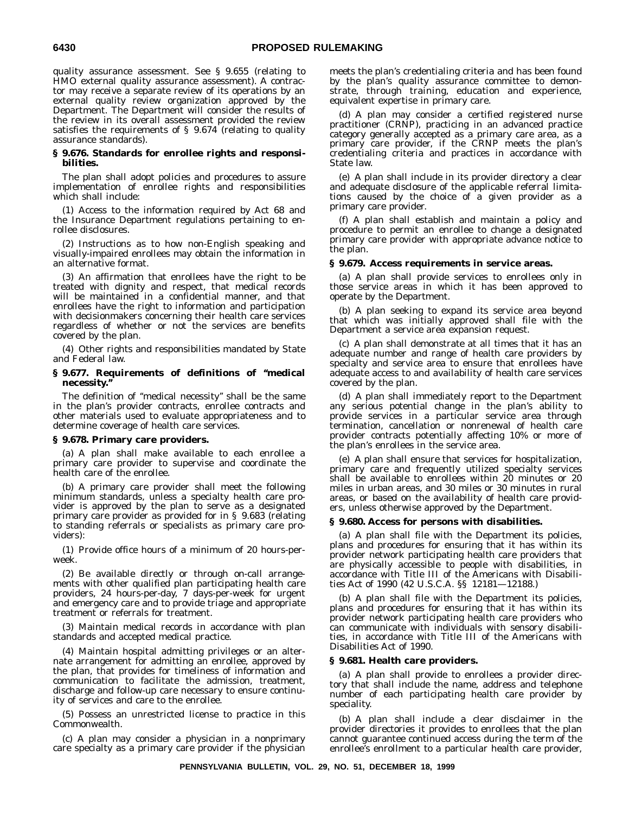quality assurance assessment. See § 9.655 (relating to HMO external quality assurance assessment). A contractor may receive a separate review of its operations by an external quality review organization approved by the Department. The Department will consider the results of the review in its overall assessment provided the review satisfies the requirements of § 9.674 (relating to quality assurance standards).

## **§ 9.676. Standards for enrollee rights and responsibilities.**

The plan shall adopt policies and procedures to assure implementation of enrollee rights and responsibilities which shall include:

(1) Access to the information required by Act 68 and the Insurance Department regulations pertaining to enrollee disclosures.

Instructions as to how non-English speaking and visually-impaired enrollees may obtain the information in an alternative format.

(3) An affirmation that enrollees have the right to be treated with dignity and respect, that medical records will be maintained in a confidential manner, and that enrollees have the right to information and participation with decisionmakers concerning their health care services regardless of whether or not the services are benefits covered by the plan.

(4) Other rights and responsibilities mandated by State and Federal law.

## **§ 9.677. Requirements of definitions of ''medical necessity.''**

The definition of ''medical necessity'' shall be the same in the plan's provider contracts, enrollee contracts and other materials used to evaluate appropriateness and to determine coverage of health care services.

## **§ 9.678. Primary care providers.**

(a) A plan shall make available to each enrollee a primary care provider to supervise and coordinate the health care of the enrollee.

(b) A primary care provider shall meet the following minimum standards, unless a specialty health care provider is approved by the plan to serve as a designated primary care provider as provided for in § 9.683 (relating to standing referrals or specialists as primary care providers):

(1) Provide office hours of a minimum of 20 hours-perweek.

(2) Be available directly or through on-call arrangements with other qualified plan participating health care providers, 24 hours-per-day, 7 days-per-week for urgent and emergency care and to provide triage and appropriate treatment or referrals for treatment.

(3) Maintain medical records in accordance with plan standards and accepted medical practice.

(4) Maintain hospital admitting privileges or an alternate arrangement for admitting an enrollee, approved by the plan, that provides for timeliness of information and communication to facilitate the admission, treatment, discharge and follow-up care necessary to ensure continuity of services and care to the enrollee.

(5) Possess an unrestricted license to practice in this Commonwealth.

(c) A plan may consider a physician in a nonprimary care specialty as a primary care provider if the physician meets the plan's credentialing criteria and has been found by the plan's quality assurance committee to demonstrate, through training, education and experience, equivalent expertise in primary care.

(d) A plan may consider a certified registered nurse practitioner (CRNP), practicing in an advanced practice category generally accepted as a primary care area, as a primary care provider, if the CRNP meets the plan's credentialing criteria and practices in accordance with State law.

(e) A plan shall include in its provider directory a clear and adequate disclosure of the applicable referral limitations caused by the choice of a given provider as a primary care provider.

(f) A plan shall establish and maintain a policy and procedure to permit an enrollee to change a designated primary care provider with appropriate advance notice to the plan.

## **§ 9.679. Access requirements in service areas.**

(a) A plan shall provide services to enrollees only in those service areas in which it has been approved to operate by the Department.

(b) A plan seeking to expand its service area beyond that which was initially approved shall file with the Department a service area expansion request.

(c) A plan shall demonstrate at all times that it has an adequate number and range of health care providers by specialty and service area to ensure that enrollees have adequate access to and availability of health care services covered by the plan.

(d) A plan shall immediately report to the Department any serious potential change in the plan's ability to provide services in a particular service area through termination, cancellation or nonrenewal of health care provider contracts potentially affecting 10% or more of the plan's enrollees in the service area.

(e) A plan shall ensure that services for hospitalization, primary care and frequently utilized specialty services shall be available to enrollees within 20 minutes or 20 miles in urban areas, and 30 miles or 30 minutes in rural areas, or based on the availability of health care providers, unless otherwise approved by the Department.

## **§ 9.680. Access for persons with disabilities.**

(a) A plan shall file with the Department its policies, plans and procedures for ensuring that it has within its provider network participating health care providers that are physically accessible to people with disabilities, in accordance with Title III of the Americans with Disabilities Act of 1990 (42 U.S.C.A. §§ 12181—12188.)

(b) A plan shall file with the Department its policies, plans and procedures for ensuring that it has within its provider network participating health care providers who can communicate with individuals with sensory disabilities, in accordance with Title III of the Americans with Disabilities Act of 1990.

## **§ 9.681. Health care providers.**

(a) A plan shall provide to enrollees a provider directory that shall include the name, address and telephone number of each participating health care provider by speciality.

(b) A plan shall include a clear disclaimer in the provider directories it provides to enrollees that the plan cannot guarantee continued access during the term of the enrollee's enrollment to a particular health care provider,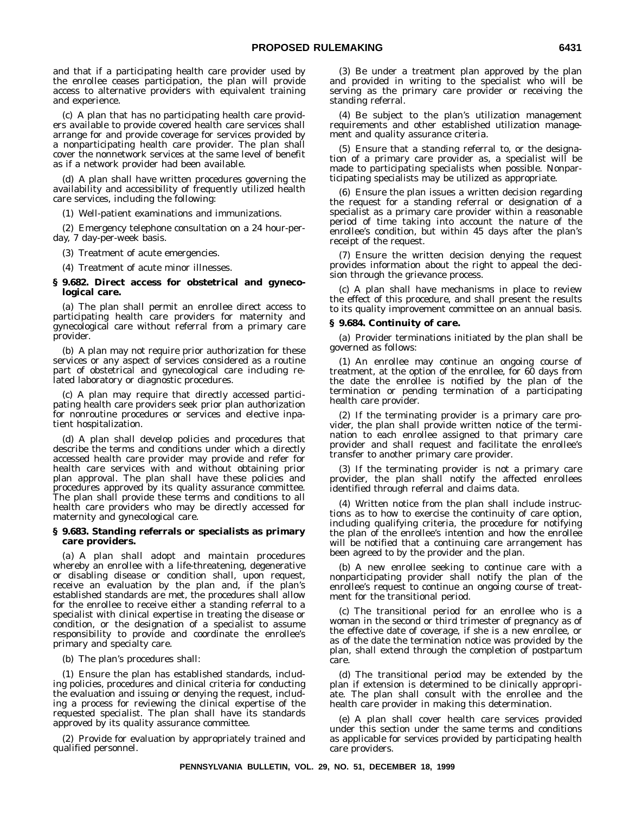and that if a participating health care provider used by the enrollee ceases participation, the plan will provide access to alternative providers with equivalent training and experience.

(c) A plan that has no participating health care providers available to provide covered health care services shall arrange for and provide coverage for services provided by a nonparticipating health care provider. The plan shall cover the nonnetwork services at the same level of benefit as if a network provider had been available.

(d) A plan shall have written procedures governing the availability and accessibility of frequently utilized health care services, including the following:

(1) Well-patient examinations and immunizations.

(2) Emergency telephone consultation on a 24 hour-perday, 7 day-per-week basis.

(3) Treatment of acute emergencies.

(4) Treatment of acute minor illnesses.

## **§ 9.682. Direct access for obstetrical and gynecological care.**

(a) The plan shall permit an enrollee direct access to participating health care providers for maternity and gynecological care without referral from a primary care provider.

(b) A plan may not require prior authorization for these services or any aspect of services considered as a routine part of obstetrical and gynecological care including related laboratory or diagnostic procedures.

(c) A plan may require that directly accessed participating health care providers seek prior plan authorization for nonroutine procedures or services and elective inpatient hospitalization.

(d) A plan shall develop policies and procedures that describe the terms and conditions under which a directly accessed health care provider may provide and refer for health care services with and without obtaining prior plan approval. The plan shall have these policies and procedures approved by its quality assurance committee. The plan shall provide these terms and conditions to all health care providers who may be directly accessed for maternity and gynecological care.

## **§ 9.683. Standing referrals or specialists as primary care providers.**

(a) A plan shall adopt and maintain procedures whereby an enrollee with a life-threatening, degenerative or disabling disease or condition shall, upon request, receive an evaluation by the plan and, if the plan's established standards are met, the procedures shall allow for the enrollee to receive either a standing referral to a specialist with clinical expertise in treating the disease or condition, or the designation of a specialist to assume responsibility to provide and coordinate the enrollee's primary and specialty care.

(b) The plan's procedures shall:

(1) Ensure the plan has established standards, including policies, procedures and clinical criteria for conducting the evaluation and issuing or denying the request, including a process for reviewing the clinical expertise of the requested specialist. The plan shall have its standards approved by its quality assurance committee.

(2) Provide for evaluation by appropriately trained and qualified personnel.

(3) Be under a treatment plan approved by the plan and provided in writing to the specialist who will be serving as the primary care provider or receiving the standing referral.

(4) Be subject to the plan's utilization management requirements and other established utilization management and quality assurance criteria.

(5) Ensure that a standing referral to, or the designation of a primary care provider as, a specialist will be made to participating specialists when possible. Nonparticipating specialists may be utilized as appropriate.

(6) Ensure the plan issues a written decision regarding the request for a standing referral or designation of a specialist as a primary care provider within a reasonable period of time taking into account the nature of the enrollee's condition, but within 45 days after the plan's receipt of the request.

(7) Ensure the written decision denying the request provides information about the right to appeal the decision through the grievance process.

(c) A plan shall have mechanisms in place to review the effect of this procedure, and shall present the results to its quality improvement committee on an annual basis.

#### **§ 9.684. Continuity of care.**

(a) Provider terminations initiated by the plan shall be governed as follows:

(1) An enrollee may continue an ongoing course of treatment, at the option of the enrollee, for 60 days from the date the enrollee is notified by the plan of the termination or pending termination of a participating health care provider.

(2) If the terminating provider is a primary care provider, the plan shall provide written notice of the termination to each enrollee assigned to that primary care provider and shall request and facilitate the enrollee's transfer to another primary care provider.

(3) If the terminating provider is not a primary care provider, the plan shall notify the affected enrollees identified through referral and claims data.

(4) Written notice from the plan shall include instructions as to how to exercise the continuity of care option, including qualifying criteria, the procedure for notifying the plan of the enrollee's intention and how the enrollee will be notified that a continuing care arrangement has been agreed to by the provider and the plan.

(b) A new enrollee seeking to continue care with a nonparticipating provider shall notify the plan of the enrollee's request to continue an ongoing course of treatment for the transitional period.

(c) The transitional period for an enrollee who is a woman in the second or third trimester of pregnancy as of the effective date of coverage, if she is a new enrollee, or as of the date the termination notice was provided by the plan, shall extend through the completion of postpartum care.

(d) The transitional period may be extended by the plan if extension is determined to be clinically appropriate. The plan shall consult with the enrollee and the health care provider in making this determination.

(e) A plan shall cover health care services provided under this section under the same terms and conditions as applicable for services provided by participating health care providers.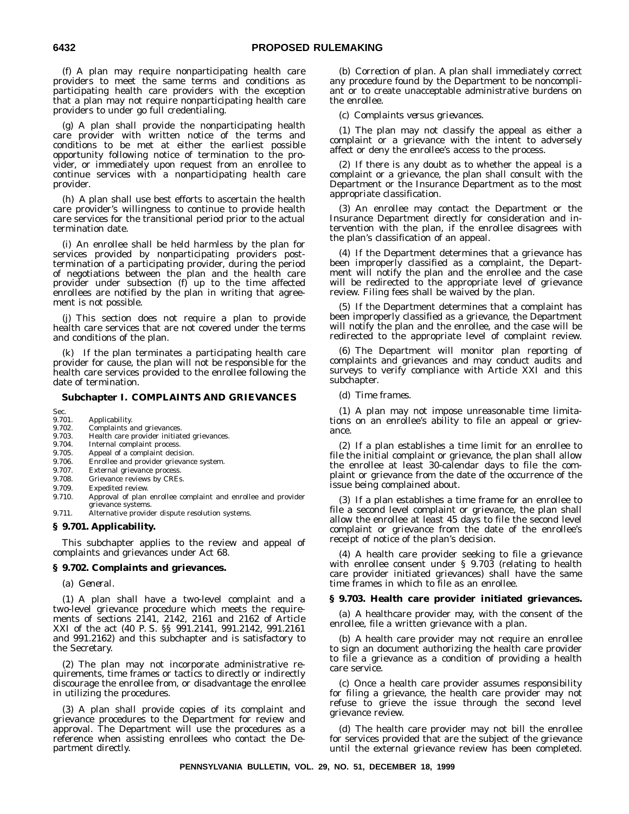(f) A plan may require nonparticipating health care providers to meet the same terms and conditions as participating health care providers with the exception that a plan may not require nonparticipating health care providers to under go full credentialing.

(g) A plan shall provide the nonparticipating health care provider with written notice of the terms and conditions to be met at either the earliest possible opportunity following notice of termination to the provider, or immediately upon request from an enrollee to continue services with a nonparticipating health care provider.

(h) A plan shall use best efforts to ascertain the health care provider's willingness to continue to provide health care services for the transitional period prior to the actual termination date.

(i) An enrollee shall be held harmless by the plan for services provided by nonparticipating providers posttermination of a participating provider, during the period of negotiations between the plan and the health care provider under subsection (f) up to the time affected enrollees are notified by the plan in writing that agreement is not possible.

(j) This section does not require a plan to provide health care services that are not covered under the terms and conditions of the plan.

(k) If the plan terminates a participating health care provider for cause, the plan will not be responsible for the health care services provided to the enrollee following the date of termination.

## **Subchapter I. COMPLAINTS AND GRIEVANCES**

- Sec.<br>9.701. Applicability.
- 9.702. Complaints and grievances.<br>9.703. Health care provider initiat
- 9.703. Health care provider initiated grievances.<br>9.704. Internal complaint process.
- Internal complaint process.
- 9.705. Appeal of a complaint decision.
- 9.706. Enrollee and provider grievance system.
- 9.707. External grievance process.
- 9.708. Grievance reviews by CREs.<br>9.709. Expedited review.
- 9.709. Expedited review.<br>9.710. Approval of plan Approval of plan enrollee complaint and enrollee and provider grievance systems.
- 9.711. Alternative provider dispute resolution systems.

## **§ 9.701. Applicability.**

This subchapter applies to the review and appeal of complaints and grievances under Act 68.

## **§ 9.702. Complaints and grievances.**

(a) *General.*

(1) A plan shall have a two-level complaint and a two-level grievance procedure which meets the requirements of sections 2141, 2142, 2161 and 2162 of Article XXI of the act (40 P. S. §§ 991.2141, 991.2142, 991.2161 and 991.2162) and this subchapter and is satisfactory to the Secretary.

(2) The plan may not incorporate administrative requirements, time frames or tactics to directly or indirectly discourage the enrollee from, or disadvantage the enrollee in utilizing the procedures.

(3) A plan shall provide copies of its complaint and grievance procedures to the Department for review and approval. The Department will use the procedures as a reference when assisting enrollees who contact the Department directly.

(b) *Correction of plan.* A plan shall immediately correct any procedure found by the Department to be noncompliant or to create unacceptable administrative burdens on the enrollee.

(c) *Complaints versus grievances.*

(1) The plan may not classify the appeal as either a complaint or a grievance with the intent to adversely affect or deny the enrollee's access to the process.

(2) If there is any doubt as to whether the appeal is a complaint or a grievance, the plan shall consult with the Department or the Insurance Department as to the most appropriate classification.

(3) An enrollee may contact the Department or the Insurance Department directly for consideration and intervention with the plan, if the enrollee disagrees with the plan's classification of an appeal.

(4) If the Department determines that a grievance has been improperly classified as a complaint, the Department will notify the plan and the enrollee and the case will be redirected to the appropriate level of grievance review. Filing fees shall be waived by the plan.

(5) If the Department determines that a complaint has been improperly classified as a grievance, the Department will notify the plan and the enrollee, and the case will be redirected to the appropriate level of complaint review.

(6) The Department will monitor plan reporting of complaints and grievances and may conduct audits and surveys to verify compliance with Article XXI and this subchapter.

(d) *Time frames.*

(1) A plan may not impose unreasonable time limitations on an enrollee's ability to file an appeal or grievance.

(2) If a plan establishes a time limit for an enrollee to file the initial complaint or grievance, the plan shall allow the enrollee at least 30-calendar days to file the complaint or grievance from the date of the occurrence of the issue being complained about.

(3) If a plan establishes a time frame for an enrollee to file a second level complaint or grievance, the plan shall allow the enrollee at least 45 days to file the second level complaint or grievance from the date of the enrollee's receipt of notice of the plan's decision.

(4) A health care provider seeking to file a grievance with enrollee consent under § 9.703 (relating to health care provider initiated grievances) shall have the same time frames in which to file as an enrollee.

## **§ 9.703. Health care provider initiated grievances.**

(a) A healthcare provider may, with the consent of the enrollee, file a written grievance with a plan.

(b) A health care provider may not require an enrollee to sign an document authorizing the health care provider to file a grievance as a condition of providing a health care service.

(c) Once a health care provider assumes responsibility for filing a grievance, the health care provider may not refuse to grieve the issue through the second level grievance review.

(d) The health care provider may not bill the enrollee for services provided that are the subject of the grievance until the external grievance review has been completed.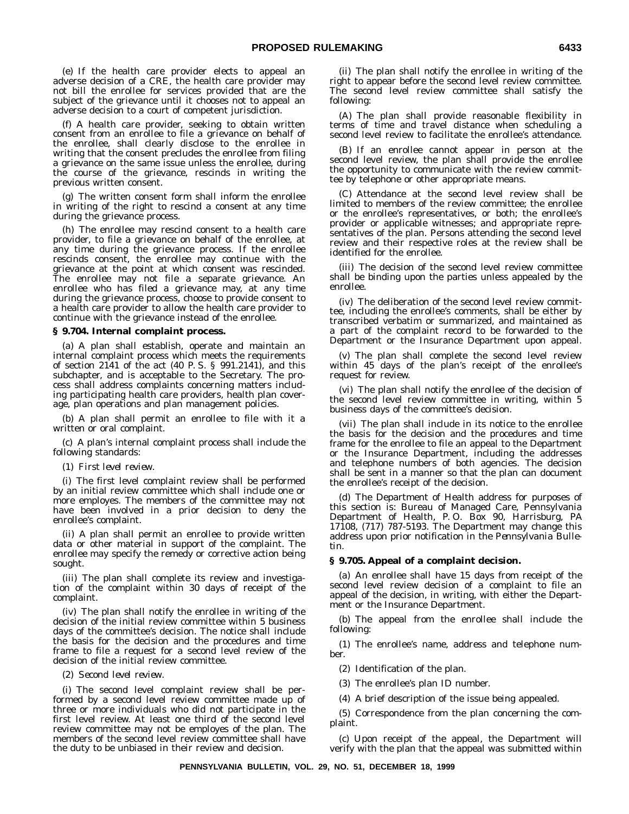(e) If the health care provider elects to appeal an adverse decision of a CRE, the health care provider may not bill the enrollee for services provided that are the subject of the grievance until it chooses not to appeal an adverse decision to a court of competent jurisdiction.

(f) A health care provider, seeking to obtain written consent from an enrollee to file a grievance on behalf of the enrollee, shall clearly disclose to the enrollee in writing that the consent precludes the enrollee from filing a grievance on the same issue unless the enrollee, during the course of the grievance, rescinds in writing the previous written consent.

(g) The written consent form shall inform the enrollee in writing of the right to rescind a consent at any time during the grievance process.

(h) The enrollee may rescind consent to a health care provider, to file a grievance on behalf of the enrollee, at any time during the grievance process. If the enrollee rescinds consent, the enrollee may continue with the grievance at the point at which consent was rescinded. The enrollee may not file a separate grievance. An enrollee who has filed a grievance may, at any time during the grievance process, choose to provide consent to a health care provider to allow the health care provider to continue with the grievance instead of the enrollee.

## **§ 9.704. Internal complaint process.**

(a) A plan shall establish, operate and maintain an internal complaint process which meets the requirements of section 2141 of the act (40 P. S. § 991.2141), and this subchapter, and is acceptable to the Secretary. The process shall address complaints concerning matters including participating health care providers, health plan coverage, plan operations and plan management policies.

(b) A plan shall permit an enrollee to file with it a written or oral complaint.

(c) A plan's internal complaint process shall include the following standards:

(1) *First level review.*

(i) The first level complaint review shall be performed by an initial review committee which shall include one or more employes. The members of the committee may not have been involved in a prior decision to deny the enrollee's complaint.

(ii) A plan shall permit an enrollee to provide written data or other material in support of the complaint. The enrollee may specify the remedy or corrective action being sought.

(iii) The plan shall complete its review and investigation of the complaint within 30 days of receipt of the complaint.

(iv) The plan shall notify the enrollee in writing of the decision of the initial review committee within 5 business days of the committee's decision. The notice shall include the basis for the decision and the procedures and time frame to file a request for a second level review of the decision of the initial review committee.

#### (2) *Second level review.*

(i) The second level complaint review shall be performed by a second level review committee made up of three or more individuals who did not participate in the first level review. At least one third of the second level review committee may not be employes of the plan. The members of the second level review committee shall have the duty to be unbiased in their review and decision.

(ii) The plan shall notify the enrollee in writing of the right to appear before the second level review committee. The second level review committee shall satisfy the following:

(A) The plan shall provide reasonable flexibility in terms of time and travel distance when scheduling a second level review to facilitate the enrollee's attendance.

(B) If an enrollee cannot appear in person at the second level review, the plan shall provide the enrollee the opportunity to communicate with the review committee by telephone or other appropriate means.

(C) Attendance at the second level review shall be limited to members of the review committee; the enrollee or the enrollee's representatives, or both; the enrollee's provider or applicable witnesses; and appropriate representatives of the plan. Persons attending the second level review and their respective roles at the review shall be identified for the enrollee.

(iii) The decision of the second level review committee shall be binding upon the parties unless appealed by the enrollee.

(iv) The deliberation of the second level review committee, including the enrollee's comments, shall be either by transcribed verbatim or summarized, and maintained as a part of the complaint record to be forwarded to the Department or the Insurance Department upon appeal.

(v) The plan shall complete the second level review within 45 days of the plan's receipt of the enrollee's request for review.

(vi) The plan shall notify the enrollee of the decision of the second level review committee in writing, within 5 business days of the committee's decision.

(vii) The plan shall include in its notice to the enrollee the basis for the decision and the procedures and time frame for the enrollee to file an appeal to the Department or the Insurance Department, including the addresses and telephone numbers of both agencies. The decision shall be sent in a manner so that the plan can document the enrollee's receipt of the decision.

(d) The Department of Health address for purposes of this section is: Bureau of Managed Care, Pennsylvania Department of Health, P. O. Box 90, Harrisburg, PA 17108, (717) 787-5193. The Department may change this address upon prior notification in the *Pennsylvania Bulletin.*

## **§ 9.705. Appeal of a complaint decision.**

(a) An enrollee shall have 15 days from receipt of the second level review decision of a complaint to file an appeal of the decision, in writing, with either the Department or the Insurance Department.

(b) The appeal from the enrollee shall include the following:

(1) The enrollee's name, address and telephone number.

(2) Identification of the plan.

(3) The enrollee's plan ID number.

(4) A brief description of the issue being appealed.

(5) Correspondence from the plan concerning the complaint.

(c) Upon receipt of the appeal, the Department will verify with the plan that the appeal was submitted within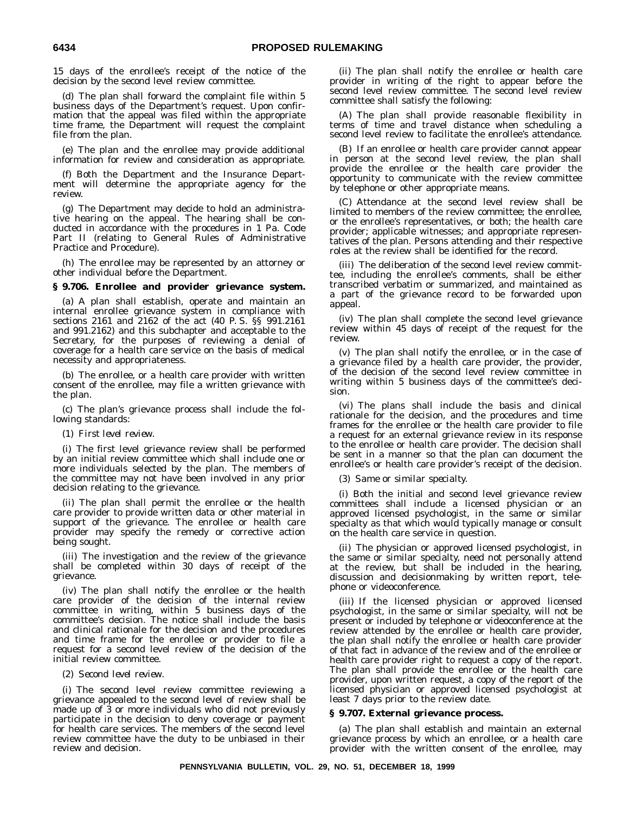15 days of the enrollee's receipt of the notice of the decision by the second level review committee.

(d) The plan shall forward the complaint file within 5 business days of the Department's request. Upon confirmation that the appeal was filed within the appropriate time frame, the Department will request the complaint file from the plan.

(e) The plan and the enrollee may provide additional information for review and consideration as appropriate.

(f) Both the Department and the Insurance Department will determine the appropriate agency for the review.

(g) The Department may decide to hold an administrative hearing on the appeal. The hearing shall be conducted in accordance with the procedures in 1 Pa. Code Part II (relating to General Rules of Administrative Practice and Procedure).

(h) The enrollee may be represented by an attorney or other individual before the Department.

## **§ 9.706. Enrollee and provider grievance system.**

(a) A plan shall establish, operate and maintain an internal enrollee grievance system in compliance with sections 2161 and 2162 of the act (40 P. S. §§ 991.2161 and 991.2162) and this subchapter and acceptable to the Secretary, for the purposes of reviewing a denial of coverage for a health care service on the basis of medical necessity and appropriateness.

(b) The enrollee, or a health care provider with written consent of the enrollee, may file a written grievance with the plan.

(c) The plan's grievance process shall include the following standards:

## (1) *First level review.*

(i) The first level grievance review shall be performed by an initial review committee which shall include one or more individuals selected by the plan. The members of the committee may not have been involved in any prior decision relating to the grievance.

(ii) The plan shall permit the enrollee or the health care provider to provide written data or other material in support of the grievance. The enrollee or health care provider may specify the remedy or corrective action being sought.

(iii) The investigation and the review of the grievance shall be completed within 30 days of receipt of the grievance.

(iv) The plan shall notify the enrollee or the health care provider of the decision of the internal review committee in writing, within 5 business days of the committee's decision. The notice shall include the basis and clinical rationale for the decision and the procedures and time frame for the enrollee or provider to file a request for a second level review of the decision of the initial review committee.

#### (2) *Second level review.*

(i) The second level review committee reviewing a grievance appealed to the second level of review shall be made up of 3 or more individuals who did not previously participate in the decision to deny coverage or payment for health care services. The members of the second level review committee have the duty to be unbiased in their review and decision.

(ii) The plan shall notify the enrollee or health care provider in writing of the right to appear before the second level review committee. The second level review committee shall satisfy the following:

(A) The plan shall provide reasonable flexibility in terms of time and travel distance when scheduling a second level review to facilitate the enrollee's attendance.

(B) If an enrollee or health care provider cannot appear in person at the second level review, the plan shall provide the enrollee or the health care provider the opportunity to communicate with the review committee by telephone or other appropriate means.

(C) Attendance at the second level review shall be limited to members of the review committee; the enrollee, or the enrollee's representatives, or both; the health care provider; applicable witnesses; and appropriate representatives of the plan. Persons attending and their respective roles at the review shall be identified for the record.

(iii) The deliberation of the second level review committee, including the enrollee's comments, shall be either transcribed verbatim or summarized, and maintained as a part of the grievance record to be forwarded upon appeal.

(iv) The plan shall complete the second level grievance review within 45 days of receipt of the request for the review.

(v) The plan shall notify the enrollee, or in the case of a grievance filed by a health care provider, the provider, of the decision of the second level review committee in writing within 5 business days of the committee's decision.

(vi) The plans shall include the basis and clinical rationale for the decision, and the procedures and time frames for the enrollee or the health care provider to file a request for an external grievance review in its response to the enrollee or health care provider. The decision shall be sent in a manner so that the plan can document the enrollee's or health care provider's receipt of the decision.

(3) *Same or similar specialty.*

(i) Both the initial and second level grievance review committees shall include a licensed physician or an approved licensed psychologist, in the same or similar specialty as that which would typically manage or consult on the health care service in question.

(ii) The physician or approved licensed psychologist, in the same or similar specialty, need not personally attend at the review, but shall be included in the hearing, discussion and decisionmaking by written report, telephone or videoconference.

(iii) If the licensed physician or approved licensed psychologist, in the same or similar specialty, will not be present or included by telephone or videoconference at the review attended by the enrollee or health care provider, the plan shall notify the enrollee or health care provider of that fact in advance of the review and of the enrollee or health care provider right to request a copy of the report. The plan shall provide the enrollee or the health care provider, upon written request, a copy of the report of the licensed physician or approved licensed psychologist at least 7 days prior to the review date.

## **§ 9.707. External grievance process.**

(a) The plan shall establish and maintain an external grievance process by which an enrollee, or a health care provider with the written consent of the enrollee, may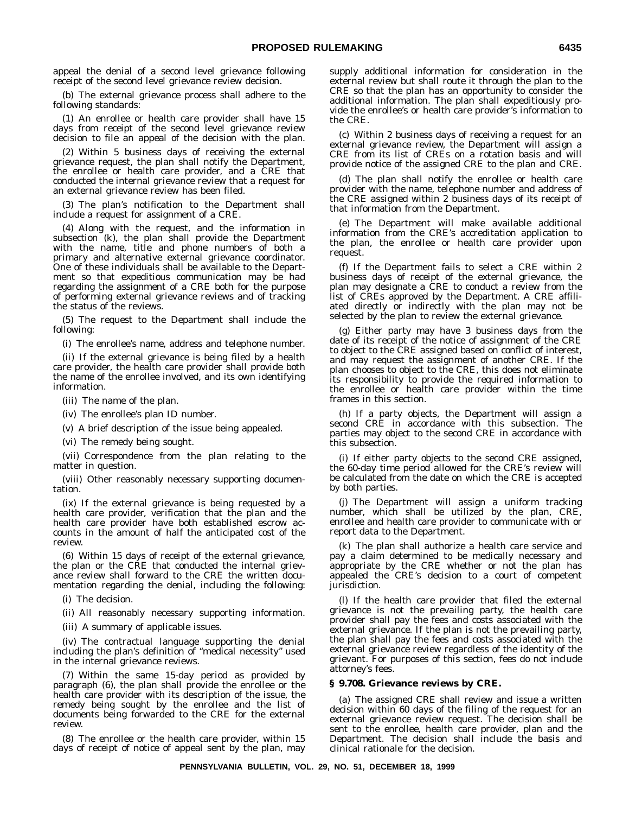appeal the denial of a second level grievance following receipt of the second level grievance review decision.

(b) The external grievance process shall adhere to the following standards:

(1) An enrollee or health care provider shall have 15 days from receipt of the second level grievance review decision to file an appeal of the decision with the plan.

(2) Within 5 business days of receiving the external grievance request, the plan shall notify the Department, the enrollee or health care provider, and a CRE that conducted the internal grievance review that a request for an external grievance review has been filed.

(3) The plan's notification to the Department shall include a request for assignment of a CRE.

(4) Along with the request, and the information in subsection (k), the plan shall provide the Department with the name, title and phone numbers of both a primary and alternative external grievance coordinator. One of these individuals shall be available to the Department so that expeditious communication may be had regarding the assignment of a CRE both for the purpose of performing external grievance reviews and of tracking the status of the reviews.

(5) The request to the Department shall include the following:

(i) The enrollee's name, address and telephone number.

(ii) If the external grievance is being filed by a health care provider, the health care provider shall provide both the name of the enrollee involved, and its own identifying information.

(iii) The name of the plan.

(iv) The enrollee's plan ID number.

(v) A brief description of the issue being appealed.

(vi) The remedy being sought.

(vii) Correspondence from the plan relating to the matter in question.

(viii) Other reasonably necessary supporting documentation.

(ix) If the external grievance is being requested by a health care provider, verification that the plan and the health care provider have both established escrow accounts in the amount of half the anticipated cost of the review.

(6) Within 15 days of receipt of the external grievance, the plan or the CRE that conducted the internal grievance review shall forward to the CRE the written documentation regarding the denial, including the following:

(i) The decision.

(ii) All reasonably necessary supporting information.

(iii) A summary of applicable issues.

(iv) The contractual language supporting the denial including the plan's definition of ''medical necessity'' used in the internal grievance reviews.

(7) Within the same 15-day period as provided by paragraph (6), the plan shall provide the enrollee or the health care provider with its description of the issue, the remedy being sought by the enrollee and the list of documents being forwarded to the CRE for the external review.

(8) The enrollee or the health care provider, within 15 days of receipt of notice of appeal sent by the plan, may supply additional information for consideration in the external review but shall route it through the plan to the CRE so that the plan has an opportunity to consider the additional information. The plan shall expeditiously provide the enrollee's or health care provider's information to the CRE.

(c) Within 2 business days of receiving a request for an external grievance review, the Department will assign a CRE from its list of CREs on a rotation basis and will provide notice of the assigned CRE to the plan and CRE.

(d) The plan shall notify the enrollee or health care provider with the name, telephone number and address of the CRE assigned within 2 business days of its receipt of that information from the Department.

(e) The Department will make available additional information from the CRE's accreditation application to the plan, the enrollee or health care provider upon request.

(f) If the Department fails to select a CRE within 2 business days of receipt of the external grievance, the plan may designate a CRE to conduct a review from the list of CREs approved by the Department. A CRE affiliated directly or indirectly with the plan may not be selected by the plan to review the external grievance.

(g) Either party may have 3 business days from the date of its receipt of the notice of assignment of the CRE to object to the CRE assigned based on conflict of interest, and may request the assignment of another CRE. If the plan chooses to object to the CRE, this does not eliminate its responsibility to provide the required information to the enrollee or health care provider within the time frames in this section.

(h) If a party objects, the Department will assign a second CRE in accordance with this subsection. The parties may object to the second CRE in accordance with this subsection.

(i) If either party objects to the second CRE assigned, the 60-day time period allowed for the CRE's review will be calculated from the date on which the CRE is accepted by both parties.

(j) The Department will assign a uniform tracking number, which shall be utilized by the plan, CRE, enrollee and health care provider to communicate with or report data to the Department.

(k) The plan shall authorize a health care service and pay a claim determined to be medically necessary and appropriate by the CRE whether or not the plan has appealed the CRE's decision to a court of competent jurisdiction.

(l) If the health care provider that filed the external grievance is not the prevailing party, the health care provider shall pay the fees and costs associated with the external grievance. If the plan is not the prevailing party, the plan shall pay the fees and costs associated with the external grievance review regardless of the identity of the grievant. For purposes of this section, fees do not include attorney's fees.

## **§ 9.708. Grievance reviews by CRE.**

(a) The assigned CRE shall review and issue a written decision within 60 days of the filing of the request for an external grievance review request. The decision shall be sent to the enrollee, health care provider, plan and the Department. The decision shall include the basis and clinical rationale for the decision.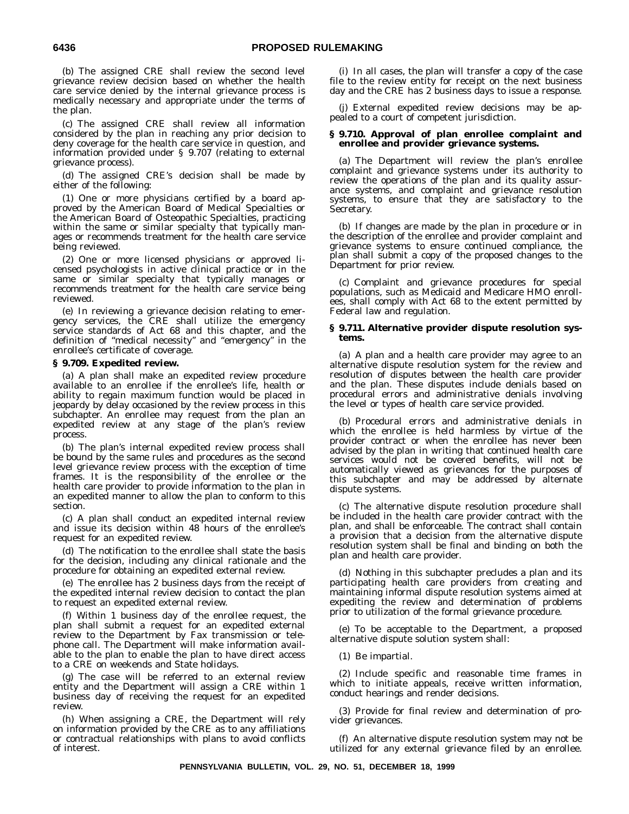(b) The assigned CRE shall review the second level grievance review decision based on whether the health care service denied by the internal grievance process is medically necessary and appropriate under the terms of the plan.

(c) The assigned CRE shall review all information considered by the plan in reaching any prior decision to deny coverage for the health care service in question, and information provided under § 9.707 (relating to external grievance process).

(d) The assigned CRE's decision shall be made by either of the following:

(1) One or more physicians certified by a board approved by the American Board of Medical Specialties or the American Board of Osteopathic Specialties, practicing within the same or similar specialty that typically manages or recommends treatment for the health care service being reviewed.

(2) One or more licensed physicians or approved licensed psychologists in active clinical practice or in the same or similar specialty that typically manages or recommends treatment for the health care service being reviewed.

(e) In reviewing a grievance decision relating to emergency services, the CRE shall utilize the emergency service standards of Act 68 and this chapter, and the definition of ''medical necessity'' and ''emergency'' in the enrollee's certificate of coverage.

## **§ 9.709. Expedited review.**

(a) A plan shall make an expedited review procedure available to an enrollee if the enrollee's life, health or ability to regain maximum function would be placed in jeopardy by delay occasioned by the review process in this subchapter. An enrollee may request from the plan an expedited review at any stage of the plan's review process.

(b) The plan's internal expedited review process shall be bound by the same rules and procedures as the second level grievance review process with the exception of time frames. It is the responsibility of the enrollee or the health care provider to provide information to the plan in an expedited manner to allow the plan to conform to this section.

(c) A plan shall conduct an expedited internal review and issue its decision within 48 hours of the enrollee's request for an expedited review.

(d) The notification to the enrollee shall state the basis for the decision, including any clinical rationale and the procedure for obtaining an expedited external review.

(e) The enrollee has 2 business days from the receipt of the expedited internal review decision to contact the plan to request an expedited external review.

(f) Within 1 business day of the enrollee request, the plan shall submit a request for an expedited external review to the Department by Fax transmission or telephone call. The Department will make information available to the plan to enable the plan to have direct access to a CRE on weekends and State holidays.

(g) The case will be referred to an external review entity and the Department will assign a CRE within 1 business day of receiving the request for an expedited review.

(h) When assigning a CRE, the Department will rely on information provided by the CRE as to any affiliations or contractual relationships with plans to avoid conflicts of interest.

(i) In all cases, the plan will transfer a copy of the case file to the review entity for receipt on the next business day and the CRE has 2 business days to issue a response.

(j) External expedited review decisions may be appealed to a court of competent jurisdiction.

## **§ 9.710. Approval of plan enrollee complaint and enrollee and provider grievance systems.**

(a) The Department will review the plan's enrollee complaint and grievance systems under its authority to review the operations of the plan and its quality assurance systems, and complaint and grievance resolution systems, to ensure that they are satisfactory to the Secretary.

(b) If changes are made by the plan in procedure or in the description of the enrollee and provider complaint and grievance systems to ensure continued compliance, the plan shall submit a copy of the proposed changes to the Department for prior review.

(c) Complaint and grievance procedures for special populations, such as Medicaid and Medicare HMO enrollees, shall comply with Act 68 to the extent permitted by Federal law and regulation.

## **§ 9.711. Alternative provider dispute resolution systems.**

(a) A plan and a health care provider may agree to an alternative dispute resolution system for the review and resolution of disputes between the health care provider and the plan. These disputes include denials based on procedural errors and administrative denials involving the level or types of health care service provided.

(b) Procedural errors and administrative denials in which the enrollee is held harmless by virtue of the provider contract or when the enrollee has never been advised by the plan in writing that continued health care services would not be covered benefits, will not be automatically viewed as grievances for the purposes of this subchapter and may be addressed by alternate dispute systems.

(c) The alternative dispute resolution procedure shall be included in the health care provider contract with the plan, and shall be enforceable. The contract shall contain a provision that a decision from the alternative dispute resolution system shall be final and binding on both the plan and health care provider.

(d) Nothing in this subchapter precludes a plan and its participating health care providers from creating and maintaining informal dispute resolution systems aimed at expediting the review and determination of problems prior to utilization of the formal grievance procedure.

(e) To be acceptable to the Department, a proposed alternative dispute solution system shall:

(1) Be impartial.

(2) Include specific and reasonable time frames in which to initiate appeals, receive written information, conduct hearings and render decisions.

(3) Provide for final review and determination of provider grievances.

(f) An alternative dispute resolution system may not be utilized for any external grievance filed by an enrollee.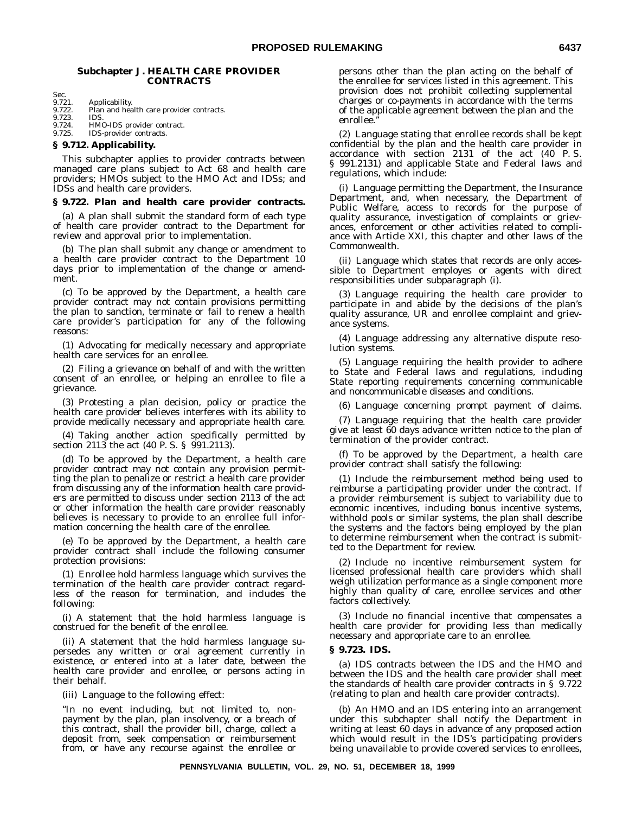## **Subchapter J. HEALTH CARE PROVIDER CONTRACTS**

Sec.<br>9.721.

9.721. Applicability.<br>9.722. Plan and hea

Plan and health care provider contracts.<br>IDS.

9.723.<br>9.724.

9.724. HMO-IDS provider contract. 9.725. IDS-provider contracts.

## **§ 9.712. Applicability.**

This subchapter applies to provider contracts between managed care plans subject to Act 68 and health care providers; HMOs subject to the HMO Act and IDSs; and IDSs and health care providers.

## **§ 9.722. Plan and health care provider contracts.**

(a) A plan shall submit the standard form of each type of health care provider contract to the Department for review and approval prior to implementation.

(b) The plan shall submit any change or amendment to a health care provider contract to the Department 10 days prior to implementation of the change or amendment.

(c) To be approved by the Department, a health care provider contract may not contain provisions permitting the plan to sanction, terminate or fail to renew a health care provider's participation for any of the following reasons:

(1) Advocating for medically necessary and appropriate health care services for an enrollee.

(2) Filing a grievance on behalf of and with the written consent of an enrollee, or helping an enrollee to file a grievance.

(3) Protesting a plan decision, policy or practice the health care provider believes interferes with its ability to provide medically necessary and appropriate health care.

(4) Taking another action specifically permitted by section 2113 the act (40 P. S. § 991.2113).

(d) To be approved by the Department, a health care provider contract may not contain any provision permitting the plan to penalize or restrict a health care provider from discussing any of the information health care providers are permitted to discuss under section 2113 of the act or other information the health care provider reasonably believes is necessary to provide to an enrollee full information concerning the health care of the enrollee.

(e) To be approved by the Department, a health care provider contract shall include the following consumer protection provisions:

(1) Enrollee hold harmless language which survives the termination of the health care provider contract regardless of the reason for termination, and includes the following:

(i) A statement that the hold harmless language is construed for the benefit of the enrollee.

(ii) A statement that the hold harmless language supersedes any written or oral agreement currently in existence, or entered into at a later date, between the health care provider and enrollee, or persons acting in their behalf.

(iii) Language to the following effect:

''In no event including, but not limited to, nonpayment by the plan, plan insolvency, or a breach of this contract, shall the provider bill, charge, collect a deposit from, seek compensation or reimbursement from, or have any recourse against the enrollee or persons other than the plan acting on the behalf of the enrollee for services listed in this agreement. This provision does not prohibit collecting supplemental charges or co-payments in accordance with the terms of the applicable agreement between the plan and the enrollee.''

(2) Language stating that enrollee records shall be kept confidential by the plan and the health care provider in accordance with section 2131 of the act (40 P. S. § 991.2131) and applicable State and Federal laws and regulations, which include:

(i) Language permitting the Department, the Insurance Department, and, when necessary, the Department of Public Welfare, access to records for the purpose of quality assurance, investigation of complaints or grievances, enforcement or other activities related to compliance with Article XXI, this chapter and other laws of the Commonwealth.

(ii) Language which states that records are only accessible to Department employes or agents with direct responsibilities under subparagraph (i).

(3) Language requiring the health care provider to participate in and abide by the decisions of the plan's quality assurance, UR and enrollee complaint and grievance systems.

(4) Language addressing any alternative dispute resolution systems.

(5) Language requiring the health provider to adhere to State and Federal laws and regulations, including State reporting requirements concerning communicable and noncommunicable diseases and conditions.

(6) Language concerning prompt payment of claims.

(7) Language requiring that the health care provider give at least 60 days advance written notice to the plan of termination of the provider contract.

(f) To be approved by the Department, a health care provider contract shall satisfy the following:

(1) Include the reimbursement method being used to reimburse a participating provider under the contract. If a provider reimbursement is subject to variability due to economic incentives, including bonus incentive systems, withhold pools or similar systems, the plan shall describe the systems and the factors being employed by the plan to determine reimbursement when the contract is submitted to the Department for review.

(2) Include no incentive reimbursement system for licensed professional health care providers which shall weigh utilization performance as a single component more highly than quality of care, enrollee services and other factors collectively.

(3) Include no financial incentive that compensates a health care provider for providing less than medically necessary and appropriate care to an enrollee.

## **§ 9.723. IDS.**

(a) IDS contracts between the IDS and the HMO and between the IDS and the health care provider shall meet the standards of health care provider contracts in § 9.722 (relating to plan and health care provider contracts).

(b) An HMO and an IDS entering into an arrangement under this subchapter shall notify the Department in writing at least 60 days in advance of any proposed action which would result in the IDS's participating providers being unavailable to provide covered services to enrollees,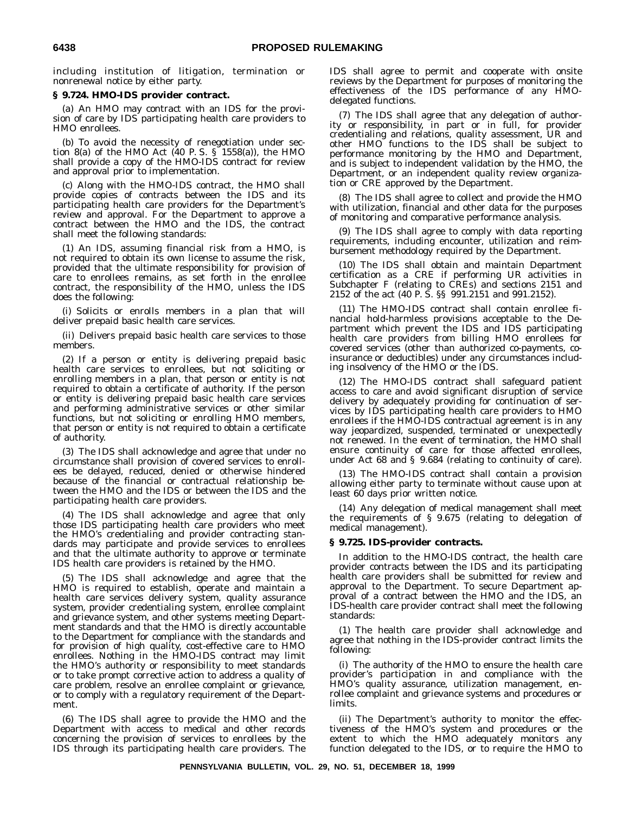including institution of litigation, termination or nonrenewal notice by either party.

## **§ 9.724. HMO-IDS provider contract.**

(a) An HMO may contract with an IDS for the provision of care by IDS participating health care providers to HMO enrollees.

(b) To avoid the necessity of renegotiation under section 8(a) of the HMO Act (40 P. S. § 1558(a)), the HMO shall provide a copy of the HMO-IDS contract for review and approval prior to implementation.

(c) Along with the HMO-IDS contract, the HMO shall provide copies of contracts between the IDS and its participating health care providers for the Department's review and approval. For the Department to approve a contract between the HMO and the IDS, the contract shall meet the following standards:

(1) An IDS, assuming financial risk from a HMO, is not required to obtain its own license to assume the risk, provided that the ultimate responsibility for provision of care to enrollees remains, as set forth in the enrollee contract, the responsibility of the HMO, unless the IDS does the following:

(i) Solicits or enrolls members in a plan that will deliver prepaid basic health care services.

(ii) Delivers prepaid basic health care services to those members.

(2) If a person or entity is delivering prepaid basic health care services to enrollees, but not soliciting or enrolling members in a plan, that person or entity is not required to obtain a certificate of authority. If the person or entity is delivering prepaid basic health care services and performing administrative services or other similar functions, but not soliciting or enrolling HMO members, that person or entity is not required to obtain a certificate of authority.

(3) The IDS shall acknowledge and agree that under no circumstance shall provision of covered services to enrollees be delayed, reduced, denied or otherwise hindered because of the financial or contractual relationship between the HMO and the IDS or between the IDS and the participating health care providers.

(4) The IDS shall acknowledge and agree that only those IDS participating health care providers who meet the HMO's credentialing and provider contracting standards may participate and provide services to enrollees and that the ultimate authority to approve or terminate IDS health care providers is retained by the HMO.

(5) The IDS shall acknowledge and agree that the HMO is required to establish, operate and maintain a health care services delivery system, quality assurance system, provider credentialing system, enrollee complaint and grievance system, and other systems meeting Department standards and that the HMO is directly accountable to the Department for compliance with the standards and for provision of high quality, cost-effective care to HMO enrollees. Nothing in the HMO-IDS contract may limit the HMO's authority or responsibility to meet standards or to take prompt corrective action to address a quality of care problem, resolve an enrollee complaint or grievance, or to comply with a regulatory requirement of the Department.

(6) The IDS shall agree to provide the HMO and the Department with access to medical and other records concerning the provision of services to enrollees by the IDS through its participating health care providers. The IDS shall agree to permit and cooperate with onsite reviews by the Department for purposes of monitoring the effectiveness of the IDS performance of any HMOdelegated functions.

(7) The IDS shall agree that any delegation of authority or responsibility, in part or in full, for provider credentialing and relations, quality assessment, UR and other HMO functions to the IDS shall be subject to performance monitoring by the HMO and Department, and is subject to independent validation by the HMO, the Department, or an independent quality review organization or CRE approved by the Department.

(8) The IDS shall agree to collect and provide the HMO with utilization, financial and other data for the purposes of monitoring and comparative performance analysis.

(9) The IDS shall agree to comply with data reporting requirements, including encounter, utilization and reimbursement methodology required by the Department.

(10) The IDS shall obtain and maintain Department certification as a CRE if performing UR activities in Subchapter F (relating to CREs) and sections 2151 and 2152 of the act (40 P. S. §§ 991.2151 and 991.2152).

(11) The HMO-IDS contract shall contain enrollee financial hold-harmless provisions acceptable to the Department which prevent the IDS and IDS participating health care providers from billing HMO enrollees for covered services (other than authorized co-payments, coinsurance or deductibles) under any circumstances including insolvency of the HMO or the IDS.

(12) The HMO-IDS contract shall safeguard patient access to care and avoid significant disruption of service delivery by adequately providing for continuation of services by IDS participating health care providers to HMO enrollees if the HMO-IDS contractual agreement is in any way jeopardized, suspended, terminated or unexpectedly not renewed. In the event of termination, the HMO shall ensure continuity of care for those affected enrollees, under Act 68 and § 9.684 (relating to continuity of care).

(13) The HMO-IDS contract shall contain a provision allowing either party to terminate without cause upon at least 60 days prior written notice.

(14) Any delegation of medical management shall meet the requirements of § 9.675 (relating to delegation of medical management).

## **§ 9.725. IDS-provider contracts.**

In addition to the HMO-IDS contract, the health care provider contracts between the IDS and its participating health care providers shall be submitted for review and approval to the Department. To secure Department approval of a contract between the HMO and the IDS, an IDS-health care provider contract shall meet the following standards:

(1) The health care provider shall acknowledge and agree that nothing in the IDS-provider contract limits the following:

(i) The authority of the HMO to ensure the health care provider's participation in and compliance with the HMO's quality assurance, utilization management, enrollee complaint and grievance systems and procedures or limits.

(ii) The Department's authority to monitor the effectiveness of the HMO's system and procedures or the extent to which the HMO adequately monitors any function delegated to the IDS, or to require the HMO to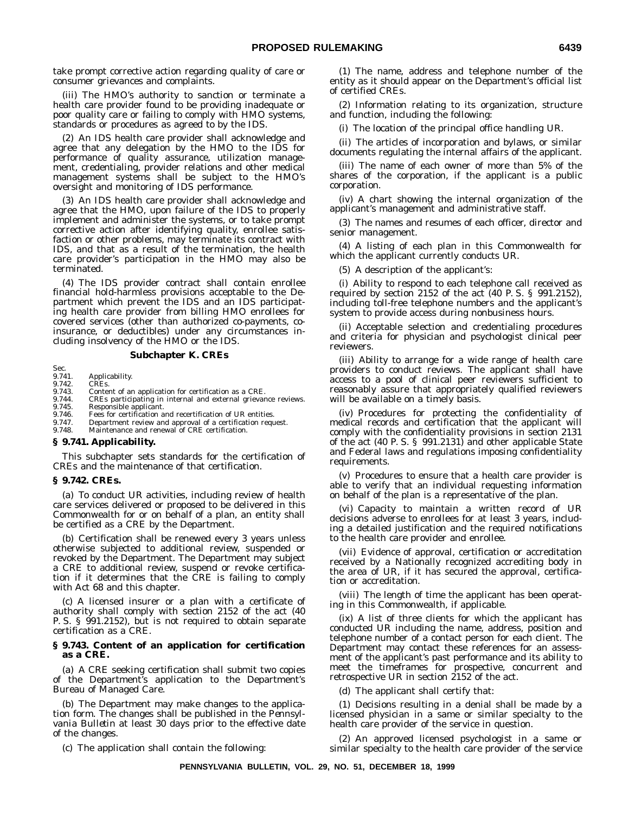take prompt corrective action regarding quality of care or consumer grievances and complaints.

(iii) The HMO's authority to sanction or terminate a health care provider found to be providing inadequate or poor quality care or failing to comply with HMO systems, standards or procedures as agreed to by the IDS.

(2) An IDS health care provider shall acknowledge and agree that any delegation by the HMO to the IDS for performance of quality assurance, utilization management, credentialing, provider relations and other medical management systems shall be subject to the HMO's oversight and monitoring of IDS performance.

(3) An IDS health care provider shall acknowledge and agree that the HMO, upon failure of the IDS to properly implement and administer the systems, or to take prompt corrective action after identifying quality, enrollee satisfaction or other problems, may terminate its contract with IDS, and that as a result of the termination, the health care provider's participation in the HMO may also be terminated.

(4) The IDS provider contract shall contain enrollee financial hold-harmless provisions acceptable to the Department which prevent the IDS and an IDS participating health care provider from billing HMO enrollees for covered services (other than authorized co-payments, coinsurance, or deductibles) under any circumstances including insolvency of the HMO or the IDS.

## **Subchapter K. CREs**

## Sec.<br>9.741. 9.741. Applicability. 9.742. CREs.

- 
- 9.743. Content of an application for certification as a CRE.<br>9.744. CREs participating in internal and external grievar
- 9.744. CREs participating in internal and external grievance reviews.<br>9.745. Responsible applicant.
- 9.745. Responsible applicant.<br>9.746. Fees for certification a
- 9.746. Fees for certification and recertification of UR entities.<br>9.747. Department review and approval of a certification requ
- 9.747. Department review and approval of a certification request.<br>9.748. Maintenance and renewal of CRE certification. Maintenance and renewal of CRE certification.

#### **§ 9.741. Applicability.**

This subchapter sets standards for the certification of CREs and the maintenance of that certification.

## **§ 9.742. CREs.**

(a) To conduct UR activities, including review of health care services delivered or proposed to be delivered in this Commonwealth for or on behalf of a plan, an entity shall be certified as a CRE by the Department.

(b) Certification shall be renewed every 3 years unless otherwise subjected to additional review, suspended or revoked by the Department. The Department may subject a CRE to additional review, suspend or revoke certification if it determines that the CRE is failing to comply with Act 68 and this chapter.

(c) A licensed insurer or a plan with a certificate of authority shall comply with section 2152 of the act (40 P. S. § 991.2152), but is not required to obtain separate certification as a CRE.

## **§ 9.743. Content of an application for certification as a CRE.**

(a) A CRE seeking certification shall submit two copies of the Department's application to the Department's Bureau of Managed Care.

(b) The Department may make changes to the application form. The changes shall be published in the *Pennsylvania Bulletin* at least 30 days prior to the effective date of the changes.

(1) The name, address and telephone number of the entity as it should appear on the Department's official list of certified CREs.

(2) Information relating to its organization, structure and function, including the following:

(i) The location of the principal office handling UR.

(ii) The articles of incorporation and bylaws, or similar documents regulating the internal affairs of the applicant.

(iii) The name of each owner of more than 5% of the shares of the corporation, if the applicant is a public corporation.

(iv) A chart showing the internal organization of the applicant's management and administrative staff.

(3) The names and resumes of each officer, director and senior management.

(4) A listing of each plan in this Commonwealth for which the applicant currently conducts UR.

(5) A description of the applicant's:

(i) Ability to respond to each telephone call received as required by section 2152 of the act (40 P. S. § 991.2152), including toll-free telephone numbers and the applicant's system to provide access during nonbusiness hours.

(ii) Acceptable selection and credentialing procedures and criteria for physician and psychologist clinical peer reviewers.

(iii) Ability to arrange for a wide range of health care providers to conduct reviews. The applicant shall have access to a pool of clinical peer reviewers sufficient to reasonably assure that appropriately qualified reviewers will be available on a timely basis.

(iv) Procedures for protecting the confidentiality of medical records and certification that the applicant will comply with the confidentiality provisions in section 2131 of the act (40 P. S. § 991.2131) and other applicable State and Federal laws and regulations imposing confidentiality requirements.

(v) Procedures to ensure that a health care provider is able to verify that an individual requesting information on behalf of the plan is a representative of the plan.

(vi) Capacity to maintain a written record of UR decisions adverse to enrollees for at least 3 years, including a detailed justification and the required notifications to the health care provider and enrollee.

(vii) Evidence of approval, certification or accreditation received by a Nationally recognized accrediting body in the area of UR, if it has secured the approval, certification or accreditation.

(viii) The length of time the applicant has been operating in this Commonwealth, if applicable.

(ix) A list of three clients for which the applicant has conducted UR including the name, address, position and telephone number of a contact person for each client. The Department may contact these references for an assessment of the applicant's past performance and its ability to meet the timeframes for prospective, concurrent and retrospective UR in section 2152 of the act.

(d) The applicant shall certify that:

(1) Decisions resulting in a denial shall be made by a licensed physician in a same or similar specialty to the health care provider of the service in question.

(2) An approved licensed psychologist in a same or similar specialty to the health care provider of the service

(c) The application shall contain the following: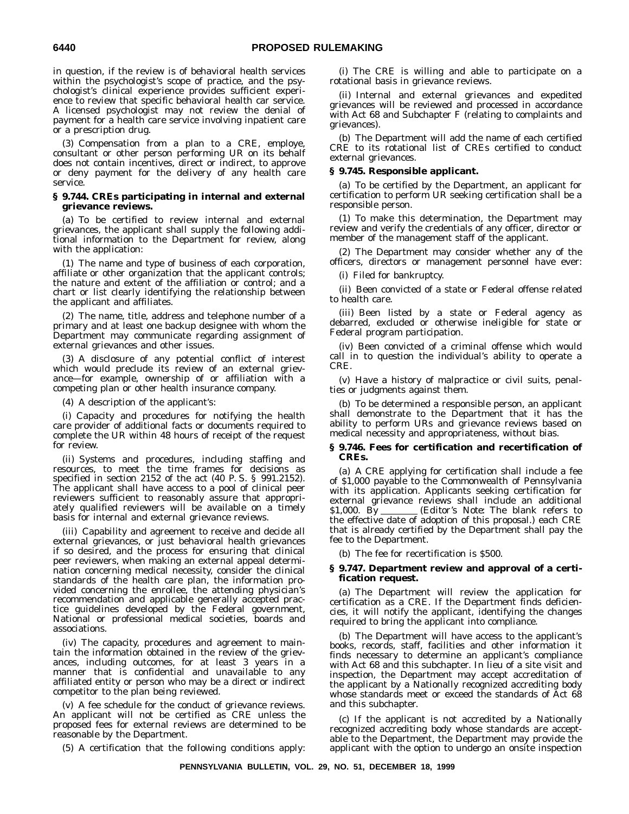in question, if the review is of behavioral health services within the psychologist's scope of practice, and the psychologist's clinical experience provides sufficient experience to review that specific behavioral health car service. A licensed psychologist may not review the denial of payment for a health care service involving inpatient care or a prescription drug.

(3) Compensation from a plan to a CRE, employe, consultant or other person performing UR on its behalf does not contain incentives, direct or indirect, to approve or deny payment for the delivery of any health care service.

## **§ 9.744. CREs participating in internal and external grievance reviews.**

(a) To be certified to review internal and external grievances, the applicant shall supply the following additional information to the Department for review, along with the application:

(1) The name and type of business of each corporation, affiliate or other organization that the applicant controls; the nature and extent of the affiliation or control; and a chart or list clearly identifying the relationship between the applicant and affiliates.

(2) The name, title, address and telephone number of a primary and at least one backup designee with whom the Department may communicate regarding assignment of external grievances and other issues.

(3) A disclosure of any potential conflict of interest which would preclude its review of an external grievance—for example, ownership of or affiliation with a competing plan or other health insurance company.

(4) A description of the applicant's:

(i) Capacity and procedures for notifying the health care provider of additional facts or documents required to complete the UR within 48 hours of receipt of the request for review.

(ii) Systems and procedures, including staffing and resources, to meet the time frames for decisions as specified in section 2152 of the act (40 P. S. § 991.2152). The applicant shall have access to a pool of clinical peer reviewers sufficient to reasonably assure that appropriately qualified reviewers will be available on a timely basis for internal and external grievance reviews.

(iii) Capability and agreement to receive and decide all external grievances, or just behavioral health grievances if so desired, and the process for ensuring that clinical peer reviewers, when making an external appeal determination concerning medical necessity, consider the clinical standards of the health care plan, the information provided concerning the enrollee, the attending physician's recommendation and applicable generally accepted practice guidelines developed by the Federal government, National or professional medical societies, boards and associations.

(iv) The capacity, procedures and agreement to maintain the information obtained in the review of the grievances, including outcomes, for at least 3 years in a manner that is confidential and unavailable to any affiliated entity or person who may be a direct or indirect competitor to the plan being reviewed.

(v) A fee schedule for the conduct of grievance reviews. An applicant will not be certified as CRE unless the proposed fees for external reviews are determined to be reasonable by the Department.

(5) A certification that the following conditions apply:

(i) The CRE is willing and able to participate on a rotational basis in grievance reviews.

(ii) Internal and external grievances and expedited grievances will be reviewed and processed in accordance with Act 68 and Subchapter F (relating to complaints and grievances).

(b) The Department will add the name of each certified CRE to its rotational list of CREs certified to conduct external grievances.

## **§ 9.745. Responsible applicant.**

(a) To be certified by the Department, an applicant for certification to perform UR seeking certification shall be a responsible person.

(1) To make this determination, the Department may review and verify the credentials of any officer, director or member of the management staff of the applicant.

(2) The Department may consider whether any of the officers, directors or management personnel have ever:

(i) Filed for bankruptcy.

(ii) Been convicted of a state or Federal offense related to health care.

(iii) Been listed by a state or Federal agency as debarred, excluded or otherwise ineligible for state or Federal program participation.

(iv) Been convicted of a criminal offense which would call in to question the individual's ability to operate a CRE.

(v) Have a history of malpractice or civil suits, penalties or judgments against them.

(b) To be determined a responsible person, an applicant shall demonstrate to the Department that it has the ability to perform URs and grievance reviews based on medical necessity and appropriateness, without bias.

## **§ 9.746. Fees for certification and recertification of CREs.**

(a) A CRE applying for certification shall include a fee of \$1,000 payable to the Commonwealth of Pennsylvania with its application. Applicants seeking certification for external grievance reviews shall include an additional \$1.000. By \_\_\_\_\_\_\_ (*Editor's Note:* The blank refers to \$1,000. By (*Editor's Note:* The blank refers to the effective date of adoption of this proposal.) each CRE that is already certified by the Department shall pay the fee to the Department.

(b) The fee for recertification is \$500.

## **§ 9.747. Department review and approval of a certification request.**

(a) The Department will review the application for certification as a CRE. If the Department finds deficiencies, it will notify the applicant, identifying the changes required to bring the applicant into compliance.

(b) The Department will have access to the applicant's books, records, staff, facilities and other information it finds necessary to determine an applicant's compliance with Act 68 and this subchapter. In lieu of a site visit and inspection, the Department may accept accreditation of the applicant by a Nationally recognized accrediting body whose standards meet or exceed the standards of Act 68 and this subchapter.

(c) If the applicant is not accredited by a Nationally recognized accrediting body whose standards are acceptable to the Department, the Department may provide the applicant with the option to undergo an onsite inspection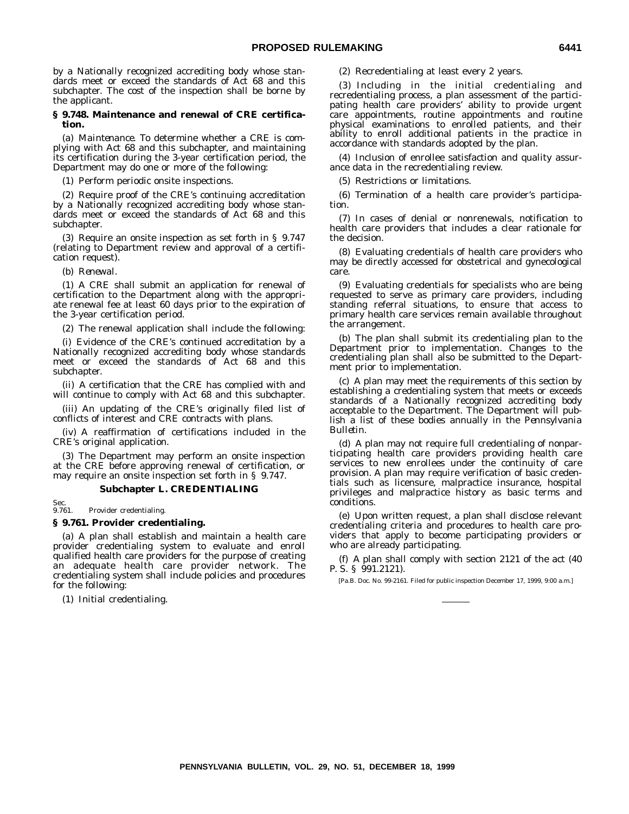by a Nationally recognized accrediting body whose standards meet or exceed the standards of Act 68 and this subchapter. The cost of the inspection shall be borne by the applicant.

#### **§ 9.748. Maintenance and renewal of CRE certification.**

(a) *Maintenance.* To determine whether a CRE is complying with Act 68 and this subchapter, and maintaining its certification during the 3-year certification period, the Department may do one or more of the following:

(1) Perform periodic onsite inspections.

(2) Require proof of the CRE's continuing accreditation by a Nationally recognized accrediting body whose standards meet or exceed the standards of Act 68 and this subchapter.

(3) Require an onsite inspection as set forth in § 9.747 (relating to Department review and approval of a certification request).

(b) *Renewal.*

(1) A CRE shall submit an application for renewal of certification to the Department along with the appropriate renewal fee at least 60 days prior to the expiration of the 3-year certification period.

(2) The renewal application shall include the following:

(i) Evidence of the CRE's continued accreditation by a Nationally recognized accrediting body whose standards meet or exceed the standards of Act 68 and this subchapter.

(ii) A certification that the CRE has complied with and will continue to comply with Act 68 and this subchapter.

(iii) An updating of the CRE's originally filed list of conflicts of interest and CRE contracts with plans.

(iv) A reaffirmation of certifications included in the CRE's original application.

(3) The Department may perform an onsite inspection at the CRE before approving renewal of certification, or may require an onsite inspection set forth in § 9.747.

## **Subchapter L. CREDENTIALING**

Sec.<br>9.761. Provider credentialing.

## **§ 9.761. Provider credentialing.**

(a) A plan shall establish and maintain a health care provider credentialing system to evaluate and enroll qualified health care providers for the purpose of creating an adequate health care provider network. The credentialing system shall include policies and procedures for the following:

(1) Initial credentialing.

(2) Recredentialing at least every 2 years.

(3) Including in the initial credentialing and recredentialing process, a plan assessment of the participating health care providers' ability to provide urgent care appointments, routine appointments and routine physical examinations to enrolled patients, and their ability to enroll additional patients in the practice in accordance with standards adopted by the plan.

(4) Inclusion of enrollee satisfaction and quality assurance data in the recredentialing review.

(5) Restrictions or limitations.

(6) Termination of a health care provider's participation.

(7) In cases of denial or nonrenewals, notification to health care providers that includes a clear rationale for the decision.

(8) Evaluating credentials of health care providers who may be directly accessed for obstetrical and gynecological care.

(9) Evaluating credentials for specialists who are being requested to serve as primary care providers, including standing referral situations, to ensure that access to primary health care services remain available throughout the arrangement.

(b) The plan shall submit its credentialing plan to the Department prior to implementation. Changes to the credentialing plan shall also be submitted to the Department prior to implementation.

(c) A plan may meet the requirements of this section by establishing a credentialing system that meets or exceeds standards of a Nationally recognized accrediting body acceptable to the Department. The Department will publish a list of these bodies annually in the *Pennsylvania Bulletin.*

(d) A plan may not require full credentialing of nonparticipating health care providers providing health care services to new enrollees under the continuity of care provision. A plan may require verification of basic credentials such as licensure, malpractice insurance, hospital privileges and malpractice history as basic terms and conditions.

(e) Upon written request, a plan shall disclose relevant credentialing criteria and procedures to health care providers that apply to become participating providers or who are already participating.

(f) A plan shall comply with section 2121 of the act (40 P. S. § 991.2121).

[Pa.B. Doc. No. 99-2161. Filed for public inspection December 17, 1999, 9:00 a.m.]